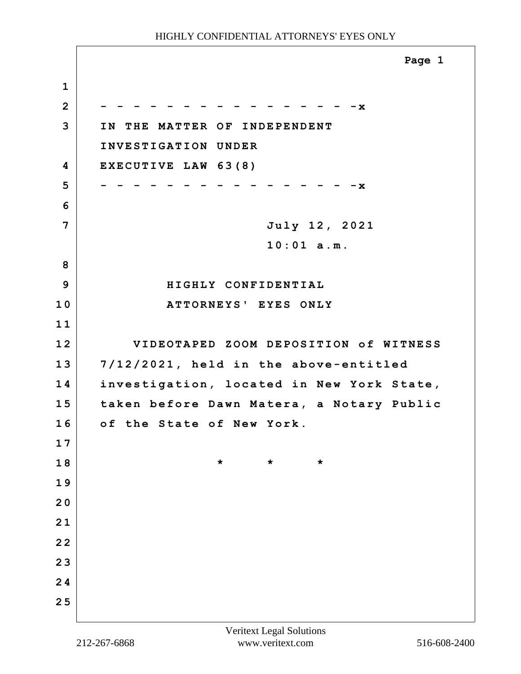|                | Page 1                                    |
|----------------|-------------------------------------------|
| $\mathbf{1}$   |                                           |
| $\overline{2}$ | – x                                       |
| 3              | IN THE MATTER OF INDEPENDENT              |
|                | INVESTIGATION UNDER                       |
| 4              | EXECUTIVE LAW 63(8)                       |
| 5              | – x                                       |
| 6              |                                           |
| 7              | July 12, 2021                             |
|                | $10:01$ a.m.                              |
| 8              |                                           |
| 9              | HIGHLY CONFIDENTIAL                       |
| 10             | ATTORNEYS' EYES ONLY                      |
| 11             |                                           |
| 12             | VIDEOTAPED ZOOM DEPOSITION of WITNESS     |
| 13             | 7/12/2021, held in the above-entitled     |
| 14             | investigation, located in New York State, |
| 15             | taken before Dawn Matera, a Notary Public |
| 16             | of the State of New York.                 |
| 17             |                                           |
| 18             | $\star$<br>$\star$<br>$\star$             |
| 19             |                                           |
| 20             |                                           |
| 21             |                                           |
| 2 <sub>2</sub> |                                           |
| 23             |                                           |
| 24             |                                           |
| 25             |                                           |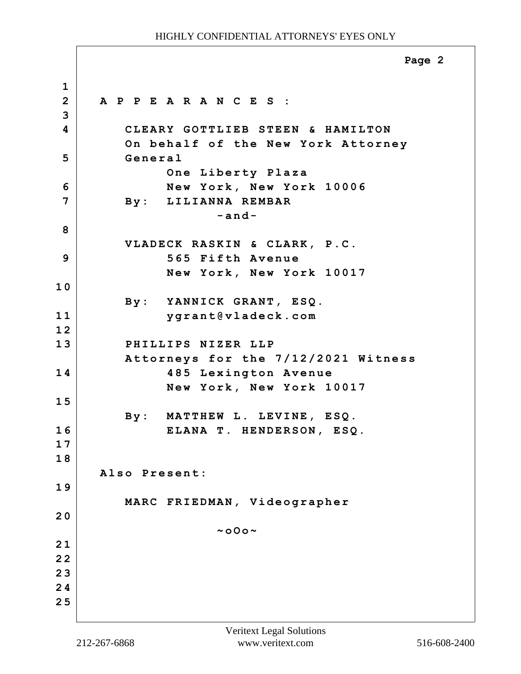**1 2 A P P E A R A N C E S : 3 4 CLEARY GOTTLIEB STEEN & HAMILTON On behalf of the New York Attorney 5 General One Liberty Plaza 6 New York, New York 10006 7 By: LILIANNA REMBAR -and-8 VLADECK RASKIN & CLARK, P.C. 9 565 Fifth Avenue New York, New York 10017 1 0 By: YANNICK GRANT, ESQ. 11 ygrant@vladeck.com 1 2 13 PHILLIPS NIZER LLP Attorneys for the 7/12/2021 Witness 14 485 Lexington Avenue New York, New York 10017 1 5 By: MATTHEW L. LEVINE, ESQ. 16 ELANA T. HENDERSON, ESQ. 1 7 1 8 Also Present: 1 9 MARC FRIEDMAN, Videographer 2 0 ~oOo~ 2 1 2 2 2 3 2 4 2 5 Page 2**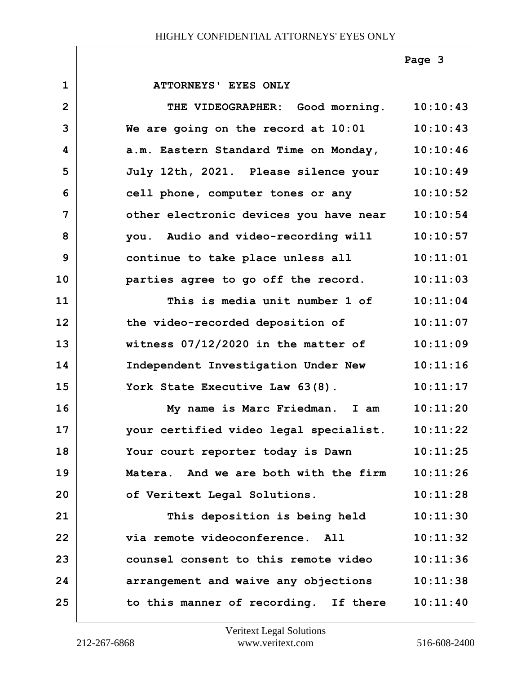**Page 3**

| $\mathbf{1}$   | ATTORNEYS' EYES ONLY                     |          |
|----------------|------------------------------------------|----------|
| $\overline{2}$ | THE VIDEOGRAPHER: Good morning. 10:10:43 |          |
| 3              | We are going on the record at 10:01      | 10:10:43 |
| 4              | a.m. Eastern Standard Time on Monday,    | 10:10:46 |
| 5              | July 12th, 2021. Please silence your     | 10:10:49 |
| 6              | cell phone, computer tones or any        | 10:10:52 |
| 7              | other electronic devices you have near   | 10:10:54 |
| 8              | you. Audio and video-recording will      | 10:10:57 |
| 9              | continue to take place unless all        | 10:11:01 |
| 10             | parties agree to go off the record.      | 10:11:03 |
| 11             | This is media unit number 1 of 10:11:04  |          |
| 12             | the video-recorded deposition of         | 10:11:07 |
| 13             | witness $07/12/2020$ in the matter of    | 10:11:09 |
| 14             | Independent Investigation Under New      | 10:11:16 |
| 15             | York State Executive Law 63(8).          | 10:11:17 |
| 16             | My name is Marc Friedman. I am           | 10:11:20 |
| 17             | your certified video legal specialist.   | 10:11:22 |
| 18             | Your court reporter today is Dawn        | 10:11:25 |
| 19             | Matera. And we are both with the firm    | 10:11:26 |
| 20             | of Veritext Legal Solutions.             | 10:11:28 |
| 21             | This deposition is being held            | 10:11:30 |
| 22             | via remote videoconference. All          | 10:11:32 |
| 23             | counsel consent to this remote video     | 10:11:36 |
| 24             | arrangement and waive any objections     | 10:11:38 |
| 25             | to this manner of recording. If there    | 10:11:40 |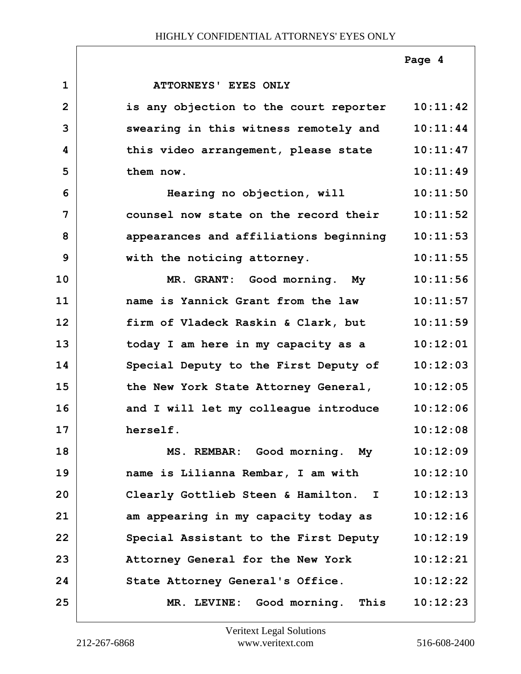|                |                                        | Page 4   |
|----------------|----------------------------------------|----------|
| $\mathbf{1}$   | ATTORNEYS' EYES ONLY                   |          |
| $\overline{2}$ | is any objection to the court reporter | 10:11:42 |
| 3              | swearing in this witness remotely and  | 10:11:44 |
| 4              | this video arrangement, please state   | 10:11:47 |
| 5              | them now.                              | 10:11:49 |
| 6              | Hearing no objection, will             | 10:11:50 |
| 7              | counsel now state on the record their  | 10:11:52 |
| 8              | appearances and affiliations beginning | 10:11:53 |
| 9              | with the noticing attorney.            | 10:11:55 |
| 10             | MR. GRANT: Good morning. My            | 10:11:56 |
| 11             | name is Yannick Grant from the law     | 10:11:57 |
| 12             | firm of Vladeck Raskin & Clark, but    | 10:11:59 |
| 13             | today I am here in my capacity as a    | 10:12:01 |
| 14             | Special Deputy to the First Deputy of  | 10:12:03 |
| 15             | the New York State Attorney General,   | 10:12:05 |
| 16             | and I will let my colleague introduce  | 10:12:06 |
| 17             | herself.                               | 10:12:08 |
| 18             | MS. REMBAR: Good morning. My           | 10:12:09 |
| 19             | name is Lilianna Rembar, I am with     | 10:12:10 |
| 20             | Clearly Gottlieb Steen & Hamilton. I   | 10:12:13 |
| 21             | am appearing in my capacity today as   | 10:12:16 |
| 22             | Special Assistant to the First Deputy  | 10:12:19 |
| 23             | Attorney General for the New York      | 10:12:21 |
| 24             | State Attorney General's Office.       | 10:12:22 |
| 25             | MR. LEVINE: Good morning. This         | 10:12:23 |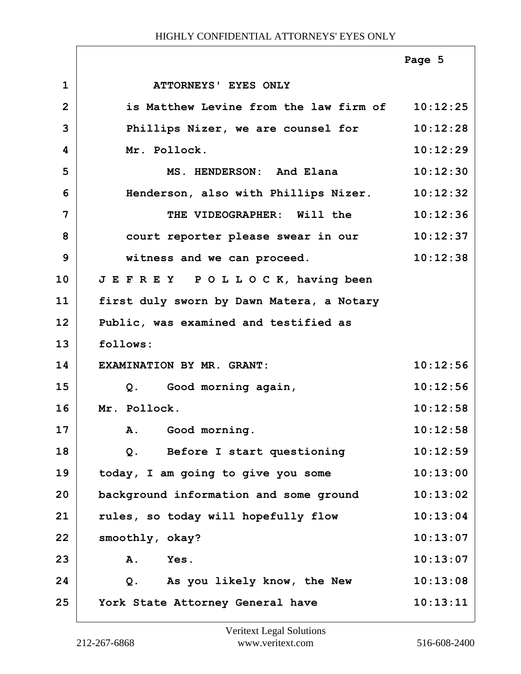|                |                                                 | Page 5   |
|----------------|-------------------------------------------------|----------|
| $\mathbf 1$    | ATTORNEYS' EYES ONLY                            |          |
| $\overline{2}$ | is Matthew Levine from the law firm of 10:12:25 |          |
| 3              | Phillips Nizer, we are counsel for              | 10:12:28 |
| 4              | Mr. Pollock.                                    | 10:12:29 |
| 5              | MS. HENDERSON: And Elana                        | 10:12:30 |
| 6              | Henderson, also with Phillips Nizer.            | 10:12:32 |
| 7              | THE VIDEOGRAPHER: Will the                      | 10:12:36 |
| 8              | court reporter please swear in our              | 10:12:37 |
| 9              | witness and we can proceed.                     | 10:12:38 |
| 10             | JEFREY POLLOCK, having been                     |          |
| 11             | first duly sworn by Dawn Matera, a Notary       |          |
| 12             | Public, was examined and testified as           |          |
| 13             | follows:                                        |          |
| 14             | EXAMINATION BY MR. GRANT:                       | 10:12:56 |
| 15             | Good morning again,<br>Q <sub>1</sub>           | 10:12:56 |
| 16             | Mr. Pollock.                                    | 10:12:58 |
| 17             | A. Good morning.                                | 10:12:58 |
| 18             | Before I start questioning<br>$Q$ .             | 10:12:59 |
| 19             | today, I am going to give you some              | 10:13:00 |
| 20             | background information and some ground          | 10:13:02 |
| 21             | rules, so today will hopefully flow             | 10:13:04 |
| 22             | smoothly, okay?                                 | 10:13:07 |
| 23             | A.<br>Yes.                                      | 10:13:07 |
| 24             | Q. As you likely know, the New                  | 10:13:08 |
| 25             | York State Attorney General have                | 10:13:11 |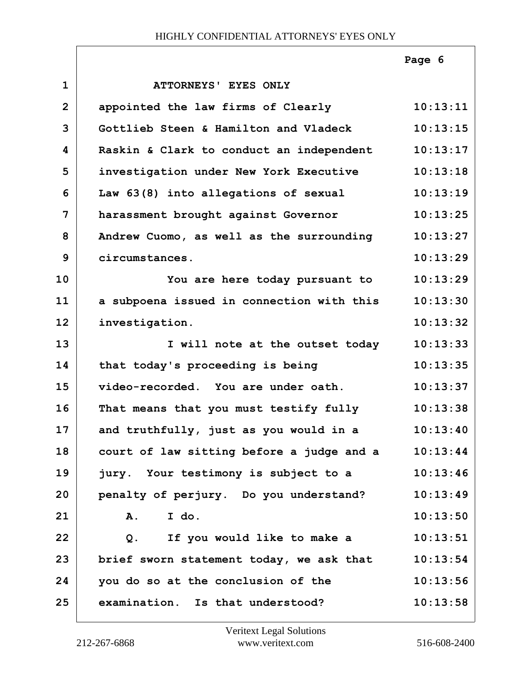|              |                                           | Page 6   |
|--------------|-------------------------------------------|----------|
| $\mathbf{1}$ | ATTORNEYS' EYES ONLY                      |          |
| $\mathbf{2}$ | appointed the law firms of Clearly        | 10:13:11 |
| 3            | Gottlieb Steen & Hamilton and Vladeck     | 10:13:15 |
| 4            | Raskin & Clark to conduct an independent  | 10:13:17 |
| 5            | investigation under New York Executive    | 10:13:18 |
| 6            | Law 63(8) into allegations of sexual      | 10:13:19 |
| 7            | harassment brought against Governor       | 10:13:25 |
| 8            | Andrew Cuomo, as well as the surrounding  | 10:13:27 |
| 9            | circumstances.                            | 10:13:29 |
| 10           | You are here today pursuant to            | 10:13:29 |
| 11           | a subpoena issued in connection with this | 10:13:30 |
| 12           | investigation.                            | 10:13:32 |
| 13           | I will note at the outset today           | 10:13:33 |
| 14           | that today's proceeding is being          | 10:13:35 |
| 15           | video-recorded. You are under oath.       | 10:13:37 |
| 16           | That means that you must testify fully    | 10:13:38 |
| 17           | and truthfully, just as you would in a    | 10:13:40 |
| 18           | court of law sitting before a judge and a | 10:13:44 |
| 19           | jury. Your testimony is subject to a      | 10:13:46 |
| 20           | penalty of perjury. Do you understand?    | 10:13:49 |
| 21           | I do.<br>Α.                               | 10:13:50 |
| 22           | If you would like to make a<br>Q.         | 10:13:51 |
| 23           | brief sworn statement today, we ask that  | 10:13:54 |
| 24           | you do so at the conclusion of the        | 10:13:56 |
| 25           | examination. Is that understood?          | 10:13:58 |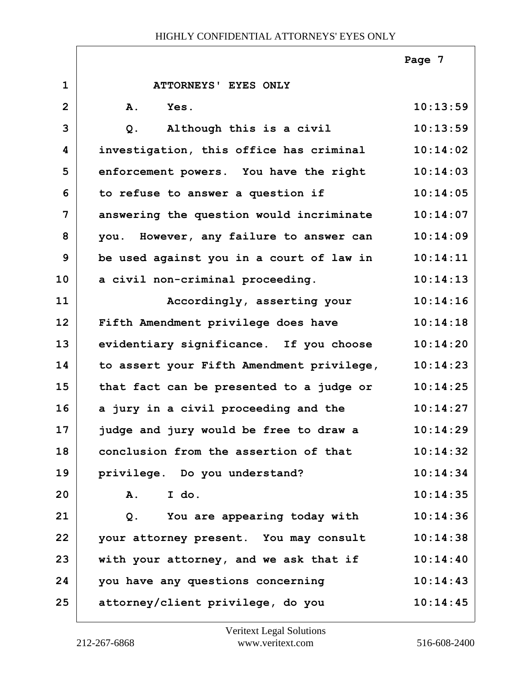|                |                                           | Page 7   |
|----------------|-------------------------------------------|----------|
| $\mathbf{1}$   | ATTORNEYS' EYES ONLY                      |          |
| $\overline{2}$ | A.<br>Yes.                                | 10:13:59 |
| 3              | Although this is a civil<br>$Q$ .         | 10:13:59 |
| 4              | investigation, this office has criminal   | 10:14:02 |
| 5              | enforcement powers. You have the right    | 10:14:03 |
| 6              | to refuse to answer a question if         | 10:14:05 |
| 7              | answering the question would incriminate  | 10:14:07 |
| 8              | you. However, any failure to answer can   | 10:14:09 |
| 9              | be used against you in a court of law in  | 10:14:11 |
| 10             | a civil non-criminal proceeding.          | 10:14:13 |
| 11             | Accordingly, asserting your               | 10:14:16 |
| 12             | Fifth Amendment privilege does have       | 10:14:18 |
| 13             | evidentiary significance. If you choose   | 10:14:20 |
| 14             | to assert your Fifth Amendment privilege, | 10:14:23 |
| 15             | that fact can be presented to a judge or  | 10:14:25 |
| 16             | a jury in a civil proceeding and the      | 10:14:27 |
| 17             | judge and jury would be free to draw a    | 10:14:29 |
| 18             | conclusion from the assertion of that     | 10:14:32 |
| 19             | privilege. Do you understand?             | 10:14:34 |
| 20             | I do.<br>Α.                               | 10:14:35 |
| 21             | You are appearing today with<br>Q.        | 10:14:36 |
| 22             | your attorney present. You may consult    | 10:14:38 |
| 23             | with your attorney, and we ask that if    | 10:14:40 |
| 24             | you have any questions concerning         | 10:14:43 |
| 25             | attorney/client privilege, do you         | 10:14:45 |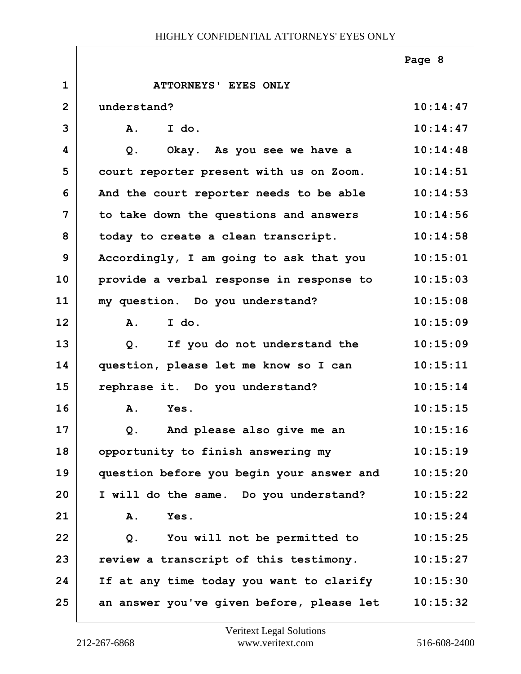|                |                                           | Page 8   |
|----------------|-------------------------------------------|----------|
| $\mathbf{1}$   | ATTORNEYS' EYES ONLY                      |          |
| $\overline{2}$ | understand?                               | 10:14:47 |
| 3              | I do.<br>A.                               | 10:14:47 |
| 4              | Okay. As you see we have a<br>Q.          | 10:14:48 |
| 5              | court reporter present with us on Zoom.   | 10:14:51 |
| 6              | And the court reporter needs to be able   | 10:14:53 |
| 7              | to take down the questions and answers    | 10:14:56 |
| 8              | today to create a clean transcript.       | 10:14:58 |
| 9              | Accordingly, I am going to ask that you   | 10:15:01 |
| 10             | provide a verbal response in response to  | 10:15:03 |
| 11             | my question. Do you understand?           | 10:15:08 |
| 12             | I do.<br>A.                               | 10:15:09 |
| 13             | If you do not understand the<br>Q.        | 10:15:09 |
| 14             | question, please let me know so I can     | 10:15:11 |
| 15             | rephrase it. Do you understand?           | 10:15:14 |
| 16             | Yes.<br>A.                                | 10:15:15 |
| 17             | And please also give me an<br>Q.          | 10:15:16 |
| 18             | opportunity to finish answering my        | 10:15:19 |
| 19             | question before you begin your answer and | 10:15:20 |
| 20             | I will do the same. Do you understand?    | 10:15:22 |
| 21             | Α.<br>Yes.                                | 10:15:24 |
| 22             | You will not be permitted to<br>Q.        | 10:15:25 |
| 23             | review a transcript of this testimony.    | 10:15:27 |
| 24             | If at any time today you want to clarify  | 10:15:30 |
| 25             | an answer you've given before, please let | 10:15:32 |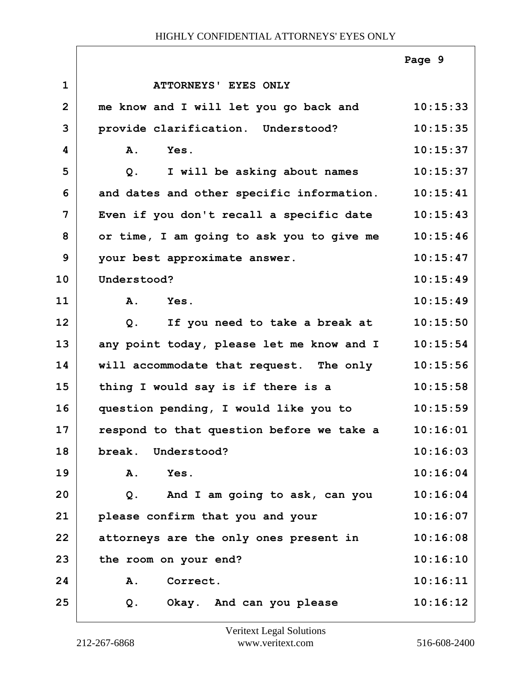|                |                                           | Page 9   |
|----------------|-------------------------------------------|----------|
| $\mathbf{1}$   | ATTORNEYS' EYES ONLY                      |          |
| $\overline{2}$ | me know and I will let you go back and    | 10:15:33 |
| 3              | provide clarification. Understood?        | 10:15:35 |
| 4              | A.<br>Yes.                                | 10:15:37 |
| 5              | I will be asking about names<br>$Q$ .     | 10:15:37 |
| 6              | and dates and other specific information. | 10:15:41 |
| 7              | Even if you don't recall a specific date  | 10:15:43 |
| 8              | or time, I am going to ask you to give me | 10:15:46 |
| 9              | your best approximate answer.             | 10:15:47 |
| 10             | Understood?                               | 10:15:49 |
| 11             | A.<br>Yes.                                | 10:15:49 |
| 12             | If you need to take a break at<br>$Q$ .   | 10:15:50 |
| 13             | any point today, please let me know and I | 10:15:54 |
| 14             | will accommodate that request. The only   | 10:15:56 |
| 15             | thing I would say is if there is a        | 10:15:58 |
| 16             | question pending, I would like you to     | 10:15:59 |
| 17             | respond to that question before we take a | 10:16:01 |
| 18             | break. Understood?                        | 10:16:03 |
| 19             | Yes.<br>A.                                | 10:16:04 |
| 20             | And I am going to ask, can you<br>Q.      | 10:16:04 |
| 21             | please confirm that you and your          | 10:16:07 |
| 22             | attorneys are the only ones present in    | 10:16:08 |
| 23             | the room on your end?                     | 10:16:10 |
| 24             | Correct.<br>A.                            | 10:16:11 |
| 25             | Okay. And can you please<br>Q.            | 10:16:12 |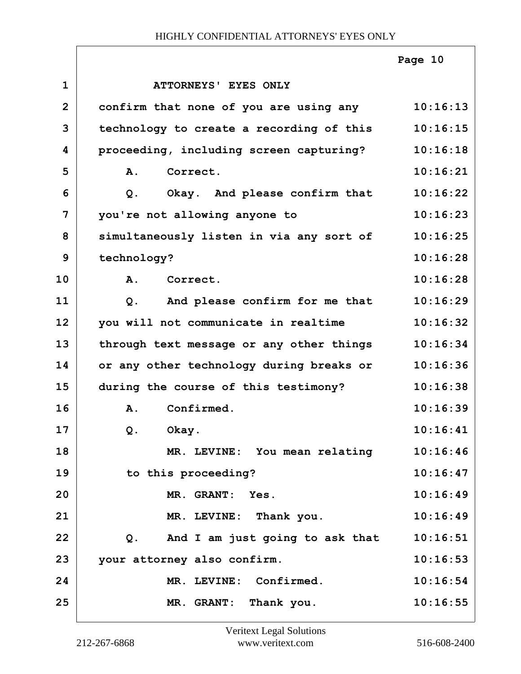|                |                                                   | Page 10  |
|----------------|---------------------------------------------------|----------|
| $\mathbf{1}$   | ATTORNEYS' EYES ONLY                              |          |
| $\overline{2}$ | confirm that none of you are using any            | 10:16:13 |
| 3              | technology to create a recording of this          | 10:16:15 |
| 4              | proceeding, including screen capturing?           | 10:16:18 |
| 5              | A.<br>Correct.                                    | 10:16:21 |
| 6              | Okay. And please confirm that<br>$Q$ .            | 10:16:22 |
| 7              | you're not allowing anyone to                     | 10:16:23 |
| 8              | simultaneously listen in via any sort of          | 10:16:25 |
| 9              | technology?                                       | 10:16:28 |
| 10             | A.<br>Correct.                                    | 10:16:28 |
| 11             | And please confirm for me that<br>Q.              | 10:16:29 |
| 12             | you will not communicate in realtime              | 10:16:32 |
| 13             | through text message or any other things          | 10:16:34 |
| 14             | or any other technology during breaks or          | 10:16:36 |
| 15             | during the course of this testimony?              | 10:16:38 |
| 16             | Confirmed.<br>Α.                                  | 10:16:39 |
| 17             | Okay.<br>Q.                                       | 10:16:41 |
| 18             | MR. LEVINE: You mean relating                     | 10:16:46 |
| 19             | to this proceeding?                               | 10:16:47 |
| 20             | MR. GRANT: Yes.                                   | 10:16:49 |
| 21             | MR. LEVINE: Thank you.                            | 10:16:49 |
| 22             | And I am just going to ask that<br>Q <sub>1</sub> | 10:16:51 |
| 23             | your attorney also confirm.                       | 10:16:53 |
| 24             | MR. LEVINE: Confirmed.                            | 10:16:54 |
| 25             | MR. GRANT: Thank you.                             | 10:16:55 |

ı

ī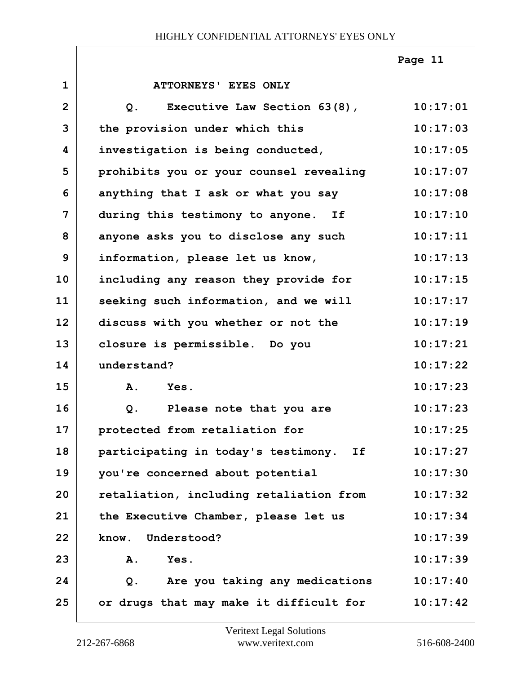|                |                                                | Page 11  |
|----------------|------------------------------------------------|----------|
| $\mathbf 1$    | ATTORNEYS' EYES ONLY                           |          |
| $\overline{2}$ | Executive Law Section 63(8),<br>Q <sub>1</sub> | 10:17:01 |
| 3              | the provision under which this                 | 10:17:03 |
| 4              | investigation is being conducted,              | 10:17:05 |
| 5              | prohibits you or your counsel revealing        | 10:17:07 |
| 6              | anything that I ask or what you say            | 10:17:08 |
| 7              | during this testimony to anyone. If            | 10:17:10 |
| 8              | anyone asks you to disclose any such           | 10:17:11 |
| 9              | information, please let us know,               | 10:17:13 |
| 10             | including any reason they provide for          | 10:17:15 |
| 11             | seeking such information, and we will          | 10:17:17 |
| 12             | discuss with you whether or not the            | 10:17:19 |
| 13             | closure is permissible. Do you                 | 10:17:21 |
| 14             | understand?                                    | 10:17:22 |
| 15             | A.<br>Yes.                                     | 10:17:23 |
| 16             | Please note that you are<br>Q.                 | 10:17:23 |
| 17             | protected from retaliation for                 | 10:17:25 |
| 18             | participating in today's testimony.<br>If      | 10:17:27 |
| 19             | you're concerned about potential               | 10:17:30 |
| 20             | retaliation, including retaliation from        | 10:17:32 |
| 21             | the Executive Chamber, please let us           | 10:17:34 |
| 22             | know.<br>Understood?                           | 10:17:39 |
| 23             | Yes.<br>Α.                                     | 10:17:39 |
| 24             | Are you taking any medications<br>Q.           | 10:17:40 |
| 25             | or drugs that may make it difficult for        | 10:17:42 |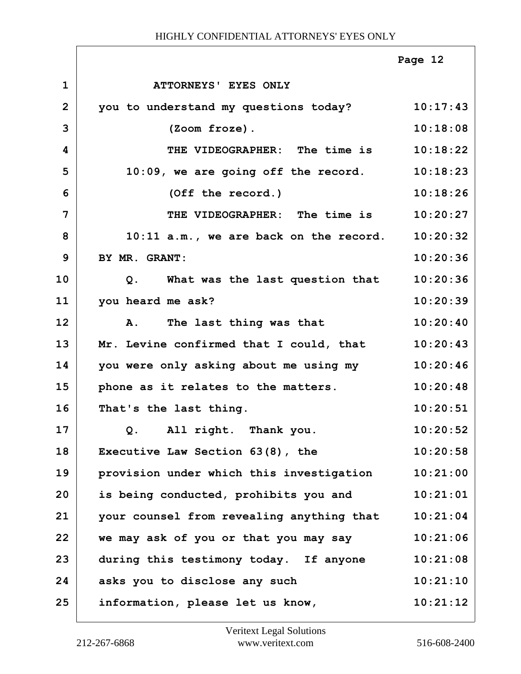|                |                                                | Page 12  |
|----------------|------------------------------------------------|----------|
| $\mathbf 1$    | ATTORNEYS' EYES ONLY                           |          |
| $\overline{2}$ | you to understand my questions today? 10:17:43 |          |
| 3              | (Zoom froze).                                  | 10:18:08 |
| 4              | THE VIDEOGRAPHER: The time is                  | 10:18:22 |
| 5              | $10:09$ , we are going off the record.         | 10:18:23 |
| 6              | (Off the record.)                              | 10:18:26 |
| 7              | THE VIDEOGRAPHER: The time is                  | 10:20:27 |
| 8              | $10:11$ a.m., we are back on the record.       | 10:20:32 |
| 9              | BY MR. GRANT:                                  | 10:20:36 |
| 10             | Q. What was the last question that             | 10:20:36 |
| 11             | you heard me ask?                              | 10:20:39 |
| 12             | A. The last thing was that                     | 10:20:40 |
| 13             | Mr. Levine confirmed that I could, that        | 10:20:43 |
| 14             | you were only asking about me using my         | 10:20:46 |
| 15             | phone as it relates to the matters.            | 10:20:48 |
| 16             | That's the last thing.                         | 10:20:51 |
| 17             | Q. All right. Thank you.                       | 10:20:52 |
| 18             | Executive Law Section $63(8)$ , the            | 10:20:58 |
| 19             | provision under which this investigation       | 10:21:00 |
| 20             | is being conducted, prohibits you and          | 10:21:01 |
| 21             | your counsel from revealing anything that      | 10:21:04 |
| 22             | we may ask of you or that you may say          | 10:21:06 |
| 23             | during this testimony today. If anyone         | 10:21:08 |
| 24             | asks you to disclose any such                  | 10:21:10 |
| 25             | information, please let us know,               | 10:21:12 |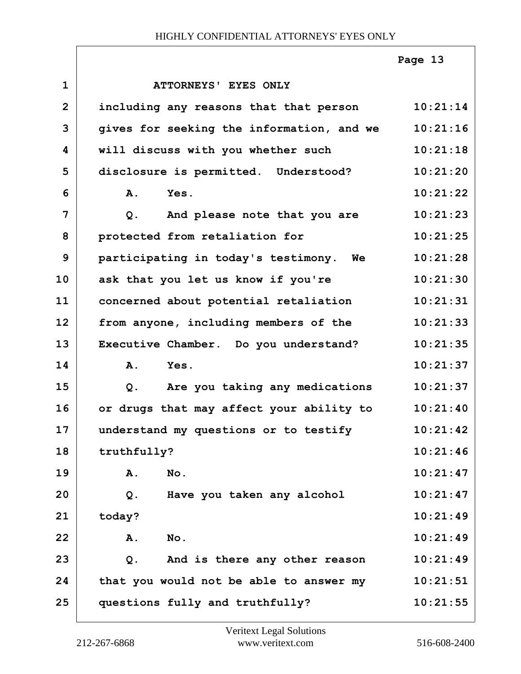|                |                                           | Page 13  |
|----------------|-------------------------------------------|----------|
| $\mathbf 1$    | ATTORNEYS' EYES ONLY                      |          |
| $\overline{2}$ | including any reasons that that person    | 10:21:14 |
| 3              | gives for seeking the information, and we | 10:21:16 |
| 4              | will discuss with you whether such        | 10:21:18 |
| 5              | disclosure is permitted. Understood?      | 10:21:20 |
| 6              | <b>A.</b><br>Yes.                         | 10:21:22 |
| 7              | And please note that you are<br>Q.        | 10:21:23 |
| 8              | protected from retaliation for            | 10:21:25 |
| 9              | participating in today's testimony. We    | 10:21:28 |
| 10             | ask that you let us know if you're        | 10:21:30 |
| 11             | concerned about potential retaliation     | 10:21:31 |
| 12             | from anyone, including members of the     | 10:21:33 |
| 13             | Executive Chamber. Do you understand?     | 10:21:35 |
| 14             | Yes.<br><b>A.</b>                         | 10:21:37 |
| 15             | Are you taking any medications<br>Q.      | 10:21:37 |
| 16             | or drugs that may affect your ability to  | 10:21:40 |
| 17             | understand my questions or to testify     | 10:21:42 |
| 18             | truthfully?                               | 10:21:46 |
| 19             | No.<br>Α.                                 | 10:21:47 |
| 20             | Have you taken any alcohol<br>Q.          | 10:21:47 |
| 21             | today?                                    | 10:21:49 |
| 22             | A.<br>No.                                 | 10:21:49 |
| 23             | And is there any other reason<br>$Q$ .    | 10:21:49 |
| 24             | that you would not be able to answer my   | 10:21:51 |
| 25             | questions fully and truthfully?           | 10:21:55 |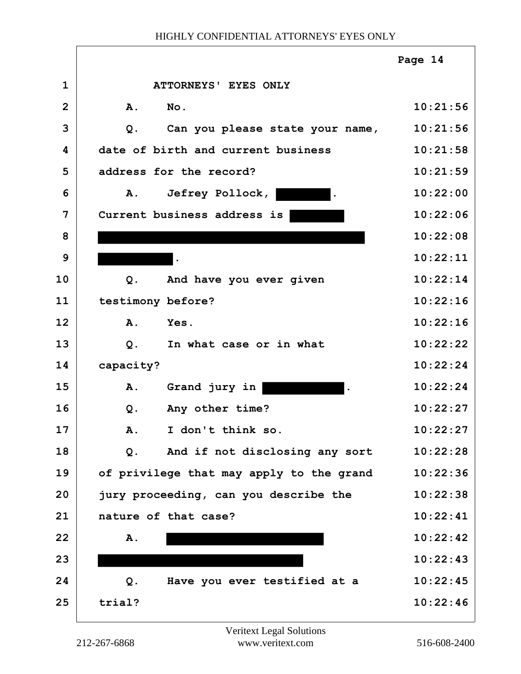|                |                                             | Page 14  |
|----------------|---------------------------------------------|----------|
| $\mathbf{1}$   | ATTORNEYS' EYES ONLY                        |          |
| $\overline{2}$ | <b>A.</b><br>No.                            | 10:21:56 |
| 3              | Can you please state your name,<br>Q.       | 10:21:56 |
| 4              | date of birth and current business          | 10:21:58 |
| 5              | address for the record?                     | 10:21:59 |
| 6              | Jefrey Pollock,<br><b>A</b> .<br>$\bullet$  | 10:22:00 |
| 7              | Current business address is                 | 10:22:06 |
| 8              |                                             | 10:22:08 |
| 9              |                                             | 10:22:11 |
| 10             | And have you ever given<br>$Q$ .            | 10:22:14 |
| 11             | testimony before?                           | 10:22:16 |
| 12             | Yes.<br>Α.                                  | 10:22:16 |
| 13             | $Q$ .<br>In what case or in what            | 10:22:22 |
| 14             | capacity?                                   | 10:22:24 |
| 15             | A.<br>Grand jury in<br>$\ddot{\phantom{1}}$ | 10:22:24 |
| 16             | Any other time?<br>$Q$ .                    | 10:22:27 |
| 17             | I don't think so<br>$\mathbf{A}$ .          | 10:22:27 |
| 18             | And if not disclosing any sort<br>Q.        | 10:22:28 |
| 19             | of privilege that may apply to the grand    | 10:22:36 |
| 20             | jury proceeding, can you describe the       | 10:22:38 |
| 21             | nature of that case?                        | 10:22:41 |
| 22             | A.                                          | 10:22:42 |
| 23             |                                             | 10:22:43 |
| 24             | Have you ever testified at a<br>Q.          | 10:22:45 |
| 25             | trial?                                      | 10:22:46 |
|                |                                             |          |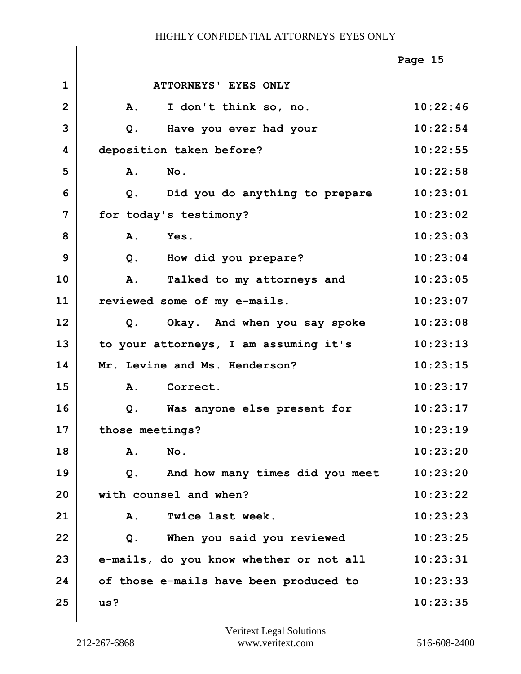|                |                                          | Page 15  |
|----------------|------------------------------------------|----------|
| $\mathbf{1}$   | ATTORNEYS' EYES ONLY                     |          |
| $\overline{2}$ | I don't think so, no.<br>A.              | 10:22:46 |
| 3              | Have you ever had your<br>$Q$ .          | 10:22:54 |
| 4              | deposition taken before?                 | 10:22:55 |
| 5              | A.<br>No.                                | 10:22:58 |
| 6              | Did you do anything to prepare<br>Q.     | 10:23:01 |
| 7              | for today's testimony?                   | 10:23:02 |
| 8              | Yes.<br>A.                               | 10:23:03 |
| 9              | How did you prepare?<br>$Q$ .            | 10:23:04 |
| 10             | A.<br>Talked to my attorneys and         | 10:23:05 |
| 11             | reviewed some of my e-mails.             | 10:23:07 |
| 12             | Q. Okay. And when you say spoke          | 10:23:08 |
| 13             | to your attorneys, I am assuming it's    | 10:23:13 |
| 14             | Mr. Levine and Ms. Henderson?            | 10:23:15 |
| 15             | Correct.<br><b>A.</b>                    | 10:23:17 |
| 16             | Was anyone else present for<br>Q.        | 10:23:17 |
| 17             | those meetings?                          | 10:23:19 |
| 18             | No.<br>Α.                                | 10:23:20 |
| 19             | And how many times did you meet<br>$Q$ . | 10:23:20 |
| 20             | with counsel and when?                   | 10:23:22 |
| 21             | Twice last week.<br>Α.                   | 10:23:23 |
| 22             | When you said you reviewed<br>$Q$ .      | 10:23:25 |
| 23             | e-mails, do you know whether or not all  | 10:23:31 |
| 24             | of those e-mails have been produced to   | 10:23:33 |
| 25             | us?                                      | 10:23:35 |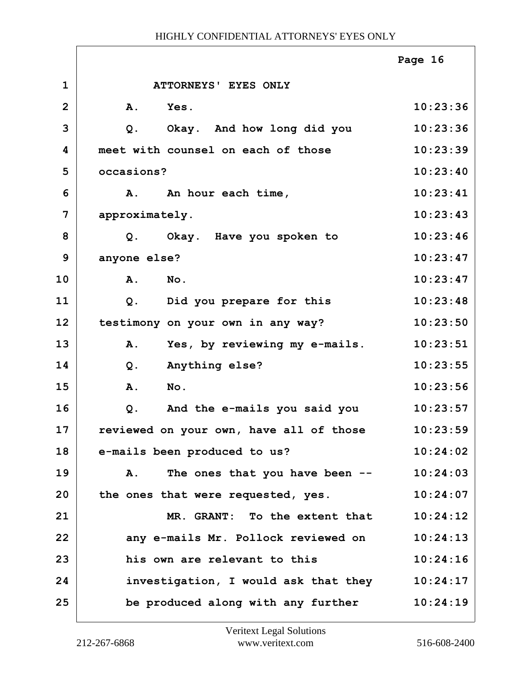|                |                                         | Page 16  |
|----------------|-----------------------------------------|----------|
| $\mathbf{1}$   | ATTORNEYS' EYES ONLY                    |          |
| $\overline{2}$ | A.<br>Yes.                              | 10:23:36 |
| 3              | Okay. And how long did you<br>Q.        | 10:23:36 |
| 4              | meet with counsel on each of those      | 10:23:39 |
| 5              | occasions?                              | 10:23:40 |
| 6              | An hour each time,<br>Α.                | 10:23:41 |
| 7              | approximately.                          | 10:23:43 |
| 8              | Okay. Have you spoken to<br>Q.          | 10:23:46 |
| 9              | anyone else?                            | 10:23:47 |
| 10             | No.<br>A.                               | 10:23:47 |
| 11             | Did you prepare for this<br>$Q$ .       | 10:23:48 |
| 12             | testimony on your own in any way?       | 10:23:50 |
| 13             | Yes, by reviewing my e-mails.<br>A.     | 10:23:51 |
| 14             | $Q$ .<br>Anything else?                 | 10:23:55 |
| 15             | A.<br>No.                               | 10:23:56 |
| 16             | And the e-mails you said you<br>Q.      | 10:23:57 |
| 17             | reviewed on your own, have all of those | 10:23:59 |
| 18             | e-mails been produced to us?            | 10:24:02 |
| 19             | The ones that you have been --<br>Α.    | 10:24:03 |
| 20             | the ones that were requested, yes.      | 10:24:07 |
| 21             | MR. GRANT: To the extent that           | 10:24:12 |
| 22             | any e-mails Mr. Pollock reviewed on     | 10:24:13 |
| 23             | his own are relevant to this            | 10:24:16 |
| 24             | investigation, I would ask that they    | 10:24:17 |
| 25             | be produced along with any further      | 10:24:19 |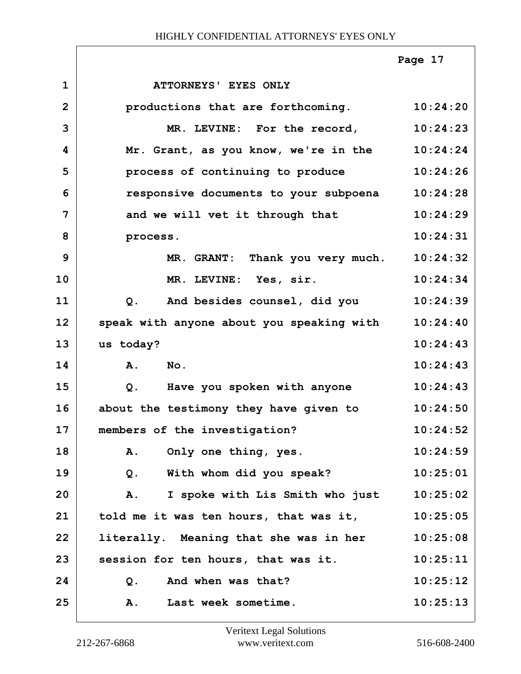|                |                                              | Page 17  |
|----------------|----------------------------------------------|----------|
| $\mathbf 1$    | <b>ATTORNEYS' EYES ONLY</b>                  |          |
| $\overline{2}$ | productions that are forthcoming.            | 10:24:20 |
| 3              | MR. LEVINE: For the record,                  | 10:24:23 |
| 4              | Mr. Grant, as you know, we're in the         | 10:24:24 |
| 5              | process of continuing to produce             | 10:24:26 |
| 6              | responsive documents to your subpoena        | 10:24:28 |
| 7              | and we will vet it through that              | 10:24:29 |
| 8              | process.                                     | 10:24:31 |
| 9              | MR. GRANT: Thank you very much.              | 10:24:32 |
| 10             | MR. LEVINE: Yes, sir.                        | 10:24:34 |
| 11             | $Q$ .<br>And besides counsel, did you        | 10:24:39 |
| 12             | speak with anyone about you speaking with    | 10:24:40 |
| 13             | us today?                                    | 10:24:43 |
| 14             | A.<br>$N_{\text{O}}$ .                       | 10:24:43 |
| 15             | Have you spoken with anyone<br>Q.            | 10:24:43 |
| 16             | about the testimony they have given to       | 10:24:50 |
| 17             | members of the investigation?                | 10:24:52 |
| 18             | Α.<br>Only one thing, yes.                   | 10:24:59 |
| 19             | With whom did you speak?<br>$Q$ .            | 10:25:01 |
| 20             | I spoke with Lis Smith who just<br><b>A.</b> | 10:25:02 |
| 21             | told me it was ten hours, that was it,       | 10:25:05 |
| 22             | literally. Meaning that she was in her       | 10:25:08 |
| 23             | session for ten hours, that was it.          | 10:25:11 |
| 24             | And when was that?<br>$Q$ .                  | 10:25:12 |
| 25             | Last week sometime.<br>A.                    | 10:25:13 |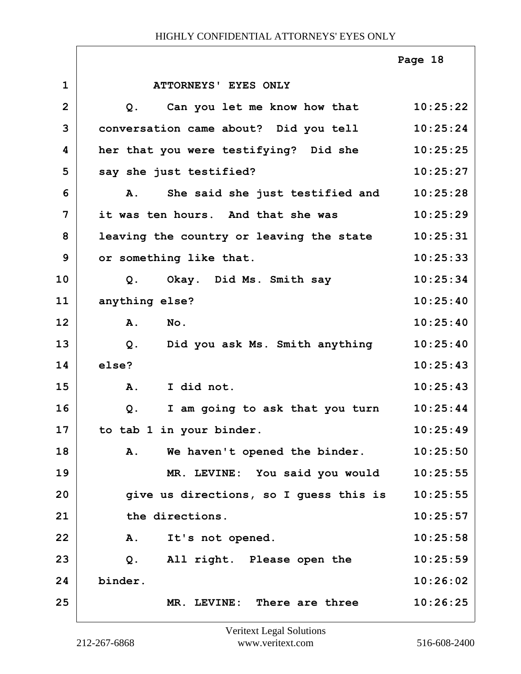|                |                                             | Page 18  |
|----------------|---------------------------------------------|----------|
| $\mathbf{1}$   | ATTORNEYS' EYES ONLY                        |          |
| $\overline{2}$ | Can you let me know how that 10:25:22<br>Q. |          |
| 3              | conversation came about? Did you tell       | 10:25:24 |
| 4              | her that you were testifying? Did she       | 10:25:25 |
| 5              | say she just testified?                     | 10:25:27 |
| 6              | She said she just testified and<br>Α.       | 10:25:28 |
| 7              | it was ten hours. And that she was          | 10:25:29 |
| 8              | leaving the country or leaving the state    | 10:25:31 |
| 9              | or something like that.                     | 10:25:33 |
| 10             | Okay. Did Ms. Smith say<br>Q.               | 10:25:34 |
| 11             | anything else?                              | 10:25:40 |
| 12             | A.<br>$N_{\text{O}}$ .                      | 10:25:40 |
| 13             | Q. Did you ask Ms. Smith anything           | 10:25:40 |
| 14             | else?                                       | 10:25:43 |
| 15             | I did not.<br>A.                            | 10:25:43 |
| 16             | I am going to ask that you turn<br>Q.       | 10:25:44 |
| 17             | to tab 1 in your binder.                    | 10:25:49 |
| 18             | A.<br>We haven't opened the binder.         | 10:25:50 |
| 19             | MR. LEVINE: You said you would              | 10:25:55 |
| 20             | give us directions, so I guess this is      | 10:25:55 |
| 21             | the directions.                             | 10:25:57 |
| 22             | It's not opened.<br><b>A.</b>               | 10:25:58 |
| 23             | Q. All right. Please open the               | 10:25:59 |
| 24             | binder.                                     | 10:26:02 |
| 25             | MR. LEVINE: There are three                 | 10:26:25 |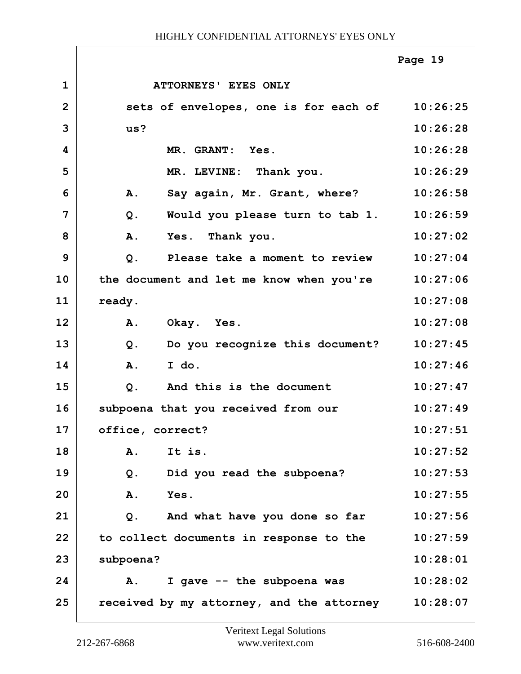|                |                                                | Page 19  |
|----------------|------------------------------------------------|----------|
| $\mathbf{1}$   | ATTORNEYS' EYES ONLY                           |          |
| $\overline{2}$ | sets of envelopes, one is for each of 10:26:25 |          |
| 3              | us?                                            | 10:26:28 |
| 4              | MR. GRANT: Yes.                                | 10:26:28 |
| 5              | MR. LEVINE: Thank you.                         | 10:26:29 |
| 6              | Say again, Mr. Grant, where?<br>A.             | 10:26:58 |
| 7              | Would you please turn to tab 1.<br>Q.          | 10:26:59 |
| 8              | A.<br>Yes. Thank you.                          | 10:27:02 |
| 9              | Please take a moment to review<br>$Q$ .        | 10:27:04 |
| 10             | the document and let me know when you're       | 10:27:06 |
| 11             | ready.                                         | 10:27:08 |
| 12             | <b>A.</b><br>Okay. Yes.                        | 10:27:08 |
| 13             | $Q$ .<br>Do you recognize this document?       | 10:27:45 |
| 14             | I do.<br>A.                                    | 10:27:46 |
| 15             | And this is the document<br>$Q$ .              | 10:27:47 |
| 16             | subpoena that you received from our            | 10:27:49 |
| 17             | office, correct?                               | 10:27:51 |
| 18             | A.<br>It is.                                   | 10:27:52 |
| 19             | Did you read the subpoena?<br>$Q$ .            | 10:27:53 |
| 20             | Yes.<br>Α.                                     | 10:27:55 |
| 21             | And what have you done so far<br>$Q$ .         | 10:27:56 |
| 22             | to collect documents in response to the        | 10:27:59 |
| 23             | subpoena?                                      | 10:28:01 |
| 24             | I gave -- the subpoena was<br>Α.               | 10:28:02 |
| 25             | received by my attorney, and the attorney      | 10:28:07 |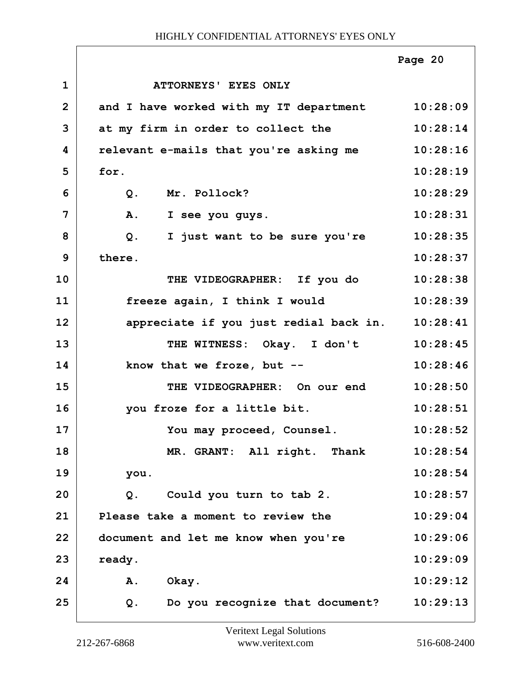|                |                                                  | Page 20  |
|----------------|--------------------------------------------------|----------|
| $\mathbf{1}$   | ATTORNEYS' EYES ONLY                             |          |
| $\overline{2}$ | and I have worked with my IT department 10:28:09 |          |
| 3              | at my firm in order to collect the               | 10:28:14 |
| 4              | relevant e-mails that you're asking me           | 10:28:16 |
| 5              | for.                                             | 10:28:19 |
| 6              | Mr. Pollock?<br>Q.                               | 10:28:29 |
| 7              | Α.<br>I see you guys.                            | 10:28:31 |
| 8              | I just want to be sure you're<br>Q.              | 10:28:35 |
| 9              | there.                                           | 10:28:37 |
| 10             | THE VIDEOGRAPHER: If you do                      | 10:28:38 |
| 11             | freeze again, I think I would                    | 10:28:39 |
| 12             | appreciate if you just redial back in.           | 10:28:41 |
| 13             | THE WITNESS: Okay. I don't                       | 10:28:45 |
| 14             | know that we froze, but $--$                     | 10:28:46 |
| 15             | THE VIDEOGRAPHER: On our end                     | 10:28:50 |
| 16             | you froze for a little bit.                      | 10:28:51 |
| 17             | You may proceed, Counsel.                        | 10:28:52 |
| 18             | MR. GRANT: All right. Thank                      | 10:28:54 |
| 19             | you.                                             | 10:28:54 |
| 20             | Could you turn to tab 2.<br>Q.                   | 10:28:57 |
| 21             | Please take a moment to review the               | 10:29:04 |
| 22             | document and let me know when you're             | 10:29:06 |
| 23             | ready.                                           | 10:29:09 |
| 24             | Α.<br>Okay.                                      | 10:29:12 |
| 25             | Do you recognize that document?<br>Q.            | 10:29:13 |

ī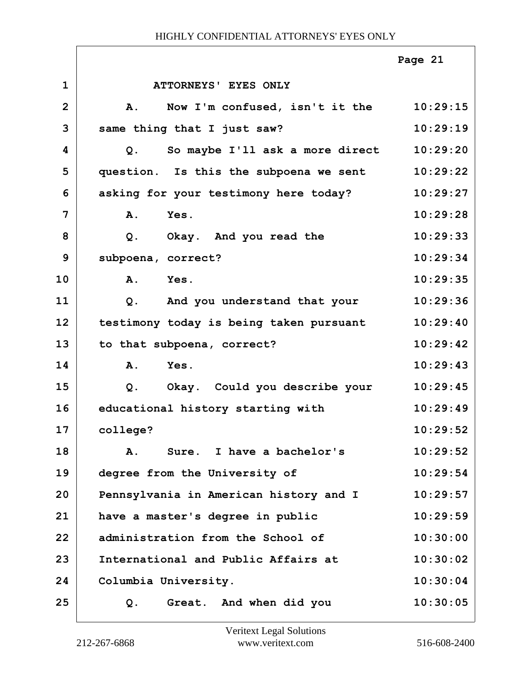|                |                                                | Page 21  |
|----------------|------------------------------------------------|----------|
| $\mathbf{1}$   | <b>ATTORNEYS' EYES ONLY</b>                    |          |
| $\overline{2}$ | Now I'm confused, isn't it the<br><b>A.</b>    | 10:29:15 |
| 3              | same thing that I just saw?                    | 10:29:19 |
| 4              | So maybe I'll ask a more direct<br>Q.          | 10:29:20 |
| 5              | question. Is this the subpoena we sent         | 10:29:22 |
| 6              | asking for your testimony here today?          | 10:29:27 |
| 7              | A.<br>Yes.                                     | 10:29:28 |
| 8              | Okay. And you read the<br>Q.                   | 10:29:33 |
| 9              | subpoena, correct?                             | 10:29:34 |
| 10             | A.<br>Yes.                                     | 10:29:35 |
| 11             | And you understand that your<br>Q <sub>1</sub> | 10:29:36 |
| 12             | testimony today is being taken pursuant        | 10:29:40 |
| 13             | to that subpoena, correct?                     | 10:29:42 |
| 14             | A.<br>Yes.                                     | 10:29:43 |
| 15             | $Q$ .<br>Okay. Could you describe your         | 10:29:45 |
| 16             | educational history starting with              | 10:29:49 |
| 17             | college?                                       | 10:29:52 |
| 18             | Sure. I have a bachelor's<br>A.                | 10:29:52 |
| 19             | degree from the University of                  | 10:29:54 |
| 20             | Pennsylvania in American history and I         | 10:29:57 |
| 21             | have a master's degree in public               | 10:29:59 |
| 22             | administration from the School of              | 10:30:00 |
| 23             | International and Public Affairs at            | 10:30:02 |
| 24             | Columbia University.                           | 10:30:04 |
| 25             | Great. And when did you<br>Q.                  | 10:30:05 |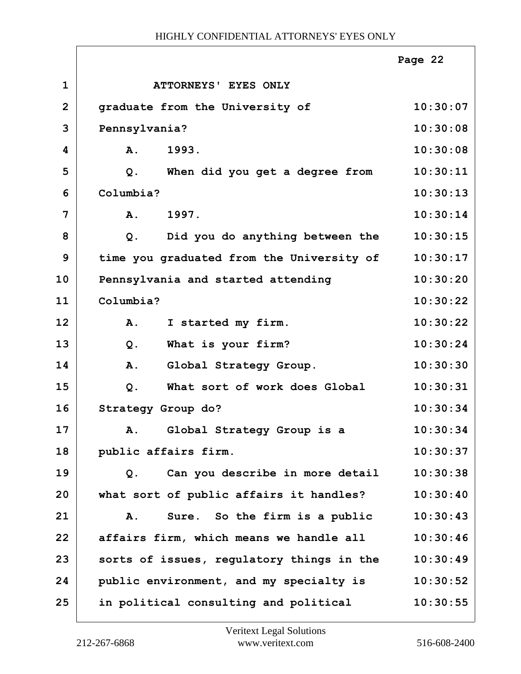|                |                                           | Page 22  |
|----------------|-------------------------------------------|----------|
| $\mathbf 1$    | ATTORNEYS' EYES ONLY                      |          |
| $\overline{2}$ | graduate from the University of           | 10:30:07 |
| 3              | Pennsylvania?                             | 10:30:08 |
| 4              | 1993.<br>A.                               | 10:30:08 |
| 5              | Q.<br>When did you get a degree from      | 10:30:11 |
| 6              | Columbia?                                 | 10:30:13 |
| 7              | 1997.<br>A.                               | 10:30:14 |
| 8              | Did you do anything between the<br>Q.     | 10:30:15 |
| 9              | time you graduated from the University of | 10:30:17 |
| 10             | Pennsylvania and started attending        | 10:30:20 |
| 11             | Columbia?                                 | 10:30:22 |
| 12             | I started my firm.<br>A.                  | 10:30:22 |
| 13             | What is your firm?<br>$Q$ .               | 10:30:24 |
| 14             | A.<br>Global Strategy Group.              | 10:30:30 |
| 15             | What sort of work does Global<br>$Q$ .    | 10:30:31 |
| 16             | Strategy Group do?                        | 10:30:34 |
| 17             | Global Strategy Group is a<br>Α.          | 10:30:34 |
| 18             | public affairs firm.                      | 10:30:37 |
| 19             | Can you describe in more detail<br>Q.     | 10:30:38 |
| 20             | what sort of public affairs it handles?   | 10:30:40 |
| 21             | Sure. So the firm is a public<br>Α.       | 10:30:43 |
| 22             | affairs firm, which means we handle all   | 10:30:46 |
| 23             | sorts of issues, regulatory things in the | 10:30:49 |
| 24             | public environment, and my specialty is   | 10:30:52 |
| 25             | in political consulting and political     | 10:30:55 |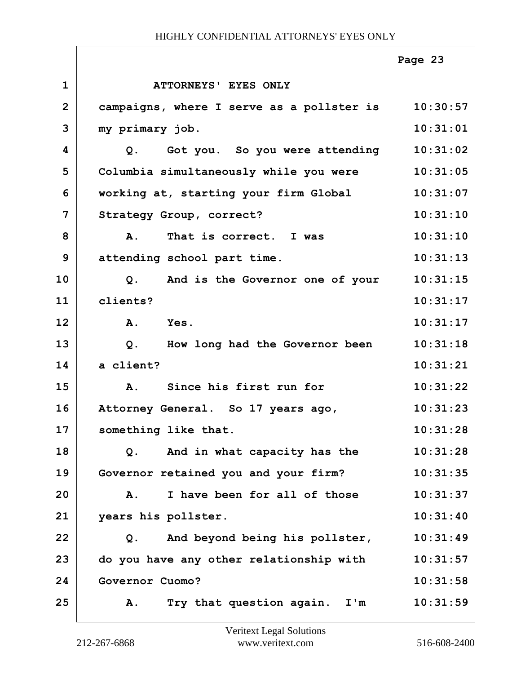|              |                                                   | Page 23  |
|--------------|---------------------------------------------------|----------|
| $\mathbf{1}$ | ATTORNEYS' EYES ONLY                              |          |
| $\mathbf{2}$ | campaigns, where I serve as a pollster is         | 10:30:57 |
| 3            | my primary job.                                   | 10:31:01 |
| 4            | Got you. So you were attending<br>Q.              | 10:31:02 |
| 5            | Columbia simultaneously while you were            | 10:31:05 |
| 6            | working at, starting your firm Global             | 10:31:07 |
| 7            | Strategy Group, correct?                          | 10:31:10 |
| 8            | That is correct. I was<br>Α.                      | 10:31:10 |
| 9            | attending school part time.                       | 10:31:13 |
| 10           | And is the Governor one of your<br>Q <sub>1</sub> | 10:31:15 |
| 11           | clients?                                          | 10:31:17 |
| 12           | $\mathbf{A}$ .<br>Yes.                            | 10:31:17 |
| 13           | Q.<br>How long had the Governor been              | 10:31:18 |
| 14           | a client?                                         | 10:31:21 |
| 15           | Since his first run for<br>Α.                     | 10:31:22 |
| 16           | Attorney General. So 17 years ago,                | 10:31:23 |
| 17           | something like that.                              | 10:31:28 |
| 18           | And in what capacity has the<br>Q.                | 10:31:28 |
| 19           | Governor retained you and your firm?              | 10:31:35 |
| 20           | I have been for all of those<br>Α.                | 10:31:37 |
| 21           | years his pollster.                               | 10:31:40 |
| 22           | And beyond being his pollster,<br>Q.              | 10:31:49 |
| 23           | do you have any other relationship with           | 10:31:57 |
| 24           | Governor Cuomo?                                   | 10:31:58 |
| 25           | Try that question again.<br>I'm<br>Α.             | 10:31:59 |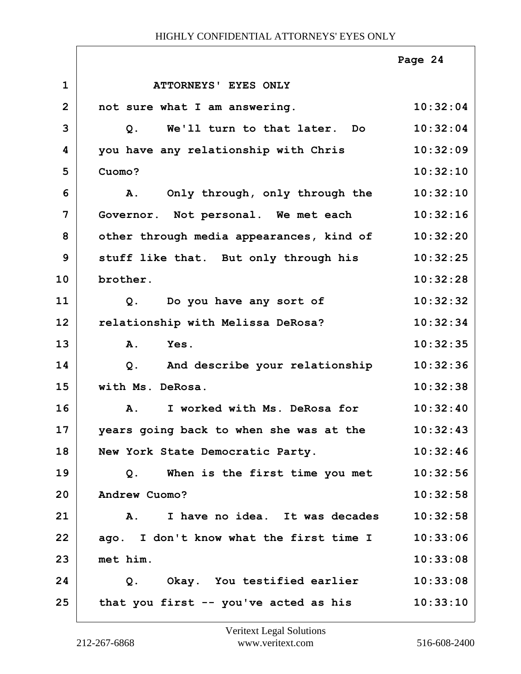|                |                                          | Page 24  |
|----------------|------------------------------------------|----------|
| $\mathbf 1$    | <b>ATTORNEYS' EYES ONLY</b>              |          |
| $\overline{2}$ | not sure what I am answering.            | 10:32:04 |
| 3              | We'll turn to that later. Do<br>Q.       | 10:32:04 |
| 4              | you have any relationship with Chris     | 10:32:09 |
| 5              | Cuomo?                                   | 10:32:10 |
| 6              | Only through, only through the<br>A.     | 10:32:10 |
| 7              | Governor. Not personal. We met each      | 10:32:16 |
| 8              | other through media appearances, kind of | 10:32:20 |
| 9              | stuff like that. But only through his    | 10:32:25 |
| 10             | brother.                                 | 10:32:28 |
| 11             | Do you have any sort of<br>Q.            | 10:32:32 |
| 12             | relationship with Melissa DeRosa?        | 10:32:34 |
| 13             | Yes.<br>A.                               | 10:32:35 |
| 14             | And describe your relationship<br>$Q$ .  | 10:32:36 |
| 15             | with Ms. DeRosa.                         | 10:32:38 |
| 16             | I worked with Ms. DeRosa for<br>A.       | 10:32:40 |
| 17             | years going back to when she was at the  | 10:32:43 |
| 18             | New York State Democratic Party.         | 10:32:46 |
| 19             | When is the first time you met<br>Q.     | 10:32:56 |
| 20             | Andrew Cuomo?                            | 10:32:58 |
| 21             | A. I have no idea. It was decades        | 10:32:58 |
| 22             | ago. I don't know what the first time I  | 10:33:06 |
| 23             | met him.                                 | 10:33:08 |
| 24             | Q. Okay. You testified earlier           | 10:33:08 |
| 25             | that you first -- you've acted as his    | 10:33:10 |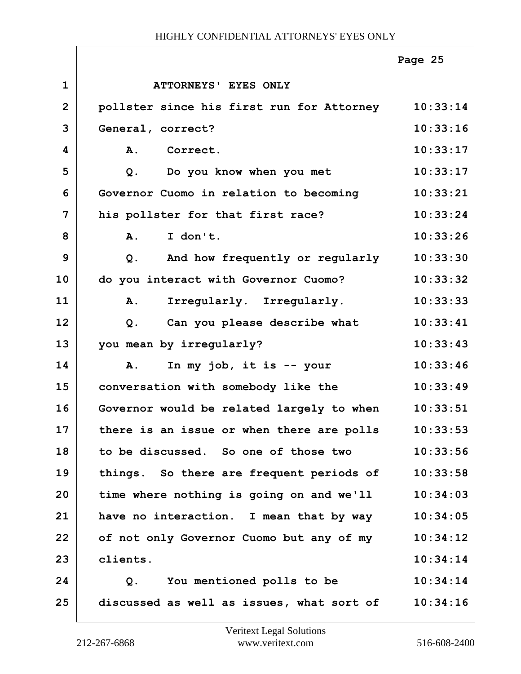|                |                                                    | Page 25  |
|----------------|----------------------------------------------------|----------|
| $\mathbf 1$    | ATTORNEYS' EYES ONLY                               |          |
| $\overline{2}$ | pollster since his first run for Attorney          | 10:33:14 |
| 3              | General, correct?                                  | 10:33:16 |
| 4              | <b>A.</b><br>Correct.                              | 10:33:17 |
| 5              | Do you know when you met<br>Q.                     | 10:33:17 |
| 6              | Governor Cuomo in relation to becoming             | 10:33:21 |
| 7              | his pollster for that first race?                  | 10:33:24 |
| 8              | A.<br>I don't.                                     | 10:33:26 |
| 9              | And how frequently or regularly<br>$Q$ .           | 10:33:30 |
| 10             | do you interact with Governor Cuomo?               | 10:33:32 |
| 11             | Irregularly. Irregularly.<br>A.                    | 10:33:33 |
| 12             | Can you please describe what<br>Q.                 | 10:33:41 |
| 13             | you mean by irregularly?                           | 10:33:43 |
| 14             | In my job, it is $-$ your<br>A.                    | 10:33:46 |
| 15             | conversation with somebody like the                | 10:33:49 |
| 16             | Governor would be related largely to when          | 10:33:51 |
| 17             | there is an issue or when there are polls          | 10:33:53 |
| 18             | to be discussed. So one of those two               | 10:33:56 |
| 19             | things. So there are frequent periods of           | 10:33:58 |
| 20             | time where nothing is going on and we'll           | 10:34:03 |
| 21             | have no interaction. I mean that by way            | 10:34:05 |
| 22             | of not only Governor Cuomo but any of my           | 10:34:12 |
| 23             | clients.                                           | 10:34:14 |
| 24             | You mentioned polls to be<br>Q.                    | 10:34:14 |
| 25             | discussed as well as issues, what sort of 10:34:16 |          |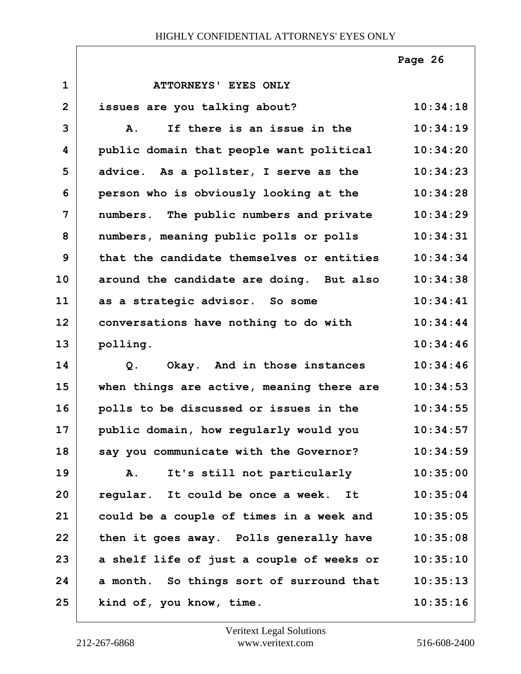|                |                                           | Page 26  |
|----------------|-------------------------------------------|----------|
| $\mathbf{1}$   | ATTORNEYS' EYES ONLY                      |          |
| $\overline{2}$ | issues are you talking about?             | 10:34:18 |
| 3              | If there is an issue in the<br><b>A.</b>  | 10:34:19 |
| 4              | public domain that people want political  | 10:34:20 |
| 5              | advice. As a pollster, I serve as the     | 10:34:23 |
| 6              | person who is obviously looking at the    | 10:34:28 |
| 7              | numbers. The public numbers and private   | 10:34:29 |
| 8              | numbers, meaning public polls or polls    | 10:34:31 |
| 9              | that the candidate themselves or entities | 10:34:34 |
| 10             | around the candidate are doing. But also  | 10:34:38 |
| 11             | as a strategic advisor. So some           | 10:34:41 |
| 12             | conversations have nothing to do with     | 10:34:44 |
| 13             | polling.                                  | 10:34:46 |
| 14             | Okay. And in those instances<br>Q.        | 10:34:46 |
| 15             | when things are active, meaning there are | 10:34:53 |
| 16             | polls to be discussed or issues in the    | 10:34:55 |
| 17             | public domain, how regularly would you    | 10:34:57 |
| 18             | say you communicate with the Governor?    | 10:34:59 |
| 19             | It's still not particularly<br>A.         | 10:35:00 |
| 20             | regular. It could be once a week. It      | 10:35:04 |
| 21             | could be a couple of times in a week and  | 10:35:05 |
| 22             | then it goes away. Polls generally have   | 10:35:08 |
| 23             | a shelf life of just a couple of weeks or | 10:35:10 |
| 24             | a month. So things sort of surround that  | 10:35:13 |
| 25             | kind of, you know, time.                  | 10:35:16 |

Г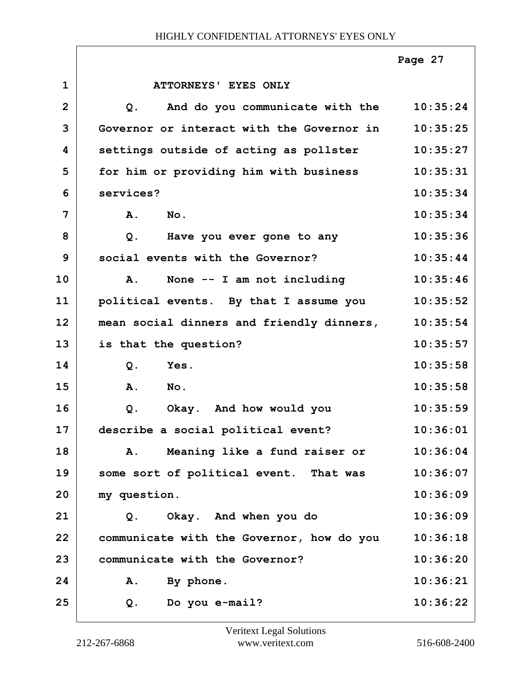|                |                                                   | Page 27  |
|----------------|---------------------------------------------------|----------|
| $\mathbf{1}$   | ATTORNEYS' EYES ONLY                              |          |
| $\overline{2}$ | And do you communicate with the<br>Q <sub>1</sub> | 10:35:24 |
| 3              | Governor or interact with the Governor in         | 10:35:25 |
| 4              | settings outside of acting as pollster            | 10:35:27 |
| 5              | for him or providing him with business            | 10:35:31 |
| 6              | services?                                         | 10:35:34 |
| 7              | A.<br>No.                                         | 10:35:34 |
| 8              | $Q$ .<br>Have you ever gone to any                | 10:35:36 |
| 9              | social events with the Governor?                  | 10:35:44 |
| 10             | None -- I am not including<br>A.                  | 10:35:46 |
| 11             | political events. By that I assume you            | 10:35:52 |
| 12             | mean social dinners and friendly dinners,         | 10:35:54 |
| 13             | is that the question?                             | 10:35:57 |
| 14             | $Q$ .<br>Yes.                                     | 10:35:58 |
| 15             | A.<br>No.                                         | 10:35:58 |
| 16             | Okay. And how would you<br>$Q$ .                  | 10:35:59 |
| 17             | describe a social political event?                | 10:36:01 |
| 18             | Meaning like a fund raiser or<br>Α.               | 10:36:04 |
| 19             | some sort of political event. That was            | 10:36:07 |
| 20             | my question.                                      | 10:36:09 |
| 21             | Okay. And when you do<br>Q.                       | 10:36:09 |
| 22             | communicate with the Governor, how do you         | 10:36:18 |
| 23             | communicate with the Governor?                    | 10:36:20 |
| 24             | By phone.<br>A.                                   | 10:36:21 |
| 25             | Do you e-mail?<br>Q.                              | 10:36:22 |

 $\overline{1}$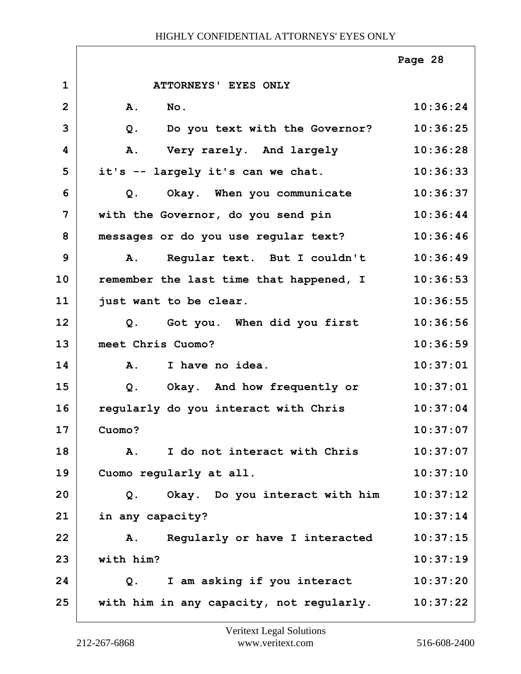|                |                                           | Page 28  |
|----------------|-------------------------------------------|----------|
| $\mathbf{1}$   | ATTORNEYS' EYES ONLY                      |          |
| $\overline{2}$ | A.<br>$N$ o.                              | 10:36:24 |
| 3              | Do you text with the Governor?<br>$Q$ .   | 10:36:25 |
| 4              | Very rarely. And largely<br>A.            | 10:36:28 |
| 5              | it's -- largely it's can we chat.         | 10:36:33 |
| 6              | Okay. When you communicate<br>Q.          | 10:36:37 |
| $\overline{7}$ | with the Governor, do you send pin        | 10:36:44 |
| 8              | messages or do you use regular text?      | 10:36:46 |
| 9              | Regular text. But I couldn't<br><b>A.</b> | 10:36:49 |
| 10             | remember the last time that happened, I   | 10:36:53 |
| 11             | just want to be clear.                    | 10:36:55 |
| 12             | Q. Got you. When did you first            | 10:36:56 |
| 13             | meet Chris Cuomo?                         | 10:36:59 |
| 14             | I have no idea.<br>$\mathbf{A}$ .         | 10:37:01 |
| 15             | Okay. And how frequently or<br>Q.         | 10:37:01 |
| 16             | regularly do you interact with Chris      | 10:37:04 |
| 17             | Cuomo?                                    | 10:37:07 |
| 18             | I do not interact with Chris<br>A.        | 10:37:07 |
| 19             | Cuomo regularly at all.                   | 10:37:10 |
| 20             | Okay. Do you interact with him<br>Q.      | 10:37:12 |
| 21             | in any capacity?                          | 10:37:14 |
| 22             | Regularly or have I interacted<br>A.      | 10:37:15 |
| 23             | with him?                                 | 10:37:19 |
| 24             | I am asking if you interact<br>Q.         | 10:37:20 |
| 25             | with him in any capacity, not regularly.  | 10:37:22 |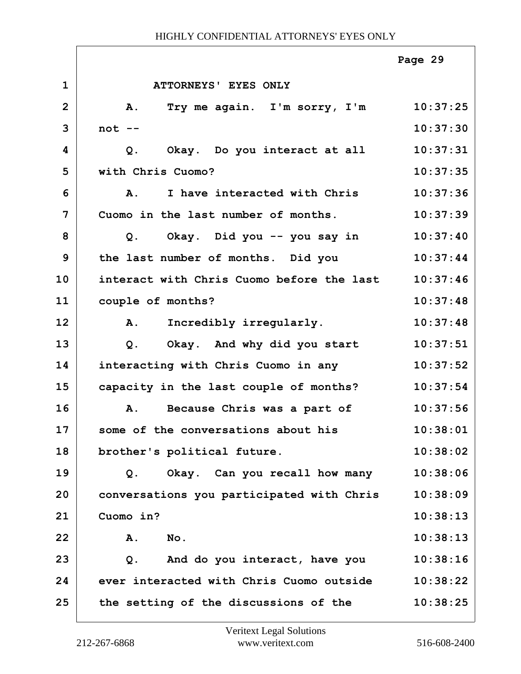|                |                                           | Page 29  |
|----------------|-------------------------------------------|----------|
| $\mathbf{1}$   | ATTORNEYS' EYES ONLY                      |          |
| $\overline{2}$ | <b>A.</b><br>Try me again. I'm sorry, I'm | 10:37:25 |
| 3              | $not --$                                  | 10:37:30 |
| 4              | Okay. Do you interact at all<br>$Q$ .     | 10:37:31 |
| 5              | with Chris Cuomo?                         | 10:37:35 |
| 6              | I have interacted with Chris<br><b>A.</b> | 10:37:36 |
| 7              | Cuomo in the last number of months.       | 10:37:39 |
| 8              | Okay. Did you -- you say in<br>$Q$ .      | 10:37:40 |
| 9              | the last number of months. Did you        | 10:37:44 |
| 10             | interact with Chris Cuomo before the last | 10:37:46 |
| 11             | couple of months?                         | 10:37:48 |
| 12             | Incredibly irregularly.<br>A.             | 10:37:48 |
| 13             | Okay. And why did you start<br>$Q$ .      | 10:37:51 |
| 14             | interacting with Chris Cuomo in any       | 10:37:52 |
| 15             | capacity in the last couple of months?    | 10:37:54 |
| 16             | Because Chris was a part of<br>A.         | 10:37:56 |
| 17             | some of the conversations about his       | 10:38:01 |
| 18             | brother's political future.               | 10:38:02 |
| 19             | Okay. Can you recall how many<br>Q.       | 10:38:06 |
| 20             | conversations you participated with Chris | 10:38:09 |
| 21             | Cuomo in?                                 | 10:38:13 |
| 22             | No.<br>Α.                                 | 10:38:13 |
| 23             | And do you interact, have you<br>$Q$ .    | 10:38:16 |
| 24             | ever interacted with Chris Cuomo outside  | 10:38:22 |
| 25             | the setting of the discussions of the     | 10:38:25 |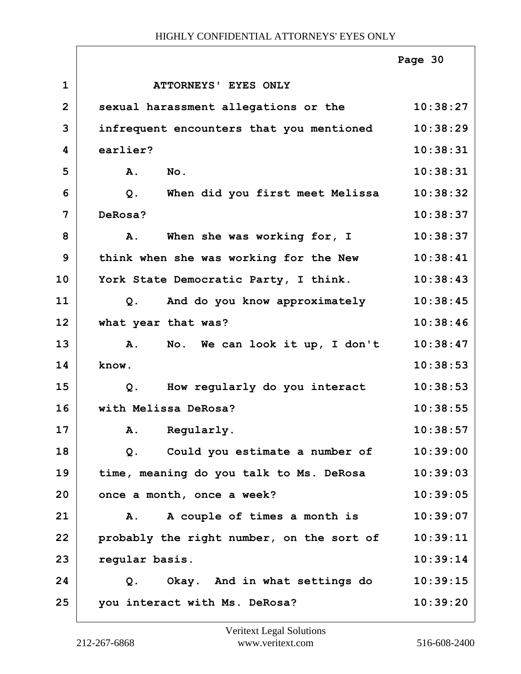|                |                                                 | Page 30  |
|----------------|-------------------------------------------------|----------|
| $\mathbf{1}$   | ATTORNEYS' EYES ONLY                            |          |
| $\overline{2}$ | sexual harassment allegations or the            | 10:38:27 |
| 3              | infrequent encounters that you mentioned        | 10:38:29 |
| 4              | earlier?                                        | 10:38:31 |
| 5              | A.<br>No.                                       | 10:38:31 |
| 6              | When did you first meet Melissa<br>$Q$ .        | 10:38:32 |
| 7              | DeRosa?                                         | 10:38:37 |
| 8              | When she was working for, I<br>A.               | 10:38:37 |
| 9              | think when she was working for the New          | 10:38:41 |
| 10             | York State Democratic Party, I think.           | 10:38:43 |
| 11             | And do you know approximately<br>Q <sub>1</sub> | 10:38:45 |
| 12             | what year that was?                             | 10:38:46 |
| 13             | A. No. We can look it up, I don't               | 10:38:47 |
| 14             | know.                                           | 10:38:53 |
| 15             | How regularly do you interact<br>$Q$ .          | 10:38:53 |
| 16             | with Melissa DeRosa?                            | 10:38:55 |
| 17             | A. Regularly.                                   | 10:38:57 |
| 18             | Could you estimate a number of<br>Q.            | 10:39:00 |
| 19             | time, meaning do you talk to Ms. DeRosa         | 10:39:03 |
| 20             | once a month, once a week?                      | 10:39:05 |
| 21             | A couple of times a month is<br>Α.              | 10:39:07 |
| 22             | probably the right number, on the sort of       | 10:39:11 |
| 23             | regular basis.                                  | 10:39:14 |
| 24             | Q. Okay. And in what settings do                | 10:39:15 |
| 25             | you interact with Ms. DeRosa?                   | 10:39:20 |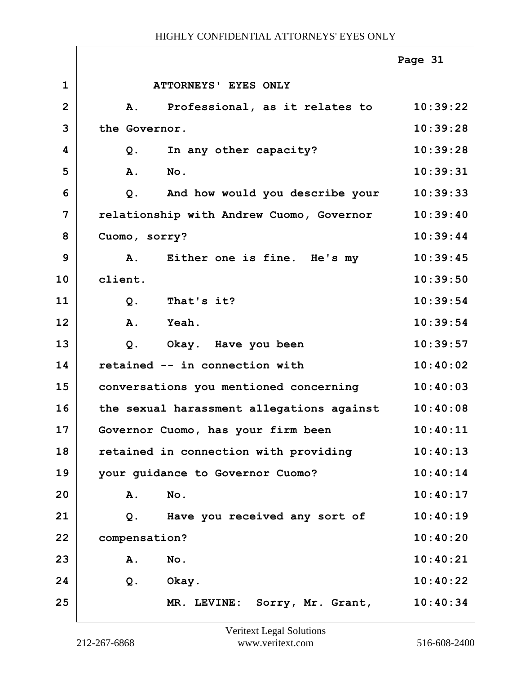|                |                                           | Page 31  |
|----------------|-------------------------------------------|----------|
| $\mathbf 1$    | ATTORNEYS' EYES ONLY                      |          |
| $\overline{2}$ | Professional, as it relates to<br>A.      | 10:39:22 |
| 3              | the Governor.                             | 10:39:28 |
| 4              | In any other capacity?<br>Q.              | 10:39:28 |
| 5              | A.<br>No.                                 | 10:39:31 |
| 6              | And how would you describe your<br>$Q$ .  | 10:39:33 |
| 7              | relationship with Andrew Cuomo, Governor  | 10:39:40 |
| 8              | Cuomo, sorry?                             | 10:39:44 |
| 9              | Either one is fine. He's my<br>Α.         | 10:39:45 |
| 10             | client.                                   | 10:39:50 |
| 11             | That's it?<br>Q <sub>1</sub>              | 10:39:54 |
| 12             | A.<br>Yeah.                               | 10:39:54 |
| 13             | Okay. Have you been<br>Q.                 | 10:39:57 |
| 14             | retained -- in connection with            | 10:40:02 |
| 15             | conversations you mentioned concerning    | 10:40:03 |
| 16             | the sexual harassment allegations against | 10:40:08 |
| 17             | Governor Cuomo, has your firm been        | 10:40:11 |
| 18             | retained in connection with providing     | 10:40:13 |
| 19             | your guidance to Governor Cuomo?          | 10:40:14 |
| 20             | A.<br>No.                                 | 10:40:17 |
| 21             | Have you received any sort of<br>Q.       | 10:40:19 |
| 22             | compensation?                             | 10:40:20 |
| 23             | No.<br>Α.                                 | 10:40:21 |
| 24             | $Q$ .<br>Okay.                            | 10:40:22 |
| 25             | MR. LEVINE: Sorry, Mr. Grant,             | 10:40:34 |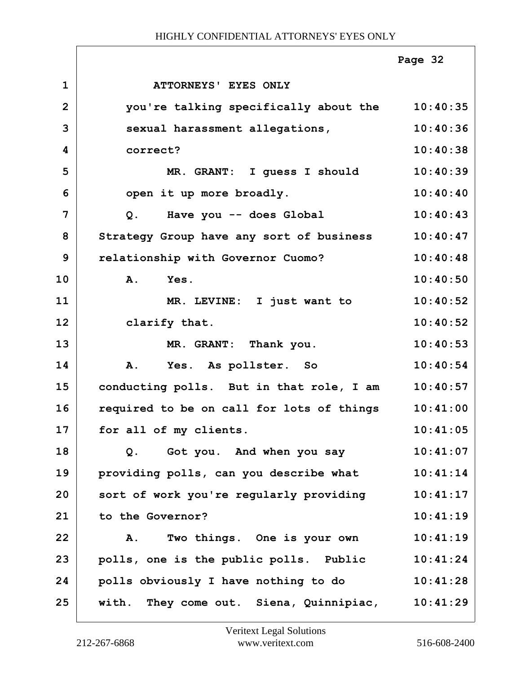|                |                                           | Page 32  |
|----------------|-------------------------------------------|----------|
| $\mathbf{1}$   | ATTORNEYS' EYES ONLY                      |          |
| $\overline{2}$ | you're talking specifically about the     | 10:40:35 |
| 3              | sexual harassment allegations,            | 10:40:36 |
| 4              | correct?                                  | 10:40:38 |
| 5              | MR. GRANT: I guess I should               | 10:40:39 |
| 6              | open it up more broadly.                  | 10:40:40 |
| 7              | Have you -- does Global<br>Q.             | 10:40:43 |
| 8              | Strategy Group have any sort of business  | 10:40:47 |
| 9              | relationship with Governor Cuomo?         | 10:40:48 |
| 10             | Yes.<br>$\mathbf{A}$ .                    | 10:40:50 |
| 11             | MR. LEVINE: I just want to                | 10:40:52 |
| 12             | clarify that.                             | 10:40:52 |
| 13             | MR. GRANT: Thank you.                     | 10:40:53 |
| 14             | A. Yes. As pollster. So                   | 10:40:54 |
| 15             | conducting polls. But in that role, I am  | 10:40:57 |
| 16             | required to be on call for lots of things | 10:41:00 |
| 17             | for all of my clients.                    | 10:41:05 |
| 18             | Got you. And when you say<br>$Q$ .        | 10:41:07 |
| 19             | providing polls, can you describe what    | 10:41:14 |
| 20             | sort of work you're regularly providing   | 10:41:17 |
| 21             | to the Governor?                          | 10:41:19 |
| 22             | Two things. One is your own<br>Α.         | 10:41:19 |
| 23             | polls, one is the public polls. Public    | 10:41:24 |
| 24             | polls obviously I have nothing to do      | 10:41:28 |
| 25             | with. They come out. Siena, Quinnipiac,   | 10:41:29 |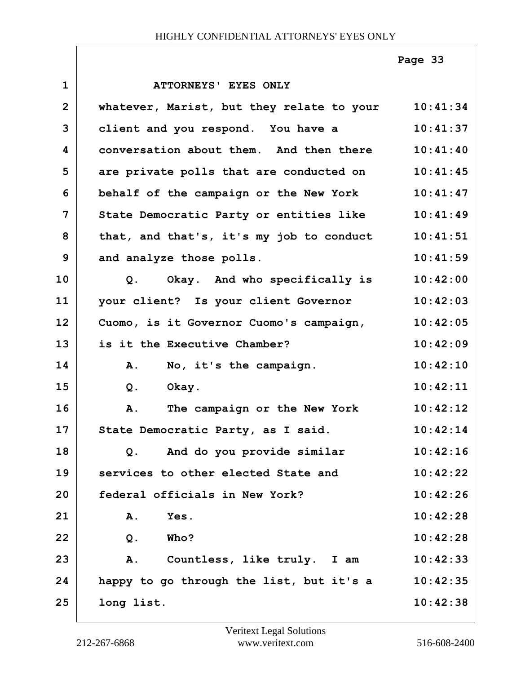**1 ATTORNEYS' EYES ONLY 2 whatever, Marist, but they relate to your 10:41:34 3 client and you respond. You have a 10:41:37 4 conversation about them. And then there 10:41:40 5 are private polls that are conducted on 10:41:45 6 behalf of the campaign or the New York 10:41:47 7 State Democratic Party or entities like 10:41:49 8 that, and that's, it's my job to conduct 10:41:51 9** and analyze those polls. 10:41:59 **10 Q. Okay. And who specifically is 10:42:00 11 your client? Is your client Governor 10:42:03 12 Cuomo, is it Governor Cuomo's campaign, 10:42:05 13 is it the Executive Chamber? 10:42:09 14 A. No, it's the campaign. 10:42:10 15 Q. Okay. 10:42:11 16 A. The campaign or the New York 10:42:12** 17 State Democratic Party, as I said. 10:42:14 **18 Q. And do you provide similar 10:42:16 19 services to other elected State and 10:42:22 20 federal officials in New York? 10:42:26 21 A. Yes. 10:42:28 22 Q. Who? 10:42:28 23 A. Countless, like truly. I am 10:42:33 24 happy to go through the list, but it's a 10:42:35 25 long list. 10:42:38 Page 33**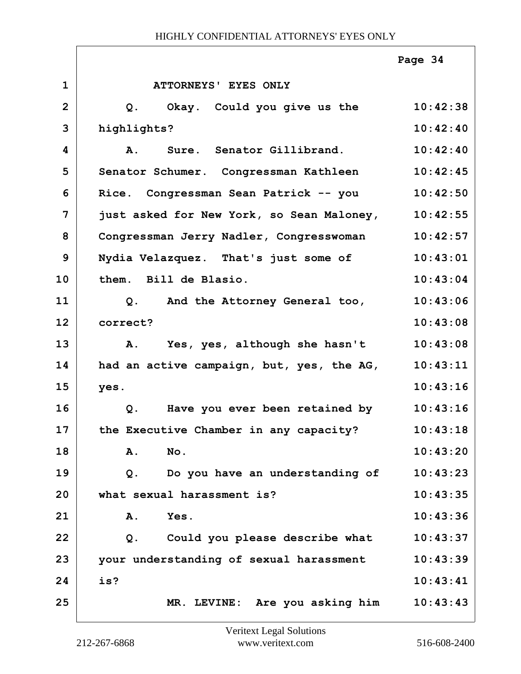|                |                                           | Page 34  |
|----------------|-------------------------------------------|----------|
| $\mathbf{1}$   | ATTORNEYS' EYES ONLY                      |          |
| $\overline{2}$ | Q. Okay. Could you give us the            | 10:42:38 |
| 3              | highlights?                               | 10:42:40 |
| 4              | Sure. Senator Gillibrand.<br>Α.           | 10:42:40 |
| 5              | Senator Schumer. Congressman Kathleen     | 10:42:45 |
| 6              | Congressman Sean Patrick -- you<br>Rice.  | 10:42:50 |
| 7              | just asked for New York, so Sean Maloney, | 10:42:55 |
| 8              | Congressman Jerry Nadler, Congresswoman   | 10:42:57 |
| 9              | Nydia Velazquez. That's just some of      | 10:43:01 |
| 10             | them. Bill de Blasio.                     | 10:43:04 |
| 11             | And the Attorney General too,<br>Q.       | 10:43:06 |
| 12             | correct?                                  | 10:43:08 |
| 13             | A. Yes, yes, although she hasn't          | 10:43:08 |
| 14             | had an active campaign, but, yes, the AG, | 10:43:11 |
| 15             | yes.                                      | 10:43:16 |
| 16             | Have you ever been retained by<br>Q.      | 10:43:16 |
| 17             | the Executive Chamber in any capacity?    | 10:43:18 |
| 18             | Α.<br>No.                                 | 10:43:20 |
| 19             | Do you have an understanding of<br>Q.     | 10:43:23 |
| 20             | what sexual harassment is?                | 10:43:35 |
| 21             | Yes.<br>Α.                                | 10:43:36 |
| 22             | Could you please describe what<br>$Q$ .   | 10:43:37 |
| 23             | your understanding of sexual harassment   | 10:43:39 |
| 24             | is?                                       | 10:43:41 |
| 25             | MR. LEVINE: Are you asking him            | 10:43:43 |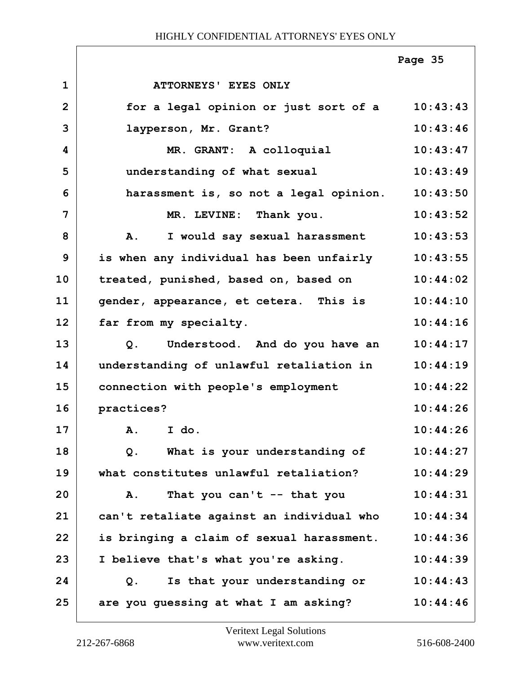|                |                                           | Page 35  |
|----------------|-------------------------------------------|----------|
| $\mathbf{1}$   | ATTORNEYS' EYES ONLY                      |          |
| $\overline{2}$ | for a legal opinion or just sort of a     | 10:43:43 |
| 3              | layperson, Mr. Grant?                     | 10:43:46 |
| 4              | MR. GRANT: A colloquial                   | 10:43:47 |
| 5              | understanding of what sexual              | 10:43:49 |
| 6              | harassment is, so not a legal opinion.    | 10:43:50 |
| 7              | MR. LEVINE: Thank you.                    | 10:43:52 |
| 8              | I would say sexual harassment<br>Α.       | 10:43:53 |
| 9              | is when any individual has been unfairly  | 10:43:55 |
| 10             | treated, punished, based on, based on     | 10:44:02 |
| 11             | gender, appearance, et cetera. This is    | 10:44:10 |
| 12             | far from my specialty.                    | 10:44:16 |
| 13             | Understood. And do you have an<br>Q.      | 10:44:17 |
| 14             | understanding of unlawful retaliation in  | 10:44:19 |
| 15             | connection with people's employment       | 10:44:22 |
| 16             | practices?                                | 10:44:26 |
| 17             | A. I do.                                  | 10:44:26 |
| 18             | What is your understanding of<br>$Q$ .    | 10:44:27 |
| 19             | what constitutes unlawful retaliation?    | 10:44:29 |
| 20             | That you can't -- that you<br><b>A.</b>   | 10:44:31 |
| 21             | can't retaliate against an individual who | 10:44:34 |
| 22             | is bringing a claim of sexual harassment. | 10:44:36 |
| 23             | I believe that's what you're asking.      | 10:44:39 |
| 24             | Is that your understanding or<br>Q.       | 10:44:43 |
| 25             | are you guessing at what I am asking?     | 10:44:46 |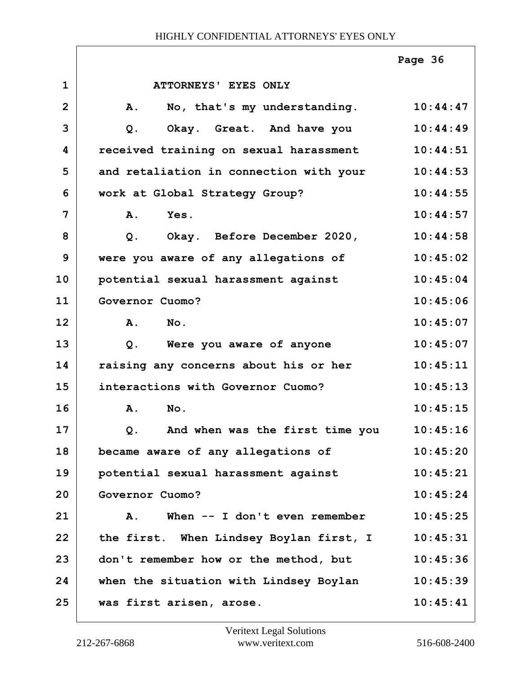|                |                                         | Page 36  |
|----------------|-----------------------------------------|----------|
| $\mathbf{1}$   | ATTORNEYS' EYES ONLY                    |          |
| $\overline{2}$ | No, that's my understanding.<br>A.      | 10:44:47 |
| 3              | Okay. Great. And have you<br>Q.         | 10:44:49 |
| 4              | received training on sexual harassment  | 10:44:51 |
| 5              | and retaliation in connection with your | 10:44:53 |
| 6              | work at Global Strategy Group?          | 10:44:55 |
| 7              | A.<br>Yes.                              | 10:44:57 |
| 8              | Okay. Before December 2020,<br>$Q$ .    | 10:44:58 |
| 9              | were you aware of any allegations of    | 10:45:02 |
| 10             | potential sexual harassment against     | 10:45:04 |
| 11             | Governor Cuomo?                         | 10:45:06 |
| 12             | A.<br>$N_{\text{O}}$ .                  | 10:45:07 |
| 13             | Were you aware of anyone<br>$Q$ .       | 10:45:07 |
| 14             | raising any concerns about his or her   | 10:45:11 |
| 15             | interactions with Governor Cuomo?       | 10:45:13 |
| 16             | No.<br>Α.                               | 10:45:15 |
| 17             | And when was the first time you<br>Q.   | 10:45:16 |
| 18             | became aware of any allegations of      | 10:45:20 |
| 19             | potential sexual harassment against     | 10:45:21 |
| 20             | Governor Cuomo?                         | 10:45:24 |
| 21             | When $--$ I don't even remember<br>Α.   | 10:45:25 |
| 22             | the first. When Lindsey Boylan first, I | 10:45:31 |
| 23             | don't remember how or the method, but   | 10:45:36 |
| 24             | when the situation with Lindsey Boylan  | 10:45:39 |
| 25             | was first arisen, arose.                | 10:45:41 |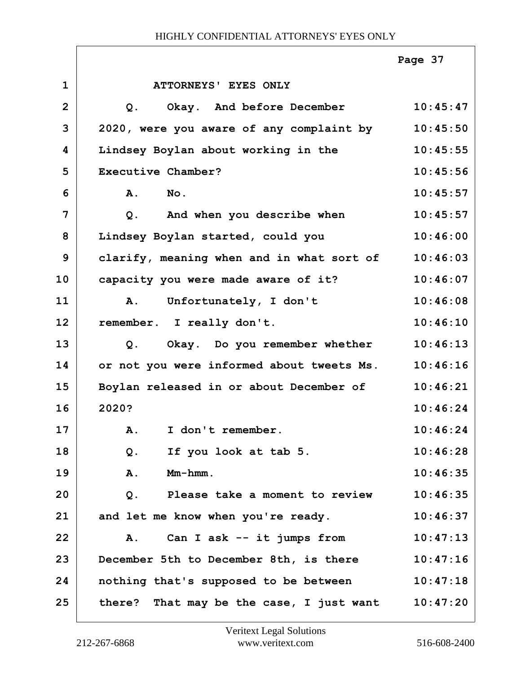|                |                                             | Page 37  |
|----------------|---------------------------------------------|----------|
| $\mathbf{1}$   | ATTORNEYS' EYES ONLY                        |          |
| $\overline{2}$ | Okay. And before December<br>Q <sub>1</sub> | 10:45:47 |
| 3              | 2020, were you aware of any complaint by    | 10:45:50 |
| 4              | Lindsey Boylan about working in the         | 10:45:55 |
| 5              | Executive Chamber?                          | 10:45:56 |
| 6              | A.<br>No.                                   | 10:45:57 |
| 7              | And when you describe when<br>$Q$ .         | 10:45:57 |
| 8              | Lindsey Boylan started, could you           | 10:46:00 |
| 9              | clarify, meaning when and in what sort of   | 10:46:03 |
| 10             | capacity you were made aware of it?         | 10:46:07 |
| 11             | A. Unfortunately, I don't                   | 10:46:08 |
| 12             | remember. I really don't.                   | 10:46:10 |
| 13             | Q. Okay. Do you remember whether            | 10:46:13 |
| 14             | or not you were informed about tweets Ms.   | 10:46:16 |
| 15             | Boylan released in or about December of     | 10:46:21 |
| 16             | 2020?                                       | 10:46:24 |
| 17             | I don't remember.<br>Α.                     | 10:46:24 |
| 18             | If you look at tab 5.<br>Q.                 | 10:46:28 |
| 19             | $Mm-hmm$ .<br>Α.                            | 10:46:35 |
| 20             | Please take a moment to review<br>Q.        | 10:46:35 |
| 21             | and let me know when you're ready.          | 10:46:37 |
| 22             | Can I ask -- it jumps from<br>A.            | 10:47:13 |
| 23             | December 5th to December 8th, is there      | 10:47:16 |
| 24             | nothing that's supposed to be between       | 10:47:18 |
| 25             | there? That may be the case, I just want    | 10:47:20 |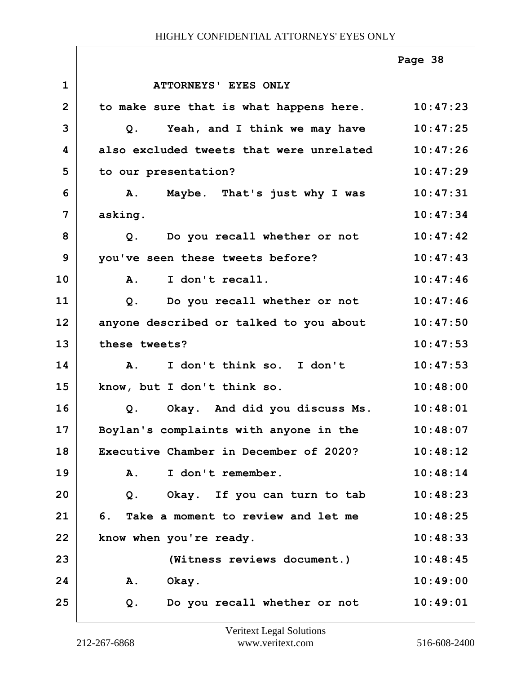|              |                                                  | Page 38  |
|--------------|--------------------------------------------------|----------|
| $\mathbf{1}$ | <b>ATTORNEYS' EYES ONLY</b>                      |          |
| $\mathbf{2}$ | to make sure that is what happens here. 10:47:23 |          |
| 3            | Yeah, and I think we may have<br>Q.              | 10:47:25 |
| 4            | also excluded tweets that were unrelated         | 10:47:26 |
| 5            | to our presentation?                             | 10:47:29 |
| 6            | Maybe. That's just why I was<br>Α.               | 10:47:31 |
| 7            | asking.                                          | 10:47:34 |
| 8            | Q. Do you recall whether or not                  | 10:47:42 |
| 9            | you've seen these tweets before?                 | 10:47:43 |
| 10           | I don't recall.<br>Α.                            | 10:47:46 |
| 11           | Do you recall whether or not<br>Q.               | 10:47:46 |
| 12           | anyone described or talked to you about          | 10:47:50 |
| 13           | these tweets?                                    | 10:47:53 |
| 14           | I don't think so. I don't<br><b>A.</b>           | 10:47:53 |
| 15           | know, but I don't think so.                      | 10:48:00 |
| 16           | Okay. And did you discuss Ms.<br>Q <sub>1</sub>  | 10:48:01 |
| 17           | Boylan's complaints with anyone in the           | 10:48:07 |
| 18           | Executive Chamber in December of 2020?           | 10:48:12 |
| 19           | I don't remember.<br>Α.                          | 10:48:14 |
| 20           | Okay. If you can turn to tab<br>$Q$ .            | 10:48:23 |
| 21           | 6. Take a moment to review and let me            | 10:48:25 |
| 22           | know when you're ready.                          | 10:48:33 |
| 23           | (Witness reviews document.)                      | 10:48:45 |
| 24           | A. Okay.                                         | 10:49:00 |
| 25           | Do you recall whether or not<br>Q.               | 10:49:01 |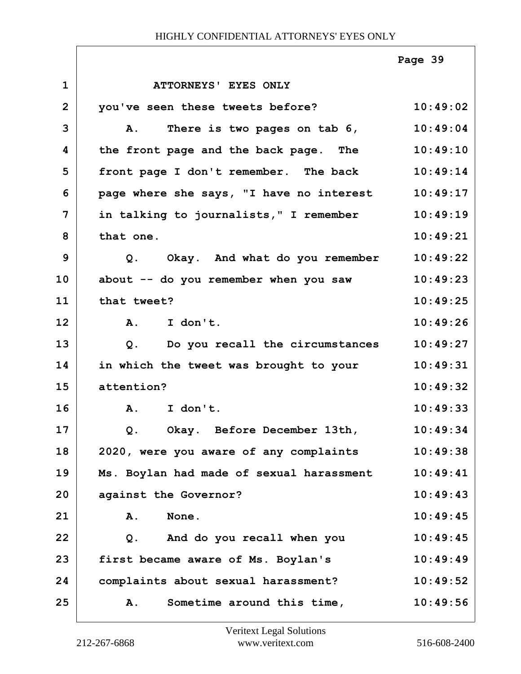|                |                                           | Page 39  |
|----------------|-------------------------------------------|----------|
| $\mathbf{1}$   | <b>ATTORNEYS' EYES ONLY</b>               |          |
| $\overline{2}$ | you've seen these tweets before?          | 10:49:02 |
| 3              | There is two pages on tab 6,<br><b>A.</b> | 10:49:04 |
| 4              | the front page and the back page. The     | 10:49:10 |
| 5              | front page I don't remember. The back     | 10:49:14 |
| 6              | page where she says, "I have no interest  | 10:49:17 |
| 7              | in talking to journalists," I remember    | 10:49:19 |
| 8              | that one.                                 | 10:49:21 |
| 9              | Okay. And what do you remember<br>Q.      | 10:49:22 |
| 10             | about -- do you remember when you saw     | 10:49:23 |
| 11             | that tweet?                               | 10:49:25 |
| 12             | I don't.<br>$\mathbf{A}$ .                | 10:49:26 |
| 13             | Do you recall the circumstances<br>Q.     | 10:49:27 |
| 14             | in which the tweet was brought to your    | 10:49:31 |
| 15             | attention?                                | 10:49:32 |
| 16             | I don't.<br>A.                            | 10:49:33 |
| 17             | Q. Okay. Before December 13th,            | 10:49:34 |
| 18             | 2020, were you aware of any complaints    | 10:49:38 |
| 19             | Ms. Boylan had made of sexual harassment  | 10:49:41 |
| 20             | against the Governor?                     | 10:49:43 |
| 21             | None.<br>A.                               | 10:49:45 |
| 22             | And do you recall when you<br>Q.          | 10:49:45 |
| 23             | first became aware of Ms. Boylan's        | 10:49:49 |
| 24             | complaints about sexual harassment?       | 10:49:52 |
| 25             | Sometime around this time,<br>A.          | 10:49:56 |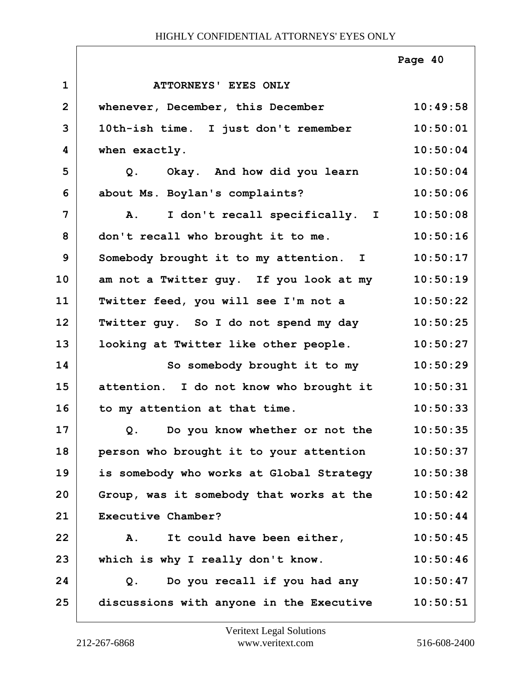|                |                                          | Page 40  |
|----------------|------------------------------------------|----------|
| $\mathbf{1}$   | ATTORNEYS' EYES ONLY                     |          |
| $\overline{2}$ | whenever, December, this December        | 10:49:58 |
| 3              | 10th-ish time. I just don't remember     | 10:50:01 |
| 4              | when exactly.                            | 10:50:04 |
| 5              | Q. Okay. And how did you learn           | 10:50:04 |
| 6              | about Ms. Boylan's complaints?           | 10:50:06 |
| 7              | I don't recall specifically. I<br>A.     | 10:50:08 |
| 8              | don't recall who brought it to me.       | 10:50:16 |
| 9              | Somebody brought it to my attention. I   | 10:50:17 |
| 10             | am not a Twitter guy. If you look at my  | 10:50:19 |
| 11             | Twitter feed, you will see I'm not a     | 10:50:22 |
| 12             | Twitter guy. So I do not spend my day    | 10:50:25 |
| 13             | looking at Twitter like other people.    | 10:50:27 |
| 14             | So somebody brought it to my             | 10:50:29 |
| 15             | attention. I do not know who brought it  | 10:50:31 |
| 16             | to my attention at that time.            | 10:50:33 |
| 17             | Do you know whether or not the<br>Q.     | 10:50:35 |
| 18             | person who brought it to your attention  | 10:50:37 |
| 19             | is somebody who works at Global Strategy | 10:50:38 |
| 20             | Group, was it somebody that works at the | 10:50:42 |
| 21             | Executive Chamber?                       | 10:50:44 |
| 22             | It could have been either,<br>A.         | 10:50:45 |
| 23             | which is why I really don't know.        | 10:50:46 |
| 24             | Do you recall if you had any<br>Q.       | 10:50:47 |
| 25             | discussions with anyone in the Executive | 10:50:51 |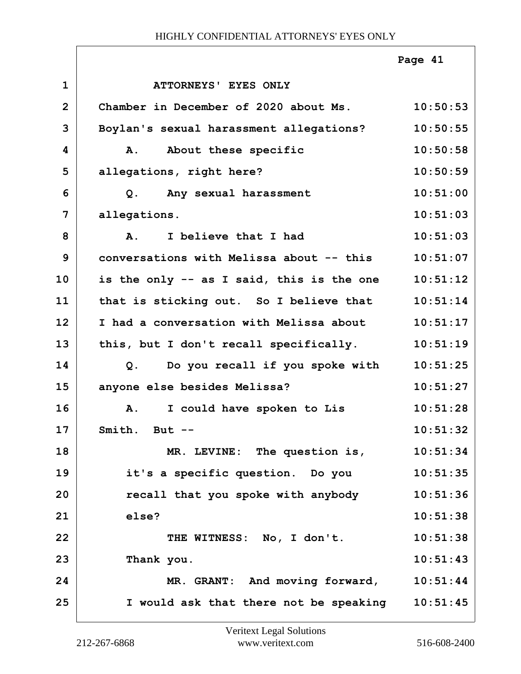|                |                                           | Page 41  |
|----------------|-------------------------------------------|----------|
| $\mathbf{1}$   | ATTORNEYS' EYES ONLY                      |          |
| $\overline{2}$ | Chamber in December of 2020 about Ms.     | 10:50:53 |
| 3              | Boylan's sexual harassment allegations?   | 10:50:55 |
| 4              | About these specific<br>A.                | 10:50:58 |
| 5              | allegations, right here?                  | 10:50:59 |
| 6              | Any sexual harassment<br>Q.               | 10:51:00 |
| 7              | allegations.                              | 10:51:03 |
| 8              | I believe that I had<br>$\mathbf{A}$ .    | 10:51:03 |
| 9              | conversations with Melissa about -- this  | 10:51:07 |
| 10             | is the only -- as I said, this is the one | 10:51:12 |
| 11             | that is sticking out. So I believe that   | 10:51:14 |
| 12             | I had a conversation with Melissa about   | 10:51:17 |
| 13             | this, but I don't recall specifically.    | 10:51:19 |
| 14             | Do you recall if you spoke with<br>$Q$ .  | 10:51:25 |
| 15             | anyone else besides Melissa?              | 10:51:27 |
| 16             | I could have spoken to Lis<br>A.          | 10:51:28 |
| 17             | Smith. But $--$                           | 10:51:32 |
| 18             | MR. LEVINE: The question is,              | 10:51:34 |
| 19             | it's a specific question. Do you          | 10:51:35 |
| 20             | recall that you spoke with anybody        | 10:51:36 |
| 21             | else?                                     | 10:51:38 |
| 22             | THE WITNESS: No, I don't.                 | 10:51:38 |
| 23             | Thank you.                                | 10:51:43 |
| 24             | MR. GRANT: And moving forward,            | 10:51:44 |
| 25             | I would ask that there not be speaking    | 10:51:45 |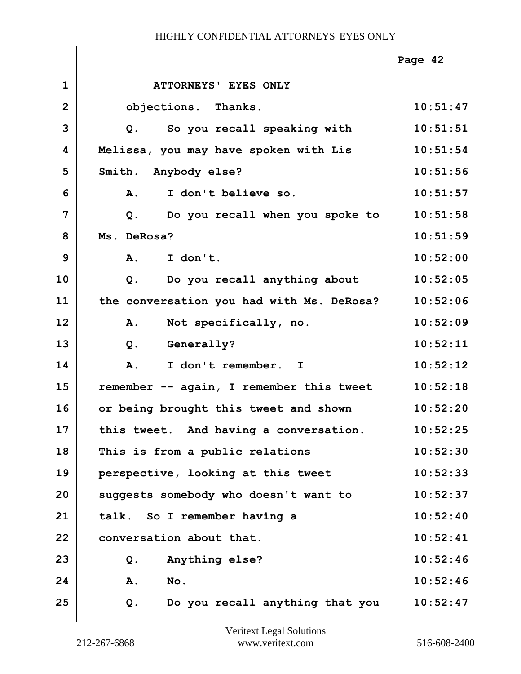|                |                                           | Page 42  |
|----------------|-------------------------------------------|----------|
| $\mathbf{1}$   | ATTORNEYS' EYES ONLY                      |          |
| $\overline{2}$ | objections. Thanks.                       | 10:51:47 |
| 3              | So you recall speaking with<br>Q.         | 10:51:51 |
| 4              | Melissa, you may have spoken with Lis     | 10:51:54 |
| 5              | Smith. Anybody else?                      | 10:51:56 |
| 6              | I don't believe so.<br>A.                 | 10:51:57 |
| 7              | Do you recall when you spoke to<br>Q.     | 10:51:58 |
| 8              | Ms. DeRosa?                               | 10:51:59 |
| 9              | A.<br>I don't.                            | 10:52:00 |
| 10             | Do you recall anything about<br>$Q$ .     | 10:52:05 |
| 11             | the conversation you had with Ms. DeRosa? | 10:52:06 |
| 12             | Not specifically, no.<br>A.               | 10:52:09 |
| 13             | $Q$ .<br><b>Generally?</b>                | 10:52:11 |
| 14             | I don't remember. I<br>A.                 | 10:52:12 |
| 15             | remember -- again, I remember this tweet  | 10:52:18 |
| 16             | or being brought this tweet and shown     | 10:52:20 |
| 17             | this tweet. And having a conversation.    | 10:52:25 |
| 18             | This is from a public relations           | 10:52:30 |
| 19             | perspective, looking at this tweet        | 10:52:33 |
| 20             | suggests somebody who doesn't want to     | 10:52:37 |
| 21             | talk. So I remember having a              | 10:52:40 |
| 22             | conversation about that.                  | 10:52:41 |
| 23             | Anything else?<br>Q.                      | 10:52:46 |
| 24             | A.<br>No.                                 | 10:52:46 |
| 25             | Do you recall anything that you<br>Q.     | 10:52:47 |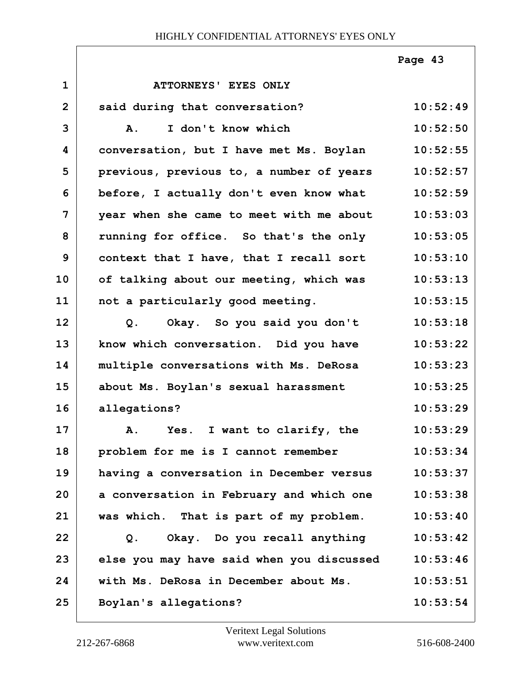|                |                                           | Page 43  |
|----------------|-------------------------------------------|----------|
| $\mathbf{1}$   | ATTORNEYS' EYES ONLY                      |          |
| $\overline{2}$ | said during that conversation?            | 10:52:49 |
| 3              | I don't know which<br><b>A.</b>           | 10:52:50 |
| 4              | conversation, but I have met Ms. Boylan   | 10:52:55 |
| 5              | previous, previous to, a number of years  | 10:52:57 |
| 6              | before, I actually don't even know what   | 10:52:59 |
| $\overline{7}$ | year when she came to meet with me about  | 10:53:03 |
| 8              | running for office. So that's the only    | 10:53:05 |
| 9              | context that I have, that I recall sort   | 10:53:10 |
| 10             | of talking about our meeting, which was   | 10:53:13 |
| 11             | not a particularly good meeting.          | 10:53:15 |
| 12             | Okay. So you said you don't<br>$Q$ .      | 10:53:18 |
| 13             | know which conversation. Did you have     | 10:53:22 |
| 14             | multiple conversations with Ms. DeRosa    | 10:53:23 |
| 15             | about Ms. Boylan's sexual harassment      | 10:53:25 |
| 16             | allegations?                              | 10:53:29 |
| 17             | A. Yes. I want to clarify, the            | 10:53:29 |
| 18             | problem for me is I cannot remember       | 10:53:34 |
| 19             | having a conversation in December versus  | 10:53:37 |
| 20             | a conversation in February and which one  | 10:53:38 |
| 21             | was which. That is part of my problem.    | 10:53:40 |
| 22             | Okay. Do you recall anything<br>Q.        | 10:53:42 |
| 23             | else you may have said when you discussed | 10:53:46 |
| 24             | with Ms. DeRosa in December about Ms.     | 10:53:51 |
| 25             | Boylan's allegations?                     | 10:53:54 |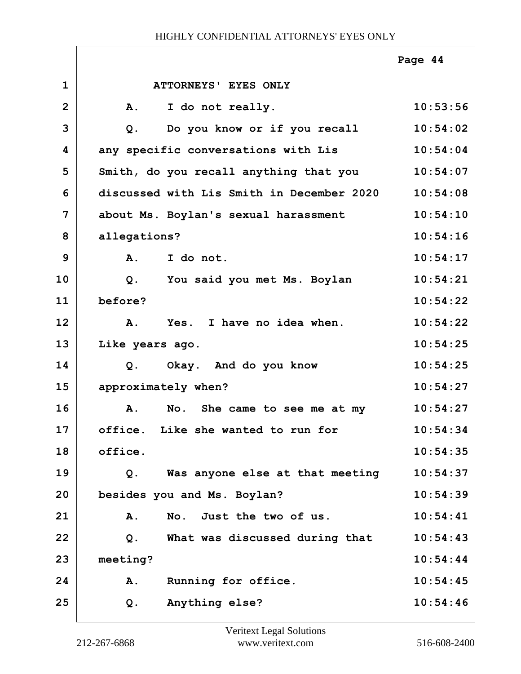|                |                                           | Page 44  |
|----------------|-------------------------------------------|----------|
| $\mathbf{1}$   | ATTORNEYS' EYES ONLY                      |          |
| $\overline{2}$ | I do not really.<br>Α.                    | 10:53:56 |
| 3              | Do you know or if you recall<br>$Q$ .     | 10:54:02 |
| 4              | any specific conversations with Lis       | 10:54:04 |
| 5              | Smith, do you recall anything that you    | 10:54:07 |
| 6              | discussed with Lis Smith in December 2020 | 10:54:08 |
| 7              | about Ms. Boylan's sexual harassment      | 10:54:10 |
| 8              | allegations?                              | 10:54:16 |
| 9              | I do not.<br>A.                           | 10:54:17 |
| 10             | You said you met Ms. Boylan<br>$Q$ .      | 10:54:21 |
| 11             | before?                                   | 10:54:22 |
| 12             | Yes. I have no idea when.<br>Α.           | 10:54:22 |
| 13             | Like years ago.                           | 10:54:25 |
| 14             | Okay. And do you know<br>Q.               | 10:54:25 |
| 15             | approximately when?                       | 10:54:27 |
| 16             | A.<br>No. She came to see me at my        | 10:54:27 |
| 17             | office. Like she wanted to run for        | 10:54:34 |
| 18             | office.                                   | 10:54:35 |
| 19             | Was anyone else at that meeting<br>Q.     | 10:54:37 |
| 20             | besides you and Ms. Boylan?               | 10:54:39 |
| 21             | No. Just the two of us.<br>A.             | 10:54:41 |
| 22             | What was discussed during that<br>Q.      | 10:54:43 |
| 23             | meeting?                                  | 10:54:44 |
| 24             | Running for office.<br>Α.                 | 10:54:45 |
| 25             | Anything else?<br>Q.                      | 10:54:46 |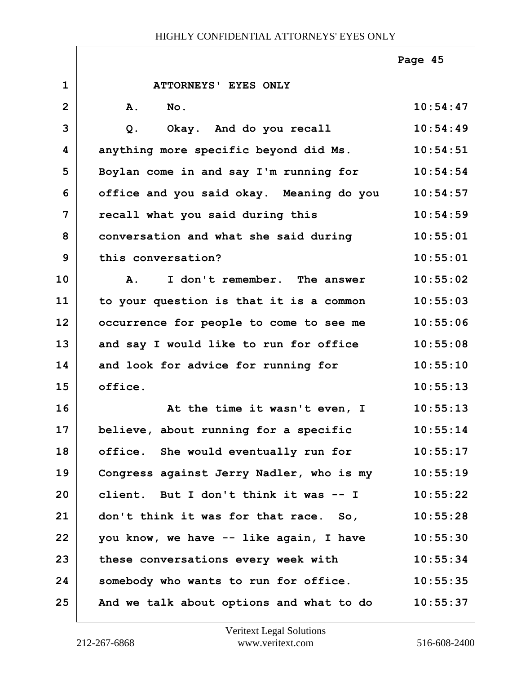|                |                                          | Page 45  |
|----------------|------------------------------------------|----------|
| $\mathbf{1}$   | ATTORNEYS' EYES ONLY                     |          |
| $\overline{2}$ | A.<br>No.                                | 10:54:47 |
| 3              | Okay. And do you recall<br>$Q$ .         | 10:54:49 |
| 4              | anything more specific beyond did Ms.    | 10:54:51 |
| 5              | Boylan come in and say I'm running for   | 10:54:54 |
| 6              | office and you said okay. Meaning do you | 10:54:57 |
| $\overline{7}$ | recall what you said during this         | 10:54:59 |
| 8              | conversation and what she said during    | 10:55:01 |
| 9              | this conversation?                       | 10:55:01 |
| 10             | I don't remember. The answer<br>Α.       | 10:55:02 |
| 11             | to your question is that it is a common  | 10:55:03 |
| 12             | occurrence for people to come to see me  | 10:55:06 |
| 13             | and say I would like to run for office   | 10:55:08 |
| 14             | and look for advice for running for      | 10:55:10 |
| 15             | office.                                  | 10:55:13 |
| 16             | At the time it wasn't even, I            | 10:55:13 |
| 17             | believe, about running for a specific    | 10:55:14 |
| 18             | office. She would eventually run for     | 10:55:17 |
| 19             | Congress against Jerry Nadler, who is my | 10:55:19 |
| 20             | client. But I don't think it was -- I    | 10:55:22 |
| 21             | don't think it was for that race. So,    | 10:55:28 |
| 22             | you know, we have -- like again, I have  | 10:55:30 |
| 23             | these conversations every week with      | 10:55:34 |
| 24             | somebody who wants to run for office.    | 10:55:35 |
| 25             | And we talk about options and what to do | 10:55:37 |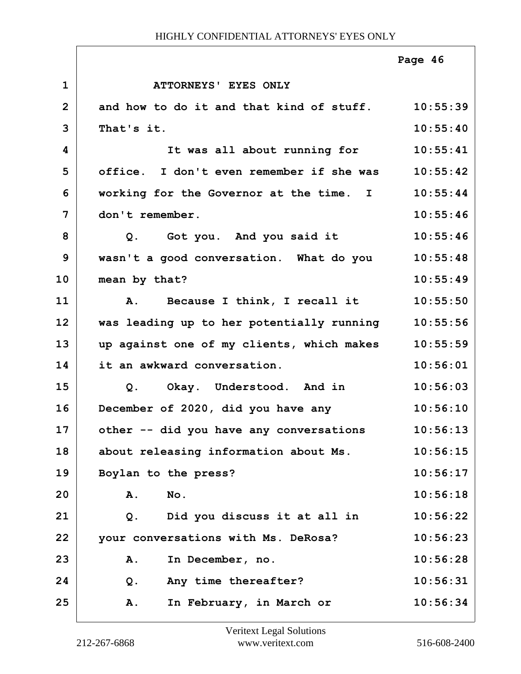|                |                                                   | Page 46  |
|----------------|---------------------------------------------------|----------|
| $\mathbf 1$    | ATTORNEYS' EYES ONLY                              |          |
| $\overline{2}$ | and how to do it and that kind of stuff. 10:55:39 |          |
| 3              | That's it.                                        | 10:55:40 |
| 4              | It was all about running for                      | 10:55:41 |
| 5              | office. I don't even remember if she was          | 10:55:42 |
| 6              | working for the Governor at the time. I           | 10:55:44 |
| 7              | don't remember.                                   | 10:55:46 |
| 8              | Got you. And you said it<br>Q.                    | 10:55:46 |
| 9              | wasn't a good conversation. What do you           | 10:55:48 |
| 10             | mean by that?                                     | 10:55:49 |
| 11             | A. Because I think, I recall it                   | 10:55:50 |
| 12             | was leading up to her potentially running         | 10:55:56 |
| 13             | up against one of my clients, which makes         | 10:55:59 |
| 14             | it an awkward conversation.                       | 10:56:01 |
| 15             | Okay. Understood. And in<br>$Q$ .                 | 10:56:03 |
| 16             | December of 2020, did you have any                | 10:56:10 |
| 17             | other -- did you have any conversations           | 10:56:13 |
| 18             | about releasing information about Ms.             | 10:56:15 |
| 19             | Boylan to the press?                              | 10:56:17 |
| 20             | No.<br>Α.                                         | 10:56:18 |
| 21             | Did you discuss it at all in<br>Q.                | 10:56:22 |
| 22             | your conversations with Ms. DeRosa?               | 10:56:23 |
| 23             | In December, no.<br>Α.                            | 10:56:28 |
| 24             | Any time thereafter?<br>Q.                        | 10:56:31 |
| 25             | In February, in March or<br>Α.                    | 10:56:34 |

ı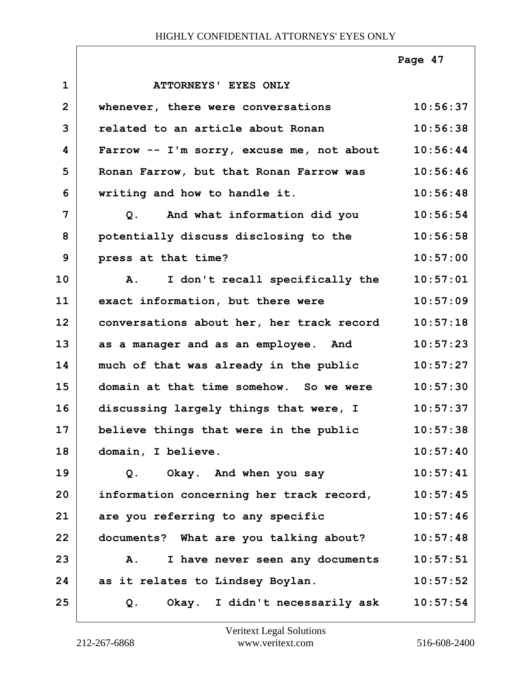|                |                                                | Page 47  |
|----------------|------------------------------------------------|----------|
| $\mathbf{1}$   | ATTORNEYS' EYES ONLY                           |          |
| $\overline{2}$ | whenever, there were conversations             | 10:56:37 |
| 3              | related to an article about Ronan              | 10:56:38 |
| 4              | Farrow -- I'm sorry, excuse me, not about      | 10:56:44 |
| 5              | Ronan Farrow, but that Ronan Farrow was        | 10:56:46 |
| 6              | writing and how to handle it.                  | 10:56:48 |
| $\overline{7}$ | Q. And what information did you                | 10:56:54 |
| 8              | potentially discuss disclosing to the          | 10:56:58 |
| 9              | press at that time?                            | 10:57:00 |
| 10             | I don't recall specifically the<br>${\bf A}$ . | 10:57:01 |
| 11             | exact information, but there were              | 10:57:09 |
| 12             | conversations about her, her track record      | 10:57:18 |
| 13             | as a manager and as an employee. And           | 10:57:23 |
| 14             | much of that was already in the public         | 10:57:27 |
| 15             | domain at that time somehow. So we were        | 10:57:30 |
| 16             | discussing largely things that were, I         | 10:57:37 |
| 17             | believe things that were in the public         | 10:57:38 |
| 18             | domain, I believe.                             | 10:57:40 |
| 19             | Okay. And when you say<br>Q.                   | 10:57:41 |
| 20             | information concerning her track record,       | 10:57:45 |
| 21             | are you referring to any specific              | 10:57:46 |
| 22             | documents? What are you talking about?         | 10:57:48 |
| 23             | I have never seen any documents<br>A.          | 10:57:51 |
| 24             | as it relates to Lindsey Boylan.               | 10:57:52 |
| 25             | Okay. I didn't necessarily ask<br>$Q$ .        | 10:57:54 |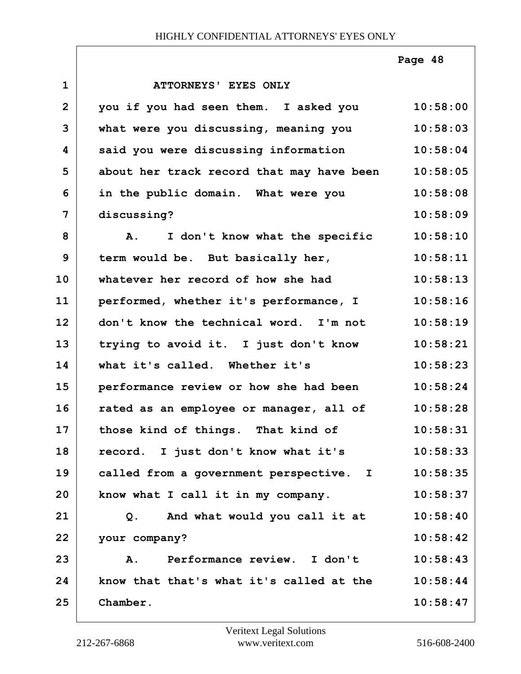|                |                                                 | Page 48  |
|----------------|-------------------------------------------------|----------|
| $\mathbf{1}$   | ATTORNEYS' EYES ONLY                            |          |
| $\overline{2}$ | you if you had seen them. I asked you           | 10:58:00 |
| 3              | what were you discussing, meaning you           | 10:58:03 |
| 4              | said you were discussing information            | 10:58:04 |
| 5              | about her track record that may have been       | 10:58:05 |
| 6              | in the public domain. What were you             | 10:58:08 |
| $\overline{7}$ | discussing?                                     | 10:58:09 |
| 8              | I don't know what the specific<br>${\bf A}$ .   | 10:58:10 |
| 9              | term would be. But basically her,               | 10:58:11 |
| 10             | whatever her record of how she had              | 10:58:13 |
| 11             | performed, whether it's performance, I          | 10:58:16 |
| 12             | don't know the technical word. I'm not          | 10:58:19 |
| 13             | trying to avoid it. I just don't know           | 10:58:21 |
| 14             | what it's called. Whether it's                  | 10:58:23 |
| 15             | performance review or how she had been          | 10:58:24 |
| 16             | rated as an employee or manager, all of         | 10:58:28 |
| 17             | those kind of things. That kind of              | 10:58:31 |
| 18             | record. I just don't know what it's             | 10:58:33 |
| 19             | called from a government perspective. I         | 10:58:35 |
| 20             | know what I call it in my company.              | 10:58:37 |
| 21             | And what would you call it at<br>Q <sub>1</sub> | 10:58:40 |
| 22             | your company?                                   | 10:58:42 |
| 23             | Performance review. I don't<br>Α.               | 10:58:43 |
| 24             | know that that's what it's called at the        | 10:58:44 |
| 25             | Chamber.                                        | 10:58:47 |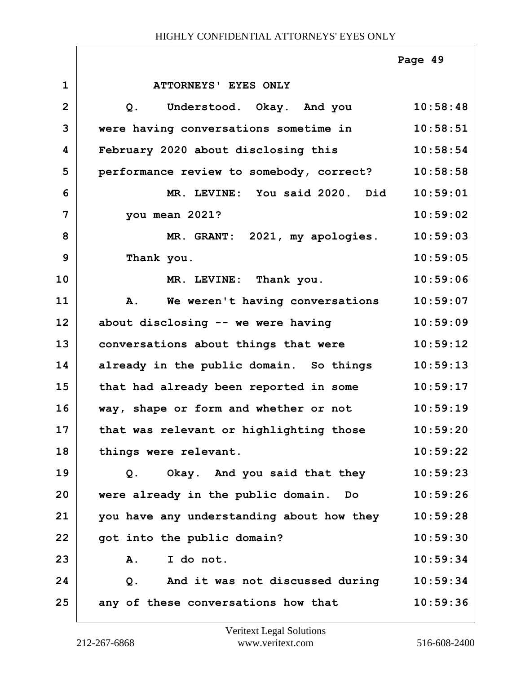|                |                                           | Page 49  |
|----------------|-------------------------------------------|----------|
| $\mathbf{1}$   | ATTORNEYS' EYES ONLY                      |          |
| $\overline{2}$ | Understood. Okay. And you<br>Q.           | 10:58:48 |
| 3              | were having conversations sometime in     | 10:58:51 |
| 4              | February 2020 about disclosing this       | 10:58:54 |
| 5              | performance review to somebody, correct?  | 10:58:58 |
| 6              | MR. LEVINE: You said 2020. Did            | 10:59:01 |
| 7              | you mean 2021?                            | 10:59:02 |
| 8              | MR. GRANT: 2021, my apologies.            | 10:59:03 |
| 9              | Thank you.                                | 10:59:05 |
| 10             | MR. LEVINE: Thank you.                    | 10:59:06 |
| 11             | A. We weren't having conversations        | 10:59:07 |
| 12             | about disclosing -- we were having        | 10:59:09 |
| 13             | conversations about things that were      | 10:59:12 |
| 14             | already in the public domain. So things   | 10:59:13 |
| 15             | that had already been reported in some    | 10:59:17 |
| 16             | way, shape or form and whether or not     | 10:59:19 |
| 17             | that was relevant or highlighting those   | 10:59:20 |
| 18             | things were relevant.                     | 10:59:22 |
| 19             | Okay. And you said that they<br>Q.        | 10:59:23 |
| 20             | were already in the public domain. Do     | 10:59:26 |
| 21             | you have any understanding about how they | 10:59:28 |
| 22             | got into the public domain?               | 10:59:30 |
| 23             | I do not.<br>Α.                           | 10:59:34 |
| 24             | And it was not discussed during<br>$Q$ .  | 10:59:34 |
| 25             | any of these conversations how that       | 10:59:36 |

ı

ī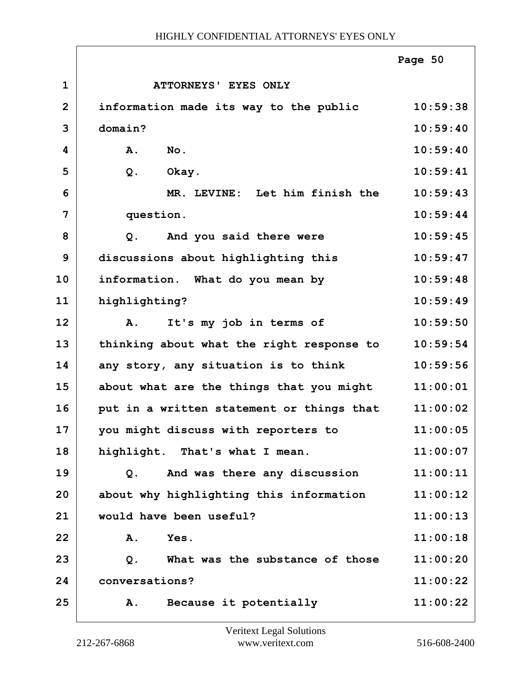|                |                                           | Page 50  |
|----------------|-------------------------------------------|----------|
| $\mathbf{1}$   | ATTORNEYS' EYES ONLY                      |          |
| $\overline{2}$ | information made its way to the public    | 10:59:38 |
| 3              | domain?                                   | 10:59:40 |
| 4              | A.<br>No.                                 | 10:59:40 |
| 5              | $Q$ .<br>Okay.                            | 10:59:41 |
| 6              | MR. LEVINE: Let him finish the            | 10:59:43 |
| 7              | question.                                 | 10:59:44 |
| 8              | And you said there were<br>Q <sub>1</sub> | 10:59:45 |
| 9              | discussions about highlighting this       | 10:59:47 |
| 10             | information. What do you mean by          | 10:59:48 |
| 11             | highlighting?                             | 10:59:49 |
| 12             | It's my job in terms of<br>Α.             | 10:59:50 |
| 13             | thinking about what the right response to | 10:59:54 |
| 14             | any story, any situation is to think      | 10:59:56 |
| 15             | about what are the things that you might  | 11:00:01 |
| 16             | put in a written statement or things that | 11:00:02 |
| 17             | you might discuss with reporters to       | 11:00:05 |
| 18             | highlight. That's what I mean.            | 11:00:07 |
| 19             | And was there any discussion<br>Q.        | 11:00:11 |
| 20             | about why highlighting this information   | 11:00:12 |
| 21             | would have been useful?                   | 11:00:13 |
| 22             | Yes.<br>Α.                                | 11:00:18 |
| 23             | What was the substance of those<br>$Q$ .  | 11:00:20 |
| 24             | conversations?                            | 11:00:22 |
| 25             | Because it potentially<br>Α.              | 11:00:22 |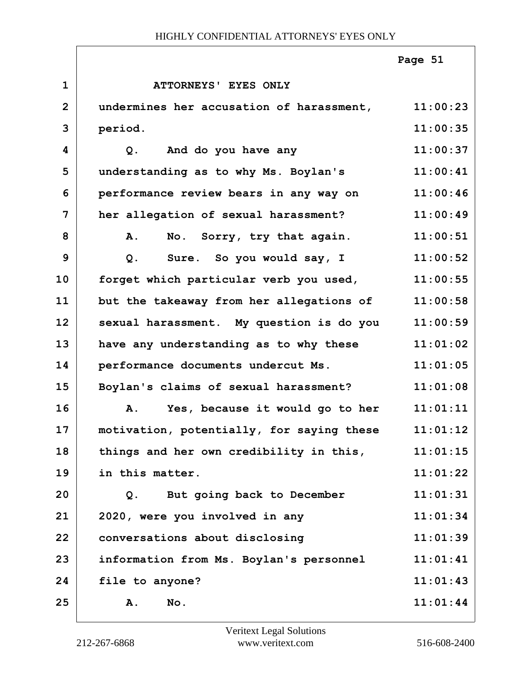|              |                                           | Page 51  |
|--------------|-------------------------------------------|----------|
| $\mathbf{1}$ | <b>ATTORNEYS' EYES ONLY</b>               |          |
| $\mathbf{2}$ | undermines her accusation of harassment,  | 11:00:23 |
| 3            | period.                                   | 11:00:35 |
| 4            | And do you have any<br>$Q$ .              | 11:00:37 |
| 5            | understanding as to why Ms. Boylan's      | 11:00:41 |
| 6            | performance review bears in any way on    | 11:00:46 |
| 7            | her allegation of sexual harassment?      | 11:00:49 |
| 8            | No. Sorry, try that again.<br>A.          | 11:00:51 |
| 9            | Sure. So you would say, I<br>$Q$ .        | 11:00:52 |
| 10           | forget which particular verb you used,    | 11:00:55 |
| 11           | but the takeaway from her allegations of  | 11:00:58 |
| 12           | sexual harassment. My question is do you  | 11:00:59 |
| 13           | have any understanding as to why these    | 11:01:02 |
| 14           | performance documents undercut Ms.        | 11:01:05 |
| 15           | Boylan's claims of sexual harassment?     | 11:01:08 |
| 16           | Yes, because it would go to her<br>Α.     | 11:01:11 |
| 17           | motivation, potentially, for saying these | 11:01:12 |
| 18           | things and her own credibility in this,   | 11:01:15 |
| 19           | in this matter.                           | 11:01:22 |
| 20           | But going back to December<br>$Q$ .       | 11:01:31 |
| 21           | 2020, were you involved in any            | 11:01:34 |
| 22           | conversations about disclosing            | 11:01:39 |
| 23           | information from Ms. Boylan's personnel   | 11:01:41 |
| 24           | file to anyone?                           | 11:01:43 |
| 25           | No.<br>Α.                                 | 11:01:44 |

ı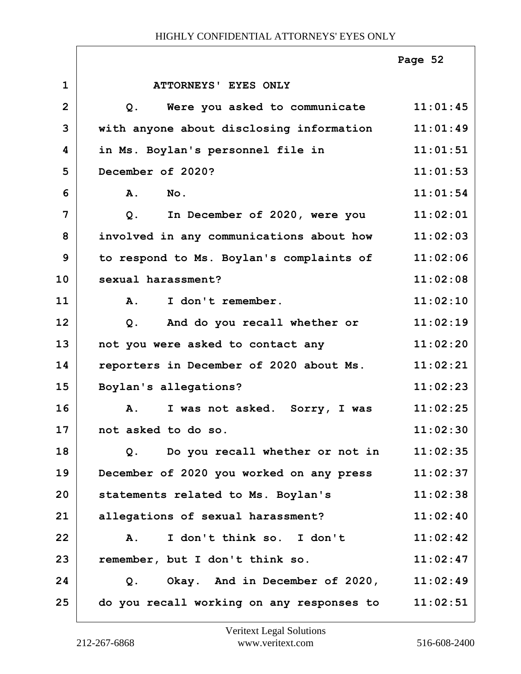|                |                                                          | Page 52  |
|----------------|----------------------------------------------------------|----------|
| $\mathbf 1$    | ATTORNEYS' EYES ONLY                                     |          |
| $\overline{2}$ | Were you asked to communicate 11:01:45<br>Q <sub>1</sub> |          |
| 3              | with anyone about disclosing information                 | 11:01:49 |
| 4              | in Ms. Boylan's personnel file in                        | 11:01:51 |
| 5              | December of 2020?                                        | 11:01:53 |
| 6              | A.<br>No.                                                | 11:01:54 |
| 7              | $Q$ .<br>In December of 2020, were you                   | 11:02:01 |
| 8              | involved in any communications about how                 | 11:02:03 |
| 9              | to respond to Ms. Boylan's complaints of                 | 11:02:06 |
| 10             | sexual harassment?                                       | 11:02:08 |
| 11             | $\mathbf{A}$ .<br>I don't remember.                      | 11:02:10 |
| 12             | And do you recall whether or<br>Q.                       | 11:02:19 |
| 13             | not you were asked to contact any                        | 11:02:20 |
| 14             | reporters in December of 2020 about Ms.                  | 11:02:21 |
| 15             | Boylan's allegations?                                    | 11:02:23 |
| 16             | I was not asked. Sorry, I was<br><b>A.</b>               | 11:02:25 |
| 17             | not asked to do so.                                      | 11:02:30 |
| 18             | Q. Do you recall whether or not in                       | 11:02:35 |
| 19             | December of 2020 you worked on any press                 | 11:02:37 |
| 20             | statements related to Ms. Boylan's                       | 11:02:38 |
| 21             | allegations of sexual harassment?                        | 11:02:40 |
| 22             | I don't think so. I don't<br>A.                          | 11:02:42 |
| 23             | remember, but I don't think so.                          | 11:02:47 |
| 24             | Okay. And in December of $2020$ , $11:02:49$<br>Q.       |          |
| 25             | do you recall working on any responses to $11:02:51$     |          |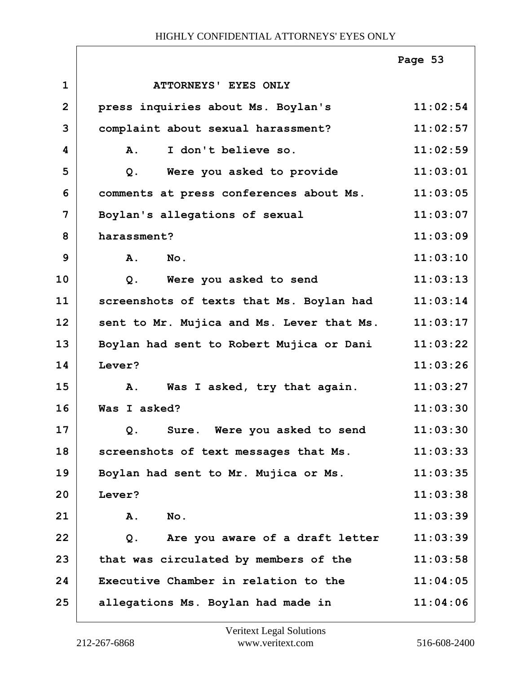|                |                                           | Page 53  |
|----------------|-------------------------------------------|----------|
| $\mathbf{1}$   | ATTORNEYS' EYES ONLY                      |          |
| $\overline{2}$ | press inquiries about Ms. Boylan's        | 11:02:54 |
| 3              | complaint about sexual harassment?        | 11:02:57 |
| 4              | I don't believe so.<br><b>A.</b>          | 11:02:59 |
| 5              | Were you asked to provide<br>Q.           | 11:03:01 |
| 6              | comments at press conferences about Ms.   | 11:03:05 |
| 7              | Boylan's allegations of sexual            | 11:03:07 |
| 8              | harassment?                               | 11:03:09 |
| 9              | A.<br>No.                                 | 11:03:10 |
| 10             | Were you asked to send<br>$Q$ .           | 11:03:13 |
| 11             | screenshots of texts that Ms. Boylan had  | 11:03:14 |
| 12             | sent to Mr. Mujica and Ms. Lever that Ms. | 11:03:17 |
| 13             | Boylan had sent to Robert Mujica or Dani  | 11:03:22 |
| 14             | Lever?                                    | 11:03:26 |
| 15             | Was I asked, try that again.<br>Α.        | 11:03:27 |
| 16             | Was I asked?                              | 11:03:30 |
| 17             | Q. Sure. Were you asked to send           | 11:03:30 |
| 18             | screenshots of text messages that Ms.     | 11:03:33 |
| 19             | Boylan had sent to Mr. Mujica or Ms.      | 11:03:35 |
| 20             | Lever?                                    | 11:03:38 |
| 21             | No.<br>Α.                                 | 11:03:39 |
| 22             | Are you aware of a draft letter<br>Q.     | 11:03:39 |
| 23             | that was circulated by members of the     | 11:03:58 |
| 24             | Executive Chamber in relation to the      | 11:04:05 |
| 25             | allegations Ms. Boylan had made in        | 11:04:06 |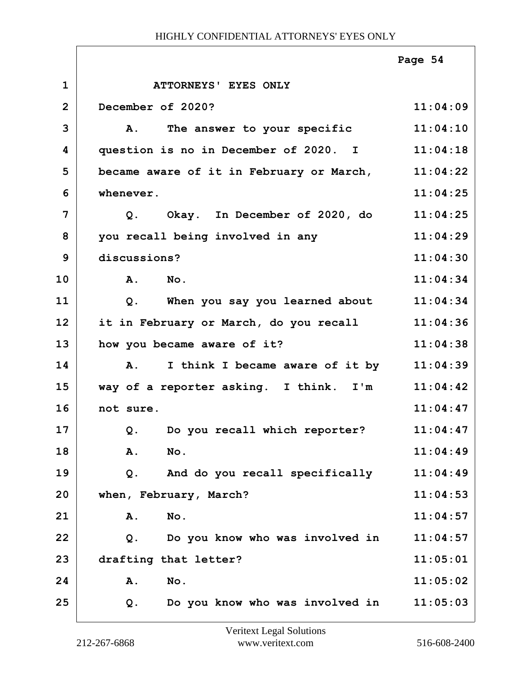|                |                                              | Page 54  |
|----------------|----------------------------------------------|----------|
| $\mathbf 1$    | ATTORNEYS' EYES ONLY                         |          |
| $\overline{2}$ | December of 2020?                            | 11:04:09 |
| 3              | A. The answer to your specific               | 11:04:10 |
| 4              | question is no in December of 2020. I        | 11:04:18 |
| 5              | became aware of it in February or March,     | 11:04:22 |
| 6              | whenever.                                    | 11:04:25 |
| 7              | Q. Okay. In December of 2020, do             | 11:04:25 |
| 8              | you recall being involved in any             | 11:04:29 |
| 9              | discussions?                                 | 11:04:30 |
| 10             | A.<br>$N_{\text{O}}$ .                       | 11:04:34 |
| 11             | When you say you learned about<br>Q.         | 11:04:34 |
| 12             | it in February or March, do you recall       | 11:04:36 |
| 13             | how you became aware of it?                  | 11:04:38 |
| 14             | I think I became aware of it by<br><b>A.</b> | 11:04:39 |
| 15             | way of a reporter asking. I think. I'm       | 11:04:42 |
| 16             | not sure.                                    | 11:04:47 |
| 17             | Q. Do you recall which reporter?             | 11:04:47 |
| 18             | No.<br>Α.                                    | 11:04:49 |
| 19             | And do you recall specifically<br>Q.         | 11:04:49 |
| 20             | when, February, March?                       | 11:04:53 |
| 21             | Α.<br>No.                                    | 11:04:57 |
| 22             | Do you know who was involved in<br>Q.        | 11:04:57 |
| 23             | drafting that letter?                        | 11:05:01 |
| 24             | Α.<br>No.                                    | 11:05:02 |
| 25             | Do you know who was involved in<br>Q.        | 11:05:03 |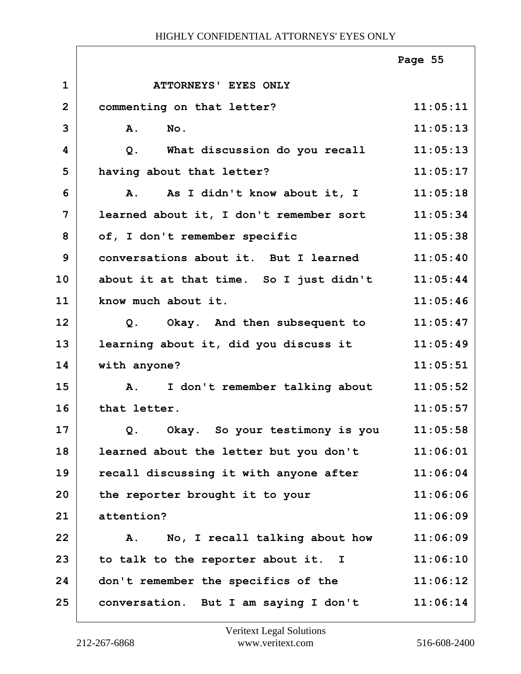|                |                                                  | Page 55  |
|----------------|--------------------------------------------------|----------|
| $\mathbf{1}$   | ATTORNEYS' EYES ONLY                             |          |
| $\overline{2}$ | commenting on that letter?                       | 11:05:11 |
| 3              | $N$ o.<br>A.                                     | 11:05:13 |
| 4              | What discussion do you recall<br>Q.              | 11:05:13 |
| 5              | having about that letter?                        | 11:05:17 |
| 6              | As I didn't know about it, I<br>Α.               | 11:05:18 |
| $\overline{7}$ | learned about it, I don't remember sort          | 11:05:34 |
| 8              | of, I don't remember specific                    | 11:05:38 |
| 9              | conversations about it. But I learned            | 11:05:40 |
| 10             | about it at that time. So I just didn't          | 11:05:44 |
| 11             | know much about it.                              | 11:05:46 |
| 12             | Q. Okay. And then subsequent to                  | 11:05:47 |
| 13             | learning about it, did you discuss it            | 11:05:49 |
| 14             | with anyone?                                     | 11:05:51 |
| 15             | I don't remember talking about<br>$\mathbf{A}$ . | 11:05:52 |
| 16             | that letter.                                     | 11:05:57 |
| 17             | Q. Okay. So your testimony is you 11:05:58       |          |
| 18             | learned about the letter but you don't           | 11:06:01 |
| 19             | recall discussing it with anyone after           | 11:06:04 |
| 20             | the reporter brought it to your                  | 11:06:06 |
| 21             | attention?                                       | 11:06:09 |
| 22             | No, I recall talking about how<br>Α.             | 11:06:09 |
| 23             | to talk to the reporter about it. I              | 11:06:10 |
| 24             | don't remember the specifics of the              | 11:06:12 |
| 25             | conversation. But I am saying I don't            | 11:06:14 |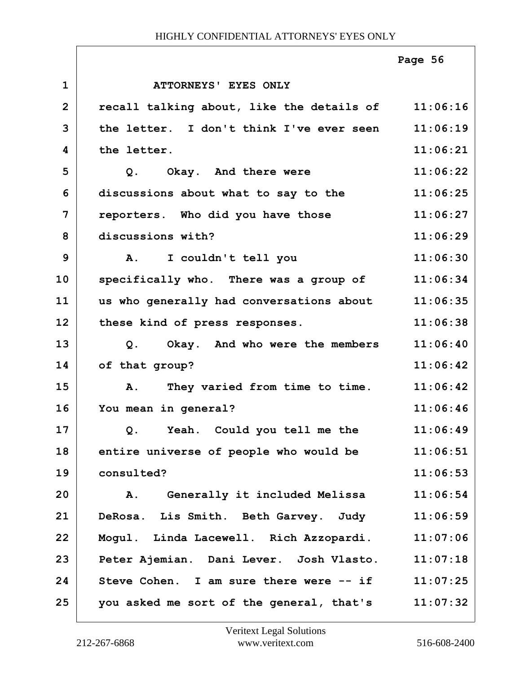|              |                                           | Page 56  |
|--------------|-------------------------------------------|----------|
| $\mathbf{1}$ | ATTORNEYS' EYES ONLY                      |          |
| $\mathbf{2}$ | recall talking about, like the details of | 11:06:16 |
| 3            | the letter. I don't think I've ever seen  | 11:06:19 |
| 4            | the letter.                               | 11:06:21 |
| 5            | Okay. And there were<br>Q.                | 11:06:22 |
| 6            | discussions about what to say to the      | 11:06:25 |
| 7            | reporters. Who did you have those         | 11:06:27 |
| 8            | discussions with?                         | 11:06:29 |
| 9            | I couldn't tell you<br>$\mathbf{A}$ .     | 11:06:30 |
| 10           | specifically who. There was a group of    | 11:06:34 |
| 11           | us who generally had conversations about  | 11:06:35 |
| 12           | these kind of press responses.            | 11:06:38 |
| 13           | Okay. And who were the members<br>Q.      | 11:06:40 |
| 14           | of that group?                            | 11:06:42 |
| 15           | They varied from time to time.<br>Α.      | 11:06:42 |
| 16           | You mean in general?                      | 11:06:46 |
| 17           | Yeah. Could you tell me the<br>Q.         | 11:06:49 |
| 18           | entire universe of people who would be    | 11:06:51 |
| 19           | consulted?                                | 11:06:53 |
| 20           | Generally it included Melissa<br>Α.       | 11:06:54 |
| 21           | DeRosa. Lis Smith. Beth Garvey. Judy      | 11:06:59 |
| 22           | Mogul. Linda Lacewell. Rich Azzopardi.    | 11:07:06 |
| 23           | Peter Ajemian. Dani Lever. Josh Vlasto.   | 11:07:18 |
| 24           | Steve Cohen. I am sure there were -- if   | 11:07:25 |
| 25           | you asked me sort of the general, that's  | 11:07:32 |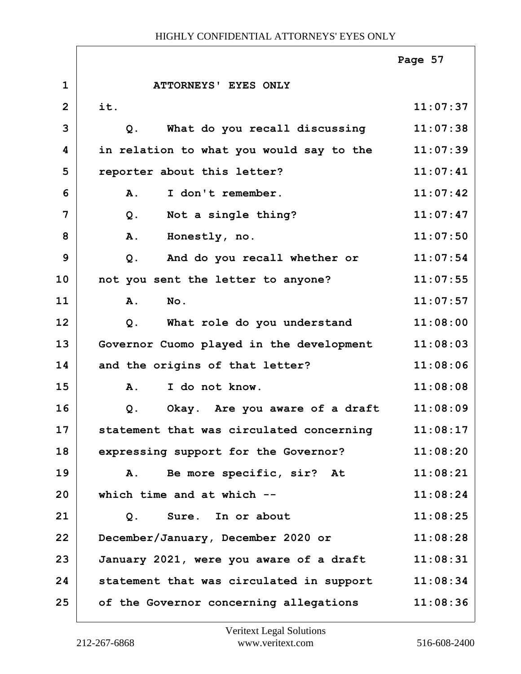|                |                                          | Page 57  |
|----------------|------------------------------------------|----------|
| $\mathbf{1}$   | ATTORNEYS' EYES ONLY                     |          |
| $\overline{2}$ | it.                                      | 11:07:37 |
| 3              | What do you recall discussing<br>$Q$ .   | 11:07:38 |
| 4              | in relation to what you would say to the | 11:07:39 |
| 5              | reporter about this letter?              | 11:07:41 |
| 6              | I don't remember.<br>Α.                  | 11:07:42 |
| 7              | Not a single thing?<br>$Q$ .             | 11:07:47 |
| 8              | Honestly, no.<br>A.                      | 11:07:50 |
| 9              | And do you recall whether or<br>$Q$ .    | 11:07:54 |
| 10             | not you sent the letter to anyone?       | 11:07:55 |
| 11             | No.<br>Α.                                | 11:07:57 |
| 12             | What role do you understand<br>$Q$ .     | 11:08:00 |
| 13             | Governor Cuomo played in the development | 11:08:03 |
| 14             | and the origins of that letter?          | 11:08:06 |
| 15             | I do not know.<br>A.                     | 11:08:08 |
| 16             | Okay. Are you aware of a draft<br>$Q$ .  | 11:08:09 |
| 17             | statement that was circulated concerning | 11:08:17 |
| 18             | expressing support for the Governor?     | 11:08:20 |
| 19             | Be more specific, sir? At<br>Α.          | 11:08:21 |
| 20             | which time and at which --               | 11:08:24 |
| 21             | Sure. In or about<br>Q.                  | 11:08:25 |
| 22             | December/January, December 2020 or       | 11:08:28 |
| 23             | January 2021, were you aware of a draft  | 11:08:31 |
| 24             | statement that was circulated in support | 11:08:34 |
| 25             | of the Governor concerning allegations   | 11:08:36 |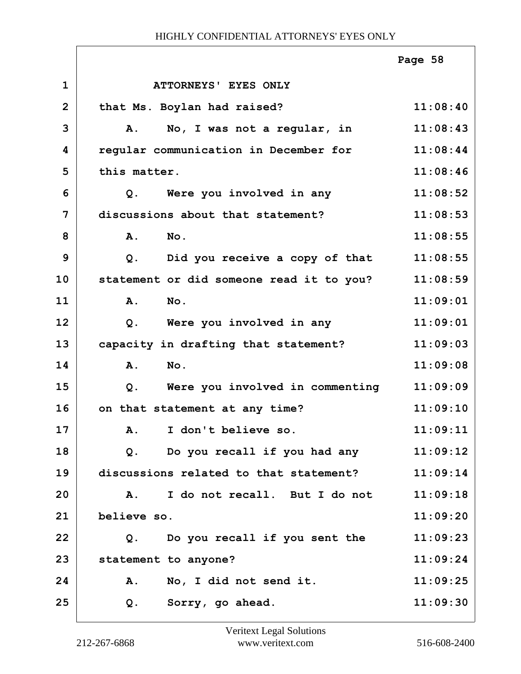|                |              |                                          | Page 58  |
|----------------|--------------|------------------------------------------|----------|
| $\mathbf{1}$   |              | ATTORNEYS' EYES ONLY                     |          |
| $\overline{2}$ |              | that Ms. Boylan had raised?              | 11:08:40 |
| 3              | Α.           | No, I was not a regular, in              | 11:08:43 |
| 4              |              | regular communication in December for    | 11:08:44 |
| 5              | this matter. |                                          | 11:08:46 |
| 6              | $Q$ .        | Were you involved in any                 | 11:08:52 |
| 7              |              | discussions about that statement?        | 11:08:53 |
| 8              | A.           | No.                                      | 11:08:55 |
| 9              | $Q$ .        | Did you receive a copy of that           | 11:08:55 |
| 10             |              | statement or did someone read it to you? | 11:08:59 |
| 11             | A.           | No.                                      | 11:09:01 |
| 12             | Q.           | Were you involved in any                 | 11:09:01 |
| 13             |              | capacity in drafting that statement?     | 11:09:03 |
| 14             | A.           | No.                                      | 11:09:08 |
| 15             | $Q$ .        | Were you involved in commenting          | 11:09:09 |
| 16             |              | on that statement at any time?           | 11:09:10 |
| 17             |              | A. I don't believe so.                   | 11:09:11 |
| 18             |              | Q. Do you recall if you had any          | 11:09:12 |
| 19             |              | discussions related to that statement?   | 11:09:14 |
| 20             | A.           | I do not recall. But I do not            | 11:09:18 |
| 21             | believe so.  |                                          | 11:09:20 |
| 22             | Q.           | Do you recall if you sent the            | 11:09:23 |
| 23             |              | statement to anyone?                     | 11:09:24 |
| 24             | Α.           | No, I did not send it.                   | 11:09:25 |
| 25             | Q.           | Sorry, go ahead.                         | 11:09:30 |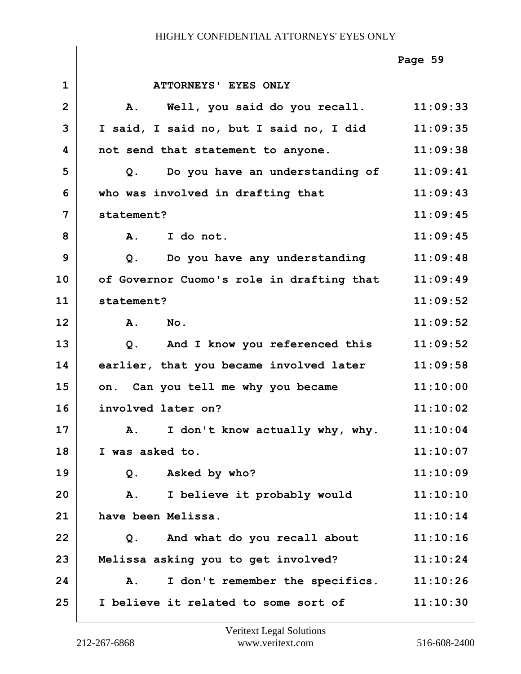|                |                                           | Page 59  |
|----------------|-------------------------------------------|----------|
| $\mathbf{1}$   | ATTORNEYS' EYES ONLY                      |          |
| $\overline{2}$ | Well, you said do you recall.<br>A.       | 11:09:33 |
| 3              | I said, I said no, but I said no, I did   | 11:09:35 |
| 4              | not send that statement to anyone.        | 11:09:38 |
| 5              | Do you have an understanding of<br>Q.     | 11:09:41 |
| 6              | who was involved in drafting that         | 11:09:43 |
| 7              | statement?                                | 11:09:45 |
| 8              | A. I do not.                              | 11:09:45 |
| 9              | Q. Do you have any understanding          | 11:09:48 |
| 10             | of Governor Cuomo's role in drafting that | 11:09:49 |
| 11             | statement?                                | 11:09:52 |
| 12             | A.<br>$N_{\text{O}}$ .                    | 11:09:52 |
| 13             | And I know you referenced this<br>Q.      | 11:09:52 |
| 14             | earlier, that you became involved later   | 11:09:58 |
| 15             | on. Can you tell me why you became        | 11:10:00 |
| 16             | involved later on?                        | 11:10:02 |
| 17             | A. I don't know actually why, why.        | 11:10:04 |
| 18             | I was asked to.                           | 11:10:07 |
| 19             | Asked by who?<br>Q.                       | 11:10:09 |
| 20             | I believe it probably would<br>Α.         | 11:10:10 |
| 21             | have been Melissa.                        | 11:10:14 |
| 22             | Q. And what do you recall about           | 11:10:16 |
| 23             | Melissa asking you to get involved?       | 11:10:24 |
| 24             | I don't remember the specifics.<br>Α.     | 11:10:26 |
| 25             | I believe it related to some sort of      | 11:10:30 |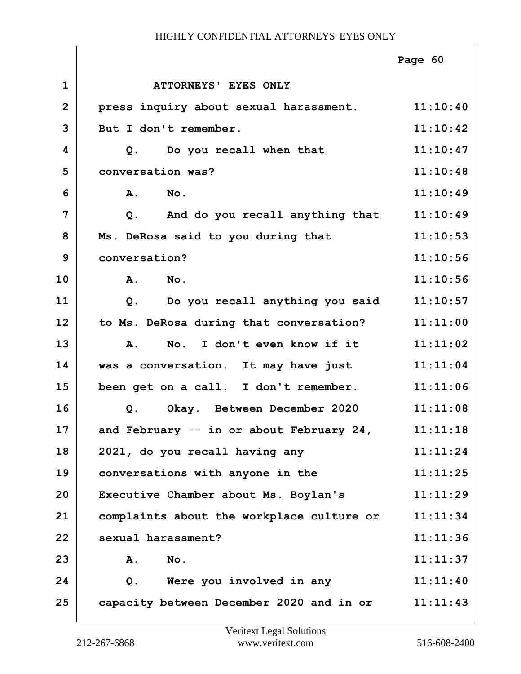|                |                                                   | Page 60  |
|----------------|---------------------------------------------------|----------|
| $\mathbf 1$    | ATTORNEYS' EYES ONLY                              |          |
| $\overline{2}$ | press inquiry about sexual harassment.            | 11:10:40 |
| 3              | But I don't remember.                             | 11:10:42 |
| 4              | Do you recall when that<br>Q.                     | 11:10:47 |
| 5              | conversation was?                                 | 11:10:48 |
| 6              | A.<br>No.                                         | 11:10:49 |
| 7              | And do you recall anything that<br>Q.             | 11:10:49 |
| 8              | Ms. DeRosa said to you during that                | 11:10:53 |
| 9              | conversation?                                     | 11:10:56 |
| 10             | A.<br>No.                                         | 11:10:56 |
| 11             | Do you recall anything you said<br>Q <sub>1</sub> | 11:10:57 |
| 12             | to Ms. DeRosa during that conversation?           | 11:11:00 |
| 13             | No. I don't even know if it<br><b>A.</b>          | 11:11:02 |
| 14             | was a conversation. It may have just              | 11:11:04 |
| 15             | been get on a call. I don't remember.             | 11:11:06 |
| 16             | Okay. Between December 2020<br>$Q$ .              | 11:11:08 |
| 17             | and February -- in or about February 24,          | 11:11:18 |
| 18             | 2021, do you recall having any                    | 11:11:24 |
| 19             | conversations with anyone in the                  | 11:11:25 |
| 20             | Executive Chamber about Ms. Boylan's              | 11:11:29 |
| 21             | complaints about the workplace culture or         | 11:11:34 |
| 22             | sexual harassment?                                | 11:11:36 |
| 23             | No.<br>Α.                                         | 11:11:37 |
| 24             | Were you involved in any<br>Q.                    | 11:11:40 |
| 25             | capacity between December 2020 and in or          | 11:11:43 |

 $\Gamma$ 

ī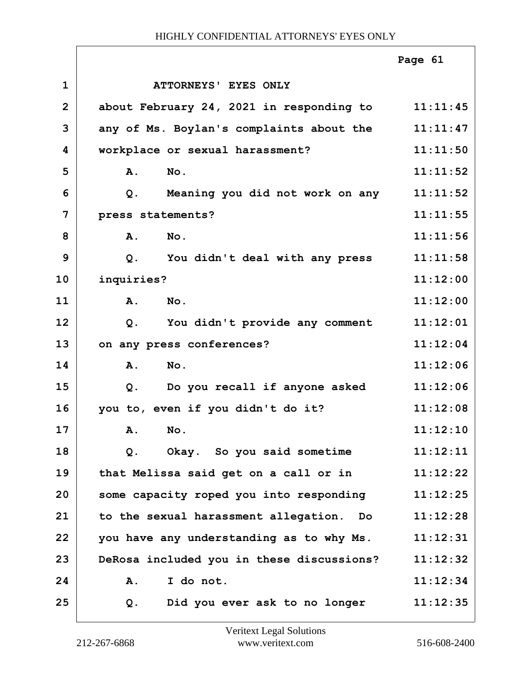|                |                                           | Page 61  |
|----------------|-------------------------------------------|----------|
| $\mathbf{1}$   | ATTORNEYS' EYES ONLY                      |          |
| $\overline{2}$ | about February 24, 2021 in responding to  | 11:11:45 |
| 3              | any of Ms. Boylan's complaints about the  | 11:11:47 |
| 4              | workplace or sexual harassment?           | 11:11:50 |
| 5              | No.<br><b>A.</b>                          | 11:11:52 |
| 6              | Meaning you did not work on any<br>Q.     | 11:11:52 |
| 7              | press statements?                         | 11:11:55 |
| 8              | No.<br>A.                                 | 11:11:56 |
| 9              | $Q$ .<br>You didn't deal with any press   | 11:11:58 |
| 10             | inquiries?                                | 11:12:00 |
| 11             | A.<br>No.                                 | 11:12:00 |
| 12             | You didn't provide any comment<br>Q.      | 11:12:01 |
| 13             | on any press conferences?                 | 11:12:04 |
| 14             | No.<br><b>A.</b>                          | 11:12:06 |
| 15             | Do you recall if anyone asked<br>$Q$ .    | 11:12:06 |
| 16             | you to, even if you didn't do it?         | 11:12:08 |
| 17             | A. No.                                    | 11:12:10 |
| 18             | Okay. So you said sometime<br>Q.          | 11:12:11 |
| 19             | that Melissa said get on a call or in     | 11:12:22 |
| 20             | some capacity roped you into responding   | 11:12:25 |
| 21             | to the sexual harassment allegation. Do   | 11:12:28 |
| 22             | you have any understanding as to why Ms.  | 11:12:31 |
| 23             | DeRosa included you in these discussions? | 11:12:32 |
| 24             | I do not.<br>Α.                           | 11:12:34 |
| 25             | Did you ever ask to no longer<br>Q.       | 11:12:35 |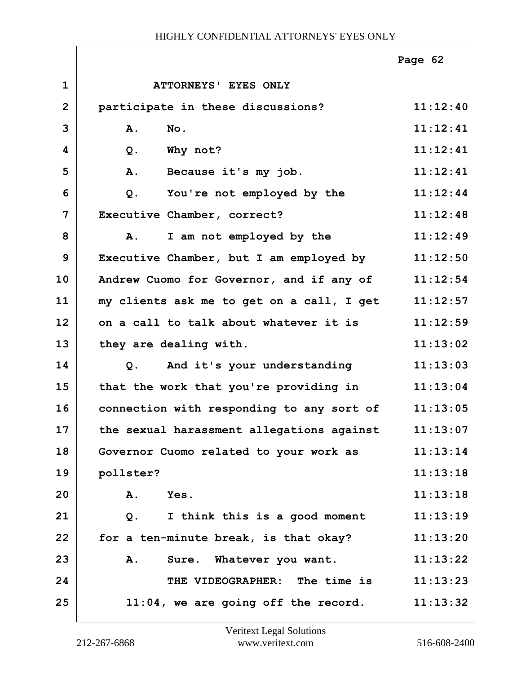|                |                                           | Page 62  |
|----------------|-------------------------------------------|----------|
| $\mathbf{1}$   | ATTORNEYS' EYES ONLY                      |          |
| $\overline{2}$ | participate in these discussions?         | 11:12:40 |
| 3              | A.<br>No.                                 | 11:12:41 |
| 4              | Why not?<br>$Q$ .                         | 11:12:41 |
| 5              | A.<br>Because it's my job.                | 11:12:41 |
| 6              | You're not employed by the<br>$Q$ .       | 11:12:44 |
| 7              | Executive Chamber, correct?               | 11:12:48 |
| 8              | I am not employed by the<br>A.            | 11:12:49 |
| 9              | Executive Chamber, but I am employed by   | 11:12:50 |
| 10             | Andrew Cuomo for Governor, and if any of  | 11:12:54 |
| 11             | my clients ask me to get on a call, I get | 11:12:57 |
| 12             | on a call to talk about whatever it is    | 11:12:59 |
| 13             | they are dealing with.                    | 11:13:02 |
| 14             | And it's your understanding<br>Q.         | 11:13:03 |
| 15             | that the work that you're providing in    | 11:13:04 |
| 16             | connection with responding to any sort of | 11:13:05 |
| 17             | the sexual harassment allegations against | 11:13:07 |
| 18             | Governor Cuomo related to your work as    | 11:13:14 |
| 19             | pollster?                                 | 11:13:18 |
| 20             | Yes.<br>Α.                                | 11:13:18 |
| 21             | I think this is a good moment<br>Q.       | 11:13:19 |
| 22             | for a ten-minute break, is that okay?     | 11:13:20 |
| 23             | Sure. Whatever you want.<br>Α.            | 11:13:22 |
| 24             | THE VIDEOGRAPHER: The time is             | 11:13:23 |
| 25             | $11:04$ , we are going off the record.    | 11:13:32 |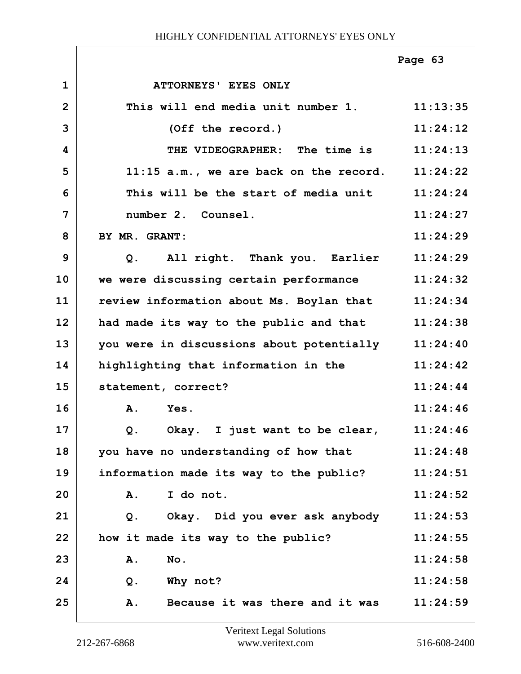|                |                                                   | Page 63  |
|----------------|---------------------------------------------------|----------|
| $\mathbf{1}$   | ATTORNEYS' EYES ONLY                              |          |
| $\overline{2}$ | This will end media unit number 1. 11:13:35       |          |
| 3              | (Off the record.)                                 | 11:24:12 |
| 4              | THE VIDEOGRAPHER: The time is                     | 11:24:13 |
| 5              | $11:15$ a.m., we are back on the record.          | 11:24:22 |
| 6              | This will be the start of media unit              | 11:24:24 |
| 7              | number 2. Counsel.                                | 11:24:27 |
| 8              | BY MR. GRANT:                                     | 11:24:29 |
| 9              | All right. Thank you. Earlier<br>Q.               | 11:24:29 |
| 10             | we were discussing certain performance            | 11:24:32 |
| 11             | review information about Ms. Boylan that 11:24:34 |          |
| 12             | had made its way to the public and that           | 11:24:38 |
| 13             | you were in discussions about potentially         | 11:24:40 |
| 14             | highlighting that information in the              | 11:24:42 |
| 15             | statement, correct?                               | 11:24:44 |
| 16             | A.<br>Yes.                                        | 11:24:46 |
| 17             | Okay. I just want to be clear,<br>Q <sub>1</sub>  | 11:24:46 |
| 18             | you have no understanding of how that             | 11:24:48 |
| 19             | information made its way to the public?           | 11:24:51 |
| 20             | I do not.<br>Α.                                   | 11:24:52 |
| 21             | Okay. Did you ever ask anybody<br>$Q$ .           | 11:24:53 |
| 22             | how it made its way to the public?                | 11:24:55 |
| 23             | No.<br>Α.                                         | 11:24:58 |
| 24             | Why not?<br>$Q$ .                                 | 11:24:58 |
| 25             | Because it was there and it was<br>Α.             | 11:24:59 |

ı

ī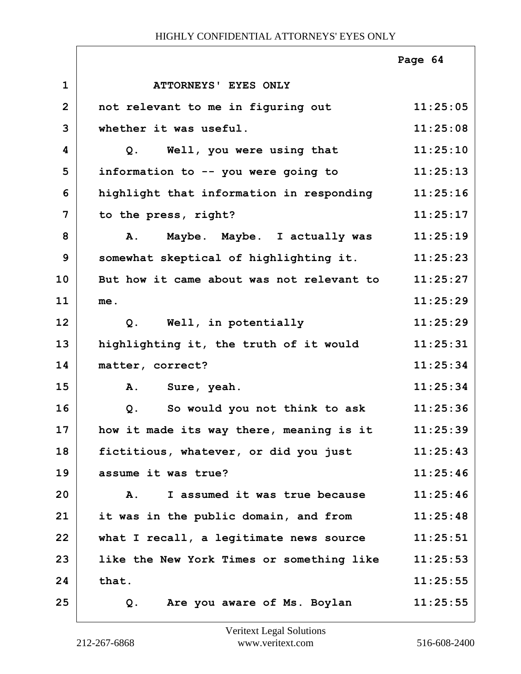|                |                                           | Page 64  |
|----------------|-------------------------------------------|----------|
| $\mathbf{1}$   | ATTORNEYS' EYES ONLY                      |          |
| $\overline{2}$ | not relevant to me in figuring out        | 11:25:05 |
| 3              | whether it was useful.                    | 11:25:08 |
| 4              | Well, you were using that<br>Q.           | 11:25:10 |
| 5              | information to -- you were going to       | 11:25:13 |
| 6              | highlight that information in responding  | 11:25:16 |
| 7              | to the press, right?                      | 11:25:17 |
| 8              | Maybe. Maybe. I actually was<br>A.        | 11:25:19 |
| 9              | somewhat skeptical of highlighting it.    | 11:25:23 |
| 10             | But how it came about was not relevant to | 11:25:27 |
| 11             | me.                                       | 11:25:29 |
| 12             | Well, in potentially<br>Q.                | 11:25:29 |
| 13             | highlighting it, the truth of it would    | 11:25:31 |
| 14             | matter, correct?                          | 11:25:34 |
| 15             | <b>A.</b><br>Sure, yeah.                  | 11:25:34 |
| 16             | So would you not think to ask<br>$Q$ .    | 11:25:36 |
| 17             | how it made its way there, meaning is it  | 11:25:39 |
| 18             | fictitious, whatever, or did you just     | 11:25:43 |
| 19             | assume it was true?                       | 11:25:46 |
| 20             | I assumed it was true because<br>Α.       | 11:25:46 |
| 21             | it was in the public domain, and from     | 11:25:48 |
| 22             | what I recall, a legitimate news source   | 11:25:51 |
| 23             | like the New York Times or something like | 11:25:53 |
| 24             | that.                                     | 11:25:55 |
| 25             | Are you aware of Ms. Boylan<br>Q.         | 11:25:55 |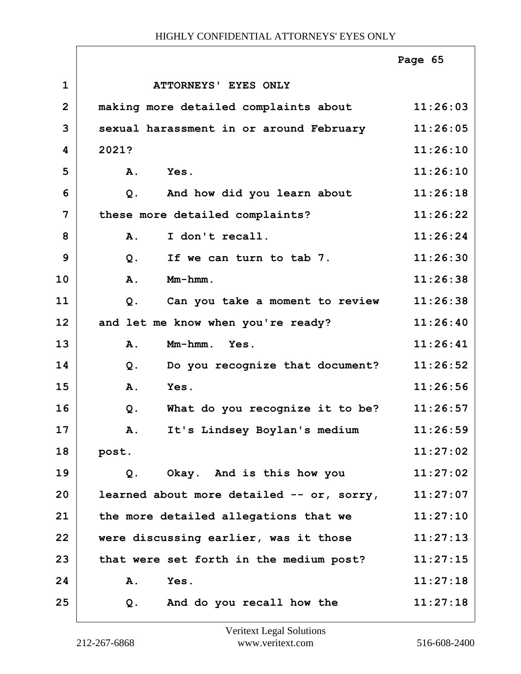|                |                                           | Page 65  |
|----------------|-------------------------------------------|----------|
| $\mathbf 1$    | ATTORNEYS' EYES ONLY                      |          |
| $\overline{2}$ | making more detailed complaints about     | 11:26:03 |
| 3              | sexual harassment in or around February   | 11:26:05 |
| 4              | 2021?                                     | 11:26:10 |
| 5              | Yes.<br>Α.                                | 11:26:10 |
| 6              | And how did you learn about<br>Q.         | 11:26:18 |
| 7              | these more detailed complaints?           | 11:26:22 |
| 8              | I don't recall.<br><b>A.</b>              | 11:26:24 |
| 9              | If we can turn to tab 7.<br>$Q$ .         | 11:26:30 |
| 10             | Mm-hmm.<br>A.                             | 11:26:38 |
| 11             | Can you take a moment to review<br>$Q$ .  | 11:26:38 |
| 12             | and let me know when you're ready?        | 11:26:40 |
| 13             | Mm-hmm. Yes.<br>A.                        | 11:26:41 |
| 14             | Do you recognize that document?<br>$Q$ .  | 11:26:52 |
| 15             | A.<br>Yes.                                | 11:26:56 |
| 16             | What do you recognize it to be?<br>$Q$ .  | 11:26:57 |
| 17             | It's Lindsey Boylan's medium<br>Α.        | 11:26:59 |
| 18             | post.                                     | 11:27:02 |
| 19             | Okay. And is this how you<br>Q.           | 11:27:02 |
| 20             | learned about more detailed -- or, sorry, | 11:27:07 |
| 21             | the more detailed allegations that we     | 11:27:10 |
| 22             | were discussing earlier, was it those     | 11:27:13 |
| 23             | that were set forth in the medium post?   | 11:27:15 |
| 24             | Yes.<br>Α.                                | 11:27:18 |
| 25             | And do you recall how the<br>Q.           | 11:27:18 |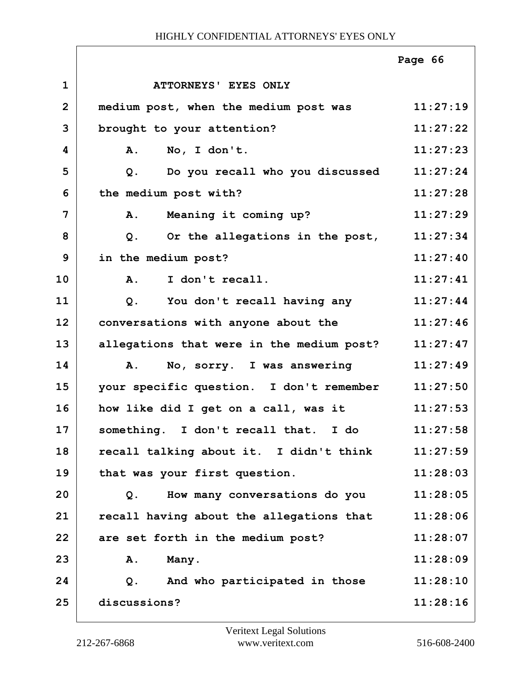|                |                                               | Page 66  |
|----------------|-----------------------------------------------|----------|
| $\mathbf{1}$   | ATTORNEYS' EYES ONLY                          |          |
| $\overline{2}$ | medium post, when the medium post was         | 11:27:19 |
| 3              | brought to your attention?                    | 11:27:22 |
| 4              | No, I don't.<br>A.                            | 11:27:23 |
| 5              | Do you recall who you discussed<br>$Q$ .      | 11:27:24 |
| 6              | the medium post with?                         | 11:27:28 |
| 7              | Meaning it coming up?<br>A.                   | 11:27:29 |
| 8              | Or the allegations in the post,<br>$Q$ .      | 11:27:34 |
| 9              | in the medium post?                           | 11:27:40 |
| 10             | I don't recall.<br>A.                         | 11:27:41 |
| 11             | You don't recall having any<br>Q <sub>1</sub> | 11:27:44 |
| 12             | conversations with anyone about the           | 11:27:46 |
| 13             | allegations that were in the medium post?     | 11:27:47 |
| 14             | No, sorry. I was answering<br>Α.              | 11:27:49 |
| 15             | your specific question. I don't remember      | 11:27:50 |
| 16             | how like did I get on a call, was it          | 11:27:53 |
| 17             | something. I don't recall that.<br>I do       | 11:27:58 |
| 18             | recall talking about it. I didn't think       | 11:27:59 |
| 19             | that was your first question.                 | 11:28:03 |
| 20             | How many conversations do you<br>Q.           | 11:28:05 |
| 21             | recall having about the allegations that      | 11:28:06 |
| 22             | are set forth in the medium post?             | 11:28:07 |
| 23             | Many.<br>Α.                                   | 11:28:09 |
| 24             | $Q$ .<br>And who participated in those        | 11:28:10 |
| 25             | discussions?                                  | 11:28:16 |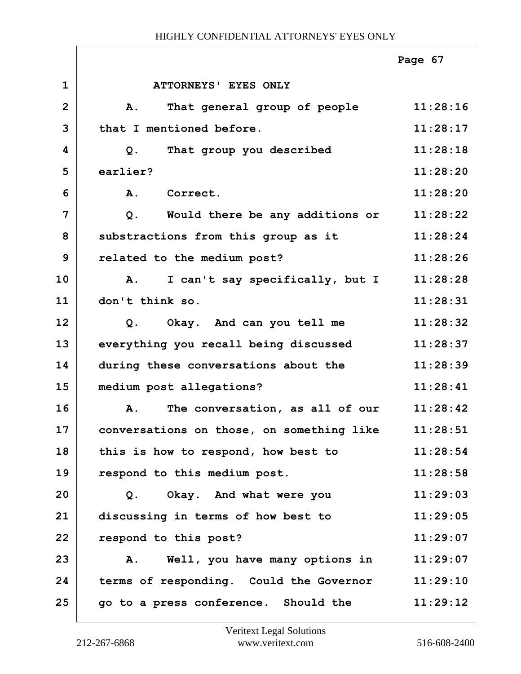|                |                                           | Page 67  |
|----------------|-------------------------------------------|----------|
| $\mathbf{1}$   | ATTORNEYS' EYES ONLY                      |          |
| $\overline{2}$ | That general group of people<br>A.        | 11:28:16 |
| 3              | that I mentioned before.                  | 11:28:17 |
| 4              | That group you described<br>Q.            | 11:28:18 |
| 5              | earlier?                                  | 11:28:20 |
| 6              | Correct.<br><b>A.</b>                     | 11:28:20 |
| 7              | Would there be any additions or<br>$Q$ .  | 11:28:22 |
| 8              | substractions from this group as it       | 11:28:24 |
| 9              | related to the medium post?               | 11:28:26 |
| 10             | I can't say specifically, but I<br>A.     | 11:28:28 |
| 11             | don't think so.                           | 11:28:31 |
| 12             | Okay. And can you tell me<br>Q.           | 11:28:32 |
| 13             | everything you recall being discussed     | 11:28:37 |
| 14             | during these conversations about the      | 11:28:39 |
| 15             | medium post allegations?                  | 11:28:41 |
| 16             | The conversation, as all of our<br>A.     | 11:28:42 |
| 17             | conversations on those, on something like | 11:28:51 |
| 18             | this is how to respond, how best to       | 11:28:54 |
| 19             | respond to this medium post.              | 11:28:58 |
| 20             | Okay. And what were you<br>Q.             | 11:29:03 |
| 21             | discussing in terms of how best to        | 11:29:05 |
| 22             | respond to this post?                     | 11:29:07 |
| 23             | Well, you have many options in<br>Α.      | 11:29:07 |
| 24             | terms of responding. Could the Governor   | 11:29:10 |
| 25             | go to a press conference. Should the      | 11:29:12 |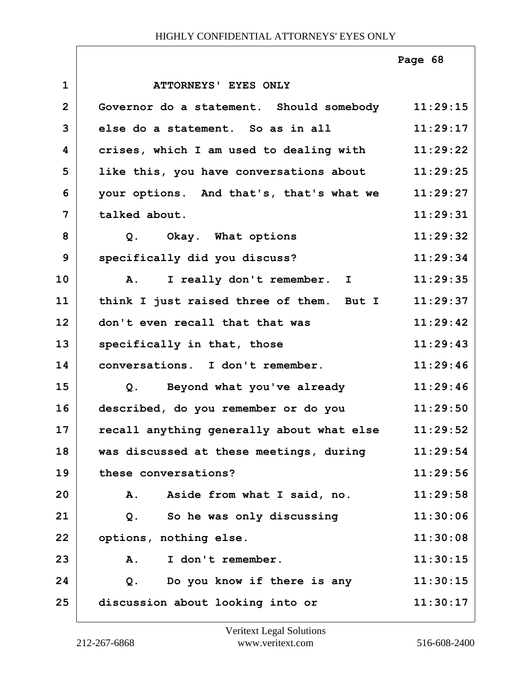|                |                                           | Page 68  |
|----------------|-------------------------------------------|----------|
| $\mathbf{1}$   | ATTORNEYS' EYES ONLY                      |          |
| $\overline{2}$ | Governor do a statement. Should somebody  | 11:29:15 |
| 3              | else do a statement. So as in all         | 11:29:17 |
| 4              | crises, which I am used to dealing with   | 11:29:22 |
| 5              | like this, you have conversations about   | 11:29:25 |
| 6              | your options. And that's, that's what we  | 11:29:27 |
| 7              | talked about.                             | 11:29:31 |
| 8              | Q. Okay. What options                     | 11:29:32 |
| 9              | specifically did you discuss?             | 11:29:34 |
| 10             | I really don't remember. I<br><b>A.</b>   | 11:29:35 |
| 11             | think I just raised three of them. But I  | 11:29:37 |
| 12             | don't even recall that that was           | 11:29:42 |
| 13             | specifically in that, those               | 11:29:43 |
| 14             | conversations. I don't remember.          | 11:29:46 |
| 15             | Q. Beyond what you've already             | 11:29:46 |
| 16             | described, do you remember or do you      | 11:29:50 |
| 17             | recall anything generally about what else | 11:29:52 |
| 18             | was discussed at these meetings, during   | 11:29:54 |
| 19             | these conversations?                      | 11:29:56 |
| 20             | Aside from what I said, no.<br><b>A.</b>  | 11:29:58 |
| 21             | So he was only discussing<br>Q.           | 11:30:06 |
| 22             | options, nothing else.                    | 11:30:08 |
| 23             | I don't remember.<br>A.                   | 11:30:15 |
| 24             | Do you know if there is any<br>Q.         | 11:30:15 |
| 25             | discussion about looking into or          | 11:30:17 |

 $\sqrt{ }$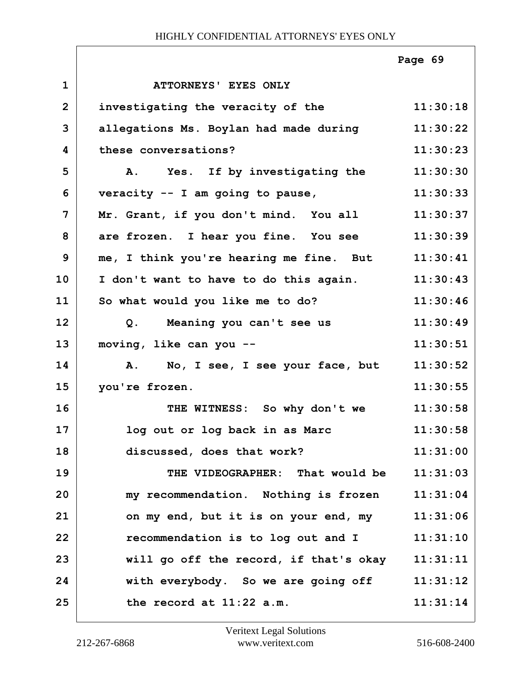|                |                                                 | Page 69  |
|----------------|-------------------------------------------------|----------|
| $\mathbf{1}$   | ATTORNEYS' EYES ONLY                            |          |
| $\overline{2}$ | investigating the veracity of the               | 11:30:18 |
| 3              | allegations Ms. Boylan had made during          | 11:30:22 |
| 4              | these conversations?                            | 11:30:23 |
| 5              | A. Yes. If by investigating the                 | 11:30:30 |
| 6              | veracity $--$ I am going to pause,              | 11:30:33 |
| $\overline{7}$ | Mr. Grant, if you don't mind. You all           | 11:30:37 |
| 8              | are frozen. I hear you fine. You see            | 11:30:39 |
| 9              | me, I think you're hearing me fine. But         | 11:30:41 |
| 10             | I don't want to have to do this again.          | 11:30:43 |
| 11             | So what would you like me to do?                | 11:30:46 |
| 12             | Meaning you can't see us<br>Q <sub>1</sub>      | 11:30:49 |
| 13             | moving, like can you --                         | 11:30:51 |
| 14             | A. No, I see, I see your face, but              | 11:30:52 |
| 15             | you're frozen.                                  | 11:30:55 |
| 16             | THE WITNESS: So why don't we                    | 11:30:58 |
| 17             | log out or log back in as Marc                  | 11:30:58 |
| 18             | discussed, does that work?                      | 11:31:00 |
| 19             | THE VIDEOGRAPHER: That would be                 | 11:31:03 |
| 20             | my recommendation. Nothing is frozen            | 11:31:04 |
| 21             | on my end, but it is on your end, my            | 11:31:06 |
| 22             | recommendation is to log out and I              | 11:31:10 |
| 23             | will go off the record, if that's okay 11:31:11 |          |
| 24             | with everybody. So we are going off             | 11:31:12 |
| 25             | the record at 11:22 a.m.                        | 11:31:14 |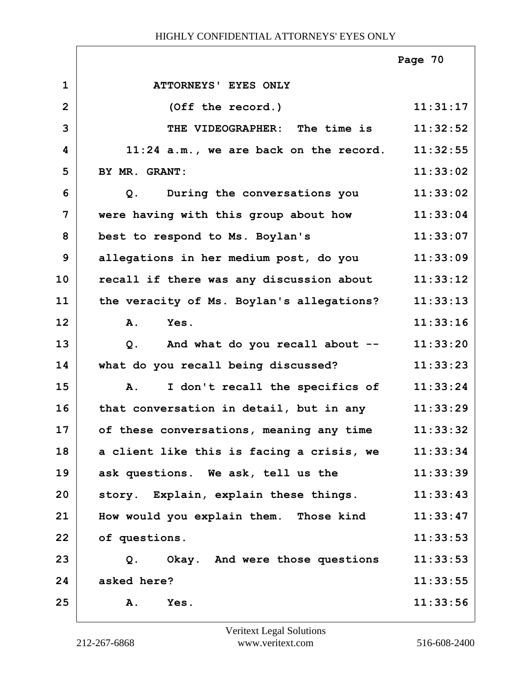|                |                                           | Page 70  |
|----------------|-------------------------------------------|----------|
| $\mathbf{1}$   | ATTORNEYS' EYES ONLY                      |          |
| $\overline{2}$ | (Off the record.)                         | 11:31:17 |
| 3              | THE VIDEOGRAPHER: The time is             | 11:32:52 |
| 4              | $11:24$ a.m., we are back on the record.  | 11:32:55 |
| 5              | BY MR. GRANT:                             | 11:33:02 |
| 6              | During the conversations you<br>Q.        | 11:33:02 |
| $\overline{7}$ | were having with this group about how     | 11:33:04 |
| 8              | best to respond to Ms. Boylan's           | 11:33:07 |
| 9              | allegations in her medium post, do you    | 11:33:09 |
| 10             | recall if there was any discussion about  | 11:33:12 |
| 11             | the veracity of Ms. Boylan's allegations? | 11:33:13 |
| 12             | Yes.<br>A.                                | 11:33:16 |
| 13             | And what do you recall about --<br>Q.     | 11:33:20 |
| 14             | what do you recall being discussed?       | 11:33:23 |
| 15             | I don't recall the specifics of<br>Α.     | 11:33:24 |
| 16             | that conversation in detail, but in any   | 11:33:29 |
| 17             | of these conversations, meaning any time  | 11:33:32 |
| 18             | a client like this is facing a crisis, we | 11:33:34 |
| 19             | ask questions. We ask, tell us the        | 11:33:39 |
| 20             | story. Explain, explain these things.     | 11:33:43 |
| 21             | How would you explain them. Those kind    | 11:33:47 |
| 22             | of questions.                             | 11:33:53 |
| 23             | Okay. And were those questions<br>Q.      | 11:33:53 |
| 24             | asked here?                               | 11:33:55 |
| 25             | Α.<br>Yes.                                | 11:33:56 |

٦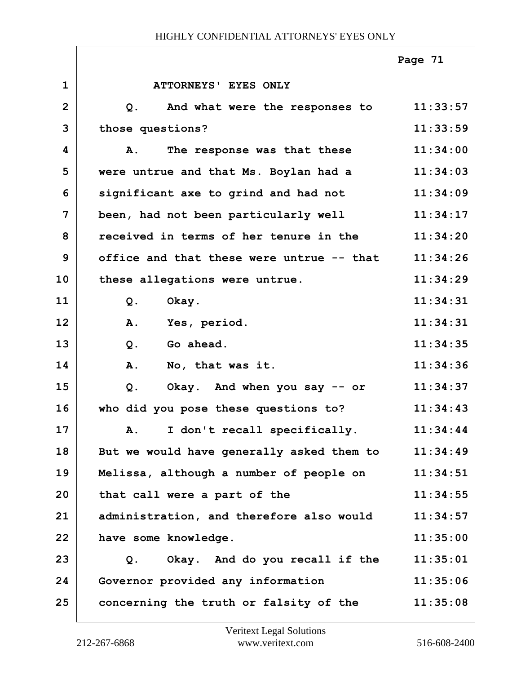|                         |                                           | Page 71  |
|-------------------------|-------------------------------------------|----------|
| $\mathbf 1$             | ATTORNEYS' EYES ONLY                      |          |
| $\overline{2}$          | And what were the responses to<br>Q.      | 11:33:57 |
| 3                       | those questions?                          | 11:33:59 |
| $\overline{\mathbf{4}}$ | The response was that these<br>Α.         | 11:34:00 |
| 5                       | were untrue and that Ms. Boylan had a     | 11:34:03 |
| 6                       | significant axe to grind and had not      | 11:34:09 |
| 7                       | been, had not been particularly well      | 11:34:17 |
| 8                       | received in terms of her tenure in the    | 11:34:20 |
| 9                       | office and that these were untrue -- that | 11:34:26 |
| 10                      | these allegations were untrue.            | 11:34:29 |
| 11                      | Okay.<br>$Q$ .                            | 11:34:31 |
| 12                      | Yes, period.<br>A.                        | 11:34:31 |
| 13                      | $Q$ .<br>Go ahead.                        | 11:34:35 |
| 14                      | A.<br>No, that was it.                    | 11:34:36 |
| 15                      | Okay. And when you say -- or<br>Q.        | 11:34:37 |
| 16                      | who did you pose these questions to?      | 11:34:43 |
| 17                      | I don't recall specifically.<br>А.        | 11:34:44 |
| 18                      | But we would have generally asked them to | 11:34:49 |
| 19                      | Melissa, although a number of people on   | 11:34:51 |
| 20                      | that call were a part of the              | 11:34:55 |
| 21                      | administration, and therefore also would  | 11:34:57 |
| 22                      | have some knowledge.                      | 11:35:00 |
| 23                      | Okay. And do you recall if the<br>Q.      | 11:35:01 |
| 24                      | Governor provided any information         | 11:35:06 |
| 25                      | concerning the truth or falsity of the    | 11:35:08 |

ī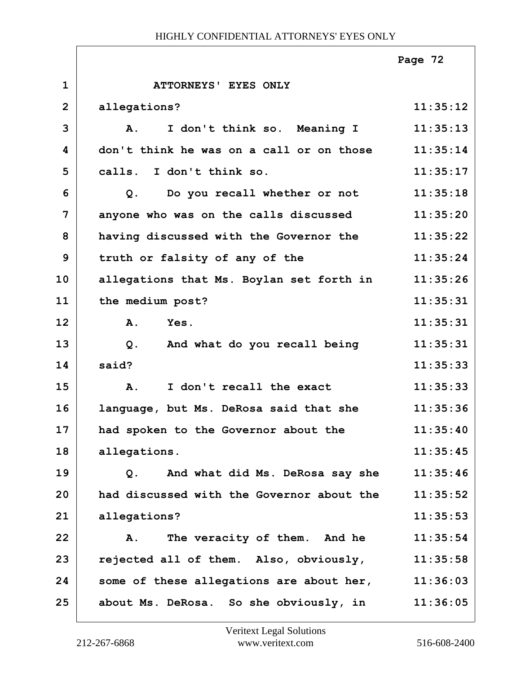|                |                                               | Page 72  |
|----------------|-----------------------------------------------|----------|
| $\mathbf{1}$   | ATTORNEYS' EYES ONLY                          |          |
| $\overline{2}$ | allegations?                                  | 11:35:12 |
| 3              | I don't think so. Meaning I<br>$\mathbf{A}$ . | 11:35:13 |
| 4              | don't think he was on a call or on those      | 11:35:14 |
| 5              | calls. I don't think so.                      | 11:35:17 |
| 6              | Do you recall whether or not<br>$Q$ .         | 11:35:18 |
| 7              | anyone who was on the calls discussed         | 11:35:20 |
| 8              | having discussed with the Governor the        | 11:35:22 |
| 9              | truth or falsity of any of the                | 11:35:24 |
| 10             | allegations that Ms. Boylan set forth in      | 11:35:26 |
| 11             | the medium post?                              | 11:35:31 |
| 12             | A.<br>Yes.                                    | 11:35:31 |
| 13             | And what do you recall being<br>$Q$ .         | 11:35:31 |
| 14             | said?                                         | 11:35:33 |
| 15             | I don't recall the exact<br><b>A.</b>         | 11:35:33 |
| 16             | language, but Ms. DeRosa said that she        | 11:35:36 |
| 17             | had spoken to the Governor about the          | 11:35:40 |
| 18             | allegations.                                  | 11:35:45 |
| 19             | And what did Ms. DeRosa say she<br>Q.         | 11:35:46 |
| 20             | had discussed with the Governor about the     | 11:35:52 |
| 21             | allegations?                                  | 11:35:53 |
| 22             | The veracity of them. And he<br>Α.            | 11:35:54 |
| 23             | rejected all of them. Also, obviously,        | 11:35:58 |
| 24             | some of these allegations are about her,      | 11:36:03 |
| 25             | about Ms. DeRosa. So she obviously, in        | 11:36:05 |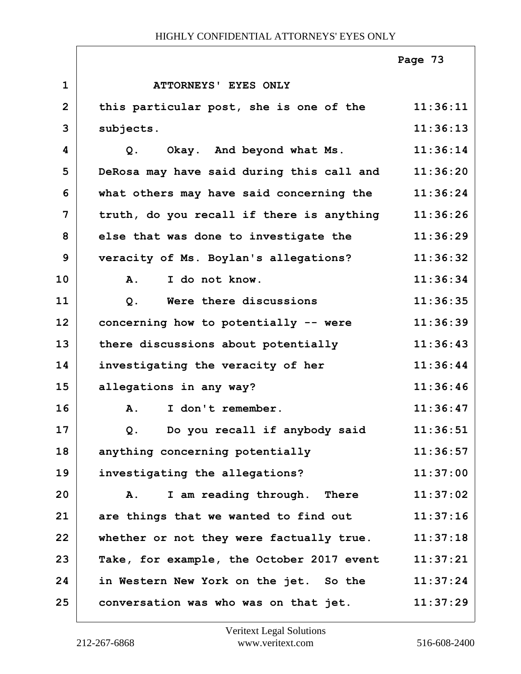|                |                                           | Page 73  |
|----------------|-------------------------------------------|----------|
| $\mathbf{1}$   | ATTORNEYS' EYES ONLY                      |          |
| $\overline{2}$ | this particular post, she is one of the   | 11:36:11 |
| 3              | subjects.                                 | 11:36:13 |
| 4              | Okay. And beyond what Ms.<br>Q.           | 11:36:14 |
| 5              | DeRosa may have said during this call and | 11:36:20 |
| 6              | what others may have said concerning the  | 11:36:24 |
| 7              | truth, do you recall if there is anything | 11:36:26 |
| 8              | else that was done to investigate the     | 11:36:29 |
| 9              | veracity of Ms. Boylan's allegations?     | 11:36:32 |
| 10             | I do not know.<br>Α.                      | 11:36:34 |
| 11             | Were there discussions<br>Q.              | 11:36:35 |
| 12             | concerning how to potentially -- were     | 11:36:39 |
| 13             | there discussions about potentially       | 11:36:43 |
| 14             | investigating the veracity of her         | 11:36:44 |
| 15             | allegations in any way?                   | 11:36:46 |
| 16             | I don't remember.<br>Α.                   | 11:36:47 |
| 17             | Do you recall if anybody said<br>Q.       | 11:36:51 |
| 18             | anything concerning potentially           | 11:36:57 |
| 19             | investigating the allegations?            | 11:37:00 |
| 20             | I am reading through. There<br>A.         | 11:37:02 |
| 21             | are things that we wanted to find out     | 11:37:16 |
| 22             | whether or not they were factually true.  | 11:37:18 |
| 23             | Take, for example, the October 2017 event | 11:37:21 |
| 24             | in Western New York on the jet. So the    | 11:37:24 |
| 25             | conversation was who was on that jet.     | 11:37:29 |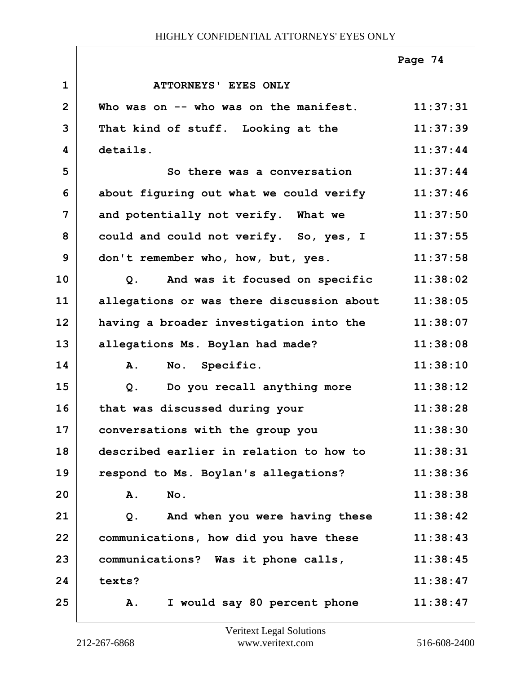|                |                                               | Page 74  |
|----------------|-----------------------------------------------|----------|
| $\mathbf{1}$   | <b>ATTORNEYS' EYES ONLY</b>                   |          |
| $\overline{2}$ | Who was on -- who was on the manifest.        | 11:37:31 |
| 3              | That kind of stuff. Looking at the            | 11:37:39 |
| 4              | details.                                      | 11:37:44 |
| 5              | So there was a conversation                   | 11:37:44 |
| 6              | about figuring out what we could verify       | 11:37:46 |
| $\overline{7}$ | and potentially not verify. What we           | 11:37:50 |
| 8              | could and could not verify. So, yes, I        | 11:37:55 |
| 9              | don't remember who, how, but, yes.            | 11:37:58 |
| 10             | And was it focused on specific<br>Q.          | 11:38:02 |
| 11             | allegations or was there discussion about     | 11:38:05 |
| 12             | having a broader investigation into the       | 11:38:07 |
| 13             | allegations Ms. Boylan had made?              | 11:38:08 |
| 14             | No. Specific.<br>A.                           | 11:38:10 |
| 15             | Do you recall anything more<br>Q <sub>1</sub> | 11:38:12 |
| 16             | that was discussed during your                | 11:38:28 |
| 17             | conversations with the group you              | 11:38:30 |
| 18             | described earlier in relation to how to       | 11:38:31 |
| 19             | respond to Ms. Boylan's allegations?          | 11:38:36 |
| 20             | No.<br>A.                                     | 11:38:38 |
| 21             | And when you were having these<br>Q.          | 11:38:42 |
| 22             | communications, how did you have these        | 11:38:43 |
| 23             | communications? Was it phone calls,           | 11:38:45 |
| 24             | texts?                                        | 11:38:47 |
| 25             | I would say 80 percent phone<br>A.            | 11:38:47 |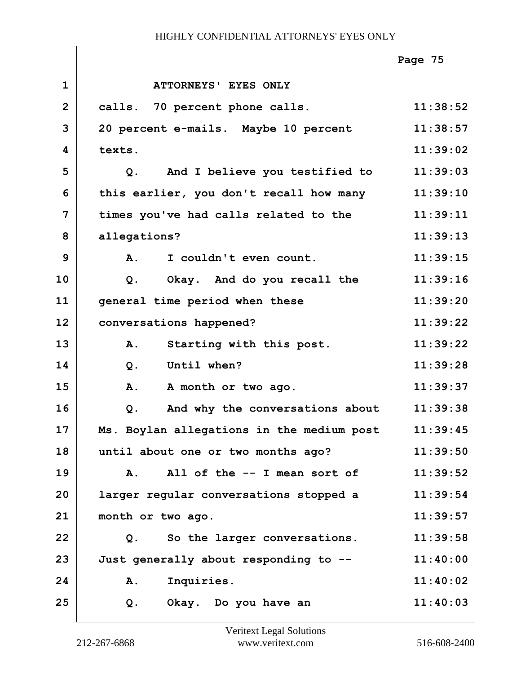|                |                                           | Page 75  |
|----------------|-------------------------------------------|----------|
| $\mathbf{1}$   | ATTORNEYS' EYES ONLY                      |          |
| $\overline{2}$ | calls. 70 percent phone calls.            | 11:38:52 |
| 3              | 20 percent e-mails. Maybe 10 percent      | 11:38:57 |
| 4              | texts.                                    | 11:39:02 |
| 5              | And I believe you testified to<br>$Q$ .   | 11:39:03 |
| 6              | this earlier, you don't recall how many   | 11:39:10 |
| 7              | times you've had calls related to the     | 11:39:11 |
| 8              | allegations?                              | 11:39:13 |
| 9              | A.<br>I couldn't even count.              | 11:39:15 |
| 10             | Okay. And do you recall the<br>Q.         | 11:39:16 |
| 11             | general time period when these            | 11:39:20 |
| 12             | conversations happened?                   | 11:39:22 |
| 13             | Starting with this post.<br>A.            | 11:39:22 |
| 14             | Until when?<br>$Q$ .                      | 11:39:28 |
| 15             | A month or two ago.<br>A.                 | 11:39:37 |
| 16             | And why the conversations about<br>$Q$ .  | 11:39:38 |
| 17             | Ms. Boylan allegations in the medium post | 11:39:45 |
| 18             | until about one or two months ago?        | 11:39:50 |
| 19             | All of the -- I mean sort of<br>Α.        | 11:39:52 |
| 20             | larger regular conversations stopped a    | 11:39:54 |
| 21             | month or two ago.                         | 11:39:57 |
| 22             | Q. So the larger conversations.           | 11:39:58 |
| 23             | Just generally about responding to --     | 11:40:00 |
| 24             | Inquiries.<br>A.                          | 11:40:02 |
| 25             | Okay. Do you have an<br>Q.                | 11:40:03 |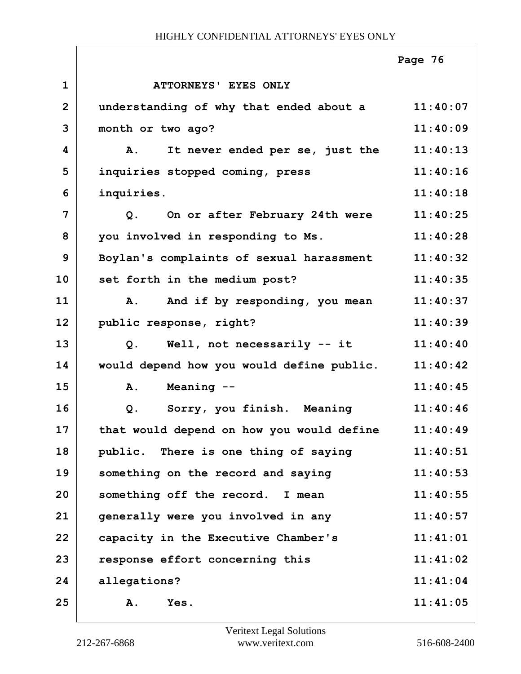|                |                                                    | Page 76  |
|----------------|----------------------------------------------------|----------|
| $\mathbf{1}$   | ATTORNEYS' EYES ONLY                               |          |
| $\overline{2}$ | understanding of why that ended about a            | 11:40:07 |
| 3              | month or two ago?                                  | 11:40:09 |
| 4              | It never ended per se, just the<br>$\mathbf{A}$ .  | 11:40:13 |
| 5              | inquiries stopped coming, press                    | 11:40:16 |
| 6              | inquiries.                                         | 11:40:18 |
| $\overline{7}$ | On or after February 24th were<br>Q.               | 11:40:25 |
| 8              | you involved in responding to Ms.                  | 11:40:28 |
| 9              | Boylan's complaints of sexual harassment           | 11:40:32 |
| 10             | set forth in the medium post?                      | 11:40:35 |
| 11             | And if by responding, you mean<br>Α.               | 11:40:37 |
| 12             | public response, right?                            | 11:40:39 |
| 13             | Q. Well, not necessarily -- it                     | 11:40:40 |
| 14             | would depend how you would define public.          | 11:40:42 |
| 15             | Meaning --<br><b>A.</b>                            | 11:40:45 |
| 16             | Sorry, you finish. Meaning<br>Q.                   | 11:40:46 |
| 17             | that would depend on how you would define 11:40:49 |          |
| 18             | public. There is one thing of saying               | 11:40:51 |
| 19             | something on the record and saying                 | 11:40:53 |
| 20             | something off the record. I mean                   | 11:40:55 |
| 21             | generally were you involved in any                 | 11:40:57 |
| 22             | capacity in the Executive Chamber's                | 11:41:01 |
| 23             | response effort concerning this                    | 11:41:02 |
| 24             | allegations?                                       | 11:41:04 |
| 25             | Yes.<br><b>A.</b>                                  | 11:41:05 |
|                |                                                    |          |

 $\overline{1}$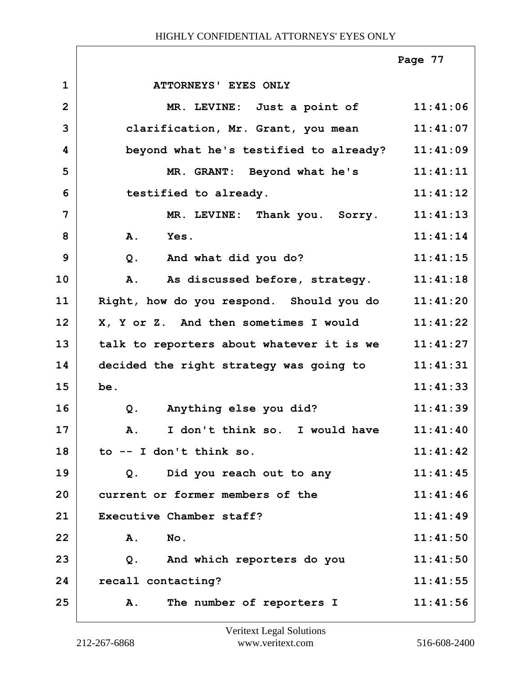|                |                                                  | Page 77  |
|----------------|--------------------------------------------------|----------|
| $\mathbf 1$    | ATTORNEYS' EYES ONLY                             |          |
| $\overline{2}$ | MR. LEVINE: Just a point of 11:41:06             |          |
| 3              | clarification, Mr. Grant, you mean               | 11:41:07 |
| 4              | beyond what he's testified to already?           | 11:41:09 |
| 5              | MR. GRANT: Beyond what he's                      | 11:41:11 |
| 6              | testified to already.                            | 11:41:12 |
| 7              | MR. LEVINE: Thank you. Sorry.                    | 11:41:13 |
| 8              | A.<br>Yes.                                       | 11:41:14 |
| 9              | Q <sub>1</sub><br>And what did you do?           | 11:41:15 |
| 10             | As discussed before, strategy.<br>A.             | 11:41:18 |
| 11             | Right, how do you respond. Should you do         | 11:41:20 |
| 12             | X, Y or Z. And then sometimes I would            | 11:41:22 |
| 13             | talk to reporters about whatever it is we        | 11:41:27 |
| 14             | decided the right strategy was going to          | 11:41:31 |
| 15             | be.                                              | 11:41:33 |
| 16             | $Q$ .<br>Anything else you did?                  | 11:41:39 |
| 17             | I don't think so. I would have<br>$\mathbf{A}$ . | 11:41:40 |
| 18             | to -- I don't think so.                          | 11:41:42 |
| 19             | Did you reach out to any<br>Q.                   | 11:41:45 |
| 20             | current or former members of the                 | 11:41:46 |
| 21             | Executive Chamber staff?                         | 11:41:49 |
| 22             | No.<br>Α.                                        | 11:41:50 |
| 23             | And which reporters do you<br>$Q$ .              | 11:41:50 |
| 24             | recall contacting?                               | 11:41:55 |
| 25             | The number of reporters I<br>Α.                  | 11:41:56 |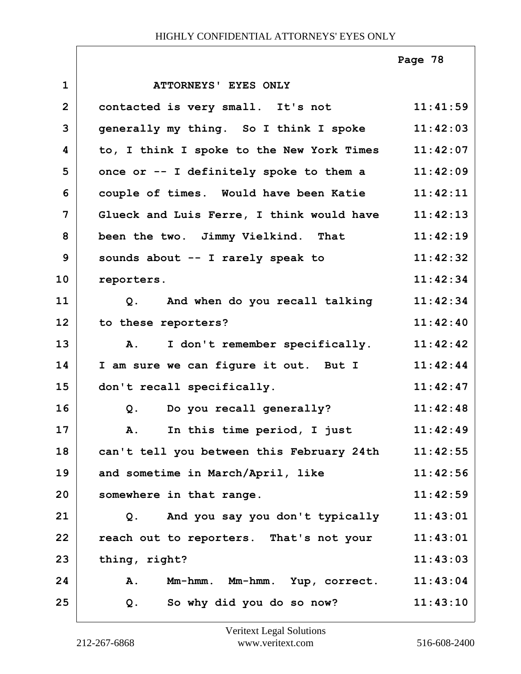|                |                                                  | Page 78  |
|----------------|--------------------------------------------------|----------|
| $\mathbf{1}$   | ATTORNEYS' EYES ONLY                             |          |
| $\overline{2}$ | contacted is very small. It's not                | 11:41:59 |
| 3              | generally my thing. So I think I spoke           | 11:42:03 |
| 4              | to, I think I spoke to the New York Times        | 11:42:07 |
| 5              | once or -- I definitely spoke to them a          | 11:42:09 |
| 6              | couple of times. Would have been Katie           | 11:42:11 |
| $\overline{7}$ | Glueck and Luis Ferre, I think would have        | 11:42:13 |
| 8              | been the two. Jimmy Vielkind. That               | 11:42:19 |
| 9              | sounds about -- I rarely speak to                | 11:42:32 |
| 10             | reporters.                                       | 11:42:34 |
| 11             | Q. And when do you recall talking                | 11:42:34 |
| 12             | to these reporters?                              | 11:42:40 |
| 13             | I don't remember specifically.<br>$\mathbf{A}$ . | 11:42:42 |
| 14             | I am sure we can figure it out. But I            | 11:42:44 |
| 15             | don't recall specifically.                       | 11:42:47 |
| 16             | Do you recall generally?<br>$Q$ .                | 11:42:48 |
| 17             | In this time period, I just<br>A.                | 11:42:49 |
| 18             | can't tell you between this February 24th        | 11:42:55 |
| 19             | and sometime in March/April, like                | 11:42:56 |
| 20             | somewhere in that range.                         | 11:42:59 |
| 21             | Q. And you say you don't typically               | 11:43:01 |
| 22             | reach out to reporters. That's not your          | 11:43:01 |
| 23             | thing, right?                                    | 11:43:03 |
| 24             | Mm-hmm. Mm-hmm. Yup, correct.<br>A.              | 11:43:04 |
| 25             | So why did you do so now?<br>Q.                  | 11:43:10 |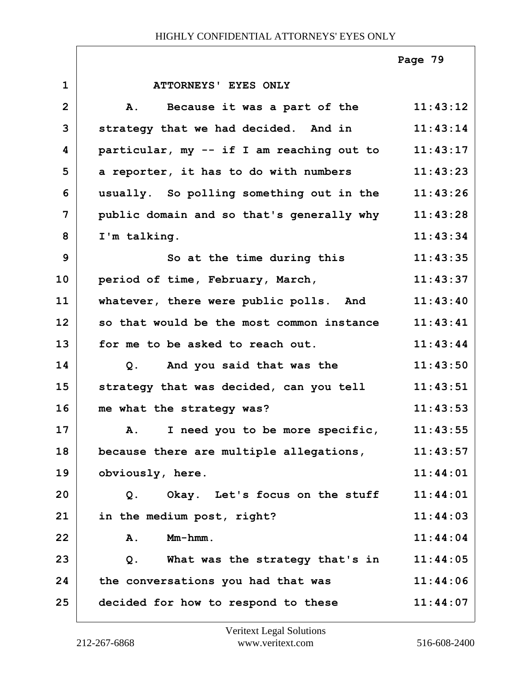**1 ATTORNEYS' EYES ONLY 2 A. Because it was a part of the 11:43:12 3 strategy that we had decided. And in 11:43:14 4 particular, my -- if I am reaching out to 11:43:17 5 a reporter, it has to do with numbers 11:43:23 6 usually. So polling something out in the 11:43:26 7 public domain and so that's generally why 11:43:28 8 I'm talking. 11:43:34 9** So at the time during this 11:43:35 **10 period of time, February, March, 11:43:37 11 whatever, there were public polls. And 11:43:40 12 so that would be the most common instance 11:43:41 13 for me to be asked to reach out. 11:43:44 14 Q. And you said that was the 11:43:50 15 strategy that was decided, can you tell 11:43:51 16 me what the strategy was? 11:43:53 17 A. I need you to be more specific, 11:43:55 18 because there are multiple allegations, 11:43:57** 19 obviously, here. 11:44:01 **20 Q. Okay. Let's focus on the stuff 11:44:01 21 in the medium post, right? 11:44:03 22 A. Mm-hmm. 11:44:04 23 Q. What was the strategy that's in 11:44:05 24 the conversations you had that was 11:44:06 25 decided for how to respond to these 11:44:07 Page 79**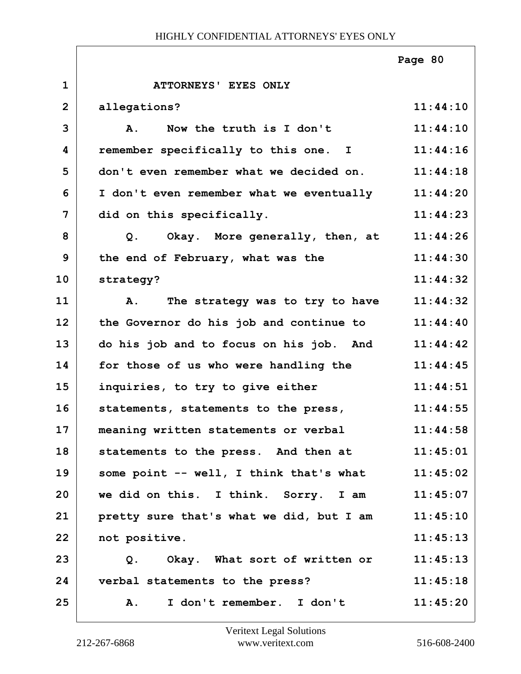|                |                                               | Page 80  |
|----------------|-----------------------------------------------|----------|
| $\mathbf{1}$   | ATTORNEYS' EYES ONLY                          |          |
| $\overline{2}$ | allegations?                                  | 11:44:10 |
| 3              | Now the truth is I don't<br><b>A</b> .        | 11:44:10 |
| 4              | remember specifically to this one. I          | 11:44:16 |
| 5              | don't even remember what we decided on.       | 11:44:18 |
| 6              | I don't even remember what we eventually      | 11:44:20 |
| $\overline{7}$ | did on this specifically.                     | 11:44:23 |
| 8              | Okay. More generally, then, at<br>Q.          | 11:44:26 |
| 9              | the end of February, what was the             | 11:44:30 |
| 10             | strategy?                                     | 11:44:32 |
| 11             | The strategy was to try to have<br>Α.         | 11:44:32 |
| 12             | the Governor do his job and continue to       | 11:44:40 |
| 13             | do his job and to focus on his job. And       | 11:44:42 |
| 14             | for those of us who were handling the         | 11:44:45 |
| 15             | inquiries, to try to give either              | 11:44:51 |
| 16             | statements, statements to the press,          | 11:44:55 |
| 17             | meaning written statements or verbal 11:44:58 |          |
| 18             | statements to the press. And then at          | 11:45:01 |
| 19             | some point -- well, I think that's what       | 11:45:02 |
| 20             | we did on this. I think. Sorry. I am          | 11:45:07 |
| 21             | pretty sure that's what we did, but I am      | 11:45:10 |
| 22             | not positive.                                 | 11:45:13 |
| 23             | Okay. What sort of written or<br>Q.           | 11:45:13 |
| 24             | verbal statements to the press?               | 11:45:18 |
| 25             | I don't remember. I don't<br>Α.               | 11:45:20 |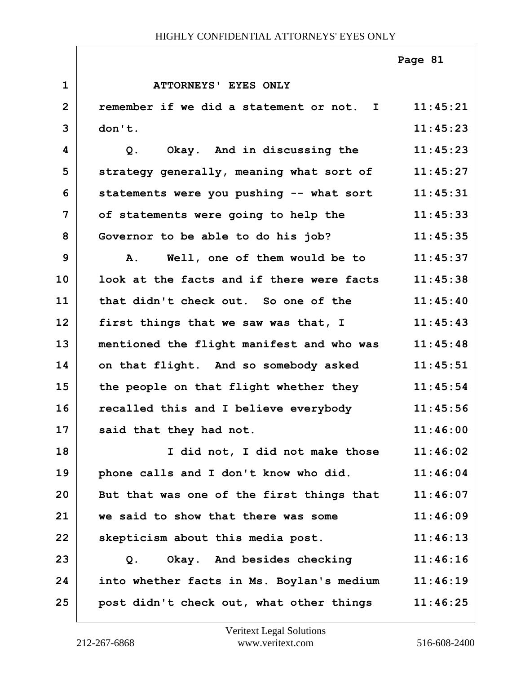|                |                                                   | Page 81  |
|----------------|---------------------------------------------------|----------|
| $\mathbf{1}$   | ATTORNEYS' EYES ONLY                              |          |
| $\overline{2}$ | remember if we did a statement or not. I          | 11:45:21 |
| 3              | don't.                                            | 11:45:23 |
| 4              | Okay. And in discussing the<br>Q.                 | 11:45:23 |
| 5              | strategy generally, meaning what sort of 11:45:27 |          |
| 6              | statements were you pushing -- what sort 11:45:31 |          |
| $\overline{7}$ | of statements were going to help the              | 11:45:33 |
| 8              | Governor to be able to do his job?                | 11:45:35 |
| 9              | Well, one of them would be to 11:45:37<br>Α.      |          |
| 10             | look at the facts and if there were facts         | 11:45:38 |
| 11             | that didn't check out. So one of the              | 11:45:40 |
| 12             | first things that we saw was that, I              | 11:45:43 |
| 13             | mentioned the flight manifest and who was         | 11:45:48 |
| 14             | on that flight. And so somebody asked             | 11:45:51 |
| 15             | the people on that flight whether they            | 11:45:54 |
| 16             | recalled this and I believe everybody             | 11:45:56 |
| 17             | said that they had not.                           | 11:46:00 |
| 18             | I did not, I did not make those                   | 11:46:02 |
| 19             | phone calls and I don't know who did.             | 11:46:04 |
| 20             | But that was one of the first things that         | 11:46:07 |
| 21             | we said to show that there was some               | 11:46:09 |
| 22             | skepticism about this media post.                 | 11:46:13 |
| 23             | Okay. And besides checking<br>Q.                  | 11:46:16 |
| 24             | into whether facts in Ms. Boylan's medium         | 11:46:19 |
| 25             | post didn't check out, what other things          | 11:46:25 |

ı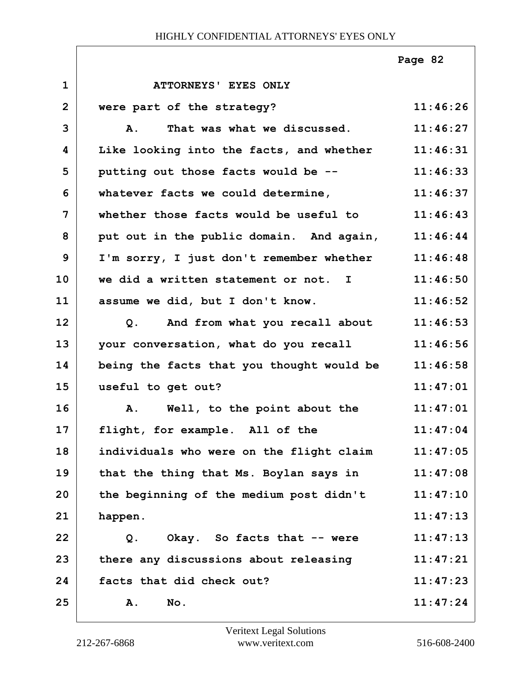|                |                                           | Page 82  |
|----------------|-------------------------------------------|----------|
| $\mathbf{1}$   | ATTORNEYS' EYES ONLY                      |          |
| $\overline{2}$ | were part of the strategy?                | 11:46:26 |
| 3              | That was what we discussed.<br>A.         | 11:46:27 |
| 4              | Like looking into the facts, and whether  | 11:46:31 |
| 5              | putting out those facts would be --       | 11:46:33 |
| 6              | whatever facts we could determine,        | 11:46:37 |
| $\overline{7}$ | whether those facts would be useful to    | 11:46:43 |
| 8              | put out in the public domain. And again,  | 11:46:44 |
| 9              | I'm sorry, I just don't remember whether  | 11:46:48 |
| 10             | we did a written statement or not. I      | 11:46:50 |
| 11             | assume we did, but I don't know.          | 11:46:52 |
| 12             | And from what you recall about<br>Q.      | 11:46:53 |
| 13             | your conversation, what do you recall     | 11:46:56 |
| 14             | being the facts that you thought would be | 11:46:58 |
| 15             | useful to get out?                        | 11:47:01 |
| 16             | A. Well, to the point about the           | 11:47:01 |
| 17             | flight, for example. All of the           | 11:47:04 |
| 18             | individuals who were on the flight claim  | 11:47:05 |
| 19             | that the thing that Ms. Boylan says in    | 11:47:08 |
| 20             | the beginning of the medium post didn't   | 11:47:10 |
| 21             | happen.                                   | 11:47:13 |
| 22             | Okay. So facts that -- were<br>Q.         | 11:47:13 |
| 23             | there any discussions about releasing     | 11:47:21 |
| 24             | facts that did check out?                 | 11:47:23 |
| 25             | No.<br>Α.                                 | 11:47:24 |

Г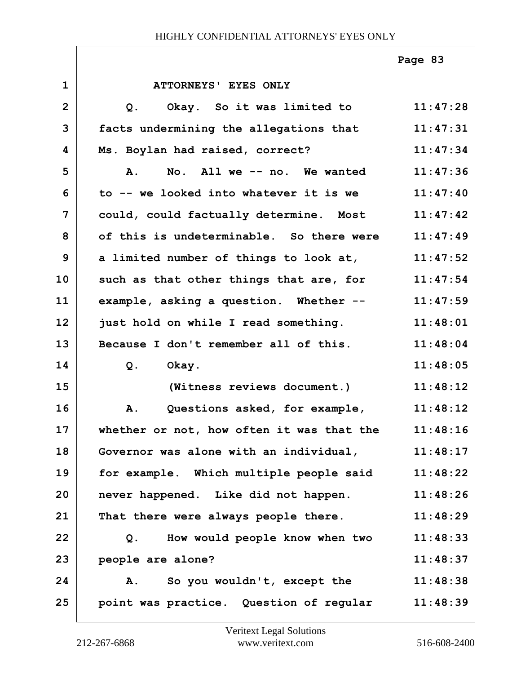|                |                                                 | Page 83  |
|----------------|-------------------------------------------------|----------|
| $\mathbf{1}$   | ATTORNEYS' EYES ONLY                            |          |
| $\overline{2}$ | Okay. So it was limited to<br>$Q$ .             | 11:47:28 |
| 3              | facts undermining the allegations that          | 11:47:31 |
| 4              | Ms. Boylan had raised, correct?                 | 11:47:34 |
| 5              | A.<br>No. All we -- no. We wanted               | 11:47:36 |
| 6              | to -- we looked into whatever it is we          | 11:47:40 |
| $\overline{7}$ | could, could factually determine. Most 11:47:42 |          |
| 8              | of this is undeterminable. So there were        | 11:47:49 |
| 9              | a limited number of things to look at,          | 11:47:52 |
| 10             | such as that other things that are, for         | 11:47:54 |
| 11             | example, asking a question. Whether --          | 11:47:59 |
| 12             | just hold on while I read something.            | 11:48:01 |
| 13             | Because I don't remember all of this.           | 11:48:04 |
| 14             | $Q$ .<br>Okay.                                  | 11:48:05 |
| 15             | (Witness reviews document.)                     | 11:48:12 |
| 16             | Questions asked, for example,<br>A.             | 11:48:12 |
| 17             | whether or not, how often it was that the       | 11:48:16 |
| 18             | Governor was alone with an individual,          | 11:48:17 |
| 19             | for example. Which multiple people said         | 11:48:22 |
| 20             | never happened. Like did not happen.            | 11:48:26 |
| 21             | That there were always people there.            | 11:48:29 |
| 22             | How would people know when two<br>Q.            | 11:48:33 |
| 23             | people are alone?                               | 11:48:37 |
| 24             | So you wouldn't, except the<br>Α.               | 11:48:38 |
| 25             | point was practice. Question of regular         | 11:48:39 |

Г

ı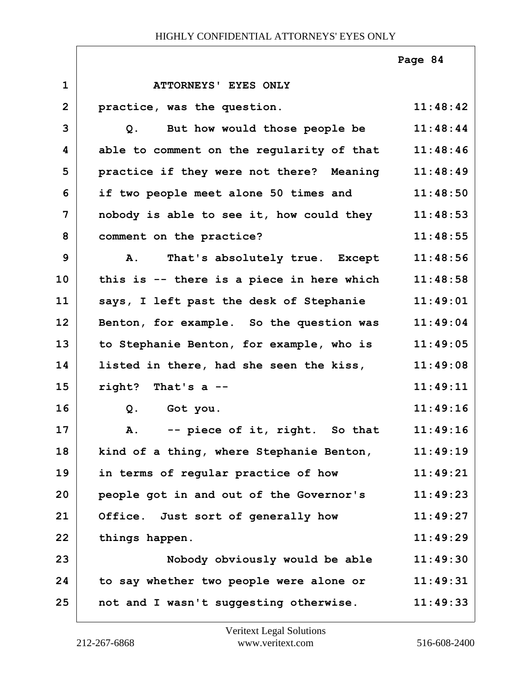|                |                                           | Page 84  |
|----------------|-------------------------------------------|----------|
| $\mathbf{1}$   | ATTORNEYS' EYES ONLY                      |          |
| $\overline{2}$ | practice, was the question.               | 11:48:42 |
| 3              | But how would those people be<br>Q.       | 11:48:44 |
| 4              | able to comment on the regularity of that | 11:48:46 |
| 5              | practice if they were not there? Meaning  | 11:48:49 |
| 6              | if two people meet alone 50 times and     | 11:48:50 |
| $\overline{7}$ | nobody is able to see it, how could they  | 11:48:53 |
| 8              | comment on the practice?                  | 11:48:55 |
| 9              | That's absolutely true. Except<br>A.      | 11:48:56 |
| 10             | this is -- there is a piece in here which | 11:48:58 |
| 11             | says, I left past the desk of Stephanie   | 11:49:01 |
| 12             | Benton, for example. So the question was  | 11:49:04 |
| 13             | to Stephanie Benton, for example, who is  | 11:49:05 |
| 14             | listed in there, had she seen the kiss,   | 11:49:08 |
| 15             | right? That's $a$ --                      | 11:49:11 |
| 16             | Q.<br>Got you.                            | 11:49:16 |
| 17             | -- piece of it, right. So that<br>A.      | 11:49:16 |
| 18             | kind of a thing, where Stephanie Benton,  | 11:49:19 |
| 19             | in terms of regular practice of how       | 11:49:21 |
| 20             | people got in and out of the Governor's   | 11:49:23 |
| 21             | Office. Just sort of generally how        | 11:49:27 |
| 22             | things happen.                            | 11:49:29 |
| 23             | Nobody obviously would be able            | 11:49:30 |
| 24             | to say whether two people were alone or   | 11:49:31 |
| 25             | not and I wasn't suggesting otherwise.    | 11:49:33 |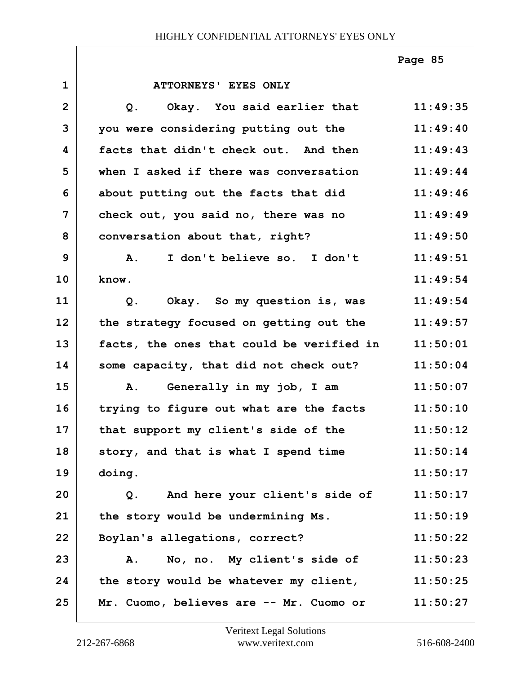|                |                                           | Page 85  |
|----------------|-------------------------------------------|----------|
| $\mathbf{1}$   | ATTORNEYS' EYES ONLY                      |          |
| $\overline{2}$ | Okay. You said earlier that<br>$Q$ .      | 11:49:35 |
| 3              | you were considering putting out the      | 11:49:40 |
| 4              | facts that didn't check out. And then     | 11:49:43 |
| 5              | when I asked if there was conversation    | 11:49:44 |
| 6              | about putting out the facts that did      | 11:49:46 |
| $\overline{7}$ | check out, you said no, there was no      | 11:49:49 |
| 8              | conversation about that, right?           | 11:49:50 |
| 9              | I don't believe so. I don't<br>A.         | 11:49:51 |
| 10             | know.                                     | 11:49:54 |
| 11             | Okay. So my question is, was<br>Q.        | 11:49:54 |
| 12             | the strategy focused on getting out the   | 11:49:57 |
| 13             | facts, the ones that could be verified in | 11:50:01 |
| 14             | some capacity, that did not check out?    | 11:50:04 |
| 15             | Generally in my job, I am<br>Α.           | 11:50:07 |
| 16             | trying to figure out what are the facts   | 11:50:10 |
| 17             | that support my client's side of the      | 11:50:12 |
| 18             | story, and that is what I spend time      | 11:50:14 |
| 19             | doing.                                    | 11:50:17 |
| 20             | And here your client's side of<br>Q.      | 11:50:17 |
| 21             | the story would be undermining Ms.        | 11:50:19 |
| 22             | Boylan's allegations, correct?            | 11:50:22 |
| 23             | No, no. My client's side of<br>Α.         | 11:50:23 |
| 24             | the story would be whatever my client,    | 11:50:25 |
| 25             | Mr. Cuomo, believes are -- Mr. Cuomo or   | 11:50:27 |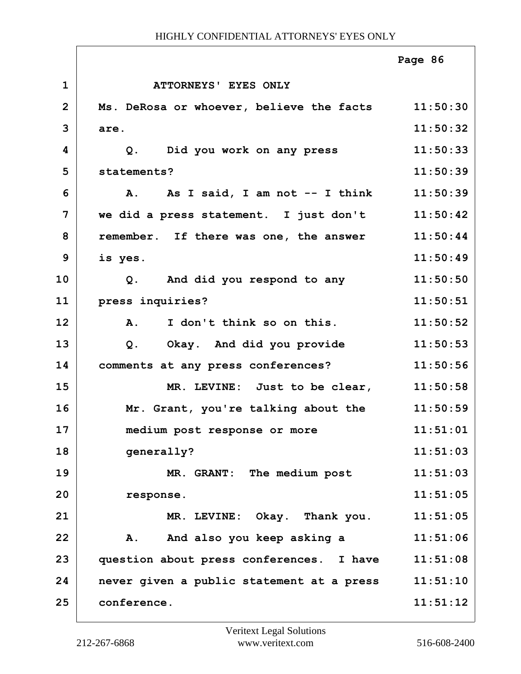|                |                                                   | Page 86  |
|----------------|---------------------------------------------------|----------|
| $\mathbf{1}$   | ATTORNEYS' EYES ONLY                              |          |
| $\overline{2}$ | Ms. DeRosa or whoever, believe the facts 11:50:30 |          |
| 3              | are.                                              | 11:50:32 |
| 4              | Did you work on any press<br>Q.                   | 11:50:33 |
| 5              | statements?                                       | 11:50:39 |
| 6              | A. As I said, I am not -- I think                 | 11:50:39 |
| 7              | we did a press statement. I just don't            | 11:50:42 |
| 8              | remember. If there was one, the answer            | 11:50:44 |
| 9              | is yes.                                           | 11:50:49 |
| 10             | Q. And did you respond to any                     | 11:50:50 |
| 11             | press inquiries?                                  | 11:50:51 |
| 12             | I don't think so on this.<br>$\mathbf{A}$ .       | 11:50:52 |
| 13             | Okay. And did you provide<br>$Q$ .                | 11:50:53 |
| 14             | comments at any press conferences?                | 11:50:56 |
| 15             | MR. LEVINE: Just to be clear,                     | 11:50:58 |
| 16             | Mr. Grant, you're talking about the               | 11:50:59 |
| 17             | medium post response or more                      | 11:51:01 |
| 18             | generally?                                        | 11:51:03 |
| 19             | MR. GRANT: The medium post                        | 11:51:03 |
| 20             | response.                                         | 11:51:05 |
| 21             | MR. LEVINE: Okay. Thank you.                      | 11:51:05 |
| 22             | And also you keep asking a<br>${\bf A}$ .         | 11:51:06 |
| 23             | question about press conferences. I have          | 11:51:08 |
| 24             | never given a public statement at a press         | 11:51:10 |
| 25             | conference.                                       | 11:51:12 |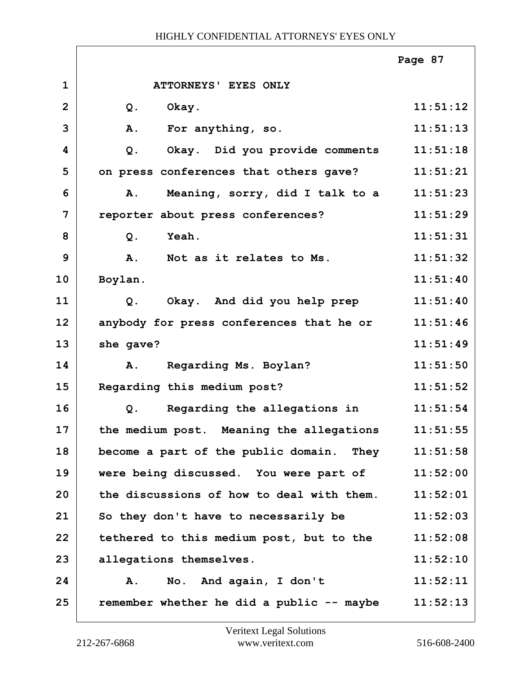|                |                                           | Page 87  |
|----------------|-------------------------------------------|----------|
| $\mathbf{1}$   | ATTORNEYS' EYES ONLY                      |          |
| $\overline{2}$ | Okay.<br>$Q$ .                            | 11:51:12 |
| 3              | <b>A.</b><br>For anything, so.            | 11:51:13 |
| 4              | Okay. Did you provide comments<br>$Q$ .   | 11:51:18 |
| 5              | on press conferences that others gave?    | 11:51:21 |
| 6              | Meaning, sorry, did I talk to a<br>Α.     | 11:51:23 |
| 7              | reporter about press conferences?         | 11:51:29 |
| 8              | Yeah.<br>$Q$ .                            | 11:51:31 |
| 9              | Not as it relates to Ms.<br>A.            | 11:51:32 |
| 10             | Boylan.                                   | 11:51:40 |
| 11             | Okay. And did you help prep<br>Q.         | 11:51:40 |
| 12             | anybody for press conferences that he or  | 11:51:46 |
| 13             | she gave?                                 | 11:51:49 |
| 14             | Regarding Ms. Boylan?<br>A.               | 11:51:50 |
| 15             | Regarding this medium post?               | 11:51:52 |
| 16             | Regarding the allegations in<br>$Q$ .     | 11:51:54 |
| 17             | the medium post. Meaning the allegations  | 11:51:55 |
| 18             | become a part of the public domain. They  | 11:51:58 |
| 19             | were being discussed. You were part of    | 11:52:00 |
| 20             | the discussions of how to deal with them. | 11:52:01 |
| 21             | So they don't have to necessarily be      | 11:52:03 |
| 22             | tethered to this medium post, but to the  | 11:52:08 |
| 23             | allegations themselves.                   | 11:52:10 |
| 24             | No. And again, I don't<br>Α.              | 11:52:11 |
| 25             | remember whether he did a public -- maybe | 11:52:13 |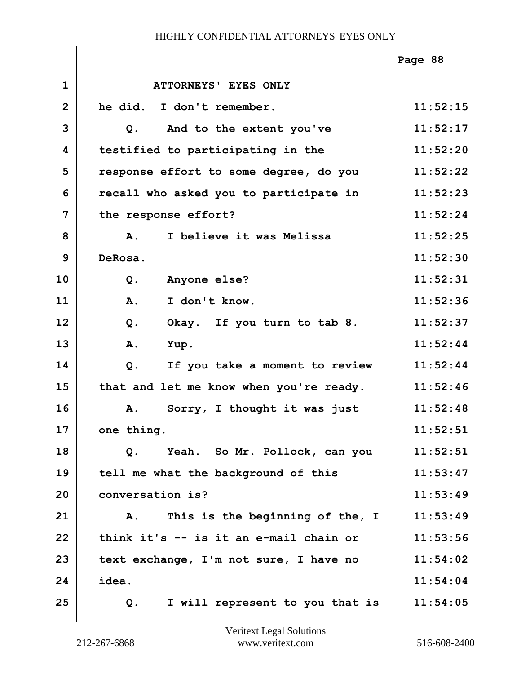|                |                                         | Page 88  |
|----------------|-----------------------------------------|----------|
| $\mathbf{1}$   | ATTORNEYS' EYES ONLY                    |          |
| $\overline{2}$ | he did. I don't remember.               | 11:52:15 |
| 3              | And to the extent you've<br>Q.          | 11:52:17 |
| 4              | testified to participating in the       | 11:52:20 |
| 5              | response effort to some degree, do you  | 11:52:22 |
| 6              | recall who asked you to participate in  | 11:52:23 |
| 7              | the response effort?                    | 11:52:24 |
| 8              | I believe it was Melissa<br><b>A.</b>   | 11:52:25 |
| 9              | DeRosa.                                 | 11:52:30 |
| 10             | Anyone else?<br>$Q$ .                   | 11:52:31 |
| 11             | I don't know.<br>A.                     | 11:52:36 |
| 12             | Okay. If you turn to tab 8.<br>Q.       | 11:52:37 |
| 13             | A.<br>Yup.                              | 11:52:44 |
| 14             | If you take a moment to review<br>$Q$ . | 11:52:44 |
| 15             | that and let me know when you're ready. | 11:52:46 |
| 16             | Sorry, I thought it was just<br>Α.      | 11:52:48 |
| 17             | one thing.                              | 11:52:51 |
| 18             | $Q$ .<br>Yeah.  So Mr. Pollock, can you | 11:52:51 |
| 19             | tell me what the background of this     | 11:53:47 |
| 20             | conversation is?                        | 11:53:49 |
| 21             | This is the beginning of the, I<br>Α.   | 11:53:49 |
| 22             | think it's -- is it an e-mail chain or  | 11:53:56 |
| 23             | text exchange, I'm not sure, I have no  | 11:54:02 |
| 24             | idea.                                   | 11:54:04 |
| 25             | I will represent to you that is<br>Q.   | 11:54:05 |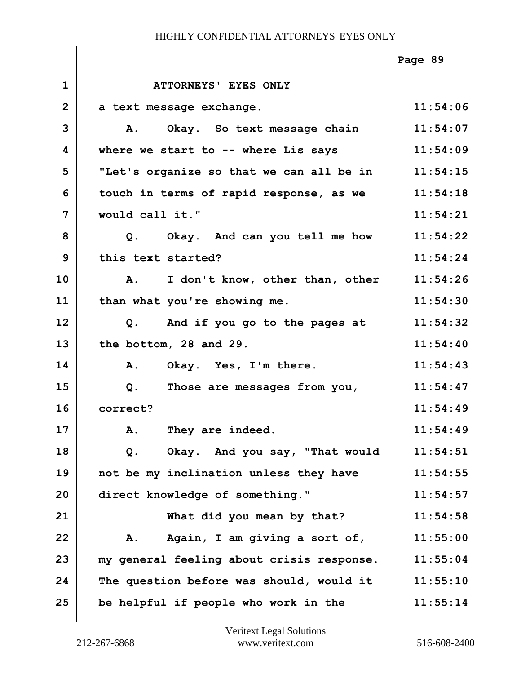|                |                                                   | Page 89  |
|----------------|---------------------------------------------------|----------|
| $\mathbf{1}$   | ATTORNEYS' EYES ONLY                              |          |
| $\overline{2}$ | a text message exchange.                          | 11:54:06 |
| 3              | Okay. So text message chain<br>Α.                 | 11:54:07 |
| 4              | where we start to $-$ where Lis says              | 11:54:09 |
| 5              | "Let's organize so that we can all be in          | 11:54:15 |
| 6              | touch in terms of rapid response, as we           | 11:54:18 |
| $\overline{7}$ | would call it."                                   | 11:54:21 |
| 8              | Q. Okay. And can you tell me how                  | 11:54:22 |
| 9              | this text started?                                | 11:54:24 |
| 10             | I don't know, other than, other<br>$\mathbf{A}$ . | 11:54:26 |
| 11             | than what you're showing me.                      | 11:54:30 |
| 12             | Q. And if you go to the pages at                  | 11:54:32 |
| 13             | the bottom, 28 and 29.                            | 11:54:40 |
| 14             | Okay. Yes, I'm there.<br>Α.                       | 11:54:43 |
| 15             | Those are messages from you,<br>$Q$ .             | 11:54:47 |
| 16             | correct?                                          | 11:54:49 |
| 17             | A. They are indeed.                               | 11:54:49 |
| 18             | Okay. And you say, "That would<br>$Q$ .           | 11:54:51 |
| 19             | not be my inclination unless they have            | 11:54:55 |
| 20             | direct knowledge of something."                   | 11:54:57 |
| 21             | What did you mean by that?                        | 11:54:58 |
| 22             | Again, I am giving a sort of,<br><b>A.</b>        | 11:55:00 |
| 23             | my general feeling about crisis response.         | 11:55:04 |
| 24             | The question before was should, would it          | 11:55:10 |
| 25             | be helpful if people who work in the              | 11:55:14 |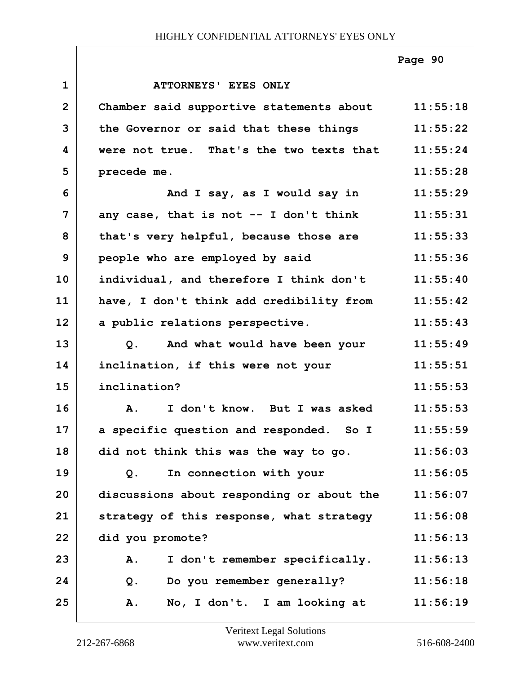|                |                                                 | Page 90  |
|----------------|-------------------------------------------------|----------|
| $\mathbf{1}$   | ATTORNEYS' EYES ONLY                            |          |
| $\overline{2}$ | Chamber said supportive statements about        | 11:55:18 |
| 3              | the Governor or said that these things          | 11:55:22 |
| 4              | were not true. That's the two texts that        | 11:55:24 |
| 5              | precede me.                                     | 11:55:28 |
| 6              | And I say, as I would say in                    | 11:55:29 |
| $\overline{7}$ | any case, that is not -- I don't think          | 11:55:31 |
| 8              | that's very helpful, because those are          | 11:55:33 |
| 9              | people who are employed by said                 | 11:55:36 |
| 10             | individual, and therefore I think don't         | 11:55:40 |
| 11             | have, I don't think add credibility from        | 11:55:42 |
| 12             | a public relations perspective.                 | 11:55:43 |
| 13             | And what would have been your<br>$Q$ .          | 11:55:49 |
| 14             | inclination, if this were not your              | 11:55:51 |
| 15             | inclination?                                    | 11:55:53 |
| 16             | I don't know. But I was asked<br>$\mathbf{A}$ . | 11:55:53 |
| 17             | a specific question and responded. So I         | 11:55:59 |
| 18             | did not think this was the way to go.           | 11:56:03 |
| 19             | In connection with your<br>Q.                   | 11:56:05 |
| 20             | discussions about responding or about the       | 11:56:07 |
| 21             | strategy of this response, what strategy        | 11:56:08 |
| 22             | did you promote?                                | 11:56:13 |
| 23             | I don't remember specifically.<br>Α.            | 11:56:13 |
| 24             | Do you remember generally?<br>$Q$ .             | 11:56:18 |
| 25             | No, I don't. I am looking at<br><b>A.</b>       | 11:56:19 |

Г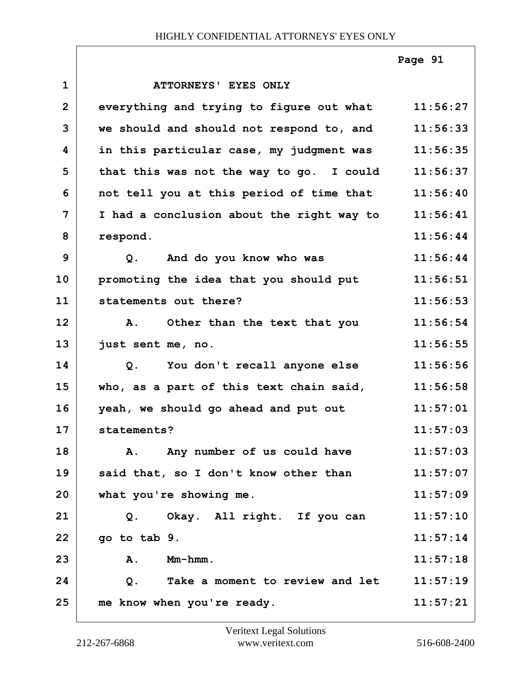**1 ATTORNEYS' EYES ONLY 2 everything and trying to figure out what 11:56:27 3 we should and should not respond to, and 11:56:33 4 in this particular case, my judgment was 11:56:35** 5 that this was not the way to go. I could 11:56:37 **6 not tell you at this period of time that 11:56:40 7 I had a conclusion about the right way to 11:56:41 8 respond. 11:56:44 9 Q. And do you know who was 11:56:44 10 promoting the idea that you should put 11:56:51 11 statements out there? 11:56:53 12 A. Other than the text that you 11:56:54 13 just sent me, no. 11:56:55 14 Q. You don't recall anyone else 11:56:56 15 who, as a part of this text chain said, 11:56:58 16 yeah, we should go ahead and put out 11:57:01 17 statements? 11:57:03** 18 A. Any number of us could have **11:57:03 19 said that, so I don't know other than 11:57:07 20 what you're showing me. 11:57:09 21 Q. Okay. All right. If you can 11:57:10 22 go to tab 9. 11:57:14 23 A. Mm-hmm. 11:57:18 24 Q. Take a moment to review and let 11:57:19 25 me know when you're ready. 11:57:21 Page 91**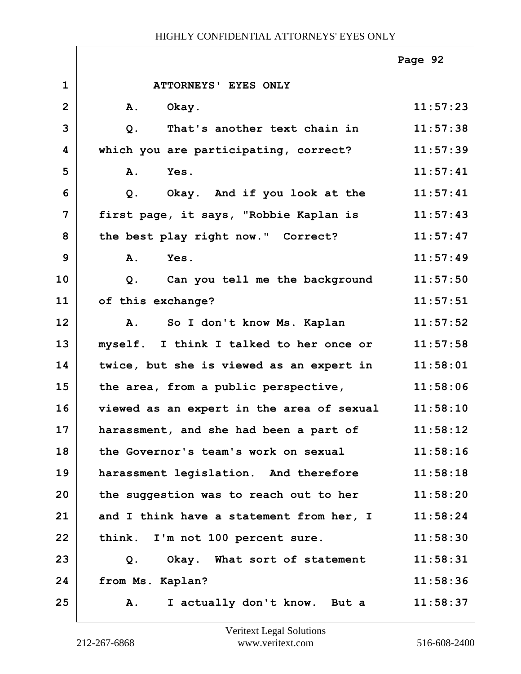|                |                                                | Page 92  |
|----------------|------------------------------------------------|----------|
| $\mathbf{1}$   | ATTORNEYS' EYES ONLY                           |          |
| $\overline{2}$ | <b>A.</b><br>Okay.                             | 11:57:23 |
| 3              | That's another text chain in<br>$Q$ .          | 11:57:38 |
| 4              | which you are participating, correct?          | 11:57:39 |
| 5              | A.<br>Yes.                                     | 11:57:41 |
| 6              | Okay. And if you look at the<br>Q.             | 11:57:41 |
| 7              | first page, it says, "Robbie Kaplan is         | 11:57:43 |
| 8              | the best play right now." Correct?             | 11:57:47 |
| 9              | A.<br>Yes.                                     | 11:57:49 |
| 10             | Can you tell me the background<br>$Q$ .        | 11:57:50 |
| 11             | of this exchange?                              | 11:57:51 |
| 12             | So I don't know Ms. Kaplan<br>A.               | 11:57:52 |
| 13             | myself. I think I talked to her once or        | 11:57:58 |
| 14             | twice, but she is viewed as an expert in       | 11:58:01 |
| 15             | the area, from a public perspective,           | 11:58:06 |
| 16             | viewed as an expert in the area of sexual      | 11:58:10 |
| 17             | harassment, and she had been a part of         | 11:58:12 |
| 18             | the Governor's team's work on sexual           | 11:58:16 |
| 19             | harassment legislation. And therefore          | 11:58:18 |
| 20             | the suggestion was to reach out to her         | 11:58:20 |
| 21             | and I think have a statement from her, I       | 11:58:24 |
| 22             | think. I'm not 100 percent sure.               | 11:58:30 |
| 23             | Okay. What sort of statement<br>Q <sub>1</sub> | 11:58:31 |
| 24             | from Ms. Kaplan?                               | 11:58:36 |
| 25             | I actually don't know. But a<br>${\bf A}$ .    | 11:58:37 |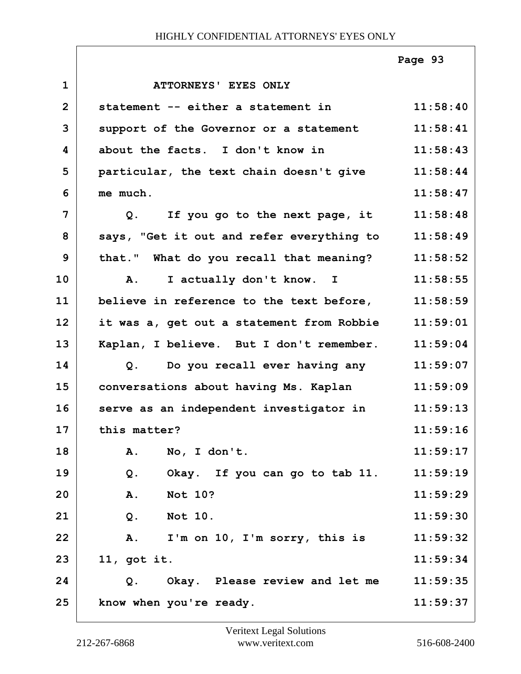|                |                                           | Page 93  |
|----------------|-------------------------------------------|----------|
| $\mathbf{1}$   | ATTORNEYS' EYES ONLY                      |          |
| $\overline{2}$ | statement -- either a statement in        | 11:58:40 |
| 3              | support of the Governor or a statement    | 11:58:41 |
| 4              | about the facts. I don't know in          | 11:58:43 |
| 5              | particular, the text chain doesn't give   | 11:58:44 |
| 6              | me much.                                  | 11:58:47 |
| $\overline{7}$ | Q. If you go to the next page, it         | 11:58:48 |
| 8              | says, "Get it out and refer everything to | 11:58:49 |
| 9              | that." What do you recall that meaning?   | 11:58:52 |
| 10             | I actually don't know. I<br>A.            | 11:58:55 |
| 11             | believe in reference to the text before,  | 11:58:59 |
| 12             | it was a, get out a statement from Robbie | 11:59:01 |
| 13             | Kaplan, I believe. But I don't remember.  | 11:59:04 |
| 14             | Do you recall ever having any<br>Q.       | 11:59:07 |
| 15             | conversations about having Ms. Kaplan     | 11:59:09 |
| 16             | serve as an independent investigator in   | 11:59:13 |
| 17             | this matter?                              | 11:59:16 |
| 18             | No, I don't.<br>Α.                        | 11:59:17 |
| 19             | Okay. If you can go to tab 11.<br>$Q$ .   | 11:59:19 |
| 20             | <b>Not 10?</b><br>A.                      | 11:59:29 |
| 21             | <b>Not 10.</b><br>Q.                      | 11:59:30 |
| 22             | A.<br>I'm on 10, I'm sorry, this is       | 11:59:32 |
| 23             | $11,$ got it.                             | 11:59:34 |
| 24             | Okay. Please review and let me<br>Q.      | 11:59:35 |
| 25             | know when you're ready.                   | 11:59:37 |

Г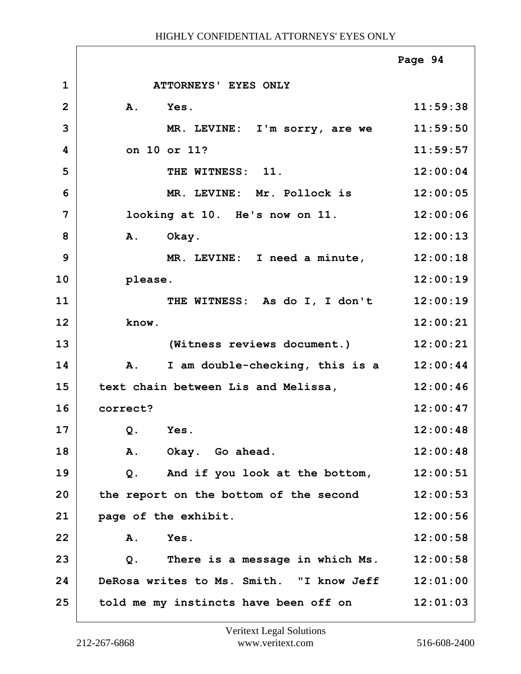|                |                                          | Page 94  |
|----------------|------------------------------------------|----------|
| $\mathbf{1}$   | ATTORNEYS' EYES ONLY                     |          |
| $\overline{2}$ | A. Yes.                                  | 11:59:38 |
| 3              | MR. LEVINE: I'm sorry, are we            | 11:59:50 |
| 4              | on 10 or 11?                             | 11:59:57 |
| 5              | THE WITNESS: 11.                         | 12:00:04 |
| 6              | MR. LEVINE: Mr. Pollock is               | 12:00:05 |
| 7              | looking at 10. He's now on 11.           | 12:00:06 |
| 8              | A. Okay.                                 | 12:00:13 |
| 9              | MR. LEVINE: I need a minute,             | 12:00:18 |
| 10             | please.                                  | 12:00:19 |
| 11             | THE WITNESS: As do I, I don't            | 12:00:19 |
| 12             | know.                                    | 12:00:21 |
| 13             | (Witness reviews document.)              | 12:00:21 |
| 14             | A.<br>I am double-checking, this is a    | 12:00:44 |
| 15             | text chain between Lis and Melissa,      | 12:00:46 |
| 16             | correct?                                 | 12:00:47 |
| 17             | Q. Yes                                   | 12:00:48 |
| 18             | Α.<br>Okay. Go ahead.                    | 12:00:48 |
| 19             | And if you look at the bottom,<br>Q.     | 12:00:51 |
| 20             | the report on the bottom of the second   | 12:00:53 |
| 21             | page of the exhibit.                     | 12:00:56 |
| 22             | Yes.<br>Α.                               | 12:00:58 |
| 23             | There is a message in which Ms.<br>Q.    | 12:00:58 |
| 24             | DeRosa writes to Ms. Smith. "I know Jeff | 12:01:00 |
| 25             | told me my instincts have been off on    | 12:01:03 |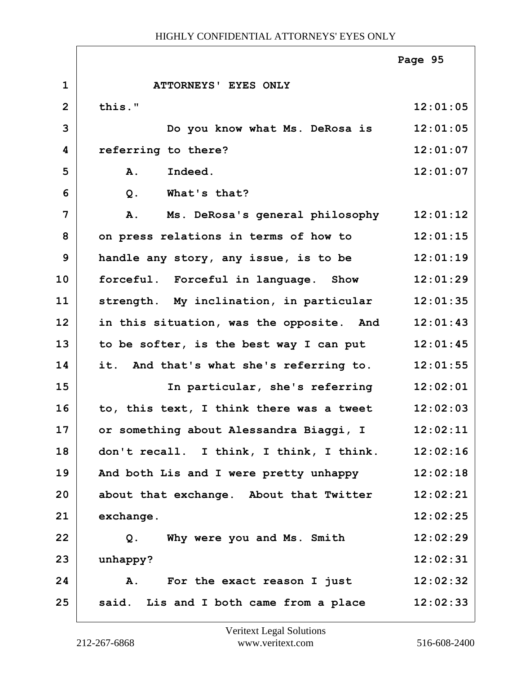|                |                                              | Page 95  |
|----------------|----------------------------------------------|----------|
| $\mathbf{1}$   | ATTORNEYS' EYES ONLY                         |          |
| $\overline{2}$ | this."                                       | 12:01:05 |
| 3              | Do you know what Ms. DeRosa is               | 12:01:05 |
| 4              | referring to there?                          | 12:01:07 |
| 5              | Indeed.<br><b>A.</b>                         | 12:01:07 |
| 6              | What's that?<br>$Q$ .                        |          |
| 7              | Ms. DeRosa's general philosophy<br><b>A.</b> | 12:01:12 |
| 8              | on press relations in terms of how to        | 12:01:15 |
| 9              | handle any story, any issue, is to be        | 12:01:19 |
| 10             | forceful. Forceful in language. Show         | 12:01:29 |
| 11             | strength. My inclination, in particular      | 12:01:35 |
| 12             | in this situation, was the opposite. And     | 12:01:43 |
| 13             | to be softer, is the best way I can put      | 12:01:45 |
| 14             | it. And that's what she's referring to.      | 12:01:55 |
| 15             | In particular, she's referring               | 12:02:01 |
| 16             | to, this text, I think there was a tweet     | 12:02:03 |
| 17             | or something about Alessandra Biaggi, I      | 12:02:11 |
| 18             | don't recall. I think, I think, I think.     | 12:02:16 |
| 19             | And both Lis and I were pretty unhappy       | 12:02:18 |
| 20             | about that exchange. About that Twitter      | 12:02:21 |
| 21             | exchange.                                    | 12:02:25 |
| 22             | Why were you and Ms. Smith<br>Q.             | 12:02:29 |
| 23             | unhappy?                                     | 12:02:31 |
| 24             | A.<br>For the exact reason I just            | 12:02:32 |
| 25             | said. Lis and I both came from a place       | 12:02:33 |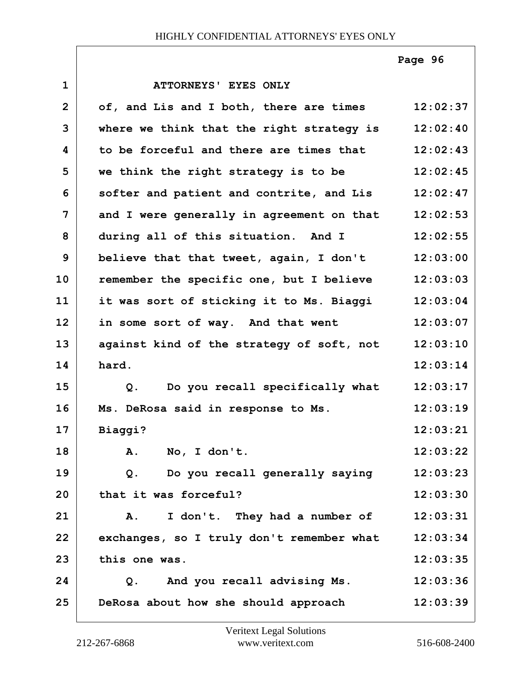**Page 96**

| $\mathbf{1}$   | ATTORNEYS' EYES ONLY                      |          |
|----------------|-------------------------------------------|----------|
| $\overline{2}$ | of, and Lis and I both, there are times   | 12:02:37 |
| 3              | where we think that the right strategy is | 12:02:40 |
| 4              | to be forceful and there are times that   | 12:02:43 |
| 5              | we think the right strategy is to be      | 12:02:45 |
| 6              | softer and patient and contrite, and Lis  | 12:02:47 |
| 7              | and I were generally in agreement on that | 12:02:53 |
| 8              | during all of this situation. And I       | 12:02:55 |
| 9              | believe that that tweet, again, I don't   | 12:03:00 |
| 10             | remember the specific one, but I believe  | 12:03:03 |
| 11             | it was sort of sticking it to Ms. Biaggi  | 12:03:04 |
| 12             | in some sort of way. And that went        | 12:03:07 |
| 13             | against kind of the strategy of soft, not | 12:03:10 |
| 14             | hard.                                     | 12:03:14 |
| 15             | Q. Do you recall specifically what        | 12:03:17 |
| 16             | Ms. DeRosa said in response to Ms.        | 12:03:19 |
| 17             | Biaggi?                                   | 12:03:21 |
| 18             | No, I don't.<br>Α.                        | 12:03:22 |
| 19             | Do you recall generally saying<br>Q.      | 12:03:23 |
| 20             | that it was forceful?                     | 12:03:30 |
| 21             | I don't. They had a number of<br>Α.       | 12:03:31 |
| 22             | exchanges, so I truly don't remember what | 12:03:34 |
| 23             | this one was.                             | 12:03:35 |
| 24             | And you recall advising Ms.<br>Q.         | 12:03:36 |
| 25             | DeRosa about how she should approach      | 12:03:39 |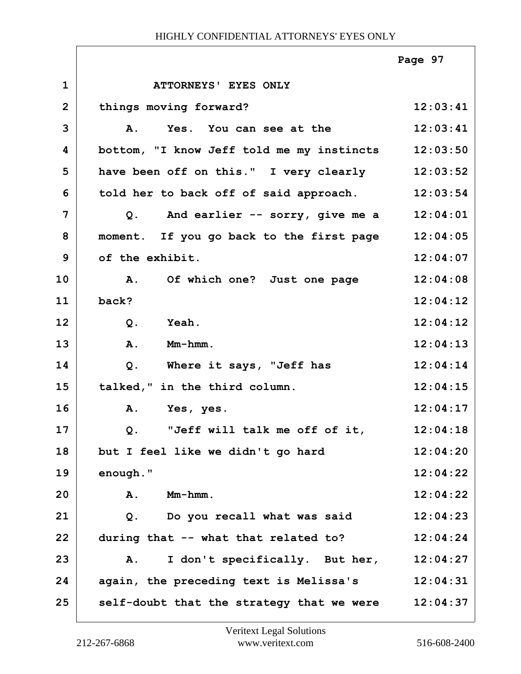|                |                                           | Page 97  |
|----------------|-------------------------------------------|----------|
| $\mathbf 1$    | ATTORNEYS' EYES ONLY                      |          |
| $\overline{2}$ | things moving forward?                    | 12:03:41 |
| 3              | Yes. You can see at the<br>Α.             | 12:03:41 |
| 4              | bottom, "I know Jeff told me my instincts | 12:03:50 |
| 5              | have been off on this." I very clearly    | 12:03:52 |
| 6              | told her to back off of said approach.    | 12:03:54 |
| 7              | And earlier -- sorry, give me a<br>Q.     | 12:04:01 |
| 8              | moment. If you go back to the first page  | 12:04:05 |
| 9              | of the exhibit.                           | 12:04:07 |
| 10             | A. Of which one? Just one page            | 12:04:08 |
| 11             | back?                                     | 12:04:12 |
| 12             | $Q$ .<br>Yeah.                            | 12:04:12 |
| 13             | Mm-hmm.<br><b>A.</b>                      | 12:04:13 |
| 14             | Where it says, "Jeff has<br>Q.            | 12:04:14 |
| 15             | talked," in the third column.             | 12:04:15 |
| 16             | Α.<br>Yes, yes.                           | 12:04:17 |
| 17             | "Jeff will talk me off of it,<br>$Q$ .    | 12:04:18 |
| 18             | but I feel like we didn't go hard         | 12:04:20 |
| 19             | enough."                                  | 12:04:22 |
| 20             | $Mm-hmm$ .<br>Α.                          | 12:04:22 |
| 21             | Do you recall what was said<br>Q.         | 12:04:23 |
| 22             | during that -- what that related to?      | 12:04:24 |
| 23             | I don't specifically. But her,<br>A.      | 12:04:27 |
| 24             | again, the preceding text is Melissa's    | 12:04:31 |
| 25             | self-doubt that the strategy that we were | 12:04:37 |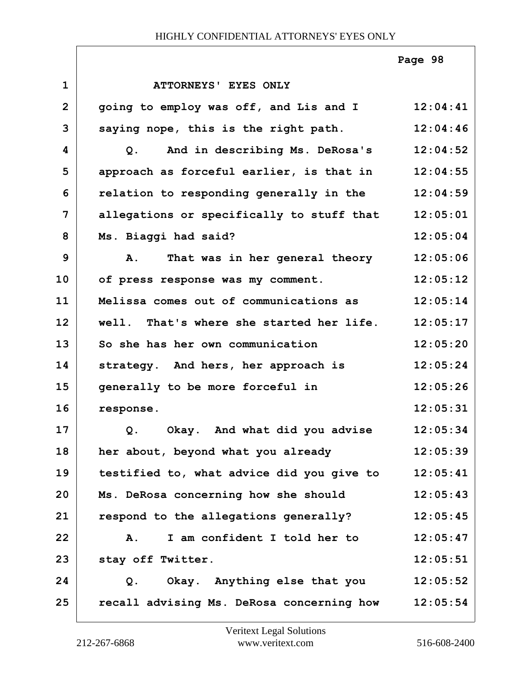|                |                                                  | Page 98  |
|----------------|--------------------------------------------------|----------|
| $\mathbf{1}$   | ATTORNEYS' EYES ONLY                             |          |
| $\overline{2}$ | going to employ was off, and Lis and I           | 12:04:41 |
| 3              | saying nope, this is the right path.             | 12:04:46 |
| 4              | And in describing Ms. DeRosa's<br>Q.             | 12:04:52 |
| 5              | approach as forceful earlier, is that in         | 12:04:55 |
| 6              | relation to responding generally in the          | 12:04:59 |
| $\overline{7}$ | allegations or specifically to stuff that        | 12:05:01 |
| 8              | Ms. Biaggi had said?                             | 12:05:04 |
| 9              | That was in her general theory<br>$\mathbf{A}$ . | 12:05:06 |
| 10             | of press response was my comment.                | 12:05:12 |
| 11             | Melissa comes out of communications as           | 12:05:14 |
| 12             | well. That's where she started her life.         | 12:05:17 |
| 13             | So she has her own communication                 | 12:05:20 |
| 14             | strategy. And hers, her approach is              | 12:05:24 |
| 15             | generally to be more forceful in                 | 12:05:26 |
| 16             | response.                                        | 12:05:31 |
| 17             | Okay. And what did you advise<br>Q.              | 12:05:34 |
| 18             | her about, beyond what you already               | 12:05:39 |
| 19             | testified to, what advice did you give to        | 12:05:41 |
| 20             | Ms. DeRosa concerning how she should             | 12:05:43 |
| 21             | respond to the allegations generally?            | 12:05:45 |
| 22             | I am confident I told her to<br><b>A.</b>        | 12:05:47 |
| 23             | stay off Twitter.                                | 12:05:51 |
| 24             | Okay. Anything else that you<br>$Q$ .            | 12:05:52 |
| 25             | recall advising Ms. DeRosa concerning how        | 12:05:54 |

 $\Gamma$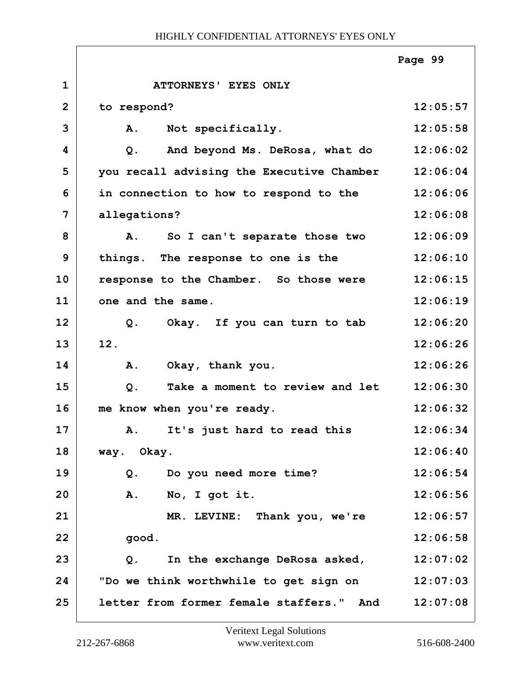|                |                                           | Page 99  |
|----------------|-------------------------------------------|----------|
| $\mathbf 1$    | ATTORNEYS' EYES ONLY                      |          |
| $\overline{2}$ | to respond?                               | 12:05:57 |
| 3              | A.<br>Not specifically.                   | 12:05:58 |
| 4              | And beyond Ms. DeRosa, what do<br>Q.      | 12:06:02 |
| 5              | you recall advising the Executive Chamber | 12:06:04 |
| 6              | in connection to how to respond to the    | 12:06:06 |
| $\overline{7}$ | allegations?                              | 12:06:08 |
| 8              | So I can't separate those two<br>A.       | 12:06:09 |
| 9              | things. The response to one is the        | 12:06:10 |
| 10             | response to the Chamber. So those were    | 12:06:15 |
| 11             | one and the same.                         | 12:06:19 |
| 12             | Okay. If you can turn to tab<br>Q.        | 12:06:20 |
| 13             | 12.                                       | 12:06:26 |
| 14             | A.<br>Okay, thank you.                    | 12:06:26 |
| 15             | Take a moment to review and let<br>$Q$ .  | 12:06:30 |
| 16             | me know when you're ready.                | 12:06:32 |
| 17             | A. It's just hard to read this            | 12:06:34 |
| 18             | way. Okay.                                | 12:06:40 |
| 19             | Q. Do you need more time?                 | 12:06:54 |
| 20             | A. No, I got it.                          | 12:06:56 |
| 21             | MR. LEVINE: Thank you, we're              | 12:06:57 |
| 22             | good.                                     | 12:06:58 |
| 23             | In the exchange DeRosa asked,<br>Q.       | 12:07:02 |
| 24             | "Do we think worthwhile to get sign on    | 12:07:03 |
| 25             | letter from former female staffers." And  | 12:07:08 |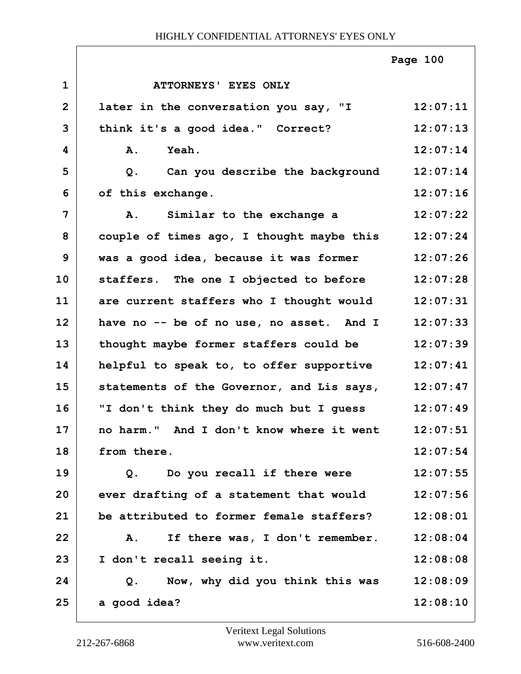|                         |                                           | Page 100 |
|-------------------------|-------------------------------------------|----------|
| $\mathbf{1}$            | ATTORNEYS' EYES ONLY                      |          |
| $\overline{2}$          | later in the conversation you say, "I     | 12:07:11 |
| 3                       | think it's a good idea." Correct?         | 12:07:13 |
| $\overline{\mathbf{4}}$ | A.<br><b>Yeah.</b>                        | 12:07:14 |
| 5                       | Can you describe the background<br>Q.     | 12:07:14 |
| 6                       | of this exchange.                         | 12:07:16 |
| $\overline{7}$          | Similar to the exchange a<br>Α.           | 12:07:22 |
| 8                       | couple of times ago, I thought maybe this | 12:07:24 |
| 9                       | was a good idea, because it was former    | 12:07:26 |
| 10                      | staffers. The one I objected to before    | 12:07:28 |
| 11                      | are current staffers who I thought would  | 12:07:31 |
| 12                      | have no -- be of no use, no asset. And I  | 12:07:33 |
| 13                      | thought maybe former staffers could be    | 12:07:39 |
| 14                      | helpful to speak to, to offer supportive  | 12:07:41 |
| 15                      | statements of the Governor, and Lis says, | 12:07:47 |
| 16                      | "I don't think they do much but I guess   | 12:07:49 |
| 17                      | no harm." And I don't know where it went  | 12:07:51 |
| 18                      | from there.                               | 12:07:54 |
| 19                      | Do you recall if there were<br>Q.         | 12:07:55 |
| 20                      | ever drafting of a statement that would   | 12:07:56 |
| 21                      | be attributed to former female staffers?  | 12:08:01 |
| 22                      | If there was, I don't remember.<br>Α.     | 12:08:04 |
| 23                      | I don't recall seeing it.                 | 12:08:08 |
| 24                      | Now, why did you think this was<br>Q.     | 12:08:09 |
| 25                      | a good idea?                              | 12:08:10 |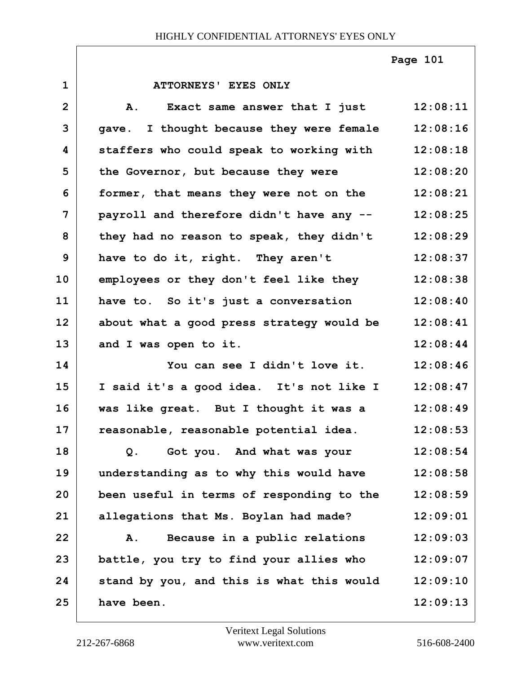**Page 101**

| $\mathbf{1}$   | ATTORNEYS' EYES ONLY                      |          |
|----------------|-------------------------------------------|----------|
| $\overline{2}$ | Exact same answer that I just<br>Α.       | 12:08:11 |
| 3              | gave. I thought because they were female  | 12:08:16 |
| 4              | staffers who could speak to working with  | 12:08:18 |
| 5              | the Governor, but because they were       | 12:08:20 |
| 6              | former, that means they were not on the   | 12:08:21 |
| $\overline{7}$ | payroll and therefore didn't have any --  | 12:08:25 |
| 8              | they had no reason to speak, they didn't  | 12:08:29 |
| 9              | have to do it, right. They aren't         | 12:08:37 |
| 10             | employees or they don't feel like they    | 12:08:38 |
| 11             | have to. So it's just a conversation      | 12:08:40 |
| 12             | about what a good press strategy would be | 12:08:41 |
| 13             | and I was open to it.                     | 12:08:44 |
| 14             | You can see I didn't love it.             | 12:08:46 |
| 15             | I said it's a good idea. It's not like I  | 12:08:47 |
| 16             | was like great. But I thought it was a    | 12:08:49 |
| 17             | reasonable, reasonable potential idea.    | 12:08:53 |
| 18             | Got you. And what was your<br>Q.          | 12:08:54 |
| 19             | understanding as to why this would have   | 12:08:58 |
| 20             | been useful in terms of responding to the | 12:08:59 |
| 21             | allegations that Ms. Boylan had made?     | 12:09:01 |
| 22             | Because in a public relations<br>Α.       | 12:09:03 |
| 23             | battle, you try to find your allies who   | 12:09:07 |
| 24             | stand by you, and this is what this would | 12:09:10 |
| 25             | have been.                                | 12:09:13 |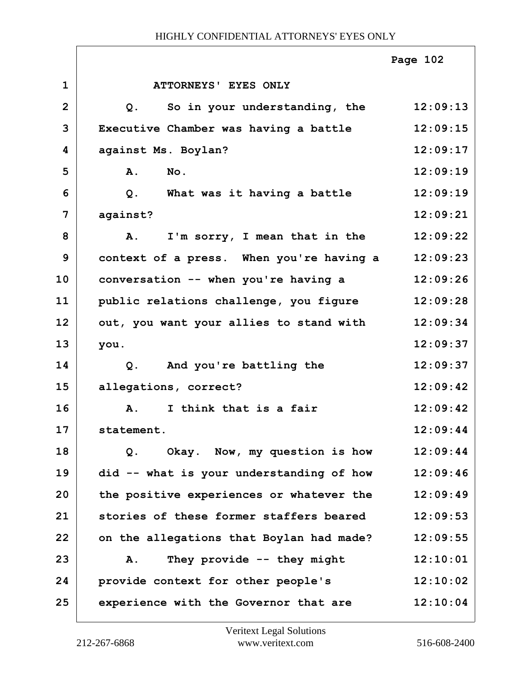|                |                                          | Page 102 |
|----------------|------------------------------------------|----------|
| $\mathbf{1}$   | ATTORNEYS' EYES ONLY                     |          |
| $\overline{2}$ | So in your understanding, the<br>Q.      | 12:09:13 |
| 3              | Executive Chamber was having a battle    | 12:09:15 |
| 4              | against Ms. Boylan?                      | 12:09:17 |
| 5              | A.<br>No.                                | 12:09:19 |
| 6              | What was it having a battle<br>Q.        | 12:09:19 |
| 7              | against?                                 | 12:09:21 |
| 8              | I'm sorry, I mean that in the<br>A.      | 12:09:22 |
| 9              | context of a press. When you're having a | 12:09:23 |
| 10             | conversation -- when you're having a     | 12:09:26 |
| 11             | public relations challenge, you figure   | 12:09:28 |
| 12             | out, you want your allies to stand with  | 12:09:34 |
| 13             | you.                                     | 12:09:37 |
| 14             | And you're battling the<br>Q.            | 12:09:37 |
| 15             | allegations, correct?                    | 12:09:42 |
| 16             | I think that is a fair<br><b>A.</b>      | 12:09:42 |
| 17             | statement                                | 12:09:44 |
| 18             | Okay. Now, my question is how<br>Q.      | 12:09:44 |
| 19             | did -- what is your understanding of how | 12:09:46 |
| 20             | the positive experiences or whatever the | 12:09:49 |
| 21             | stories of these former staffers beared  | 12:09:53 |
| 22             | on the allegations that Boylan had made? | 12:09:55 |
| 23             | They provide $--$ they might<br>A.       | 12:10:01 |
| 24             | provide context for other people's       | 12:10:02 |
| 25             | experience with the Governor that are    | 12:10:04 |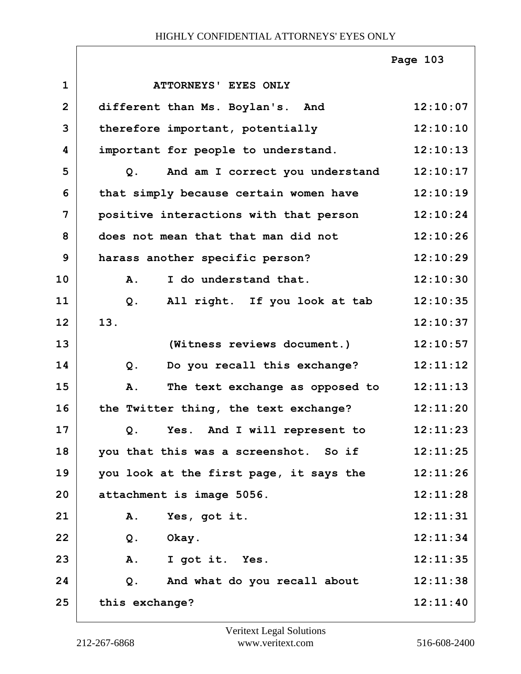|              |                                         | Page 103 |
|--------------|-----------------------------------------|----------|
| $\mathbf{1}$ | ATTORNEYS' EYES ONLY                    |          |
| $\mathbf{2}$ | different than Ms. Boylan's. And        | 12:10:07 |
| 3            | therefore important, potentially        | 12:10:10 |
| 4            | important for people to understand.     | 12:10:13 |
| 5            | And am I correct you understand<br>Q.   | 12:10:17 |
| 6            | that simply because certain women have  | 12:10:19 |
| 7            | positive interactions with that person  | 12:10:24 |
| 8            | does not mean that that man did not     | 12:10:26 |
| 9            | harass another specific person?         | 12:10:29 |
| 10           | I do understand that.<br>A.             | 12:10:30 |
| 11           | All right. If you look at tab<br>$Q$ .  | 12:10:35 |
| 12           | 13.                                     | 12:10:37 |
| 13           | (Witness reviews document.)             | 12:10:57 |
| 14           | Do you recall this exchange?<br>Q.      | 12:11:12 |
| 15           | The text exchange as opposed to<br>A.   | 12:11:13 |
| 16           | the Twitter thing, the text exchange?   | 12:11:20 |
| 17           | Yes. And I will represent to<br>Q.      | 12:11:23 |
| 18           | you that this was a screenshot. So if   | 12:11:25 |
| 19           | you look at the first page, it says the | 12:11:26 |
| 20           | attachment is image 5056.               | 12:11:28 |
| 21           | Yes, got it.<br>Α.                      | 12:11:31 |
| 22           | Q.<br>Okay.                             | 12:11:34 |
| 23           | A.<br>I got it. Yes.                    | 12:11:35 |
| 24           | And what do you recall about<br>$Q$ .   | 12:11:38 |
| 25           | this exchange?                          | 12:11:40 |

Г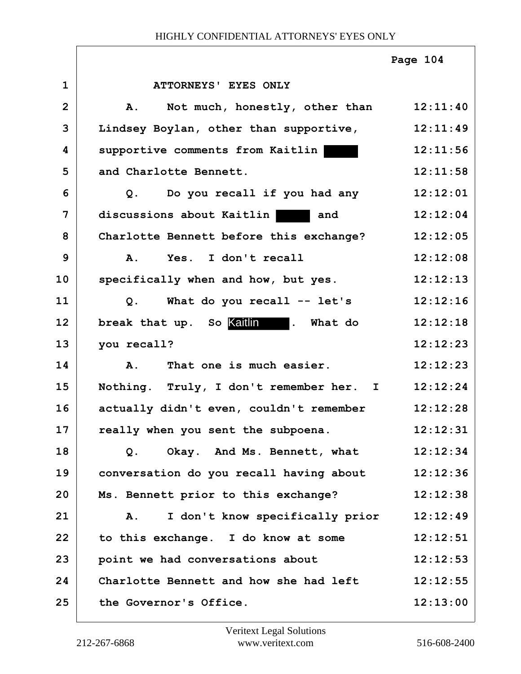|                |                                                 | Page 104 |
|----------------|-------------------------------------------------|----------|
| $\mathbf 1$    | ATTORNEYS' EYES ONLY                            |          |
| $\overline{2}$ | Not much, honestly, other than 12:11:40<br>Α.   |          |
| 3              | Lindsey Boylan, other than supportive, 12:11:49 |          |
| 4              | supportive comments from Kaitlin                | 12:11:56 |
| 5              | and Charlotte Bennett.                          | 12:11:58 |
| 6              | Q. Do you recall if you had any                 | 12:12:01 |
| 7              | discussions about Kaitlin and                   | 12:12:04 |
| 8              | Charlotte Bennett before this exchange?         | 12:12:05 |
| 9              | Yes. I don't recall<br><b>A.</b>                | 12:12:08 |
| 10             | specifically when and how, but yes.             | 12:12:13 |
| 11             | Q. What do you recall -- let's                  | 12:12:16 |
| 12             | break that up. So kaitlin . What do             | 12:12:18 |
| 13             | you recall?                                     | 12:12:23 |
| 14             | A. That one is much easier.                     | 12:12:23 |
| 15             | Nothing. Truly, I don't remember her. I         | 12:12:24 |
| 16             | actually didn't even, couldn't remember         | 12:12:28 |
| 17             | really when you sent the subpoena.              | 12:12:31 |
| 18             | Okay. And Ms. Bennett, what<br>Q.               | 12:12:34 |
| 19             | conversation do you recall having about         | 12:12:36 |
| 20             | Ms. Bennett prior to this exchange?             | 12:12:38 |
| 21             | I don't know specifically prior<br>Α.           | 12:12:49 |
| 22             | to this exchange. I do know at some             | 12:12:51 |
| 23             | point we had conversations about                | 12:12:53 |
| 24             | Charlotte Bennett and how she had left          | 12:12:55 |
| 25             | the Governor's Office.                          | 12:13:00 |

 $\Gamma$ 

٦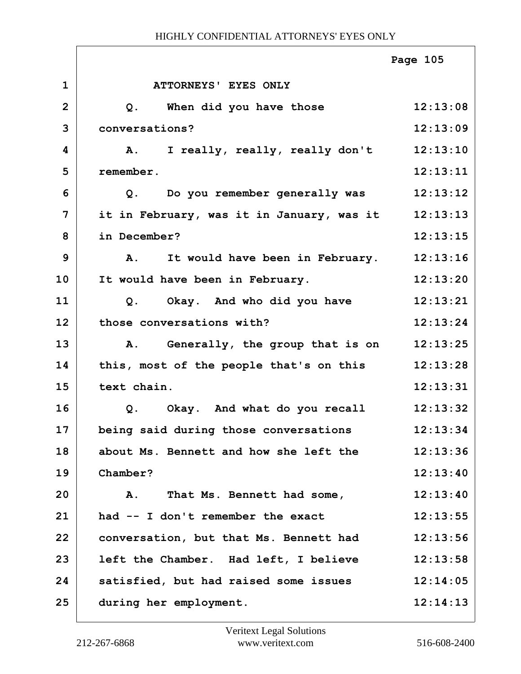|              |                                              | Page 105 |
|--------------|----------------------------------------------|----------|
| $\mathbf 1$  | ATTORNEYS' EYES ONLY                         |          |
| $\mathbf{2}$ | When did you have those<br>Q.                | 12:13:08 |
| 3            | conversations?                               | 12:13:09 |
| 4            | I really, really, really don't<br>A.         | 12:13:10 |
| 5            | remember.                                    | 12:13:11 |
| 6            | Do you remember generally was<br>Q.          | 12:13:12 |
| 7            | it in February, was it in January, was it    | 12:13:13 |
| 8            | in December?                                 | 12:13:15 |
| 9            | <b>A.</b><br>It would have been in February. | 12:13:16 |
| 10           | It would have been in February.              | 12:13:20 |
| 11           | Okay. And who did you have<br>Q.             | 12:13:21 |
| 12           | those conversations with?                    | 12:13:24 |
| 13           | Generally, the group that is on<br>A.        | 12:13:25 |
| 14           | this, most of the people that's on this      | 12:13:28 |
| 15           | text chain.                                  | 12:13:31 |
| 16           | Okay. And what do you recall<br>Q.           | 12:13:32 |
| 17           | being said during those conversations        | 12:13:34 |
| 18           | about Ms. Bennett and how she left the       | 12:13:36 |
| 19           | Chamber?                                     | 12:13:40 |
| 20           | That Ms. Bennett had some,<br>A.             | 12:13:40 |
| 21           | had -- I don't remember the exact            | 12:13:55 |
| 22           | conversation, but that Ms. Bennett had       | 12:13:56 |
| 23           | left the Chamber. Had left, I believe        | 12:13:58 |
| 24           | satisfied, but had raised some issues        | 12:14:05 |
| 25           | during her employment.                       | 12:14:13 |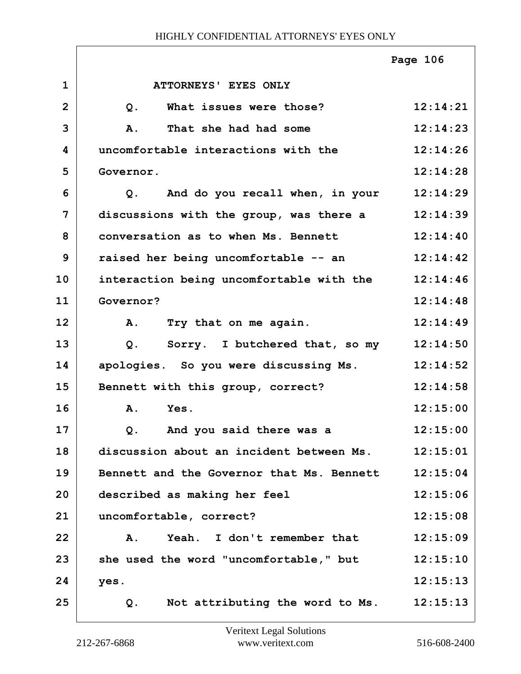|                |                                           | Page 106 |
|----------------|-------------------------------------------|----------|
| $\mathbf 1$    | ATTORNEYS' EYES ONLY                      |          |
| $\overline{2}$ | What issues were those?<br>Q.             | 12:14:21 |
| 3              | That she had had some<br>A.               | 12:14:23 |
| 4              | uncomfortable interactions with the       | 12:14:26 |
| 5              | Governor.                                 | 12:14:28 |
| 6              | And do you recall when, in your<br>Q.     | 12:14:29 |
| 7              | discussions with the group, was there a   | 12:14:39 |
| 8              | conversation as to when Ms. Bennett       | 12:14:40 |
| 9              | raised her being uncomfortable -- an      | 12:14:42 |
| 10             | interaction being uncomfortable with the  | 12:14:46 |
| 11             | Governor?                                 | 12:14:48 |
| 12             | Try that on me again.<br>A.               | 12:14:49 |
| 13             | Sorry. I butchered that, so my<br>Q.      | 12:14:50 |
| 14             | apologies. So you were discussing Ms.     | 12:14:52 |
| 15             | Bennett with this group, correct?         | 12:14:58 |
| 16             | A.<br>Yes.                                | 12:15:00 |
| 17             | And you said there was a<br>$Q$ .         | 12:15:00 |
| 18             | discussion about an incident between Ms.  | 12:15:01 |
| 19             | Bennett and the Governor that Ms. Bennett | 12:15:04 |
| 20             | described as making her feel              | 12:15:06 |
| 21             | uncomfortable, correct?                   | 12:15:08 |
| 22             | Yeah. I don't remember that<br>Α.         | 12:15:09 |
| 23             | she used the word "uncomfortable," but    | 12:15:10 |
| 24             | yes.                                      | 12:15:13 |
| 25             | Not attributing the word to Ms.<br>Q.     | 12:15:13 |

ı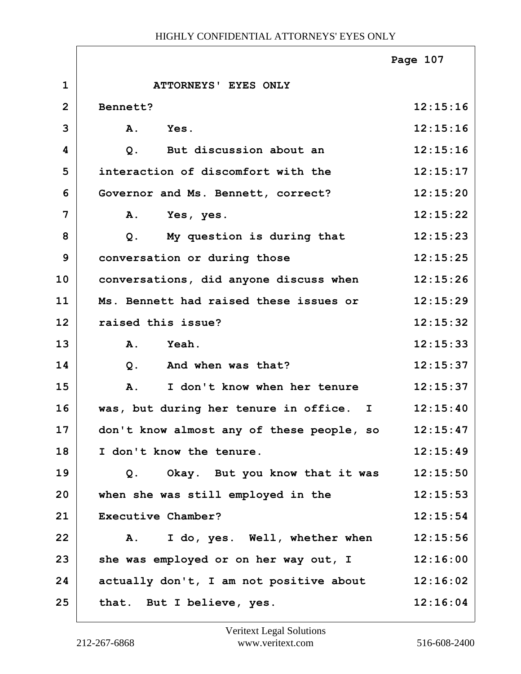|              |                                           | Page 107 |
|--------------|-------------------------------------------|----------|
| $\mathbf{1}$ | ATTORNEYS' EYES ONLY                      |          |
| $\mathbf{2}$ | Bennett?                                  | 12:15:16 |
| 3            | A.<br>Yes.                                | 12:15:16 |
| 4            | But discussion about an<br>$Q$ .          | 12:15:16 |
| 5            | interaction of discomfort with the        | 12:15:17 |
| 6            | Governor and Ms. Bennett, correct?        | 12:15:20 |
| 7            | Α.<br>Yes, yes.                           | 12:15:22 |
| 8            | My question is during that<br>$Q$ .       | 12:15:23 |
| 9            | conversation or during those              | 12:15:25 |
| 10           | conversations, did anyone discuss when    | 12:15:26 |
| 11           | Ms. Bennett had raised these issues or    | 12:15:29 |
| 12           | raised this issue?                        | 12:15:32 |
| 13           | A.<br>Yeah.                               | 12:15:33 |
| 14           | And when was that?<br>$Q$ .               | 12:15:37 |
| 15           | I don't know when her tenure<br>A.        | 12:15:37 |
| 16           | was, but during her tenure in office. I   | 12:15:40 |
| 17           | don't know almost any of these people, so | 12:15:47 |
| 18           | I don't know the tenure.                  | 12:15:49 |
| 19           | Okay. But you know that it was<br>Q.      | 12:15:50 |
| 20           | when she was still employed in the        | 12:15:53 |
| 21           | Executive Chamber?                        | 12:15:54 |
| 22           | I do, yes. Well, whether when<br>Α.       | 12:15:56 |
| 23           | she was employed or on her way out, I     | 12:16:00 |
| 24           | actually don't, I am not positive about   | 12:16:02 |
| 25           | that. But I believe, yes.                 | 12:16:04 |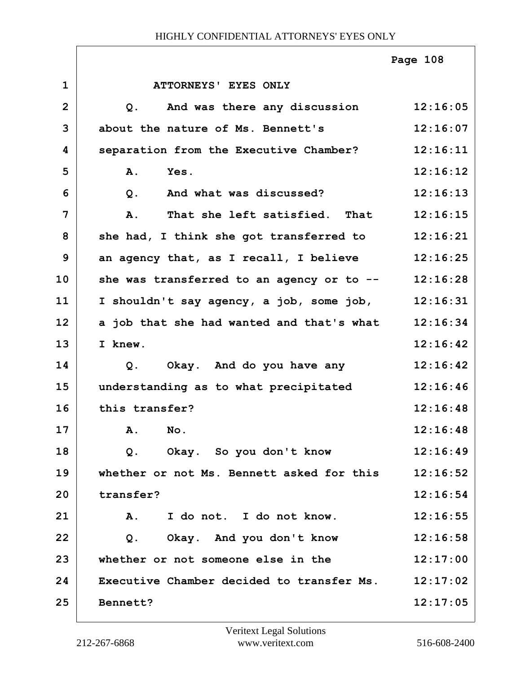|                |                                                      | Page 108 |
|----------------|------------------------------------------------------|----------|
| $\mathbf{1}$   | ATTORNEYS' EYES ONLY                                 |          |
| $\overline{2}$ | And was there any discussion<br>Q <sub>z</sub>       | 12:16:05 |
| 3              | about the nature of Ms. Bennett's                    | 12:16:07 |
| 4              | separation from the Executive Chamber?               | 12:16:11 |
| 5              | Yes.<br>A.                                           | 12:16:12 |
| 6              | And what was discussed?<br>$Q$ .                     | 12:16:13 |
| 7              | That she left satisfied. That<br>A.                  | 12:16:15 |
| 8              | she had, I think she got transferred to              | 12:16:21 |
| 9              | an agency that, as I recall, I believe               | 12:16:25 |
| 10             | she was transferred to an agency or to $--$ 12:16:28 |          |
| 11             | I shouldn't say agency, a job, some job,             | 12:16:31 |
| 12             | a job that she had wanted and that's what            | 12:16:34 |
| 13             | I knew.                                              | 12:16:42 |
| 14             | Q. Okay. And do you have any                         | 12:16:42 |
| 15             | understanding as to what precipitated                | 12:16:46 |
| 16             | this transfer?                                       | 12:16:48 |
| 17             | A. No.                                               | 12:16:48 |
| 18             | Okay. So you don't know<br>Q.                        | 12:16:49 |
| 19             | whether or not Ms. Bennett asked for this            | 12:16:52 |
| 20             | transfer?                                            | 12:16:54 |
| 21             | I do not. I do not know.<br>Α.                       | 12:16:55 |
| 22             | Okay. And you don't know<br>Q.                       | 12:16:58 |
| 23             | whether or not someone else in the                   | 12:17:00 |
| 24             | Executive Chamber decided to transfer Ms.            | 12:17:02 |
| 25             | Bennett?                                             | 12:17:05 |

ı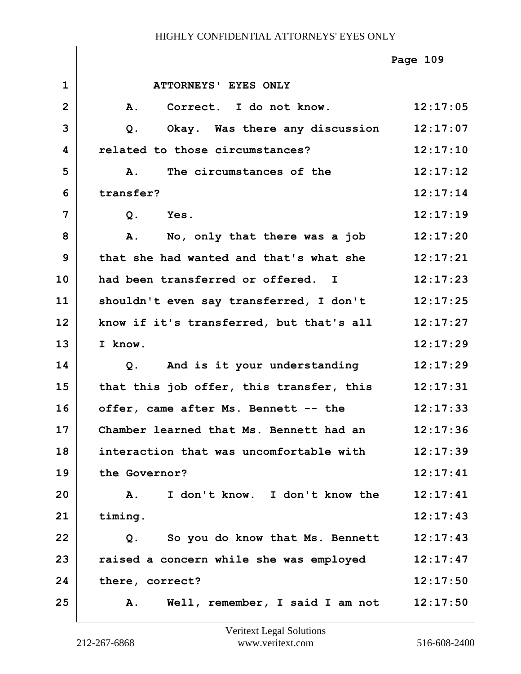|                |                                          | Page 109 |
|----------------|------------------------------------------|----------|
| $\mathbf 1$    | ATTORNEYS' EYES ONLY                     |          |
| $\overline{2}$ | Correct. I do not know.<br><b>A.</b>     | 12:17:05 |
| 3              | $Q$ .<br>Okay. Was there any discussion  | 12:17:07 |
| 4              | related to those circumstances?          | 12:17:10 |
| 5              | The circumstances of the<br><b>A.</b>    | 12:17:12 |
| 6              | transfer?                                | 12:17:14 |
| 7              | Yes.<br>$Q$ .                            | 12:17:19 |
| 8              | No, only that there was a job<br>Α.      | 12:17:20 |
| 9              | that she had wanted and that's what she  | 12:17:21 |
| 10             | had been transferred or offered. I       | 12:17:23 |
| 11             | shouldn't even say transferred, I don't  | 12:17:25 |
| 12             | know if it's transferred, but that's all | 12:17:27 |
| 13             | I know.                                  | 12:17:29 |
| 14             | And is it your understanding<br>Q.       | 12:17:29 |
| 15             | that this job offer, this transfer, this | 12:17:31 |
| 16             | offer, came after Ms. Bennett -- the     | 12:17:33 |
| 17             | Chamber learned that Ms. Bennett had an  | 12:17:36 |
| 18             | interaction that was uncomfortable with  | 12:17:39 |
| 19             | the Governor?                            | 12:17:41 |
| 20             | I don't know. I don't know the<br>Α.     | 12:17:41 |
| 21             | timing.                                  | 12:17:43 |
| 22             | So you do know that Ms. Bennett<br>Q.    | 12:17:43 |
| 23             | raised a concern while she was employed  | 12:17:47 |
| 24             | there, correct?                          | 12:17:50 |
| 25             | Well, remember, I said I am not<br>Α.    | 12:17:50 |

ı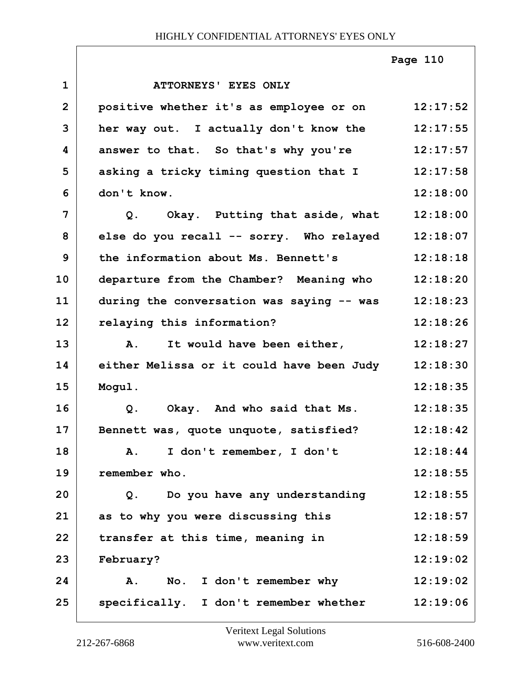|                |                                           | Page 110 |
|----------------|-------------------------------------------|----------|
| $\mathbf{1}$   | ATTORNEYS' EYES ONLY                      |          |
| $\overline{2}$ | positive whether it's as employee or on   | 12:17:52 |
| 3              | her way out. I actually don't know the    | 12:17:55 |
| 4              | answer to that. So that's why you're      | 12:17:57 |
| 5              | asking a tricky timing question that I    | 12:17:58 |
| 6              | don't know.                               | 12:18:00 |
| 7              | Q. Okay. Putting that aside, what         | 12:18:00 |
| 8              | else do you recall -- sorry. Who relayed  | 12:18:07 |
| 9              | the information about Ms. Bennett's       | 12:18:18 |
| 10             | departure from the Chamber? Meaning who   | 12:18:20 |
| 11             | during the conversation was saying -- was | 12:18:23 |
| 12             | relaying this information?                | 12:18:26 |
| 13             | It would have been either,<br>A.          | 12:18:27 |
| 14             | either Melissa or it could have been Judy | 12:18:30 |
| 15             | Mogul.                                    | 12:18:35 |
| 16             | Q. Okay. And who said that Ms.            | 12:18:35 |
| 17             | Bennett was, quote unquote, satisfied?    | 12:18:42 |
| 18             | I don't remember, I don't<br>A.           | 12:18:44 |
| 19             | remember who.                             | 12:18:55 |
| 20             | Q. Do you have any understanding          | 12:18:55 |
| 21             | as to why you were discussing this        | 12:18:57 |
| 22             | transfer at this time, meaning in         | 12:18:59 |
| 23             | February?                                 | 12:19:02 |
| 24             | No. I don't remember why<br><b>A.</b>     | 12:19:02 |
| 25             | specifically. I don't remember whether    | 12:19:06 |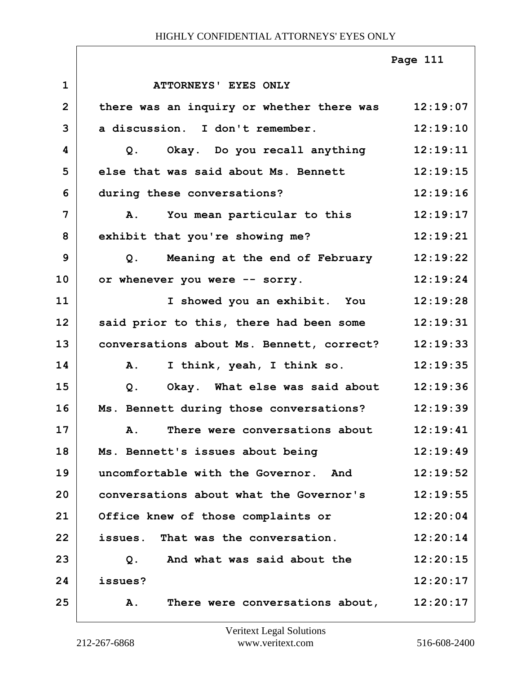|                |                                                    | Page 111 |
|----------------|----------------------------------------------------|----------|
| $\mathbf{1}$   | ATTORNEYS' EYES ONLY                               |          |
| $\overline{2}$ | there was an inquiry or whether there was 12:19:07 |          |
| 3              | a discussion. I don't remember.                    | 12:19:10 |
| 4              | Q. Okay. Do you recall anything 12:19:11           |          |
| 5              | else that was said about Ms. Bennett               | 12:19:15 |
| 6              | during these conversations?                        | 12:19:16 |
| 7              | You mean particular to this<br>Α.                  | 12:19:17 |
| 8              | exhibit that you're showing me?                    | 12:19:21 |
| 9              | Meaning at the end of February 12:19:22<br>Q.      |          |
| 10             | or whenever you were -- sorry.                     | 12:19:24 |
| 11             | I showed you an exhibit. You 12:19:28              |          |
| 12             | said prior to this, there had been some            | 12:19:31 |
| 13             | conversations about Ms. Bennett, correct?          | 12:19:33 |
| 14             | I think, yeah, I think so.<br>${\bf A}$ .          | 12:19:35 |
| 15             | Okay. What else was said about<br>Q.               | 12:19:36 |
| 16             | Ms. Bennett during those conversations?            | 12:19:39 |
| 17             | There were conversations about<br>Α.               | 12:19:41 |
| 18             | Ms. Bennett's issues about being                   | 12:19:49 |
| 19             | uncomfortable with the Governor. And               | 12:19:52 |
| 20             | conversations about what the Governor's            | 12:19:55 |
| 21             | Office knew of those complaints or                 | 12:20:04 |
| 22             | issues. That was the conversation.                 | 12:20:14 |
| 23             | And what was said about the<br>Q.                  | 12:20:15 |
| 24             | issues?                                            | 12:20:17 |
| 25             | There were conversations about,<br>A.              | 12:20:17 |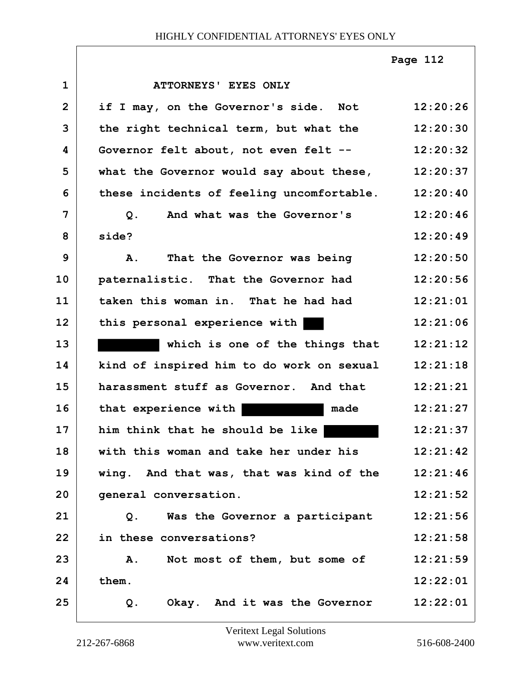|                |                                                   | Page 112 |
|----------------|---------------------------------------------------|----------|
| $\mathbf{1}$   | ATTORNEYS' EYES ONLY                              |          |
| $\overline{2}$ | if I may, on the Governor's side. Not             | 12:20:26 |
| 3              | the right technical term, but what the            | 12:20:30 |
| 4              | Governor felt about, not even felt --             | 12:20:32 |
| 5              | what the Governor would say about these, 12:20:37 |          |
| 6              | these incidents of feeling uncomfortable.         | 12:20:40 |
| $\overline{7}$ | And what was the Governor's<br>Q.                 | 12:20:46 |
| 8              | side?                                             | 12:20:49 |
| 9              | That the Governor was being<br>$\mathbf{A}$ .     | 12:20:50 |
| 10             | paternalistic. That the Governor had              | 12:20:56 |
| 11             | taken this woman in. That he had had              | 12:21:01 |
| 12             | this personal experience with                     | 12:21:06 |
| 13             | which is one of the things that                   | 12:21:12 |
| 14             | kind of inspired him to do work on sexual         | 12:21:18 |
| 15             | harassment stuff as Governor. And that            | 12:21:21 |
| 16             | that experience with<br>made                      | 12:21:27 |
| 17             | him think that he should be like                  | 12:21:37 |
| 18             | with this woman and take her under his            | 12:21:42 |
| 19             | wing. And that was, that was kind of the          | 12:21:46 |
| 20             | general conversation.                             | 12:21:52 |
| 21             | Was the Governor a participant<br>Q.              | 12:21:56 |
| 22             | in these conversations?                           | 12:21:58 |
| 23             | Not most of them, but some of<br>A.               | 12:21:59 |
| 24             | them.                                             | 12:22:01 |
| 25             | Okay. And it was the Governor<br>$Q$ .            | 12:22:01 |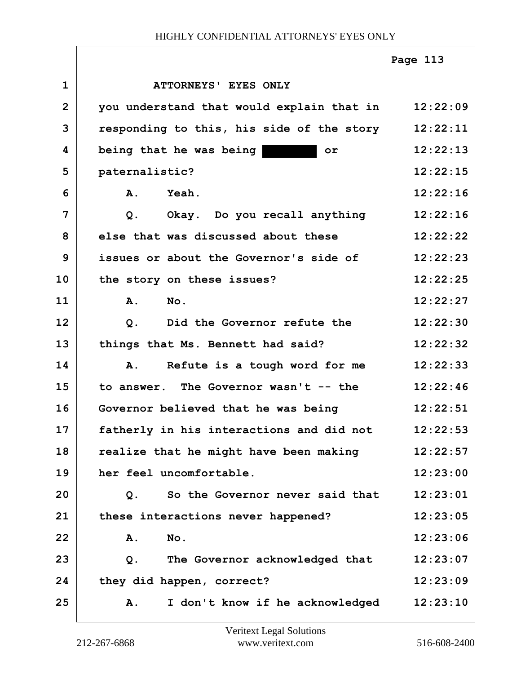|                |                                                                                                                                                                                                                                                                       | Page 113 |
|----------------|-----------------------------------------------------------------------------------------------------------------------------------------------------------------------------------------------------------------------------------------------------------------------|----------|
| $\mathbf{1}$   | ATTORNEYS' EYES ONLY                                                                                                                                                                                                                                                  |          |
| $\overline{2}$ | you understand that would explain that in                                                                                                                                                                                                                             | 12:22:09 |
| 3              | responding to this, his side of the story                                                                                                                                                                                                                             | 12:22:11 |
| 4              | being that he was being<br><u> Tanzania de la Portugal de la Portugal de la Portugal de la Portugal de la Portugal de la Portugal de la Portugal de la Portugal de la Portugal de la Portugal de la Portugal de la Portugal de la Portugal de la Portugal d</u><br>or | 12:22:13 |
| 5              | paternalistic?                                                                                                                                                                                                                                                        | 12:22:15 |
| 6              | $\mathbf{A}$ .<br>Yeah.                                                                                                                                                                                                                                               | 12:22:16 |
| 7              | Okay. Do you recall anything<br>$Q$ .                                                                                                                                                                                                                                 | 12:22:16 |
| 8              | else that was discussed about these                                                                                                                                                                                                                                   | 12:22:22 |
| 9              | issues or about the Governor's side of                                                                                                                                                                                                                                | 12:22:23 |
| 10             | the story on these issues?                                                                                                                                                                                                                                            | 12:22:25 |
| 11             | A.<br>No.                                                                                                                                                                                                                                                             | 12:22:27 |
| 12             | Did the Governor refute the<br>Q <sub>1</sub>                                                                                                                                                                                                                         | 12:22:30 |
| 13             | things that Ms. Bennett had said?                                                                                                                                                                                                                                     | 12:22:32 |
| 14             | Refute is a tough word for me<br>Α.                                                                                                                                                                                                                                   | 12:22:33 |
| 15             | to answer. The Governor wasn't -- the                                                                                                                                                                                                                                 | 12:22:46 |
| 16             | Governor believed that he was being                                                                                                                                                                                                                                   | 12:22:51 |
| 17             | fatherly in his interactions and did not                                                                                                                                                                                                                              | 12:22:53 |
| 18             | realize that he might have been making                                                                                                                                                                                                                                | 12:22:57 |
| 19             | her feel uncomfortable.                                                                                                                                                                                                                                               | 12:23:00 |
| 20             | So the Governor never said that<br>Q.                                                                                                                                                                                                                                 | 12:23:01 |
| 21             | these interactions never happened?                                                                                                                                                                                                                                    | 12:23:05 |
| 22             | No.<br>Α.                                                                                                                                                                                                                                                             | 12:23:06 |
| 23             | The Governor acknowledged that<br>Q.                                                                                                                                                                                                                                  | 12:23:07 |
| 24             | they did happen, correct?                                                                                                                                                                                                                                             | 12:23:09 |
| 25             | I don't know if he acknowledged<br>Α.                                                                                                                                                                                                                                 | 12:23:10 |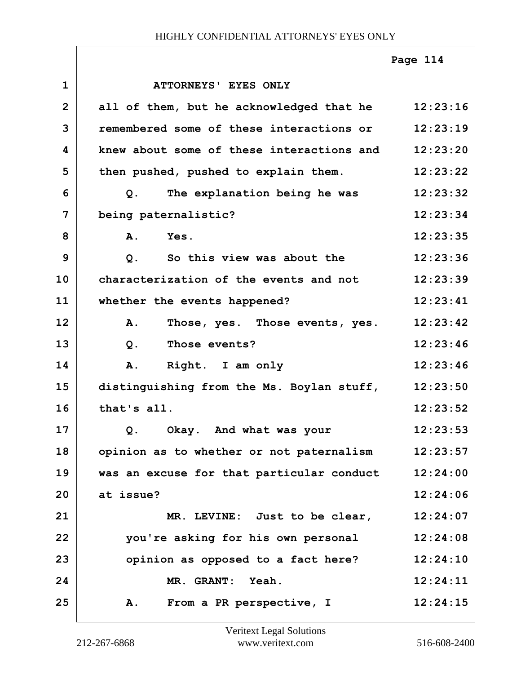|                |                                           | Page 114 |
|----------------|-------------------------------------------|----------|
| $\mathbf{1}$   | ATTORNEYS' EYES ONLY                      |          |
| $\overline{2}$ | all of them, but he acknowledged that he  | 12:23:16 |
| 3              | remembered some of these interactions or  | 12:23:19 |
| 4              | knew about some of these interactions and | 12:23:20 |
| 5              | then pushed, pushed to explain them.      | 12:23:22 |
| 6              | The explanation being he was<br>Q.        | 12:23:32 |
| $\overline{7}$ | being paternalistic?                      | 12:23:34 |
| 8              | A. Yes.                                   | 12:23:35 |
| 9              | So this view was about the<br>Q.          | 12:23:36 |
| 10             | characterization of the events and not    | 12:23:39 |
| 11             | whether the events happened?              | 12:23:41 |
| 12             | Those, yes. Those events, yes.<br>Α.      | 12:23:42 |
| 13             | Those events?<br>$Q$ .                    | 12:23:46 |
| 14             | Right. I am only<br><b>A.</b>             | 12:23:46 |
| 15             | distinguishing from the Ms. Boylan stuff, | 12:23:50 |
| 16             | that's all.                               | 12:23:52 |
| 17             | Okay. And what was your<br>Q.             | 12:23:53 |
| 18             | opinion as to whether or not paternalism  | 12:23:57 |
| 19             | was an excuse for that particular conduct | 12:24:00 |
| 20             | at issue?                                 | 12:24:06 |
| 21             | MR. LEVINE: Just to be clear,             | 12:24:07 |
| 22             | you're asking for his own personal        | 12:24:08 |
| 23             | opinion as opposed to a fact here?        | 12:24:10 |
| 24             | MR. GRANT: Yeah.                          | 12:24:11 |
| 25             | From a PR perspective, I<br>Α.            | 12:24:15 |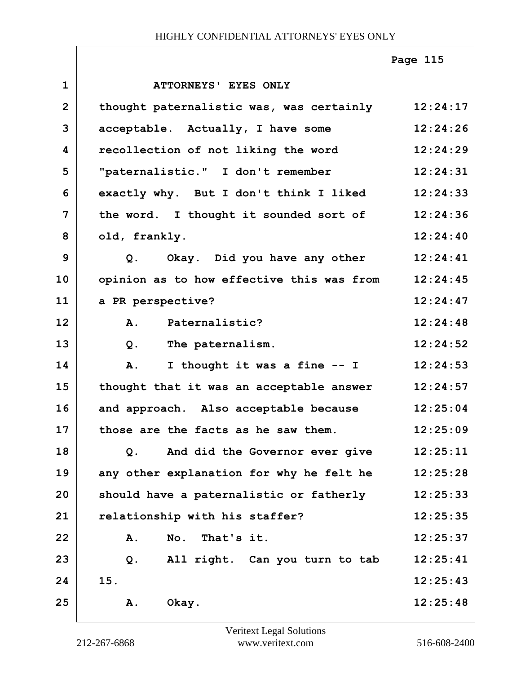|                |                                           | Page 115 |
|----------------|-------------------------------------------|----------|
| $\mathbf{1}$   | <b>ATTORNEYS' EYES ONLY</b>               |          |
| $\overline{2}$ | thought paternalistic was, was certainly  | 12:24:17 |
| 3              | acceptable. Actually, I have some         | 12:24:26 |
| 4              | recollection of not liking the word       | 12:24:29 |
| 5              | "paternalistic." I don't remember         | 12:24:31 |
| 6              | exactly why. But I don't think I liked    | 12:24:33 |
| $\overline{7}$ | the word. I thought it sounded sort of    | 12:24:36 |
| 8              | old, frankly.                             | 12:24:40 |
| 9              | Q. Okay. Did you have any other           | 12:24:41 |
| 10             | opinion as to how effective this was from | 12:24:45 |
| 11             | a PR perspective?                         | 12:24:47 |
| 12             | Paternalistic?<br>A.                      | 12:24:48 |
| 13             | The paternalism.<br>$Q$ .                 | 12:24:52 |
| 14             | I thought it was a fine -- I<br>A.        | 12:24:53 |
| 15             | thought that it was an acceptable answer  | 12:24:57 |
| 16             | and approach. Also acceptable because     | 12:25:04 |
| 17             | those are the facts as he saw them.       | 12:25:09 |
| 18             | And did the Governor ever give<br>$Q$ .   | 12:25:11 |
| 19             | any other explanation for why he felt he  | 12:25:28 |
| 20             | should have a paternalistic or fatherly   | 12:25:33 |
| 21             | relationship with his staffer?            | 12:25:35 |
| 22             | No. That's it.<br>A.                      | 12:25:37 |
| 23             | All right. Can you turn to tab<br>Q.      | 12:25:41 |
| 24             | 15.                                       | 12:25:43 |
| 25             | Okay.<br>Α.                               | 12:25:48 |

ı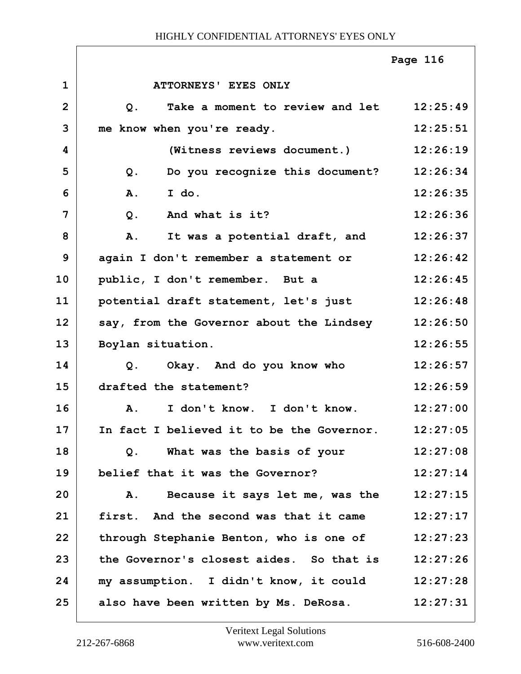|                |                                                | Page 116 |
|----------------|------------------------------------------------|----------|
| $\mathbf 1$    | ATTORNEYS' EYES ONLY                           |          |
| $\overline{2}$ | Take a moment to review and let 12:25:49<br>Q. |          |
| 3              | me know when you're ready.                     | 12:25:51 |
| 4              | (Witness reviews document.)                    | 12:26:19 |
| 5              | Q. Do you recognize this document?             | 12:26:34 |
| 6              | A.<br>I do.                                    | 12:26:35 |
| 7              | And what is it?<br>$Q$ .                       | 12:26:36 |
| 8              | It was a potential draft, and<br>Α.            | 12:26:37 |
| 9              | again I don't remember a statement or          | 12:26:42 |
| 10             | public, I don't remember. But a                | 12:26:45 |
| 11             | potential draft statement, let's just 12:26:48 |          |
| 12             | say, from the Governor about the Lindsey       | 12:26:50 |
| 13             | Boylan situation.                              | 12:26:55 |
| 14             | Q. Okay. And do you know who                   | 12:26:57 |
| 15             | drafted the statement?                         | 12:26:59 |
| 16             | I don't know. I don't know.<br>$\mathbf{A}$ .  | 12:27:00 |
| 17             | In fact I believed it to be the Governor.      | 12:27:05 |
| 18             | What was the basis of your<br>Q.               | 12:27:08 |
| 19             | belief that it was the Governor?               | 12:27:14 |
| 20             | Because it says let me, was the<br>Α.          | 12:27:15 |
| 21             | first. And the second was that it came         | 12:27:17 |
| 22             | through Stephanie Benton, who is one of        | 12:27:23 |
| 23             | the Governor's closest aides. So that is       | 12:27:26 |
| 24             | my assumption. I didn't know, it could         | 12:27:28 |
| 25             | also have been written by Ms. DeRosa.          | 12:27:31 |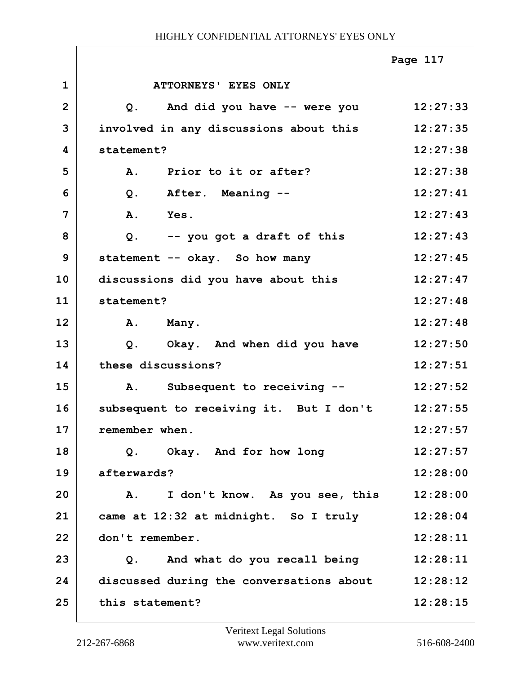|                |                                                | Page 117 |
|----------------|------------------------------------------------|----------|
| $\mathbf{1}$   | <b>ATTORNEYS' EYES ONLY</b>                    |          |
| $\overline{2}$ | And did you have -- were you<br>Q <sub>1</sub> | 12:27:33 |
| 3              | involved in any discussions about this         | 12:27:35 |
| 4              | statement?                                     | 12:27:38 |
| 5              | Prior to it or after?<br><b>A.</b>             | 12:27:38 |
| 6              | After. Meaning --<br>$Q$ .                     | 12:27:41 |
| 7              | A.<br>Yes.                                     | 12:27:43 |
| 8              | $Q$ .<br>-- you got a draft of this            | 12:27:43 |
| 9              | statement -- okay. So how many                 | 12:27:45 |
| 10             | discussions did you have about this            | 12:27:47 |
| 11             | statement?                                     | 12:27:48 |
| 12             | Α.<br>Many.                                    | 12:27:48 |
| 13             | Okay. And when did you have<br>$Q$ .           | 12:27:50 |
| 14             | these discussions?                             | 12:27:51 |
| 15             | Subsequent to receiving --<br>Α.               | 12:27:52 |
| 16             | subsequent to receiving it. But I don't        | 12:27:55 |
| 17             | remember when                                  | 12:27:57 |
| 18             | Q. Okay. And for how long                      | 12:27:57 |
| 19             | afterwards?                                    | 12:28:00 |
| 20             | I don't know. As you see, this<br>${\bf A}$ .  | 12:28:00 |
| 21             | came at 12:32 at midnight. So I truly          | 12:28:04 |
| 22             | don't remember.                                | 12:28:11 |
| 23             | Q. And what do you recall being                | 12:28:11 |
| 24             | discussed during the conversations about       | 12:28:12 |
| 25             | this statement?                                | 12:28:15 |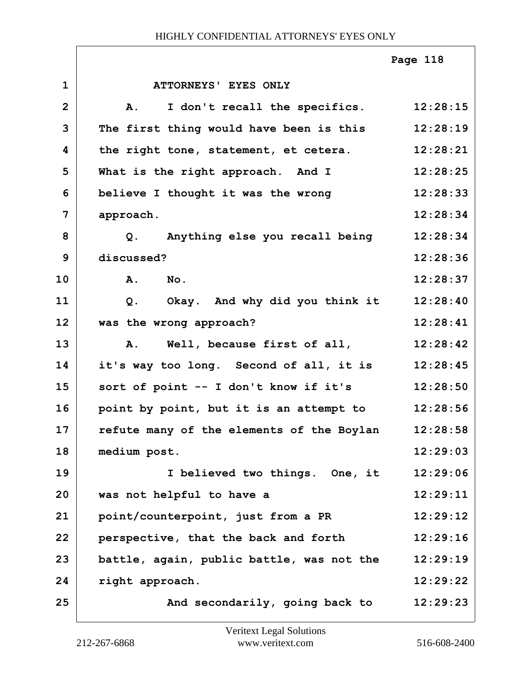|                |                                                  | Page 118 |
|----------------|--------------------------------------------------|----------|
| $\mathbf{1}$   | ATTORNEYS' EYES ONLY                             |          |
| $\overline{2}$ | I don't recall the specifics. 12:28:15<br>A.     |          |
| 3              | The first thing would have been is this          | 12:28:19 |
| 4              | the right tone, statement, et cetera.            | 12:28:21 |
| 5              | What is the right approach. And I                | 12:28:25 |
| 6              | believe I thought it was the wrong               | 12:28:33 |
| 7              | approach.                                        | 12:28:34 |
| 8              | Q. Anything else you recall being                | 12:28:34 |
| 9              | discussed?                                       | 12:28:36 |
| 10             | A. No.                                           | 12:28:37 |
| 11             | Okay. And why did you think it<br>Q <sub>1</sub> | 12:28:40 |
| 12             | was the wrong approach?                          | 12:28:41 |
| 13             | A. Well, because first of all,                   | 12:28:42 |
| 14             | it's way too long. Second of all, it is          | 12:28:45 |
| 15             | sort of point -- I don't know if it's            | 12:28:50 |
| 16             | point by point, but it is an attempt to          | 12:28:56 |
| 17             | refute many of the elements of the Boylan        | 12:28:58 |
| 18             | medium post.                                     | 12:29:03 |
| 19             | I believed two things. One, it                   | 12:29:06 |
| 20             | was not helpful to have a                        | 12:29:11 |
| 21             | point/counterpoint, just from a PR               | 12:29:12 |
| 22             | perspective, that the back and forth             | 12:29:16 |
| 23             | battle, again, public battle, was not the        | 12:29:19 |
| 24             | right approach.                                  | 12:29:22 |
| 25             | And secondarily, going back to                   | 12:29:23 |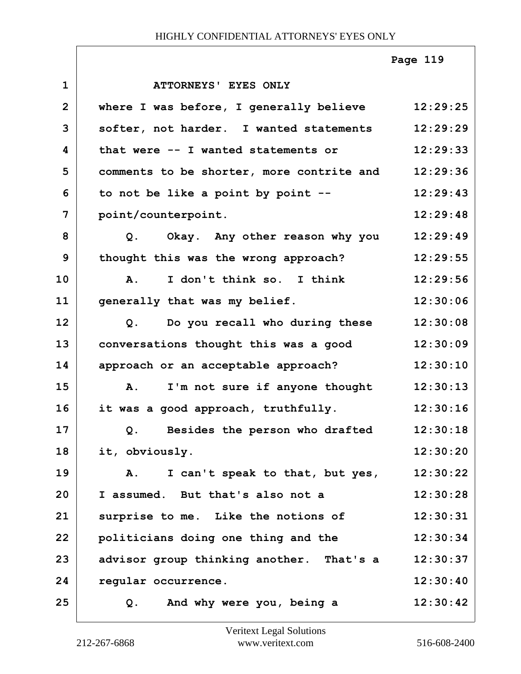|              |                                                | Page 119 |
|--------------|------------------------------------------------|----------|
| $\mathbf{1}$ | <b>ATTORNEYS' EYES ONLY</b>                    |          |
| $\mathbf{2}$ | where I was before, I generally believe        | 12:29:25 |
| 3            | softer, not harder. I wanted statements        | 12:29:29 |
| 4            | that were -- I wanted statements or            | 12:29:33 |
| 5            | comments to be shorter, more contrite and      | 12:29:36 |
| 6            | to not be like a point by point --             | 12:29:43 |
| 7            | point/counterpoint.                            | 12:29:48 |
| 8            | Okay. Any other reason why you<br>Q.           | 12:29:49 |
| 9            | thought this was the wrong approach?           | 12:29:55 |
| 10           | I don't think so. I think<br><b>A.</b>         | 12:29:56 |
| 11           | generally that was my belief.                  | 12:30:06 |
| 12           | Do you recall who during these<br>$Q$ .        | 12:30:08 |
| 13           | conversations thought this was a good          | 12:30:09 |
| 14           | approach or an acceptable approach?            | 12:30:10 |
| 15           | I'm not sure if anyone thought<br>A.           | 12:30:13 |
| 16           | it was a good approach, truthfully.            | 12:30:16 |
| 17           | Besides the person who drafted<br>Q.           | 12:30:18 |
| 18           | it, obviously.                                 | 12:30:20 |
| 19           | I can't speak to that, but yes,<br>${\bf A}$ . | 12:30:22 |
| 20           | I assumed. But that's also not a               | 12:30:28 |
| 21           | surprise to me. Like the notions of            | 12:30:31 |
| 22           | politicians doing one thing and the            | 12:30:34 |
| 23           | advisor group thinking another. That's a       | 12:30:37 |
| 24           | regular occurrence.                            | 12:30:40 |
| 25           | And why were you, being a<br>$Q$ .             | 12:30:42 |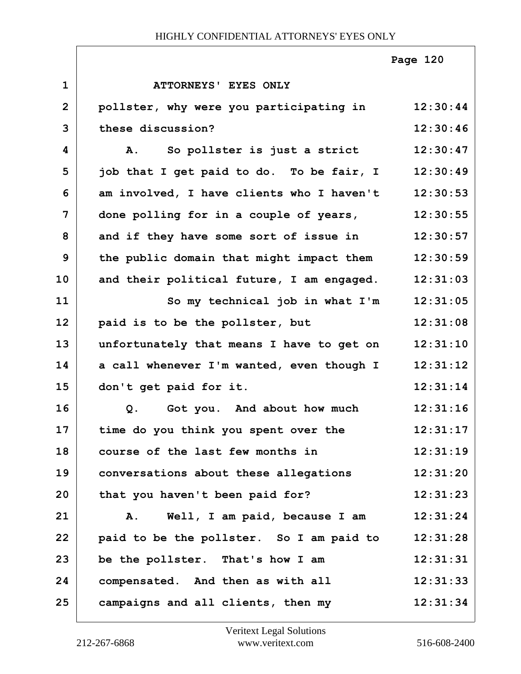|              |                                           | Page 120 |
|--------------|-------------------------------------------|----------|
| $\mathbf{1}$ | <b>ATTORNEYS' EYES ONLY</b>               |          |
| 2            | pollster, why were you participating in   | 12:30:44 |
| 3            | these discussion?                         | 12:30:46 |
| 4            | So pollster is just a strict<br>Α.        | 12:30:47 |
| 5            | job that I get paid to do. To be fair, I  | 12:30:49 |
| 6            | am involved, I have clients who I haven't | 12:30:53 |
| 7            | done polling for in a couple of years,    | 12:30:55 |
| 8            | and if they have some sort of issue in    | 12:30:57 |
| 9            | the public domain that might impact them  | 12:30:59 |
| 10           | and their political future, I am engaged. | 12:31:03 |
| 11           | So my technical job in what I'm           | 12:31:05 |
| 12           | paid is to be the pollster, but           | 12:31:08 |
| 13           | unfortunately that means I have to get on | 12:31:10 |
| 14           | a call whenever I'm wanted, even though I | 12:31:12 |
| 15           | don't get paid for it.                    | 12:31:14 |
| 16           | Got you. And about how much<br>$Q$ .      | 12:31:16 |
| 17           | time do you think you spent over the      | 12:31:17 |
| 18           | course of the last few months in          | 12:31:19 |
| 19           | conversations about these allegations     | 12:31:20 |
| 20           | that you haven't been paid for?           | 12:31:23 |
| 21           | Well, I am paid, because I am<br>A.       | 12:31:24 |
| 22           | paid to be the pollster. So I am paid to  | 12:31:28 |
| 23           | be the pollster. That's how I am          | 12:31:31 |
| 24           | compensated. And then as with all         | 12:31:33 |
| 25           | campaigns and all clients, then my        | 12:31:34 |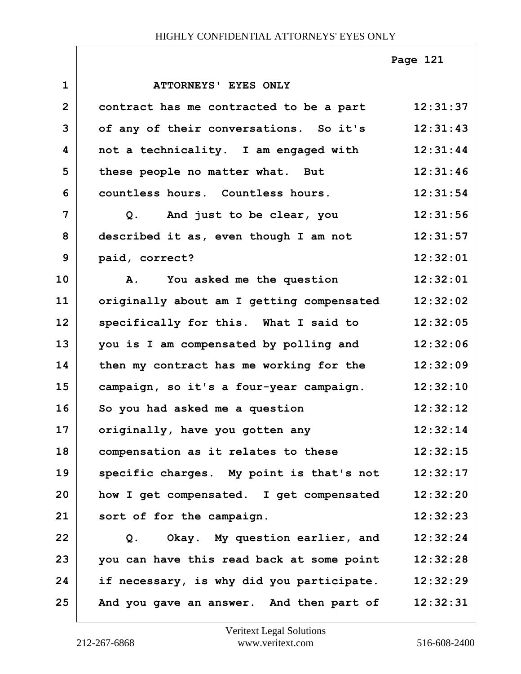|                |                                           | Page 121 |
|----------------|-------------------------------------------|----------|
| $\mathbf{1}$   | ATTORNEYS' EYES ONLY                      |          |
| $\overline{2}$ | contract has me contracted to be a part   | 12:31:37 |
| 3              | of any of their conversations. So it's    | 12:31:43 |
| 4              | not a technicality. I am engaged with     | 12:31:44 |
| 5              | these people no matter what. But          | 12:31:46 |
| 6              | countless hours. Countless hours.         | 12:31:54 |
| $\overline{7}$ | Q. And just to be clear, you              | 12:31:56 |
| 8              | described it as, even though I am not     | 12:31:57 |
| 9              | paid, correct?                            | 12:32:01 |
| 10             | A. You asked me the question              | 12:32:01 |
| 11             | originally about am I getting compensated | 12:32:02 |
| 12             | specifically for this. What I said to     | 12:32:05 |
| 13             | you is I am compensated by polling and    | 12:32:06 |
| 14             | then my contract has me working for the   | 12:32:09 |
| 15             | campaign, so it's a four-year campaign.   | 12:32:10 |
| 16             | So you had asked me a question            | 12:32:12 |
| 17             | originally, have you gotten any           | 12:32:14 |
| 18             | compensation as it relates to these       | 12:32:15 |
| 19             | specific charges. My point is that's not  | 12:32:17 |
| 20             | how I get compensated. I get compensated  | 12:32:20 |
| 21             | sort of for the campaign.                 | 12:32:23 |
| 22             | Okay. My question earlier, and<br>Q.      | 12:32:24 |
| 23             | you can have this read back at some point | 12:32:28 |
| 24             | if necessary, is why did you participate. | 12:32:29 |
| 25             | And you gave an answer. And then part of  | 12:32:31 |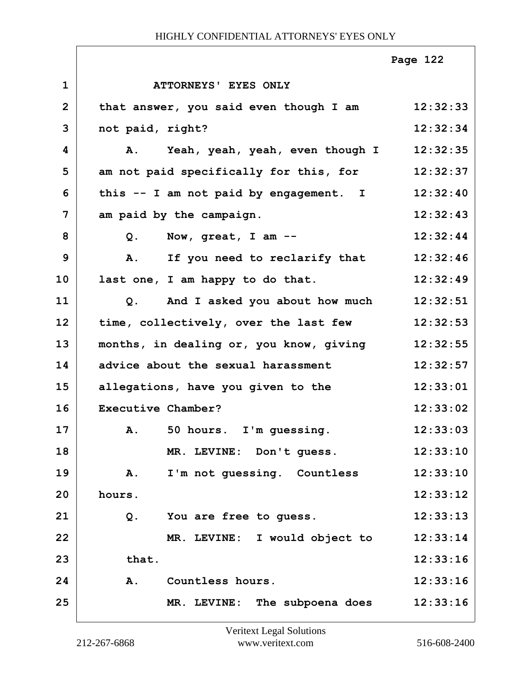|              |                                               | Page 122 |
|--------------|-----------------------------------------------|----------|
| $\mathbf{1}$ | <b>ATTORNEYS' EYES ONLY</b>                   |          |
| $\mathbf{2}$ | that answer, you said even though I am        | 12:32:33 |
| 3            | not paid, right?                              | 12:32:34 |
| 4            | Yeah, yeah, yeah, even though I<br><b>A</b> . | 12:32:35 |
| 5            | am not paid specifically for this, for        | 12:32:37 |
| 6            | this -- I am not paid by engagement. I        | 12:32:40 |
| 7            | am paid by the campaign.                      | 12:32:43 |
| 8            | Now, great, I am --<br>Q.                     | 12:32:44 |
| 9            | If you need to reclarify that<br>Α.           | 12:32:46 |
| 10           | last one, I am happy to do that.              | 12:32:49 |
| 11           | And I asked you about how much<br>Q.          | 12:32:51 |
| 12           | time, collectively, over the last few         | 12:32:53 |
| 13           | months, in dealing or, you know, giving       | 12:32:55 |
| 14           | advice about the sexual harassment            | 12:32:57 |
| 15           | allegations, have you given to the            | 12:33:01 |
| 16           | Executive Chamber?                            | 12:33:02 |
| 17           | A. 50 hours. I'm guessing.                    | 12:33:03 |
| 18           | MR. LEVINE: Don't guess.                      | 12:33:10 |
| 19           | I'm not guessing. Countless<br>Α.             | 12:33:10 |
| 20           | hours.                                        | 12:33:12 |
| 21           | $Q$ .<br>You are free to guess.               | 12:33:13 |
| 22           | MR. LEVINE: I would object to                 | 12:33:14 |
| 23           | that.                                         | 12:33:16 |
| 24           | A.<br>Countless hours.                        | 12:33:16 |
| 25           | MR. LEVINE: The subpoena does                 | 12:33:16 |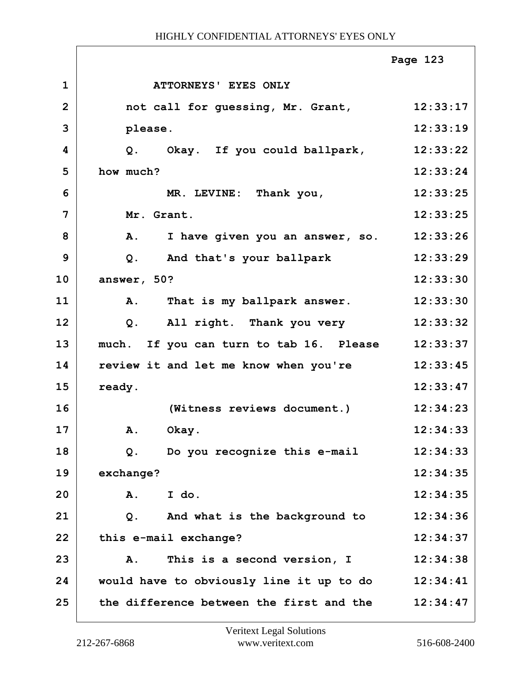|                |                                          | Page 123 |
|----------------|------------------------------------------|----------|
| $\mathbf 1$    | ATTORNEYS' EYES ONLY                     |          |
| $\overline{2}$ | not call for guessing, Mr. Grant,        | 12:33:17 |
| 3              | please.                                  | 12:33:19 |
| 4              | Q. Okay. If you could ballpark,          | 12:33:22 |
| 5              | how much?                                | 12:33:24 |
| 6              | MR. LEVINE: Thank you,                   | 12:33:25 |
| 7              | Mr. Grant.                               | 12:33:25 |
| 8              | I have given you an answer, so.<br>Α.    | 12:33:26 |
| 9              | $Q$ .<br>And that's your ballpark        | 12:33:29 |
| 10             | answer, 50?                              | 12:33:30 |
| 11             | That is my ballpark answer.<br>Α.        | 12:33:30 |
| 12             | All right. Thank you very<br>$Q$ .       | 12:33:32 |
| 13             | much. If you can turn to tab 16. Please  | 12:33:37 |
| 14             | review it and let me know when you're    | 12:33:45 |
| 15             | ready.                                   | 12:33:47 |
| 16             | (Witness reviews document.)              | 12:34:23 |
| 17             | Okay.<br>A.                              | 12:34:33 |
| 18             | Do you recognize this e-mail<br>Q.       | 12:34:33 |
| 19             | exchange?                                | 12:34:35 |
| 20             | I do.<br>Α.                              | 12:34:35 |
| 21             | And what is the background to<br>Q.      | 12:34:36 |
| 22             | this e-mail exchange?                    | 12:34:37 |
| 23             | This is a second version, I<br>A.        | 12:34:38 |
| 24             | would have to obviously line it up to do | 12:34:41 |
| 25             | the difference between the first and the | 12:34:47 |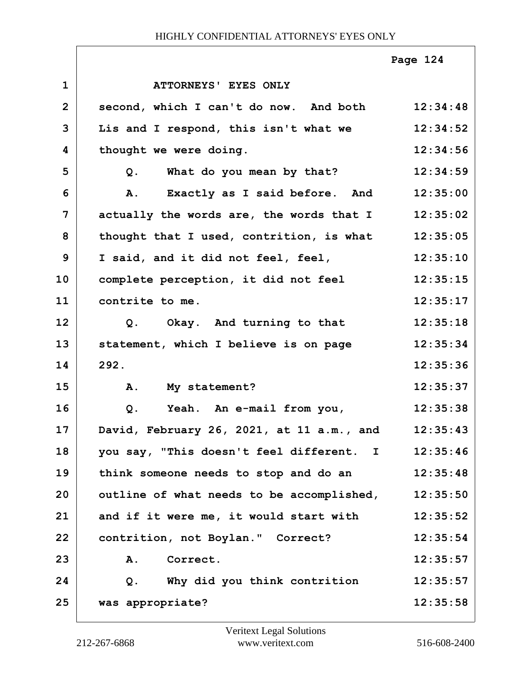|                |                                           | Page 124 |
|----------------|-------------------------------------------|----------|
| $\mathbf{1}$   | ATTORNEYS' EYES ONLY                      |          |
| $\overline{2}$ | second, which I can't do now. And both    | 12:34:48 |
| 3              | Lis and I respond, this isn't what we     | 12:34:52 |
| 4              | thought we were doing.                    | 12:34:56 |
| 5              | What do you mean by that?<br>Q.           | 12:34:59 |
| 6              | Exactly as I said before. And<br>A.       | 12:35:00 |
| 7              | actually the words are, the words that I  | 12:35:02 |
| 8              | thought that I used, contrition, is what  | 12:35:05 |
| 9              | I said, and it did not feel, feel,        | 12:35:10 |
| 10             | complete perception, it did not feel      | 12:35:15 |
| 11             | contrite to me.                           | 12:35:17 |
| 12             | Q. Okay. And turning to that              | 12:35:18 |
| 13             | statement, which I believe is on page     | 12:35:34 |
| 14             | 292.                                      | 12:35:36 |
| 15             | A. My statement?                          | 12:35:37 |
| 16             | Yeah. An e-mail from you,<br>Q.           | 12:35:38 |
| 17             | David, February 26, 2021, at 11 a.m., and | 12:35:43 |
| 18             | you say, "This doesn't feel different. I  | 12:35:46 |
| 19             | think someone needs to stop and do an     | 12:35:48 |
| 20             | outline of what needs to be accomplished, | 12:35:50 |
| 21             | and if it were me, it would start with    | 12:35:52 |
| 22             | contrition, not Boylan." Correct?         | 12:35:54 |
| 23             | <b>A.</b><br>Correct.                     | 12:35:57 |
| 24             | Why did you think contrition<br>Q.        | 12:35:57 |
| 25             | was appropriate?                          | 12:35:58 |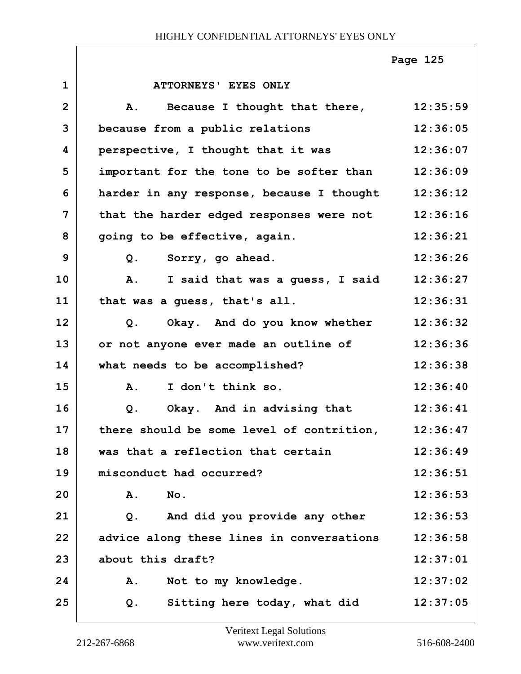|                |                                           | Page 125 |
|----------------|-------------------------------------------|----------|
| $\mathbf{1}$   | ATTORNEYS' EYES ONLY                      |          |
| $\overline{2}$ | Because I thought that there,<br>A.       | 12:35:59 |
| 3              | because from a public relations           | 12:36:05 |
| 4              | perspective, I thought that it was        | 12:36:07 |
| 5              | important for the tone to be softer than  | 12:36:09 |
| 6              | harder in any response, because I thought | 12:36:12 |
| $\overline{7}$ | that the harder edged responses were not  | 12:36:16 |
| 8              | going to be effective, again.             | 12:36:21 |
| 9              | Sorry, go ahead.<br>Q.                    | 12:36:26 |
| 10             | A.<br>I said that was a guess, I said     | 12:36:27 |
| 11             | that was a guess, that's all.             | 12:36:31 |
| 12             | Okay. And do you know whether<br>Q.       | 12:36:32 |
| 13             | or not anyone ever made an outline of     | 12:36:36 |
| 14             | what needs to be accomplished?            | 12:36:38 |
| 15             | I don't think so.<br>$\mathbf{A}$ .       | 12:36:40 |
| 16             | Okay. And in advising that<br>Q.          | 12:36:41 |
| 17             | there should be some level of contrition, | 12:36:47 |
| 18             | was that a reflection that certain        | 12:36:49 |
| 19             | misconduct had occurred?                  | 12:36:51 |
| 20             | No.<br>Α.                                 | 12:36:53 |
| 21             | And did you provide any other<br>Q.       | 12:36:53 |
| 22             | advice along these lines in conversations | 12:36:58 |
| 23             | about this draft?                         | 12:37:01 |
| 24             | Not to my knowledge.<br>Α.                | 12:37:02 |
| 25             | Sitting here today, what did<br>Q.        | 12:37:05 |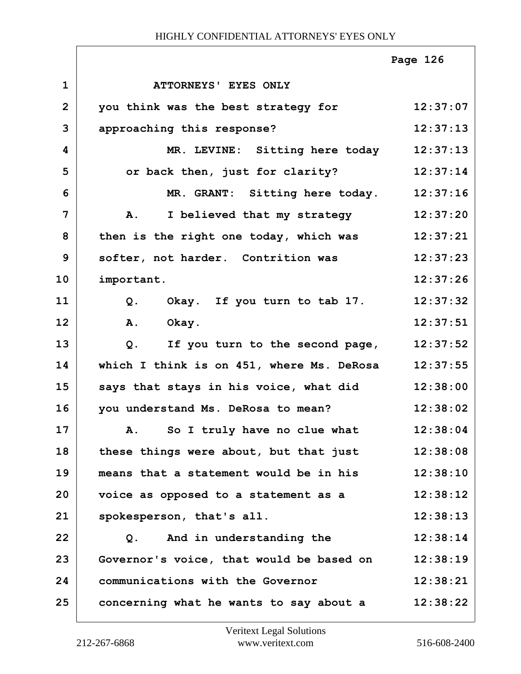|                |                                           | Page 126 |
|----------------|-------------------------------------------|----------|
| $\mathbf 1$    | ATTORNEYS' EYES ONLY                      |          |
| $\overline{2}$ | you think was the best strategy for       | 12:37:07 |
| 3              | approaching this response?                | 12:37:13 |
| 4              | MR. LEVINE: Sitting here today            | 12:37:13 |
| 5              | or back then, just for clarity?           | 12:37:14 |
| 6              | MR. GRANT: Sitting here today.            | 12:37:16 |
| $\overline{7}$ | A. I believed that my strategy            | 12:37:20 |
| 8              | then is the right one today, which was    | 12:37:21 |
| 9              | softer, not harder. Contrition was        | 12:37:23 |
| 10             | important.                                | 12:37:26 |
| 11             | Q. Okay. If you turn to tab 17.           | 12:37:32 |
| 12             | A.<br>Okay.                               | 12:37:51 |
| 13             | $Q$ .<br>If you turn to the second page,  | 12:37:52 |
| 14             | which I think is on 451, where Ms. DeRosa | 12:37:55 |
| 15             | says that stays in his voice, what did    | 12:38:00 |
| 16             | you understand Ms. DeRosa to mean?        | 12:38:02 |
| 17             | A. So I truly have no clue what           | 12:38:04 |
| 18             | these things were about, but that just    | 12:38:08 |
| 19             | means that a statement would be in his    | 12:38:10 |
| 20             | voice as opposed to a statement as a      | 12:38:12 |
| 21             | spokesperson, that's all.                 | 12:38:13 |
| 22             | And in understanding the<br>Q.            | 12:38:14 |
| 23             | Governor's voice, that would be based on  | 12:38:19 |
| 24             | communications with the Governor          | 12:38:21 |
| 25             | concerning what he wants to say about a   | 12:38:22 |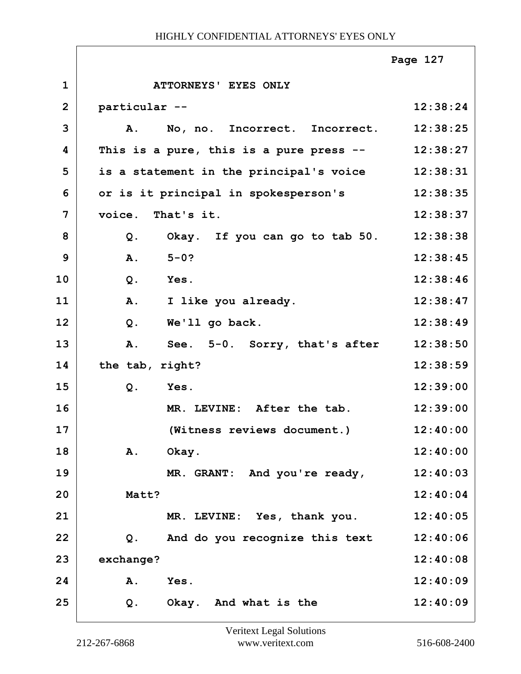|                |                                         | Page 127 |
|----------------|-----------------------------------------|----------|
| $\mathbf{1}$   | ATTORNEYS' EYES ONLY                    |          |
| $\overline{2}$ | particular --                           | 12:38:24 |
| 3              | A.<br>No, no. Incorrect. Incorrect.     | 12:38:25 |
| 4              | This is a pure, this is a pure press -- | 12:38:27 |
| 5              | is a statement in the principal's voice | 12:38:31 |
| 6              | or is it principal in spokesperson's    | 12:38:35 |
| $\overline{7}$ | voice. That's it.                       | 12:38:37 |
| 8              | Okay. If you can go to tab 50.<br>Q.    | 12:38:38 |
| 9              | $5 - 0?$<br>A.                          | 12:38:45 |
| 10             | Yes.<br>$Q$ .                           | 12:38:46 |
| 11             | A.<br>I like you already.               | 12:38:47 |
| 12             | $Q$ .<br>We'll go back.                 | 12:38:49 |
| 13             | See. 5-0. Sorry, that's after<br>A.     | 12:38:50 |
| 14             | the tab, right?                         | 12:38:59 |
| 15             | Yes.<br>$Q$ .                           | 12:39:00 |
| 16             | MR. LEVINE: After the tab.              | 12:39:00 |
| 17             | (Witness reviews document.)             | 12:40:00 |
| 18             | Α.<br>Okay.                             | 12:40:00 |
| 19             | MR. GRANT: And you're ready,            | 12:40:03 |
| 20             | Matt?                                   | 12:40:04 |
| 21             | MR. LEVINE: Yes, thank you.             | 12:40:05 |
| 22             | And do you recognize this text<br>$Q$ . | 12:40:06 |
| 23             | exchange?                               | 12:40:08 |
| 24             | Yes.<br>Α.                              | 12:40:09 |
| 25             | $Q$ .<br>Okay. And what is the          | 12:40:09 |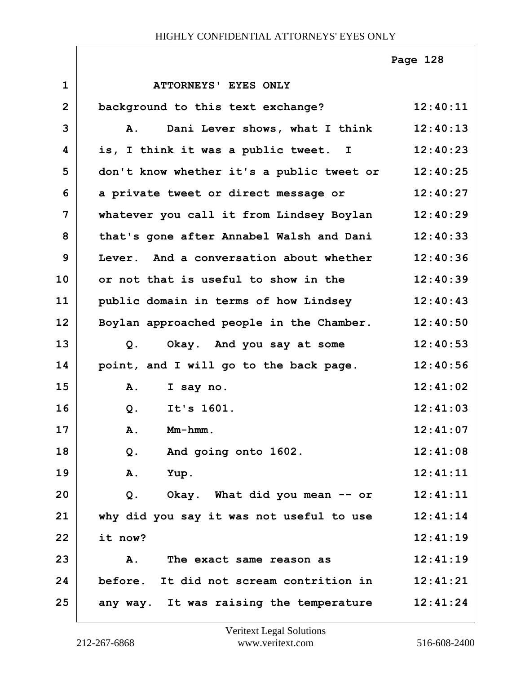|                |                                             | Page 128 |
|----------------|---------------------------------------------|----------|
| $\mathbf{1}$   | ATTORNEYS' EYES ONLY                        |          |
| $\overline{2}$ | background to this text exchange?           | 12:40:11 |
| 3              | Dani Lever shows, what I think<br>Α.        | 12:40:13 |
| 4              | is, I think it was a public tweet. I        | 12:40:23 |
| 5              | don't know whether it's a public tweet or   | 12:40:25 |
| 6              | a private tweet or direct message or        | 12:40:27 |
| 7              | whatever you call it from Lindsey Boylan    | 12:40:29 |
| 8              | that's gone after Annabel Walsh and Dani    | 12:40:33 |
| 9              | Lever. And a conversation about whether     | 12:40:36 |
| 10             | or not that is useful to show in the        | 12:40:39 |
| 11             | public domain in terms of how Lindsey       | 12:40:43 |
| 12             | Boylan approached people in the Chamber.    | 12:40:50 |
| 13             | Okay. And you say at some<br>Q <sub>1</sub> | 12:40:53 |
| 14             | point, and I will go to the back page.      | 12:40:56 |
| 15             | A.<br>I say no.                             | 12:41:02 |
| 16             | It's 1601.<br>$Q$ .                         | 12:41:03 |
| 17             | Mm-hmm.<br>Α.                               | 12:41:07 |
| 18             | And going onto 1602.<br>Q.                  | 12:41:08 |
| 19             | Yup.<br><b>A.</b>                           | 12:41:11 |
| 20             | Okay. What did you mean -- or<br>$Q$ .      | 12:41:11 |
| 21             | why did you say it was not useful to use    | 12:41:14 |
| 22             | it now?                                     | 12:41:19 |
| 23             | A.<br>The exact same reason as              | 12:41:19 |
| 24             | before. It did not scream contrition in     | 12:41:21 |
| 25             | any way. It was raising the temperature     | 12:41:24 |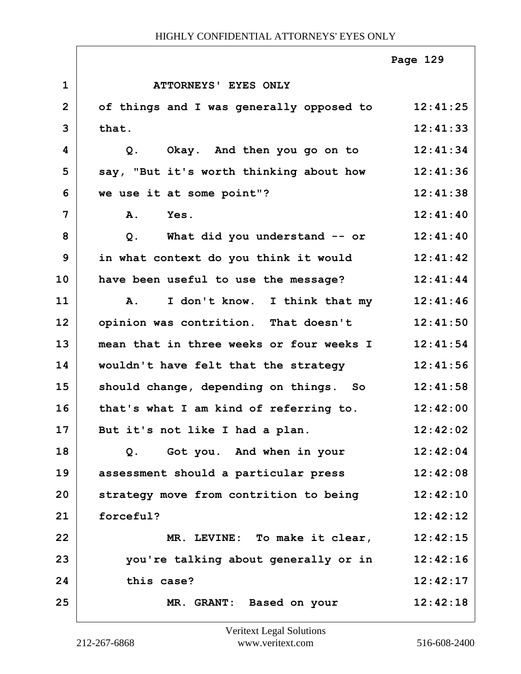|                |                                                     | Page 129 |
|----------------|-----------------------------------------------------|----------|
| $\mathbf{1}$   | ATTORNEYS' EYES ONLY                                |          |
| $\overline{2}$ | of things and I was generally opposed to 12:41:25   |          |
| 3              | that.                                               | 12:41:33 |
| 4              | Okay. And then you go on to<br>$Q$ .                | 12:41:34 |
| 5              | say, "But it's worth thinking about how 12:41:36    |          |
| 6              | we use it at some point"?                           | 12:41:38 |
| 7              | A.<br>Yes.                                          | 12:41:40 |
| 8              | What did you understand $--$ or $12:41:40$<br>$Q$ . |          |
| 9              | in what context do you think it would               | 12:41:42 |
| 10             | have been useful to use the message?                | 12:41:44 |
| 11             | I don't know. I think that my<br><b>A.</b>          | 12:41:46 |
| 12             | opinion was contrition. That doesn't                | 12:41:50 |
| 13             | mean that in three weeks or four weeks I            | 12:41:54 |
| 14             | wouldn't have felt that the strategy                | 12:41:56 |
| 15             | should change, depending on things. So              | 12:41:58 |
| 16             | that's what I am kind of referring to.              | 12:42:00 |
| 17             | But it's not like I had a plan.                     | 12:42:02 |
| 18             | Got you. And when in your<br>Q.                     | 12:42:04 |
| 19             | assessment should a particular press                | 12:42:08 |
| 20             | strategy move from contrition to being              | 12:42:10 |
| 21             | forceful?                                           | 12:42:12 |
| 22             | MR. LEVINE: To make it clear,                       | 12:42:15 |
| 23             | you're talking about generally or in                | 12:42:16 |
| 24             | this case?                                          | 12:42:17 |
| 25             | MR. GRANT: Based on your                            | 12:42:18 |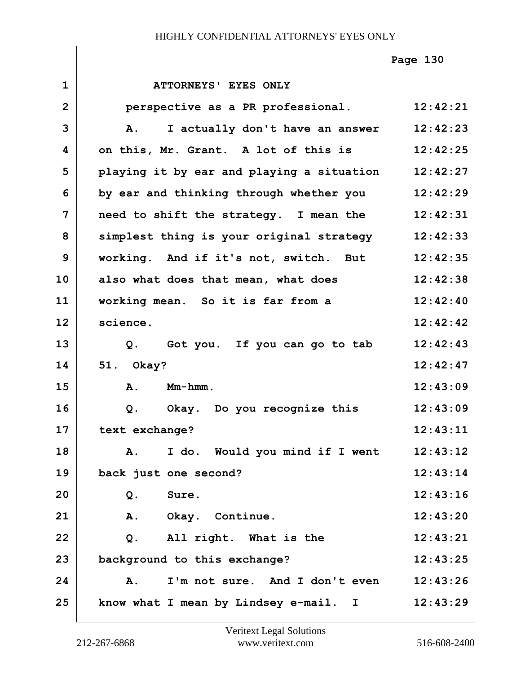**1 ATTORNEYS' EYES ONLY 2 perspective as a PR professional. 12:42:21 3 A. I actually don't have an answer 12:42:23 4 on this, Mr. Grant. A lot of this is 12:42:25 5 playing it by ear and playing a situation 12:42:27 6 by ear and thinking through whether you 12:42:29 7 need to shift the strategy. I mean the 12:42:31 8 simplest thing is your original strategy 12:42:33 9 working. And if it's not, switch. But 12:42:35 10 also what does that mean, what does 12:42:38 11 working mean. So it is far from a 12:42:40 12 science. 12:42:42 13 Q. Got you. If you can go to tab 12:42:43 14 51. Okay? 12:42:47 15 A. Mm-hmm. 12:43:09 16 Q. Okay. Do you recognize this 12:43:09 17 text exchange? 12:43:11 18 A. I do. Would you mind if I went 12:43:12 19 back just one second? 12:43:14 20 Q. Sure. 12:43:16 21 A. Okay. Continue. 12:43:20 22 Q. All right. What is the 12:43:21 23 background to this exchange? 12:43:25 24 A. I'm not sure. And I don't even 12:43:26 25 know what I mean by Lindsey e-mail. I 12:43:29 Page 130**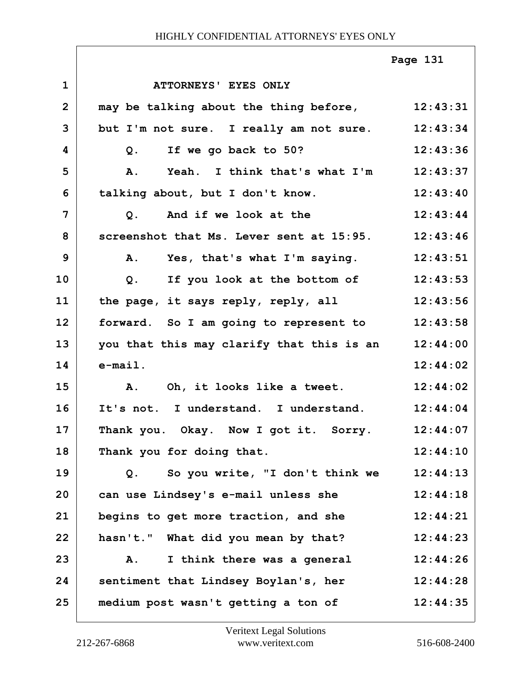|                |                                                   | Page 131 |
|----------------|---------------------------------------------------|----------|
| $\mathbf 1$    | ATTORNEYS' EYES ONLY                              |          |
| $\overline{2}$ | may be talking about the thing before, 12:43:31   |          |
| 3              | but I'm not sure. I really am not sure. 12:43:34  |          |
| 4              | Q. If we go back to 50?                           | 12:43:36 |
| 5              | Yeah. I think that's what I'm<br>A.               | 12:43:37 |
| 6              | talking about, but I don't know.                  | 12:43:40 |
| 7              | And if we look at the<br>Q.                       | 12:43:44 |
| 8              | screenshot that Ms. Lever sent at 15:95. 12:43:46 |          |
| 9              | A. Yes, that's what I'm saying.                   | 12:43:51 |
| 10             | If you look at the bottom of<br>Q <sub>1</sub>    | 12:43:53 |
| 11             | the page, it says reply, reply, all               | 12:43:56 |
| 12             | forward. So I am going to represent to 12:43:58   |          |
| 13             | you that this may clarify that this is an         | 12:44:00 |
| 14             | $e$ -mail.                                        | 12:44:02 |
| 15             | A. Oh, it looks like a tweet.                     | 12:44:02 |
| 16             | It's not. I understand. I understand.             | 12:44:04 |
| 17             | Thank you. Okay. Now I got it. Sorry.             | 12:44:07 |
| 18             | Thank you for doing that.                         | 12:44:10 |
| 19             | So you write, "I don't think we<br>Q.             | 12:44:13 |
| 20             | can use Lindsey's e-mail unless she               | 12:44:18 |
| 21             | begins to get more traction, and she              | 12:44:21 |
| 22             | hasn't." What did you mean by that?               | 12:44:23 |
| 23             | I think there was a general<br>Α.                 | 12:44:26 |
| 24             | sentiment that Lindsey Boylan's, her              | 12:44:28 |
| 25             | medium post wasn't getting a ton of               | 12:44:35 |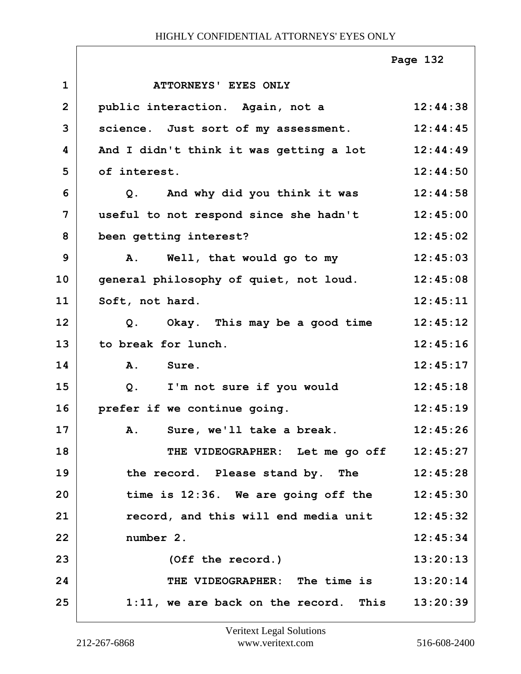|                |                                                  | Page 132 |
|----------------|--------------------------------------------------|----------|
| $\mathbf{1}$   | ATTORNEYS' EYES ONLY                             |          |
| $\overline{2}$ | public interaction. Again, not a                 | 12:44:38 |
| 3              | science. Just sort of my assessment.             | 12:44:45 |
| 4              | And I didn't think it was getting a lot          | 12:44:49 |
| 5              | of interest.                                     | 12:44:50 |
| 6              | Q. And why did you think it was                  | 12:44:58 |
| 7              | useful to not respond since she hadn't           | 12:45:00 |
| 8              | been getting interest?                           | 12:45:02 |
| 9              | Well, that would go to my<br><b>A.</b>           | 12:45:03 |
| 10             | general philosophy of quiet, not loud.           | 12:45:08 |
| 11             | Soft, not hard.                                  | 12:45:11 |
| 12             | Q. Okay. This may be a good time                 | 12:45:12 |
| 13             | to break for lunch.                              | 12:45:16 |
| 14             | A. Sure.                                         | 12:45:17 |
| 15             | Q. I'm not sure if you would                     | 12:45:18 |
| 16             | prefer if we continue going.                     | 12:45:19 |
| 17             | Sure, we'll take a break.<br>Α.                  | 12:45:26 |
| 18             | THE VIDEOGRAPHER: Let me go off 12:45:27         |          |
| 19             | the record. Please stand by. The                 | 12:45:28 |
| 20             | time is 12:36. We are going off the              | 12:45:30 |
| 21             | record, and this will end media unit             | 12:45:32 |
| 22             | number 2.                                        | 12:45:34 |
| 23             | (Off the record.)                                | 13:20:13 |
| 24             | THE VIDEOGRAPHER: The time is 13:20:14           |          |
| 25             | 1:11, we are back on the record. This $13:20:39$ |          |

ı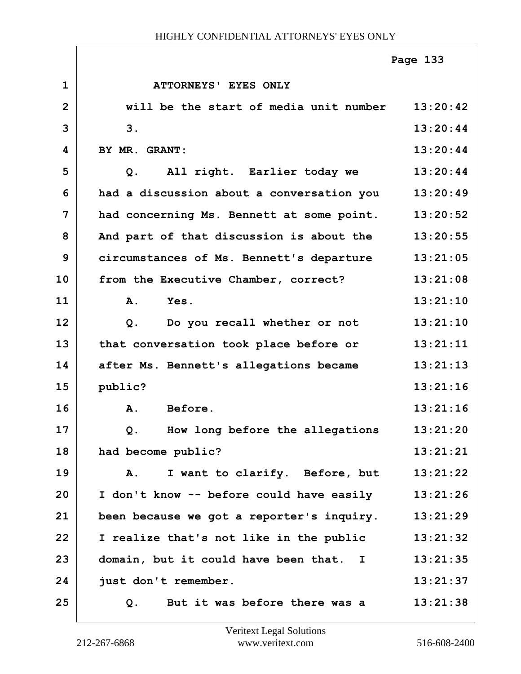|                |                                           | Page 133 |
|----------------|-------------------------------------------|----------|
| $\mathbf{1}$   | <b>ATTORNEYS' EYES ONLY</b>               |          |
| $\overline{2}$ | will be the start of media unit number    | 13:20:42 |
| 3              | 3.                                        | 13:20:44 |
| 4              | BY MR. GRANT:                             | 13:20:44 |
| 5              | All right. Earlier today we<br>$Q$ .      | 13:20:44 |
| 6              | had a discussion about a conversation you | 13:20:49 |
| 7              | had concerning Ms. Bennett at some point. | 13:20:52 |
| 8              | And part of that discussion is about the  | 13:20:55 |
| 9              | circumstances of Ms. Bennett's departure  | 13:21:05 |
| 10             | from the Executive Chamber, correct?      | 13:21:08 |
| 11             | A.<br>Yes.                                | 13:21:10 |
| 12             | Do you recall whether or not<br>$Q$ .     | 13:21:10 |
| 13             | that conversation took place before or    | 13:21:11 |
| 14             | after Ms. Bennett's allegations became    | 13:21:13 |
| 15             | public?                                   | 13:21:16 |
| 16             | Before.<br>A.                             | 13:21:16 |
| 17             | Q. How long before the allegations        | 13:21:20 |
| 18             | had become public?                        | 13:21:21 |
| 19             | I want to clarify. Before, but<br>Α.      | 13:21:22 |
| 20             | I don't know -- before could have easily  | 13:21:26 |
| 21             | been because we got a reporter's inquiry. | 13:21:29 |
| 22             | I realize that's not like in the public   | 13:21:32 |
| 23             | domain, but it could have been that. I    | 13:21:35 |
| 24             | just don't remember.                      | 13:21:37 |
| 25             | But it was before there was a<br>Q.       | 13:21:38 |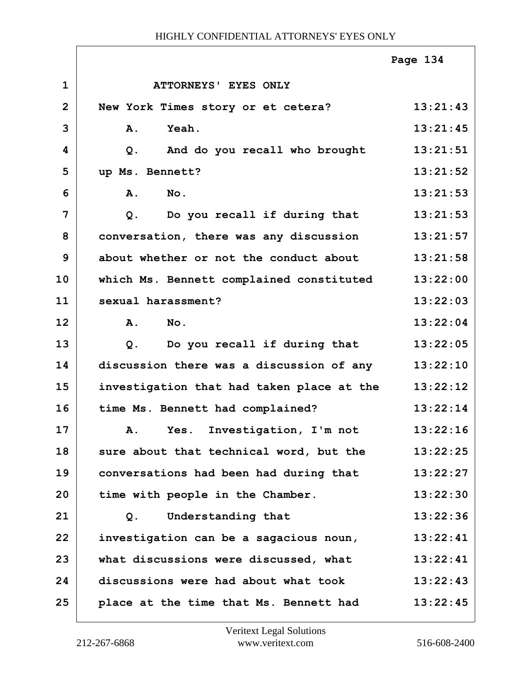|                |                                           | Page 134 |
|----------------|-------------------------------------------|----------|
| $\mathbf{1}$   | ATTORNEYS' EYES ONLY                      |          |
| $\overline{2}$ | New York Times story or et cetera?        | 13:21:43 |
| 3              | <b>Yeah.</b><br>Α.                        | 13:21:45 |
| 4              | And do you recall who brought<br>Q.       | 13:21:51 |
| 5              | up Ms. Bennett?                           | 13:21:52 |
| 6              | No.<br>A.                                 | 13:21:53 |
| $\overline{7}$ | Do you recall if during that<br>$Q$ .     | 13:21:53 |
| 8              | conversation, there was any discussion    | 13:21:57 |
| 9              | about whether or not the conduct about    | 13:21:58 |
| 10             | which Ms. Bennett complained constituted  | 13:22:00 |
| 11             | sexual harassment?                        | 13:22:03 |
| 12             | No.<br><b>A.</b>                          | 13:22:04 |
| 13             | Do you recall if during that<br>Q.        | 13:22:05 |
| 14             | discussion there was a discussion of any  | 13:22:10 |
| 15             | investigation that had taken place at the | 13:22:12 |
| 16             | time Ms. Bennett had complained?          | 13:22:14 |
| 17             | A. Yes. Investigation, I'm not            | 13:22:16 |
| 18             | sure about that technical word, but the   | 13:22:25 |
| 19             | conversations had been had during that    | 13:22:27 |
| 20             | time with people in the Chamber.          | 13:22:30 |
| 21             | Understanding that<br>$Q$ .               | 13:22:36 |
| 22             | investigation can be a sagacious noun,    | 13:22:41 |
| 23             | what discussions were discussed, what     | 13:22:41 |
| 24             | discussions were had about what took      | 13:22:43 |
| 25             | place at the time that Ms. Bennett had    | 13:22:45 |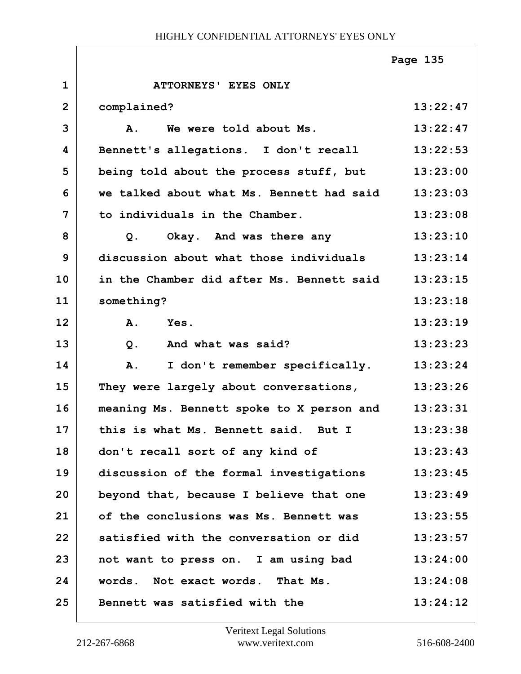|                |                                           | Page 135 |
|----------------|-------------------------------------------|----------|
| $\mathbf{1}$   | ATTORNEYS' EYES ONLY                      |          |
| $\overline{2}$ | complained?                               | 13:22:47 |
| 3              | We were told about Ms.<br>A.              | 13:22:47 |
| 4              | Bennett's allegations. I don't recall     | 13:22:53 |
| 5              | being told about the process stuff, but   | 13:23:00 |
| 6              | we talked about what Ms. Bennett had said | 13:23:03 |
| 7              | to individuals in the Chamber.            | 13:23:08 |
| 8              | Okay. And was there any<br>Q <sub>1</sub> | 13:23:10 |
| 9              | discussion about what those individuals   | 13:23:14 |
| 10             | in the Chamber did after Ms. Bennett said | 13:23:15 |
| 11             | something?                                | 13:23:18 |
| 12             | A.<br>Yes.                                | 13:23:19 |
| 13             | $Q$ .<br>And what was said?               | 13:23:23 |
| 14             | I don't remember specifically.<br>A.      | 13:23:24 |
| 15             | They were largely about conversations,    | 13:23:26 |
| 16             | meaning Ms. Bennett spoke to X person and | 13:23:31 |
| 17             | this is what Ms. Bennett said. But I      | 13:23:38 |
| 18             | don't recall sort of any kind of          | 13:23:43 |
| 19             | discussion of the formal investigations   | 13:23:45 |
| 20             | beyond that, because I believe that one   | 13:23:49 |
| 21             | of the conclusions was Ms. Bennett was    | 13:23:55 |
| 22             | satisfied with the conversation or did    | 13:23:57 |
| 23             | not want to press on. I am using bad      | 13:24:00 |
| 24             | words. Not exact words. That Ms.          | 13:24:08 |
| 25             | Bennett was satisfied with the            | 13:24:12 |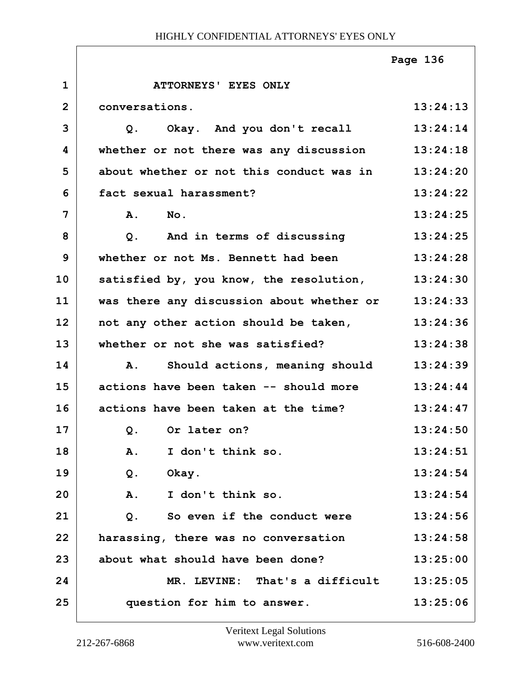|                |                                           | Page 136 |
|----------------|-------------------------------------------|----------|
| $\mathbf{1}$   | ATTORNEYS' EYES ONLY                      |          |
| $\overline{2}$ | conversations.                            | 13:24:13 |
| 3              | Okay. And you don't recall<br>Q.          | 13:24:14 |
| 4              | whether or not there was any discussion   | 13:24:18 |
| 5              | about whether or not this conduct was in  | 13:24:20 |
| 6              | fact sexual harassment?                   | 13:24:22 |
| 7              | A.<br>No.                                 | 13:24:25 |
| 8              | And in terms of discussing<br>$Q$ .       | 13:24:25 |
| 9              | whether or not Ms. Bennett had been       | 13:24:28 |
| 10             | satisfied by, you know, the resolution,   | 13:24:30 |
| 11             | was there any discussion about whether or | 13:24:33 |
| 12             | not any other action should be taken,     | 13:24:36 |
| 13             | whether or not she was satisfied?         | 13:24:38 |
| 14             | Should actions, meaning should<br>Α.      | 13:24:39 |
| 15             | actions have been taken -- should more    | 13:24:44 |
| 16             | actions have been taken at the time?      | 13:24:47 |
| 17             | Q. Or later on?                           | 13:24:50 |
| 18             | I don't think so.<br>A.                   | 13:24:51 |
| 19             | Q.<br>Okay.                               | 13:24:54 |
| 20             | A.<br>I don't think so.                   | 13:24:54 |
| 21             | $Q$ .<br>So even if the conduct were      | 13:24:56 |
| 22             | harassing, there was no conversation      | 13:24:58 |
| 23             | about what should have been done?         | 13:25:00 |
| 24             | MR. LEVINE: That's a difficult            | 13:25:05 |
| 25             | question for him to answer.               | 13:25:06 |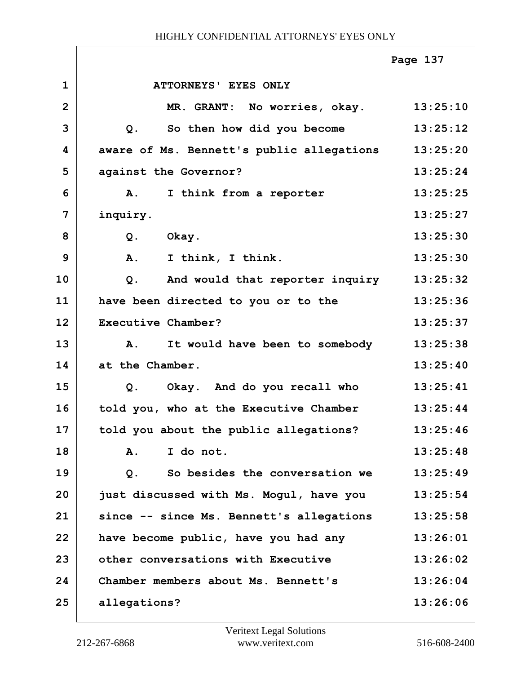|                |                                             | Page 137 |
|----------------|---------------------------------------------|----------|
| $\mathbf 1$    | ATTORNEYS' EYES ONLY                        |          |
| $\overline{2}$ | MR. GRANT: No worries, okay. 13:25:10       |          |
| 3              | So then how did you become<br>Q.            | 13:25:12 |
| 4              | aware of Ms. Bennett's public allegations   | 13:25:20 |
| 5              | against the Governor?                       | 13:25:24 |
| 6              | I think from a reporter<br>${\bf A}$ .      | 13:25:25 |
| 7              | inquiry.                                    | 13:25:27 |
| 8              | Okay.<br>$Q$ .                              | 13:25:30 |
| 9              | I think, I think.<br>A.                     | 13:25:30 |
| 10             | And would that reporter inquiry<br>$Q$ .    | 13:25:32 |
| 11             | have been directed to you or to the         | 13:25:36 |
| 12             | Executive Chamber?                          | 13:25:37 |
| 13             | It would have been to somebody<br><b>A.</b> | 13:25:38 |
| 14             | at the Chamber.                             | 13:25:40 |
| 15             | Okay. And do you recall who<br>Q.           | 13:25:41 |
| 16             | told you, who at the Executive Chamber      | 13:25:44 |
| 17             | told you about the public allegations?      | 13:25:46 |
| 18             | I do not.<br>$\mathbf{A}$ .                 | 13:25:48 |
| 19             | So besides the conversation we<br>$Q$ .     | 13:25:49 |
| 20             | just discussed with Ms. Mogul, have you     | 13:25:54 |
| 21             | since -- since Ms. Bennett's allegations    | 13:25:58 |
| 22             | have become public, have you had any        | 13:26:01 |
| 23             | other conversations with Executive          | 13:26:02 |
| 24             | Chamber members about Ms. Bennett's         | 13:26:04 |
| 25             | allegations?                                | 13:26:06 |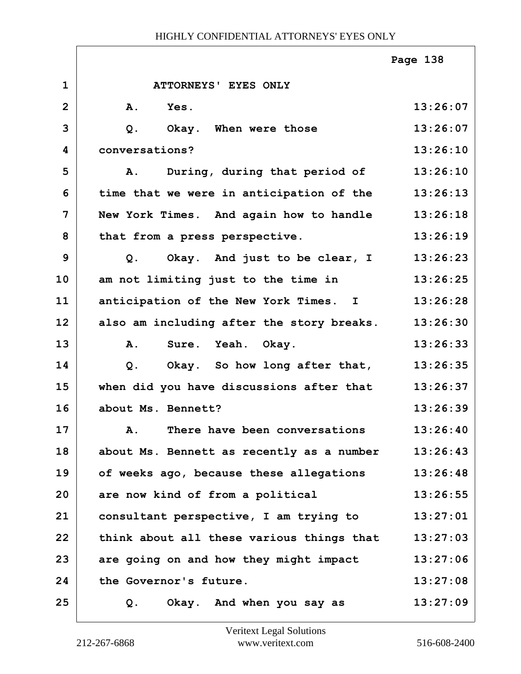|              |                                           | Page 138 |
|--------------|-------------------------------------------|----------|
| $\mathbf{1}$ | ATTORNEYS' EYES ONLY                      |          |
| $\mathbf{2}$ | A.<br>Yes.                                | 13:26:07 |
| 3            | $Q$ .<br>Okay. When were those            | 13:26:07 |
| 4            | conversations?                            | 13:26:10 |
| 5            | During, during that period of<br>Α.       | 13:26:10 |
| 6            | time that we were in anticipation of the  | 13:26:13 |
| 7            | New York Times. And again how to handle   | 13:26:18 |
| 8            | that from a press perspective.            | 13:26:19 |
| 9            | Okay. And just to be clear, I<br>Q.       | 13:26:23 |
| 10           | am not limiting just to the time in       | 13:26:25 |
| 11           | anticipation of the New York Times. I     | 13:26:28 |
| 12           | also am including after the story breaks. | 13:26:30 |
| 13           | Sure. Yeah. Okay.<br>A.                   | 13:26:33 |
| 14           | Okay. So how long after that,<br>$Q$ .    | 13:26:35 |
| 15           | when did you have discussions after that  | 13:26:37 |
| 16           | about Ms. Bennett?                        | 13:26:39 |
| 17           | A. There have been conversations          | 13:26:40 |
| 18           | about Ms. Bennett as recently as a number | 13:26:43 |
| 19           | of weeks ago, because these allegations   | 13:26:48 |
| 20           | are now kind of from a political          | 13:26:55 |
| 21           | consultant perspective, I am trying to    | 13:27:01 |
| 22           | think about all these various things that | 13:27:03 |
| 23           | are going on and how they might impact    | 13:27:06 |
| 24           | the Governor's future.                    | 13:27:08 |
| 25           | Okay. And when you say as<br>Q.           | 13:27:09 |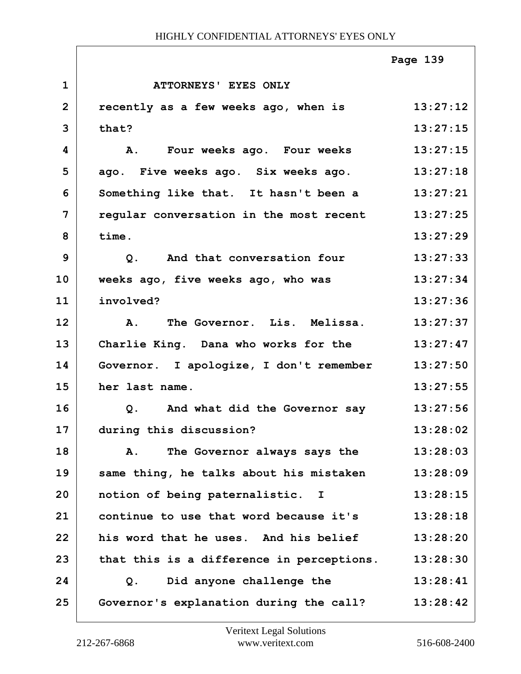|                |                                               | Page 139 |
|----------------|-----------------------------------------------|----------|
| $\mathbf{1}$   | ATTORNEYS' EYES ONLY                          |          |
| $\overline{2}$ | recently as a few weeks ago, when is          | 13:27:12 |
| 3              | that?                                         | 13:27:15 |
| 4              | A. Four weeks ago. Four weeks                 | 13:27:15 |
| 5              | ago. Five weeks ago. Six weeks ago.           | 13:27:18 |
| 6              | Something like that. It hasn't been a         | 13:27:21 |
| $\overline{7}$ | regular conversation in the most recent       | 13:27:25 |
| 8              | time.                                         | 13:27:29 |
| 9              | Q. And that conversation four                 | 13:27:33 |
| 10             | weeks ago, five weeks ago, who was            | 13:27:34 |
| 11             | involved?                                     | 13:27:36 |
| 12             | The Governor. Lis. Melissa.<br>$\mathbf{A}$ . | 13:27:37 |
| 13             | Charlie King. Dana who works for the          | 13:27:47 |
| 14             | Governor. I apologize, I don't remember       | 13:27:50 |
| 15             | her last name.                                | 13:27:55 |
| 16             | Q. And what did the Governor say              | 13:27:56 |
| 17             | during this discussion?                       | 13:28:02 |
| 18             | The Governor always says the<br>Α.            | 13:28:03 |
| 19             | same thing, he talks about his mistaken       | 13:28:09 |
| 20             | notion of being paternalistic. I              | 13:28:15 |
| 21             | continue to use that word because it's        | 13:28:18 |
| 22             | his word that he uses. And his belief         | 13:28:20 |
| 23             | that this is a difference in perceptions.     | 13:28:30 |
| 24             | Did anyone challenge the<br>Q.                | 13:28:41 |
| 25             | Governor's explanation during the call?       | 13:28:42 |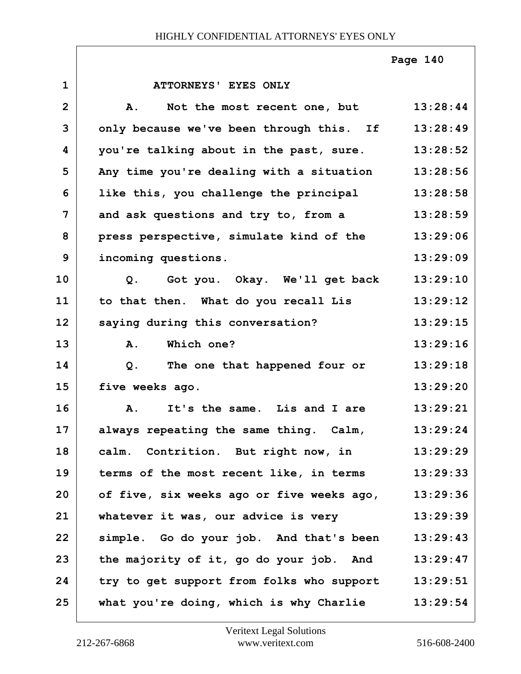**1 ATTORNEYS' EYES ONLY 2 A. Not the most recent one, but 13:28:44 3 only because we've been through this. If 13:28:49 4 you're talking about in the past, sure. 13:28:52 5 Any time you're dealing with a situation 13:28:56 6 like this, you challenge the principal 13:28:58 7 and ask questions and try to, from a 13:28:59 8 press perspective, simulate kind of the 13:29:06 9 incoming questions. 13:29:09 10 Q. Got you. Okay. We'll get back 13:29:10 11 to that then. What do you recall Lis 13:29:12** 12 saying during this conversation? 13:29:15 **13 A. Which one? 13:29:16 14 Q. The one that happened four or 13:29:18 15 five weeks ago. 13:29:20 16 A. It's the same. Lis and I are 13:29:21 17 always repeating the same thing. Calm, 13:29:24 18 calm. Contrition. But right now, in 13:29:29 19 terms of the most recent like, in terms 13:29:33 20 of five, six weeks ago or five weeks ago, 13:29:36 21 whatever it was, our advice is very 13:29:39 22 simple. Go do your job. And that's been 13:29:43 23 the majority of it, go do your job. And 13:29:47 24 try to get support from folks who support 13:29:51 25 what you're doing, which is why Charlie 13:29:54 Page 140**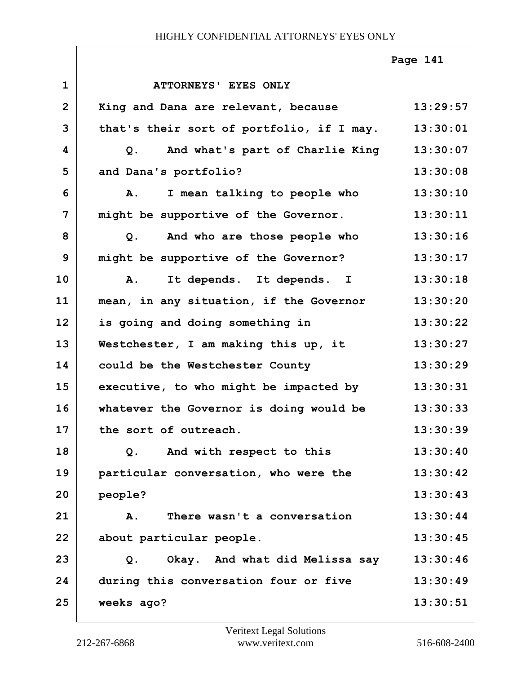|                |                                                | Page 141 |
|----------------|------------------------------------------------|----------|
| $\mathbf{1}$   | ATTORNEYS' EYES ONLY                           |          |
| $\overline{2}$ | King and Dana are relevant, because            | 13:29:57 |
| 3              | that's their sort of portfolio, if I may.      | 13:30:01 |
| 4              | And what's part of Charlie King<br>Q.          | 13:30:07 |
| 5              | and Dana's portfolio?                          | 13:30:08 |
| 6              | I mean talking to people who<br>Α.             | 13:30:10 |
| 7              | might be supportive of the Governor.           | 13:30:11 |
| 8              | And who are those people who<br>Q <sub>1</sub> | 13:30:16 |
| 9              | might be supportive of the Governor?           | 13:30:17 |
| 10             | A. It depends. It depends. I                   | 13:30:18 |
| 11             | mean, in any situation, if the Governor        | 13:30:20 |
| 12             | is going and doing something in                | 13:30:22 |
| 13             | Westchester, I am making this up, it           | 13:30:27 |
| 14             | could be the Westchester County                | 13:30:29 |
| 15             | executive, to who might be impacted by         | 13:30:31 |
| 16             | whatever the Governor is doing would be        | 13:30:33 |
| 17             | the sort of outreach.                          | 13:30:39 |
| 18             | And with respect to this<br>Q.                 | 13:30:40 |
| 19             | particular conversation, who were the          | 13:30:42 |
| 20             | people?                                        | 13:30:43 |
| 21             | There wasn't a conversation<br>A.              | 13:30:44 |
| 22             | about particular people.                       | 13:30:45 |
| 23             | Okay. And what did Melissa say<br>Q.           | 13:30:46 |
| 24             | during this conversation four or five          | 13:30:49 |
| 25             | weeks ago?                                     | 13:30:51 |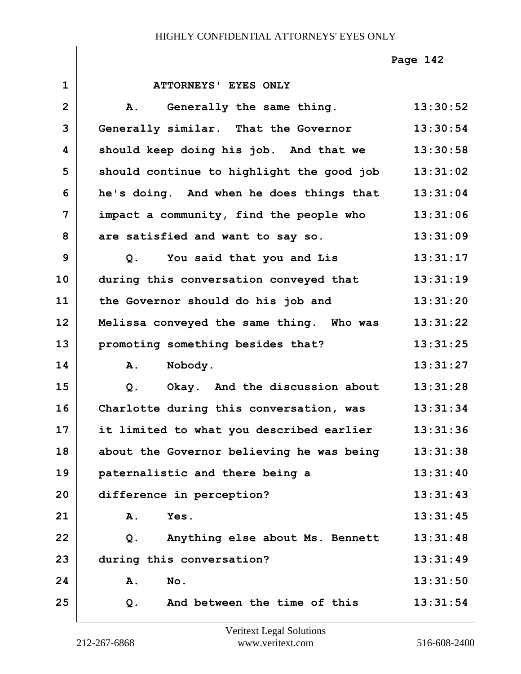**Page 142**

| $\mathbf{1}$   | ATTORNEYS' EYES ONLY                             |          |
|----------------|--------------------------------------------------|----------|
| $\overline{2}$ | Generally the same thing.<br>A.                  | 13:30:52 |
| 3              | Generally similar. That the Governor             | 13:30:54 |
| 4              | should keep doing his job. And that we           | 13:30:58 |
| 5              | should continue to highlight the good job        | 13:31:02 |
| 6              | he's doing. And when he does things that         | 13:31:04 |
| 7              | impact a community, find the people who          | 13:31:06 |
| 8              | are satisfied and want to say so.                | 13:31:09 |
| 9              | You said that you and Lis<br>Q.                  | 13:31:17 |
| 10             | during this conversation conveyed that           | 13:31:19 |
| 11             | the Governor should do his job and               | 13:31:20 |
| 12             | Melissa conveyed the same thing. Who was         | 13:31:22 |
| 13             | promoting something besides that?                | 13:31:25 |
| 14             | Nobody.<br>Α.                                    | 13:31:27 |
| 15             | Okay. And the discussion about<br>Q <sub>1</sub> | 13:31:28 |
| 16             | Charlotte during this conversation, was          | 13:31:34 |
| 17             | it limited to what you described earlier         | 13:31:36 |
| 18             | about the Governor believing he was being        | 13:31:38 |
| 19             | paternalistic and there being a                  | 13:31:40 |
| 20             | difference in perception?                        | 13:31:43 |
| 21             | Yes.<br>Α.                                       | 13:31:45 |
| 22             | Anything else about Ms. Bennett<br>Q.            | 13:31:48 |
| 23             | during this conversation?                        | 13:31:49 |
| 24             | Α.<br>No.                                        | 13:31:50 |
| 25             | And between the time of this<br>Q.               | 13:31:54 |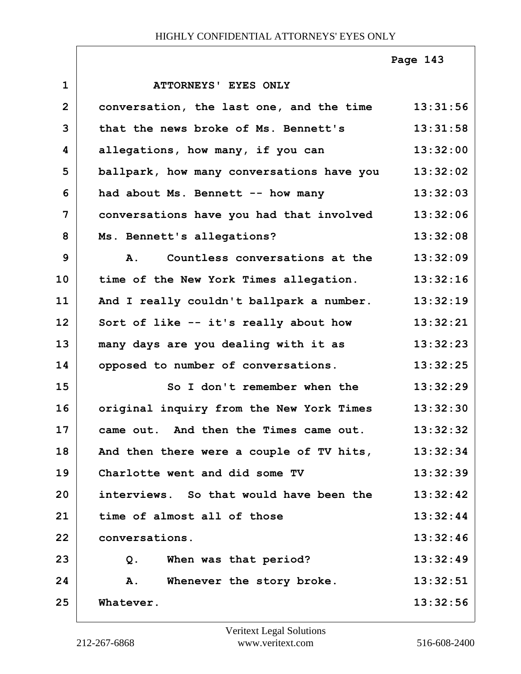# **Page 143**

| $\mathbf{1}$   | ATTORNEYS' EYES ONLY                        |          |
|----------------|---------------------------------------------|----------|
| $\overline{2}$ | conversation, the last one, and the time    | 13:31:56 |
| 3              | that the news broke of Ms. Bennett's        | 13:31:58 |
| 4              | allegations, how many, if you can           | 13:32:00 |
| 5              | ballpark, how many conversations have you   | 13:32:02 |
| 6              | had about Ms. Bennett -- how many           | 13:32:03 |
| 7              | conversations have you had that involved    | 13:32:06 |
| 8              | Ms. Bennett's allegations?                  | 13:32:08 |
| 9              | Countless conversations at the<br><b>A.</b> | 13:32:09 |
| 10             | time of the New York Times allegation.      | 13:32:16 |
| 11             | And I really couldn't ballpark a number.    | 13:32:19 |
| 12             | Sort of like -- it's really about how       | 13:32:21 |
| 13             | many days are you dealing with it as        | 13:32:23 |
| 14             | opposed to number of conversations.         | 13:32:25 |
| 15             | So I don't remember when the                | 13:32:29 |
| 16             | original inquiry from the New York Times    | 13:32:30 |
| 17             | came out. And then the Times came out.      | 13:32:32 |
| 18             | And then there were a couple of TV hits,    | 13:32:34 |
| 19             | Charlotte went and did some TV              | 13:32:39 |
| 20             | interviews. So that would have been the     | 13:32:42 |
| 21             | time of almost all of those                 | 13:32:44 |
| 22             | conversations.                              | 13:32:46 |
| 23             | When was that period?<br>Q.                 | 13:32:49 |
| 24             | Whenever the story broke.<br>Α.             | 13:32:51 |
| 25             | Whatever.                                   | 13:32:56 |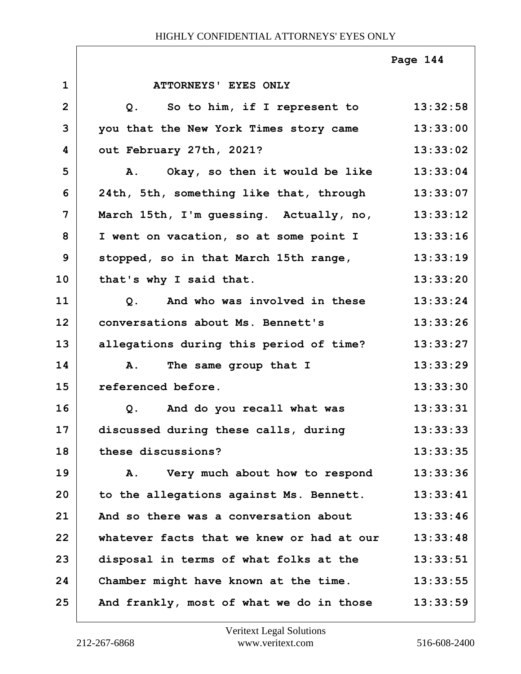|                |                                                 | Page 144 |
|----------------|-------------------------------------------------|----------|
| $\mathbf{1}$   | ATTORNEYS' EYES ONLY                            |          |
| $\overline{2}$ | So to him, if I represent to<br>Q.              | 13:32:58 |
| 3              | you that the New York Times story came          | 13:33:00 |
| 4              | out February 27th, 2021?                        | 13:33:02 |
| 5              | Okay, so then it would be like<br>Α.            | 13:33:04 |
| 6              | 24th, 5th, something like that, through         | 13:33:07 |
| 7              | March 15th, I'm guessing. Actually, no,         | 13:33:12 |
| 8              | I went on vacation, so at some point I          | 13:33:16 |
| 9              | stopped, so in that March 15th range,           | 13:33:19 |
| 10             | that's why I said that.                         | 13:33:20 |
| 11             | And who was involved in these<br>Q <sub>1</sub> | 13:33:24 |
| 12             | conversations about Ms. Bennett's               | 13:33:26 |
| 13             | allegations during this period of time?         | 13:33:27 |
| 14             | The same group that I<br>A.                     | 13:33:29 |
| 15             | referenced before.                              | 13:33:30 |
| 16             | And do you recall what was<br>Q.                | 13:33:31 |
| 17             | discussed during these calls, during            | 13:33:33 |
| 18             | these discussions?                              | 13:33:35 |
| 19             | Very much about how to respond<br>Α.            | 13:33:36 |
| 20             | to the allegations against Ms. Bennett.         | 13:33:41 |
| 21             | And so there was a conversation about           | 13:33:46 |
| 22             | whatever facts that we knew or had at our       | 13:33:48 |
| 23             | disposal in terms of what folks at the          | 13:33:51 |
| 24             | Chamber might have known at the time.           | 13:33:55 |
| 25             | And frankly, most of what we do in those        | 13:33:59 |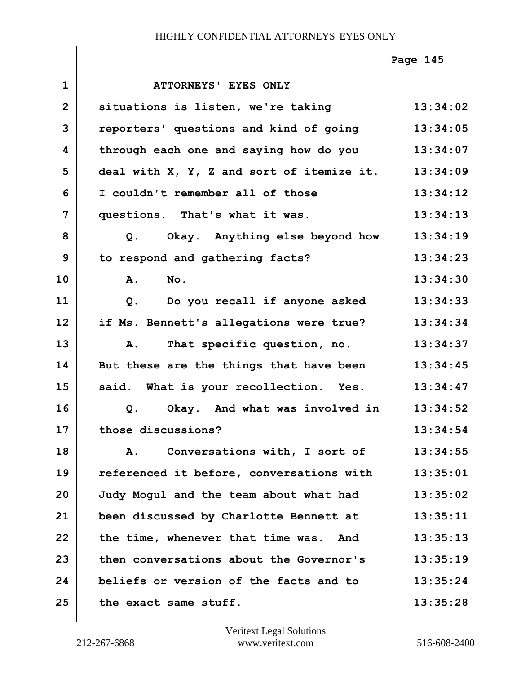|                |                                           | Page 145 |
|----------------|-------------------------------------------|----------|
| $\mathbf{1}$   | ATTORNEYS' EYES ONLY                      |          |
| $\overline{2}$ | situations is listen, we're taking        | 13:34:02 |
| 3              | reporters' questions and kind of going    | 13:34:05 |
| 4              | through each one and saying how do you    | 13:34:07 |
| 5              | deal with X, Y, Z and sort of itemize it. | 13:34:09 |
| 6              | I couldn't remember all of those          | 13:34:12 |
| $\overline{7}$ | questions. That's what it was.            | 13:34:13 |
| 8              | Q. Okay. Anything else beyond how         | 13:34:19 |
| 9              | to respond and gathering facts?           | 13:34:23 |
| 10             | A.<br>No.                                 | 13:34:30 |
| 11             | Do you recall if anyone asked<br>$Q$ .    | 13:34:33 |
| 12             | if Ms. Bennett's allegations were true?   | 13:34:34 |
| 13             | That specific question, no.<br>A.         | 13:34:37 |
| 14             | But these are the things that have been   | 13:34:45 |
| 15             | said. What is your recollection. Yes.     | 13:34:47 |
| 16             | Okay. And what was involved in<br>Q.      | 13:34:52 |
| 17             | those discussions?                        | 13:34:54 |
| 18             | Conversations with, I sort of<br>Α.       | 13:34:55 |
| 19             | referenced it before, conversations with  | 13:35:01 |
| 20             | Judy Mogul and the team about what had    | 13:35:02 |
| 21             | been discussed by Charlotte Bennett at    | 13:35:11 |
| 22             | the time, whenever that time was. And     | 13:35:13 |
| 23             | then conversations about the Governor's   | 13:35:19 |
| 24             | beliefs or version of the facts and to    | 13:35:24 |
| 25             | the exact same stuff.                     | 13:35:28 |

Г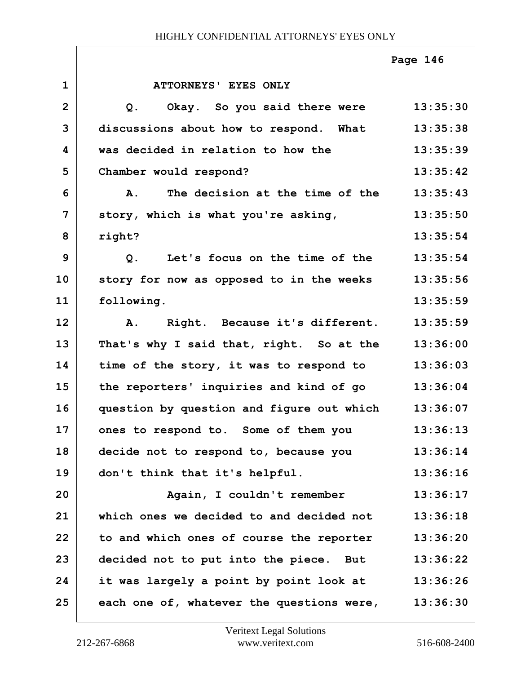|                |                                                    | Page 146 |
|----------------|----------------------------------------------------|----------|
| $\mathbf{1}$   | ATTORNEYS' EYES ONLY                               |          |
| $\overline{2}$ | Okay. So you said there were<br>Q <sub>z</sub>     | 13:35:30 |
| 3              | discussions about how to respond. What             | 13:35:38 |
| 4              | was decided in relation to how the                 | 13:35:39 |
| 5              | Chamber would respond?                             | 13:35:42 |
| 6              | The decision at the time of the<br><b>A.</b>       | 13:35:43 |
| 7              | story, which is what you're asking,                | 13:35:50 |
| 8              | right?                                             | 13:35:54 |
| 9              | Q. Let's focus on the time of the                  | 13:35:54 |
| 10             | story for now as opposed to in the weeks           | 13:35:56 |
| 11             | following.                                         | 13:35:59 |
| 12             | Right. Because it's different.<br><b>A.</b>        | 13:35:59 |
| 13             | That's why I said that, right. So at the           | 13:36:00 |
| 14             | time of the story, it was to respond to            | 13:36:03 |
| 15             | the reporters' inquiries and kind of go            | 13:36:04 |
| 16             | question by question and figure out which          | 13:36:07 |
| 17             | ones to respond to. Some of them you               | 13:36:13 |
| 18             | decide not to respond to, because you              | 13:36:14 |
| 19             | don't think that it's helpful.                     | 13:36:16 |
| 20             | Again, I couldn't remember                         | 13:36:17 |
| 21             | which ones we decided to and decided not           | 13:36:18 |
| 22             | to and which ones of course the reporter           | 13:36:20 |
| 23             | decided not to put into the piece. But             | 13:36:22 |
| 24             | it was largely a point by point look at 13:36:26   |          |
| 25             | each one of, whatever the questions were, 13:36:30 |          |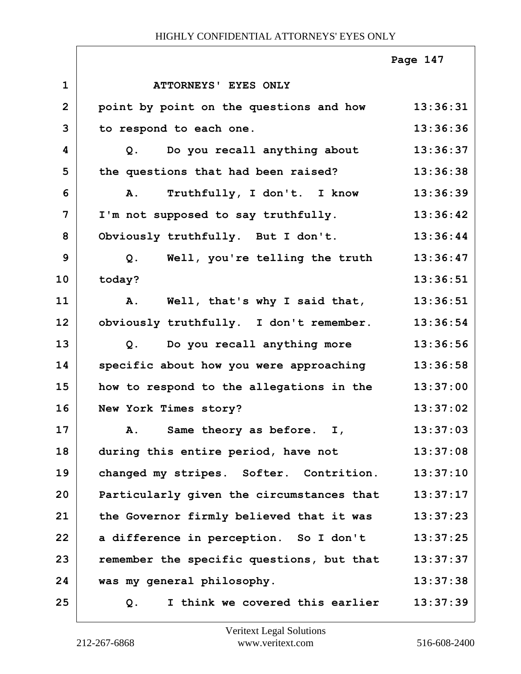|                |                                           | Page 147 |
|----------------|-------------------------------------------|----------|
| $\mathbf{1}$   | ATTORNEYS' EYES ONLY                      |          |
| $\overline{2}$ | point by point on the questions and how   | 13:36:31 |
| 3              | to respond to each one.                   | 13:36:36 |
| 4              | Q. Do you recall anything about           | 13:36:37 |
| 5              | the questions that had been raised?       | 13:36:38 |
| 6              | A. Truthfully, I don't. I know            | 13:36:39 |
| 7              | I'm not supposed to say truthfully.       | 13:36:42 |
| 8              | Obviously truthfully. But I don't.        | 13:36:44 |
| 9              | Q. Well, you're telling the truth         | 13:36:47 |
| 10             | today?                                    | 13:36:51 |
| 11             | A. Well, that's why I said that,          | 13:36:51 |
| 12             | obviously truthfully. I don't remember.   | 13:36:54 |
| 13             | Do you recall anything more<br>Q.         | 13:36:56 |
| 14             | specific about how you were approaching   | 13:36:58 |
| 15             | how to respond to the allegations in the  | 13:37:00 |
| 16             | New York Times story?                     | 13:37:02 |
| 17             | Same theory as before. I,<br>Α.           | 13:37:03 |
| 18             | during this entire period, have not       | 13:37:08 |
| 19             | changed my stripes. Softer. Contrition.   | 13:37:10 |
| 20             | Particularly given the circumstances that | 13:37:17 |
| 21             | the Governor firmly believed that it was  | 13:37:23 |
| 22             | a difference in perception. So I don't    | 13:37:25 |
| 23             | remember the specific questions, but that | 13:37:37 |
| 24             | was my general philosophy.                | 13:37:38 |
| 25             | I think we covered this earlier<br>$Q$ .  | 13:37:39 |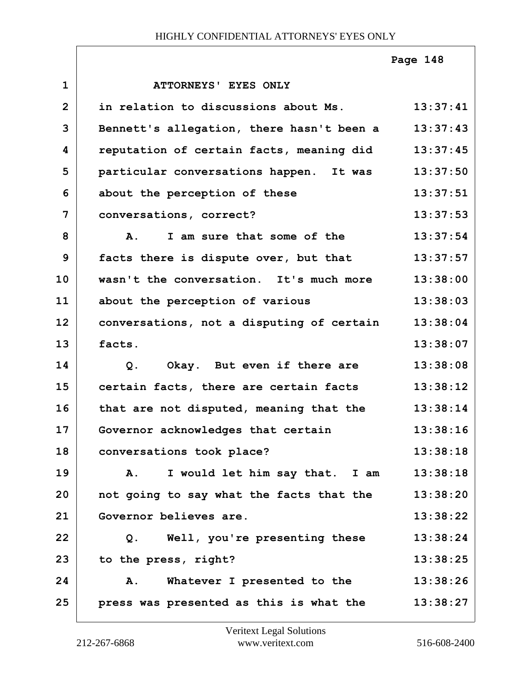|                |                                                  | Page 148 |
|----------------|--------------------------------------------------|----------|
| $\mathbf{1}$   | ATTORNEYS' EYES ONLY                             |          |
| $\overline{2}$ | in relation to discussions about Ms.             | 13:37:41 |
| 3              | Bennett's allegation, there hasn't been a        | 13:37:43 |
| 4              | reputation of certain facts, meaning did         | 13:37:45 |
| 5              | particular conversations happen. It was          | 13:37:50 |
| 6              | about the perception of these                    | 13:37:51 |
| $\overline{7}$ | conversations, correct?                          | 13:37:53 |
| 8              | I am sure that some of the<br>$\mathbf{A}$ .     | 13:37:54 |
| 9              | facts there is dispute over, but that            | 13:37:57 |
| 10             | wasn't the conversation. It's much more          | 13:38:00 |
| 11             | about the perception of various                  | 13:38:03 |
| 12             | conversations, not a disputing of certain        | 13:38:04 |
| 13             | facts.                                           | 13:38:07 |
| 14             | Okay. But even if there are<br>Q.                | 13:38:08 |
| 15             | certain facts, there are certain facts           | 13:38:12 |
| 16             | that are not disputed, meaning that the          | 13:38:14 |
| 17             | Governor acknowledges that certain               | 13:38:16 |
| 18             | conversations took place?                        | 13:38:18 |
| 19             | I would let him say that. I am<br>$\mathbf{A}$ . | 13:38:18 |
| 20             | not going to say what the facts that the         | 13:38:20 |
| 21             | Governor believes are.                           | 13:38:22 |
| 22             | Q. Well, you're presenting these                 | 13:38:24 |
| 23             | to the press, right?                             | 13:38:25 |
| 24             | Whatever I presented to the<br>A.                | 13:38:26 |
| 25             | press was presented as this is what the          | 13:38:27 |

Г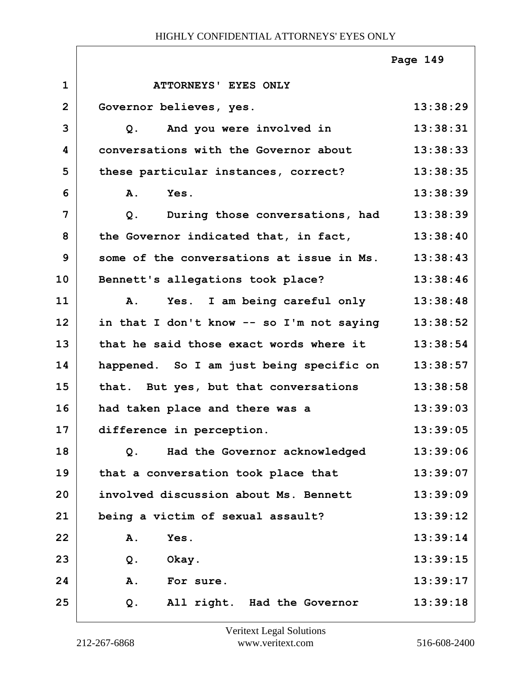|                |                                           | Page 149 |
|----------------|-------------------------------------------|----------|
| $\mathbf 1$    | ATTORNEYS' EYES ONLY                      |          |
| $\overline{2}$ | Governor believes, yes.                   | 13:38:29 |
| 3              | Q. And you were involved in               | 13:38:31 |
| 4              | conversations with the Governor about     | 13:38:33 |
| 5              | these particular instances, correct?      | 13:38:35 |
| 6              | Yes.<br><b>A.</b>                         | 13:38:39 |
| 7              | During those conversations, had<br>$Q$ .  | 13:38:39 |
| 8              | the Governor indicated that, in fact,     | 13:38:40 |
| 9              | some of the conversations at issue in Ms. | 13:38:43 |
| 10             | Bennett's allegations took place?         | 13:38:46 |
| 11             | Yes. I am being careful only<br>Α.        | 13:38:48 |
| 12             | in that I don't know -- so I'm not saying | 13:38:52 |
| 13             | that he said those exact words where it   | 13:38:54 |
| 14             | happened. So I am just being specific on  | 13:38:57 |
| 15             | that. But yes, but that conversations     | 13:38:58 |
| 16             | had taken place and there was a           | 13:39:03 |
| 17             | difference in perception.                 | 13:39:05 |
| 18             | Had the Governor acknowledged<br>Q.       | 13:39:06 |
| 19             | that a conversation took place that       | 13:39:07 |
| 20             | involved discussion about Ms. Bennett     | 13:39:09 |
| 21             | being a victim of sexual assault?         | 13:39:12 |
| 22             | Yes.<br><b>A.</b>                         | 13:39:14 |
| 23             | Okay.<br>Q.                               | 13:39:15 |
| 24             | Α.<br>For sure.                           | 13:39:17 |
| 25             | All right. Had the Governor<br>Q.         | 13:39:18 |

ı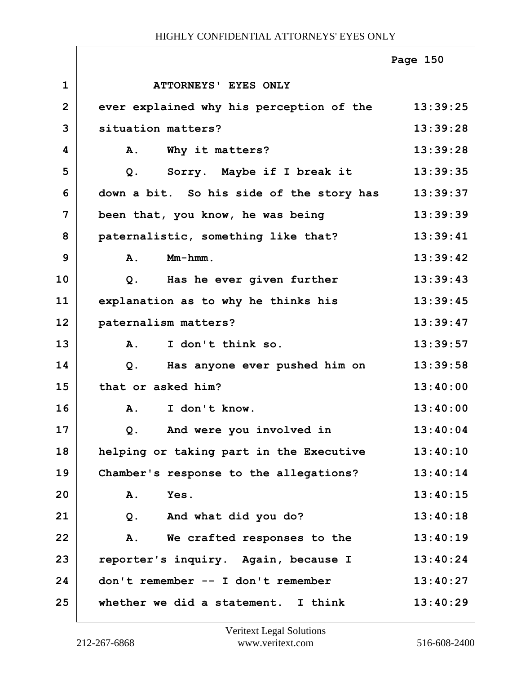|              |                                             | Page 150 |
|--------------|---------------------------------------------|----------|
| $\mathbf{1}$ | ATTORNEYS' EYES ONLY                        |          |
| $\mathbf{2}$ | ever explained why his perception of the    | 13:39:25 |
| 3            | situation matters?                          | 13:39:28 |
| 4            | Α.<br>Why it matters?                       | 13:39:28 |
| 5            | Sorry. Maybe if I break it<br>$Q$ .         | 13:39:35 |
| 6            | down a bit. So his side of the story has    | 13:39:37 |
| 7            | been that, you know, he was being           | 13:39:39 |
| 8            | paternalistic, something like that?         | 13:39:41 |
| 9            | $Mm-hmm$ .<br>A.                            | 13:39:42 |
| 10           | Has he ever given further<br>Q <sub>1</sub> | 13:39:43 |
| 11           | explanation as to why he thinks his         | 13:39:45 |
| 12           | paternalism matters?                        | 13:39:47 |
| 13           | I don't think so.<br>$\mathbf{A}$ .         | 13:39:57 |
| 14           | Has anyone ever pushed him on<br>Q.         | 13:39:58 |
| 15           | that or asked him?                          | 13:40:00 |
| 16           | I don't know.<br><b>A.</b>                  | 13:40:00 |
| 17           | And were you involved in<br>Q.              | 13:40:04 |
| 18           | helping or taking part in the Executive     | 13:40:10 |
| 19           | Chamber's response to the allegations?      | 13:40:14 |
| 20           | Α.<br>Yes.                                  | 13:40:15 |
| 21           | And what did you do?<br>$Q$ .               | 13:40:18 |
| 22           | We crafted responses to the<br>Α.           | 13:40:19 |
| 23           | reporter's inquiry. Again, because I        | 13:40:24 |
| 24           | don't remember -- I don't remember          | 13:40:27 |
| 25           | whether we did a statement. I think         | 13:40:29 |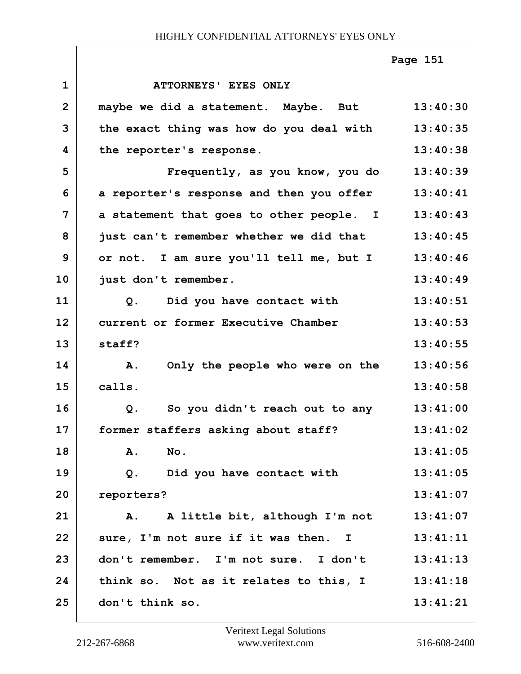**1 ATTORNEYS' EYES ONLY 2 maybe we did a statement. Maybe. But 13:40:30 3 the exact thing was how do you deal with 13:40:35 4 the reporter's response. 13:40:38 5 Frequently, as you know, you do 13:40:39 6 a reporter's response and then you offer 13:40:41 7 a statement that goes to other people. I 13:40:43 8 just can't remember whether we did that 13:40:45 9 or not. I am sure you'll tell me, but I 13:40:46 10 just don't remember. 13:40:49 11 Q. Did you have contact with 13:40:51 12 current or former Executive Chamber 13:40:53 13 staff? 13:40:55 14 A. Only the people who were on the 13:40:56 15 calls. 13:40:58 16 Q. So you didn't reach out to any 13:41:00 17 former staffers asking about staff? 13:41:02 18 A. No. 13:41:05 19 Q. Did you have contact with 13:41:05 20 reporters? 13:41:07 21 A. A little bit, although I'm not 13:41:07** 22 sure, I'm not sure if it was then. I 13:41:11 **23 don't remember. I'm not sure. I don't 13:41:13 24 think so. Not as it relates to this, I 13:41:18 25 don't think so. 13:41:21 Page 151**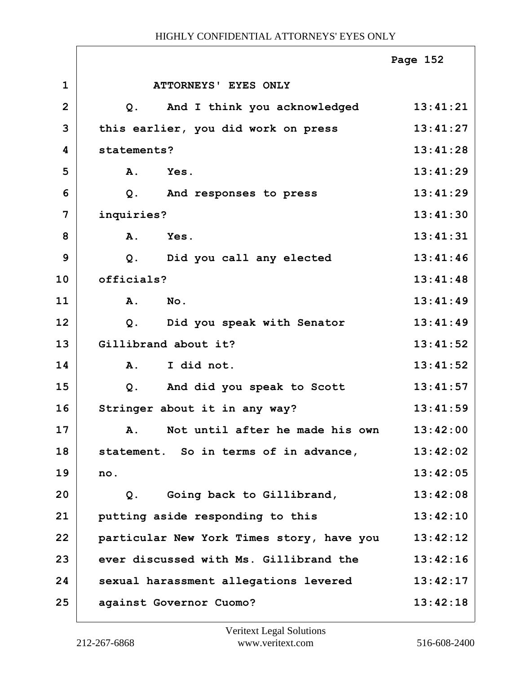|                |                                                | Page 152 |
|----------------|------------------------------------------------|----------|
| $\mathbf{1}$   | ATTORNEYS' EYES ONLY                           |          |
| $\overline{2}$ | And I think you acknowledged<br>Q <sub>1</sub> | 13:41:21 |
| 3              | this earlier, you did work on press            | 13:41:27 |
| 4              | statements?                                    | 13:41:28 |
| 5              | Yes.<br><b>A.</b>                              | 13:41:29 |
| 6              | $Q$ .<br>And responses to press                | 13:41:29 |
| $\overline{7}$ | inquiries?                                     | 13:41:30 |
| 8              | Yes.<br>A.                                     | 13:41:31 |
| $\mathbf{9}$   | Did you call any elected<br>$Q$ .              | 13:41:46 |
| 10             | officials?                                     | 13:41:48 |
| 11             | A.<br>$N$ o.                                   | 13:41:49 |
| 12             | Did you speak with Senator<br>$Q$ .            | 13:41:49 |
| 13             | Gillibrand about it?                           | 13:41:52 |
| 14             | I did not.<br>A.                               | 13:41:52 |
| 15             | And did you speak to Scott<br>$Q$ .            | 13:41:57 |
| 16             | Stringer about it in any way?                  | 13:41:59 |
| 17             | A. Not until after he made his own             | 13:42:00 |
| 18             | statement. So in terms of in advance,          | 13:42:02 |
| 19             | no.                                            | 13:42:05 |
| 20             | Going back to Gillibrand,<br>$Q$ .             | 13:42:08 |
| 21             | putting aside responding to this               | 13:42:10 |
| 22             | particular New York Times story, have you      | 13:42:12 |
| 23             | ever discussed with Ms. Gillibrand the         | 13:42:16 |
| 24             | sexual harassment allegations levered          | 13:42:17 |
| 25             | against Governor Cuomo?                        | 13:42:18 |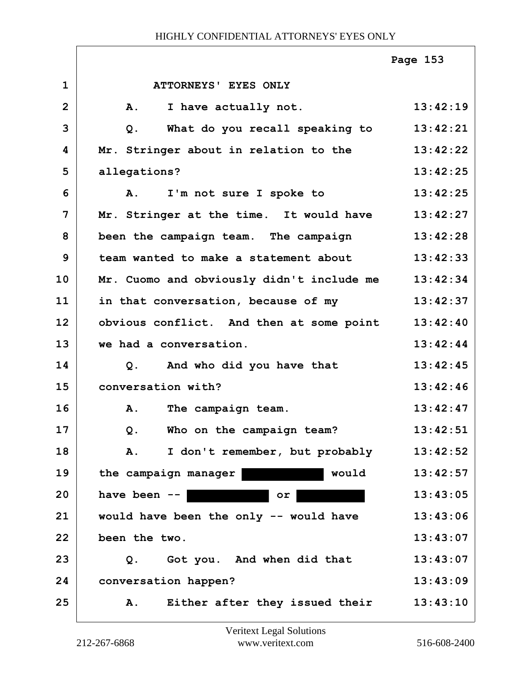|                |                                                    | Page 153 |
|----------------|----------------------------------------------------|----------|
| $\mathbf{1}$   | ATTORNEYS' EYES ONLY                               |          |
| $\mathbf{2}$   | ${\bf A}$ .<br>I have actually not.                | 13:42:19 |
| 3              | What do you recall speaking to 13:42:21<br>$Q$ .   |          |
| 4              | Mr. Stringer about in relation to the              | 13:42:22 |
| 5              | allegations?                                       | 13:42:25 |
| 6              | A. I'm not sure I spoke to                         | 13:42:25 |
| $\overline{7}$ | Mr. Stringer at the time. It would have            | 13:42:27 |
| 8              | been the campaign team. The campaign               | 13:42:28 |
| 9              | team wanted to make a statement about              | 13:42:33 |
| 10             | Mr. Cuomo and obviously didn't include me 13:42:34 |          |
| 11             | in that conversation, because of my                | 13:42:37 |
| 12             | obvious conflict. And then at some point 13:42:40  |          |
| 13             | we had a conversation.                             | 13:42:44 |
| 14             | Q. And who did you have that                       | 13:42:45 |
| 15             | conversation with?                                 | 13:42:46 |
| 16             | A. The campaign team.                              | 13:42:47 |
| 17             | Who on the campaign team?<br>Q.                    | 13:42:51 |
| 18             | I don't remember, but probably<br>Α.               | 13:42:52 |
| 19             | would<br>the campaign manager                      | 13:42:57 |
| 20             | have been $--$<br>or                               | 13:43:05 |
| 21             | would have been the only -- would have             | 13:43:06 |
| 22             | been the two.                                      | 13:43:07 |
| 23             | Got you. And when did that<br>Q.                   | 13:43:07 |
| 24             | conversation happen?                               | 13:43:09 |
| 25             | Either after they issued their<br>Α.               | 13:43:10 |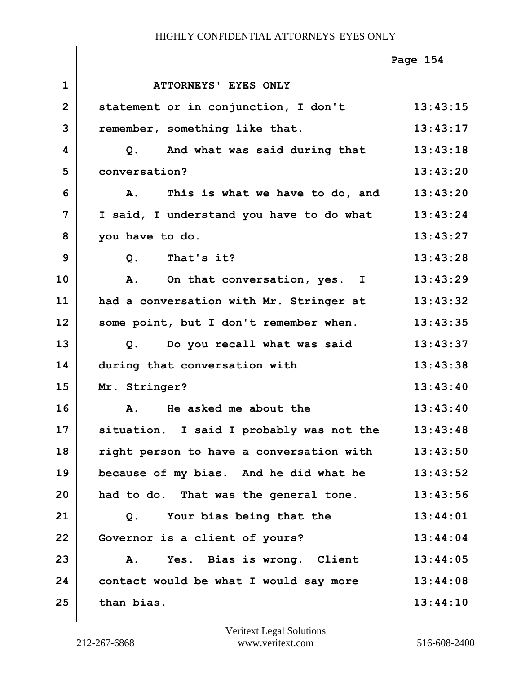|                |                                          | Page 154 |
|----------------|------------------------------------------|----------|
| $\mathbf{1}$   | ATTORNEYS' EYES ONLY                     |          |
| $\overline{2}$ | statement or in conjunction, I don't     | 13:43:15 |
| 3              | remember, something like that.           | 13:43:17 |
| 4              | Q. And what was said during that         | 13:43:18 |
| 5              | conversation?                            | 13:43:20 |
| 6              | A. This is what we have to do, and       | 13:43:20 |
| $\overline{7}$ | I said, I understand you have to do what | 13:43:24 |
| 8              | you have to do.                          | 13:43:27 |
| 9              | Q. That's it?                            | 13:43:28 |
| 10             | A. On that conversation, yes. I          | 13:43:29 |
| 11             | had a conversation with Mr. Stringer at  | 13:43:32 |
| 12             | some point, but I don't remember when.   | 13:43:35 |
| 13             | Q. Do you recall what was said           | 13:43:37 |
| 14             | during that conversation with            | 13:43:38 |
| 15             | Mr. Stringer?                            | 13:43:40 |
| 16             | He asked me about the<br>Α.              | 13:43:40 |
| 17             | situation. I said I probably was not the | 13:43:48 |
| 18             | right person to have a conversation with | 13:43:50 |
| 19             | because of my bias. And he did what he   | 13:43:52 |
| 20             | had to do. That was the general tone.    | 13:43:56 |
| 21             | Your bias being that the<br>Q.           | 13:44:01 |
| 22             | Governor is a client of yours?           | 13:44:04 |
| 23             | Yes. Bias is wrong. Client<br>A.         | 13:44:05 |
| 24             | contact would be what I would say more   | 13:44:08 |
| 25             | than bias.                               | 13:44:10 |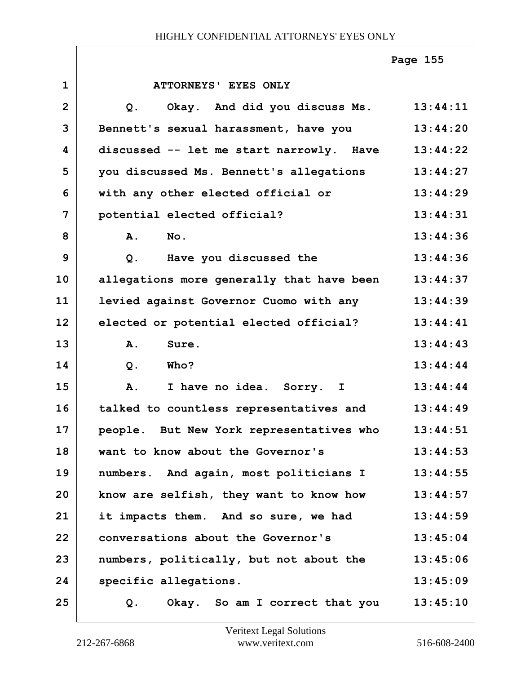|                |                                                 | Page 155 |
|----------------|-------------------------------------------------|----------|
| $\mathbf{1}$   | <b>ATTORNEYS' EYES ONLY</b>                     |          |
| $\overline{2}$ | Okay. And did you discuss Ms.<br>Q <sub>1</sub> | 13:44:11 |
| 3              | Bennett's sexual harassment, have you           | 13:44:20 |
| 4              | discussed -- let me start narrowly. Have        | 13:44:22 |
| 5              | you discussed Ms. Bennett's allegations         | 13:44:27 |
| 6              | with any other elected official or              | 13:44:29 |
| 7              | potential elected official?                     | 13:44:31 |
| 8              | A.<br>No.                                       | 13:44:36 |
| 9              | Have you discussed the<br>$Q$ .                 | 13:44:36 |
| 10             | allegations more generally that have been       | 13:44:37 |
| 11             | levied against Governor Cuomo with any          | 13:44:39 |
| 12             | elected or potential elected official?          | 13:44:41 |
| 13             | A.<br>Sure.                                     | 13:44:43 |
| 14             | <b>Who?</b><br>$Q$ .                            | 13:44:44 |
| 15             | A.<br>I have no idea. Sorry. I                  | 13:44:44 |
| 16             | talked to countless representatives and         | 13:44:49 |
| 17             | people. But New York representatives who        | 13:44:51 |
| 18             | want to know about the Governor's               | 13:44:53 |
| 19             | numbers. And again, most politicians I          | 13:44:55 |
| 20             | know are selfish, they want to know how         | 13:44:57 |
| 21             | it impacts them. And so sure, we had            | 13:44:59 |
| 22             | conversations about the Governor's              | 13:45:04 |
| 23             | numbers, politically, but not about the         | 13:45:06 |
| 24             | specific allegations.                           | 13:45:09 |
| 25             | Okay. So am I correct that you<br>Q.            | 13:45:10 |

 $\Gamma$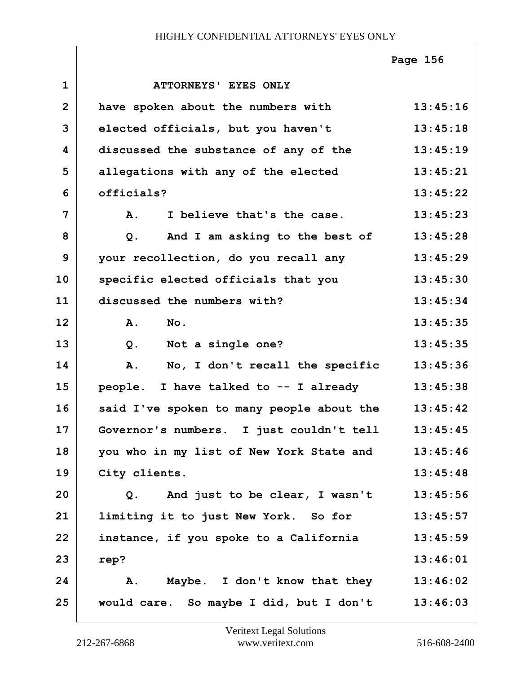|              |                                           | Page 156 |
|--------------|-------------------------------------------|----------|
| $\mathbf{1}$ | ATTORNEYS' EYES ONLY                      |          |
| $\mathbf{2}$ | have spoken about the numbers with        | 13:45:16 |
| 3            | elected officials, but you haven't        | 13:45:18 |
| 4            | discussed the substance of any of the     | 13:45:19 |
| 5            | allegations with any of the elected       | 13:45:21 |
| 6            | officials?                                | 13:45:22 |
| 7            | I believe that's the case.<br>A.          | 13:45:23 |
| 8            | And I am asking to the best of<br>Q.      | 13:45:28 |
| 9            | your recollection, do you recall any      | 13:45:29 |
| 10           | specific elected officials that you       | 13:45:30 |
| 11           | discussed the numbers with?               | 13:45:34 |
| 12           | A.<br>No.                                 | 13:45:35 |
| 13           | Not a single one?<br>$Q$ .                | 13:45:35 |
| 14           | No, I don't recall the specific<br>A.     | 13:45:36 |
| 15           | people. I have talked to -- I already     | 13:45:38 |
| 16           | said I've spoken to many people about the | 13:45:42 |
| 17           | Governor's numbers. I just couldn't tell  | 13:45:45 |
| 18           | you who in my list of New York State and  | 13:45:46 |
| 19           | City clients.                             | 13:45:48 |
| 20           | And just to be clear, I wasn't<br>Q.      | 13:45:56 |
| 21           | limiting it to just New York. So for      | 13:45:57 |
| 22           | instance, if you spoke to a California    | 13:45:59 |
| 23           | rep?                                      | 13:46:01 |
| 24           | Maybe. I don't know that they<br>Α.       | 13:46:02 |
| 25           | would care. So maybe I did, but I don't   | 13:46:03 |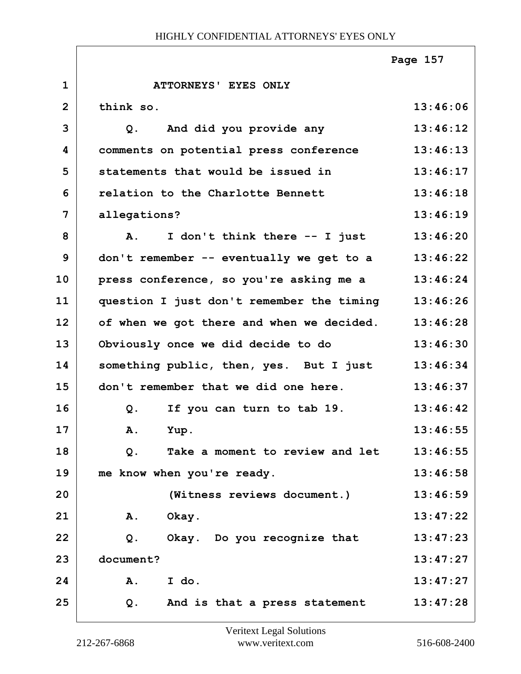|              |                                           | Page 157 |
|--------------|-------------------------------------------|----------|
| $\mathbf{1}$ | <b>ATTORNEYS' EYES ONLY</b>               |          |
| $\mathbf{2}$ | think so.                                 | 13:46:06 |
| 3            | And did you provide any<br>Q.             | 13:46:12 |
| 4            | comments on potential press conference    | 13:46:13 |
| 5            | statements that would be issued in        | 13:46:17 |
| 6            | relation to the Charlotte Bennett         | 13:46:18 |
| 7            | allegations?                              | 13:46:19 |
| 8            | I don't think there -- I just<br>A.       | 13:46:20 |
| 9            | don't remember -- eventually we get to a  | 13:46:22 |
| 10           | press conference, so you're asking me a   | 13:46:24 |
| 11           | question I just don't remember the timing | 13:46:26 |
| 12           | of when we got there and when we decided. | 13:46:28 |
| 13           | Obviously once we did decide to do        | 13:46:30 |
| 14           | something public, then, yes. But I just   | 13:46:34 |
| 15           | don't remember that we did one here.      | 13:46:37 |
| 16           | If you can turn to tab 19.<br>Q.          | 13:46:42 |
| 17           | A. Yup.                                   | 13:46:55 |
| 18           | Take a moment to review and let<br>$Q$ .  | 13:46:55 |
| 19           | me know when you're ready.                | 13:46:58 |
| 20           | (Witness reviews document.)               | 13:46:59 |
| 21           | Α.<br>Okay.                               | 13:47:22 |
| 22           | $Q$ .<br>Okay. Do you recognize that      | 13:47:23 |
| 23           | document?                                 | 13:47:27 |
| 24           | I do.<br>A.                               | 13:47:27 |
| 25           | And is that a press statement<br>Q.       | 13:47:28 |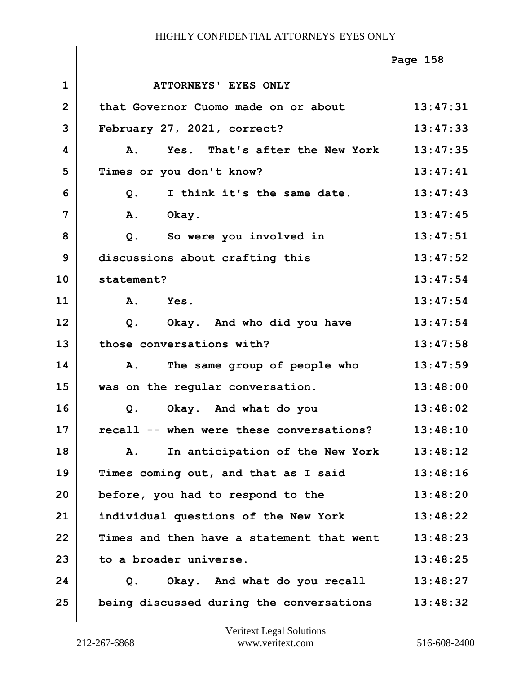|                |                                                | Page 158 |
|----------------|------------------------------------------------|----------|
| $\mathbf{1}$   | ATTORNEYS' EYES ONLY                           |          |
| $\overline{2}$ | that Governor Cuomo made on or about           | 13:47:31 |
| 3              | February 27, 2021, correct?                    | 13:47:33 |
| 4              | Yes. That's after the New York<br><b>A.</b>    | 13:47:35 |
| 5              | Times or you don't know?                       | 13:47:41 |
| 6              | I think it's the same date.<br>Q.              | 13:47:43 |
| 7              | Okay.<br>Α.                                    | 13:47:45 |
| 8              | So were you involved in<br>$Q$ .               | 13:47:51 |
| 9              | discussions about crafting this                | 13:47:52 |
| 10             | statement?                                     | 13:47:54 |
| 11             | A. Yes.                                        | 13:47:54 |
| 12             | Okay. And who did you have<br>Q <sub>1</sub>   | 13:47:54 |
| 13             | those conversations with?                      | 13:47:58 |
| 14             | The same group of people who<br>Α.             | 13:47:59 |
| 15             | was on the regular conversation.               | 13:48:00 |
| 16             | Okay. And what do you<br>Q.                    | 13:48:02 |
| 17             | recall -- when were these conversations?       | 13:48:10 |
| 18             | In anticipation of the New York<br>Α.          | 13:48:12 |
| 19             | Times coming out, and that as I said           | 13:48:16 |
| 20             | before, you had to respond to the              | 13:48:20 |
| 21             | individual questions of the New York           | 13:48:22 |
| 22             | Times and then have a statement that went      | 13:48:23 |
| 23             | to a broader universe.                         | 13:48:25 |
| 24             | Okay. And what do you recall<br>Q <sub>1</sub> | 13:48:27 |
| 25             | being discussed during the conversations       | 13:48:32 |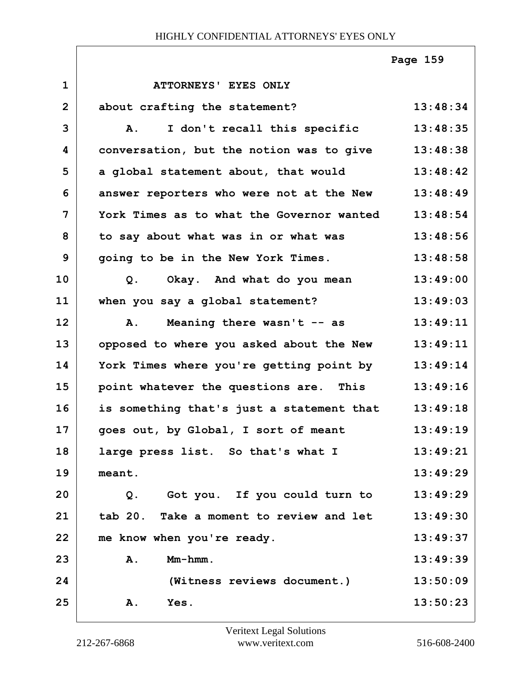|                |                                           | Page 159 |
|----------------|-------------------------------------------|----------|
| $\mathbf{1}$   | ATTORNEYS' EYES ONLY                      |          |
| $\overline{2}$ | about crafting the statement?             | 13:48:34 |
| 3              | I don't recall this specific<br>Α.        | 13:48:35 |
| 4              | conversation, but the notion was to give  | 13:48:38 |
| 5              | a global statement about, that would      | 13:48:42 |
| 6              | answer reporters who were not at the New  | 13:48:49 |
| 7              | York Times as to what the Governor wanted | 13:48:54 |
| 8              | to say about what was in or what was      | 13:48:56 |
| 9              | going to be in the New York Times.        | 13:48:58 |
| 10             | Okay. And what do you mean<br>Q.          | 13:49:00 |
| 11             | when you say a global statement?          | 13:49:03 |
| 12             | Meaning there wasn't -- as<br>A.          | 13:49:11 |
| 13             | opposed to where you asked about the New  | 13:49:11 |
| 14             | York Times where you're getting point by  | 13:49:14 |
| 15             | point whatever the questions are. This    | 13:49:16 |
| 16             | is something that's just a statement that | 13:49:18 |
| 17             | goes out, by Global, I sort of meant      | 13:49:19 |
| 18             | large press list. So that's what I        | 13:49:21 |
| 19             | meant.                                    | 13:49:29 |
| 20             | Got you. If you could turn to<br>Q.       | 13:49:29 |
| 21             | tab 20. Take a moment to review and let   | 13:49:30 |
| 22             | me know when you're ready.                | 13:49:37 |
| 23             | $Mm-hmm$ .<br>A.                          | 13:49:39 |
| 24             | (Witness reviews document.)               | 13:50:09 |
| 25             | Yes.<br>Α.                                | 13:50:23 |

 $\Gamma$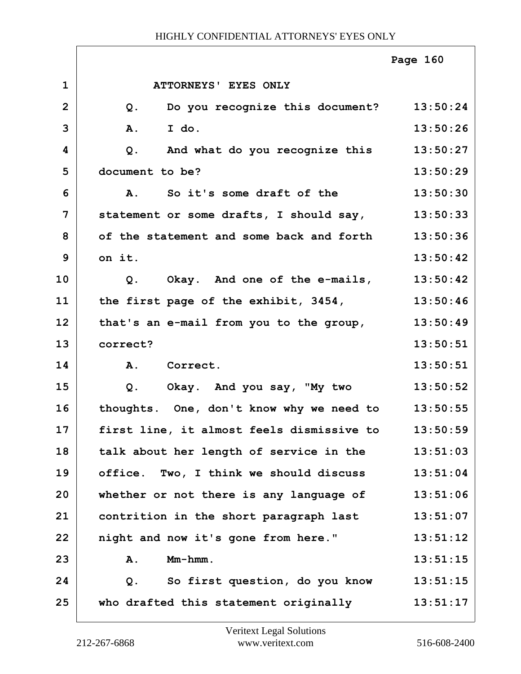|                |                                                   | Page 160 |
|----------------|---------------------------------------------------|----------|
| $\mathbf{1}$   | ATTORNEYS' EYES ONLY                              |          |
| $\overline{2}$ | Do you recognize this document? 13:50:24<br>$Q$ . |          |
| 3              | I do.<br>A.                                       | 13:50:26 |
| 4              | And what do you recognize this<br>Q.              | 13:50:27 |
| 5              | document to be?                                   | 13:50:29 |
| 6              | So it's some draft of the<br><b>A.</b>            | 13:50:30 |
| 7              | statement or some drafts, I should say,           | 13:50:33 |
| 8              | of the statement and some back and forth          | 13:50:36 |
| 9              | on it.                                            | 13:50:42 |
| 10             | Okay. And one of the e-mails,<br>Q.               | 13:50:42 |
| 11             | the first page of the exhibit, 3454,              | 13:50:46 |
| 12             | that's an e-mail from you to the group,           | 13:50:49 |
| 13             | correct?                                          | 13:50:51 |
| 14             | A. Correct.                                       | 13:50:51 |
| 15             | Okay. And you say, "My two<br>Q.                  | 13:50:52 |
| 16             | thoughts. One, don't know why we need to          | 13:50:55 |
| 17             | first line, it almost feels dismissive to         | 13:50:59 |
| 18             | talk about her length of service in the           | 13:51:03 |
| 19             | office. Two, I think we should discuss            | 13:51:04 |
| 20             | whether or not there is any language of           | 13:51:06 |
| 21             | contrition in the short paragraph last            | 13:51:07 |
| 22             | night and now it's gone from here."               | 13:51:12 |
| 23             | $Mm-hmm$ .<br>A.                                  | 13:51:15 |
| 24             | So first question, do you know<br>Q.              | 13:51:15 |
| 25             | who drafted this statement originally             | 13:51:17 |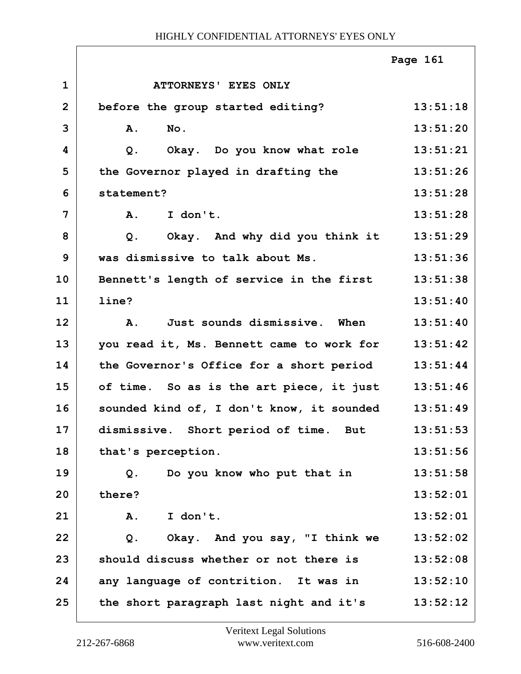|                |                                               | Page 161 |
|----------------|-----------------------------------------------|----------|
| $\mathbf 1$    | ATTORNEYS' EYES ONLY                          |          |
| $\overline{2}$ | before the group started editing?             | 13:51:18 |
| 3              | No.<br>A.                                     | 13:51:20 |
| 4              | Okay. Do you know what role<br>Q.             | 13:51:21 |
| 5              | the Governor played in drafting the           | 13:51:26 |
| 6              | statement?                                    | 13:51:28 |
| 7              | A.<br>I don't.                                | 13:51:28 |
| 8              | Okay. And why did you think it 13:51:29<br>Q. |          |
| 9              | was dismissive to talk about Ms.              | 13:51:36 |
| 10             | Bennett's length of service in the first      | 13:51:38 |
| 11             | line?                                         | 13:51:40 |
| 12             | Just sounds dismissive. When<br>Α.            | 13:51:40 |
| 13             | you read it, Ms. Bennett came to work for     | 13:51:42 |
| 14             | the Governor's Office for a short period      | 13:51:44 |
| 15             | of time. So as is the art piece, it just      | 13:51:46 |
| 16             | sounded kind of, I don't know, it sounded     | 13:51:49 |
| 17             | dismissive. Short period of time. But         | 13:51:53 |
| 18             | that's perception.                            | 13:51:56 |
| 19             | Do you know who put that in<br>Q.             | 13:51:58 |
| 20             | there?                                        | 13:52:01 |
| 21             | I don't.<br>A.                                | 13:52:01 |
| 22             | Okay. And you say, "I think we<br>Q.          | 13:52:02 |
| 23             | should discuss whether or not there is        | 13:52:08 |
| 24             | any language of contrition. It was in         | 13:52:10 |
| 25             | the short paragraph last night and it's       | 13:52:12 |

 $\Gamma$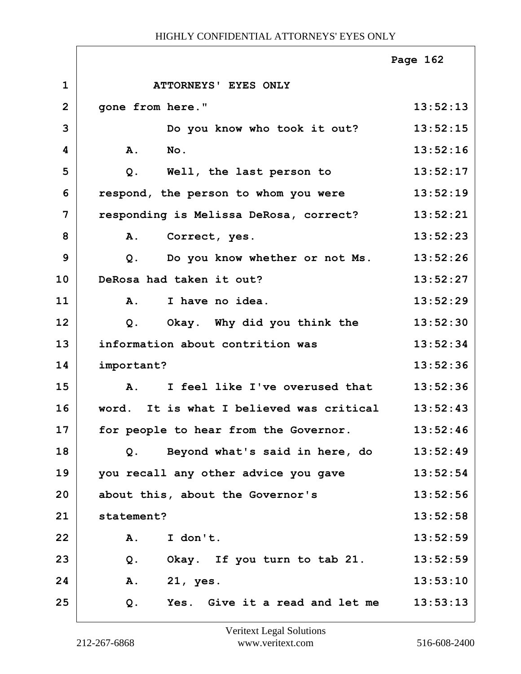|                |                                                  | Page 162 |
|----------------|--------------------------------------------------|----------|
| $\mathbf{1}$   | ATTORNEYS' EYES ONLY                             |          |
| $\overline{2}$ | gone from here."                                 | 13:52:13 |
| 3              | Do you know who took it out?                     | 13:52:15 |
| 4              | A.<br>No.                                        | 13:52:16 |
| 5              | Well, the last person to<br>Q.                   | 13:52:17 |
| 6              | respond, the person to whom you were             | 13:52:19 |
| 7              | responding is Melissa DeRosa, correct?           | 13:52:21 |
| 8              | A.<br>Correct, yes.                              | 13:52:23 |
| 9              | Do you know whether or not Ms.<br>Q.             | 13:52:26 |
| 10             | DeRosa had taken it out?                         | 13:52:27 |
| 11             | I have no idea.<br>A.                            | 13:52:29 |
| 12             | Okay. Why did you think the<br>Q.                | 13:52:30 |
| 13             | information about contrition was                 | 13:52:34 |
| 14             | important?                                       | 13:52:36 |
| 15             | I feel like I've overused that<br><b>A.</b>      | 13:52:36 |
| 16             | word. It is what I believed was critical         | 13:52:43 |
| 17             | for people to hear from the Governor.            | 13:52:46 |
| 18             | Beyond what's said in here, do<br>Q <sub>1</sub> | 13:52:49 |
| 19             | you recall any other advice you gave             | 13:52:54 |
| 20             | about this, about the Governor's                 | 13:52:56 |
| 21             | statement?                                       | 13:52:58 |
| 22             | A.<br>I don't.                                   | 13:52:59 |
| 23             | Okay. If you turn to tab 21.<br>$Q$ .            | 13:52:59 |
| 24             | Α.<br>21, yes.                                   | 13:53:10 |
| 25             | Yes. Give it a read and let me<br>Q.             | 13:53:13 |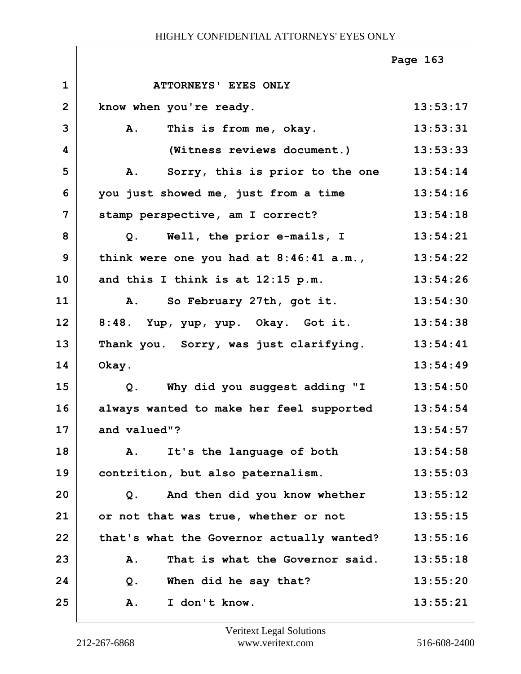|                |                                           | Page 163 |
|----------------|-------------------------------------------|----------|
| $\mathbf 1$    | ATTORNEYS' EYES ONLY                      |          |
| $\overline{2}$ | know when you're ready.                   | 13:53:17 |
| 3              | A.<br>This is from me, okay.              | 13:53:31 |
| 4              | (Witness reviews document.)               | 13:53:33 |
| 5              | Sorry, this is prior to the one<br>Α.     | 13:54:14 |
| 6              | you just showed me, just from a time      | 13:54:16 |
| $\overline{7}$ | stamp perspective, am I correct?          | 13:54:18 |
| 8              | Well, the prior e-mails, I<br>Q.          | 13:54:21 |
| 9              | think were one you had at 8:46:41 a.m.,   | 13:54:22 |
| 10             | and this I think is at 12:15 p.m.         | 13:54:26 |
| 11             | So February 27th, got it.<br>Α.           | 13:54:30 |
| 12             | 8:48. Yup, yup, yup. Okay. Got it.        | 13:54:38 |
| 13             | Thank you. Sorry, was just clarifying.    | 13:54:41 |
| 14             | Okay.                                     | 13:54:49 |
| 15             | Why did you suggest adding "I<br>Q.       | 13:54:50 |
| 16             | always wanted to make her feel supported  | 13:54:54 |
| 17             | and valued"?                              | 13:54:57 |
| 18             | It's the language of both<br>Α.           | 13:54:58 |
| 19             | contrition, but also paternalism.         | 13:55:03 |
| 20             | And then did you know whether<br>$Q$ .    | 13:55:12 |
| 21             | or not that was true, whether or not      | 13:55:15 |
| 22             | that's what the Governor actually wanted? | 13:55:16 |
| 23             | That is what the Governor said.<br>A.     | 13:55:18 |
| 24             | When did he say that?<br>Q.               | 13:55:20 |
| 25             | I don't know.<br>Α.                       | 13:55:21 |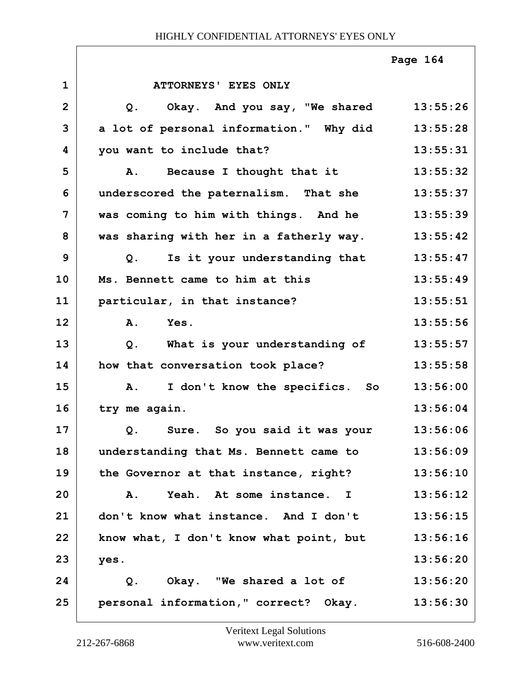|                |                                                 | Page 164 |
|----------------|-------------------------------------------------|----------|
| $\mathbf{1}$   | ATTORNEYS' EYES ONLY                            |          |
| $\overline{2}$ | Okay. And you say, "We shared<br>$Q$ .          | 13:55:26 |
| 3              | a lot of personal information." Why did         | 13:55:28 |
| 4              | you want to include that?                       | 13:55:31 |
| 5              | Because I thought that it<br><b>A.</b>          | 13:55:32 |
| 6              | underscored the paternalism. That she           | 13:55:37 |
| 7              | was coming to him with things. And he           | 13:55:39 |
| 8              | was sharing with her in a fatherly way.         | 13:55:42 |
| 9              | Is it your understanding that<br>Q.             | 13:55:47 |
| 10             | Ms. Bennett came to him at this                 | 13:55:49 |
| 11             | particular, in that instance?                   | 13:55:51 |
| 12             | Yes.<br>A.                                      | 13:55:56 |
| 13             | What is your understanding of<br>Q <sub>1</sub> | 13:55:57 |
| 14             | how that conversation took place?               | 13:55:58 |
| 15             | I don't know the specifics. So<br><b>A.</b>     | 13:56:00 |
| 16             | try me again.                                   | 13:56:04 |
| 17             | Sure. So you said it was your<br>Q.             | 13:56:06 |
| 18             | understanding that Ms. Bennett came to          | 13:56:09 |
| 19             | the Governor at that instance, right?           | 13:56:10 |
| 20             | Yeah. At some instance. I<br>Α.                 | 13:56:12 |
| 21             | don't know what instance. And I don't           | 13:56:15 |
| 22             | know what, I don't know what point, but         | 13:56:16 |
| 23             | yes.                                            | 13:56:20 |
| 24             | Okay. "We shared a lot of<br>Q.                 | 13:56:20 |
| 25             | personal information," correct? Okay.           | 13:56:30 |

Г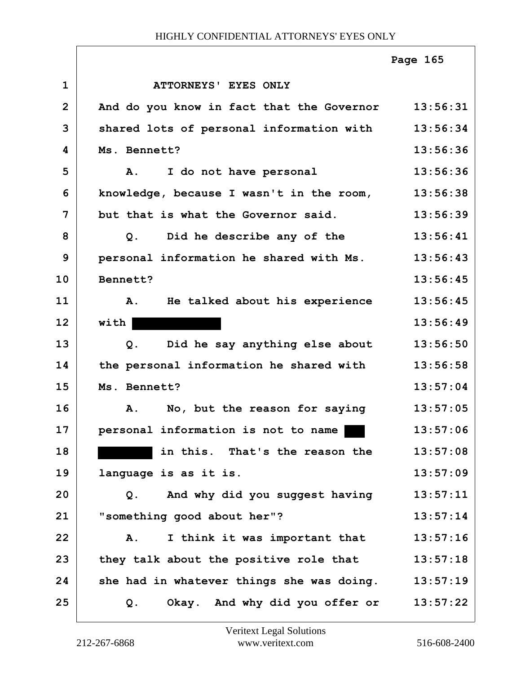|                |                                                    | Page 165 |
|----------------|----------------------------------------------------|----------|
| $\mathbf{1}$   | ATTORNEYS' EYES ONLY                               |          |
| $\overline{2}$ | And do you know in fact that the Governor 13:56:31 |          |
| 3              | shared lots of personal information with           | 13:56:34 |
| 4              | Ms. Bennett?                                       | 13:56:36 |
| 5              | I do not have personal<br>Α.                       | 13:56:36 |
| 6              | knowledge, because I wasn't in the room,           | 13:56:38 |
| $\overline{7}$ | but that is what the Governor said.                | 13:56:39 |
| 8              | Did he describe any of the<br>Q <sub>1</sub>       | 13:56:41 |
| 9              | personal information he shared with Ms.            | 13:56:43 |
| 10             | Bennett?                                           | 13:56:45 |
| 11             | He talked about his experience<br><b>A.</b>        | 13:56:45 |
| 12             | with                                               | 13:56:49 |
| 13             | Did he say anything else about<br>Q.               | 13:56:50 |
| 14             | the personal information he shared with            | 13:56:58 |
| 15             | Ms. Bennett?                                       | 13:57:04 |
| 16             | No, but the reason for saying<br>Α.                | 13:57:05 |
| 17             | personal information is not to name                | 13:57:06 |
| 18             | in this. That's the reason the                     | 13:57:08 |
| 19             | language is as it is.                              | 13:57:09 |
| 20             | And why did you suggest having<br>Q.               | 13:57:11 |
| 21             | "something good about her"?                        | 13:57:14 |
| 22             | I think it was important that<br>A.                | 13:57:16 |
| 23             | they talk about the positive role that             | 13:57:18 |
| 24             | she had in whatever things she was doing.          | 13:57:19 |
| 25             | Okay. And why did you offer or<br>Q.               | 13:57:22 |

ı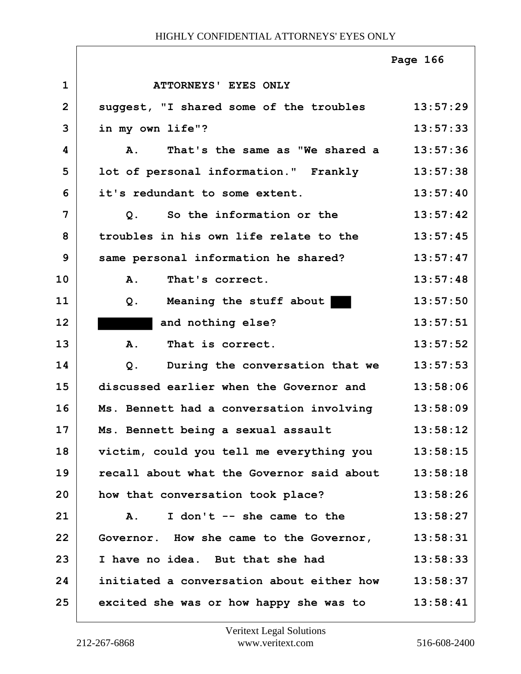|                |                                                    | Page 166 |
|----------------|----------------------------------------------------|----------|
| $\mathbf{1}$   | ATTORNEYS' EYES ONLY                               |          |
| $\overline{2}$ | suggest, "I shared some of the troubles 13:57:29   |          |
| 3              | in my own life"?                                   | 13:57:33 |
| 4              | That's the same as "We shared a<br>$\mathbf{A}$ .  | 13:57:36 |
| 5              | lot of personal information." Frankly              | 13:57:38 |
| 6              | it's redundant to some extent.                     | 13:57:40 |
| 7              | So the information or the<br>Q <sub>1</sub>        | 13:57:42 |
| 8              | troubles in his own life relate to the             | 13:57:45 |
| 9              | same personal information he shared?               | 13:57:47 |
| 10             | A.<br>That's correct.                              | 13:57:48 |
| 11             | Meaning the stuff about<br>$Q$ .                   | 13:57:50 |
| 12             | and nothing else?                                  | 13:57:51 |
| 13             | That is correct.<br>A.                             | 13:57:52 |
| 14             | During the conversation that we 13:57:53<br>$Q$ .  |          |
| 15             | discussed earlier when the Governor and            | 13:58:06 |
| 16             | Ms. Bennett had a conversation involving           | 13:58:09 |
| 17             | Ms. Bennett being a sexual assault                 | 13:58:12 |
| 18             | victim, could you tell me everything you           | 13:58:15 |
| 19             | recall about what the Governor said about          | 13:58:18 |
| 20             | how that conversation took place?                  | 13:58:26 |
| 21             | I don't -- she came to the<br>A.                   | 13:58:27 |
| 22             | Governor. How she came to the Governor,            | 13:58:31 |
| 23             | I have no idea. But that she had                   | 13:58:33 |
| 24             | initiated a conversation about either how 13:58:37 |          |
| 25             | excited she was or how happy she was to            | 13:58:41 |

ı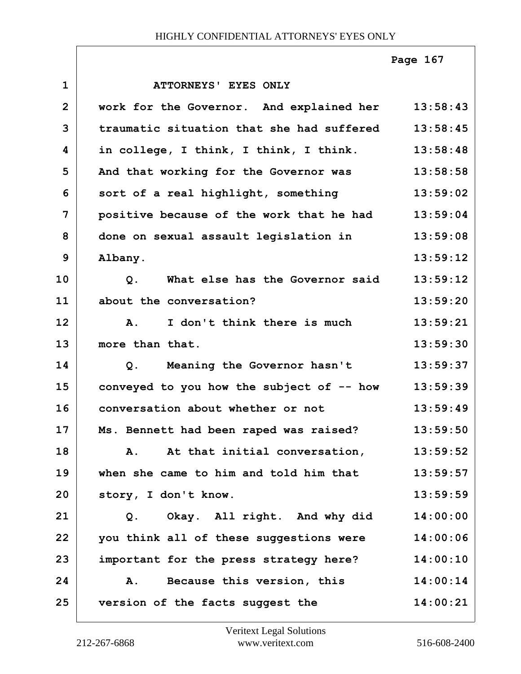# **1 ATTORNEYS' EYES ONLY 2 work for the Governor. And explained her 13:58:43 3 traumatic situation that she had suffered 13:58:45 4 in college, I think, I think, I think. 13:58:48** 5 And that working for the Governor was 13:58:58 **6 sort of a real highlight, something 13:59:02 7 positive because of the work that he had 13:59:04 8 done on sexual assault legislation in 13:59:08 9 Albany. 13:59:12 10 Q. What else has the Governor said 13:59:12 11 about the conversation? 13:59:20 12 A. I don't think there is much 13:59:21 13 more than that. 13:59:30 14 Q. Meaning the Governor hasn't 13:59:37 15 conveyed to you how the subject of -- how 13:59:39 16 conversation about whether or not 13:59:49 17 Ms. Bennett had been raped was raised? 13:59:50 18 A. At that initial conversation, 13:59:52 19 when she came to him and told him that 13:59:57 20 story, I don't know. 13:59:59 21 Q. Okay. All right. And why did 14:00:00 22 you think all of these suggestions were 14:00:06 23 important for the press strategy here? 14:00:10 24 A. Because this version, this 14:00:14 25 version of the facts suggest the 14:00:21 Page 167**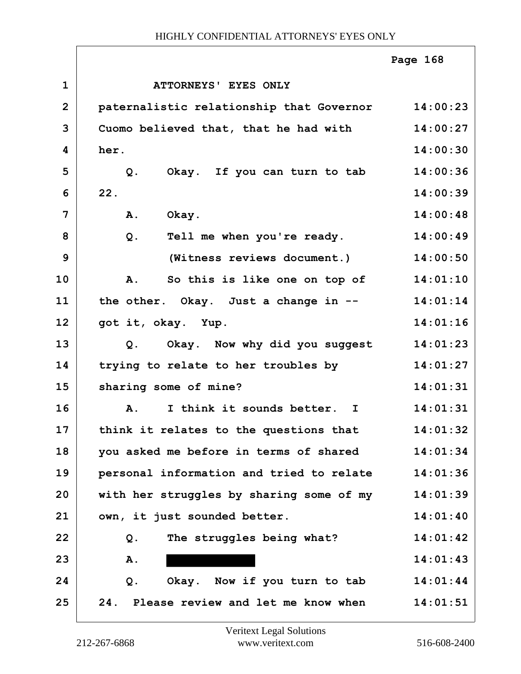|                |                                          | Page 168 |
|----------------|------------------------------------------|----------|
| $\mathbf{1}$   | ATTORNEYS' EYES ONLY                     |          |
| $\overline{2}$ | paternalistic relationship that Governor | 14:00:23 |
| 3              | Cuomo believed that, that he had with    | 14:00:27 |
| 4              | her.                                     | 14:00:30 |
| 5              | Okay. If you can turn to tab<br>Q.       | 14:00:36 |
| 6              | 22.                                      | 14:00:39 |
| 7              | Okay.<br><b>A.</b>                       | 14:00:48 |
| 8              | Tell me when you're ready.<br>$Q$ .      | 14:00:49 |
| 9              | (Witness reviews document.)              | 14:00:50 |
| 10             | So this is like one on top of<br>A.      | 14:01:10 |
| 11             | the other. Okay. Just a change in --     | 14:01:14 |
| 12             | got it, okay. Yup.                       | 14:01:16 |
| 13             | Okay. Now why did you suggest<br>Q.      | 14:01:23 |
| 14             | trying to relate to her troubles by      | 14:01:27 |
| 15             | sharing some of mine?                    | 14:01:31 |
| 16             | I think it sounds better. I<br>Α.        | 14:01:31 |
| 17             | think it relates to the questions that   | 14:01:32 |
| 18             | you asked me before in terms of shared   | 14:01:34 |
| 19             | personal information and tried to relate | 14:01:36 |
| 20             | with her struggles by sharing some of my | 14:01:39 |
| 21             | own, it just sounded better.             | 14:01:40 |
| 22             | The struggles being what?<br>Q.          | 14:01:42 |
| 23             | Α.                                       | 14:01:43 |
| 24             | Okay. Now if you turn to tab<br>$Q$ .    | 14:01:44 |
| 25             | 24. Please review and let me know when   | 14:01:51 |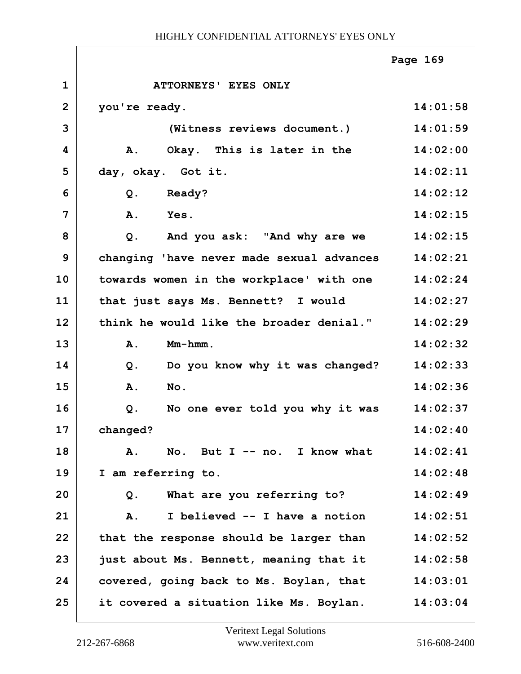|                |                                           | Page 169 |
|----------------|-------------------------------------------|----------|
| $\mathbf{1}$   | ATTORNEYS' EYES ONLY                      |          |
| $\overline{2}$ | you're ready.                             | 14:01:58 |
| 3              | (Witness reviews document.)               | 14:01:59 |
| 4              | Okay. This is later in the<br>A.          | 14:02:00 |
| 5              | day, okay. Got it.                        | 14:02:11 |
| 6              | <b>Ready?</b><br>$Q$ .                    | 14:02:12 |
| 7              | A.<br>Yes.                                | 14:02:15 |
| 8              | $Q$ .<br>And you ask: "And why are we     | 14:02:15 |
| 9              | changing 'have never made sexual advances | 14:02:21 |
| 10             | towards women in the workplace' with one  | 14:02:24 |
| 11             | that just says Ms. Bennett? I would       | 14:02:27 |
| 12             | think he would like the broader denial."  | 14:02:29 |
| 13             | Mm-hmm.<br>A.                             | 14:02:32 |
| 14             | Do you know why it was changed?<br>Q.     | 14:02:33 |
| 15             | No.<br><b>A.</b>                          | 14:02:36 |
| 16             | No one ever told you why it was<br>Q.     | 14:02:37 |
| 17             | changed?                                  | 14:02:40 |
| 18             | No. But $I - - no$ . I know what<br>A.    | 14:02:41 |
| 19             | I am referring to.                        | 14:02:48 |
| 20             | What are you referring to?<br>Q.          | 14:02:49 |
| 21             | I believed -- I have a notion<br>Α.       | 14:02:51 |
| 22             | that the response should be larger than   | 14:02:52 |
| 23             | just about Ms. Bennett, meaning that it   | 14:02:58 |
| 24             | covered, going back to Ms. Boylan, that   | 14:03:01 |
| 25             | it covered a situation like Ms. Boylan.   | 14:03:04 |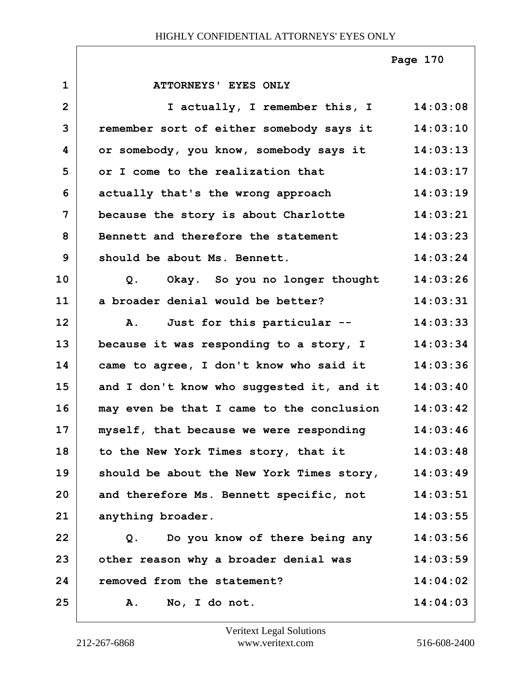**Page 170**

| $\mathbf{1}$ | ATTORNEYS' EYES ONLY                             |          |
|--------------|--------------------------------------------------|----------|
| $\mathbf{2}$ | I actually, I remember this, I                   | 14:03:08 |
| 3            | remember sort of either somebody says it         | 14:03:10 |
| 4            | or somebody, you know, somebody says it          | 14:03:13 |
| 5            | or I come to the realization that                | 14:03:17 |
| 6            | actually that's the wrong approach               | 14:03:19 |
| 7            | because the story is about Charlotte             | 14:03:21 |
| 8            | Bennett and therefore the statement              | 14:03:23 |
| 9            | should be about Ms. Bennett.                     | 14:03:24 |
| 10           | Okay. So you no longer thought<br>Q <sub>1</sub> | 14:03:26 |
| 11           | a broader denial would be better?                | 14:03:31 |
| 12           | A. Just for this particular --                   | 14:03:33 |
| 13           | because it was responding to a story, I          | 14:03:34 |
| 14           | came to agree, I don't know who said it          | 14:03:36 |
| 15           | and I don't know who suggested it, and it        | 14:03:40 |
| 16           | may even be that I came to the conclusion        | 14:03:42 |
| 17           | myself, that because we were responding          | 14:03:46 |
| 18           | to the New York Times story, that it             | 14:03:48 |
| 19           | should be about the New York Times story,        | 14:03:49 |
| 20           | and therefore Ms. Bennett specific, not          | 14:03:51 |
| 21           | anything broader.                                | 14:03:55 |
| 22           | Do you know of there being any<br>Q.             | 14:03:56 |
| 23           | other reason why a broader denial was            | 14:03:59 |
| 24           | removed from the statement?                      | 14:04:02 |
| 25           | No, I do not.<br>Α.                              | 14:04:03 |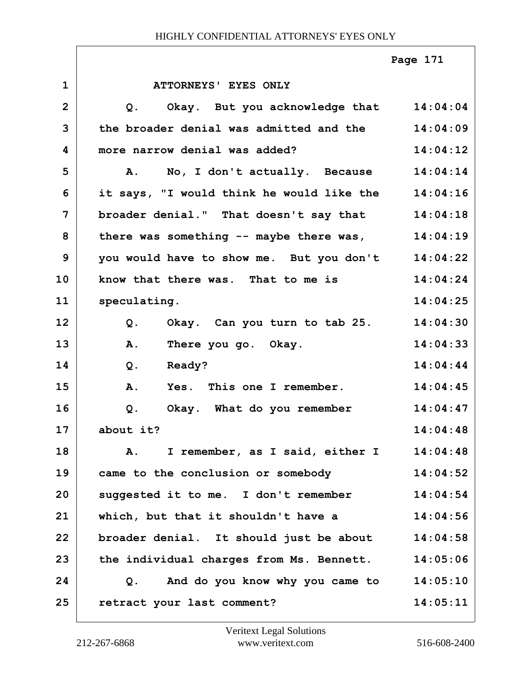|                |                                                   | Page 171 |
|----------------|---------------------------------------------------|----------|
| $\mathbf 1$    | ATTORNEYS' EYES ONLY                              |          |
| $\overline{2}$ | Q. Okay. But you acknowledge that 14:04:04        |          |
| 3              | the broader denial was admitted and the 14:04:09  |          |
| 4              | more narrow denial was added?                     | 14:04:12 |
| 5              | A. No, I don't actually. Because 14:04:14         |          |
| 6              | it says, "I would think he would like the         | 14:04:16 |
| $\overline{7}$ | broader denial." That doesn't say that            | 14:04:18 |
| 8              | there was something -- maybe there was,           | 14:04:19 |
| 9              | you would have to show me. But you don't 14:04:22 |          |
| 10             | know that there was. That to me is                | 14:04:24 |
| 11             | speculating.                                      | 14:04:25 |
| 12             | Q. Okay. Can you turn to tab 25.                  | 14:04:30 |
| 13             | There you go. Okay.<br>Α.                         | 14:04:33 |
| 14             | Q <sub>1</sub><br><b>Ready?</b>                   | 14:04:44 |
| 15             | A. Yes. This one I remember.                      | 14:04:45 |
| 16             | Q.<br>Okay. What do you remember                  | 14:04:47 |
| 17             | about it?                                         | 14:04:48 |
| 18             | A. I remember, as I said, either I 14:04:48       |          |
| 19             | came to the conclusion or somebody                | 14:04:52 |
| 20             | suggested it to me. I don't remember              | 14:04:54 |
| 21             | which, but that it shouldn't have a               | 14:04:56 |
| 22             | broader denial. It should just be about           | 14:04:58 |
| 23             | the individual charges from Ms. Bennett.          | 14:05:06 |
| 24             | And do you know why you came to<br>Q <sub>1</sub> | 14:05:10 |
| 25             | retract your last comment?                        | 14:05:11 |

 $\Gamma$ 

٦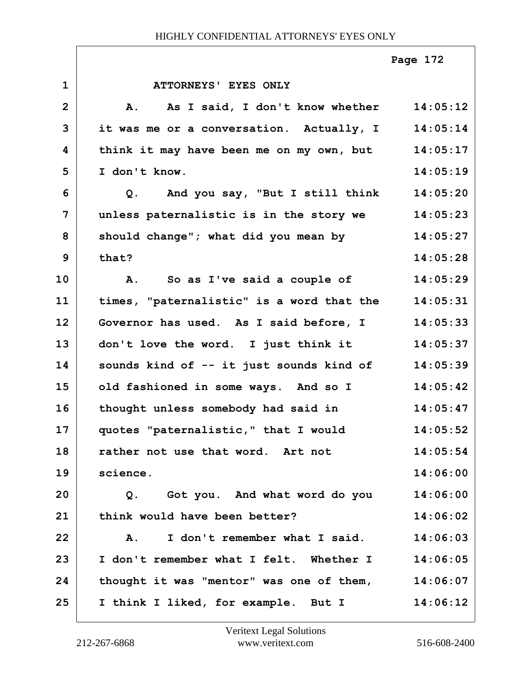|                |                                                 | Page 172 |
|----------------|-------------------------------------------------|----------|
| $\mathbf{1}$   | ATTORNEYS' EYES ONLY                            |          |
| $\mathbf{2}$   | As I said, I don't know whether 14:05:12<br>Α.  |          |
| 3              | it was me or a conversation. Actually, I        | 14:05:14 |
| 4              | think it may have been me on my own, but        | 14:05:17 |
| 5              | I don't know.                                   | 14:05:19 |
| 6              | Q. And you say, "But I still think              | 14:05:20 |
| $\overline{7}$ | unless paternalistic is in the story we         | 14:05:23 |
| 8              | should change"; what did you mean by            | 14:05:27 |
| 9              | that?                                           | 14:05:28 |
| 10             | So as I've said a couple of<br>Α.               | 14:05:29 |
| 11             | times, "paternalistic" is a word that the       | 14:05:31 |
| 12             | Governor has used. As I said before, I          | 14:05:33 |
| 13             | don't love the word. I just think it            | 14:05:37 |
| 14             | sounds kind of -- it just sounds kind of        | 14:05:39 |
| 15             | old fashioned in some ways. And so I            | 14:05:42 |
| 16             | thought unless somebody had said in             | 14:05:47 |
| 17             | quotes "paternalistic," that I would            | 14:05:52 |
| 18             | rather not use that word. Art not               | 14:05:54 |
| 19             | science.                                        | 14:06:00 |
| 20             | Q. Got you. And what word do you                | 14:06:00 |
| 21             | think would have been better?                   | 14:06:02 |
| 22             | I don't remember what I said.<br>$\mathbf{A}$ . | 14:06:03 |
| 23             | I don't remember what I felt. Whether I         | 14:06:05 |
| 24             | thought it was "mentor" was one of them,        | 14:06:07 |
| 25             | I think I liked, for example. But I             | 14:06:12 |

 $\Gamma$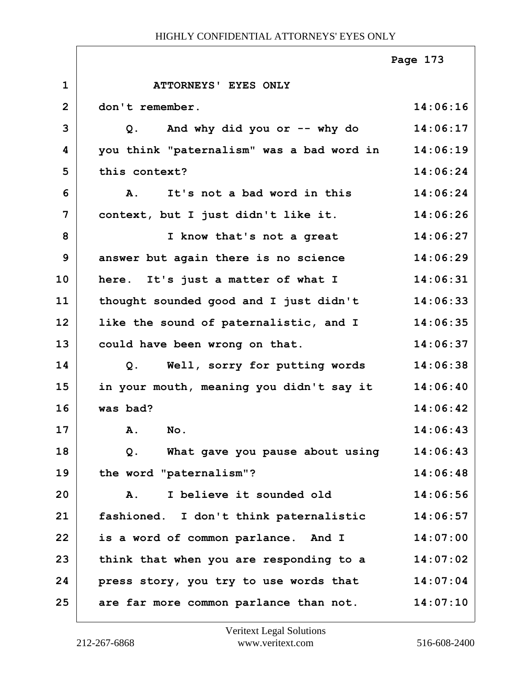|                |                                           | Page 173 |
|----------------|-------------------------------------------|----------|
| $\mathbf{1}$   | <b>ATTORNEYS' EYES ONLY</b>               |          |
| $\overline{2}$ | don't remember.                           | 14:06:16 |
| 3              | And why did you or -- why do<br>Q.        | 14:06:17 |
| 4              | you think "paternalism" was a bad word in | 14:06:19 |
| 5              | this context?                             | 14:06:24 |
| 6              | It's not a bad word in this<br>A.         | 14:06:24 |
| 7              | context, but I just didn't like it.       | 14:06:26 |
| 8              | I know that's not a great                 | 14:06:27 |
| 9              | answer but again there is no science      | 14:06:29 |
| 10             | here. It's just a matter of what I        | 14:06:31 |
| 11             | thought sounded good and I just didn't    | 14:06:33 |
| 12             | like the sound of paternalistic, and I    | 14:06:35 |
| 13             | could have been wrong on that.            | 14:06:37 |
| 14             | Well, sorry for putting words<br>Q.       | 14:06:38 |
| 15             | in your mouth, meaning you didn't say it  | 14:06:40 |
| 16             | was bad?                                  | 14:06:42 |
| 17             | A. No.                                    | 14:06:43 |
| 18             | What gave you pause about using<br>Q.     | 14:06:43 |
| 19             | the word "paternalism"?                   | 14:06:48 |
| 20             | I believe it sounded old<br>Α.            | 14:06:56 |
| 21             | fashioned. I don't think paternalistic    | 14:06:57 |
| 22             | is a word of common parlance. And I       | 14:07:00 |
| 23             | think that when you are responding to a   | 14:07:02 |
| 24             | press story, you try to use words that    | 14:07:04 |
| 25             | are far more common parlance than not.    | 14:07:10 |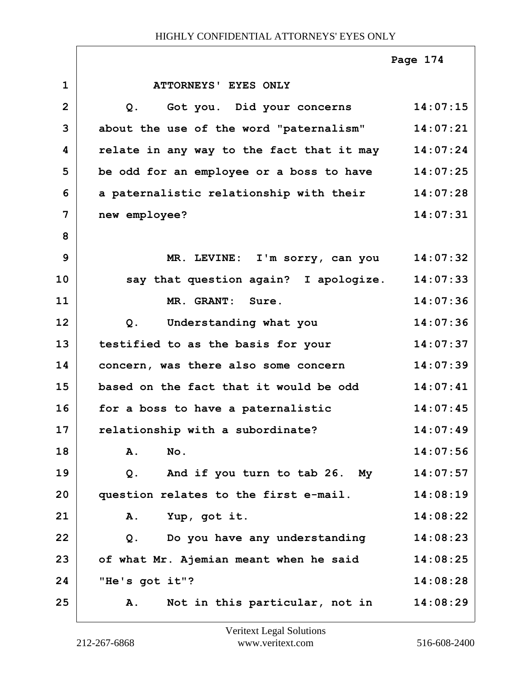|              |                                           | Page 174 |
|--------------|-------------------------------------------|----------|
| $\mathbf{1}$ | ATTORNEYS' EYES ONLY                      |          |
| $\mathbf{2}$ | Got you. Did your concerns<br>$Q$ .       | 14:07:15 |
| 3            | about the use of the word "paternalism"   | 14:07:21 |
| 4            | relate in any way to the fact that it may | 14:07:24 |
| 5            | be odd for an employee or a boss to have  | 14:07:25 |
| 6            | a paternalistic relationship with their   | 14:07:28 |
| 7            | new employee?                             | 14:07:31 |
| 8            |                                           |          |
| 9            | MR. LEVINE: I'm sorry, can you            | 14:07:32 |
| 10           | say that question again? I apologize.     | 14:07:33 |
| 11           | MR. GRANT: Sure.                          | 14:07:36 |
| 12           | Understanding what you<br>Q.              | 14:07:36 |
| 13           | testified to as the basis for your        | 14:07:37 |
| 14           | concern, was there also some concern      | 14:07:39 |
| 15           | based on the fact that it would be odd    | 14:07:41 |
| 16           | for a boss to have a paternalistic        | 14:07:45 |
| 17           | relationship with a subordinate?          | 14:07:49 |
| 18           | No.<br>Α.                                 | 14:07:56 |
| 19           | And if you turn to tab 26. My<br>Q.       | 14:07:57 |
| 20           | question relates to the first e-mail.     | 14:08:19 |
| 21           | Α.<br>Yup, got it.                        | 14:08:22 |
| 22           | Do you have any understanding<br>$Q$ .    | 14:08:23 |
| 23           | of what Mr. Ajemian meant when he said    | 14:08:25 |
| 24           | "He's got it"?                            | 14:08:28 |
| 25           | Not in this particular, not in<br>Α.      | 14:08:29 |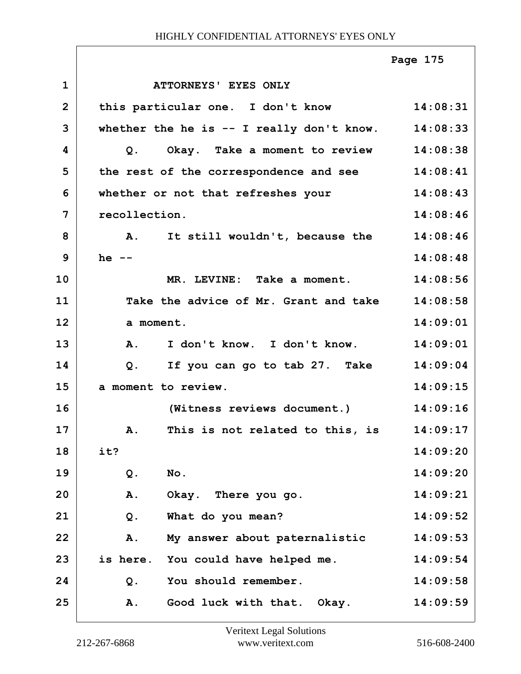|                |                                                         | Page 175 |
|----------------|---------------------------------------------------------|----------|
| $\mathbf{1}$   | ATTORNEYS' EYES ONLY                                    |          |
| $\overline{2}$ | this particular one. I don't know                       | 14:08:31 |
| 3              | whether the he is $-$ I really don't know.              | 14:08:33 |
| 4              | Okay. Take a moment to review<br>Q.                     | 14:08:38 |
| 5              | the rest of the correspondence and see                  | 14:08:41 |
| 6              | whether or not that refreshes your                      | 14:08:43 |
| 7              | recollection.                                           | 14:08:46 |
| 8              | A. It still wouldn't, because the 14:08:46              |          |
| 9              | he $--$                                                 | 14:08:48 |
| 10             | MR. LEVINE: Take a moment.                              | 14:08:56 |
| 11             | Take the advice of Mr. Grant and take                   | 14:08:58 |
| 12             | a moment.                                               | 14:09:01 |
| 13             | I don't know. I don't know.<br>A.                       | 14:09:01 |
| 14             | If you can go to tab 27. Take<br>Q.                     | 14:09:04 |
| 15             | a moment to review.                                     | 14:09:15 |
| 16             | (Witness reviews document.)                             | 14:09:16 |
| 17             | This is not related to this, is 14:09:17<br>${\bf A}$ . |          |
| 18             | it?                                                     | 14:09:20 |
| 19             | No.<br>Q.                                               | 14:09:20 |
| 20             | A.<br>Okay. There you go.                               | 14:09:21 |
| 21             | What do you mean?<br>$Q$ .                              | 14:09:52 |
| 22             | A.<br>My answer about paternalistic                     | 14:09:53 |
| 23             | is here. You could have helped me.                      | 14:09:54 |
| 24             | You should remember.<br>Q.                              | 14:09:58 |
| 25             | Good luck with that. Okay.<br>A.                        | 14:09:59 |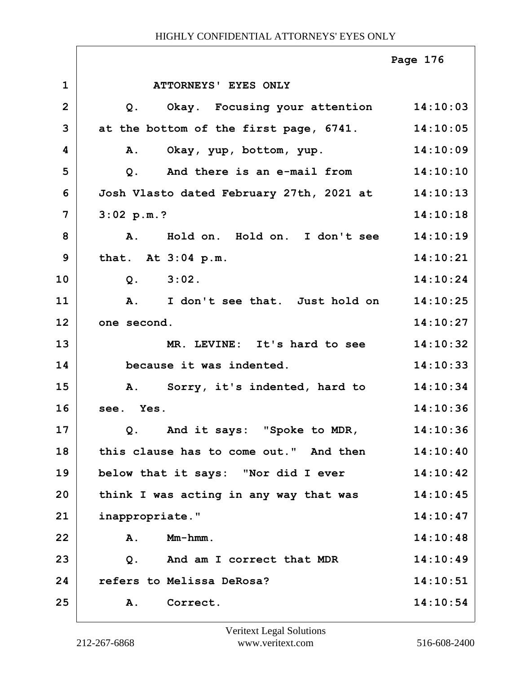|              |                                                     | Page 176 |
|--------------|-----------------------------------------------------|----------|
| $\mathbf 1$  | ATTORNEYS' EYES ONLY                                |          |
| $\mathbf{2}$ | Okay. Focusing your attention 14:10:03<br>Q.        |          |
| 3            | at the bottom of the first page, 6741.              | 14:10:05 |
| 4            | Α.<br>Okay, yup, bottom, yup.                       | 14:10:09 |
| 5            | And there is an e-mail from 14:10:10<br>$Q$ .       |          |
| 6            | Josh Vlasto dated February 27th, 2021 at 14:10:13   |          |
| 7            | 3:02 p.m.?                                          | 14:10:18 |
| 8            | Hold on. Hold on. I don't see 14:10:19<br><b>A.</b> |          |
| 9            | that. At 3:04 p.m.                                  | 14:10:21 |
| 10           | Q. 3:02.                                            | 14:10:24 |
| 11           | A. I don't see that. Just hold on                   | 14:10:25 |
| 12           | one second.                                         | 14:10:27 |
| 13           | MR. LEVINE: It's hard to see                        | 14:10:32 |
| 14           | because it was indented.                            | 14:10:33 |
| 15           | A. Sorry, it's indented, hard to 14:10:34           |          |
| 16           | see. Yes.                                           | 14:10:36 |
| 17           | Q. And it says: "Spoke to MDR,                      | 14:10:36 |
| 18           | this clause has to come out." And then              | 14:10:40 |
| 19           | below that it says: "Nor did I ever                 | 14:10:42 |
| 20           | think I was acting in any way that was              | 14:10:45 |
| 21           | inappropriate."                                     | 14:10:47 |
| 22           | $Mm-hmm$ .<br>A.                                    | 14:10:48 |
| 23           | And am I correct that MDR<br>$Q$ .                  | 14:10:49 |
| 24           | refers to Melissa DeRosa?                           | 14:10:51 |
| 25           | Correct.<br>A.                                      | 14:10:54 |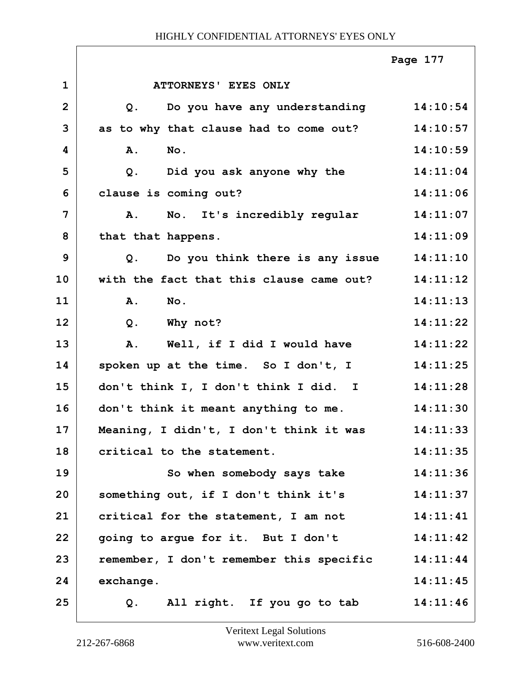|                |                                               | Page 177 |
|----------------|-----------------------------------------------|----------|
| $\mathbf 1$    | ATTORNEYS' EYES ONLY                          |          |
| $\overline{2}$ | Do you have any understanding 14:10:54<br>Q.  |          |
| 3              | as to why that clause had to come out?        | 14:10:57 |
| 4              | $N_{\text{O}}$ .<br>Α.                        | 14:10:59 |
| 5              | Did you ask anyone why the<br>Q.              | 14:11:04 |
| 6              | clause is coming out?                         | 14:11:06 |
| 7              | No. It's incredibly regular<br>$\mathbf{A}$ . | 14:11:07 |
| 8              | that that happens.                            | 14:11:09 |
| 9              | Do you think there is any issue<br>Q.         | 14:11:10 |
| 10             | with the fact that this clause came out?      | 14:11:12 |
| 11             | $N$ o.<br>A.                                  | 14:11:13 |
| 12             | Q. Why not?                                   | 14:11:22 |
| 13             | Well, if I did I would have<br>A.             | 14:11:22 |
| 14             | spoken up at the time. So I don't, I          | 14:11:25 |
| 15             | don't think I, I don't think I did. I         | 14:11:28 |
| 16             | don't think it meant anything to me.          | 14:11:30 |
| 17             | Meaning, I didn't, I don't think it was       | 14:11:33 |
| 18             | critical to the statement.                    | 14:11:35 |
| 19             | So when somebody says take                    | 14:11:36 |
| 20             | something out, if I don't think it's          | 14:11:37 |
| 21             | critical for the statement, I am not          | 14:11:41 |
| 22             | going to argue for it. But I don't            | 14:11:42 |
| 23             | remember, I don't remember this specific      | 14:11:44 |
| 24             | exchange.                                     | 14:11:45 |
| 25             | All right. If you go to tab<br>Q.             | 14:11:46 |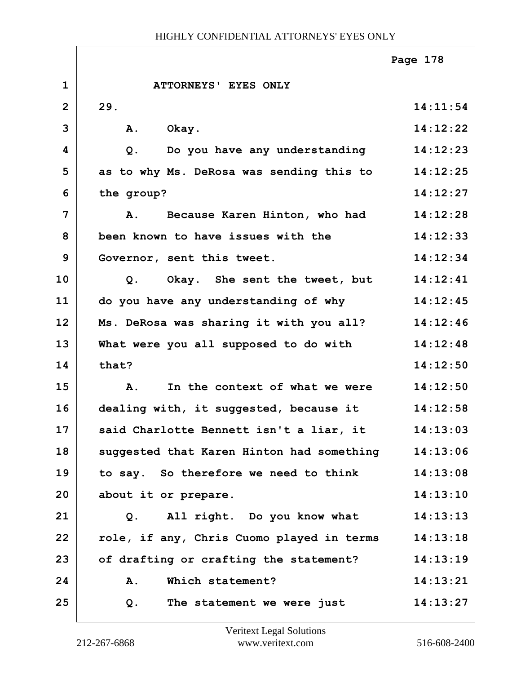|                |                                           | Page 178 |
|----------------|-------------------------------------------|----------|
| $\mathbf{1}$   | ATTORNEYS' EYES ONLY                      |          |
| $\overline{2}$ | 29.                                       | 14:11:54 |
| 3              | Okay.<br>A.                               | 14:12:22 |
| 4              | Do you have any understanding<br>Q.       | 14:12:23 |
| 5              | as to why Ms. DeRosa was sending this to  | 14:12:25 |
| 6              | the group?                                | 14:12:27 |
| $\overline{7}$ | Because Karen Hinton, who had<br>Α.       | 14:12:28 |
| 8              | been known to have issues with the        | 14:12:33 |
| 9              | Governor, sent this tweet.                | 14:12:34 |
| 10             | Okay. She sent the tweet, but<br>Q.       | 14:12:41 |
| 11             | do you have any understanding of why      | 14:12:45 |
| 12             | Ms. DeRosa was sharing it with you all?   | 14:12:46 |
| 13             | What were you all supposed to do with     | 14:12:48 |
| 14             | that?                                     | 14:12:50 |
| 15             | In the context of what we were<br>Α.      | 14:12:50 |
| 16             | dealing with, it suggested, because it    | 14:12:58 |
| 17             | said Charlotte Bennett isn't a liar, it   | 14:13:03 |
| 18             | suggested that Karen Hinton had something | 14:13:06 |
| 19             | to say. So therefore we need to think     | 14:13:08 |
| 20             | about it or prepare.                      | 14:13:10 |
| 21             | All right. Do you know what<br>Q.         | 14:13:13 |
| 22             | role, if any, Chris Cuomo played in terms | 14:13:18 |
| 23             | of drafting or crafting the statement?    | 14:13:19 |
| 24             | Which statement?<br>Α.                    | 14:13:21 |
| 25             | The statement we were just<br>Q.          | 14:13:27 |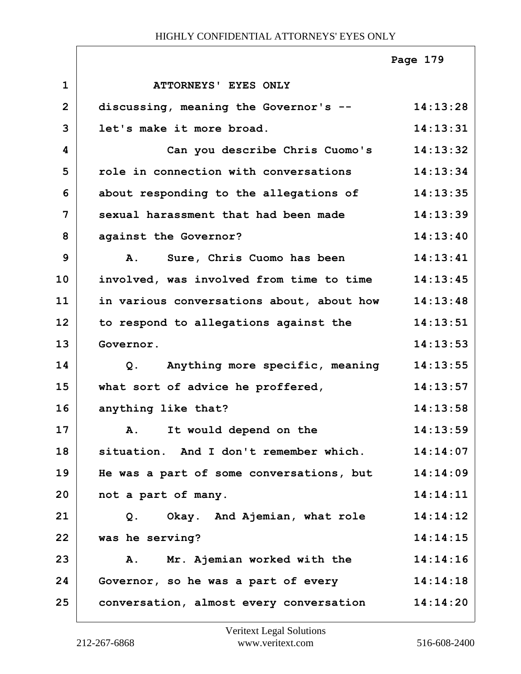|                |                                                | Page 179 |
|----------------|------------------------------------------------|----------|
| $\mathbf{1}$   | ATTORNEYS' EYES ONLY                           |          |
| $\overline{2}$ | discussing, meaning the Governor's --          | 14:13:28 |
| 3              | let's make it more broad.                      | 14:13:31 |
| 4              | Can you describe Chris Cuomo's                 | 14:13:32 |
| 5              | role in connection with conversations          | 14:13:34 |
| 6              | about responding to the allegations of         | 14:13:35 |
| $\overline{7}$ | sexual harassment that had been made           | 14:13:39 |
| 8              | against the Governor?                          | 14:13:40 |
| 9              | A. Sure, Chris Cuomo has been                  | 14:13:41 |
| 10             | involved, was involved from time to time       | 14:13:45 |
| 11             | in various conversations about, about how      | 14:13:48 |
| 12             | to respond to allegations against the          | 14:13:51 |
| 13             | Governor.                                      | 14:13:53 |
| 14             | Anything more specific, meaning<br>Q.          | 14:13:55 |
| 15             | what sort of advice he proffered,              | 14:13:57 |
| 16             | anything like that?                            | 14:13:58 |
| 17             | A. It would depend on the                      | 14:13:59 |
| 18             | situation. And I don't remember which.         | 14:14:07 |
| 19             | He was a part of some conversations, but       | 14:14:09 |
| 20             | not a part of many.                            | 14:14:11 |
| 21             | Okay. And Ajemian, what role<br>Q <sub>1</sub> | 14:14:12 |
| 22             | was he serving?                                | 14:14:15 |
| 23             | A. Mr. Ajemian worked with the                 | 14:14:16 |
| 24             | Governor, so he was a part of every            | 14:14:18 |
| 25             | conversation, almost every conversation        | 14:14:20 |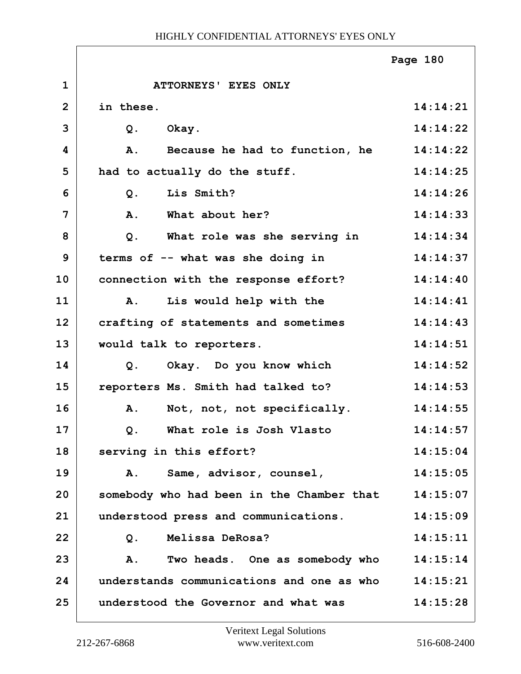|                |                                           | Page 180 |
|----------------|-------------------------------------------|----------|
| $\mathbf{1}$   | ATTORNEYS' EYES ONLY                      |          |
| $\overline{2}$ | in these.                                 | 14:14:21 |
| 3              | $Q$ .<br>Okay.                            | 14:14:22 |
| 4              | Because he had to function, he<br>A.      | 14:14:22 |
| 5              | had to actually do the stuff.             | 14:14:25 |
| 6              | Lis Smith?<br>$Q$ .                       | 14:14:26 |
| 7              | What about her?<br>A.                     | 14:14:33 |
| 8              | What role was she serving in<br>$Q$ .     | 14:14:34 |
| 9              | terms of -- what was she doing in         | 14:14:37 |
| 10             | connection with the response effort?      | 14:14:40 |
| 11             | Lis would help with the<br><b>A.</b>      | 14:14:41 |
| 12             | crafting of statements and sometimes      | 14:14:43 |
| 13             | would talk to reporters.                  | 14:14:51 |
| 14             | Okay. Do you know which<br>Q.             | 14:14:52 |
| 15             | reporters Ms. Smith had talked to?        | 14:14:53 |
| 16             | Not, not, not specifically.<br>Α.         | 14:14:55 |
| 17             | Q. What role is Josh Vlasto               | 14:14:57 |
| 18             | serving in this effort?                   | 14:15:04 |
| 19             | A. Same, advisor, counsel,                | 14:15:05 |
| 20             | somebody who had been in the Chamber that | 14:15:07 |
| 21             | understood press and communications.      | 14:15:09 |
| 22             | Melissa DeRosa?<br>Q.                     | 14:15:11 |
| 23             | Two heads. One as somebody who<br>A.      | 14:15:14 |
| 24             | understands communications and one as who | 14:15:21 |
| 25             | understood the Governor and what was      | 14:15:28 |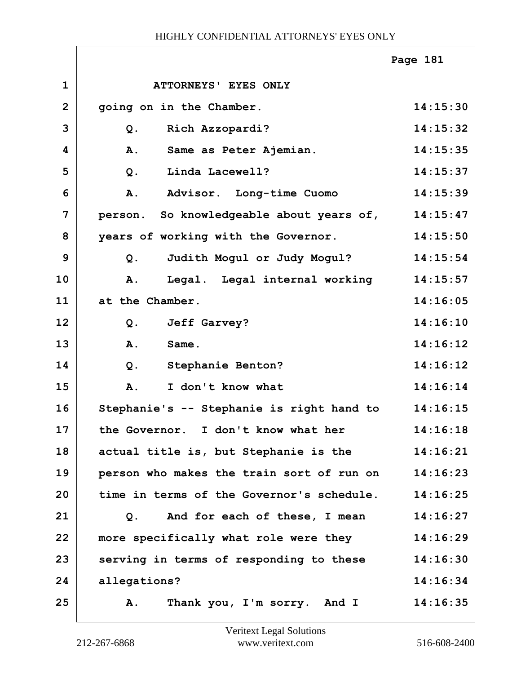|              |                                           | Page 181 |
|--------------|-------------------------------------------|----------|
| $\mathbf{1}$ | ATTORNEYS' EYES ONLY                      |          |
| $\mathbf{2}$ | going on in the Chamber.                  | 14:15:30 |
| 3            | Rich Azzopardi?<br>$Q$ .                  | 14:15:32 |
| 4            | Same as Peter Ajemian.<br>A.              | 14:15:35 |
| 5            | Linda Lacewell?<br>$Q$ .                  | 14:15:37 |
| 6            | Advisor. Long-time Cuomo<br><b>A.</b>     | 14:15:39 |
| 7            | person. So knowledgeable about years of,  | 14:15:47 |
| 8            | years of working with the Governor.       | 14:15:50 |
| 9            | Judith Mogul or Judy Mogul?<br>$Q$ .      | 14:15:54 |
| 10           | Legal. Legal internal working<br>A.       | 14:15:57 |
| 11           | at the Chamber.                           | 14:16:05 |
| 12           | <b>Jeff Garvey?</b><br>$Q$ .              | 14:16:10 |
| 13           | A.<br>Same.                               | 14:16:12 |
| 14           | $Q$ .<br>Stephanie Benton?                | 14:16:12 |
| 15           | I don't know what<br><b>A.</b>            | 14:16:14 |
| 16           | Stephanie's -- Stephanie is right hand to | 14:16:15 |
| 17           | the Governor. I don't know what her       | 14:16:18 |
| 18           | actual title is, but Stephanie is the     | 14:16:21 |
| 19           | person who makes the train sort of run on | 14:16:23 |
| 20           | time in terms of the Governor's schedule. | 14:16:25 |
| 21           | And for each of these, I mean<br>Q.       | 14:16:27 |
| 22           | more specifically what role were they     | 14:16:29 |
| 23           | serving in terms of responding to these   | 14:16:30 |
| 24           | allegations?                              | 14:16:34 |
| 25           | Thank you, I'm sorry. And I<br>Α.         | 14:16:35 |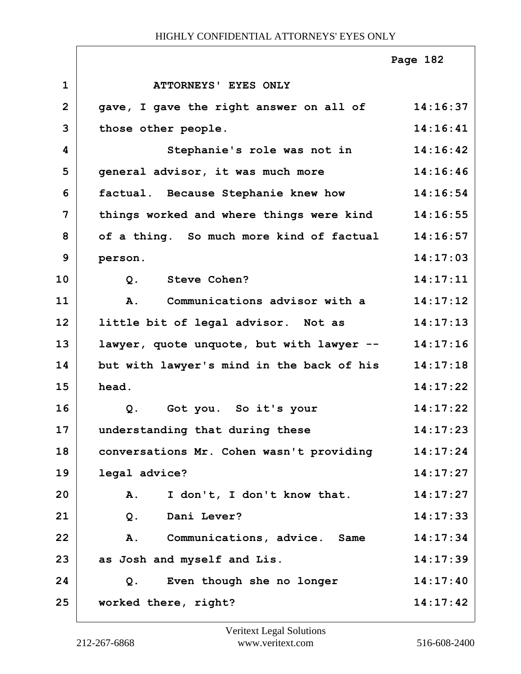|                |                                           | Page 182 |
|----------------|-------------------------------------------|----------|
| $\mathbf 1$    | ATTORNEYS' EYES ONLY                      |          |
| $\overline{2}$ | gave, I gave the right answer on all of   | 14:16:37 |
| 3              | those other people.                       | 14:16:41 |
| 4              | Stephanie's role was not in               | 14:16:42 |
| 5              | general advisor, it was much more         | 14:16:46 |
| 6              | factual. Because Stephanie knew how       | 14:16:54 |
| 7              | things worked and where things were kind  | 14:16:55 |
| 8              | of a thing. So much more kind of factual  | 14:16:57 |
| 9              | person.                                   | 14:17:03 |
| 10             | <b>Steve Cohen?</b><br>$Q$ .              | 14:17:11 |
| 11             | Communications advisor with a<br>A.       | 14:17:12 |
| 12             | little bit of legal advisor. Not as       | 14:17:13 |
| 13             | lawyer, quote unquote, but with lawyer -- | 14:17:16 |
| 14             | but with lawyer's mind in the back of his | 14:17:18 |
| 15             | head.                                     | 14:17:22 |
| 16             | $Q$ .<br>Got you. So it's your            | 14:17:22 |
| 17             | understanding that during these           | 14:17:23 |
| 18             | conversations Mr. Cohen wasn't providing  | 14:17:24 |
| 19             | legal advice?                             | 14:17:27 |
| 20             | I don't, I don't know that.<br>Α.         | 14:17:27 |
| 21             | $Q$ .<br>Dani Lever?                      | 14:17:33 |
| 22             | Communications, advice. Same<br>Α.        | 14:17:34 |
| 23             | as Josh and myself and Lis.               | 14:17:39 |
| 24             | Even though she no longer<br>Q.           | 14:17:40 |
| 25             | worked there, right?                      | 14:17:42 |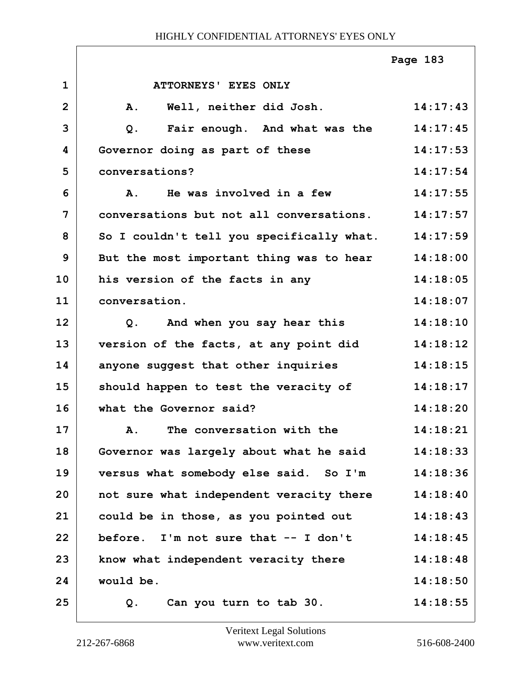|                |                                           | Page 183 |
|----------------|-------------------------------------------|----------|
| $\mathbf 1$    | ATTORNEYS' EYES ONLY                      |          |
| $\overline{2}$ | Well, neither did Josh.<br>A.             | 14:17:43 |
| 3              | Fair enough. And what was the<br>Q.       | 14:17:45 |
| 4              | Governor doing as part of these           | 14:17:53 |
| 5              | conversations?                            | 14:17:54 |
| 6              | He was involved in a few<br><b>A.</b>     | 14:17:55 |
| 7              | conversations but not all conversations.  | 14:17:57 |
| 8              | So I couldn't tell you specifically what. | 14:17:59 |
| 9              | But the most important thing was to hear  | 14:18:00 |
| 10             | his version of the facts in any           | 14:18:05 |
| 11             | conversation.                             | 14:18:07 |
| 12             | Q. And when you say hear this             | 14:18:10 |
| 13             | version of the facts, at any point did    | 14:18:12 |
| 14             | anyone suggest that other inquiries       | 14:18:15 |
| 15             | should happen to test the veracity of     | 14:18:17 |
| 16             | what the Governor said?                   | 14:18:20 |
| 17             | A. The conversation with the              | 14:18:21 |
| 18             | Governor was largely about what he said   | 14:18:33 |
| 19             | versus what somebody else said. So I'm    | 14:18:36 |
| 20             | not sure what independent veracity there  | 14:18:40 |
| 21             | could be in those, as you pointed out     | 14:18:43 |
| 22             | before. I'm not sure that $--$ I don't    | 14:18:45 |
| 23             | know what independent veracity there      | 14:18:48 |
| 24             | would be.                                 | 14:18:50 |
| 25             | Can you turn to tab 30.<br>Q.             | 14:18:55 |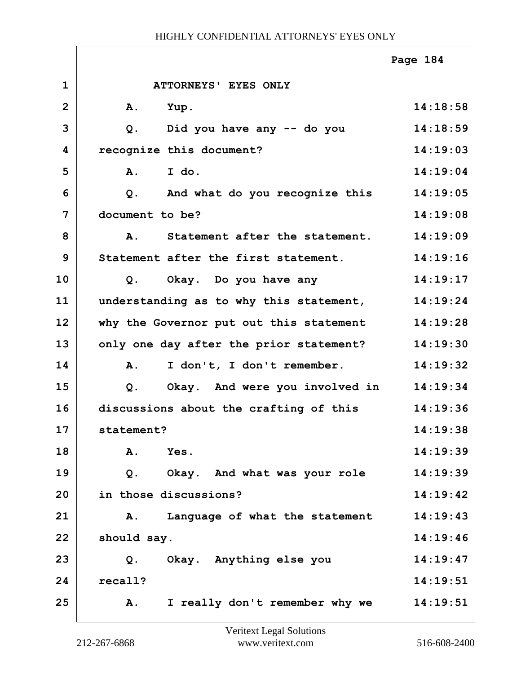|                |                                             | Page 184 |
|----------------|---------------------------------------------|----------|
| $\mathbf{1}$   | <b>ATTORNEYS' EYES ONLY</b>                 |          |
| $\overline{2}$ | Α.<br>Yup.                                  | 14:18:58 |
| 3              | Did you have any -- do you<br>Q.            | 14:18:59 |
| 4              | recognize this document?                    | 14:19:03 |
| 5              | I do.<br>$\mathbf{A}$ .                     | 14:19:04 |
| 6              | And what do you recognize this<br>$Q$ .     | 14:19:05 |
| 7              | document to be?                             | 14:19:08 |
| 8              | Statement after the statement.<br><b>A.</b> | 14:19:09 |
| 9              | Statement after the first statement.        | 14:19:16 |
| 10             | Q. Okay. Do you have any                    | 14:19:17 |
| 11             | understanding as to why this statement,     | 14:19:24 |
| 12             | why the Governor put out this statement     | 14:19:28 |
| 13             | only one day after the prior statement?     | 14:19:30 |
| 14             | A.<br>I don't, I don't remember.            | 14:19:32 |
| 15             | Okay. And were you involved in<br>$Q$ .     | 14:19:34 |
| 16             | discussions about the crafting of this      | 14:19:36 |
| 17             | statement?                                  | 14:19:38 |
| 18             | A.<br>Yes.                                  | 14:19:39 |
| 19             | Okay. And what was your role<br>Q.          | 14:19:39 |
| 20             | in those discussions?                       | 14:19:42 |
| 21             | Language of what the statement<br>Α.        | 14:19:43 |
| 22             | should say.                                 | 14:19:46 |
| 23             | Okay. Anything else you<br>$Q$ .            | 14:19:47 |
| 24             | recall?                                     | 14:19:51 |
| 25             | I really don't remember why we<br>Α.        | 14:19:51 |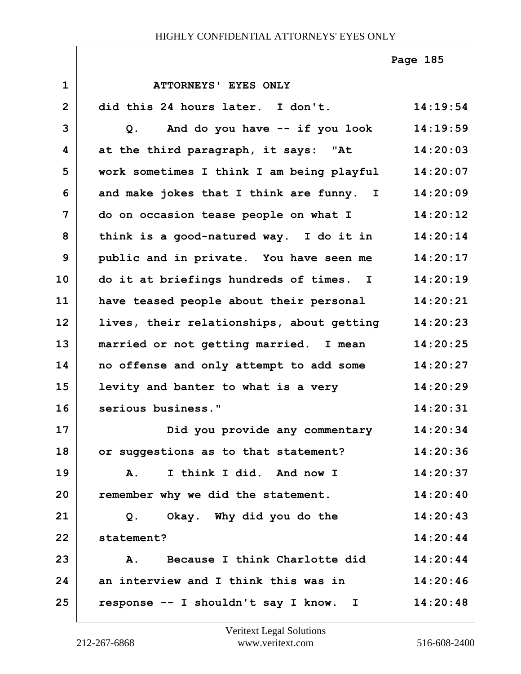**Page 185**

| $\mathbf 1$    | ATTORNEYS' EYES ONLY                      |          |
|----------------|-------------------------------------------|----------|
| $\overline{2}$ | did this 24 hours later. I don't.         | 14:19:54 |
| 3              | And do you have -- if you look<br>Q.      | 14:19:59 |
| 4              | at the third paragraph, it says: "At      | 14:20:03 |
| 5              | work sometimes I think I am being playful | 14:20:07 |
| 6              | and make jokes that I think are funny. I  | 14:20:09 |
| 7              | do on occasion tease people on what I     | 14:20:12 |
| 8              | think is a good-natured way. I do it in   | 14:20:14 |
| 9              | public and in private. You have seen me   | 14:20:17 |
| 10             | do it at briefings hundreds of times. I   | 14:20:19 |
| 11             | have teased people about their personal   | 14:20:21 |
| 12             | lives, their relationships, about getting | 14:20:23 |
| 13             | married or not getting married. I mean    | 14:20:25 |
| 14             | no offense and only attempt to add some   | 14:20:27 |
| 15             | levity and banter to what is a very       | 14:20:29 |
| 16             | serious business."                        | 14:20:31 |
| 17             | Did you provide any commentary            | 14:20:34 |
| 18             | or suggestions as to that statement?      | 14:20:36 |
| 19             | I think I did. And now I<br>A.            | 14:20:37 |
| 20             | remember why we did the statement.        | 14:20:40 |
| 21             | Okay. Why did you do the<br>Q.            | 14:20:43 |
| 22             | statement?                                | 14:20:44 |
| 23             | Because I think Charlotte did<br>A.       | 14:20:44 |
| 24             | an interview and I think this was in      | 14:20:46 |
| 25             | response -- I shouldn't say I know. I     | 14:20:48 |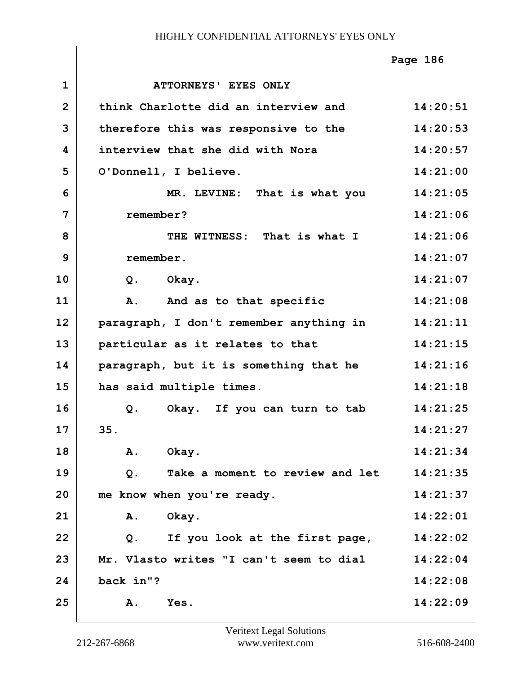|                |                                         | Page 186 |
|----------------|-----------------------------------------|----------|
| $\mathbf{1}$   | ATTORNEYS' EYES ONLY                    |          |
| $\overline{2}$ | think Charlotte did an interview and    | 14:20:51 |
| 3              | therefore this was responsive to the    | 14:20:53 |
| 4              | interview that she did with Nora        | 14:20:57 |
| 5              | O'Donnell, I believe.                   | 14:21:00 |
| 6              | MR. LEVINE: That is what you            | 14:21:05 |
| 7              | remember?                               | 14:21:06 |
| 8              | THE WITNESS: That is what I             | 14:21:06 |
| 9              | remember.                               | 14:21:07 |
| 10             | $Q$ .<br>Okay.                          | 14:21:07 |
| 11             | A. And as to that specific              | 14:21:08 |
| 12             | paragraph, I don't remember anything in | 14:21:11 |
| 13             | particular as it relates to that        | 14:21:15 |
| 14             | paragraph, but it is something that he  | 14:21:16 |
| 15             | has said multiple times.                | 14:21:18 |
| 16             | Okay. If you can turn to tab<br>Q.      | 14:21:25 |
| 17             | 35.                                     | 14:21:27 |
| 18             | Okay.<br>Α.                             | 14:21:34 |
| 19             | Take a moment to review and let<br>Q.   | 14:21:35 |
| 20             | me know when you're ready.              | 14:21:37 |
| 21             | Okay.<br>Α.                             | 14:22:01 |
| 22             | If you look at the first page,<br>$Q$ . | 14:22:02 |
| 23             | Mr. Vlasto writes "I can't seem to dial | 14:22:04 |
| 24             | back in"?                               | 14:22:08 |
| 25             | A.<br>Yes.                              | 14:22:09 |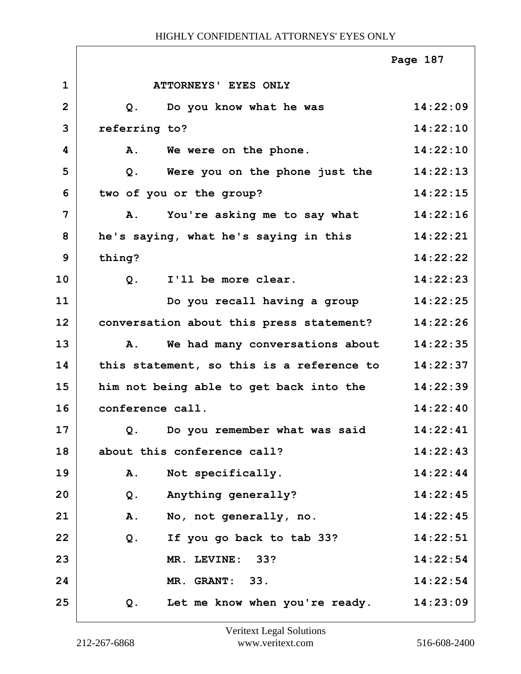|                |                                           | Page 187 |
|----------------|-------------------------------------------|----------|
| $\mathbf{1}$   | ATTORNEYS' EYES ONLY                      |          |
| $\overline{2}$ | Do you know what he was<br>Q.             | 14:22:09 |
| 3              | referring to?                             | 14:22:10 |
| 4              | A. We were on the phone.                  | 14:22:10 |
| 5              | Were you on the phone just the<br>Q.      | 14:22:13 |
| 6              | two of you or the group?                  | 14:22:15 |
| 7              | You're asking me to say what<br>Α.        | 14:22:16 |
| 8              | he's saying, what he's saying in this     | 14:22:21 |
| 9              | thing?                                    | 14:22:22 |
| 10             | I'll be more clear.<br>$Q$ .              | 14:22:23 |
| 11             | Do you recall having a group              | 14:22:25 |
| 12             | conversation about this press statement?  | 14:22:26 |
| 13             | We had many conversations about<br>Α.     | 14:22:35 |
| 14             | this statement, so this is a reference to | 14:22:37 |
| 15             | him not being able to get back into the   | 14:22:39 |
| 16             | conference call.                          | 14:22:40 |
| 17             | Q. Do you remember what was said          | 14:22:41 |
| 18             | about this conference call?               | 14:22:43 |
| 19             | Not specifically.<br>Α.                   | 14:22:44 |
| 20             | Anything generally?<br>Q.                 | 14:22:45 |
| 21             | No, not generally, no.<br>Α.              | 14:22:45 |
| 22             | If you go back to tab 33?<br>Q.           | 14:22:51 |
| 23             | MR. LEVINE: 33?                           | 14:22:54 |
| 24             | MR. GRANT: 33.                            | 14:22:54 |
| 25             | Let me know when you're ready.<br>Q.      | 14:23:09 |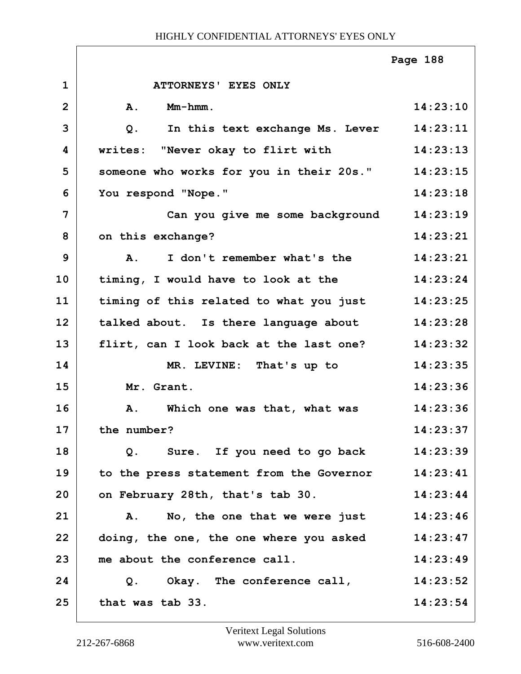|                |                                          | Page 188 |
|----------------|------------------------------------------|----------|
| $\mathbf{1}$   | ATTORNEYS' EYES ONLY                     |          |
| $\overline{2}$ | A.<br>Mm-hmm.                            | 14:23:10 |
| 3              | In this text exchange Ms. Lever<br>$Q$ . | 14:23:11 |
| 4              | writes: "Never okay to flirt with        | 14:23:13 |
| 5              | someone who works for you in their 20s." | 14:23:15 |
| 6              | You respond "Nope."                      | 14:23:18 |
| 7              | Can you give me some background          | 14:23:19 |
| 8              | on this exchange?                        | 14:23:21 |
| 9              | I don't remember what's the<br><b>A.</b> | 14:23:21 |
| 10             | timing, I would have to look at the      | 14:23:24 |
| 11             | timing of this related to what you just  | 14:23:25 |
| 12             | talked about. Is there language about    | 14:23:28 |
| 13             | flirt, can I look back at the last one?  | 14:23:32 |
| 14             | MR. LEVINE: That's up to                 | 14:23:35 |
| 15             | Mr. Grant.                               | 14:23:36 |
| 16             | A. Which one was that, what was          | 14:23:36 |
| 17             | the number?                              | 14:23:37 |
| 18             | Sure. If you need to go back<br>Q.       | 14:23:39 |
| 19             | to the press statement from the Governor | 14:23:41 |
| 20             | on February 28th, that's tab 30.         | 14:23:44 |
| 21             | No, the one that we were just<br>A.      | 14:23:46 |
| 22             | doing, the one, the one where you asked  | 14:23:47 |
| 23             | me about the conference call.            | 14:23:49 |
| 24             | Q. Okay. The conference call,            | 14:23:52 |
| 25             | that was tab 33.                         | 14:23:54 |

ı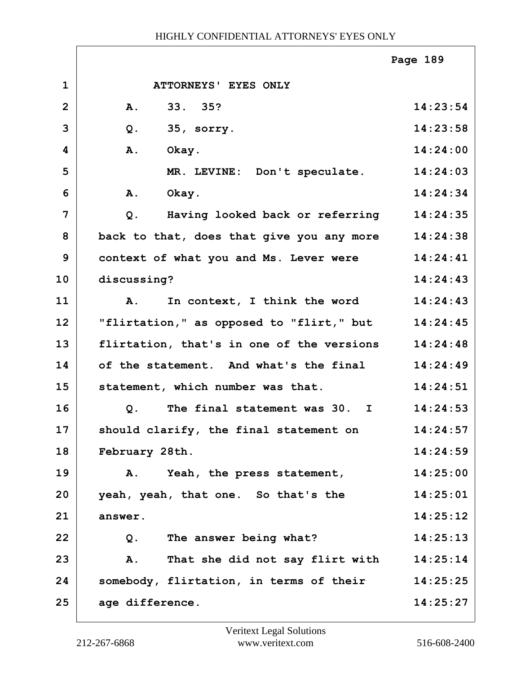|                |                                           | Page 189 |
|----------------|-------------------------------------------|----------|
| $\mathbf{1}$   | ATTORNEYS' EYES ONLY                      |          |
| $\overline{2}$ | 33. 35?<br><b>A.</b>                      | 14:23:54 |
| 3              | 35, sorry.<br>$Q$ .                       | 14:23:58 |
| 4              | Okay.<br>A.                               | 14:24:00 |
| 5              | MR. LEVINE: Don't speculate.              | 14:24:03 |
| 6              | Okay.<br><b>A.</b>                        | 14:24:34 |
| $\overline{7}$ | Having looked back or referring<br>Q.     | 14:24:35 |
| 8              | back to that, does that give you any more | 14:24:38 |
| 9              | context of what you and Ms. Lever were    | 14:24:41 |
| 10             | discussing?                               | 14:24:43 |
| 11             | In context, I think the word<br><b>A.</b> | 14:24:43 |
| 12             | "flirtation," as opposed to "flirt," but  | 14:24:45 |
| 13             | flirtation, that's in one of the versions | 14:24:48 |
| 14             | of the statement. And what's the final    | 14:24:49 |
| 15             | statement, which number was that.         | 14:24:51 |
| 16             | The final statement was 30. I<br>Q.       | 14:24:53 |
| 17             | should clarify, the final statement on    | 14:24:57 |
| 18             | February 28th.                            | 14:24:59 |
| 19             | Yeah, the press statement,<br><b>A.</b>   | 14:25:00 |
| 20             | yeah, yeah, that one. So that's the       | 14:25:01 |
| 21             | answer.                                   | 14:25:12 |
| 22             | The answer being what?<br>Q.              | 14:25:13 |
| 23             | That she did not say flirt with<br>A.     | 14:25:14 |
| 24             | somebody, flirtation, in terms of their   | 14:25:25 |
| 25             | age difference.                           | 14:25:27 |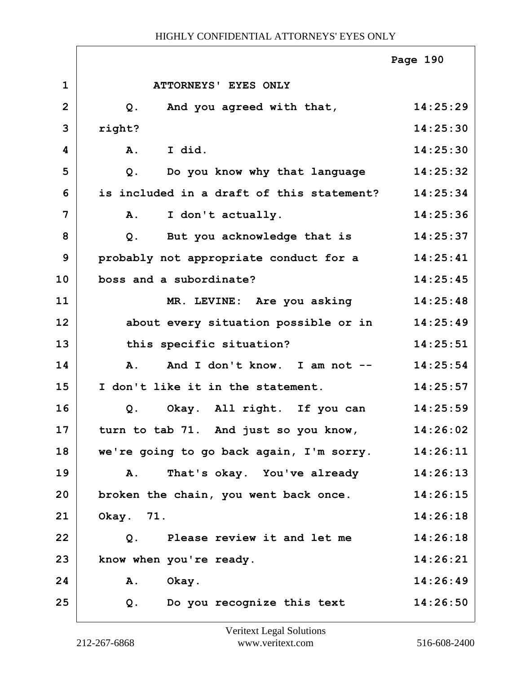|                |                                           | Page 190 |
|----------------|-------------------------------------------|----------|
| $\mathbf{1}$   | ATTORNEYS' EYES ONLY                      |          |
| $\overline{2}$ | And you agreed with that,<br>Q.           | 14:25:29 |
| 3              | right?                                    | 14:25:30 |
| 4              | I did.<br>A.                              | 14:25:30 |
| 5              | Do you know why that language<br>$Q$ .    | 14:25:32 |
| 6              | is included in a draft of this statement? | 14:25:34 |
| 7              | I don't actually.<br>A.                   | 14:25:36 |
| 8              | But you acknowledge that is<br>$Q$ .      | 14:25:37 |
| 9              | probably not appropriate conduct for a    | 14:25:41 |
| 10             | boss and a subordinate?                   | 14:25:45 |
| 11             | MR. LEVINE: Are you asking                | 14:25:48 |
| 12             | about every situation possible or in      | 14:25:49 |
| 13             | this specific situation?                  | 14:25:51 |
| 14             | And I don't know. I am not --<br>Α.       | 14:25:54 |
| 15             | I don't like it in the statement.         | 14:25:57 |
| 16             | Okay. All right. If you can<br>$Q$ .      | 14:25:59 |
| 17             | turn to tab 71. And just so you know,     | 14:26:02 |
| 18             | we're going to go back again, I'm sorry.  | 14:26:11 |
| 19             | That's okay. You've already<br>Α.         | 14:26:13 |
| 20             | broken the chain, you went back once.     | 14:26:15 |
| 21             | Okay. 71.                                 | 14:26:18 |
| 22             | Please review it and let me<br>Q.         | 14:26:18 |
| 23             | know when you're ready.                   | 14:26:21 |
| 24             | A. Okay.                                  | 14:26:49 |
| 25             | Do you recognize this text<br>Q.          | 14:26:50 |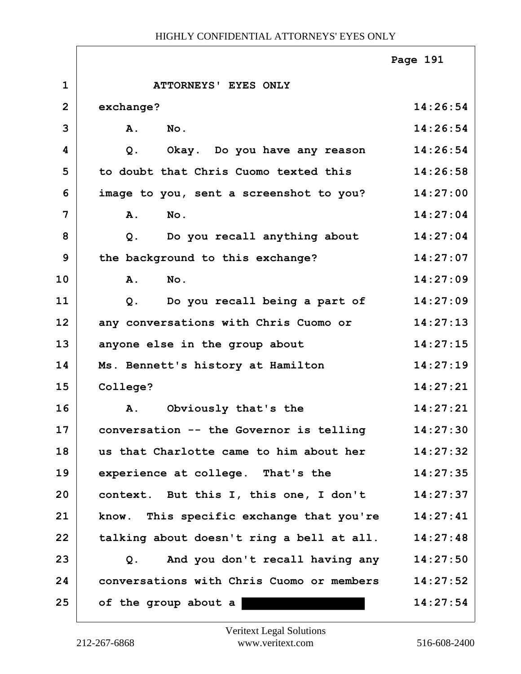|                |                                                | Page 191 |
|----------------|------------------------------------------------|----------|
| $\mathbf{1}$   | ATTORNEYS' EYES ONLY                           |          |
| $\overline{2}$ | exchange?                                      | 14:26:54 |
| 3              | $N$ o.<br>A.                                   | 14:26:54 |
| 4              | Okay. Do you have any reason<br>Q <sub>1</sub> | 14:26:54 |
| 5              | to doubt that Chris Cuomo texted this          | 14:26:58 |
| 6              | image to you, sent a screenshot to you?        | 14:27:00 |
| 7              | A.<br>No.                                      | 14:27:04 |
| 8              | Do you recall anything about<br>$Q$ .          | 14:27:04 |
| 9              | the background to this exchange?               | 14:27:07 |
| 10             | A.<br>No.                                      | 14:27:09 |
| 11             | Do you recall being a part of<br>Q.            | 14:27:09 |
| 12             | any conversations with Chris Cuomo or          | 14:27:13 |
| 13             | anyone else in the group about                 | 14:27:15 |
| 14             | Ms. Bennett's history at Hamilton              | 14:27:19 |
| 15             | College?                                       | 14:27:21 |
| 16             | Obviously that's the<br>Α.                     | 14:27:21 |
| 17             | conversation -- the Governor is telling        | 14:27:30 |
| 18             | us that Charlotte came to him about her        | 14:27:32 |
| 19             | experience at college. That's the              | 14:27:35 |
| 20             | context. But this I, this one, I don't         | 14:27:37 |
| 21             | know. This specific exchange that you're       | 14:27:41 |
| 22             | talking about doesn't ring a bell at all.      | 14:27:48 |
| 23             | And you don't recall having any<br>$Q$ .       | 14:27:50 |
| 24             | conversations with Chris Cuomo or members      | 14:27:52 |
| 25             | of the group about a                           | 14:27:54 |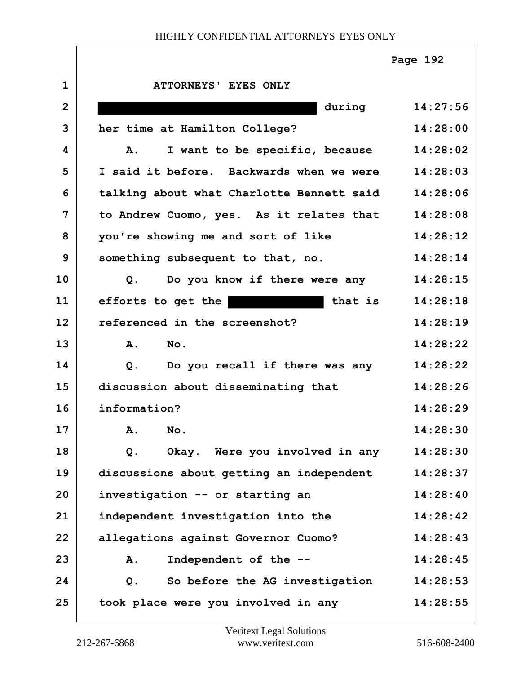|                |                                                 | Page 192 |
|----------------|-------------------------------------------------|----------|
| $\mathbf{1}$   | ATTORNEYS' EYES ONLY                            |          |
| $\overline{2}$ | during                                          | 14:27:56 |
| 3              | her time at Hamilton College?                   | 14:28:00 |
| 4              | I want to be specific, because<br>Α.            | 14:28:02 |
| 5              | I said it before. Backwards when we were        | 14:28:03 |
| 6              | talking about what Charlotte Bennett said       | 14:28:06 |
| 7              | to Andrew Cuomo, yes. As it relates that        | 14:28:08 |
| 8              | you're showing me and sort of like              | 14:28:12 |
| 9              | something subsequent to that, no.               | 14:28:14 |
| 10             | Do you know if there were any<br>Q <sub>1</sub> | 14:28:15 |
| 11             | efforts to get the<br>that is                   | 14:28:18 |
| 12             | referenced in the screenshot?                   | 14:28:19 |
| 13             | No.<br><b>A.</b>                                | 14:28:22 |
| 14             | Do you recall if there was any<br>Q.            | 14:28:22 |
| 15             | discussion about disseminating that             | 14:28:26 |
| 16             | information?                                    | 14:28:29 |
| 17             | No.<br>Α.                                       | 14:28:30 |
| 18             | Okay. Were you involved in any<br>Q.            | 14:28:30 |
| 19             | discussions about getting an independent        | 14:28:37 |
| 20             | investigation -- or starting an                 | 14:28:40 |
| 21             | independent investigation into the              | 14:28:42 |
| 22             | allegations against Governor Cuomo?             | 14:28:43 |
| 23             | Independent of the --<br>A.                     | 14:28:45 |
| 24             | So before the AG investigation<br>$Q$ .         | 14:28:53 |
| 25             | took place were you involved in any             | 14:28:55 |

 $\Gamma$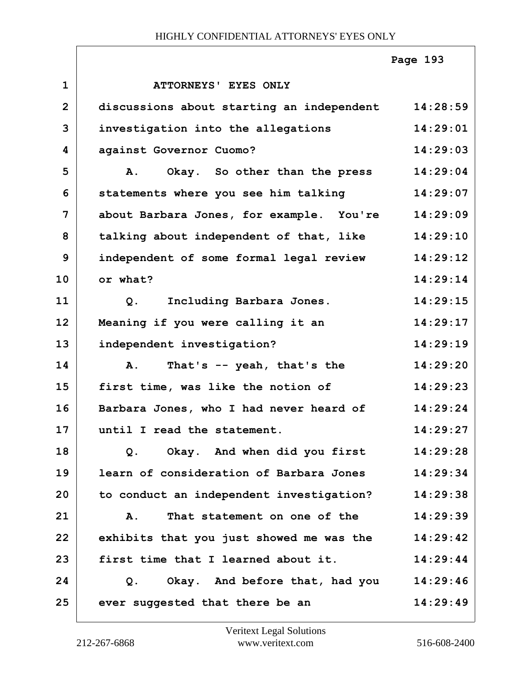|                |                                           | Page 193 |
|----------------|-------------------------------------------|----------|
| $\mathbf{1}$   | ATTORNEYS' EYES ONLY                      |          |
| $\overline{2}$ | discussions about starting an independent | 14:28:59 |
| 3              | investigation into the allegations        | 14:29:01 |
| 4              | against Governor Cuomo?                   | 14:29:03 |
| 5              | Okay. So other than the press<br>A.       | 14:29:04 |
| 6              | statements where you see him talking      | 14:29:07 |
| $\overline{7}$ | about Barbara Jones, for example. You're  | 14:29:09 |
| 8              | talking about independent of that, like   | 14:29:10 |
| 9              | independent of some formal legal review   | 14:29:12 |
| 10             | or what?                                  | 14:29:14 |
| 11             | Including Barbara Jones.<br>$Q$ .         | 14:29:15 |
| 12             | Meaning if you were calling it an         | 14:29:17 |
| 13             | independent investigation?                | 14:29:19 |
| 14             | That's -- yeah, that's the<br><b>A.</b>   | 14:29:20 |
| 15             | first time, was like the notion of        | 14:29:23 |
| 16             | Barbara Jones, who I had never heard of   | 14:29:24 |
| 17             | until I read the statement.               | 14:29:27 |
| 18             | Okay. And when did you first<br>$Q$ .     | 14:29:28 |
| 19             | learn of consideration of Barbara Jones   | 14:29:34 |
| 20             | to conduct an independent investigation?  | 14:29:38 |
| 21             | That statement on one of the<br><b>A.</b> | 14:29:39 |
| 22             | exhibits that you just showed me was the  | 14:29:42 |
| 23             | first time that I learned about it.       | 14:29:44 |
| 24             | Okay. And before that, had you<br>Q.      | 14:29:46 |
| 25             | ever suggested that there be an           | 14:29:49 |

ı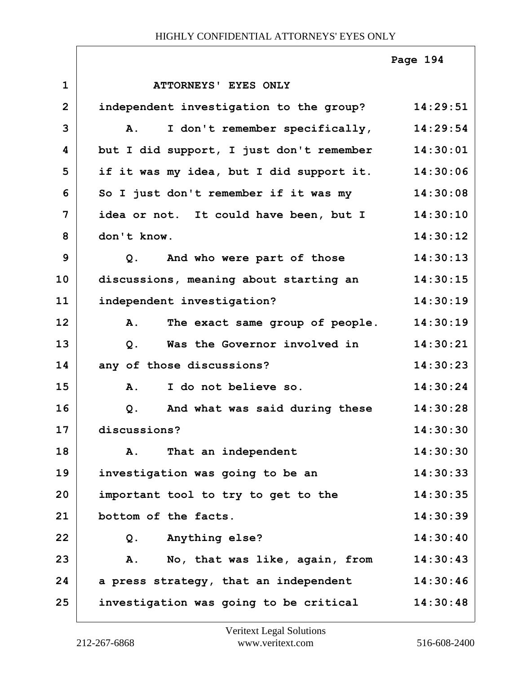|                |                                          | Page 194 |
|----------------|------------------------------------------|----------|
| $\mathbf{1}$   | ATTORNEYS' EYES ONLY                     |          |
| $\overline{2}$ | independent investigation to the group?  | 14:29:51 |
| 3              | I don't remember specifically,<br>A.     | 14:29:54 |
| 4              | but I did support, I just don't remember | 14:30:01 |
| 5              | if it was my idea, but I did support it. | 14:30:06 |
| 6              | So I just don't remember if it was my    | 14:30:08 |
| $\overline{7}$ | idea or not. It could have been, but I   | 14:30:10 |
| 8              | don't know.                              | 14:30:12 |
| 9              | And who were part of those<br>Q.         | 14:30:13 |
| 10             | discussions, meaning about starting an   | 14:30:15 |
| 11             | independent investigation?               | 14:30:19 |
| 12             | The exact same group of people.<br>A.    | 14:30:19 |
| 13             | Was the Governor involved in<br>$Q$ .    | 14:30:21 |
| 14             | any of those discussions?                | 14:30:23 |
| 15             | I do not believe so.<br>A.               | 14:30:24 |
| 16             | And what was said during these<br>$Q$ .  | 14:30:28 |
| 17             | discussions?                             | 14:30:30 |
| 18             | That an independent<br>Α.                | 14:30:30 |
| 19             | investigation was going to be an         | 14:30:33 |
| 20             | important tool to try to get to the      | 14:30:35 |
| 21             | bottom of the facts.                     | 14:30:39 |
| 22             | Anything else?<br>Q.                     | 14:30:40 |
| 23             | No, that was like, again, from<br>Α.     | 14:30:43 |
| 24             | a press strategy, that an independent    | 14:30:46 |
| 25             | investigation was going to be critical   | 14:30:48 |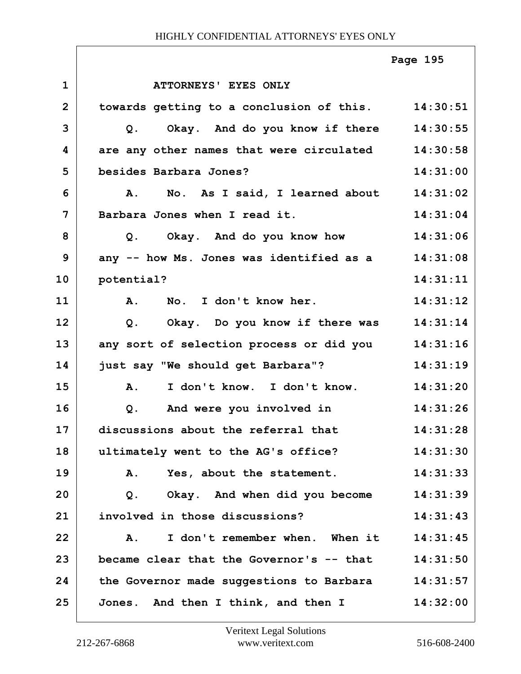|                |                                                   | Page 195 |
|----------------|---------------------------------------------------|----------|
| $\mathbf 1$    | ATTORNEYS' EYES ONLY                              |          |
| $\overline{2}$ | towards getting to a conclusion of this. 14:30:51 |          |
| 3              | Q. Okay. And do you know if there 14:30:55        |          |
| 4              | are any other names that were circulated          | 14:30:58 |
| 5              | besides Barbara Jones?                            | 14:31:00 |
| 6              | No. As I said, I learned about 14:31:02<br>Α.     |          |
| 7              | Barbara Jones when I read it.                     | 14:31:04 |
| 8              | Okay. And do you know how 14:31:06<br>Q.          |          |
| 9              | any -- how Ms. Jones was identified as a 14:31:08 |          |
| 10             | potential?                                        | 14:31:11 |
| 11             | A. No. I don't know her.                          | 14:31:12 |
| 12             | Q. Okay. Do you know if there was 14:31:14        |          |
| 13             | any sort of selection process or did you          | 14:31:16 |
| 14             | just say "We should get Barbara"?                 | 14:31:19 |
| 15             | A. I don't know. I don't know.                    | 14:31:20 |
| 16             | And were you involved in<br>Q.                    | 14:31:26 |
| 17             | discussions about the referral that               | 14:31:28 |
| 18             | ultimately went to the AG's office?               | 14:31:30 |
| 19             | Yes, about the statement.<br>A.                   | 14:31:33 |
| 20             | Okay. And when did you become<br>Q.               | 14:31:39 |
| 21             | involved in those discussions?                    | 14:31:43 |
| 22             | I don't remember when. When it<br>Α.              | 14:31:45 |
| 23             | became clear that the Governor's -- that          | 14:31:50 |
| 24             | the Governor made suggestions to Barbara 14:31:57 |          |
| 25             | Jones. And then I think, and then I               | 14:32:00 |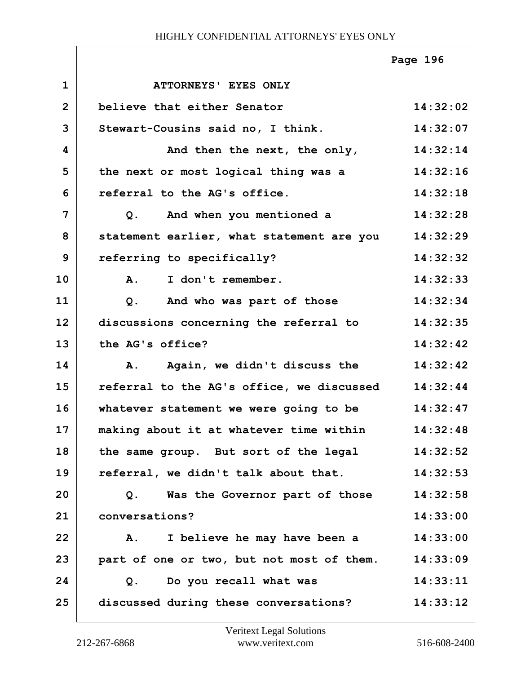|                |                                            | Page 196 |
|----------------|--------------------------------------------|----------|
| $\mathbf{1}$   | ATTORNEYS' EYES ONLY                       |          |
| $\overline{2}$ | believe that either Senator                | 14:32:02 |
| 3              | Stewart-Cousins said no, I think.          | 14:32:07 |
| 4              | And then the next, the only,               | 14:32:14 |
| 5              | the next or most logical thing was a       | 14:32:16 |
| 6              | referral to the AG's office.               | 14:32:18 |
| $\overline{7}$ | And when you mentioned a<br>Q <sub>1</sub> | 14:32:28 |
| 8              | statement earlier, what statement are you  | 14:32:29 |
| 9              | referring to specifically?                 | 14:32:32 |
| 10             | I don't remember.<br><b>A.</b>             | 14:32:33 |
| 11             | And who was part of those<br>Q.            | 14:32:34 |
| 12             | discussions concerning the referral to     | 14:32:35 |
| 13             | the AG's office?                           | 14:32:42 |
| 14             | Again, we didn't discuss the<br>Α.         | 14:32:42 |
| 15             | referral to the AG's office, we discussed  | 14:32:44 |
| 16             | whatever statement we were going to be     | 14:32:47 |
| 17             | making about it at whatever time within    | 14:32:48 |
| 18             | the same group. But sort of the legal      | 14:32:52 |
| 19             | referral, we didn't talk about that.       | 14:32:53 |
| 20             | Q. Was the Governor part of those          | 14:32:58 |
| 21             | conversations?                             | 14:33:00 |
| 22             | A. I believe he may have been a            | 14:33:00 |
| 23             | part of one or two, but not most of them.  | 14:33:09 |
| 24             | Q. Do you recall what was                  | 14:33:11 |
| 25             | discussed during these conversations?      | 14:33:12 |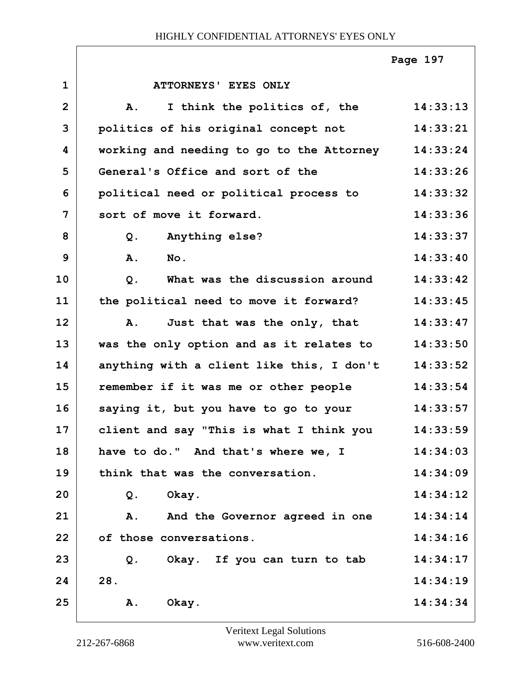|                |                                           | Page 197 |
|----------------|-------------------------------------------|----------|
| $\mathbf{1}$   | ATTORNEYS' EYES ONLY                      |          |
| $\overline{2}$ | I think the politics of, the<br>A.        | 14:33:13 |
| 3              | politics of his original concept not      | 14:33:21 |
| 4              | working and needing to go to the Attorney | 14:33:24 |
| 5              | General's Office and sort of the          | 14:33:26 |
| 6              | political need or political process to    | 14:33:32 |
| 7              | sort of move it forward.                  | 14:33:36 |
| 8              | Anything else?<br>$Q$ .                   | 14:33:37 |
| 9              | A.<br>No.                                 | 14:33:40 |
| 10             | What was the discussion around<br>Q.      | 14:33:42 |
| 11             | the political need to move it forward?    | 14:33:45 |
| 12             | Just that was the only, that<br>Α.        | 14:33:47 |
| 13             | was the only option and as it relates to  | 14:33:50 |
| 14             | anything with a client like this, I don't | 14:33:52 |
| 15             | remember if it was me or other people     | 14:33:54 |
| 16             | saying it, but you have to go to your     | 14:33:57 |
| 17             | client and say "This is what I think you  | 14:33:59 |
| 18             | have to do." And that's where we, I       | 14:34:03 |
| 19             | think that was the conversation.          | 14:34:09 |
| 20             | Okay.<br>Q.                               | 14:34:12 |
| 21             | A. And the Governor agreed in one         | 14:34:14 |
| 22             | of those conversations.                   | 14:34:16 |
| 23             | Okay. If you can turn to tab<br>Q.        | 14:34:17 |
| 24             | 28.                                       | 14:34:19 |
| 25             | Okay.<br>Α.                               | 14:34:34 |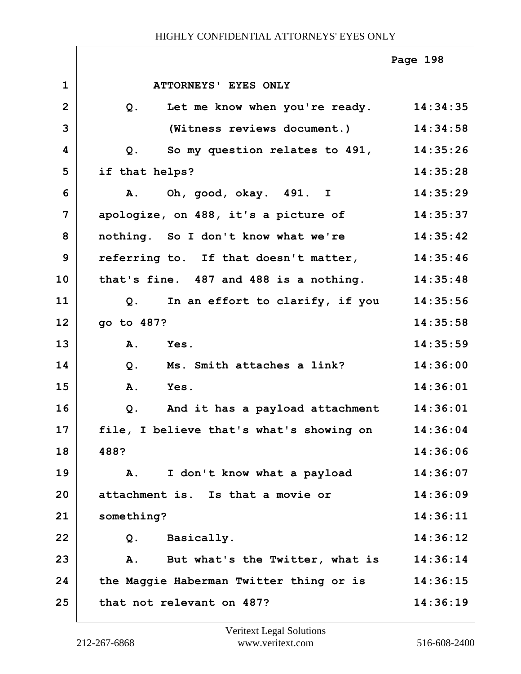|                |                                                | Page 198 |
|----------------|------------------------------------------------|----------|
| $\mathbf 1$    | ATTORNEYS' EYES ONLY                           |          |
| $\overline{2}$ | Let me know when you're ready.<br>$Q$ .        | 14:34:35 |
| 3              | (Witness reviews document.)                    | 14:34:58 |
| 4              | So my question relates to 491, 14:35:26<br>Q.  |          |
| 5              | if that helps?                                 | 14:35:28 |
| 6              | Oh, good, okay. 491. I<br>Α.                   | 14:35:29 |
| 7              | apologize, on 488, it's a picture of           | 14:35:37 |
| 8              | nothing. So I don't know what we're            | 14:35:42 |
| 9              | referring to. If that doesn't matter, 14:35:46 |          |
| 10             | that's fine. 487 and 488 is a nothing.         | 14:35:48 |
| 11             | Q. In an effort to clarify, if you             | 14:35:56 |
| 12             | go to 487?                                     | 14:35:58 |
| 13             | A.<br>Yes.                                     | 14:35:59 |
| 14             | Ms. Smith attaches a link?<br>$Q$ .            | 14:36:00 |
| 15             | A.<br>Yes.                                     | 14:36:01 |
| 16             | $Q$ .<br>And it has a payload attachment       | 14:36:01 |
| 17             | file, I believe that's what's showing on       | 14:36:04 |
| 18             | 488?                                           | 14:36:06 |
| 19             | I don't know what a payload<br>A.              | 14:36:07 |
| 20             | attachment is. Is that a movie or              | 14:36:09 |
| 21             | something?                                     | 14:36:11 |
| 22             | Basically.<br>Q.                               | 14:36:12 |
| 23             | But what's the Twitter, what is<br>Α.          | 14:36:14 |
| 24             | the Maggie Haberman Twitter thing or is        | 14:36:15 |
| 25             | that not relevant on 487?                      | 14:36:19 |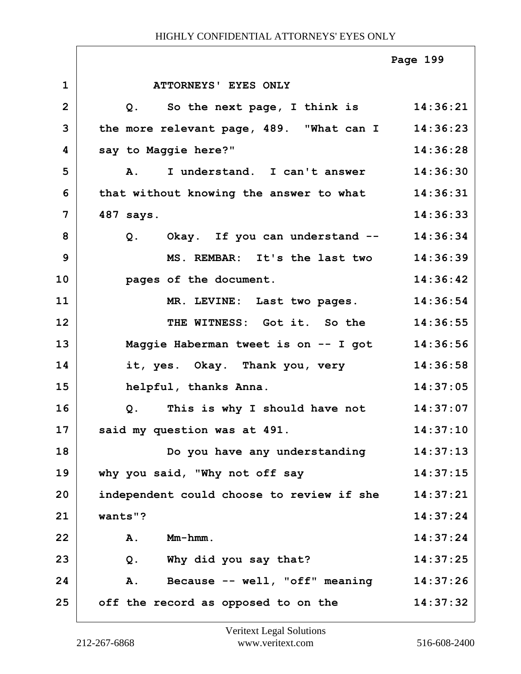|                |                                               | Page 199 |
|----------------|-----------------------------------------------|----------|
| $\mathbf 1$    | ATTORNEYS' EYES ONLY                          |          |
| $\overline{2}$ | Q. So the next page, I think is 14:36:21      |          |
| 3              | the more relevant page, 489. "What can I      | 14:36:23 |
| 4              | say to Maggie here?"                          | 14:36:28 |
| 5              | I understand. I can't answer<br>Α.            | 14:36:30 |
| 6              | that without knowing the answer to what       | 14:36:31 |
| $\overline{7}$ | 487 says.                                     | 14:36:33 |
| 8              | Q. Okay. If you can understand -- 14:36:34    |          |
| 9              | MS. REMBAR: It's the last two                 | 14:36:39 |
| 10             | pages of the document.                        | 14:36:42 |
| 11             | MR. LEVINE: Last two pages.                   | 14:36:54 |
| 12             | THE WITNESS: Got it. So the                   | 14:36:55 |
| 13             | Maggie Haberman tweet is on -- I got 14:36:56 |          |
| 14             | it, yes. Okay. Thank you, very                | 14:36:58 |
| 15             | helpful, thanks Anna.                         | 14:37:05 |
| 16             | Q. This is why I should have not              | 14:37:07 |
| 17             | 14:37:10<br>said my question was at 491.      |          |
| 18             | Do you have any understanding                 | 14:37:13 |
| 19             | why you said, "Why not off say                | 14:37:15 |
| 20             | independent could choose to review if she     | 14:37:21 |
| 21             | wants"?                                       | 14:37:24 |
| 22             | Mm-hmm.<br>A.                                 | 14:37:24 |
| 23             | Why did you say that?<br>Q.                   | 14:37:25 |
| 24             | Because -- well, "off" meaning<br>A.          | 14:37:26 |
| 25             | off the record as opposed to on the           | 14:37:32 |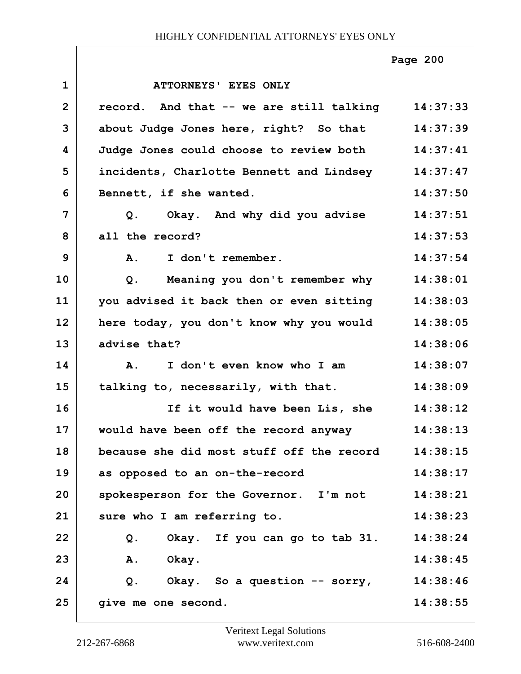|                |                                                   | Page 200 |
|----------------|---------------------------------------------------|----------|
| $\mathbf{1}$   | ATTORNEYS' EYES ONLY                              |          |
| $\overline{2}$ | record. And that -- we are still talking 14:37:33 |          |
| 3              | about Judge Jones here, right? So that 14:37:39   |          |
| 4              | Judge Jones could choose to review both 14:37:41  |          |
| 5              | incidents, Charlotte Bennett and Lindsey 14:37:47 |          |
| 6              | Bennett, if she wanted.                           | 14:37:50 |
| 7              | Q. Okay. And why did you advise                   | 14:37:51 |
| 8              | all the record?                                   | 14:37:53 |
| 9              | A. I don't remember.                              | 14:37:54 |
| 10             | Meaning you don't remember why 14:38:01<br>Q.     |          |
| 11             | you advised it back then or even sitting          | 14:38:03 |
| 12             | here today, you don't know why you would          | 14:38:05 |
| 13             | advise that?                                      | 14:38:06 |
| 14             | I don't even know who I am<br>$\mathbf{A}$ .      | 14:38:07 |
| 15             | talking to, necessarily, with that.               | 14:38:09 |
| 16             | If it would have been Lis, she                    | 14:38:12 |
| 17             | would have been off the record anyway             | 14:38:13 |
| 18             | because she did most stuff off the record         | 14:38:15 |
| 19             | as opposed to an on-the-record                    | 14:38:17 |
| 20             | spokesperson for the Governor. I'm not            | 14:38:21 |
| 21             | sure who I am referring to.                       | 14:38:23 |
| 22             | Okay. If you can go to tab 31.<br>Q.              | 14:38:24 |
| 23             | A. Okay.                                          | 14:38:45 |
| 24             | Q. Okay. So a question -- sorry,                  | 14:38:46 |
| 25             | give me one second.                               | 14:38:55 |

٦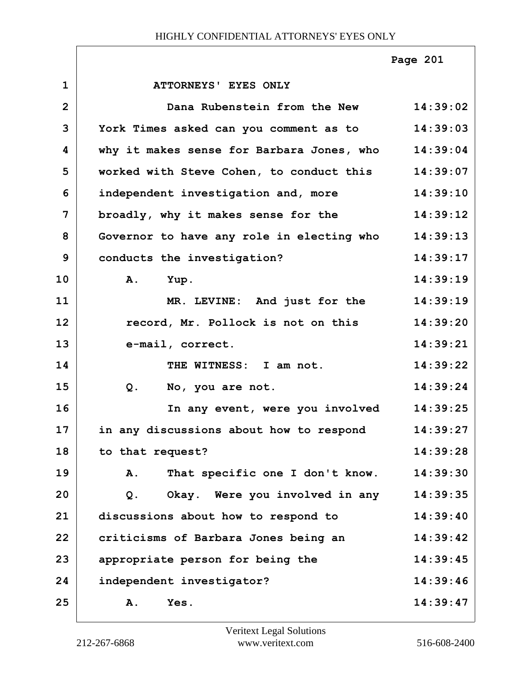**1 ATTORNEYS' EYES ONLY 2 Dana Rubenstein from the New 14:39:02 3 York Times asked can you comment as to 14:39:03 4 why it makes sense for Barbara Jones, who 14:39:04 5 worked with Steve Cohen, to conduct this 14:39:07 6 independent investigation and, more 14:39:10 7 broadly, why it makes sense for the 14:39:12 8 Governor to have any role in electing who 14:39:13 9 conducts the investigation? 14:39:17 10 A. Yup. 14:39:19 11 MR. LEVINE: And just for the 14:39:19 12 record, Mr. Pollock is not on this 14:39:20 13 e-mail, correct. 14:39:21 14 THE WITNESS: I am not. 14:39:22 15 Q. No, you are not. 14:39:24 16 In any event, were you involved 14:39:25 17 in any discussions about how to respond 14:39:27 18 to that request? 14:39:28 19 A. That specific one I don't know. 14:39:30 20 Q. Okay. Were you involved in any 14:39:35 21 discussions about how to respond to 14:39:40 22 criticisms of Barbara Jones being an 14:39:42 23 appropriate person for being the 14:39:45 24 independent investigator? 14:39:46 25 A. Yes. 14:39:47 Page 201**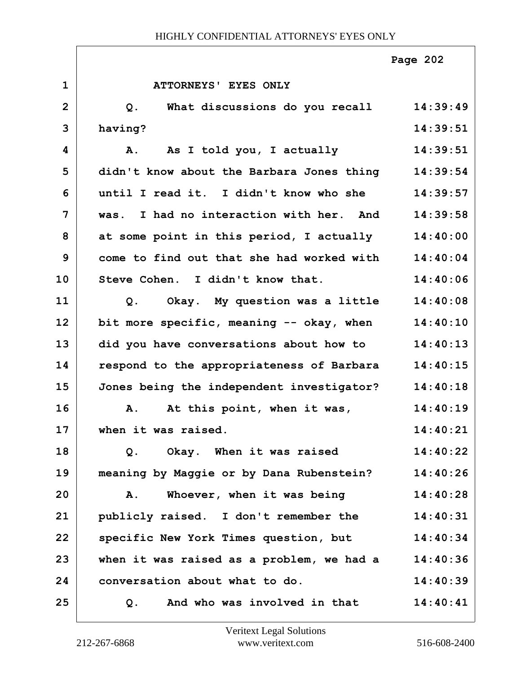|                |                                                    | Page 202 |
|----------------|----------------------------------------------------|----------|
| $\mathbf{1}$   | ATTORNEYS' EYES ONLY                               |          |
| $\overline{2}$ | What discussions do you recall<br>$Q$ .            | 14:39:49 |
| 3              | having?                                            | 14:39:51 |
| 4              | As I told you, I actually<br>A.                    | 14:39:51 |
| 5              | didn't know about the Barbara Jones thing          | 14:39:54 |
| 6              | until I read it. I didn't know who she             | 14:39:57 |
| $\overline{7}$ | was. I had no interaction with her. And            | 14:39:58 |
| 8              | at some point in this period, I actually           | 14:40:00 |
| 9              | come to find out that she had worked with          | 14:40:04 |
| 10             | Steve Cohen. I didn't know that.                   | 14:40:06 |
| 11             | Okay. My question was a little<br>$Q$ .            | 14:40:08 |
| 12             | bit more specific, meaning -- okay, when           | 14:40:10 |
| 13             | did you have conversations about how to            | 14:40:13 |
| 14             | respond to the appropriateness of Barbara 14:40:15 |          |
| 15             | Jones being the independent investigator?          | 14:40:18 |
| 16             | At this point, when it was,<br>Α.                  | 14:40:19 |
| 17             | when it was raised.                                | 14:40:21 |
| 18             | Okay. When it was raised<br>Q.                     | 14:40:22 |
| 19             | meaning by Maggie or by Dana Rubenstein?           | 14:40:26 |
| 20             | Whoever, when it was being<br>Α.                   | 14:40:28 |
| 21             | publicly raised. I don't remember the              | 14:40:31 |
| 22             | specific New York Times question, but              | 14:40:34 |
| 23             | when it was raised as a problem, we had a          | 14:40:36 |
| 24             | conversation about what to do.                     | 14:40:39 |
| 25             | And who was involved in that<br>Q.                 | 14:40:41 |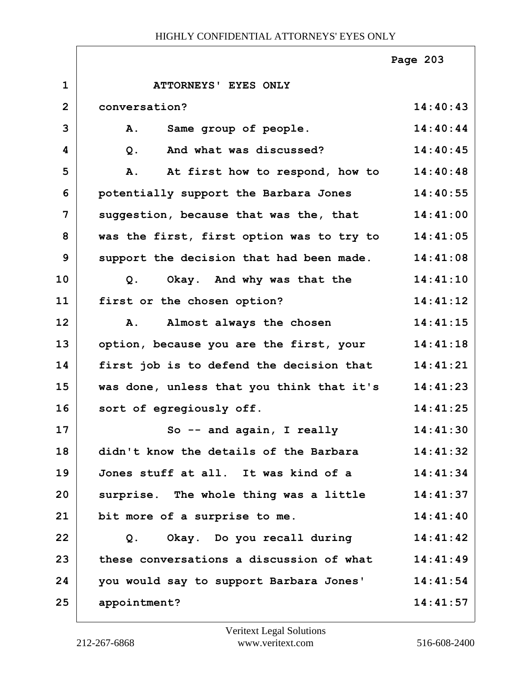|                |                                                   | Page 203 |
|----------------|---------------------------------------------------|----------|
| $\mathbf{1}$   | ATTORNEYS' EYES ONLY                              |          |
| $\overline{2}$ | conversation?                                     | 14:40:43 |
| 3              | Same group of people.<br>Α.                       | 14:40:44 |
| 4              | And what was discussed?<br>$Q$ .                  | 14:40:45 |
| 5              | At first how to respond, how to<br>Α.             | 14:40:48 |
| 6              | potentially support the Barbara Jones             | 14:40:55 |
| 7              | suggestion, because that was the, that            | 14:41:00 |
| 8              | was the first, first option was to try to         | 14:41:05 |
| 9              | support the decision that had been made.          | 14:41:08 |
| 10             | Q. Okay. And why was that the                     | 14:41:10 |
| 11             | first or the chosen option?                       | 14:41:12 |
| 12             | Almost always the chosen<br>Α.                    | 14:41:15 |
| 13             | option, because you are the first, your           | 14:41:18 |
| 14             | first job is to defend the decision that          | 14:41:21 |
| 15             | was done, unless that you think that it's         | 14:41:23 |
| 16             | sort of egregiously off.                          | 14:41:25 |
| 17             | So -- and again, I really                         | 14:41:30 |
| 18             | didn't know the details of the Barbara            | 14:41:32 |
| 19             | Jones stuff at all. It was kind of a              | 14:41:34 |
| 20             | surprise. The whole thing was a little            | 14:41:37 |
| 21             | bit more of a surprise to me.                     | 14:41:40 |
| 22             | Okay. Do you recall during<br>Q.                  | 14:41:42 |
| 23             | these conversations a discussion of what 14:41:49 |          |
| 24             | you would say to support Barbara Jones'           | 14:41:54 |
| 25             | appointment?                                      | 14:41:57 |

ı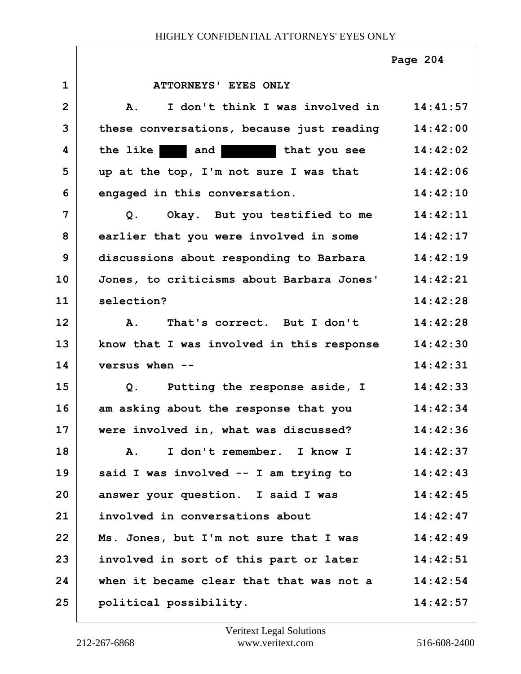|                |                                                            | Page 204 |
|----------------|------------------------------------------------------------|----------|
| $\mathbf 1$    | ATTORNEYS' EYES ONLY                                       |          |
| $\overline{2}$ | I don't think I was involved in 14:41:57<br>$\mathbf{A}$ . |          |
| 3              | these conversations, because just reading 14:42:00         |          |
| 4              | the like and that you see                                  | 14:42:02 |
| 5              | up at the top, I'm not sure I was that                     | 14:42:06 |
| 6              | engaged in this conversation.                              | 14:42:10 |
| 7              | Q. Okay. But you testified to me                           | 14:42:11 |
| 8              | earlier that you were involved in some                     | 14:42:17 |
| 9              | discussions about responding to Barbara 14:42:19           |          |
| 10             | Jones, to criticisms about Barbara Jones'                  | 14:42:21 |
| 11             | selection?                                                 | 14:42:28 |
| 12             | A. That's correct. But I don't                             | 14:42:28 |
| 13             | know that I was involved in this response                  | 14:42:30 |
| 14             | versus when --                                             | 14:42:31 |
| 15             | Q. Putting the response aside, I                           | 14:42:33 |
| 16             | am asking about the response that you                      | 14:42:34 |
| 17             | were involved in, what was discussed?                      | 14:42:36 |
| 18             | I don't remember. I know I<br><b>A.</b>                    | 14:42:37 |
| 19             | said I was involved -- I am trying to                      | 14:42:43 |
| 20             | answer your question. I said I was                         | 14:42:45 |
| 21             | involved in conversations about                            | 14:42:47 |
| 22             | Ms. Jones, but I'm not sure that I was                     | 14:42:49 |
| 23             | involved in sort of this part or later                     | 14:42:51 |
| 24             | when it became clear that that was not a                   | 14:42:54 |
| 25             | political possibility.                                     | 14:42:57 |

1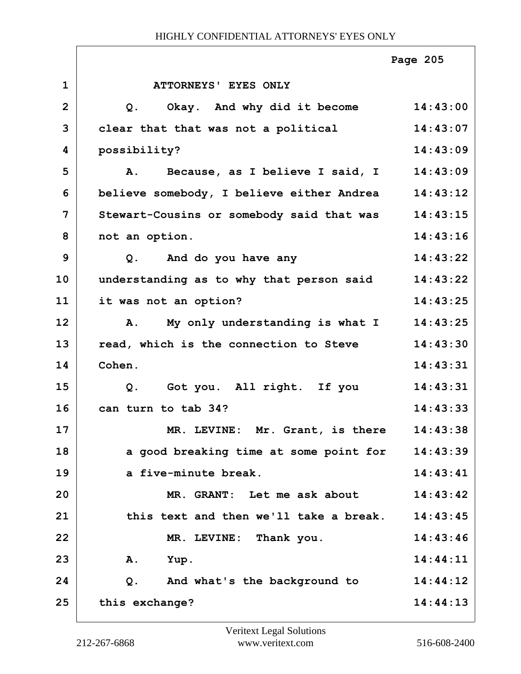|                |                                           | Page 205 |
|----------------|-------------------------------------------|----------|
| $\mathbf{1}$   | ATTORNEYS' EYES ONLY                      |          |
| $\overline{2}$ | Okay. And why did it become<br>Q.         | 14:43:00 |
| 3              | clear that that was not a political       | 14:43:07 |
| 4              | possibility?                              | 14:43:09 |
| 5              | Because, as I believe I said, I<br>Α.     | 14:43:09 |
| 6              | believe somebody, I believe either Andrea | 14:43:12 |
| 7              | Stewart-Cousins or somebody said that was | 14:43:15 |
| 8              | not an option.                            | 14:43:16 |
| 9              | And do you have any<br>Q <sub>1</sub>     | 14:43:22 |
| 10             | understanding as to why that person said  | 14:43:22 |
| 11             | it was not an option?                     | 14:43:25 |
| 12             | My only understanding is what I<br>A.     | 14:43:25 |
| 13             | read, which is the connection to Steve    | 14:43:30 |
| 14             | Cohen.                                    | 14:43:31 |
| 15             | Got you. All right. If you<br>Q.          | 14:43:31 |
| 16             | can turn to tab 34?                       | 14:43:33 |
| 17             | MR. LEVINE: Mr. Grant, is there 14:43:38  |          |
| 18             | a good breaking time at some point for    | 14:43:39 |
| 19             | a five-minute break.                      | 14:43:41 |
| 20             | MR. GRANT: Let me ask about               | 14:43:42 |
| 21             | this text and then we'll take a break.    | 14:43:45 |
| 22             | MR. LEVINE: Thank you.                    | 14:43:46 |
| 23             | Yup.<br>Α.                                | 14:44:11 |
| 24             | And what's the background to<br>Q.        | 14:44:12 |
| 25             | this exchange?                            | 14:44:13 |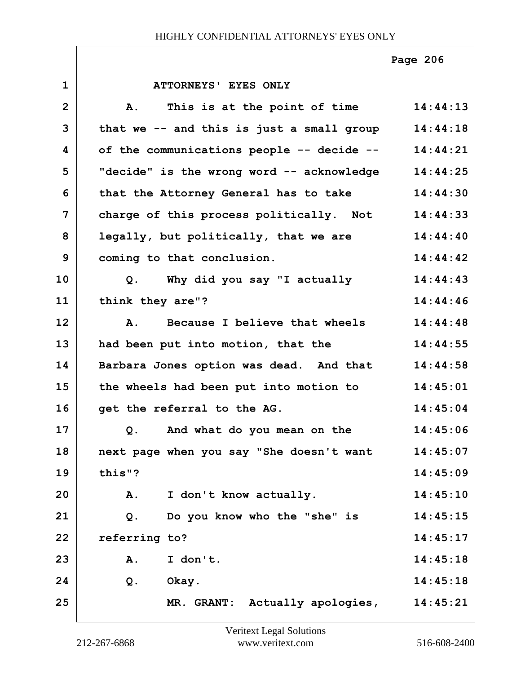**Page 206**

| $\mathbf 1$    | ATTORNEYS' EYES ONLY                          |          |
|----------------|-----------------------------------------------|----------|
| $\overline{2}$ | This is at the point of time<br>${\bf A}$ .   | 14:44:13 |
| 3              | that we -- and this is just a small group     | 14:44:18 |
| 4              | of the communications people -- decide --     | 14:44:21 |
| 5              | "decide" is the wrong word -- acknowledge     | 14:44:25 |
| 6              | that the Attorney General has to take         | 14:44:30 |
| $\overline{7}$ | charge of this process politically. Not       | 14:44:33 |
| 8              | legally, but politically, that we are         | 14:44:40 |
| 9              | coming to that conclusion.                    | 14:44:42 |
| 10             | Why did you say "I actually<br>Q <sub>1</sub> | 14:44:43 |
| 11             | think they are"?                              | 14:44:46 |
| 12             | A. Because I believe that wheels              | 14:44:48 |
| 13             | had been put into motion, that the            | 14:44:55 |
| 14             | Barbara Jones option was dead. And that       | 14:44:58 |
| 15             | the wheels had been put into motion to        | 14:45:01 |
| 16             | get the referral to the AG.                   | 14:45:04 |
| 17             | Q.<br>And what do you mean on the             | 14:45:06 |
| 18             | next page when you say "She doesn't want      | 14:45:07 |
| 19             | this"?                                        | 14:45:09 |
| 20             | I don't know actually.<br>Α.                  | 14:45:10 |
| 21             | Do you know who the "she" is<br>$Q$ .         | 14:45:15 |
| 22             | referring to?                                 | 14:45:17 |
| 23             | I don't.<br>Α.                                | 14:45:18 |
| 24             | $Q$ .<br>Okay.                                | 14:45:18 |
| 25             | MR. GRANT: Actually apologies,                | 14:45:21 |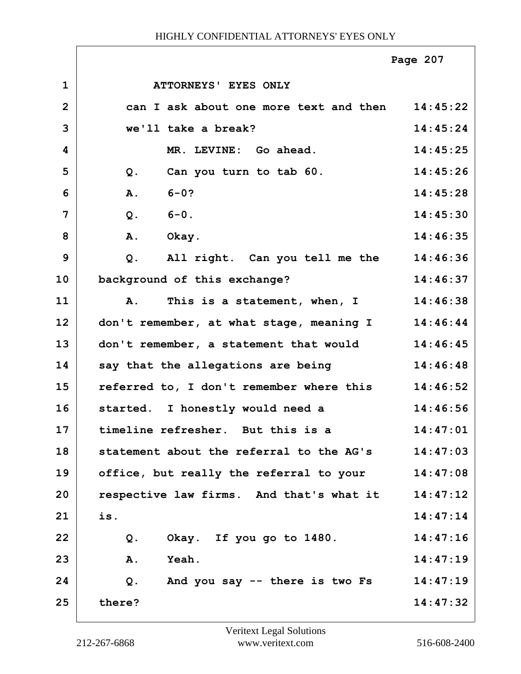|                |                                                  | Page 207 |
|----------------|--------------------------------------------------|----------|
| $\mathbf 1$    | ATTORNEYS' EYES ONLY                             |          |
| $\overline{2}$ | can I ask about one more text and then 14:45:22  |          |
| 3              | we'll take a break?                              | 14:45:24 |
| 4              | MR. LEVINE: Go ahead.                            | 14:45:25 |
| 5              | Can you turn to tab 60.<br>Q.                    | 14:45:26 |
| 6              | $6 - 0?$<br>A.                                   | 14:45:28 |
| 7              | $6 - 0$ .<br>$Q$ .                               | 14:45:30 |
| 8              | A.<br>Okay.                                      | 14:46:35 |
| 9              | All right. Can you tell me the 14:46:36<br>$Q$ . |          |
| 10             | background of this exchange?                     | 14:46:37 |
| 11             | This is a statement, when, I<br>Α.               | 14:46:38 |
| 12             | don't remember, at what stage, meaning I         | 14:46:44 |
| 13             | don't remember, a statement that would           | 14:46:45 |
| 14             | say that the allegations are being               | 14:46:48 |
| 15             | referred to, I don't remember where this         | 14:46:52 |
| 16             | started. I honestly would need a                 | 14:46:56 |
| 17             | timeline refresher. But this is a                | 14:47:01 |
| 18             | statement about the referral to the AG's         | 14:47:03 |
| 19             | office, but really the referral to your          | 14:47:08 |
| 20             | respective law firms. And that's what it         | 14:47:12 |
| 21             | is.                                              | 14:47:14 |
| 22             | Okay. If you go to 1480.<br>$Q$ .                | 14:47:16 |
| 23             | <b>A.</b><br><b>Yeah.</b>                        | 14:47:19 |
| 24             | And you say -- there is two Fs<br>$Q$ .          | 14:47:19 |
| 25             | there?                                           | 14:47:32 |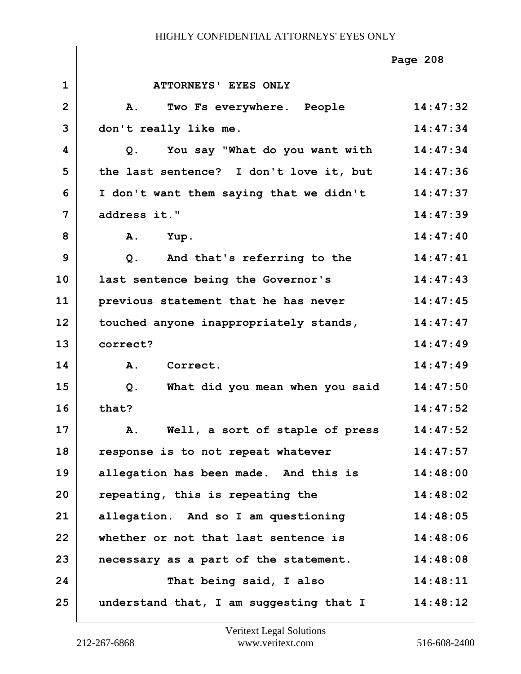|                |                                         | Page 208 |
|----------------|-----------------------------------------|----------|
| $\mathbf{1}$   | ATTORNEYS' EYES ONLY                    |          |
| $\overline{2}$ | A.<br>Two Fs everywhere. People         | 14:47:32 |
| 3              | don't really like me.                   | 14:47:34 |
| 4              | You say "What do you want with<br>Q.    | 14:47:34 |
| 5              | the last sentence? I don't love it, but | 14:47:36 |
| 6              | I don't want them saying that we didn't | 14:47:37 |
| 7              | address it."                            | 14:47:39 |
| 8              | Α.<br>Yup.                              | 14:47:40 |
| 9              | And that's referring to the<br>$Q$ .    | 14:47:41 |
| 10             | last sentence being the Governor's      | 14:47:43 |
| 11             | previous statement that he has never    | 14:47:45 |
| 12             | touched anyone inappropriately stands,  | 14:47:47 |
| 13             | correct?                                | 14:47:49 |
| 14             | A.<br>Correct.                          | 14:47:49 |
| 15             | What did you mean when you said<br>Q.   | 14:47:50 |
| 16             | that?                                   | 14:47:52 |
| 17             | Well, a sort of staple of press<br>Α.   | 14:47:52 |
| 18             | response is to not repeat whatever      | 14:47:57 |
| 19             | allegation has been made. And this is   | 14:48:00 |
| 20             | repeating, this is repeating the        | 14:48:02 |
| 21             | allegation. And so I am questioning     | 14:48:05 |
| 22             | whether or not that last sentence is    | 14:48:06 |
| 23             | necessary as a part of the statement.   | 14:48:08 |
| 24             | That being said, I also                 | 14:48:11 |
| 25             | understand that, I am suggesting that I | 14:48:12 |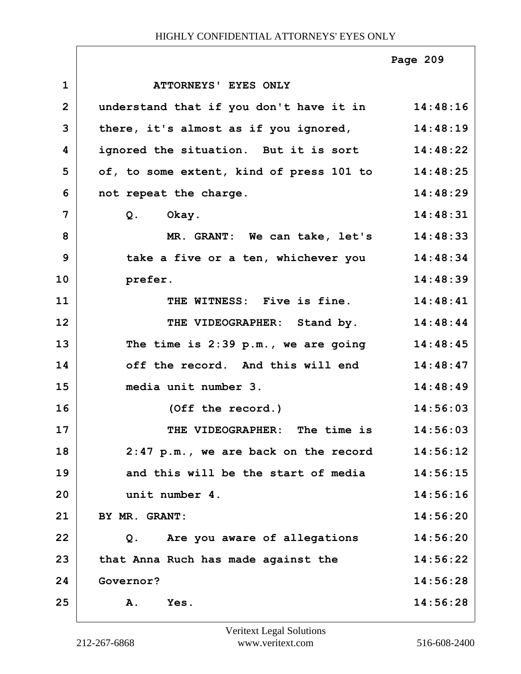|                |                                                   | Page 209 |
|----------------|---------------------------------------------------|----------|
| $\mathbf 1$    | ATTORNEYS' EYES ONLY                              |          |
| $\overline{2}$ | understand that if you don't have it in 14:48:16  |          |
| 3              | there, it's almost as if you ignored, 14:48:19    |          |
| 4              | ignored the situation. But it is sort 14:48:22    |          |
| 5              | of, to some extent, kind of press 101 to 14:48:25 |          |
| 6              | not repeat the charge.                            | 14:48:29 |
| 7              | Q. Okay.                                          | 14:48:31 |
| 8              | MR. GRANT: We can take, let's 14:48:33            |          |
| 9              | take a five or a ten, whichever you 14:48:34      |          |
| 10             | prefer.                                           | 14:48:39 |
| 11             | THE WITNESS: Five is fine.                        | 14:48:41 |
| 12             | THE VIDEOGRAPHER: Stand by. 14:48:44              |          |
| 13             | The time is $2:39$ p.m., we are going $14:48:45$  |          |
| 14             | off the record. And this will end                 | 14:48:47 |
| 15             | media unit number 3.                              | 14:48:49 |
| 16             | (Off the record.)                                 | 14:56:03 |
| 17             | The time is<br>THE VIDEOGRAPHER:                  | 14:56:03 |
| 18             | $2:47$ p.m., we are back on the record            | 14:56:12 |
| 19             | and this will be the start of media               | 14:56:15 |
| 20             | unit number 4.                                    | 14:56:16 |
| 21             | BY MR. GRANT:                                     | 14:56:20 |
| 22             | Q. Are you aware of allegations                   | 14:56:20 |
| 23             | that Anna Ruch has made against the               | 14:56:22 |
| 24             | Governor?                                         | 14:56:28 |
| 25             | Yes.<br><b>A.</b>                                 | 14:56:28 |

٦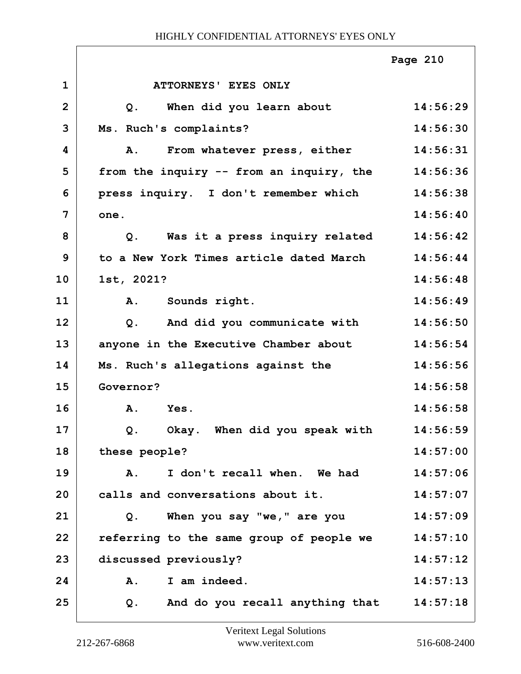|                |                                                | Page 210 |
|----------------|------------------------------------------------|----------|
| $\mathbf 1$    | ATTORNEYS' EYES ONLY                           |          |
| $\overline{2}$ | When did you learn about<br>Q.                 | 14:56:29 |
| 3              | Ms. Ruch's complaints?                         | 14:56:30 |
| 4              | From whatever press, either<br>Α.              | 14:56:31 |
| 5              | from the inquiry -- from an inquiry, the       | 14:56:36 |
| 6              | press inquiry. I don't remember which          | 14:56:38 |
| 7              | one.                                           | 14:56:40 |
| 8              | Was it a press inquiry related<br>Q.           | 14:56:42 |
| 9              | to a New York Times article dated March        | 14:56:44 |
| 10             | 1st, 2021?                                     | 14:56:48 |
| 11             | A. Sounds right.                               | 14:56:49 |
| 12             | And did you communicate with<br>Q <sub>1</sub> | 14:56:50 |
| 13             | anyone in the Executive Chamber about          | 14:56:54 |
| 14             | Ms. Ruch's allegations against the             | 14:56:56 |
| 15             | Governor?                                      | 14:56:58 |
| 16             | A.<br>Yes.                                     | 14:56:58 |
| 17             | Okay. When did you speak with<br>Q.            | 14:56:59 |
| 18             | these people?                                  | 14:57:00 |
| 19             | I don't recall when. We had<br><b>A.</b>       | 14:57:06 |
| 20             | calls and conversations about it.              | 14:57:07 |
| 21             | When you say "we," are you<br>$Q$ .            | 14:57:09 |
| 22             | referring to the same group of people we       | 14:57:10 |
| 23             | discussed previously?                          | 14:57:12 |
| 24             | I am indeed.<br>Α.                             | 14:57:13 |
| 25             | And do you recall anything that<br>Q.          | 14:57:18 |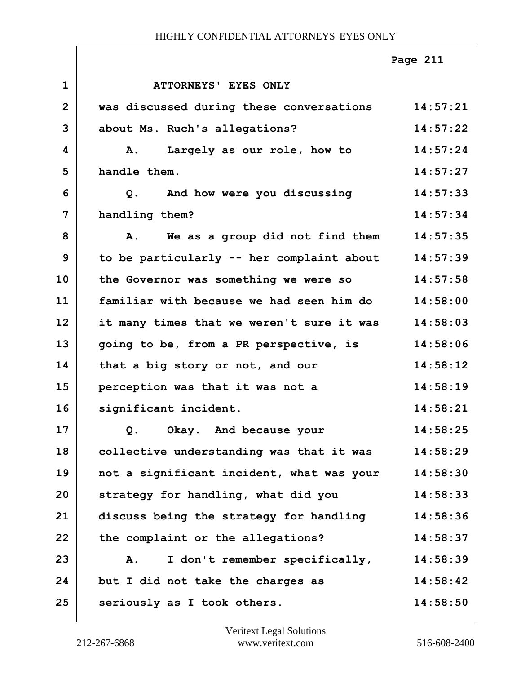|              |                                           | Page 211 |
|--------------|-------------------------------------------|----------|
| $\mathbf{1}$ | ATTORNEYS' EYES ONLY                      |          |
| $\mathbf{2}$ | was discussed during these conversations  | 14:57:21 |
| 3            | about Ms. Ruch's allegations?             | 14:57:22 |
| 4            | Largely as our role, how to<br><b>A.</b>  | 14:57:24 |
| 5            | handle them.                              | 14:57:27 |
| 6            | And how were you discussing<br>Q.         | 14:57:33 |
| 7            | handling them?                            | 14:57:34 |
| 8            | A. We as a group did not find them        | 14:57:35 |
| 9            | to be particularly -- her complaint about | 14:57:39 |
| 10           | the Governor was something we were so     | 14:57:58 |
| 11           | familiar with because we had seen him do  | 14:58:00 |
| 12           | it many times that we weren't sure it was | 14:58:03 |
| 13           | going to be, from a PR perspective, is    | 14:58:06 |
| 14           | that a big story or not, and our          | 14:58:12 |
| 15           | perception was that it was not a          | 14:58:19 |
| 16           | significant incident.                     | 14:58:21 |
| 17           | Q. Okay. And because your                 | 14:58:25 |
| 18           | collective understanding was that it was  | 14:58:29 |
| 19           | not a significant incident, what was your | 14:58:30 |
| 20           | strategy for handling, what did you       | 14:58:33 |
| 21           | discuss being the strategy for handling   | 14:58:36 |
| 22           | the complaint or the allegations?         | 14:58:37 |
| 23           | I don't remember specifically,<br>A.      | 14:58:39 |
| 24           | but I did not take the charges as         | 14:58:42 |
| 25           | seriously as I took others.               | 14:58:50 |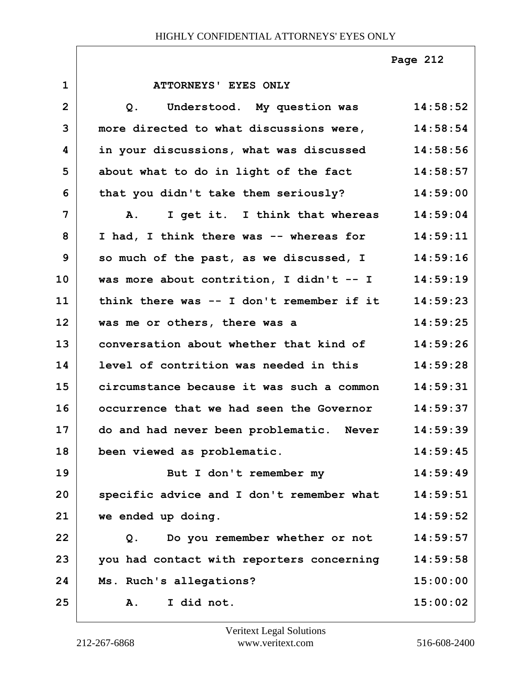**Page 212**

| $\mathbf 1$    | ATTORNEYS' EYES ONLY                             |          |
|----------------|--------------------------------------------------|----------|
| $\overline{2}$ | Understood. My question was<br>Q.                | 14:58:52 |
| 3              | more directed to what discussions were,          | 14:58:54 |
| 4              | in your discussions, what was discussed          | 14:58:56 |
| 5              | about what to do in light of the fact            | 14:58:57 |
| 6              | that you didn't take them seriously?             | 14:59:00 |
| 7              | I get it. I think that whereas<br>Α.             | 14:59:04 |
| 8              | I had, I think there was -- whereas for          | 14:59:11 |
| 9              | so much of the past, as we discussed, I 14:59:16 |          |
| 10             | was more about contrition, I didn't -- I         | 14:59:19 |
| 11             | think there was -- I don't remember if it        | 14:59:23 |
| 12             | was me or others, there was a                    | 14:59:25 |
| 13             | conversation about whether that kind of          | 14:59:26 |
| 14             | level of contrition was needed in this           | 14:59:28 |
| 15             | circumstance because it was such a common        | 14:59:31 |
| 16             | occurrence that we had seen the Governor         | 14:59:37 |
| 17             | do and had never been problematic. Never         | 14:59:39 |
| 18             | been viewed as problematic.                      | 14:59:45 |
| 19             | But I don't remember my                          | 14:59:49 |
| 20             | specific advice and I don't remember what        | 14:59:51 |
| 21             | we ended up doing.                               | 14:59:52 |
| 22             | Do you remember whether or not<br>Q.             | 14:59:57 |
| 23             | you had contact with reporters concerning        | 14:59:58 |
| 24             | Ms. Ruch's allegations?                          | 15:00:00 |
| 25             | I did not.<br>Α.                                 | 15:00:02 |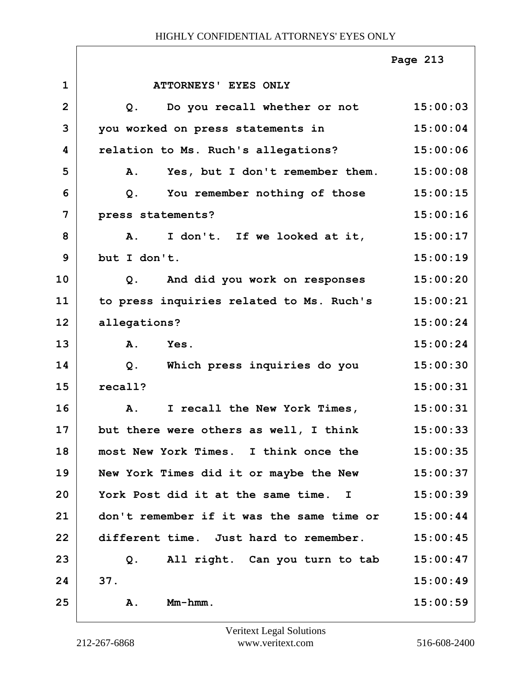|                |                                           | Page 213 |
|----------------|-------------------------------------------|----------|
| $\mathbf{1}$   | ATTORNEYS' EYES ONLY                      |          |
| $\overline{2}$ | Do you recall whether or not<br>$Q$ .     | 15:00:03 |
| 3              | you worked on press statements in         | 15:00:04 |
| 4              | relation to Ms. Ruch's allegations?       | 15:00:06 |
| 5              | Yes, but I don't remember them.<br>A.     | 15:00:08 |
| 6              | You remember nothing of those<br>$Q$ .    | 15:00:15 |
| 7              | press statements?                         | 15:00:16 |
| 8              | I don't. If we looked at it,<br><b>A.</b> | 15:00:17 |
| 9              | but I don't.                              | 15:00:19 |
| 10             | And did you work on responses<br>Q.       | 15:00:20 |
| 11             | to press inquiries related to Ms. Ruch's  | 15:00:21 |
| 12             | allegations?                              | 15:00:24 |
| 13             | A.<br>Yes.                                | 15:00:24 |
| 14             | Which press inquiries do you<br>Q.        | 15:00:30 |
| 15             | recall?                                   | 15:00:31 |
| 16             | I recall the New York Times,<br><b>A.</b> | 15:00:31 |
| 17             | but there were others as well, I think    | 15:00:33 |
| 18             | most New York Times. I think once the     | 15:00:35 |
| 19             | New York Times did it or maybe the New    | 15:00:37 |
| 20             | York Post did it at the same time. I      | 15:00:39 |
| 21             | don't remember if it was the same time or | 15:00:44 |
| 22             | different time. Just hard to remember.    | 15:00:45 |
| 23             | Q. All right. Can you turn to tab         | 15:00:47 |
| 24             | 37.                                       | 15:00:49 |
| 25             | $Mm-hmm$ .<br>Α.                          | 15:00:59 |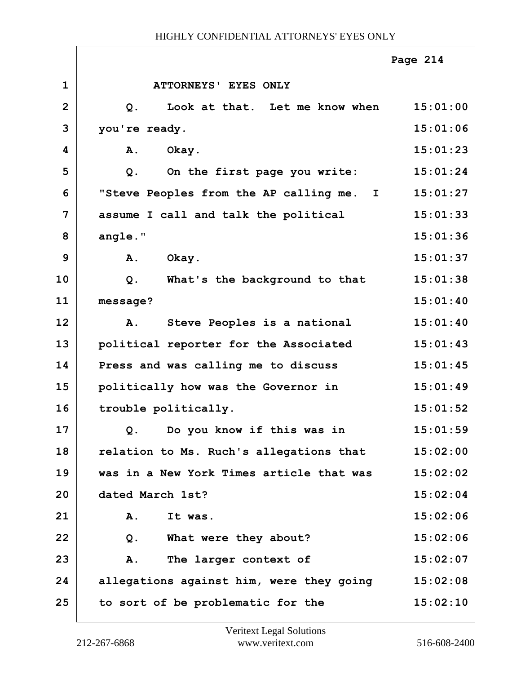|                |                                                  | Page 214 |
|----------------|--------------------------------------------------|----------|
| $\mathbf{1}$   | <b>ATTORNEYS' EYES ONLY</b>                      |          |
| $\overline{2}$ | Look at that. Let me know when<br>Q <sub>1</sub> | 15:01:00 |
| 3              | you're ready.                                    | 15:01:06 |
| 4              | Okay.<br>A.                                      | 15:01:23 |
| 5              | On the first page you write:<br>$Q$ .            | 15:01:24 |
| 6              | "Steve Peoples from the AP calling me. I         | 15:01:27 |
| 7              | assume I call and talk the political             | 15:01:33 |
| 8              | angle."                                          | 15:01:36 |
| 9              | Okay.<br>A.                                      | 15:01:37 |
| 10             | What's the background to that<br>$Q$ .           | 15:01:38 |
| 11             | message?                                         | 15:01:40 |
| 12             | Steve Peoples is a national<br>A.                | 15:01:40 |
| 13             | political reporter for the Associated            | 15:01:43 |
| 14             | Press and was calling me to discuss              | 15:01:45 |
| 15             | politically how was the Governor in              | 15:01:49 |
| 16             | trouble politically.                             | 15:01:52 |
| 17             | Q. Do you know if this was in                    | 15:01:59 |
| 18             | relation to Ms. Ruch's allegations that          | 15:02:00 |
| 19             | was in a New York Times article that was         | 15:02:02 |
| 20             | dated March 1st?                                 | 15:02:04 |
| 21             | Α.<br>It was.                                    | 15:02:06 |
| 22             | What were they about?<br>Q.                      | 15:02:06 |
| 23             | The larger context of<br>Α.                      | 15:02:07 |
| 24             | allegations against him, were they going         | 15:02:08 |
| 25             | to sort of be problematic for the                | 15:02:10 |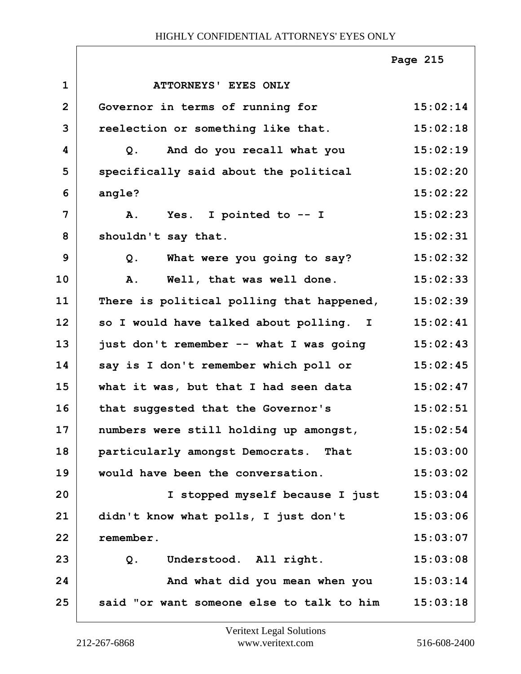|                |                                           | Page 215 |
|----------------|-------------------------------------------|----------|
| $\mathbf{1}$   | ATTORNEYS' EYES ONLY                      |          |
| $\overline{2}$ | Governor in terms of running for          | 15:02:14 |
| 3              | reelection or something like that.        | 15:02:18 |
| 4              | And do you recall what you<br>Q.          | 15:02:19 |
| 5              | specifically said about the political     | 15:02:20 |
| 6              | angle?                                    | 15:02:22 |
| $\overline{7}$ | Yes. I pointed to -- I<br>A.              | 15:02:23 |
| 8              | shouldn't say that.                       | 15:02:31 |
| 9              | What were you going to say?<br>$Q$ .      | 15:02:32 |
| 10             | Well, that was well done.<br>A.           | 15:02:33 |
| 11             | There is political polling that happened, | 15:02:39 |
| 12             | so I would have talked about polling. I   | 15:02:41 |
| 13             | just don't remember -- what I was going   | 15:02:43 |
| 14             | say is I don't remember which poll or     | 15:02:45 |
| 15             | what it was, but that I had seen data     | 15:02:47 |
| 16             | that suggested that the Governor's        | 15:02:51 |
| 17             | numbers were still holding up amongst,    | 15:02:54 |
| 18             | particularly amongst Democrats. That      | 15:03:00 |
| 19             | would have been the conversation.         | 15:03:02 |
| 20             | I stopped myself because I just           | 15:03:04 |
| 21             | didn't know what polls, I just don't      | 15:03:06 |
| 22             | remember.                                 | 15:03:07 |
| 23             | Understood. All right.<br>Q.              | 15:03:08 |
| 24             | And what did you mean when you            | 15:03:14 |
| 25             | said "or want someone else to talk to him | 15:03:18 |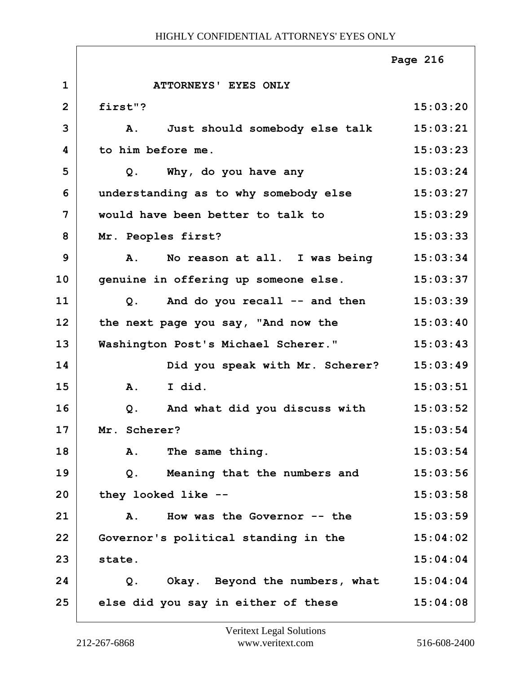|                |                                            | Page 216 |
|----------------|--------------------------------------------|----------|
| $\mathbf{1}$   | ATTORNEYS' EYES ONLY                       |          |
| $\overline{2}$ | first"?                                    | 15:03:20 |
| 3              | Just should somebody else talk<br>Α.       | 15:03:21 |
| 4              | to him before me.                          | 15:03:23 |
| 5              | Why, do you have any<br>$Q$ .              | 15:03:24 |
| 6              | understanding as to why somebody else      | 15:03:27 |
| 7              | would have been better to talk to          | 15:03:29 |
| 8              | Mr. Peoples first?                         | 15:03:33 |
| 9              | No reason at all. I was being<br><b>A.</b> | 15:03:34 |
| 10             | genuine in offering up someone else.       | 15:03:37 |
| 11             | And do you recall -- and then<br>Q.        | 15:03:39 |
| 12             | the next page you say, "And now the        | 15:03:40 |
| 13             | Washington Post's Michael Scherer."        | 15:03:43 |
| 14             | Did you speak with Mr. Scherer?            | 15:03:49 |
| 15             | I did.<br>A.                               | 15:03:51 |
| 16             | And what did you discuss with<br>$Q$ .     | 15:03:52 |
| 17             | Mr. Scherer?                               | 15:03:54 |
| 18             | The same thing.<br>Α.                      | 15:03:54 |
| 19             | Meaning that the numbers and<br>Q.         | 15:03:56 |
| 20             | they looked like --                        | 15:03:58 |
| 21             | How was the Governor $--$ the<br>A.        | 15:03:59 |
| 22             | Governor's political standing in the       | 15:04:02 |
| 23             | state.                                     | 15:04:04 |
| 24             | Okay. Beyond the numbers, what<br>Q.       | 15:04:04 |
| 25             | else did you say in either of these        | 15:04:08 |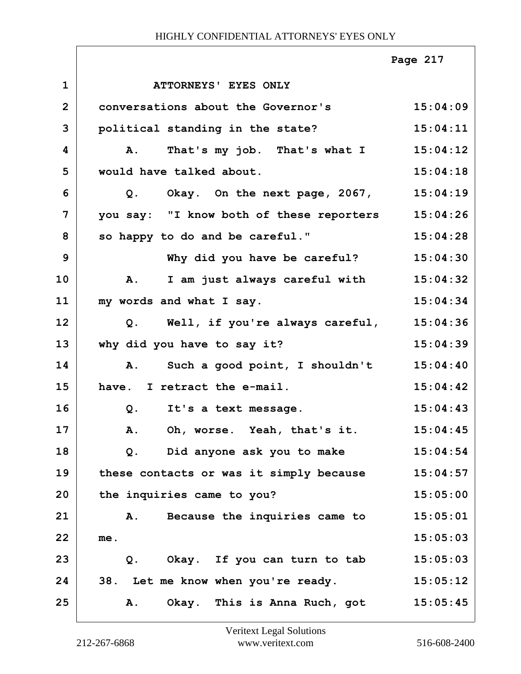|                |                                           | Page 217 |
|----------------|-------------------------------------------|----------|
| $\mathbf{1}$   | ATTORNEYS' EYES ONLY                      |          |
| $\overline{2}$ | conversations about the Governor's        | 15:04:09 |
| 3              | political standing in the state?          | 15:04:11 |
| 4              | That's my job. That's what I<br><b>A.</b> | 15:04:12 |
| 5              | would have talked about.                  | 15:04:18 |
| 6              | Q. Okay. On the next page, 2067, 15:04:19 |          |
| 7              | you say: "I know both of these reporters  | 15:04:26 |
| 8              | so happy to do and be careful."           | 15:04:28 |
| 9              | Why did you have be careful?              | 15:04:30 |
| 10             | I am just always careful with<br>Α.       | 15:04:32 |
| 11             | my words and what I say.                  | 15:04:34 |
| 12             | Q. Well, if you're always careful,        | 15:04:36 |
| 13             | why did you have to say it?               | 15:04:39 |
| 14             | Such a good point, I shouldn't<br>A.      | 15:04:40 |
| 15             | have. I retract the e-mail.               | 15:04:42 |
| 16             | $Q$ .<br>It's a text message.             | 15:04:43 |
| 17             | A. Oh, worse. Yeah, that's it. 15:04:45   |          |
| 18             | Did anyone ask you to make<br>$Q$ .       | 15:04:54 |
| 19             | these contacts or was it simply because   | 15:04:57 |
| 20             | the inquiries came to you?                | 15:05:00 |
| 21             | Because the inquiries came to<br>A.       | 15:05:01 |
| 22             | me.                                       | 15:05:03 |
| 23             | Okay. If you can turn to tab<br>Q.        | 15:05:03 |
| 24             | 38. Let me know when you're ready.        | 15:05:12 |
| 25             | Okay. This is Anna Ruch, got<br>Α.        | 15:05:45 |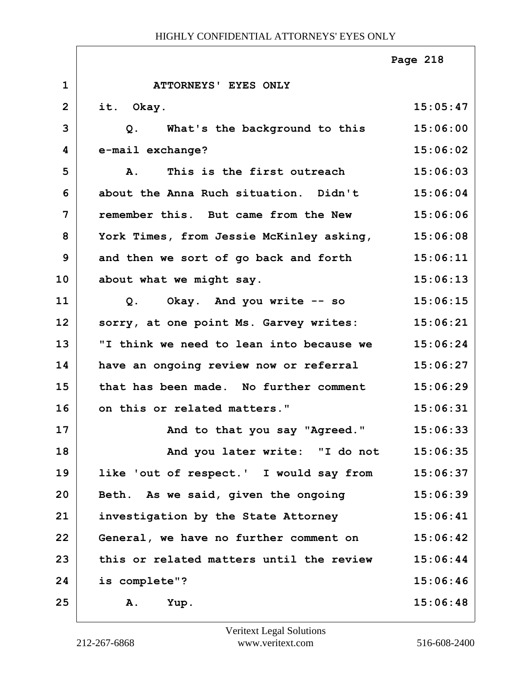|                |                                          | Page 218 |
|----------------|------------------------------------------|----------|
| $\mathbf{1}$   | ATTORNEYS' EYES ONLY                     |          |
| $\overline{2}$ | it. Okay.                                | 15:05:47 |
| 3              | What's the background to this<br>Q.      | 15:06:00 |
| 4              | e-mail exchange?                         | 15:06:02 |
| 5              | This is the first outreach<br><b>A</b> . | 15:06:03 |
| 6              | about the Anna Ruch situation. Didn't    | 15:06:04 |
| $\overline{7}$ | remember this. But came from the New     | 15:06:06 |
| 8              | York Times, from Jessie McKinley asking, | 15:06:08 |
| $\mathbf{9}$   | and then we sort of go back and forth    | 15:06:11 |
| 10             | about what we might say.                 | 15:06:13 |
| 11             | Okay. And you write -- so<br>Q.          | 15:06:15 |
| 12             | sorry, at one point Ms. Garvey writes:   | 15:06:21 |
| 13             | "I think we need to lean into because we | 15:06:24 |
| 14             | have an ongoing review now or referral   | 15:06:27 |
| 15             | that has been made. No further comment   | 15:06:29 |
| 16             | on this or related matters."             | 15:06:31 |
| 17             | And to that you say "Agreed."            | 15:06:33 |
| 18             | And you later write: "I do not           | 15:06:35 |
| 19             | like 'out of respect.' I would say from  | 15:06:37 |
| 20             | Beth. As we said, given the ongoing      | 15:06:39 |
| 21             | investigation by the State Attorney      | 15:06:41 |
| 22             | General, we have no further comment on   | 15:06:42 |
| 23             | this or related matters until the review | 15:06:44 |
| 24             | is complete"?                            | 15:06:46 |
| 25             | Yup.<br>Α.                               | 15:06:48 |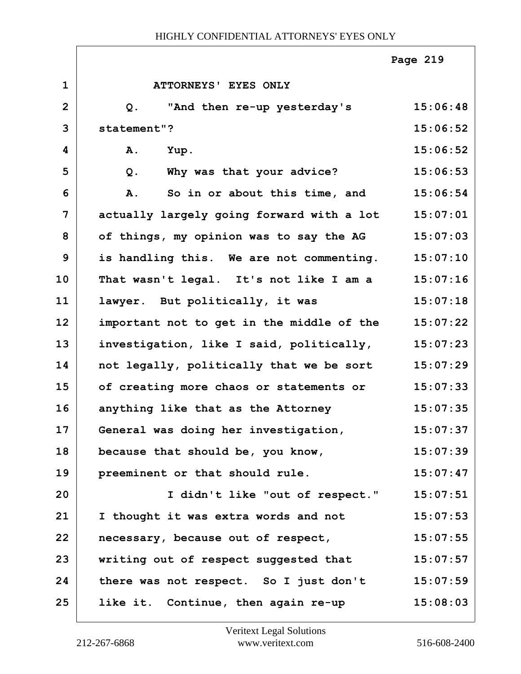|                |                                           | Page 219 |
|----------------|-------------------------------------------|----------|
| $\mathbf{1}$   | ATTORNEYS' EYES ONLY                      |          |
| $\overline{2}$ | "And then re-up yesterday's<br>Q.         | 15:06:48 |
| 3              | statement"?                               | 15:06:52 |
| 4              | A.<br>Yup.                                | 15:06:52 |
| 5              | Why was that your advice?<br>$Q$ .        | 15:06:53 |
| 6              | So in or about this time, and<br>A.       | 15:06:54 |
| $\overline{7}$ | actually largely going forward with a lot | 15:07:01 |
| 8              | of things, my opinion was to say the AG   | 15:07:03 |
| 9              | is handling this. We are not commenting.  | 15:07:10 |
| 10             | That wasn't legal. It's not like I am a   | 15:07:16 |
| 11             | lawyer. But politically, it was           | 15:07:18 |
| 12             | important not to get in the middle of the | 15:07:22 |
| 13             | investigation, like I said, politically,  | 15:07:23 |
| 14             | not legally, politically that we be sort  | 15:07:29 |
| 15             | of creating more chaos or statements or   | 15:07:33 |
| 16             | anything like that as the Attorney        | 15:07:35 |
| 17             | General was doing her investigation,      | 15:07:37 |
| 18             | because that should be, you know,         | 15:07:39 |
| 19             | preeminent or that should rule.           | 15:07:47 |
| 20             | I didn't like "out of respect."           | 15:07:51 |
| 21             | I thought it was extra words and not      | 15:07:53 |
| 22             | necessary, because out of respect,        | 15:07:55 |
| 23             | writing out of respect suggested that     | 15:07:57 |
| 24             | there was not respect. So I just don't    | 15:07:59 |
| 25             | like it. Continue, then again re-up       | 15:08:03 |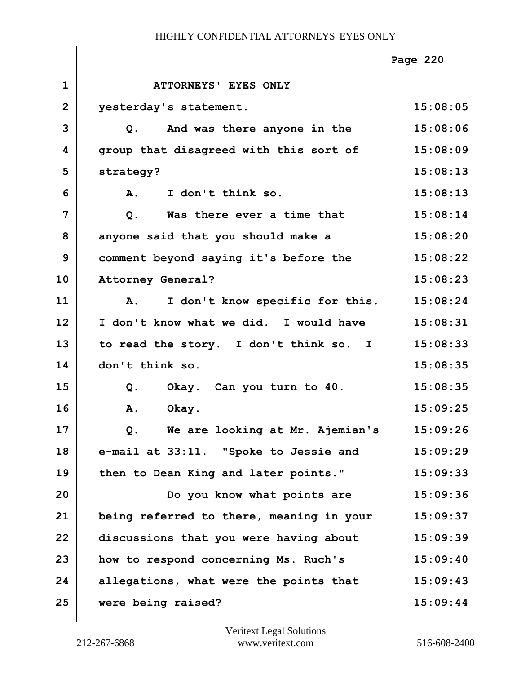|                |                                                   | Page 220 |
|----------------|---------------------------------------------------|----------|
| $\mathbf 1$    | ATTORNEYS' EYES ONLY                              |          |
| $\overline{2}$ | yesterday's statement.                            | 15:08:05 |
| 3              | Q. And was there anyone in the                    | 15:08:06 |
| 4              | group that disagreed with this sort of            | 15:08:09 |
| 5              | strategy?                                         | 15:08:13 |
| 6              | I don't think so.<br><b>A.</b>                    | 15:08:13 |
| 7              | Was there ever a time that<br>Q.                  | 15:08:14 |
| 8              | anyone said that you should make a                | 15:08:20 |
| 9              | comment beyond saying it's before the             | 15:08:22 |
| 10             | Attorney General?                                 | 15:08:23 |
| 11             | I don't know specific for this.<br>$\mathbf{A}$ . | 15:08:24 |
| 12             | I don't know what we did. I would have            | 15:08:31 |
| 13             | to read the story. I don't think so. I            | 15:08:33 |
| 14             | don't think so.                                   | 15:08:35 |
| 15             | Okay. Can you turn to 40.<br>Q.                   | 15:08:35 |
| 16             | Α.<br>Okay.                                       | 15:09:25 |
| 17             | Q. We are looking at Mr. Ajemian's                | 15:09:26 |
| 18             | e-mail at 33:11. "Spoke to Jessie and             | 15:09:29 |
| 19             | then to Dean King and later points."              | 15:09:33 |
| 20             | Do you know what points are                       | 15:09:36 |
| 21             | being referred to there, meaning in your          | 15:09:37 |
| 22             | discussions that you were having about            | 15:09:39 |
| 23             | how to respond concerning Ms. Ruch's              | 15:09:40 |
| 24             | allegations, what were the points that            | 15:09:43 |
| 25             | were being raised?                                | 15:09:44 |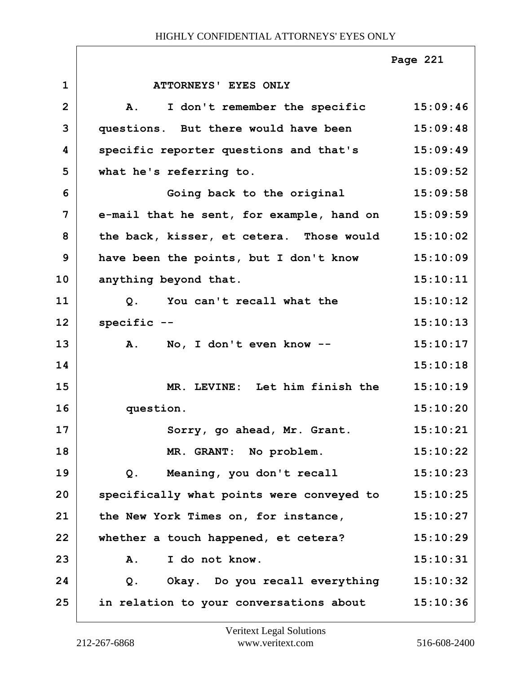|                |                                            | Page 221 |
|----------------|--------------------------------------------|----------|
| $\mathbf{1}$   | ATTORNEYS' EYES ONLY                       |          |
| $\overline{2}$ | I don't remember the specific<br><b>A.</b> | 15:09:46 |
| 3              | questions. But there would have been       | 15:09:48 |
| 4              | specific reporter questions and that's     | 15:09:49 |
| 5              | what he's referring to.                    | 15:09:52 |
| 6              | Going back to the original                 | 15:09:58 |
| 7              | e-mail that he sent, for example, hand on  | 15:09:59 |
| 8              | the back, kisser, et cetera. Those would   | 15:10:02 |
| 9              | have been the points, but I don't know     | 15:10:09 |
| 10             | anything beyond that.                      | 15:10:11 |
| 11             | Q. You can't recall what the               | 15:10:12 |
| 12             | specific --                                | 15:10:13 |
| 13             | A. No, I don't even know --                | 15:10:17 |
| 14             |                                            | 15:10:18 |
| 15             | MR. LEVINE: Let him finish the             | 15:10:19 |
| 16             | question.                                  | 15:10:20 |
| 17             | Sorry, go ahead, Mr. Grant.                | 15:10:21 |
| 18             | MR. GRANT: No problem.                     | 15:10:22 |
| 19             | Meaning, you don't recall<br>Q.            | 15:10:23 |
| 20             | specifically what points were conveyed to  | 15:10:25 |
| 21             | the New York Times on, for instance,       | 15:10:27 |
| 22             | whether a touch happened, et cetera?       | 15:10:29 |
| 23             | I do not know.<br>Α.                       | 15:10:31 |
| 24             | Okay. Do you recall everything<br>$Q$ .    | 15:10:32 |
| 25             | in relation to your conversations about    | 15:10:36 |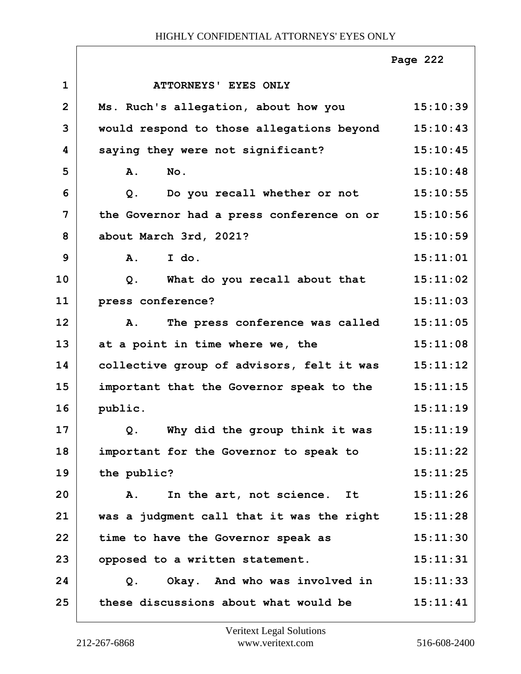|                |                                                 | Page 222 |
|----------------|-------------------------------------------------|----------|
| $\mathbf{1}$   | ATTORNEYS' EYES ONLY                            |          |
| $\overline{2}$ | Ms. Ruch's allegation, about how you            | 15:10:39 |
| 3              | would respond to those allegations beyond       | 15:10:43 |
| 4              | saying they were not significant?               | 15:10:45 |
| 5              | No.<br><b>A.</b>                                | 15:10:48 |
| 6              | Do you recall whether or not<br>Q.              | 15:10:55 |
| 7              | the Governor had a press conference on or       | 15:10:56 |
| 8              | about March 3rd, 2021?                          | 15:10:59 |
| 9              | A. I do.                                        | 15:11:01 |
| 10             | What do you recall about that<br>Q <sub>1</sub> | 15:11:02 |
| 11             | press conference?                               | 15:11:03 |
| 12             | The press conference was called<br>Α.           | 15:11:05 |
| 13             | at a point in time where we, the                | 15:11:08 |
| 14             | collective group of advisors, felt it was       | 15:11:12 |
| 15             | important that the Governor speak to the        | 15:11:15 |
| 16             | public.                                         | 15:11:19 |
| 17             | Q. Why did the group think it was               | 15:11:19 |
| 18             | important for the Governor to speak to          | 15:11:22 |
| 19             | the public?                                     | 15:11:25 |
| 20             | In the art, not science. It<br>Α.               | 15:11:26 |
| 21             | was a judgment call that it was the right       | 15:11:28 |
| 22             | time to have the Governor speak as              | 15:11:30 |
| 23             | opposed to a written statement.                 | 15:11:31 |
| 24             | Okay. And who was involved in<br>Q.             | 15:11:33 |
| 25             | these discussions about what would be           | 15:11:41 |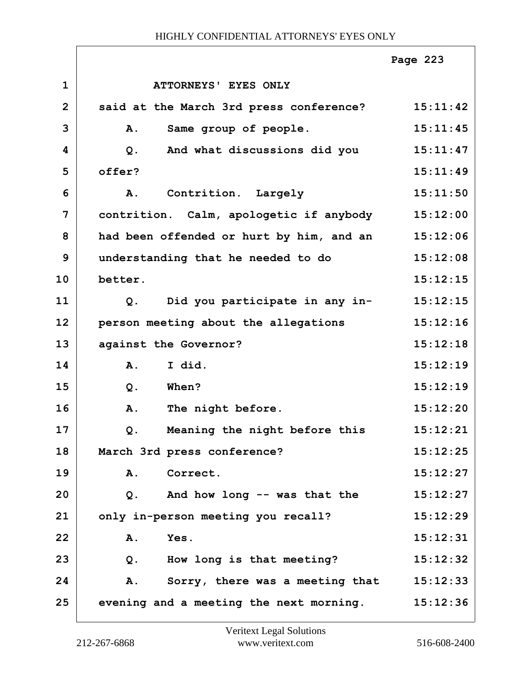|                |                                          | Page 223 |
|----------------|------------------------------------------|----------|
| $\mathbf{1}$   | ATTORNEYS' EYES ONLY                     |          |
| $\overline{2}$ | said at the March 3rd press conference?  | 15:11:42 |
| 3              | A.<br>Same group of people.              | 15:11:45 |
| 4              | And what discussions did you<br>$Q$ .    | 15:11:47 |
| 5              | offer?                                   | 15:11:49 |
| 6              | Contrition. Largely<br>A.                | 15:11:50 |
| 7              | contrition. Calm, apologetic if anybody  | 15:12:00 |
| 8              | had been offended or hurt by him, and an | 15:12:06 |
| 9              | understanding that he needed to do       | 15:12:08 |
| 10             | better.                                  | 15:12:15 |
| 11             | Did you participate in any in-<br>Q.     | 15:12:15 |
| 12             | person meeting about the allegations     | 15:12:16 |
| 13             | against the Governor?                    | 15:12:18 |
| 14             | I did.<br><b>A.</b>                      | 15:12:19 |
| 15             | When?<br>$Q$ .                           | 15:12:19 |
| 16             | The night before.<br>A.                  | 15:12:20 |
| 17             | Meaning the night before this<br>Q.      | 15:12:21 |
| 18             | March 3rd press conference?              | 15:12:25 |
| 19             | Correct.<br>A.                           | 15:12:27 |
| 20             | And how long -- was that the<br>Q.       | 15:12:27 |
| 21             | only in-person meeting you recall?       | 15:12:29 |
| 22             | Yes.<br>Α.                               | 15:12:31 |
| 23             | How long is that meeting?<br>$Q$ .       | 15:12:32 |
| 24             | Sorry, there was a meeting that<br>Α.    | 15:12:33 |
| 25             | evening and a meeting the next morning.  | 15:12:36 |

ı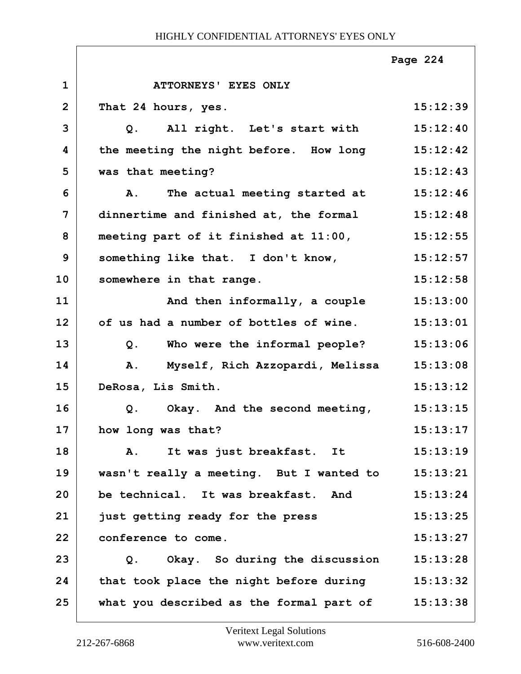|                |                                                     | Page 224 |
|----------------|-----------------------------------------------------|----------|
| $\mathbf{1}$   | ATTORNEYS' EYES ONLY                                |          |
| $\overline{2}$ | That 24 hours, yes.                                 | 15:12:39 |
| 3              | Q. All right. Let's start with                      | 15:12:40 |
| 4              | the meeting the night before. How long 15:12:42     |          |
| 5              | was that meeting?                                   | 15:12:43 |
| 6              | The actual meeting started at<br><b>A.</b>          | 15:12:46 |
| $\overline{7}$ | dinnertime and finished at, the formal              | 15:12:48 |
| 8              | meeting part of it finished at $11:00$ , $15:12:55$ |          |
| 9              | something like that. I don't know,                  | 15:12:57 |
| 10             | somewhere in that range.                            | 15:12:58 |
| 11             | And then informally, a couple                       | 15:13:00 |
| 12             | of us had a number of bottles of wine.              | 15:13:01 |
| 13             | Who were the informal people?<br>$Q$ .              | 15:13:06 |
| 14             | Myself, Rich Azzopardi, Melissa<br>A.               | 15:13:08 |
| 15             | DeRosa, Lis Smith.                                  | 15:13:12 |
| 16             | Okay. And the second meeting,<br>Q.                 | 15:13:15 |
| 17             | how long was that?                                  | 15:13:17 |
| 18             | It was just breakfast. It<br>Α.                     | 15:13:19 |
| 19             | wasn't really a meeting. But I wanted to            | 15:13:21 |
| 20             | be technical. It was breakfast. And                 | 15:13:24 |
| 21             | just getting ready for the press                    | 15:13:25 |
| 22             | conference to come.                                 | 15:13:27 |
| 23             | Okay. So during the discussion<br>Q.                | 15:13:28 |
| 24             | that took place the night before during             | 15:13:32 |
| 25             | what you described as the formal part of            | 15:13:38 |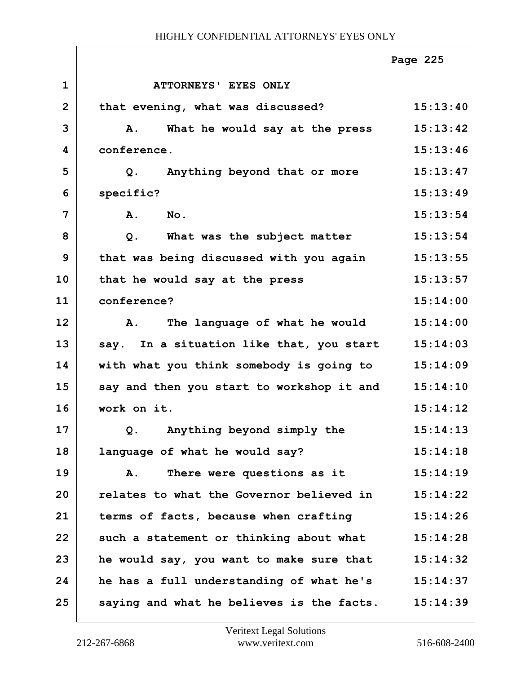|                |                                           | Page 225 |
|----------------|-------------------------------------------|----------|
| $\mathbf 1$    | ATTORNEYS' EYES ONLY                      |          |
| $\overline{2}$ | that evening, what was discussed?         | 15:13:40 |
| 3              | What he would say at the press<br>Α.      | 15:13:42 |
| 4              | conference.                               | 15:13:46 |
| 5              | Anything beyond that or more<br>Q.        | 15:13:47 |
| 6              | specific?                                 | 15:13:49 |
| 7              | A.<br>No.                                 | 15:13:54 |
| 8              | What was the subject matter<br>Q.         | 15:13:54 |
| 9              | that was being discussed with you again   | 15:13:55 |
| 10             | that he would say at the press            | 15:13:57 |
| 11             | conference?                               | 15:14:00 |
| 12             | The language of what he would<br>Α.       | 15:14:00 |
| 13             | say. In a situation like that, you start  | 15:14:03 |
| 14             | with what you think somebody is going to  | 15:14:09 |
| 15             | say and then you start to workshop it and | 15:14:10 |
| 16             | work on it.                               | 15:14:12 |
| 17             | Q. Anything beyond simply the             | 15:14:13 |
| 18             | language of what he would say?            | 15:14:18 |
| 19             | There were questions as it<br>Α.          | 15:14:19 |
| 20             | relates to what the Governor believed in  | 15:14:22 |
| 21             | terms of facts, because when crafting     | 15:14:26 |
| 22             | such a statement or thinking about what   | 15:14:28 |
| 23             | he would say, you want to make sure that  | 15:14:32 |
| 24             | he has a full understanding of what he's  | 15:14:37 |
| 25             | saying and what he believes is the facts. | 15:14:39 |

ı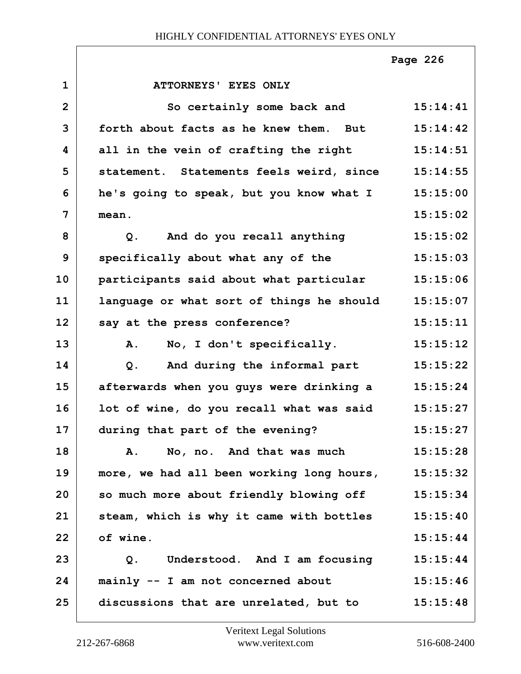|                |                                                | Page 226 |
|----------------|------------------------------------------------|----------|
| $\mathbf{1}$   | <b>ATTORNEYS' EYES ONLY</b>                    |          |
| $\overline{2}$ | So certainly some back and                     | 15:14:41 |
| 3              | forth about facts as he knew them. But         | 15:14:42 |
| 4              | all in the vein of crafting the right          | 15:14:51 |
| 5              | statement. Statements feels weird, since       | 15:14:55 |
| 6              | he's going to speak, but you know what I       | 15:15:00 |
| 7              | mean.                                          | 15:15:02 |
| 8              | And do you recall anything<br>Q.               | 15:15:02 |
| 9              | specifically about what any of the             | 15:15:03 |
| 10             | participants said about what particular        | 15:15:06 |
| 11             | language or what sort of things he should      | 15:15:07 |
| 12             | say at the press conference?                   | 15:15:11 |
| 13             | No, I don't specifically.<br>A.                | 15:15:12 |
| 14             | And during the informal part<br>Q <sub>1</sub> | 15:15:22 |
| 15             | afterwards when you guys were drinking a       | 15:15:24 |
| 16             | lot of wine, do you recall what was said       | 15:15:27 |
| 17             | during that part of the evening?               | 15:15:27 |
| 18             | No, no. And that was much<br>A.                | 15:15:28 |
| 19             | more, we had all been working long hours,      | 15:15:32 |
| 20             | so much more about friendly blowing off        | 15:15:34 |
| 21             | steam, which is why it came with bottles       | 15:15:40 |
| 22             | of wine.                                       | 15:15:44 |
| 23             | Understood. And I am focusing<br>Q.            | 15:15:44 |
| 24             | mainly -- I am not concerned about             | 15:15:46 |
| 25             | discussions that are unrelated, but to         | 15:15:48 |

 $\Gamma$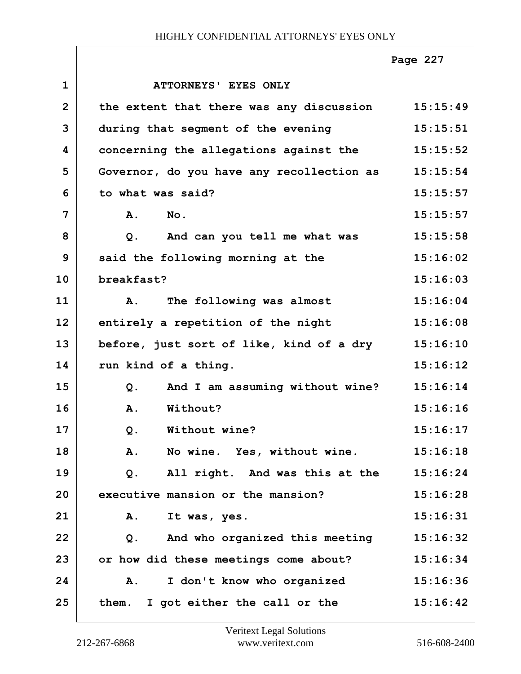|                |                                                   | Page 227 |
|----------------|---------------------------------------------------|----------|
| $\mathbf 1$    | ATTORNEYS' EYES ONLY                              |          |
| $\overline{2}$ | the extent that there was any discussion 15:15:49 |          |
| 3              | during that segment of the evening                | 15:15:51 |
| 4              | concerning the allegations against the            | 15:15:52 |
| 5              | Governor, do you have any recollection as         | 15:15:54 |
| 6              | to what was said?                                 | 15:15:57 |
| 7              | A.<br>No.                                         | 15:15:57 |
| 8              | And can you tell me what was<br>Q.                | 15:15:58 |
| 9              | said the following morning at the                 | 15:16:02 |
| 10             | breakfast?                                        | 15:16:03 |
| 11             | The following was almost<br>A.                    | 15:16:04 |
| 12             | entirely a repetition of the night                | 15:16:08 |
| 13             | before, just sort of like, kind of a dry          | 15:16:10 |
| 14             | run kind of a thing.                              | 15:16:12 |
| 15             | And I am assuming without wine?<br>Q.             | 15:16:14 |
| 16             | A.<br>Without?                                    | 15:16:16 |
| 17             | Without wine?<br>Q.                               | 15:16:17 |
| 18             | A.<br>No wine. Yes, without wine.                 | 15:16:18 |
| 19             | All right. And was this at the<br>Q.              | 15:16:24 |
| 20             | executive mansion or the mansion?                 | 15:16:28 |
| 21             | Α.<br>It was, yes.                                | 15:16:31 |
| 22             | And who organized this meeting<br>Q.              | 15:16:32 |
| 23             | or how did these meetings come about?             | 15:16:34 |
| 24             | I don't know who organized<br>A.                  | 15:16:36 |
| 25             | them. I got either the call or the                | 15:16:42 |

 $\Gamma$ 

ı

ī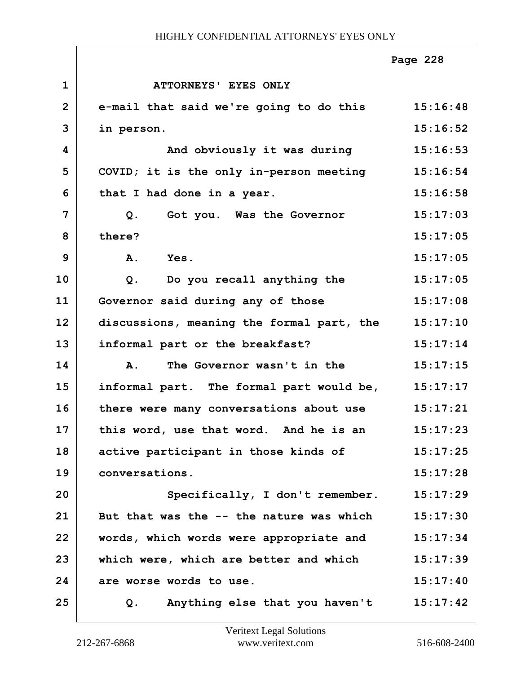|                |                                                  | Page 228 |
|----------------|--------------------------------------------------|----------|
| $\mathbf{1}$   | ATTORNEYS' EYES ONLY                             |          |
| $\overline{2}$ | e-mail that said we're going to do this 15:16:48 |          |
| 3              | in person.                                       | 15:16:52 |
| 4              | And obviously it was during                      | 15:16:53 |
| 5              | COVID; it is the only in-person meeting          | 15:16:54 |
| 6              | that I had done in a year.                       | 15:16:58 |
| $\overline{7}$ | $Q$ .<br>Got you. Was the Governor               | 15:17:03 |
| 8              | there?                                           | 15:17:05 |
| 9              | A.<br>Yes.                                       | 15:17:05 |
| 10             | Do you recall anything the<br>$Q$ .              | 15:17:05 |
| 11             | Governor said during any of those                | 15:17:08 |
| 12             | discussions, meaning the formal part, the        | 15:17:10 |
| 13             | informal part or the breakfast?                  | 15:17:14 |
| 14             | The Governor wasn't in the<br>$\mathbf{A}$ .     | 15:17:15 |
| 15             | informal part. The formal part would be,         | 15:17:17 |
| 16             | there were many conversations about use          | 15:17:21 |
| 17             | this word, use that word. And he is an           | 15:17:23 |
| 18             | active participant in those kinds of             | 15:17:25 |
| 19             | conversations.                                   | 15:17:28 |
| 20             | Specifically, I don't remember.                  | 15:17:29 |
| 21             | But that was the -- the nature was which         | 15:17:30 |
| 22             | words, which words were appropriate and          | 15:17:34 |
| 23             | which were, which are better and which           | 15:17:39 |
| 24             | are worse words to use.                          | 15:17:40 |
| 25             | Anything else that you haven't<br>Q.             | 15:17:42 |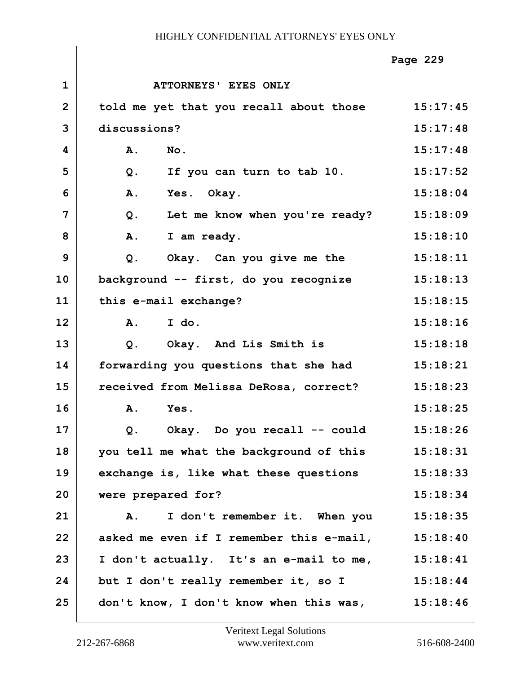|                |                                          | Page 229 |
|----------------|------------------------------------------|----------|
| $\mathbf 1$    | ATTORNEYS' EYES ONLY                     |          |
| $\overline{2}$ | told me yet that you recall about those  | 15:17:45 |
| 3              | discussions?                             | 15:17:48 |
| 4              | A.<br>No.                                | 15:17:48 |
| 5              | If you can turn to tab 10.<br>$Q$ .      | 15:17:52 |
| 6              | A.<br>Yes. Okay.                         | 15:18:04 |
| 7              | $Q$ .<br>Let me know when you're ready?  | 15:18:09 |
| 8              | A.<br>I am ready.                        | 15:18:10 |
| 9              | Okay. Can you give me the<br>$Q$ .       | 15:18:11 |
| 10             | background -- first, do you recognize    | 15:18:13 |
| 11             | this e-mail exchange?                    | 15:18:15 |
| 12             | I do.<br><b>A.</b>                       | 15:18:16 |
| 13             | Okay. And Lis Smith is<br>$Q$ .          | 15:18:18 |
| 14             | forwarding you questions that she had    | 15:18:21 |
| 15             | received from Melissa DeRosa, correct?   | 15:18:23 |
| 16             | Yes.<br>A.                               | 15:18:25 |
| 17             | Okay. Do you recall -- could<br>Q.       | 15:18:26 |
| 18             | you tell me what the background of this  | 15:18:31 |
| 19             | exchange is, like what these questions   | 15:18:33 |
| 20             | were prepared for?                       | 15:18:34 |
| 21             | I don't remember it. When you<br>Α.      | 15:18:35 |
| 22             | asked me even if I remember this e-mail, | 15:18:40 |
| 23             | I don't actually. It's an e-mail to me,  | 15:18:41 |
| 24             | but I don't really remember it, so I     | 15:18:44 |
| 25             | don't know, I don't know when this was,  | 15:18:46 |

 $\Gamma$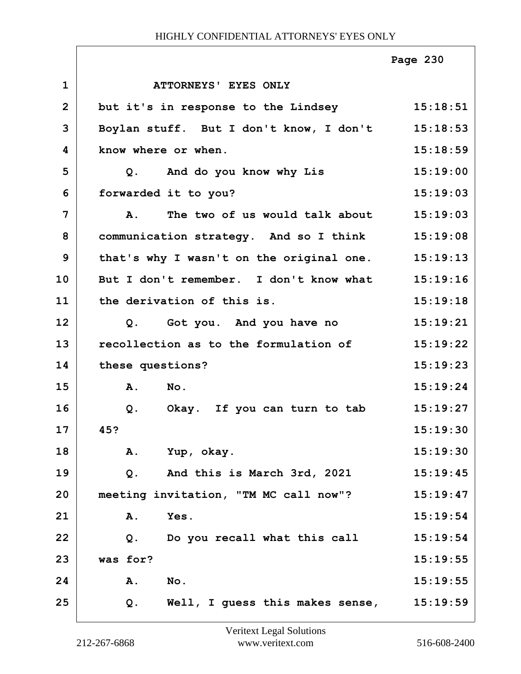|                |                                                           | Page 230 |
|----------------|-----------------------------------------------------------|----------|
| $\mathbf 1$    | ATTORNEYS' EYES ONLY                                      |          |
| $\overline{2}$ | but it's in response to the Lindsey 15:18:51              |          |
| 3              | Boylan stuff. But I don't know, I don't 15:18:53          |          |
| 4              | know where or when.                                       | 15:18:59 |
| 5              | Q. And do you know why Lis                                | 15:19:00 |
| 6              | forwarded it to you?                                      | 15:19:03 |
| 7              | The two of us would talk about 15:19:03<br>$\mathbf{A}$ . |          |
| 8              | communication strategy. And so I think 15:19:08           |          |
| 9              | that's why I wasn't on the original one. 15:19:13         |          |
| 10             | But I don't remember. I don't know what                   | 15:19:16 |
| 11             | the derivation of this is.                                | 15:19:18 |
| 12             | Q. Got you. And you have no                               | 15:19:21 |
| 13             | recollection as to the formulation of                     | 15:19:22 |
| 14             | these questions?                                          | 15:19:23 |
| 15             | A. No.                                                    | 15:19:24 |
| 16             | Okay. If you can turn to tab<br>Q <sub>1</sub>            | 15:19:27 |
| 17             | 45?                                                       | 15:19:30 |
| 18             | Yup, okay.<br>Α.                                          | 15:19:30 |
| 19             | And this is March 3rd, 2021<br>$Q$ .                      | 15:19:45 |
| 20             | meeting invitation, "TM MC call now"?                     | 15:19:47 |
| 21             | Yes.<br>Α.                                                | 15:19:54 |
| 22             | Do you recall what this call<br>$Q$ .                     | 15:19:54 |
| 23             | was for?                                                  | 15:19:55 |
| 24             | Α.<br>No.                                                 | 15:19:55 |
| 25             | Well, I guess this makes sense,<br>$Q$ .                  | 15:19:59 |

ı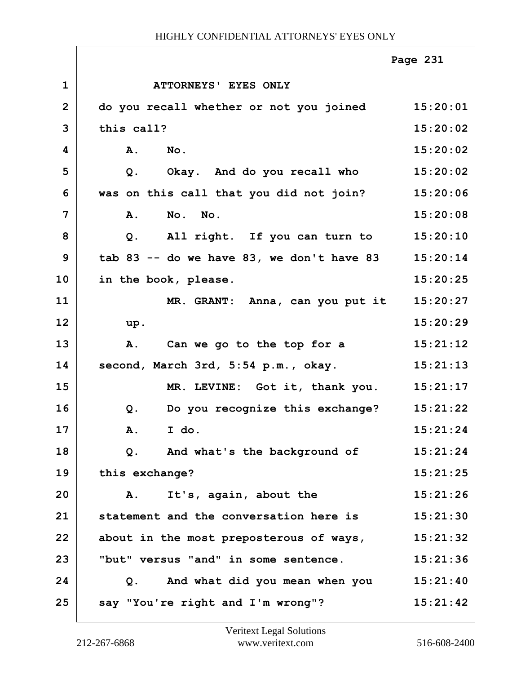|                |                                           | Page 231 |
|----------------|-------------------------------------------|----------|
| $\mathbf{1}$   | ATTORNEYS' EYES ONLY                      |          |
| $\overline{2}$ | do you recall whether or not you joined   | 15:20:01 |
| 3              | this call?                                | 15:20:02 |
| 4              | A.<br>$N$ o.                              | 15:20:02 |
| 5              | Okay. And do you recall who<br>$Q$ .      | 15:20:02 |
| 6              | was on this call that you did not join?   | 15:20:06 |
| 7              | No. No.<br>A.                             | 15:20:08 |
| 8              | All right. If you can turn to<br>Q.       | 15:20:10 |
| 9              | tab 83 -- do we have 83, we don't have 83 | 15:20:14 |
| 10             | in the book, please.                      | 15:20:25 |
| 11             | MR. GRANT: Anna, can you put it           | 15:20:27 |
| 12             | up.                                       | 15:20:29 |
| 13             | Can we go to the top for a<br>Α.          | 15:21:12 |
| 14             | second, March 3rd, 5:54 p.m., okay.       | 15:21:13 |
| 15             | MR. LEVINE: Got it, thank you.            | 15:21:17 |
| 16             | Do you recognize this exchange?<br>Q.     | 15:21:22 |
| 17             | A. I do.                                  | 15:21:24 |
| 18             | And what's the background of<br>Q.        | 15:21:24 |
| 19             | this exchange?                            | 15:21:25 |
| 20             | It's, again, about the<br>A.              | 15:21:26 |
| 21             | statement and the conversation here is    | 15:21:30 |
| 22             | about in the most preposterous of ways,   | 15:21:32 |
| 23             | "but" versus "and" in some sentence.      | 15:21:36 |
| 24             | Q. And what did you mean when you         | 15:21:40 |
| 25             | say "You're right and I'm wrong"?         | 15:21:42 |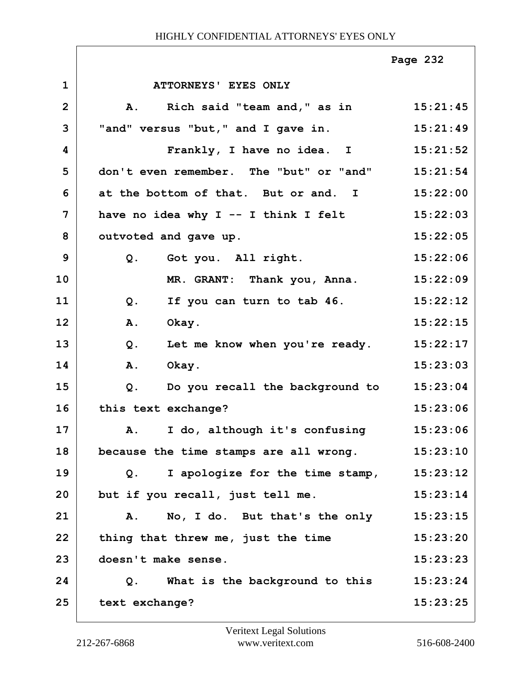|                |                                          | Page 232 |
|----------------|------------------------------------------|----------|
| $\mathbf{1}$   | ATTORNEYS' EYES ONLY                     |          |
| $\mathbf{2}$   | Rich said "team and," as in<br>Α.        | 15:21:45 |
| 3              | "and" versus "but," and I gave in.       | 15:21:49 |
| 4              | Frankly, I have no idea. I               | 15:21:52 |
| 5              | don't even remember. The "but" or "and"  | 15:21:54 |
| 6              | at the bottom of that. But or and. I     | 15:22:00 |
| $\overline{7}$ | have no idea why I -- I think I felt     | 15:22:03 |
| 8              | outvoted and gave up.                    | 15:22:05 |
| 9              | Q. Got you. All right.                   | 15:22:06 |
| 10             | MR. GRANT: Thank you, Anna.              | 15:22:09 |
| 11             | If you can turn to tab 46.<br>$Q$ .      | 15:22:12 |
| 12             | <b>A.</b><br>Okay.                       | 15:22:15 |
| 13             | $Q$ .<br>Let me know when you're ready.  | 15:22:17 |
| 14             | Okay.<br><b>A.</b>                       | 15:23:03 |
| 15             | Do you recall the background to<br>$Q$ . | 15:23:04 |
| 16             | this text exchange?                      | 15:23:06 |
| 17             | A. I do, although it's confusing         | 15:23:06 |
| 18             | because the time stamps are all wrong.   | 15:23:10 |
| 19             | I apologize for the time stamp,<br>Q.    | 15:23:12 |
| 20             | but if you recall, just tell me.         | 15:23:14 |
| 21             | No, I do. But that's the only<br>Α.      | 15:23:15 |
| 22             | thing that threw me, just the time       | 15:23:20 |
| 23             | doesn't make sense.                      | 15:23:23 |
| 24             | What is the background to this<br>Q.     | 15:23:24 |
| 25             | text exchange?                           | 15:23:25 |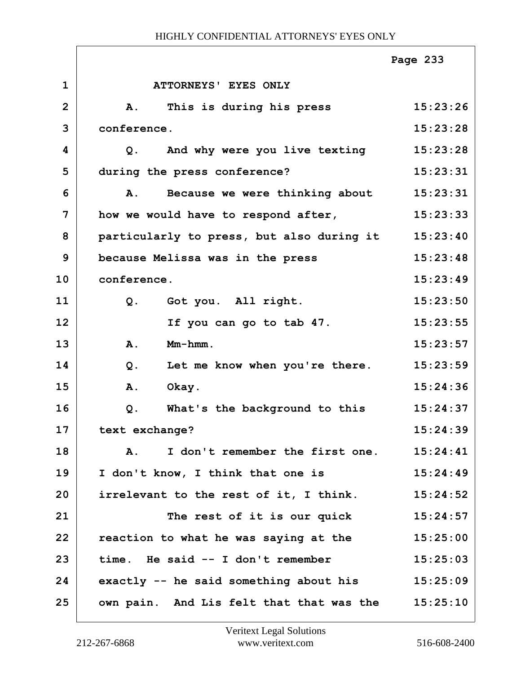|                |                                             | Page 233 |
|----------------|---------------------------------------------|----------|
| $\mathbf{1}$   | ATTORNEYS' EYES ONLY                        |          |
| $\overline{2}$ | This is during his press<br><b>A.</b>       | 15:23:26 |
| 3              | conference.                                 | 15:23:28 |
| 4              | And why were you live texting<br>Q.         | 15:23:28 |
| 5              | during the press conference?                | 15:23:31 |
| 6              | Because we were thinking about<br><b>A.</b> | 15:23:31 |
| 7              | how we would have to respond after,         | 15:23:33 |
| 8              | particularly to press, but also during it   | 15:23:40 |
| 9              | because Melissa was in the press            | 15:23:48 |
| 10             | conference.                                 | 15:23:49 |
| 11             | Got you. All right.<br>Q.                   | 15:23:50 |
| 12             | If you can go to tab 47.                    | 15:23:55 |
| 13             | $Mm-hmm$ .<br>A.                            | 15:23:57 |
| 14             | $Q$ .<br>Let me know when you're there.     | 15:23:59 |
| 15             | Okay.<br>A.                                 | 15:24:36 |
| 16             | What's the background to this<br>$Q$ .      | 15:24:37 |
| 17             | text exchange?                              | 15:24:39 |
| 18             | I don't remember the first one.<br>Α.       | 15:24:41 |
| 19             | I don't know, I think that one is           | 15:24:49 |
| 20             | irrelevant to the rest of it, I think.      | 15:24:52 |
| 21             | The rest of it is our quick                 | 15:24:57 |
| 22             | reaction to what he was saying at the       | 15:25:00 |
| 23             | time. He said -- I don't remember           | 15:25:03 |
| 24             | exactly -- he said something about his      | 15:25:09 |
| 25             | own pain. And Lis felt that that was the    | 15:25:10 |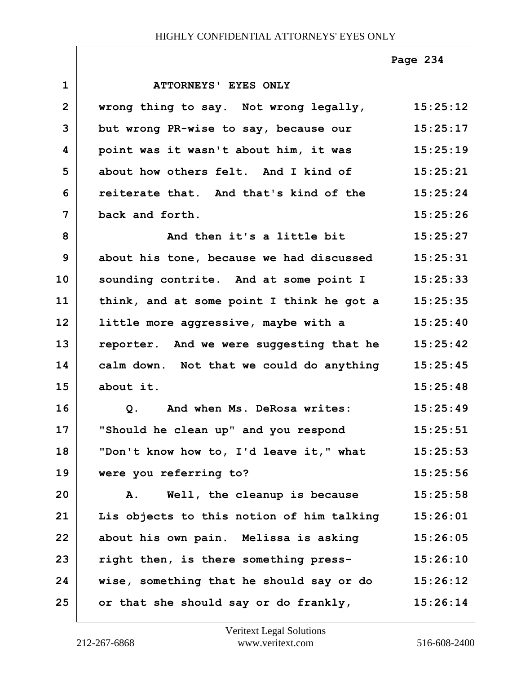|                |                                                    | Page 234 |
|----------------|----------------------------------------------------|----------|
| $\mathbf{1}$   | ATTORNEYS' EYES ONLY                               |          |
| $\overline{2}$ | wrong thing to say. Not wrong legally, 15:25:12    |          |
| 3              | but wrong PR-wise to say, because our              | 15:25:17 |
| 4              | point was it wasn't about him, it was              | 15:25:19 |
| 5              | about how others felt. And I kind of               | 15:25:21 |
| 6              | reiterate that. And that's kind of the 15:25:24    |          |
| $\overline{7}$ | back and forth.                                    | 15:25:26 |
| 8              | And then it's a little bit                         | 15:25:27 |
| 9              | about his tone, because we had discussed           | 15:25:31 |
| 10             | sounding contrite. And at some point I 15:25:33    |          |
| 11             | think, and at some point I think he got a 15:25:35 |          |
| 12             | little more aggressive, maybe with a               | 15:25:40 |
| 13             | reporter. And we were suggesting that he           | 15:25:42 |
| 14             | calm down. Not that we could do anything           | 15:25:45 |
| 15             | about it.                                          | 15:25:48 |
| 16             | Q. And when Ms. DeRosa writes:                     | 15:25:49 |
| 17             | "Should he clean up" and you respond               | 15:25:51 |
| 18             | "Don't know how to, I'd leave it," what            | 15:25:53 |
| 19             | were you referring to?                             | 15:25:56 |
| 20             | A. Well, the cleanup is because                    | 15:25:58 |
| 21             | Lis objects to this notion of him talking          | 15:26:01 |
| 22             | about his own pain. Melissa is asking              | 15:26:05 |
| 23             | right then, is there something press-              | 15:26:10 |
| 24             | wise, something that he should say or do           | 15:26:12 |
| 25             | or that she should say or do frankly,              | 15:26:14 |

 $\sqrt{ }$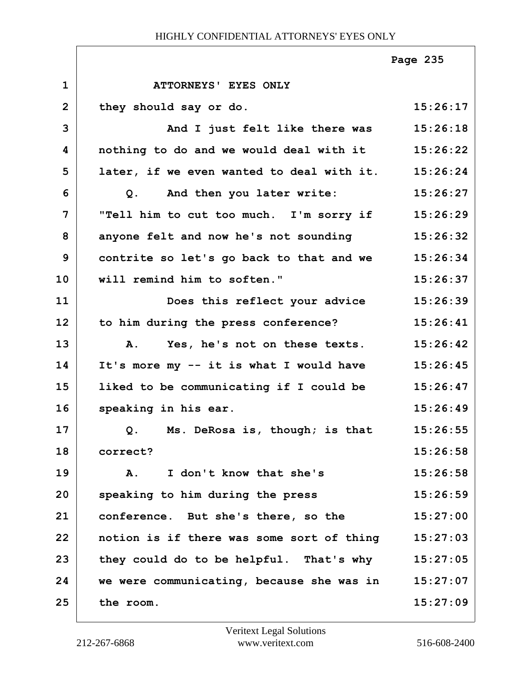|                |                                                    | Page 235 |
|----------------|----------------------------------------------------|----------|
| $\mathbf{1}$   | ATTORNEYS' EYES ONLY                               |          |
| $\overline{2}$ | they should say or do.                             | 15:26:17 |
| 3              | And I just felt like there was                     | 15:26:18 |
| 4              | nothing to do and we would deal with it 15:26:22   |          |
| 5              | later, if we even wanted to deal with it. 15:26:24 |          |
| 6              | And then you later write:<br>Q.                    | 15:26:27 |
| $\overline{7}$ | "Tell him to cut too much. I'm sorry if 15:26:29   |          |
| 8              | anyone felt and now he's not sounding              | 15:26:32 |
| 9              | contrite so let's go back to that and we 15:26:34  |          |
| 10             | will remind him to soften."                        | 15:26:37 |
| 11             | Does this reflect your advice                      | 15:26:39 |
| 12             | to him during the press conference?                | 15:26:41 |
| 13             | Yes, he's not on these texts.<br>A.                | 15:26:42 |
| 14             | It's more my -- it is what I would have            | 15:26:45 |
| 15             | liked to be communicating if I could be 15:26:47   |          |
| 16             | speaking in his ear.                               | 15:26:49 |
| 17             | Q. Ms. DeRosa is, though; is that                  | 15:26:55 |
| 18             | correct?                                           | 15:26:58 |
| 19             | I don't know that she's<br>A.                      | 15:26:58 |
| 20             | speaking to him during the press                   | 15:26:59 |
| 21             | conference. But she's there, so the                | 15:27:00 |
| 22             | notion is if there was some sort of thing          | 15:27:03 |
| 23             | they could do to be helpful. That's why            | 15:27:05 |
| 24             | we were communicating, because she was in          | 15:27:07 |
| 25             | the room.                                          | 15:27:09 |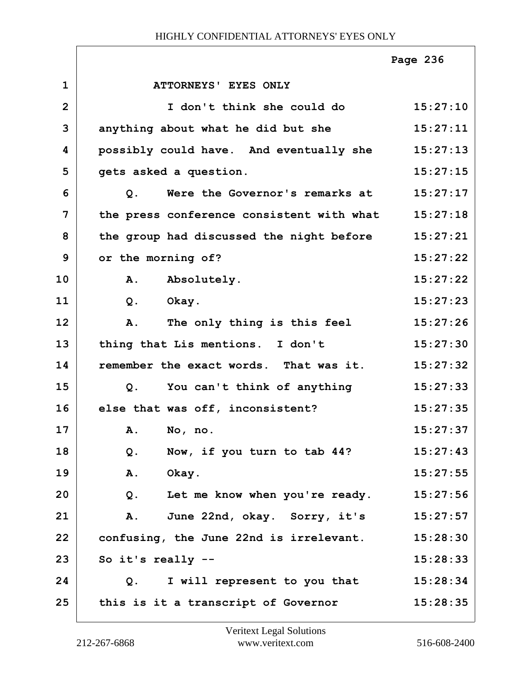|                |                                                  | Page 236 |
|----------------|--------------------------------------------------|----------|
| $\mathbf{1}$   | ATTORNEYS' EYES ONLY                             |          |
| $\overline{2}$ | I don't think she could do                       | 15:27:10 |
| 3              | anything about what he did but she               | 15:27:11 |
| 4              | possibly could have. And eventually she          | 15:27:13 |
| 5              | gets asked a question.                           | 15:27:15 |
| 6              | Were the Governor's remarks at<br>Q <sub>1</sub> | 15:27:17 |
| $\overline{7}$ | the press conference consistent with what        | 15:27:18 |
| 8              | the group had discussed the night before         | 15:27:21 |
| 9              | or the morning of?                               | 15:27:22 |
| 10             | A. Absolutely.                                   | 15:27:22 |
| 11             | Q.<br>Okay.                                      | 15:27:23 |
| 12             | The only thing is this feel<br>Α.                | 15:27:26 |
| 13             | thing that Lis mentions. I don't                 | 15:27:30 |
| 14             | remember the exact words. That was it.           | 15:27:32 |
| 15             | You can't think of anything<br>Q <sub>1</sub>    | 15:27:33 |
| 16             | else that was off, inconsistent?                 | 15:27:35 |
| 17             | A. No, no.                                       | 15:27:37 |
| 18             | Now, if you turn to tab 44?<br>Q.                | 15:27:43 |
| 19             | Okay.<br>Α.                                      | 15:27:55 |
| 20             | $Q$ .<br>Let me know when you're ready.          | 15:27:56 |
| 21             | June 22nd, okay. Sorry, it's<br>Α.               | 15:27:57 |
| 22             | confusing, the June 22nd is irrelevant.          | 15:28:30 |
| 23             | So it's really --                                | 15:28:33 |
| 24             | I will represent to you that<br>Q <sub>z</sub>   | 15:28:34 |
| 25             | this is it a transcript of Governor              | 15:28:35 |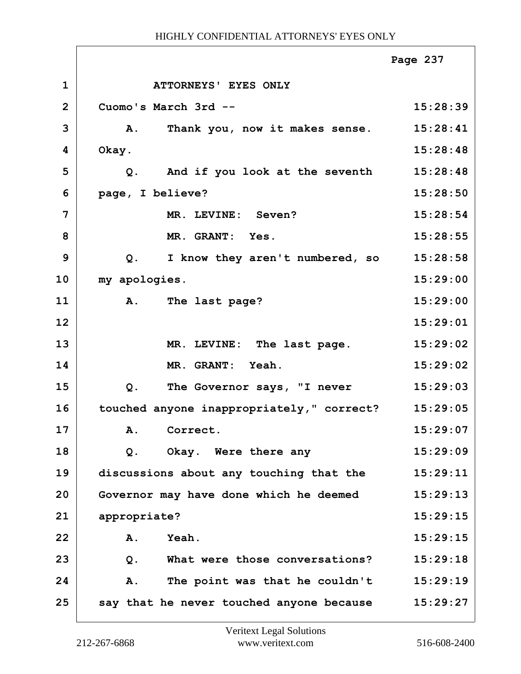**1 ATTORNEYS' EYES ONLY 2 Cuomo's March 3rd -- 15:28:39 3 A. Thank you, now it makes sense. 15:28:41 4 Okay. 15:28:48 5 Q. And if you look at the seventh 15:28:48 6 page, I believe? 15:28:50 7 MR. LEVINE: Seven? 15:28:54 8 MR. GRANT: Yes. 15:28:55 9 Q. I know they aren't numbered, so 15:28:58 10 my apologies. 15:29:00 11 A. The last page? 15:29:00 12 15:29:01 13 MR. LEVINE: The last page. 15:29:02 14 MR. GRANT: Yeah. 15:29:02 15 Q. The Governor says, "I never 15:29:03 16 touched anyone inappropriately," correct? 15:29:05 17 A. Correct. 15:29:07 18 Q. Okay. Were there any 15:29:09 19 discussions about any touching that the 15:29:11 20 Governor may have done which he deemed 15:29:13 21 appropriate? 15:29:15 22 A. Yeah. 15:29:15 23 Q. What were those conversations? 15:29:18 24 A. The point was that he couldn't 15:29:19 25 say that he never touched anyone because 15:29:27 Page 237**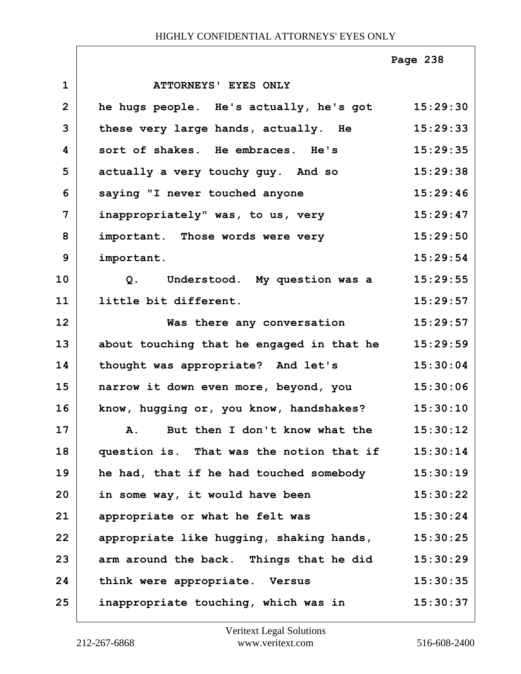|                |                                             | Page 238 |
|----------------|---------------------------------------------|----------|
| $\mathbf{1}$   | ATTORNEYS' EYES ONLY                        |          |
| $\mathbf{2}$   | he hugs people. He's actually, he's got     | 15:29:30 |
| 3              | these very large hands, actually. He        | 15:29:33 |
| 4              | sort of shakes. He embraces. He's           | 15:29:35 |
| 5              | actually a very touchy guy. And so          | 15:29:38 |
| 6              | saying "I never touched anyone              | 15:29:46 |
| $\overline{7}$ | inappropriately" was, to us, very           | 15:29:47 |
| 8              | important. Those words were very            | 15:29:50 |
| 9              | important.                                  | 15:29:54 |
| 10             | Q. Understood. My question was a            | 15:29:55 |
| 11             | little bit different.                       | 15:29:57 |
| 12             | Was there any conversation                  | 15:29:57 |
| 13             | about touching that he engaged in that he   | 15:29:59 |
| 14             | thought was appropriate? And let's          | 15:30:04 |
| 15             | narrow it down even more, beyond, you       | 15:30:06 |
| 16             | know, hugging or, you know, handshakes?     | 15:30:10 |
| 17             | But then I don't know what the<br><b>A.</b> | 15:30:12 |
| 18             | question is. That was the notion that if    | 15:30:14 |
| 19             | he had, that if he had touched somebody     | 15:30:19 |
| 20             | in some way, it would have been             | 15:30:22 |
| 21             | appropriate or what he felt was             | 15:30:24 |
| 22             | appropriate like hugging, shaking hands,    | 15:30:25 |
| 23             | arm around the back. Things that he did     | 15:30:29 |
| 24             | think were appropriate. Versus              | 15:30:35 |
| 25             | inappropriate touching, which was in        | 15:30:37 |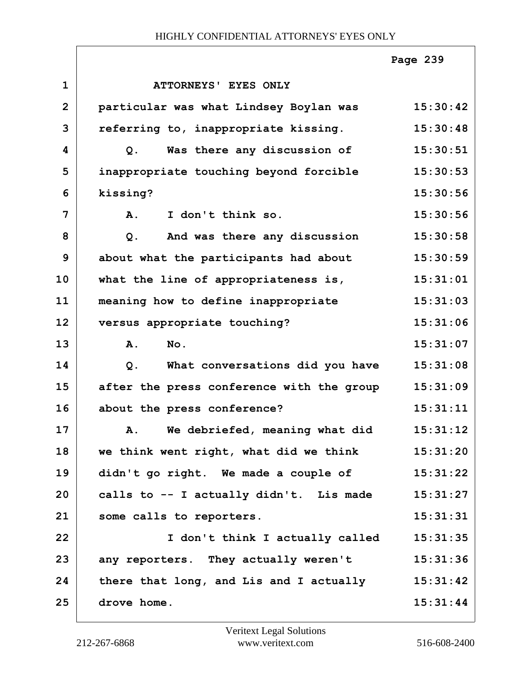|                |                                           | Page 239 |
|----------------|-------------------------------------------|----------|
| $\mathbf{1}$   | ATTORNEYS' EYES ONLY                      |          |
| $\overline{2}$ | particular was what Lindsey Boylan was    | 15:30:42 |
| 3              | referring to, inappropriate kissing.      | 15:30:48 |
| 4              | Was there any discussion of<br>$Q$ .      | 15:30:51 |
| 5              | inappropriate touching beyond forcible    | 15:30:53 |
| 6              | kissing?                                  | 15:30:56 |
| 7              | I don't think so.<br>A.                   | 15:30:56 |
| 8              | And was there any discussion<br>$Q$ .     | 15:30:58 |
| 9              | about what the participants had about     | 15:30:59 |
| 10             | what the line of appropriateness is,      | 15:31:01 |
| 11             | meaning how to define inappropriate       | 15:31:03 |
| 12             | versus appropriate touching?              | 15:31:06 |
| 13             | No.<br>Α.                                 | 15:31:07 |
| 14             | What conversations did you have<br>$Q$ .  | 15:31:08 |
| 15             | after the press conference with the group | 15:31:09 |
| 16             | about the press conference?               | 15:31:11 |
| 17             | A. We debriefed, meaning what did         | 15:31:12 |
| 18             | we think went right, what did we think    | 15:31:20 |
| 19             | didn't go right. We made a couple of      | 15:31:22 |
| 20             | calls to -- I actually didn't. Lis made   | 15:31:27 |
| 21             | some calls to reporters.                  | 15:31:31 |
| 22             | I don't think I actually called           | 15:31:35 |
| 23             | any reporters. They actually weren't      | 15:31:36 |
| 24             | there that long, and Lis and I actually   | 15:31:42 |
| 25             | drove home.                               | 15:31:44 |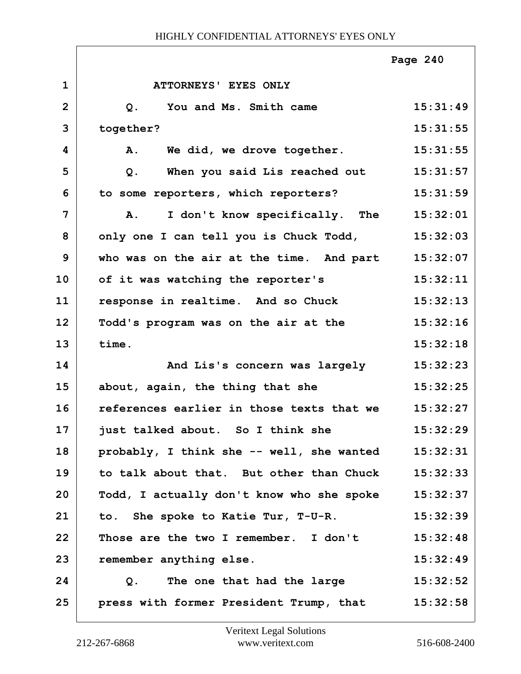|                |                                             | Page 240 |
|----------------|---------------------------------------------|----------|
| $\mathbf 1$    | ATTORNEYS' EYES ONLY                        |          |
| $\overline{2}$ | You and Ms. Smith came<br>Q <sub>1</sub>    | 15:31:49 |
| 3              | together?                                   | 15:31:55 |
| 4              | We did, we drove together.<br>Α.            | 15:31:55 |
| 5              | When you said Lis reached out<br>Q.         | 15:31:57 |
| 6              | to some reporters, which reporters?         | 15:31:59 |
| $\overline{7}$ | I don't know specifically. The<br><b>A.</b> | 15:32:01 |
| 8              | only one I can tell you is Chuck Todd,      | 15:32:03 |
| 9              | who was on the air at the time. And part    | 15:32:07 |
| 10             | of it was watching the reporter's           | 15:32:11 |
| 11             | response in realtime. And so Chuck          | 15:32:13 |
| 12             | Todd's program was on the air at the        | 15:32:16 |
| 13             | time.                                       | 15:32:18 |
| 14             | And Lis's concern was largely               | 15:32:23 |
| 15             | about, again, the thing that she            | 15:32:25 |
| 16             | references earlier in those texts that we   | 15:32:27 |
| 17             | just talked about. So I think she           | 15:32:29 |
| 18             | probably, I think she -- well, she wanted   | 15:32:31 |
| 19             | to talk about that. But other than Chuck    | 15:32:33 |
| 20             | Todd, I actually don't know who she spoke   | 15:32:37 |
| 21             | to. She spoke to Katie Tur, T-U-R.          | 15:32:39 |
| 22             | Those are the two I remember. I don't       | 15:32:48 |
| 23             | remember anything else.                     | 15:32:49 |
| 24             | Q. The one that had the large               | 15:32:52 |
| 25             | press with former President Trump, that     | 15:32:58 |

 $\Gamma$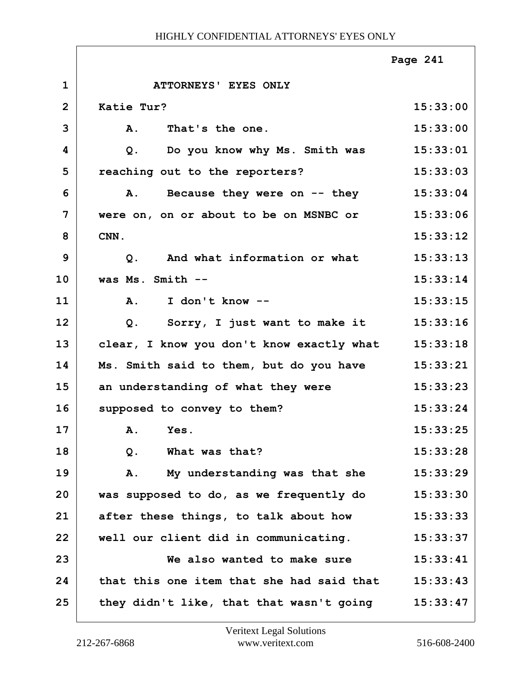|              |                                           | Page 241 |
|--------------|-------------------------------------------|----------|
| $\mathbf{1}$ | ATTORNEYS' EYES ONLY                      |          |
| $\mathbf{2}$ | Katie Tur?                                | 15:33:00 |
| 3            | That's the one.<br>Α.                     | 15:33:00 |
| 4            | Do you know why Ms. Smith was<br>Q.       | 15:33:01 |
| 5            | reaching out to the reporters?            | 15:33:03 |
| 6            | Because they were on -- they<br>Α.        | 15:33:04 |
| 7            | were on, on or about to be on MSNBC or    | 15:33:06 |
| 8            | CNN.                                      | 15:33:12 |
| 9            | And what information or what<br>Q.        | 15:33:13 |
| 10           | was Ms. Smith --                          | 15:33:14 |
| 11           | I don't know --<br><b>A.</b>              | 15:33:15 |
| 12           | Sorry, I just want to make it<br>Q.       | 15:33:16 |
| 13           | clear, I know you don't know exactly what | 15:33:18 |
| 14           | Ms. Smith said to them, but do you have   | 15:33:21 |
| 15           | an understanding of what they were        | 15:33:23 |
| 16           | supposed to convey to them?               | 15:33:24 |
| 17           | A. Yes.                                   | 15:33:25 |
| 18           | What was that?<br>$Q$ .                   | 15:33:28 |
| 19           | My understanding was that she<br>Α.       | 15:33:29 |
| 20           | was supposed to do, as we frequently do   | 15:33:30 |
| 21           | after these things, to talk about how     | 15:33:33 |
| 22           | well our client did in communicating.     | 15:33:37 |
| 23           | We also wanted to make sure               | 15:33:41 |
| 24           | that this one item that she had said that | 15:33:43 |
| 25           | they didn't like, that that wasn't going  | 15:33:47 |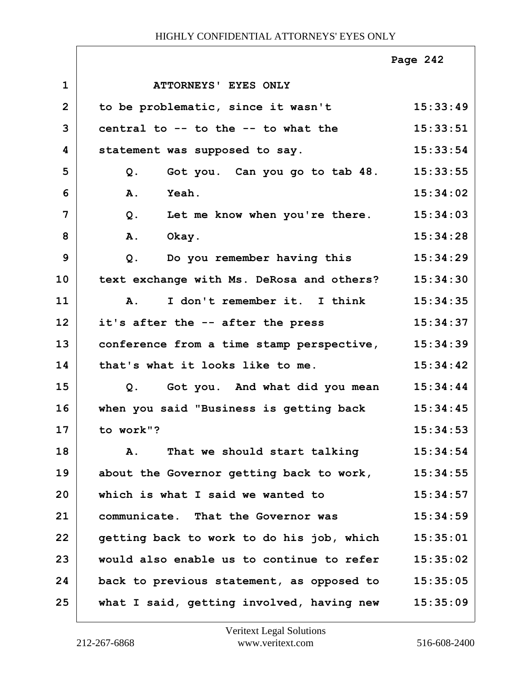|                |                                               | Page 242 |
|----------------|-----------------------------------------------|----------|
| $\mathbf{1}$   | ATTORNEYS' EYES ONLY                          |          |
| $\overline{2}$ | to be problematic, since it wasn't            | 15:33:49 |
| 3              | central to -- to the -- to what the           | 15:33:51 |
| 4              | statement was supposed to say.                | 15:33:54 |
| 5              | Got you. Can you go to tab 48. 15:33:55<br>Q. |          |
| 6              | <b>Yeah.</b><br><b>A.</b>                     | 15:34:02 |
| $\overline{7}$ | Let me know when you're there.<br>$Q$ .       | 15:34:03 |
| 8              | <b>A.</b><br>Okay.                            | 15:34:28 |
| 9              | Do you remember having this<br>$Q$ .          | 15:34:29 |
| 10             | text exchange with Ms. DeRosa and others?     | 15:34:30 |
| 11             | I don't remember it. I think<br><b>A.</b>     | 15:34:35 |
| 12             | it's after the -- after the press             | 15:34:37 |
| 13             | conference from a time stamp perspective,     | 15:34:39 |
| 14             | that's what it looks like to me.              | 15:34:42 |
| 15             | Got you. And what did you mean<br>Q.          | 15:34:44 |
| 16             | when you said "Business is getting back       | 15:34:45 |
| 17             | to work"?                                     | 15:34:53 |
| 18             | That we should start talking<br>Α.            | 15:34:54 |
| 19             | about the Governor getting back to work,      | 15:34:55 |
| 20             | which is what I said we wanted to             | 15:34:57 |
| 21             | communicate. That the Governor was            | 15:34:59 |
| 22             | getting back to work to do his job, which     | 15:35:01 |
| 23             | would also enable us to continue to refer     | 15:35:02 |
| 24             | back to previous statement, as opposed to     | 15:35:05 |
| 25             | what I said, getting involved, having new     | 15:35:09 |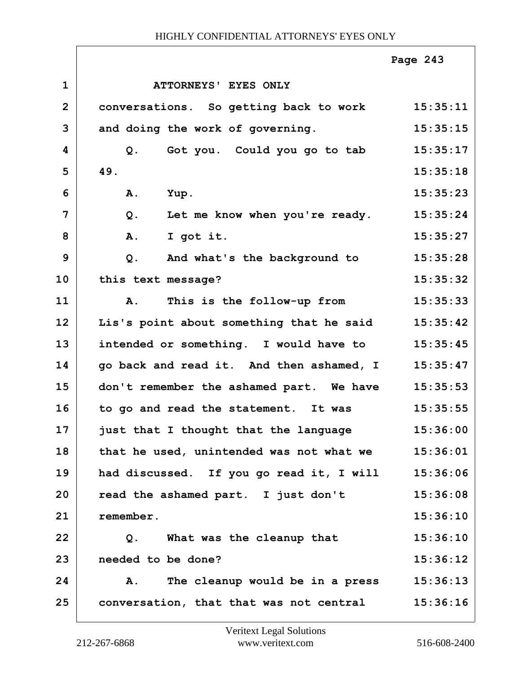|                |                                             | Page 243 |
|----------------|---------------------------------------------|----------|
| $\mathbf{1}$   | ATTORNEYS' EYES ONLY                        |          |
| $\overline{2}$ | conversations. So getting back to work      | 15:35:11 |
| 3              | and doing the work of governing.            | 15:35:15 |
| 4              | Got you. Could you go to tab 15:35:17<br>Q. |          |
| 5              | 49.                                         | 15:35:18 |
| 6              | Yup.<br><b>A.</b>                           | 15:35:23 |
| $\overline{7}$ | Let me know when you're ready.<br>$Q$ .     | 15:35:24 |
| 8              | A.<br>I got it.                             | 15:35:27 |
| 9              | And what's the background to<br>$Q$ .       | 15:35:28 |
| 10             | this text message?                          | 15:35:32 |
| 11             | This is the follow-up from<br><b>A.</b>     | 15:35:33 |
| 12             | Lis's point about something that he said    | 15:35:42 |
| 13             | intended or something. I would have to      | 15:35:45 |
| 14             | go back and read it. And then ashamed, I    | 15:35:47 |
| 15             | don't remember the ashamed part. We have    | 15:35:53 |
| 16             | to go and read the statement. It was        | 15:35:55 |
| 17             | just that I thought that the language       | 15:36:00 |
| 18             | that he used, unintended was not what we    | 15:36:01 |
| 19             | had discussed. If you go read it, I will    | 15:36:06 |
| 20             | read the ashamed part. I just don't         | 15:36:08 |
| 21             | remember.                                   | 15:36:10 |
| 22             | Q.<br>What was the cleanup that             | 15:36:10 |
| 23             | needed to be done?                          | 15:36:12 |
| 24             | The cleanup would be in a press<br>Α.       | 15:36:13 |
| 25             | conversation, that that was not central     | 15:36:16 |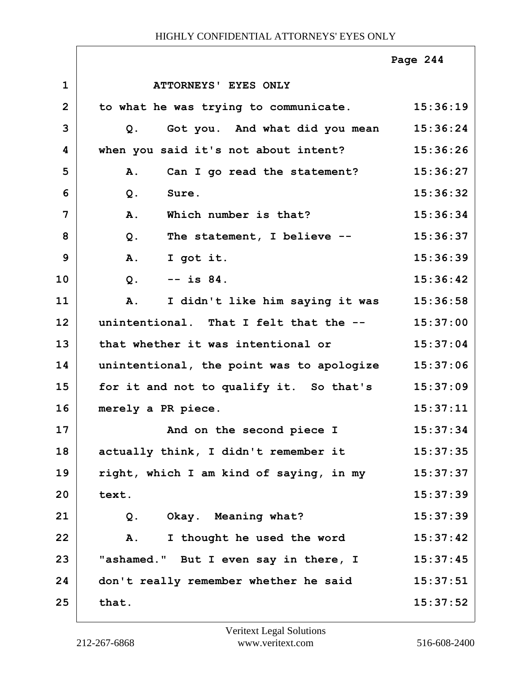|                |                                                | Page 244 |
|----------------|------------------------------------------------|----------|
| $\mathbf{1}$   | ATTORNEYS' EYES ONLY                           |          |
| $\overline{2}$ | to what he was trying to communicate. 15:36:19 |          |
| 3              | Got you. And what did you mean<br>Q.           | 15:36:24 |
| 4              | when you said it's not about intent?           | 15:36:26 |
| 5              | Can I go read the statement?<br>A.             | 15:36:27 |
| 6              | Q.<br>Sure.                                    | 15:36:32 |
| 7              | Which number is that?<br>A.                    | 15:36:34 |
| 8              | The statement, I believe --<br>$Q$ .           | 15:36:37 |
| 9              | <b>A.</b><br>I got it.                         | 15:36:39 |
| 10             | $--$ is $84.$<br>$Q$ .                         | 15:36:42 |
| 11             | I didn't like him saying it was<br>Α.          | 15:36:58 |
| 12             | unintentional. That I felt that the --         | 15:37:00 |
| 13             | that whether it was intentional or             | 15:37:04 |
| 14             | unintentional, the point was to apologize      | 15:37:06 |
| 15             | for it and not to qualify it. So that's        | 15:37:09 |
| 16             | merely a PR piece.                             | 15:37:11 |
| 17             | And on the second piece I                      | 15:37:34 |
| 18             | actually think, I didn't remember it           | 15:37:35 |
| 19             | right, which I am kind of saying, in my        | 15:37:37 |
| 20             | text.                                          | 15:37:39 |
| 21             | Okay. Meaning what?<br>$Q$ .                   | 15:37:39 |
| 22             | I thought he used the word<br>Α.               | 15:37:42 |
| 23             | "ashamed." But I even say in there, I          | 15:37:45 |
| 24             | don't really remember whether he said          | 15:37:51 |
| 25             | that.                                          | 15:37:52 |
|                |                                                |          |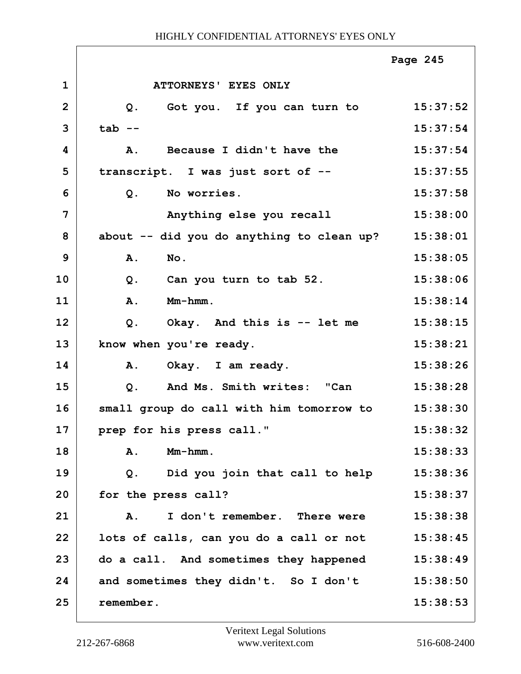|                |                                           | Page 245 |
|----------------|-------------------------------------------|----------|
| $\mathbf{1}$   | ATTORNEYS' EYES ONLY                      |          |
| $\overline{2}$ | Got you. If you can turn to<br>Q.         | 15:37:52 |
| 3              | $tab --$                                  | 15:37:54 |
| 4              | Because I didn't have the<br><b>A.</b>    | 15:37:54 |
| 5              | transcript. I was just sort of --         | 15:37:55 |
| 6              | No worries.<br>$Q$ .                      | 15:37:58 |
| 7              | Anything else you recall                  | 15:38:00 |
| 8              | about -- did you do anything to clean up? | 15:38:01 |
| 9              | A.<br>No.                                 | 15:38:05 |
| 10             | Can you turn to tab 52.<br>Q.             | 15:38:06 |
| 11             | Mm-hmm.<br>A.                             | 15:38:14 |
| 12             | Okay. And this is -- let me<br>Q.         | 15:38:15 |
| 13             | know when you're ready.                   | 15:38:21 |
| 14             | Okay. I am ready.<br>Α.                   | 15:38:26 |
| 15             | And Ms. Smith writes: "Can<br>Q.          | 15:38:28 |
| 16             | small group do call with him tomorrow to  | 15:38:30 |
| 17             | prep for his press call."                 | 15:38:32 |
| 18             | Mm-hmm.<br>Α.                             | 15:38:33 |
| 19             | Q. Did you join that call to help         | 15:38:36 |
| 20             | for the press call?                       | 15:38:37 |
| 21             | I don't remember. There were<br>Α.        | 15:38:38 |
| 22             | lots of calls, can you do a call or not   | 15:38:45 |
| 23             | do a call. And sometimes they happened    | 15:38:49 |
| 24             | and sometimes they didn't. So I don't     | 15:38:50 |
| 25             | remember.                                 | 15:38:53 |

 $\overline{1}$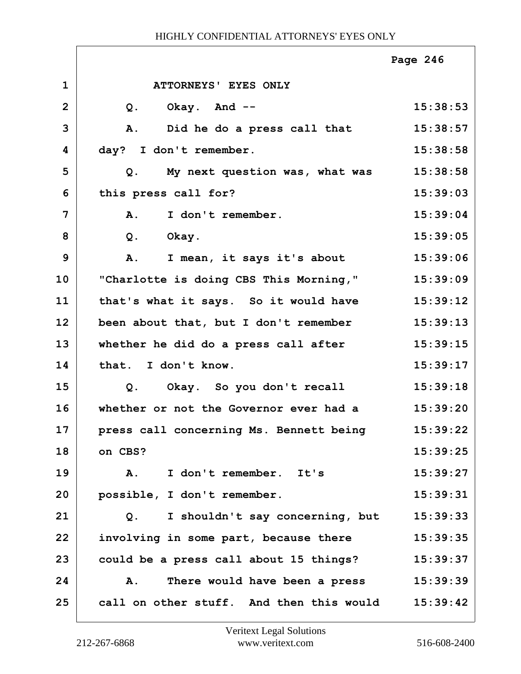|                |                                                   | Page 246 |
|----------------|---------------------------------------------------|----------|
| $\mathbf 1$    | ATTORNEYS' EYES ONLY                              |          |
| $\overline{2}$ | Okay. And --<br>$Q$ .                             | 15:38:53 |
| 3              | Did he do a press call that<br>A.                 | 15:38:57 |
| 4              | day? I don't remember.                            | 15:38:58 |
| 5              | My next question was, what was<br>Q.              | 15:38:58 |
| 6              | this press call for?                              | 15:39:03 |
| 7              | A.<br>I don't remember.                           | 15:39:04 |
| 8              | $Q$ .<br>Okay.                                    | 15:39:05 |
| 9              | A.<br>I mean, it says it's about                  | 15:39:06 |
| 10             | "Charlotte is doing CBS This Morning,"            | 15:39:09 |
| 11             | that's what it says. So it would have             | 15:39:12 |
| 12             | been about that, but I don't remember             | 15:39:13 |
| 13             | whether he did do a press call after              | 15:39:15 |
| 14             | that. I don't know.                               | 15:39:17 |
| 15             | Okay. So you don't recall<br>$Q$ .                | 15:39:18 |
| 16             | whether or not the Governor ever had a            | 15:39:20 |
| 17             | press call concerning Ms. Bennett being           | 15:39:22 |
| 18             | on CBS?                                           | 15:39:25 |
| 19             | I don't remember. It's<br>Α.                      | 15:39:27 |
| 20             | possible, I don't remember.                       | 15:39:31 |
| 21             | I shouldn't say concerning, but<br>$Q$ .          | 15:39:33 |
| 22             | involving in some part, because there             | 15:39:35 |
| 23             | could be a press call about 15 things?            | 15:39:37 |
| 24             | There would have been a press<br>Α.               | 15:39:39 |
| 25             | call on other stuff. And then this would 15:39:42 |          |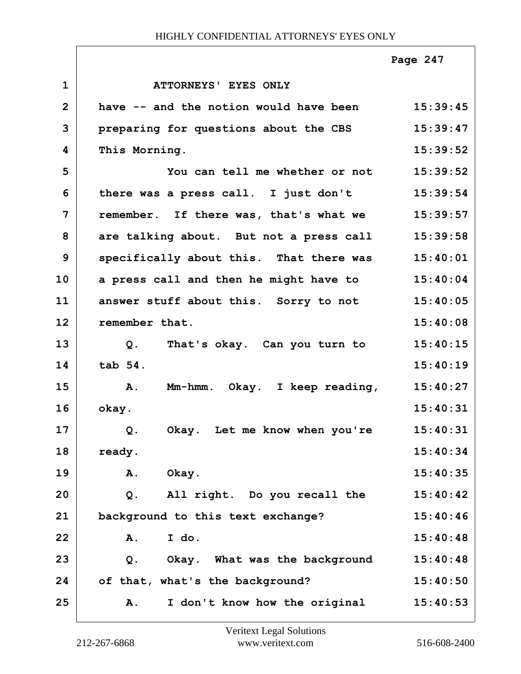|                |                                         | Page 247 |
|----------------|-----------------------------------------|----------|
| $\mathbf{1}$   | <b>ATTORNEYS' EYES ONLY</b>             |          |
| $\overline{2}$ | have -- and the notion would have been  | 15:39:45 |
| 3              | preparing for questions about the CBS   | 15:39:47 |
| 4              | This Morning.                           | 15:39:52 |
| 5              | You can tell me whether or not          | 15:39:52 |
| 6              | there was a press call. I just don't    | 15:39:54 |
| 7              | remember. If there was, that's what we  | 15:39:57 |
| 8              | are talking about. But not a press call | 15:39:58 |
| 9              | specifically about this. That there was | 15:40:01 |
| 10             | a press call and then he might have to  | 15:40:04 |
| 11             | answer stuff about this. Sorry to not   | 15:40:05 |
| 12             | remember that.                          | 15:40:08 |
| 13             | That's okay. Can you turn to<br>Q.      | 15:40:15 |
| 14             | tab 54.                                 | 15:40:19 |
| 15             | Α.<br>Mm-hmm. Okay. I keep reading,     | 15:40:27 |
| 16             | okay.                                   | 15:40:31 |
| 17             | Okay. Let me know when you're<br>Q.     | 15:40:31 |
| 18             | ready.                                  | 15:40:34 |
| 19             | Okay.<br>Α.                             | 15:40:35 |
| 20             | All right. Do you recall the<br>$Q$ .   | 15:40:42 |
| 21             | background to this text exchange?       | 15:40:46 |
| 22             | I do.<br>A.                             | 15:40:48 |
| 23             | Okay. What was the background<br>$Q$ .  | 15:40:48 |
| 24             | of that, what's the background?         | 15:40:50 |
| 25             | I don't know how the original<br>A.     | 15:40:53 |

 $\sqrt{ }$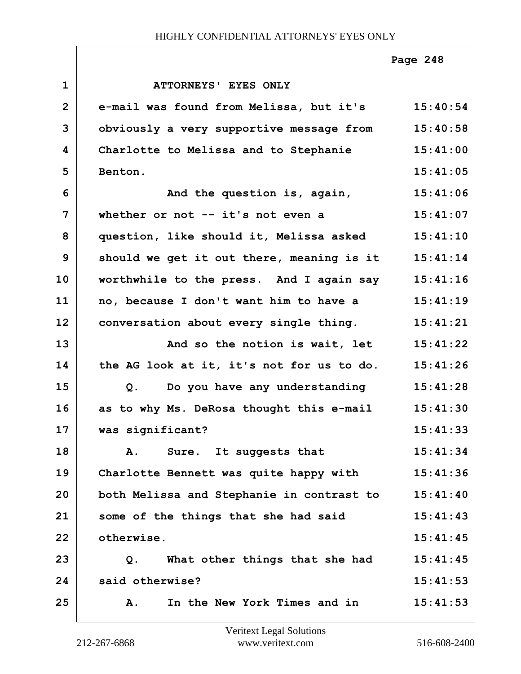|                |                                                   | Page 248 |
|----------------|---------------------------------------------------|----------|
| $\mathbf{1}$   | <b>ATTORNEYS' EYES ONLY</b>                       |          |
| $\overline{2}$ | e-mail was found from Melissa, but it's 15:40:54  |          |
| 3              | obviously a very supportive message from 15:40:58 |          |
| 4              | Charlotte to Melissa and to Stephanie             | 15:41:00 |
| 5              | Benton.                                           | 15:41:05 |
| 6              | And the question is, again,                       | 15:41:06 |
| $\overline{7}$ | whether or not $-$ it's not even a                | 15:41:07 |
| 8              | question, like should it, Melissa asked 15:41:10  |          |
| 9              | should we get it out there, meaning is it         | 15:41:14 |
| 10             | worthwhile to the press. And I again say          | 15:41:16 |
| 11             | no, because I don't want him to have a            | 15:41:19 |
| 12             | conversation about every single thing.            | 15:41:21 |
| 13             | And so the notion is wait, let                    | 15:41:22 |
| 14             | the AG look at it, it's not for us to do.         | 15:41:26 |
| 15             | Do you have any understanding<br>Q.               | 15:41:28 |
| 16             | as to why Ms. DeRosa thought this e-mail          | 15:41:30 |
| 17             | was significant?                                  | 15:41:33 |
| 18             | Sure. It suggests that<br>Α.                      | 15:41:34 |
| 19             | Charlotte Bennett was quite happy with            | 15:41:36 |
| 20             | both Melissa and Stephanie in contrast to         | 15:41:40 |
| 21             | some of the things that she had said              | 15:41:43 |
| 22             | otherwise.                                        | 15:41:45 |
| 23             | What other things that she had<br>Q.              | 15:41:45 |
| 24             | said otherwise?                                   | 15:41:53 |
| 25             | In the New York Times and in<br><b>A.</b>         | 15:41:53 |

 $\lceil$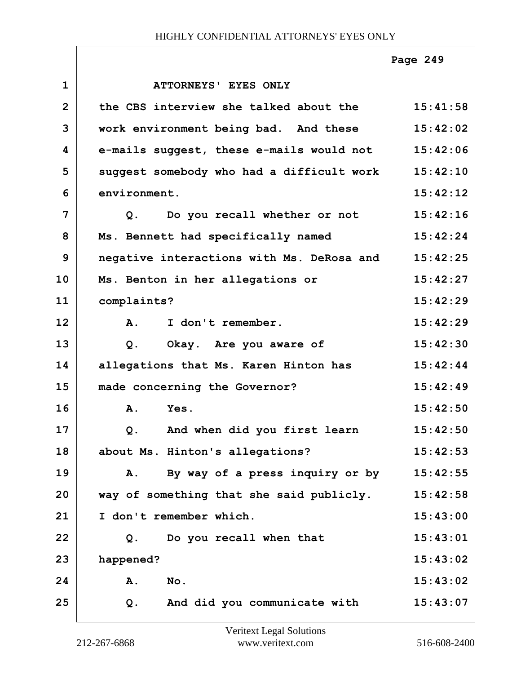|                |                                           | Page 249 |
|----------------|-------------------------------------------|----------|
| $\mathbf{1}$   | ATTORNEYS' EYES ONLY                      |          |
| $\overline{2}$ | the CBS interview she talked about the    | 15:41:58 |
| 3              | work environment being bad. And these     | 15:42:02 |
| 4              | e-mails suggest, these e-mails would not  | 15:42:06 |
| 5              | suggest somebody who had a difficult work | 15:42:10 |
| 6              | environment.                              | 15:42:12 |
| 7              | Q. Do you recall whether or not           | 15:42:16 |
| 8              | Ms. Bennett had specifically named        | 15:42:24 |
| 9              | negative interactions with Ms. DeRosa and | 15:42:25 |
| 10             | Ms. Benton in her allegations or          | 15:42:27 |
| 11             | complaints?                               | 15:42:29 |
| 12             | I don't remember.<br>A.                   | 15:42:29 |
| 13             | Okay. Are you aware of<br>Q.              | 15:42:30 |
| 14             | allegations that Ms. Karen Hinton has     | 15:42:44 |
| 15             | made concerning the Governor?             | 15:42:49 |
| 16             | Α.<br>Yes.                                | 15:42:50 |
| 17             | And when did you first learn<br>Q.        | 15:42:50 |
| 18             | about Ms. Hinton's allegations?           | 15:42:53 |
| 19             | By way of a press inquiry or by<br>A.     | 15:42:55 |
| 20             | way of something that she said publicly.  | 15:42:58 |
| 21             | I don't remember which.                   | 15:43:00 |
| 22             | Do you recall when that<br>Q.             | 15:43:01 |
| 23             | happened?                                 | 15:43:02 |
| 24             | A.<br>No.                                 | 15:43:02 |
| 25             | And did you communicate with<br>$Q$ .     | 15:43:07 |

Г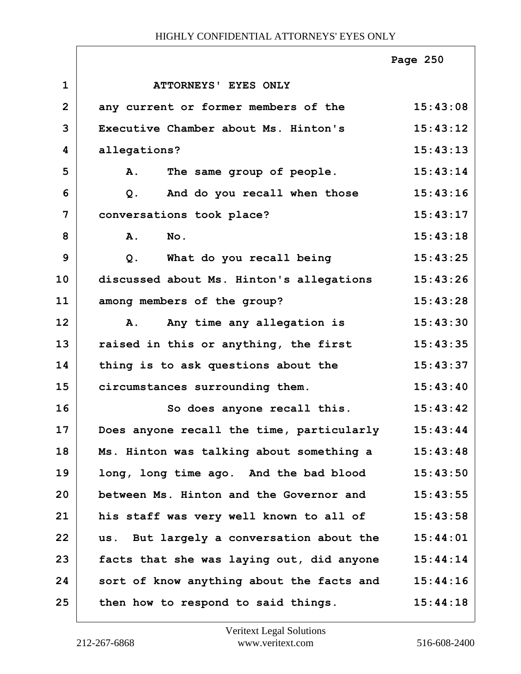|                |                                           | Page 250 |
|----------------|-------------------------------------------|----------|
| $\mathbf{1}$   | ATTORNEYS' EYES ONLY                      |          |
| $\overline{2}$ | any current or former members of the      | 15:43:08 |
| 3              | Executive Chamber about Ms. Hinton's      | 15:43:12 |
| 4              | allegations?                              | 15:43:13 |
| 5              | The same group of people.<br><b>A.</b>    | 15:43:14 |
| 6              | And do you recall when those<br>$Q$ .     | 15:43:16 |
| 7              | conversations took place?                 | 15:43:17 |
| 8              | A.<br>No.                                 | 15:43:18 |
| 9              | What do you recall being<br>$Q$ .         | 15:43:25 |
| 10             | discussed about Ms. Hinton's allegations  | 15:43:26 |
| 11             | among members of the group?               | 15:43:28 |
| 12             | Any time any allegation is<br><b>A.</b>   | 15:43:30 |
| 13             | raised in this or anything, the first     | 15:43:35 |
| 14             | thing is to ask questions about the       | 15:43:37 |
| 15             | circumstances surrounding them.           | 15:43:40 |
| 16             | So does anyone recall this.               | 15:43:42 |
| 17             | Does anyone recall the time, particularly | 15:43:44 |
| 18             | Ms. Hinton was talking about something a  | 15:43:48 |
| 19             | long, long time ago. And the bad blood    | 15:43:50 |
| 20             | between Ms. Hinton and the Governor and   | 15:43:55 |
| 21             | his staff was very well known to all of   | 15:43:58 |
| 22             | us. But largely a conversation about the  | 15:44:01 |
| 23             | facts that she was laying out, did anyone | 15:44:14 |
| 24             | sort of know anything about the facts and | 15:44:16 |
| 25             | then how to respond to said things.       | 15:44:18 |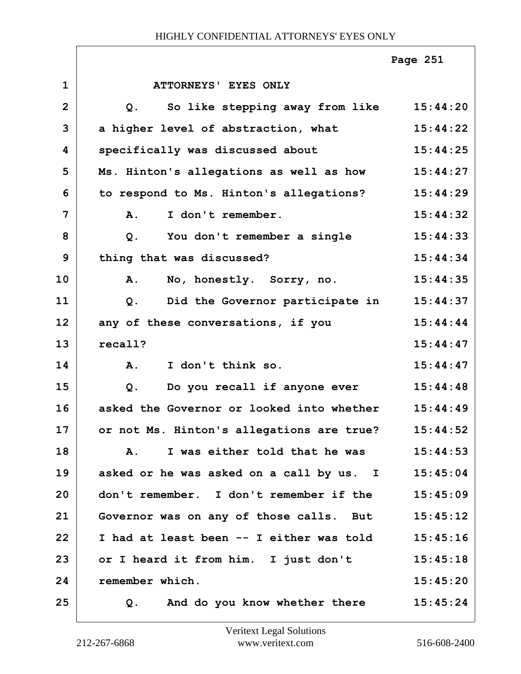|                |                                                   | Page 251 |
|----------------|---------------------------------------------------|----------|
| $\mathbf{1}$   | <b>ATTORNEYS' EYES ONLY</b>                       |          |
| $\overline{2}$ | So like stepping away from like 15:44:20<br>$Q$ . |          |
| 3              | a higher level of abstraction, what               | 15:44:22 |
| 4              | specifically was discussed about                  | 15:44:25 |
| 5              | Ms. Hinton's allegations as well as how           | 15:44:27 |
| 6              | to respond to Ms. Hinton's allegations?           | 15:44:29 |
| 7              | I don't remember.<br>A.                           | 15:44:32 |
| 8              | Q. You don't remember a single                    | 15:44:33 |
| 9              | thing that was discussed?                         | 15:44:34 |
| 10             | No, honestly. Sorry, no.<br>A.                    | 15:44:35 |
| 11             | Did the Governor participate in<br>$Q$ .          | 15:44:37 |
| 12             | any of these conversations, if you                | 15:44:44 |
| 13             | recall?                                           | 15:44:47 |
| 14             | I don't think so.<br>$\mathbf{A}$ .               | 15:44:47 |
| 15             | $Q$ .<br>Do you recall if anyone ever             | 15:44:48 |
| 16             | asked the Governor or looked into whether         | 15:44:49 |
| 17             | or not Ms. Hinton's allegations are true?         | 15:44:52 |
| 18             | I was either told that he was<br>Α.               | 15:44:53 |
| 19             | asked or he was asked on a call by us. I 15:45:04 |          |
| 20             | don't remember. I don't remember if the           | 15:45:09 |
| 21             | Governor was on any of those calls. But           | 15:45:12 |
| 22             | I had at least been -- I either was told          | 15:45:16 |
| 23             | or I heard it from him. I just don't              | 15:45:18 |
| 24             | remember which.                                   | 15:45:20 |
| 25             | And do you know whether there<br>Q.               | 15:45:24 |

Г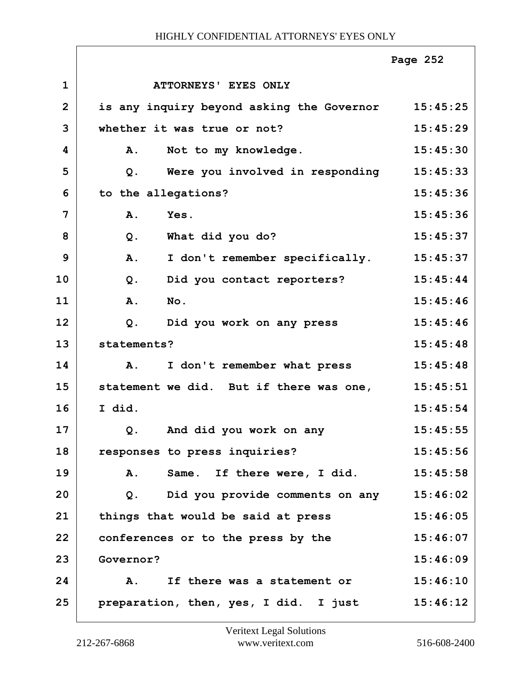|                |                                           | Page 252 |
|----------------|-------------------------------------------|----------|
| $\mathbf{1}$   | ATTORNEYS' EYES ONLY                      |          |
| $\overline{2}$ | is any inquiry beyond asking the Governor | 15:45:25 |
| 3              | whether it was true or not?               | 15:45:29 |
| 4              | A.<br>Not to my knowledge.                | 15:45:30 |
| 5              | Were you involved in responding<br>$Q$ .  | 15:45:33 |
| 6              | to the allegations?                       | 15:45:36 |
| 7              | Yes.<br>A.                                | 15:45:36 |
| 8              | What did you do?<br>$Q$ .                 | 15:45:37 |
| 9              | A.<br>I don't remember specifically.      | 15:45:37 |
| 10             | Did you contact reporters?<br>Q.          | 15:45:44 |
| 11             | A.<br>No.                                 | 15:45:46 |
| 12             | $Q$ .<br>Did you work on any press        | 15:45:46 |
| 13             | statements?                               | 15:45:48 |
| 14             | I don't remember what press<br>A.         | 15:45:48 |
| 15             | statement we did. But if there was one,   | 15:45:51 |
| 16             | I did.                                    | 15:45:54 |
| 17             | And did you work on any<br>Q.             | 15:45:55 |
| 18             | responses to press inquiries?             | 15:45:56 |
| 19             | Same. If there were, I did.<br>A.         | 15:45:58 |
| 20             | Q. Did you provide comments on any        | 15:46:02 |
| 21             | things that would be said at press        | 15:46:05 |
| 22             | conferences or to the press by the        | 15:46:07 |
| 23             | Governor?                                 | 15:46:09 |
| 24             | If there was a statement or<br>Α.         | 15:46:10 |
| 25             | preparation, then, yes, I did. I just     | 15:46:12 |

ı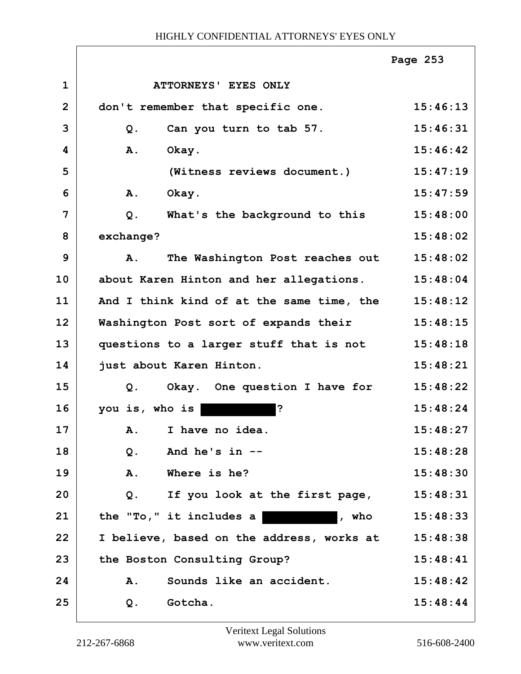|                |                                           | Page 253 |
|----------------|-------------------------------------------|----------|
| $\mathbf 1$    | ATTORNEYS' EYES ONLY                      |          |
| $\overline{2}$ | don't remember that specific one.         | 15:46:13 |
| 3              | Can you turn to tab 57.<br>$Q$ .          | 15:46:31 |
| 4              | A.<br>Okay.                               | 15:46:42 |
| 5              | (Witness reviews document.)               | 15:47:19 |
| 6              | Okay.<br>A.                               | 15:47:59 |
| 7              | $Q$ .<br>What's the background to this    | 15:48:00 |
| 8              | exchange?                                 | 15:48:02 |
| 9              | The Washington Post reaches out<br>A.     | 15:48:02 |
| 10             | about Karen Hinton and her allegations.   | 15:48:04 |
| 11             | And I think kind of at the same time, the | 15:48:12 |
| 12             | Washington Post sort of expands their     | 15:48:15 |
| 13             | questions to a larger stuff that is not   | 15:48:18 |
| 14             | just about Karen Hinton.                  | 15:48:21 |
| 15             | Okay. One question I have for<br>$Q$ .    | 15:48:22 |
| 16             | you is, who is<br>?                       | 15:48:24 |
| 17             | A. I have no idea.                        | 15:48:27 |
| 18             | And he's $in$ --<br>Q.                    | 15:48:28 |
| 19             | Where is he?<br>A.                        | 15:48:30 |
| 20             | If you look at the first page,<br>Q.      | 15:48:31 |
| 21             | the $"To,"$ it includes a<br>, who        | 15:48:33 |
| 22             | I believe, based on the address, works at | 15:48:38 |
| 23             | the Boston Consulting Group?              | 15:48:41 |
| 24             | Sounds like an accident.<br>Α.            | 15:48:42 |
| 25             | Gotcha.<br>Q.                             | 15:48:44 |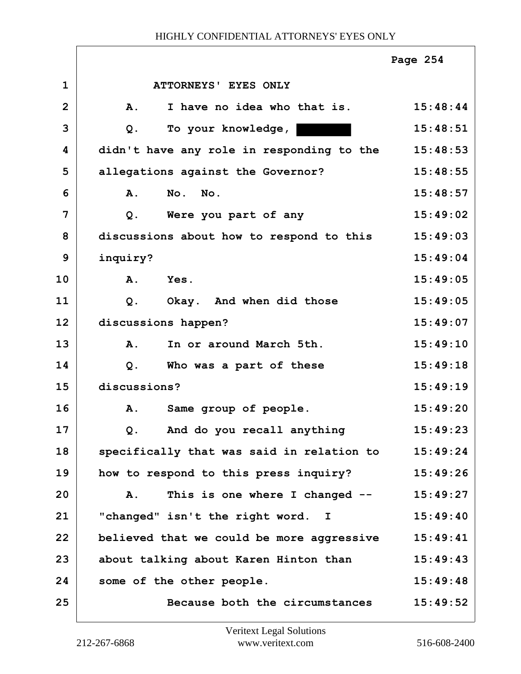|                |                                            | Page 254 |
|----------------|--------------------------------------------|----------|
| $\mathbf{1}$   | <b>ATTORNEYS' EYES ONLY</b>                |          |
| $\overline{2}$ | I have no idea who that is.<br><b>A.</b>   | 15:48:44 |
| 3              | To your knowledge,<br>$Q$ .                | 15:48:51 |
| 4              | didn't have any role in responding to the  | 15:48:53 |
| 5              | allegations against the Governor?          | 15:48:55 |
| 6              | No.<br>No.<br><b>A.</b>                    | 15:48:57 |
| 7              | Were you part of any<br>$Q$ .              | 15:49:02 |
| 8              | discussions about how to respond to this   | 15:49:03 |
| 9              | inquiry?                                   | 15:49:04 |
| 10             | $\mathbf{A}$ .<br>Yes.                     | 15:49:05 |
| 11             | Okay. And when did those<br>Q <sub>1</sub> | 15:49:05 |
| 12             | discussions happen?                        | 15:49:07 |
| 13             | In or around March 5th.<br><b>A.</b>       | 15:49:10 |
| 14             | Who was a part of these<br>$Q$ .           | 15:49:18 |
| 15             | discussions?                               | 15:49:19 |
| 16             | Same group of people.<br><b>A.</b>         | 15:49:20 |
| 17             | And do you recall anything<br>Q.           | 15:49:23 |
| 18             | specifically that was said in relation to  | 15:49:24 |
| 19             | how to respond to this press inquiry?      | 15:49:26 |
| 20             | This is one where I changed --<br>A.       | 15:49:27 |
| 21             | "changed" isn't the right word. I          | 15:49:40 |
| 22             | believed that we could be more aggressive  | 15:49:41 |
| 23             | about talking about Karen Hinton than      | 15:49:43 |
| 24             | some of the other people.                  | 15:49:48 |
| 25             | Because both the circumstances             | 15:49:52 |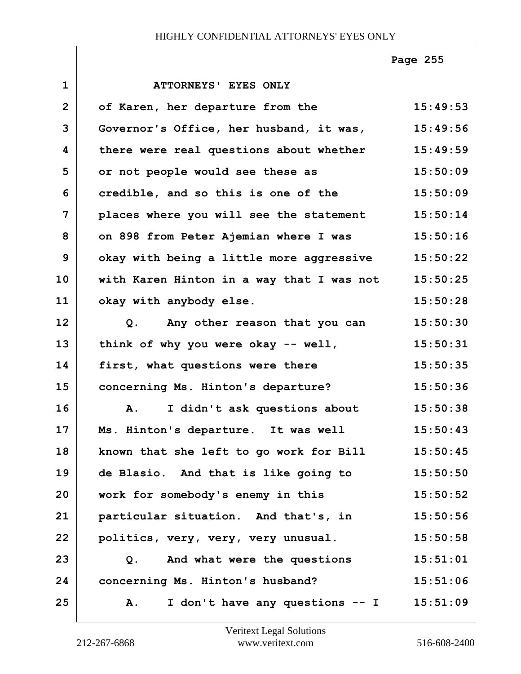**1 ATTORNEYS' EYES ONLY 2 of Karen, her departure from the 15:49:53 3 Governor's Office, her husband, it was, 15:49:56 4 there were real questions about whether 15:49:59 5 or not people would see these as 15:50:09 6 credible, and so this is one of the 15:50:09 7 places where you will see the statement 15:50:14 8 on 898 from Peter Ajemian where I was 15:50:16 9 okay with being a little more aggressive 15:50:22 10 with Karen Hinton in a way that I was not 15:50:25 11 okay with anybody else. 15:50:28 12 Q. Any other reason that you can 15:50:30 13 think of why you were okay -- well, 15:50:31 14 first, what questions were there 15:50:35 15 concerning Ms. Hinton's departure? 15:50:36 16 A. I didn't ask questions about 15:50:38 17 Ms. Hinton's departure. It was well 15:50:43 18 known that she left to go work for Bill 15:50:45 19 de Blasio. And that is like going to 15:50:50 20 work for somebody's enemy in this 15:50:52 21 particular situation. And that's, in 15:50:56 22 politics, very, very, very unusual. 15:50:58 23 Q. And what were the questions 15:51:01 24 concerning Ms. Hinton's husband? 15:51:06 25 A. I don't have any questions -- I 15:51:09 Page 255**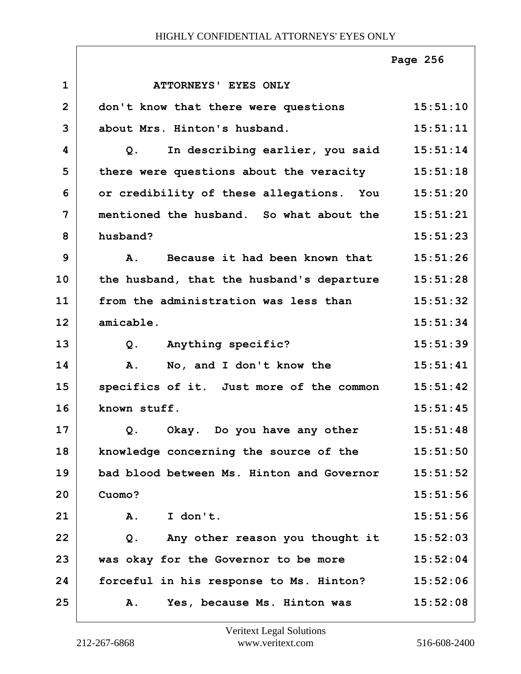|                |                                                   | Page 256 |
|----------------|---------------------------------------------------|----------|
| $\mathbf{1}$   | ATTORNEYS' EYES ONLY                              |          |
| $\overline{2}$ | don't know that there were questions              | 15:51:10 |
| 3              | about Mrs. Hinton's husband.                      | 15:51:11 |
| 4              | In describing earlier, you said 15:51:14<br>Q.    |          |
| 5              | there were questions about the veracity 15:51:18  |          |
| 6              | or credibility of these allegations. You 15:51:20 |          |
| 7              | mentioned the husband. So what about the          | 15:51:21 |
| 8              | husband?                                          | 15:51:23 |
| 9              | Because it had been known that<br><b>A.</b>       | 15:51:26 |
| 10             | the husband, that the husband's departure         | 15:51:28 |
| 11             | from the administration was less than             | 15:51:32 |
| 12             | amicable.                                         | 15:51:34 |
| 13             | Anything specific?<br>$Q$ .                       | 15:51:39 |
| 14             | No, and I don't know the<br>A.                    | 15:51:41 |
| 15             | specifics of it. Just more of the common          | 15:51:42 |
| 16             | known stuff.                                      | 15:51:45 |
| 17             | Okay. Do you have any other<br>Q.                 | 15:51:48 |
| 18             | knowledge concerning the source of the            | 15:51:50 |
| 19             | bad blood between Ms. Hinton and Governor         | 15:51:52 |
| 20             | Cuomo?                                            | 15:51:56 |
| 21             | I don't.<br>Α.                                    | 15:51:56 |
| 22             | Any other reason you thought it<br>Q.             | 15:52:03 |
| 23             | was okay for the Governor to be more              | 15:52:04 |
| 24             | forceful in his response to Ms. Hinton?           | 15:52:06 |
| 25             | Yes, because Ms. Hinton was<br>Α.                 | 15:52:08 |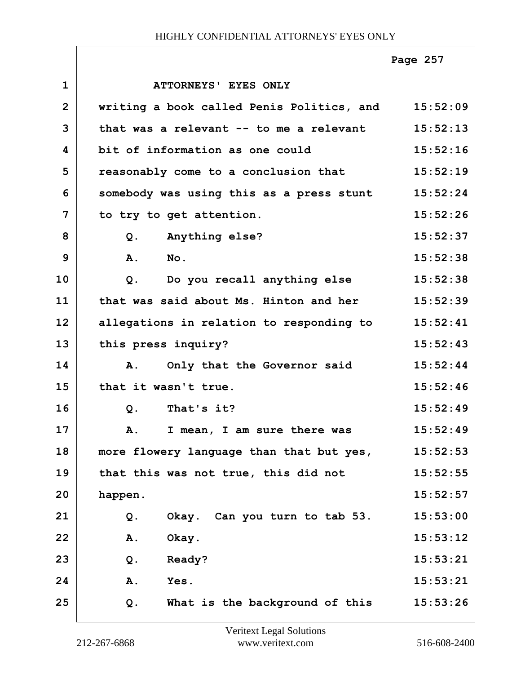|                |                                           | Page 257 |
|----------------|-------------------------------------------|----------|
| $\mathbf{1}$   | <b>ATTORNEYS' EYES ONLY</b>               |          |
| $\overline{2}$ | writing a book called Penis Politics, and | 15:52:09 |
| 3              | that was a relevant -- to me a relevant   | 15:52:13 |
| 4              | bit of information as one could           | 15:52:16 |
| 5              | reasonably come to a conclusion that      | 15:52:19 |
| 6              | somebody was using this as a press stunt  | 15:52:24 |
| 7              | to try to get attention.                  | 15:52:26 |
| 8              | Anything else?<br>Q.                      | 15:52:37 |
| 9              | A.<br>$N$ o.                              | 15:52:38 |
| 10             | Do you recall anything else<br>Q.         | 15:52:38 |
| 11             | that was said about Ms. Hinton and her    | 15:52:39 |
| 12             | allegations in relation to responding to  | 15:52:41 |
| 13             | this press inquiry?                       | 15:52:43 |
| 14             | Only that the Governor said<br><b>A</b> . | 15:52:44 |
| 15             | that it wasn't true.                      | 15:52:46 |
| 16             | That's it?<br>Q.                          | 15:52:49 |
| 17             | A.<br>I mean, I am sure there was         | 15:52:49 |
| 18             | more flowery language than that but yes,  | 15:52:53 |
| 19             | that this was not true, this did not      | 15:52:55 |
| 20             | happen.                                   | 15:52:57 |
| 21             | Okay. Can you turn to tab 53.<br>Q.       | 15:53:00 |
| 22             | Okay.<br>Α.                               | 15:53:12 |
| 23             | Ready?<br>$Q$ .                           | 15:53:21 |
| 24             | Yes.<br>Α.                                | 15:53:21 |
| 25             | What is the background of this<br>Q.      | 15:53:26 |

Г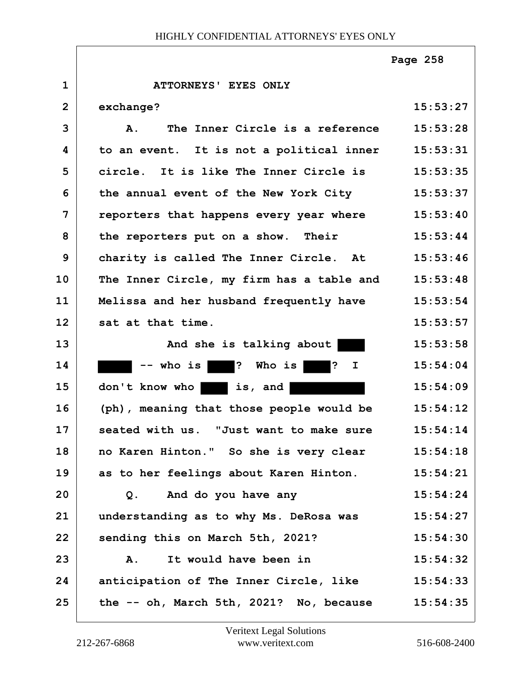**1 ATTORNEYS' EYES ONLY 2 exchange? 15:53:27 3 A. The Inner Circle is a reference 15:53:28 4 to an event. It is not a political inner 15:53:31 5 circle. It is like The Inner Circle is 15:53:35 6 the annual event of the New York City 15:53:37 7 reporters that happens every year where 15:53:40** 8 the reporters put on a show. Their 15:53:44 **9 charity is called The Inner Circle. At 15:53:46 10 The Inner Circle, my firm has a table and 15:53:48 11 Melissa and her husband frequently have 15:53:54 12 sat at that time. 15:53:57** 13 And she is talking about 15:53:58 14 -- who is ? Who is ? I 15:54:04 **15 don't know who is, and 15:54:09 16 (ph), meaning that those people would be 15:54:12 17 seated with us. "Just want to make sure 15:54:14 18 no Karen Hinton." So she is very clear 15:54:18 19 as to her feelings about Karen Hinton. 15:54:21 20 Q. And do you have any 15:54:24 21 understanding as to why Ms. DeRosa was 15:54:27 22 sending this on March 5th, 2021? 15:54:30 23 A. It would have been in 15:54:32 24 anticipation of The Inner Circle, like 15:54:33 25 the -- oh, March 5th, 2021? No, because 15:54:35 Page 258**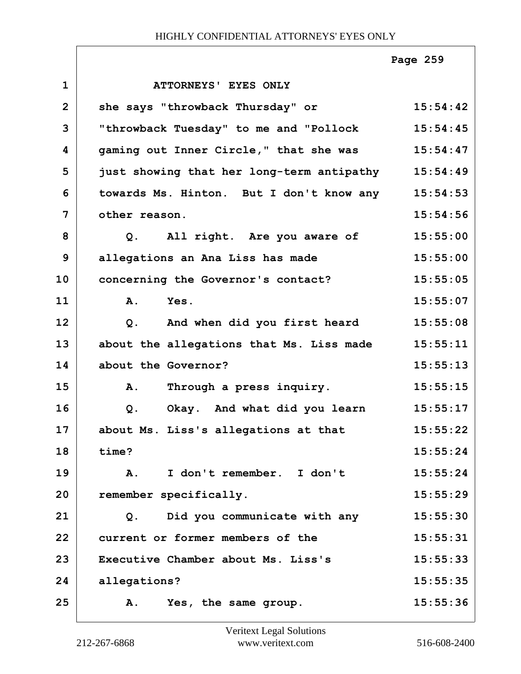|                |                                           | Page 259 |
|----------------|-------------------------------------------|----------|
| $\mathbf{1}$   | ATTORNEYS' EYES ONLY                      |          |
| $\overline{2}$ | she says "throwback Thursday" or          | 15:54:42 |
| 3              | "throwback Tuesday" to me and "Pollock    | 15:54:45 |
| 4              | gaming out Inner Circle," that she was    | 15:54:47 |
| 5              | just showing that her long-term antipathy | 15:54:49 |
| 6              | towards Ms. Hinton. But I don't know any  | 15:54:53 |
| 7              | other reason.                             | 15:54:56 |
| 8              | Q. All right. Are you aware of            | 15:55:00 |
| 9              | allegations an Ana Liss has made          | 15:55:00 |
| 10             | concerning the Governor's contact?        | 15:55:05 |
| 11             | Yes.<br>A.                                | 15:55:07 |
| 12             | And when did you first heard<br>$Q$ .     | 15:55:08 |
| 13             | about the allegations that Ms. Liss made  | 15:55:11 |
| 14             | about the Governor?                       | 15:55:13 |
| 15             | A.<br>Through a press inquiry.            | 15:55:15 |
| 16             | Okay. And what did you learn<br>Q.        | 15:55:17 |
| 17             | about Ms. Liss's allegations at that      | 15:55:22 |
| 18             | time?                                     | 15:55:24 |
| 19             | I don't remember. I don't<br>A.           | 15:55:24 |
| 20             | remember specifically.                    | 15:55:29 |
| 21             | Did you communicate with any<br>Q.        | 15:55:30 |
| 22             | current or former members of the          | 15:55:31 |
| 23             | Executive Chamber about Ms. Liss's        | 15:55:33 |
| 24             | allegations?                              | 15:55:35 |
| 25             | A.<br>Yes, the same group.                | 15:55:36 |

 $\lceil$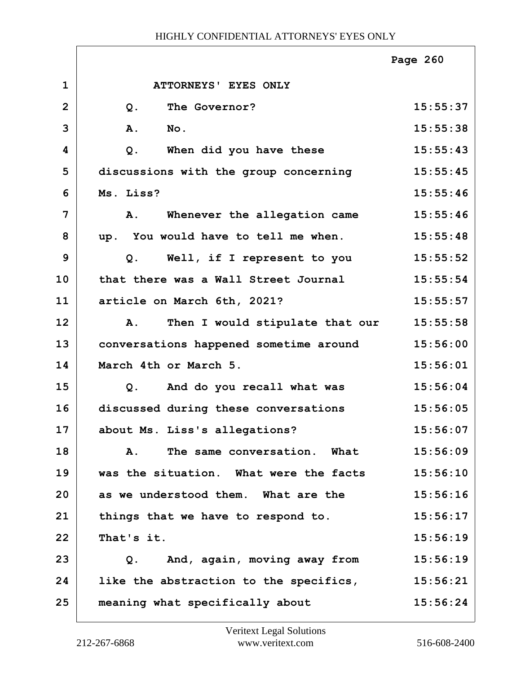|                |                                              | Page 260 |
|----------------|----------------------------------------------|----------|
| $\mathbf{1}$   | ATTORNEYS' EYES ONLY                         |          |
| $\overline{2}$ | The Governor?<br>$Q$ .                       | 15:55:37 |
| 3              | A.<br>No.                                    | 15:55:38 |
| 4              | When did you have these<br>$Q$ .             | 15:55:43 |
| 5              | discussions with the group concerning        | 15:55:45 |
| 6              | Ms. Liss?                                    | 15:55:46 |
| 7              | Whenever the allegation came<br>A.           | 15:55:46 |
| 8              | up. You would have to tell me when.          | 15:55:48 |
| 9              | Q. Well, if I represent to you               | 15:55:52 |
| 10             | that there was a Wall Street Journal         | 15:55:54 |
| 11             | article on March 6th, 2021?                  | 15:55:57 |
| 12             | Then I would stipulate that our<br>A.        | 15:55:58 |
| 13             | conversations happened sometime around       | 15:56:00 |
| 14             | March 4th or March 5.                        | 15:56:01 |
| 15             | And do you recall what was<br>Q <sub>1</sub> | 15:56:04 |
| 16             | discussed during these conversations         | 15:56:05 |
| 17             | about Ms. Liss's allegations?                | 15:56:07 |
| 18             | The same conversation. What<br>Α.            | 15:56:09 |
| 19             | was the situation. What were the facts       | 15:56:10 |
| 20             | as we understood them. What are the          | 15:56:16 |
| 21             | things that we have to respond to.           | 15:56:17 |
| 22             | That's it.                                   | 15:56:19 |
| 23             | And, again, moving away from<br>Q.           | 15:56:19 |
| 24             | like the abstraction to the specifics,       | 15:56:21 |
| 25             | meaning what specifically about              | 15:56:24 |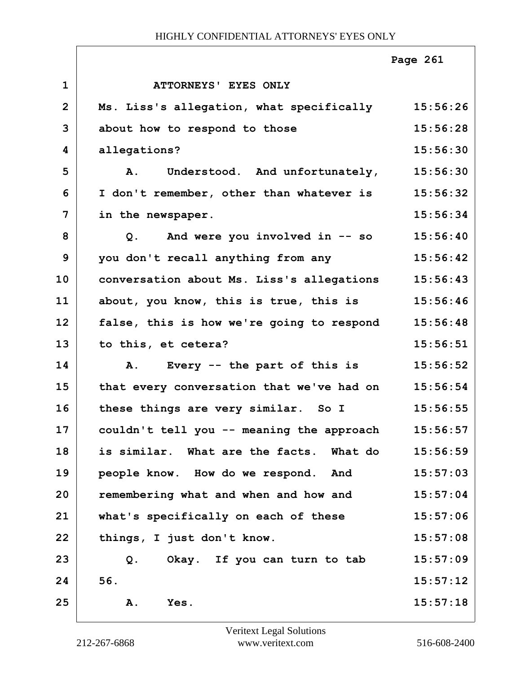|                |                                                    | Page 261 |
|----------------|----------------------------------------------------|----------|
| $\mathbf{1}$   | ATTORNEYS' EYES ONLY                               |          |
| $\overline{2}$ | Ms. Liss's allegation, what specifically           | 15:56:26 |
| 3              | about how to respond to those                      | 15:56:28 |
| 4              | allegations?                                       | 15:56:30 |
| 5              | Understood. And unfortunately,<br><b>A.</b>        | 15:56:30 |
| 6              | I don't remember, other than whatever is           | 15:56:32 |
| 7              | in the newspaper.                                  | 15:56:34 |
| 8              | And were you involved in -- so<br>Q.               | 15:56:40 |
| 9              | you don't recall anything from any                 | 15:56:42 |
| 10             | conversation about Ms. Liss's allegations          | 15:56:43 |
| 11             | about, you know, this is true, this is             | 15:56:46 |
| 12             | false, this is how we're going to respond          | 15:56:48 |
| 13             | to this, et cetera?                                | 15:56:51 |
| 14             | Every -- the part of this is<br><b>A.</b>          | 15:56:52 |
| 15             | that every conversation that we've had on          | 15:56:54 |
| 16             | these things are very similar. So I                | 15:56:55 |
| 17             | couldn't tell you -- meaning the approach 15:56:57 |          |
| 18             | is similar. What are the facts. What do            | 15:56:59 |
| 19             | people know. How do we respond. And                | 15:57:03 |
| 20             | remembering what and when and how and              | 15:57:04 |
| 21             | what's specifically on each of these               | 15:57:06 |
| 22             | things, I just don't know.                         | 15:57:08 |
| 23             | Okay. If you can turn to tab<br>Q.                 | 15:57:09 |
| 24             | 56.                                                | 15:57:12 |
| 25             | Α.<br>Yes.                                         | 15:57:18 |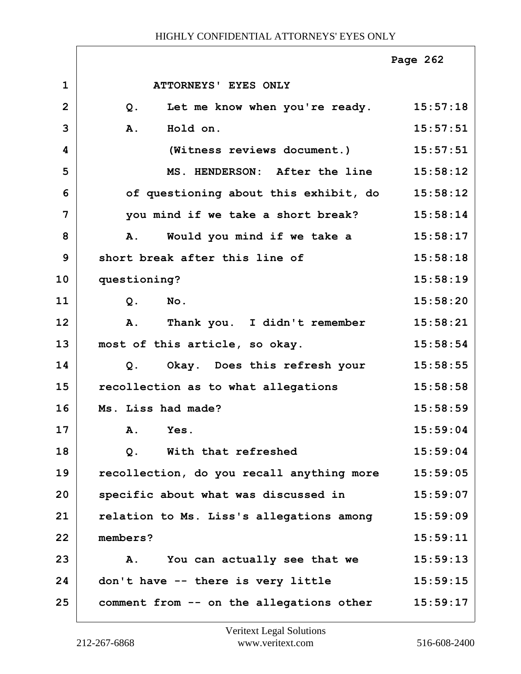|                |                                                  | Page 262 |
|----------------|--------------------------------------------------|----------|
| $\mathbf{1}$   | <b>ATTORNEYS' EYES ONLY</b>                      |          |
| $\overline{2}$ | Let me know when you're ready. 15:57:18<br>$Q$ . |          |
| 3              | Hold on.<br>A.                                   | 15:57:51 |
| 4              | (Witness reviews document.)                      | 15:57:51 |
| 5              | MS. HENDERSON: After the line                    | 15:58:12 |
| 6              | of questioning about this exhibit, do 15:58:12   |          |
| 7              | you mind if we take a short break?               | 15:58:14 |
| 8              | Would you mind if we take a<br>A.                | 15:58:17 |
| 9              | short break after this line of                   | 15:58:18 |
| 10             | questioning?                                     | 15:58:19 |
| 11             | Q.<br>$N_{\text{O}}$ .                           | 15:58:20 |
| 12             | Thank you. I didn't remember<br>A.               | 15:58:21 |
| 13             | most of this article, so okay.                   | 15:58:54 |
| 14             | Okay. Does this refresh your<br>Q.               | 15:58:55 |
| 15             | recollection as to what allegations              | 15:58:58 |
| 16             | Ms. Liss had made?                               | 15:58:59 |
| 17             | A. Yes.                                          | 15:59:04 |
| 18             | $Q$ .<br>With that refreshed                     | 15:59:04 |
| 19             | recollection, do you recall anything more        | 15:59:05 |
| 20             | specific about what was discussed in             | 15:59:07 |
| 21             | relation to Ms. Liss's allegations among         | 15:59:09 |
| 22             | members?                                         | 15:59:11 |
| 23             | You can actually see that we<br>Α.               | 15:59:13 |
| 24             | don't have -- there is very little               | 15:59:15 |
| 25             | comment from -- on the allegations other         | 15:59:17 |

ı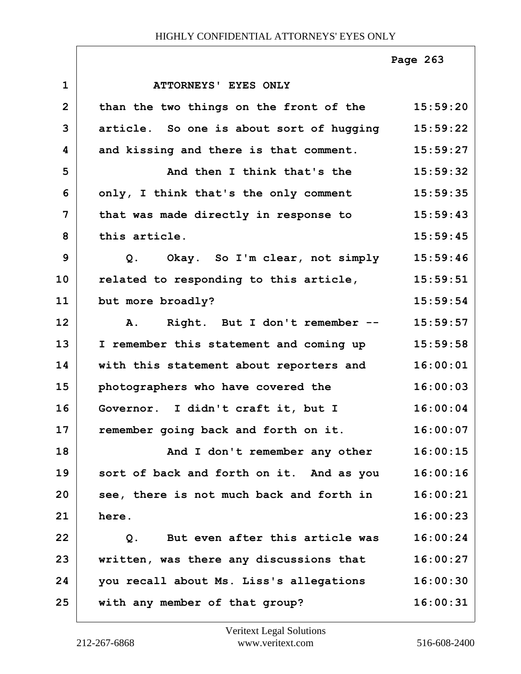|              |                                                  | Page 263 |
|--------------|--------------------------------------------------|----------|
| $\mathbf{1}$ | <b>ATTORNEYS' EYES ONLY</b>                      |          |
| $\mathbf{2}$ | than the two things on the front of the 15:59:20 |          |
| 3            | article. So one is about sort of hugging         | 15:59:22 |
| 4            | and kissing and there is that comment.           | 15:59:27 |
| 5            | And then I think that's the                      | 15:59:32 |
| 6            | only, I think that's the only comment            | 15:59:35 |
| 7            | that was made directly in response to            | 15:59:43 |
| 8            | this article.                                    | 15:59:45 |
| 9            | Q. Okay. So I'm clear, not simply                | 15:59:46 |
| 10           | related to responding to this article,           | 15:59:51 |
| 11           | but more broadly?                                | 15:59:54 |
| 12           | Right. But I don't remember --<br>A.             | 15:59:57 |
| 13           | I remember this statement and coming up          | 15:59:58 |
| 14           | with this statement about reporters and          | 16:00:01 |
| 15           | photographers who have covered the               | 16:00:03 |
| 16           | Governor. I didn't craft it, but I               | 16:00:04 |
| 17           | remember going back and forth on it.             | 16:00:07 |
| 18           | And I don't remember any other                   | 16:00:15 |
| 19           | sort of back and forth on it. And as you         | 16:00:16 |
| 20           | see, there is not much back and forth in         | 16:00:21 |
| 21           | here.                                            | 16:00:23 |
| 22           | But even after this article was<br>Q.            | 16:00:24 |
| 23           | written, was there any discussions that          | 16:00:27 |
| 24           | you recall about Ms. Liss's allegations          | 16:00:30 |
| 25           | with any member of that group?                   | 16:00:31 |

Г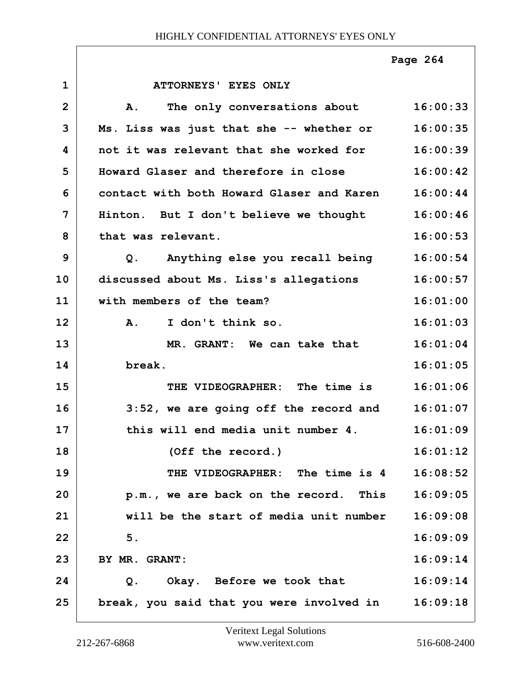|                |                                                     | Page 264 |
|----------------|-----------------------------------------------------|----------|
| $\mathbf{1}$   | <b>ATTORNEYS' EYES ONLY</b>                         |          |
| $\overline{2}$ | The only conversations about<br>Α.                  | 16:00:33 |
| 3              | Ms. Liss was just that she -- whether or            | 16:00:35 |
| 4              | not it was relevant that she worked for             | 16:00:39 |
| 5              | Howard Glaser and therefore in close                | 16:00:42 |
| 6              | contact with both Howard Glaser and Karen           | 16:00:44 |
| 7              | Hinton. But I don't believe we thought              | 16:00:46 |
| 8              | that was relevant.                                  | 16:00:53 |
| 9              | Q. Anything else you recall being                   | 16:00:54 |
| 10             | discussed about Ms. Liss's allegations              | 16:00:57 |
| 11             | with members of the team?                           | 16:01:00 |
| 12             | I don't think so.<br>$\mathbf{A}$ .                 | 16:01:03 |
| 13             | MR. GRANT: We can take that                         | 16:01:04 |
| 14             | break.                                              | 16:01:05 |
| 15             | THE VIDEOGRAPHER: The time is                       | 16:01:06 |
| 16             | $3:52$ , we are going off the record and $16:01:07$ |          |
| 17             | this will end media unit number 4.                  | 16:01:09 |
| 18             | (Off the record.)                                   | 16:01:12 |
| 19             | THE VIDEOGRAPHER: The time is 4                     | 16:08:52 |
| 20             | p.m., we are back on the record. This               | 16:09:05 |
| 21             | will be the start of media unit number              | 16:09:08 |
| 22             | 5.                                                  | 16:09:09 |
| 23             | BY MR. GRANT:                                       | 16:09:14 |
| 24             | Okay. Before we took that<br>Q.                     | 16:09:14 |
| 25             | break, you said that you were involved in           | 16:09:18 |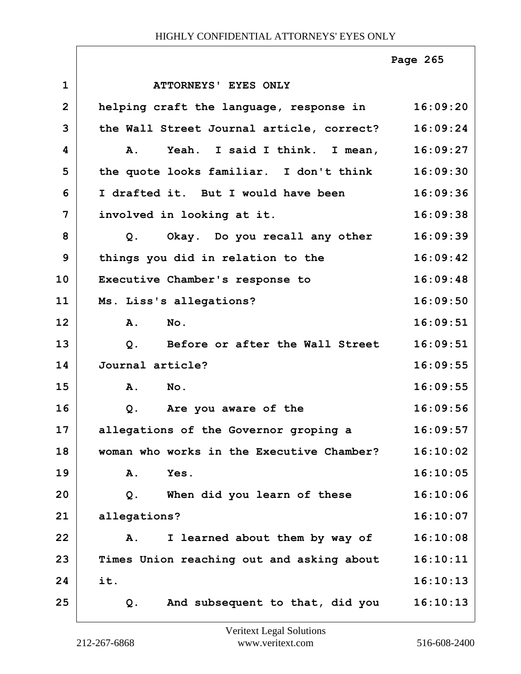|                |                                                   | Page 265 |
|----------------|---------------------------------------------------|----------|
| $\mathbf{1}$   | ATTORNEYS' EYES ONLY                              |          |
| $\overline{2}$ | helping craft the language, response in           | 16:09:20 |
| 3              | the Wall Street Journal article, correct?         | 16:09:24 |
| 4              | Yeah. I said I think. I mean,<br><b>A.</b>        | 16:09:27 |
| 5              | the quote looks familiar. I don't think           | 16:09:30 |
| 6              | I drafted it. But I would have been               | 16:09:36 |
| 7              | involved in looking at it.                        | 16:09:38 |
| 8              | Q. Okay. Do you recall any other                  | 16:09:39 |
| 9              | things you did in relation to the                 | 16:09:42 |
| 10             | Executive Chamber's response to                   | 16:09:48 |
| 11             | Ms. Liss's allegations?                           | 16:09:50 |
| 12             | A.<br>No.                                         | 16:09:51 |
| 13             | Before or after the Wall Street<br>Q <sub>1</sub> | 16:09:51 |
| 14             | Journal article?                                  | 16:09:55 |
| 15             | A. No.                                            | 16:09:55 |
| 16             | Q. Are you aware of the                           | 16:09:56 |
| 17             | allegations of the Governor groping a             | 16:09:57 |
| 18             | woman who works in the Executive Chamber?         | 16:10:02 |
| 19             | Yes.<br>Α.                                        | 16:10:05 |
| 20             | When did you learn of these<br>Q.                 | 16:10:06 |
| 21             | allegations?                                      | 16:10:07 |
| 22             | I learned about them by way of<br>Α.              | 16:10:08 |
| 23             | Times Union reaching out and asking about         | 16:10:11 |
| 24             | it.                                               | 16:10:13 |
| 25             | And subsequent to that, did you<br>Q.             | 16:10:13 |

Г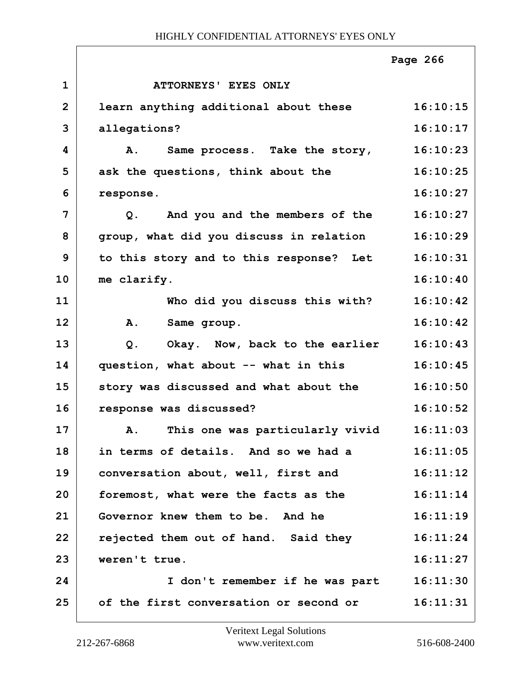|                |                                                | Page 266 |
|----------------|------------------------------------------------|----------|
| $\mathbf 1$    | ATTORNEYS' EYES ONLY                           |          |
| $\overline{2}$ | learn anything additional about these          | 16:10:15 |
| 3              | allegations?                                   | 16:10:17 |
| 4              | A. Same process. Take the story,               | 16:10:23 |
| 5              | ask the questions, think about the             | 16:10:25 |
| 6              | response.                                      | 16:10:27 |
| 7              | And you and the members of the<br>Q.           | 16:10:27 |
| 8              | group, what did you discuss in relation        | 16:10:29 |
| 9              | to this story and to this response? Let        | 16:10:31 |
| 10             | me clarify.                                    | 16:10:40 |
| 11             | Who did you discuss this with?                 | 16:10:42 |
| 12             | A. Same group.                                 | 16:10:42 |
| 13             | Q. Okay. Now, back to the earlier              | 16:10:43 |
| 14             | question, what about -- what in this           | 16:10:45 |
| 15             | story was discussed and what about the         | 16:10:50 |
| 16             | response was discussed?                        | 16:10:52 |
| 17             | This one was particularly vivid<br>${\bf A}$ . | 16:11:03 |
| 18             | in terms of details. And so we had a           | 16:11:05 |
| 19             | conversation about, well, first and            | 16:11:12 |
| 20             | foremost, what were the facts as the           | 16:11:14 |
| 21             | Governor knew them to be. And he               | 16:11:19 |
| 22             | rejected them out of hand. Said they           | 16:11:24 |
| 23             | weren't true.                                  | 16:11:27 |
| 24             | I don't remember if he was part 16:11:30       |          |
| 25             | of the first conversation or second or         | 16:11:31 |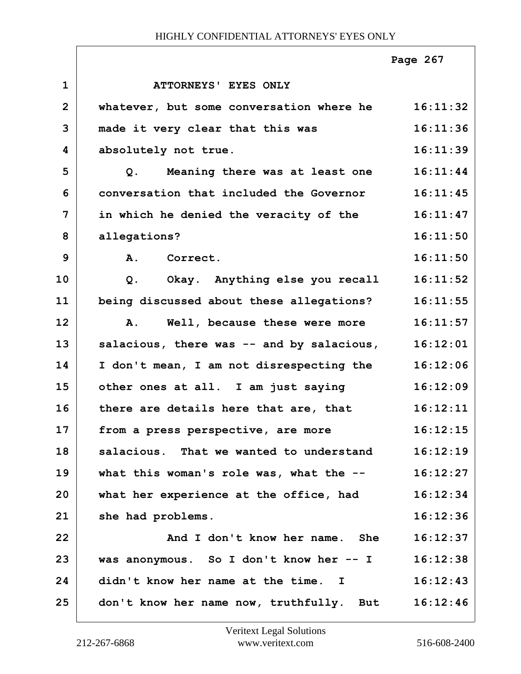|                |                                           | Page 267 |
|----------------|-------------------------------------------|----------|
| $\mathbf{1}$   | ATTORNEYS' EYES ONLY                      |          |
| $\overline{2}$ | whatever, but some conversation where he  | 16:11:32 |
| 3              | made it very clear that this was          | 16:11:36 |
| 4              | absolutely not true.                      | 16:11:39 |
| 5              | Meaning there was at least one<br>Q.      | 16:11:44 |
| 6              | conversation that included the Governor   | 16:11:45 |
| 7              | in which he denied the veracity of the    | 16:11:47 |
| 8              | allegations?                              | 16:11:50 |
| 9              | A. Correct.                               | 16:11:50 |
| 10             | Okay. Anything else you recall<br>$Q$ .   | 16:11:52 |
| 11             | being discussed about these allegations?  | 16:11:55 |
| 12             | Well, because these were more<br>A.       | 16:11:57 |
| 13             | salacious, there was -- and by salacious, | 16:12:01 |
| 14             | I don't mean, I am not disrespecting the  | 16:12:06 |
| 15             | other ones at all. I am just saying       | 16:12:09 |
| 16             | there are details here that are, that     | 16:12:11 |
| 17             | from a press perspective, are more        | 16:12:15 |
| 18             | salacious. That we wanted to understand   | 16:12:19 |
| 19             | what this woman's role was, what the --   | 16:12:27 |
| 20             | what her experience at the office, had    | 16:12:34 |
| 21             | she had problems.                         | 16:12:36 |
| 22             | And I don't know her name. She            | 16:12:37 |
| 23             | was anonymous. So I don't know her -- I   | 16:12:38 |
| 24             | didn't know her name at the time. I       | 16:12:43 |
| 25             | don't know her name now, truthfully. But  | 16:12:46 |

 $\sqrt{ }$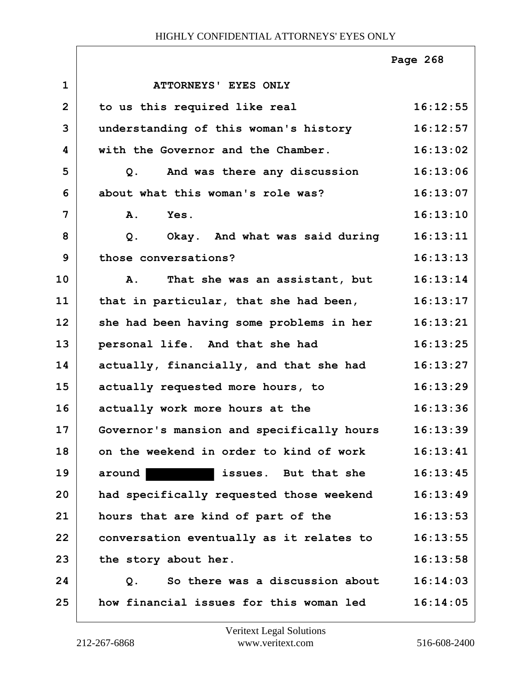|                |                                           | Page 268 |
|----------------|-------------------------------------------|----------|
| $\mathbf 1$    | ATTORNEYS' EYES ONLY                      |          |
| $\overline{2}$ | to us this required like real             | 16:12:55 |
| 3              | understanding of this woman's history     | 16:12:57 |
| 4              | with the Governor and the Chamber.        | 16:13:02 |
| 5              | And was there any discussion<br>Q.        | 16:13:06 |
| 6              | about what this woman's role was?         | 16:13:07 |
| 7              | Yes.<br><b>A.</b>                         | 16:13:10 |
| 8              | Okay. And what was said during<br>$Q$ .   | 16:13:11 |
| 9              | those conversations?                      | 16:13:13 |
| 10             | That she was an assistant, but<br>Α.      | 16:13:14 |
| 11             | that in particular, that she had been,    | 16:13:17 |
| 12             | she had been having some problems in her  | 16:13:21 |
| 13             | personal life. And that she had           | 16:13:25 |
| 14             | actually, financially, and that she had   | 16:13:27 |
| 15             | actually requested more hours, to         | 16:13:29 |
| 16             | actually work more hours at the           | 16:13:36 |
| 17             | Governor's mansion and specifically hours | 16:13:39 |
| 18             | on the weekend in order to kind of work   | 16:13:41 |
| 19             | around<br>issues. But that she            | 16:13:45 |
| 20             | had specifically requested those weekend  | 16:13:49 |
| 21             | hours that are kind of part of the        | 16:13:53 |
| 22             | conversation eventually as it relates to  | 16:13:55 |
| 23             | the story about her.                      | 16:13:58 |
| 24             | So there was a discussion about<br>$Q$ .  | 16:14:03 |
| 25             | how financial issues for this woman led   | 16:14:05 |

 $\Gamma$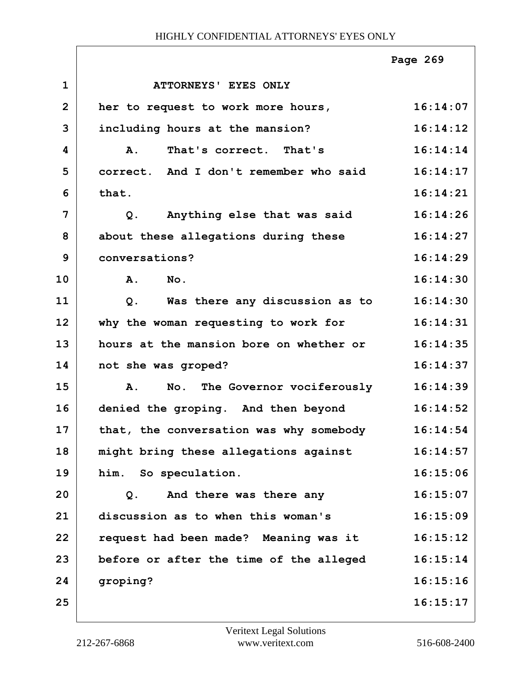|                |                                         | Page 269 |
|----------------|-----------------------------------------|----------|
| $\mathbf{1}$   | ATTORNEYS' EYES ONLY                    |          |
| $\overline{2}$ | her to request to work more hours,      | 16:14:07 |
| 3              | including hours at the mansion?         | 16:14:12 |
| 4              | That's correct. That's<br><b>A.</b>     | 16:14:14 |
| 5              | correct. And I don't remember who said  | 16:14:17 |
| 6              | that.                                   | 16:14:21 |
| 7              | Anything else that was said<br>$Q$ .    | 16:14:26 |
| 8              | about these allegations during these    | 16:14:27 |
| 9              | conversations?                          | 16:14:29 |
| 10             | $N$ o.<br><b>A.</b>                     | 16:14:30 |
| 11             | Was there any discussion as to<br>Q.    | 16:14:30 |
| 12             | why the woman requesting to work for    | 16:14:31 |
| 13             | hours at the mansion bore on whether or | 16:14:35 |
| 14             | not she was groped?                     | 16:14:37 |
| 15             | No. The Governor vociferously<br>A.     | 16:14:39 |
| 16             | denied the groping. And then beyond     | 16:14:52 |
| 17             | that, the conversation was why somebody | 16:14:54 |
| 18             | might bring these allegations against   | 16:14:57 |
| 19             | him. So speculation.                    | 16:15:06 |
| 20             | And there was there any<br>Q.           | 16:15:07 |
| 21             | discussion as to when this woman's      | 16:15:09 |
| 22             | request had been made? Meaning was it   | 16:15:12 |
| 23             | before or after the time of the alleged | 16:15:14 |
| 24             | groping?                                | 16:15:16 |
| 25             |                                         | 16:15:17 |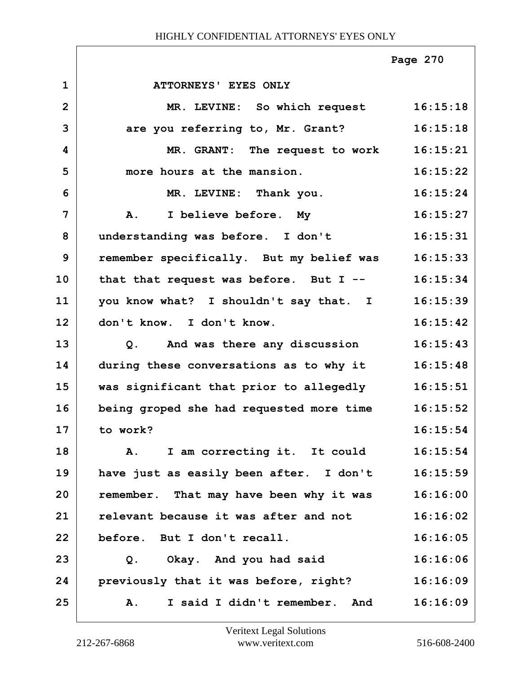|                |                                             | Page 270 |
|----------------|---------------------------------------------|----------|
| $\mathbf{1}$   | ATTORNEYS' EYES ONLY                        |          |
| $\overline{2}$ | MR. LEVINE: So which request 16:15:18       |          |
| 3              | are you referring to, Mr. Grant?            | 16:15:18 |
| 4              | MR. GRANT: The request to work              | 16:15:21 |
| 5              | more hours at the mansion.                  | 16:15:22 |
| 6              | MR. LEVINE: Thank you.                      | 16:15:24 |
| 7              | A. I believe before. My                     | 16:15:27 |
| 8              | understanding was before. I don't           | 16:15:31 |
| 9              | remember specifically. But my belief was    | 16:15:33 |
| 10             | that that request was before. But $I$ --    | 16:15:34 |
| 11             | you know what? I shouldn't say that. I      | 16:15:39 |
| 12             | don't know. I don't know.                   | 16:15:42 |
| 13             | And was there any discussion<br>Q.          | 16:15:43 |
| 14             | during these conversations as to why it     | 16:15:48 |
| 15             | was significant that prior to allegedly     | 16:15:51 |
| 16             | being groped she had requested more time    | 16:15:52 |
| 17             | to work?                                    | 16:15:54 |
| 18             | I am correcting it. It could<br>${\bf A}$ . | 16:15:54 |
| 19             | have just as easily been after. I don't     | 16:15:59 |
| 20             | remember. That may have been why it was     | 16:16:00 |
| 21             | relevant because it was after and not       | 16:16:02 |
| 22             | before. But I don't recall.                 | 16:16:05 |
| 23             | Okay. And you had said<br>Q.                | 16:16:06 |
| 24             | previously that it was before, right?       | 16:16:09 |
| 25             | I said I didn't remember. And<br>Α.         | 16:16:09 |

ı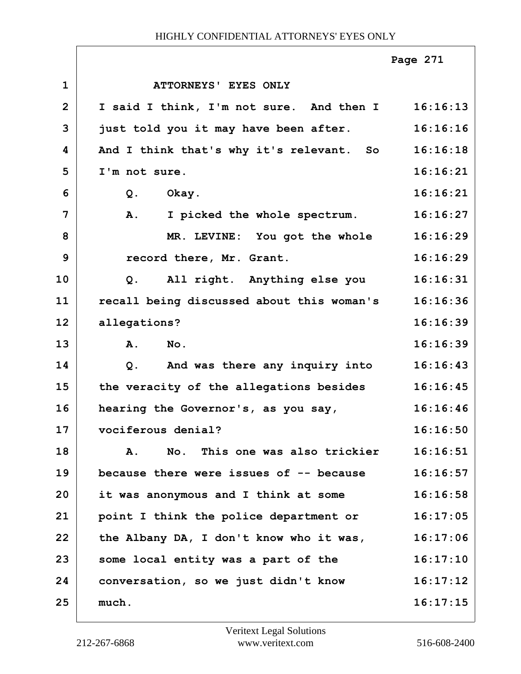|                |                                           | Page 271 |
|----------------|-------------------------------------------|----------|
| $\mathbf 1$    | ATTORNEYS' EYES ONLY                      |          |
| $\overline{2}$ | I said I think, I'm not sure. And then I  | 16:16:13 |
| 3              | just told you it may have been after.     | 16:16:16 |
| 4              | And I think that's why it's relevant. So  | 16:16:18 |
| 5              | I'm not sure.                             | 16:16:21 |
| 6              | $Q$ .<br>Okay.                            | 16:16:21 |
| 7              | I picked the whole spectrum.<br>Α.        | 16:16:27 |
| 8              | MR. LEVINE: You got the whole             | 16:16:29 |
| 9              | record there, Mr. Grant.                  | 16:16:29 |
| 10             | All right. Anything else you<br>$Q$ .     | 16:16:31 |
| 11             | recall being discussed about this woman's | 16:16:36 |
| 12             | allegations?                              | 16:16:39 |
| 13             | Α.<br>$N$ o.                              | 16:16:39 |
| 14             | And was there any inquiry into<br>Q.      | 16:16:43 |
| 15             | the veracity of the allegations besides   | 16:16:45 |
| 16             | hearing the Governor's, as you say,       | 16:16:46 |
| 17             | vociferous denial?                        | 16:16:50 |
| 18             | No. This one was also trickier<br>Α.      | 16:16:51 |
| 19             | because there were issues of -- because   | 16:16:57 |
| 20             | it was anonymous and I think at some      | 16:16:58 |
| 21             | point I think the police department or    | 16:17:05 |
| 22             | the Albany DA, I don't know who it was,   | 16:17:06 |
| 23             | some local entity was a part of the       | 16:17:10 |
| 24             | conversation, so we just didn't know      | 16:17:12 |
| 25             | much.                                     | 16:17:15 |
|                |                                           |          |

 $\Gamma$ 

ī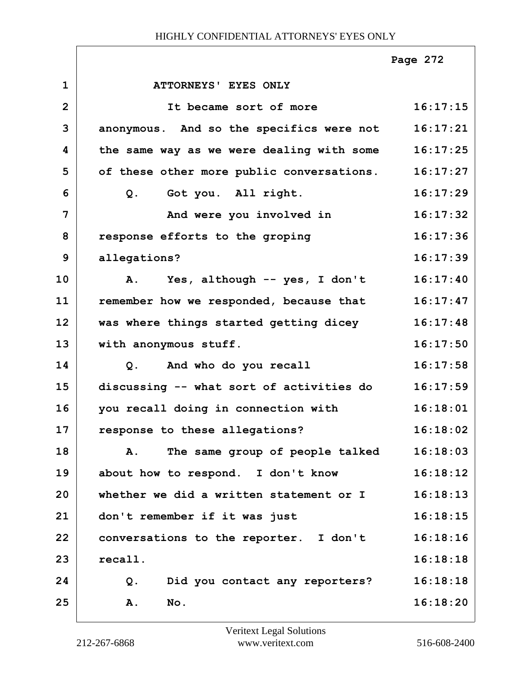|                |                                           | Page 272 |
|----------------|-------------------------------------------|----------|
| $\mathbf{1}$   | ATTORNEYS' EYES ONLY                      |          |
| $\overline{2}$ | It became sort of more                    | 16:17:15 |
| 3              | anonymous. And so the specifics were not  | 16:17:21 |
| 4              | the same way as we were dealing with some | 16:17:25 |
| 5              | of these other more public conversations. | 16:17:27 |
| 6              | Got you. All right.<br>Q.                 | 16:17:29 |
| $\overline{7}$ | And were you involved in                  | 16:17:32 |
| 8              | response efforts to the groping           | 16:17:36 |
| 9              | allegations?                              | 16:17:39 |
| 10             | A. Yes, although -- yes, I don't          | 16:17:40 |
| 11             | remember how we responded, because that   | 16:17:47 |
| 12             | was where things started getting dicey    | 16:17:48 |
| 13             | with anonymous stuff.                     | 16:17:50 |
| 14             | Q. And who do you recall                  | 16:17:58 |
| 15             | discussing -- what sort of activities do  | 16:17:59 |
| 16             | you recall doing in connection with       | 16:18:01 |
| 17             | response to these allegations?            | 16:18:02 |
| 18             | The same group of people talked<br>Α.     | 16:18:03 |
| 19             | about how to respond. I don't know        | 16:18:12 |
| 20             | whether we did a written statement or I   | 16:18:13 |
| 21             | don't remember if it was just             | 16:18:15 |
| 22             | conversations to the reporter. I don't    | 16:18:16 |
| 23             | recall.                                   | 16:18:18 |
| 24             | Did you contact any reporters?<br>Q.      | 16:18:18 |
| 25             | <b>A.</b><br>No.                          | 16:18:20 |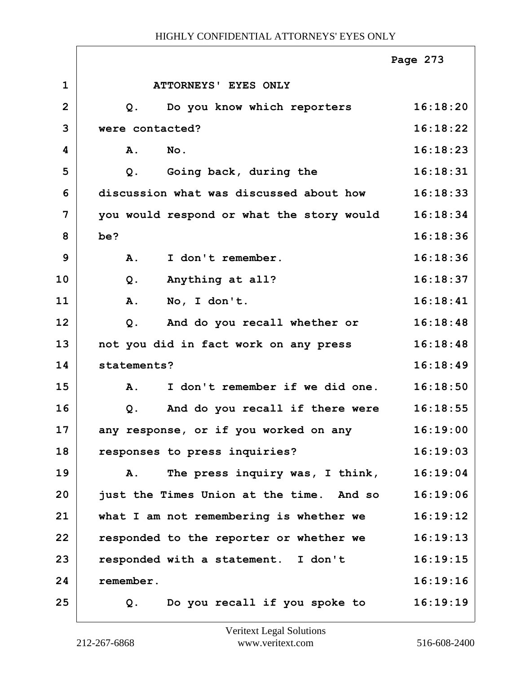|                |                                                   | Page 273 |
|----------------|---------------------------------------------------|----------|
| $\mathbf 1$    | <b>ATTORNEYS' EYES ONLY</b>                       |          |
| $\overline{2}$ | Do you know which reporters<br>$Q$ .              | 16:18:20 |
| 3              | were contacted?                                   | 16:18:22 |
| 4              | A.<br>$N$ o.                                      | 16:18:23 |
| 5              | Going back, during the<br>Q.                      | 16:18:31 |
| 6              | discussion what was discussed about how           | 16:18:33 |
| 7              | you would respond or what the story would         | 16:18:34 |
| 8              | be?                                               | 16:18:36 |
| 9              | I don't remember.<br>A.                           | 16:18:36 |
| 10             | Anything at all?<br>Q.                            | 16:18:37 |
| 11             | A.<br>No, I don't.                                | 16:18:41 |
| 12             | And do you recall whether or<br>Q.                | 16:18:48 |
| 13             | not you did in fact work on any press             | 16:18:48 |
| 14             | statements?                                       | 16:18:49 |
| 15             | I don't remember if we did one.<br><b>A.</b>      | 16:18:50 |
| 16             | And do you recall if there were<br>Q.             | 16:18:55 |
| 17             | any response, or if you worked on any             | 16:19:00 |
| 18             | responses to press inquiries?                     | 16:19:03 |
| 19             | The press inquiry was, I think,<br>$\mathbf{A}$ . | 16:19:04 |
| 20             | just the Times Union at the time. And so          | 16:19:06 |
| 21             | what I am not remembering is whether we           | 16:19:12 |
| 22             | responded to the reporter or whether we           | 16:19:13 |
| 23             | responded with a statement. I don't               | 16:19:15 |
| 24             | remember.                                         | 16:19:16 |
| 25             | Do you recall if you spoke to<br>Q.               | 16:19:19 |

 $\overline{1}$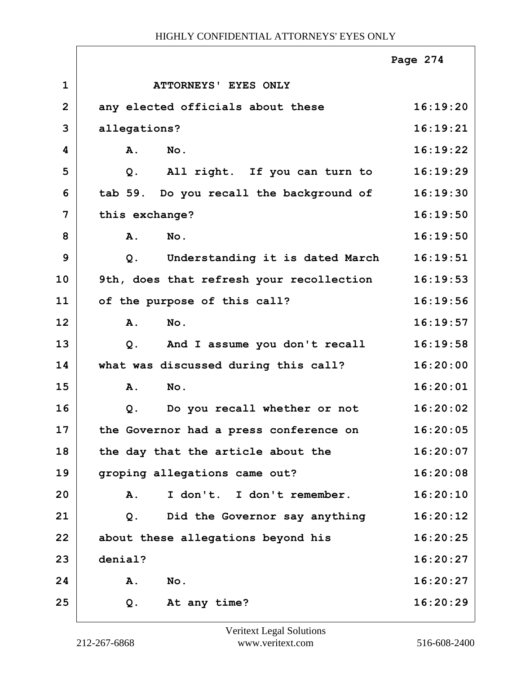|                |                                          | Page 274 |
|----------------|------------------------------------------|----------|
| $\mathbf{1}$   | <b>ATTORNEYS' EYES ONLY</b>              |          |
| $\overline{2}$ | any elected officials about these        | 16:19:20 |
| 3              | allegations?                             | 16:19:21 |
| 4              | A.<br>No.                                | 16:19:22 |
| 5              | All right. If you can turn to<br>Q.      | 16:19:29 |
| 6              | tab 59. Do you recall the background of  | 16:19:30 |
| 7              | this exchange?                           | 16:19:50 |
| 8              | No.<br>A.                                | 16:19:50 |
| 9              | Understanding it is dated March<br>$Q$ . | 16:19:51 |
| 10             | 9th, does that refresh your recollection | 16:19:53 |
| 11             | of the purpose of this call?             | 16:19:56 |
| 12             | A.<br>No.                                | 16:19:57 |
| 13             | And I assume you don't recall<br>$Q$ .   | 16:19:58 |
| 14             | what was discussed during this call?     | 16:20:00 |
| 15             | A.<br>No.                                | 16:20:01 |
| 16             | Do you recall whether or not<br>$Q$ .    | 16:20:02 |
| 17             | the Governor had a press conference on   | 16:20:05 |
| 18             | the day that the article about the       | 16:20:07 |
| 19             | groping allegations came out?            | 16:20:08 |
| 20             | I don't. I don't remember.<br>A.         | 16:20:10 |
| 21             | Did the Governor say anything<br>Q.      | 16:20:12 |
| 22             | about these allegations beyond his       | 16:20:25 |
| 23             | denial?                                  | 16:20:27 |
| 24             | No.<br>Α.                                | 16:20:27 |
| 25             | At any time?<br>Q.                       | 16:20:29 |

 $\Gamma$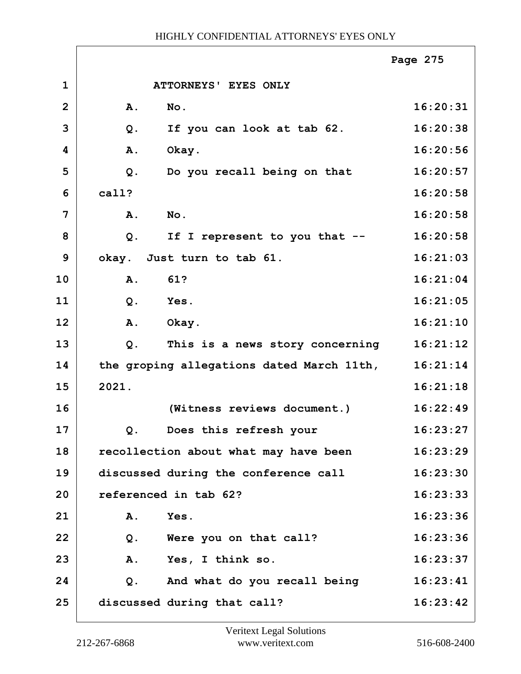|                |           |                                           | Page 275 |
|----------------|-----------|-------------------------------------------|----------|
| $\mathbf 1$    |           | ATTORNEYS' EYES ONLY                      |          |
| $\overline{2}$ | <b>A.</b> | No.                                       | 16:20:31 |
| 3              | $Q$ .     | If you can look at tab 62.                | 16:20:38 |
| 4              | A.        | Okay.                                     | 16:20:56 |
| 5              | $Q$ .     | Do you recall being on that               | 16:20:57 |
| 6              | call?     |                                           | 16:20:58 |
| 7              | A.        | No.                                       | 16:20:58 |
| 8              | $Q$ .     | If I represent to you that --             | 16:20:58 |
| 9              |           | okay. Just turn to tab 61.                | 16:21:03 |
| 10             | A.        | 61?                                       | 16:21:04 |
| 11             | Q.        | Yes.                                      | 16:21:05 |
| 12             | A.        | Okay.                                     | 16:21:10 |
| 13             | Q.        | This is a news story concerning           | 16:21:12 |
| 14             |           | the groping allegations dated March 11th, | 16:21:14 |
| 15             | 2021.     |                                           | 16:21:18 |
| 16             |           | (Witness reviews document.)               | 16:22:49 |
| 17             |           | Q. Does this refresh your                 | 16:23:27 |
| 18             |           | recollection about what may have been     | 16:23:29 |
| 19             |           | discussed during the conference call      | 16:23:30 |
| 20             |           | referenced in tab 62?                     | 16:23:33 |
| 21             | Α.        | Yes.                                      | 16:23:36 |
| 22             | $Q$ .     | Were you on that call?                    | 16:23:36 |
| 23             | A.        | Yes, I think so.                          | 16:23:37 |
| 24             | Q.        | And what do you recall being              | 16:23:41 |
| 25             |           | discussed during that call?               | 16:23:42 |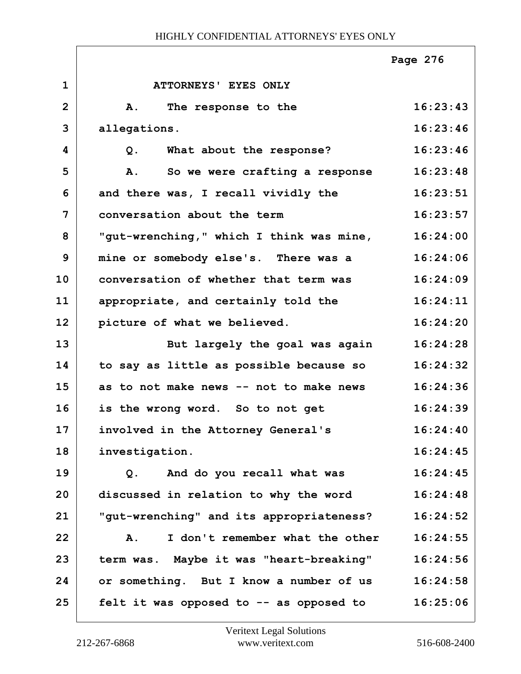|                |                                          | Page 276 |
|----------------|------------------------------------------|----------|
| $\mathbf{1}$   | <b>ATTORNEYS' EYES ONLY</b>              |          |
| $\overline{2}$ | The response to the<br>Α.                | 16:23:43 |
| 3              | allegations.                             | 16:23:46 |
| 4              | What about the response?<br>Q.           | 16:23:46 |
| 5              | So we were crafting a response<br>Α.     | 16:23:48 |
| 6              | and there was, I recall vividly the      | 16:23:51 |
| 7              | conversation about the term              | 16:23:57 |
| 8              | "gut-wrenching," which I think was mine, | 16:24:00 |
| 9              | mine or somebody else's. There was a     | 16:24:06 |
| 10             | conversation of whether that term was    | 16:24:09 |
| 11             | appropriate, and certainly told the      | 16:24:11 |
| 12             | picture of what we believed.             | 16:24:20 |
| 13             | But largely the goal was again           | 16:24:28 |
| 14             | to say as little as possible because so  | 16:24:32 |
| 15             | as to not make news -- not to make news  | 16:24:36 |
| 16             | is the wrong word. So to not get         | 16:24:39 |
| 17             | involved in the Attorney General's       | 16:24:40 |
| 18             | investigation.                           | 16:24:45 |
| 19             | And do you recall what was<br>$Q$ .      | 16:24:45 |
| 20             | discussed in relation to why the word    | 16:24:48 |
| 21             | "gut-wrenching" and its appropriateness? | 16:24:52 |
| 22             | I don't remember what the other<br>Α.    | 16:24:55 |
| 23             | term was. Maybe it was "heart-breaking"  | 16:24:56 |
| 24             | or something. But I know a number of us  | 16:24:58 |
| 25             | felt it was opposed to -- as opposed to  | 16:25:06 |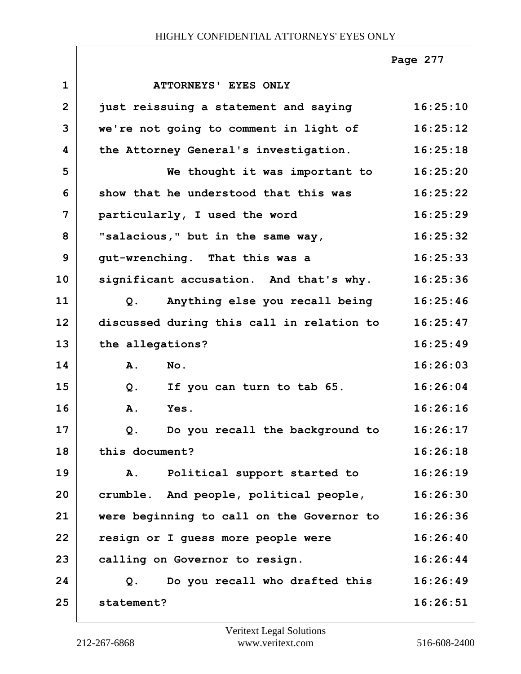|              |                                           | Page 277 |
|--------------|-------------------------------------------|----------|
| $\mathbf{1}$ | <b>ATTORNEYS' EYES ONLY</b>               |          |
| $\mathbf{2}$ | just reissuing a statement and saying     | 16:25:10 |
| 3            | we're not going to comment in light of    | 16:25:12 |
| 4            | the Attorney General's investigation.     | 16:25:18 |
| 5            | We thought it was important to            | 16:25:20 |
| 6            | show that he understood that this was     | 16:25:22 |
| 7            | particularly, I used the word             | 16:25:29 |
| 8            | "salacious," but in the same way,         | 16:25:32 |
| 9            | gut-wrenching. That this was a            | 16:25:33 |
| 10           | significant accusation. And that's why.   | 16:25:36 |
| 11           | Anything else you recall being<br>Q.      | 16:25:46 |
| 12           | discussed during this call in relation to | 16:25:47 |
| 13           | the allegations?                          | 16:25:49 |
| 14           | A.<br>No.                                 | 16:26:03 |
| 15           | If you can turn to tab 65.<br>Q.          | 16:26:04 |
| 16           | A.<br>Yes.                                | 16:26:16 |
| 17           | Do you recall the background to<br>Q.     | 16:26:17 |
| 18           | this document?                            | 16:26:18 |
| 19           | Political support started to<br>A.        | 16:26:19 |
| 20           | crumble. And people, political people,    | 16:26:30 |
| 21           | were beginning to call on the Governor to | 16:26:36 |
| 22           | resign or I guess more people were        | 16:26:40 |
| 23           | calling on Governor to resign.            | 16:26:44 |
| 24           | Do you recall who drafted this<br>Q.      | 16:26:49 |
| 25           | statement?                                | 16:26:51 |

 $\sqrt{ }$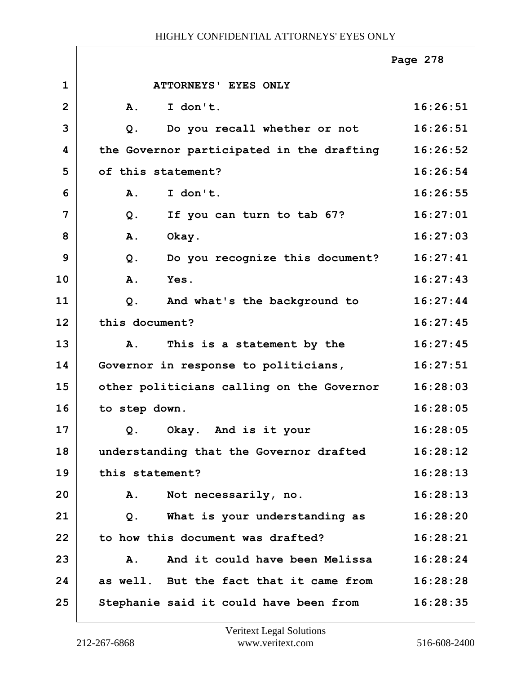|                |                    |                                           | Page 278 |
|----------------|--------------------|-------------------------------------------|----------|
| $\mathbf{1}$   |                    | ATTORNEYS' EYES ONLY                      |          |
| $\overline{2}$ | A.                 | I don't.                                  | 16:26:51 |
| 3              | Q.                 | Do you recall whether or not              | 16:26:51 |
| 4              |                    | the Governor participated in the drafting | 16:26:52 |
| 5              | of this statement? |                                           | 16:26:54 |
| 6              | Α.                 | I don't.                                  | 16:26:55 |
| $\overline{7}$ | $Q$ .              | If you can turn to tab 67?                | 16:27:01 |
| 8              | A.<br>Okay.        |                                           | 16:27:03 |
| 9              | $Q$ .              | Do you recognize this document?           | 16:27:41 |
| 10             | Yes.<br>A.         |                                           | 16:27:43 |
| 11             | Q.                 | And what's the background to              | 16:27:44 |
| 12             | this document?     |                                           | 16:27:45 |
| 13             | Α.                 | This is a statement by the                | 16:27:45 |
| 14             |                    | Governor in response to politicians,      | 16:27:51 |
| 15             |                    | other politicians calling on the Governor | 16:28:03 |
| 16             | to step down.      |                                           | 16:28:05 |
| 17             |                    | Q. Okay. And is it your                   | 16:28:05 |
| 18             |                    | understanding that the Governor drafted   | 16:28:12 |
| 19             | this statement?    |                                           | 16:28:13 |
| 20             | Α.                 | Not necessarily, no.                      | 16:28:13 |
| 21             | $Q$ .              | What is your understanding as             | 16:28:20 |
| 22             |                    | to how this document was drafted?         | 16:28:21 |
| 23             | <b>A.</b>          | And it could have been Melissa            | 16:28:24 |
| 24             |                    | as well. But the fact that it came from   | 16:28:28 |
| 25             |                    | Stephanie said it could have been from    | 16:28:35 |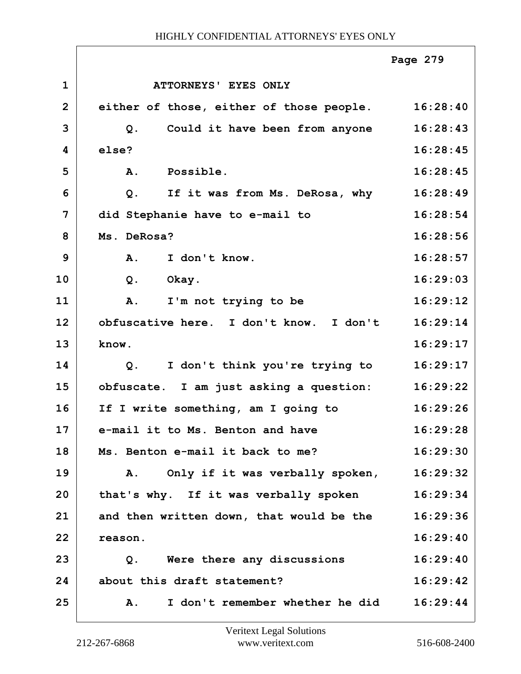|                |                                          | Page 279 |
|----------------|------------------------------------------|----------|
| $\mathbf{1}$   | ATTORNEYS' EYES ONLY                     |          |
| $\overline{2}$ | either of those, either of those people. | 16:28:40 |
| 3              | Could it have been from anyone<br>$Q$ .  | 16:28:43 |
| 4              | else?                                    | 16:28:45 |
| 5              | Possible.<br>A.                          | 16:28:45 |
| 6              | If it was from Ms. DeRosa, why<br>$Q$ .  | 16:28:49 |
| 7              | did Stephanie have to e-mail to          | 16:28:54 |
| 8              | Ms. DeRosa?                              | 16:28:56 |
| 9              | A.<br>I don't know.                      | 16:28:57 |
| 10             | Q.<br>Okay.                              | 16:29:03 |
| 11             | I'm not trying to be<br>Α.               | 16:29:12 |
| 12             | obfuscative here. I don't know. I don't  | 16:29:14 |
| 13             | know.                                    | 16:29:17 |
| 14             | I don't think you're trying to<br>$Q$ .  | 16:29:17 |
| 15             | obfuscate. I am just asking a question:  | 16:29:22 |
| 16             | If I write something, am I going to      | 16:29:26 |
| 17             | e-mail it to Ms. Benton and have         | 16:29:28 |
| 18             | Ms. Benton e-mail it back to me?         | 16:29:30 |
| 19             | Only if it was verbally spoken,<br>Α.    | 16:29:32 |
| 20             | that's why. If it was verbally spoken    | 16:29:34 |
| 21             | and then written down, that would be the | 16:29:36 |
| 22             | reason.                                  | 16:29:40 |
| 23             | Q. Were there any discussions            | 16:29:40 |
| 24             | about this draft statement?              | 16:29:42 |
| 25             | I don't remember whether he did<br>Α.    | 16:29:44 |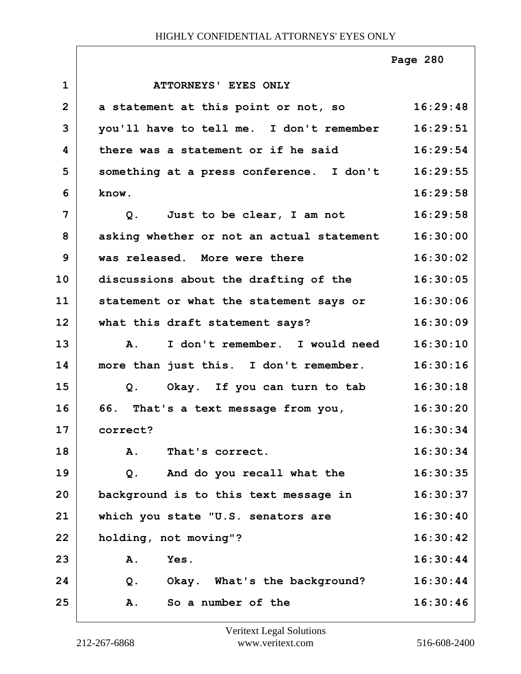|                |                                                  | Page 280 |
|----------------|--------------------------------------------------|----------|
| $\mathbf{1}$   | ATTORNEYS' EYES ONLY                             |          |
| $\overline{2}$ | a statement at this point or not, so             | 16:29:48 |
| 3              | you'll have to tell me. I don't remember         | 16:29:51 |
| 4              | there was a statement or if he said              | 16:29:54 |
| 5              | something at a press conference. I don't         | 16:29:55 |
| 6              | know.                                            | 16:29:58 |
| 7              | Q. Just to be clear, I am not                    | 16:29:58 |
| 8              | asking whether or not an actual statement        | 16:30:00 |
| 9              | was released. More were there                    | 16:30:02 |
| 10             | discussions about the drafting of the            | 16:30:05 |
| 11             | statement or what the statement says or 16:30:06 |          |
| 12             | what this draft statement says?                  | 16:30:09 |
| 13             | A. I don't remember. I would need                | 16:30:10 |
| 14             | more than just this. I don't remember.           | 16:30:16 |
| 15             | Q. Okay. If you can turn to tab                  | 16:30:18 |
| 16             | 66. That's a text message from you,              | 16:30:20 |
| 17             | correct?                                         | 16:30:34 |
| 18             | That's correct.<br>A.                            | 16:30:34 |
| 19             | And do you recall what the<br>$Q$ .              | 16:30:35 |
| 20             | background is to this text message in            | 16:30:37 |
| 21             | which you state "U.S. senators are               | 16:30:40 |
| 22             | holding, not moving"?                            | 16:30:42 |
| 23             | A.<br>Yes.                                       | 16:30:44 |
| 24             | Okay. What's the background?<br>Q.               | 16:30:44 |
| 25             | So a number of the<br>A.                         | 16:30:46 |

 $\Gamma$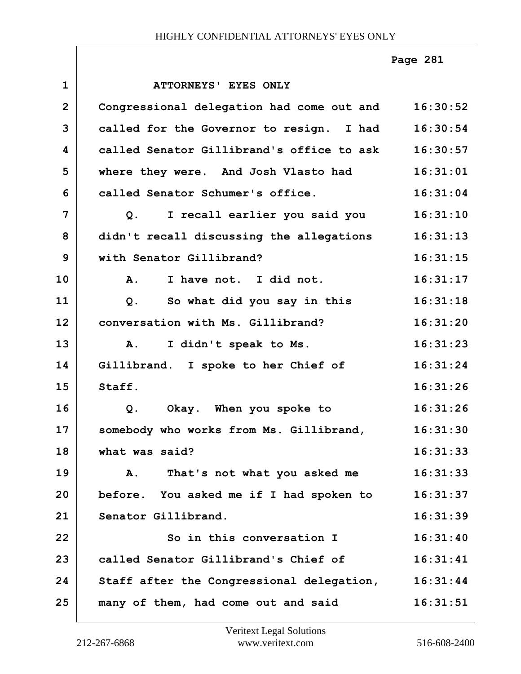|                |                                           | Page 281 |
|----------------|-------------------------------------------|----------|
| $\mathbf{1}$   | <b>ATTORNEYS' EYES ONLY</b>               |          |
| $\overline{2}$ | Congressional delegation had come out and | 16:30:52 |
| 3              | called for the Governor to resign. I had  | 16:30:54 |
| 4              | called Senator Gillibrand's office to ask | 16:30:57 |
| 5              | where they were. And Josh Vlasto had      | 16:31:01 |
| 6              | called Senator Schumer's office.          | 16:31:04 |
| $\overline{7}$ | I recall earlier you said you<br>Q.       | 16:31:10 |
| 8              | didn't recall discussing the allegations  | 16:31:13 |
| 9              | with Senator Gillibrand?                  | 16:31:15 |
| 10             | I have not. I did not.<br><b>A.</b>       | 16:31:17 |
| 11             | So what did you say in this<br>$Q$ .      | 16:31:18 |
| 12             | conversation with Ms. Gillibrand?         | 16:31:20 |
| 13             | I didn't speak to Ms.<br>Α.               | 16:31:23 |
| 14             | Gillibrand. I spoke to her Chief of       | 16:31:24 |
| 15             | Staff.                                    | 16:31:26 |
| 16             | Q. Okay. When you spoke to                | 16:31:26 |
| 17             | somebody who works from Ms. Gillibrand,   | 16:31:30 |
| 18             | what was said?                            | 16:31:33 |
| 19             | That's not what you asked me<br>A.        | 16:31:33 |
| 20             | before. You asked me if I had spoken to   | 16:31:37 |
| 21             | Senator Gillibrand.                       | 16:31:39 |
| 22             | So in this conversation I                 | 16:31:40 |
| 23             | called Senator Gillibrand's Chief of      | 16:31:41 |
| 24             | Staff after the Congressional delegation, | 16:31:44 |
| 25             | many of them, had come out and said       | 16:31:51 |

Г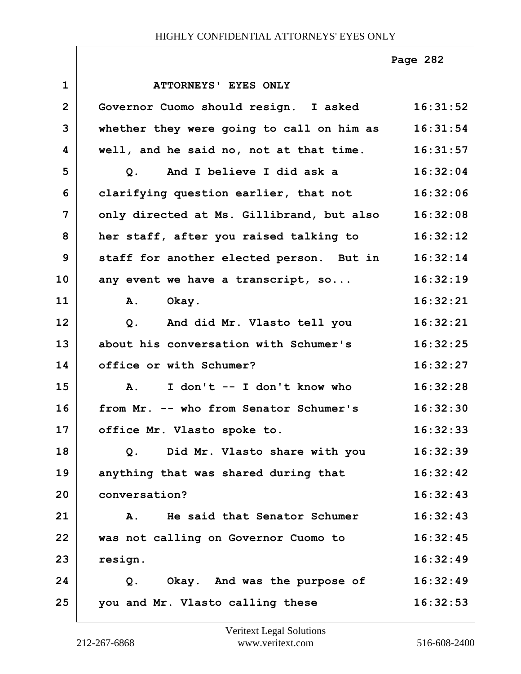**Page 282**

| $\mathbf{1}$   | ATTORNEYS' EYES ONLY                      |          |
|----------------|-------------------------------------------|----------|
| $\overline{2}$ | Governor Cuomo should resign. I asked     | 16:31:52 |
| 3              | whether they were going to call on him as | 16:31:54 |
| 4              | well, and he said no, not at that time.   | 16:31:57 |
| 5              | Q. And I believe I did ask a              | 16:32:04 |
| 6              | clarifying question earlier, that not     | 16:32:06 |
| 7              | only directed at Ms. Gillibrand, but also | 16:32:08 |
| 8              | her staff, after you raised talking to    | 16:32:12 |
| 9              | staff for another elected person. But in  | 16:32:14 |
| 10             | any event we have a transcript, so        | 16:32:19 |
| 11             | Okay.<br>Α.                               | 16:32:21 |
| 12             | And did Mr. Vlasto tell you<br>$Q$ .      | 16:32:21 |
| 13             | about his conversation with Schumer's     | 16:32:25 |
| 14             | office or with Schumer?                   | 16:32:27 |
| 15             | A. I don't -- I don't know who            | 16:32:28 |
| 16             | from Mr. -- who from Senator Schumer's    | 16:32:30 |
| 17             | office Mr. Vlasto spoke to.               | 16:32:33 |
| 18             | Did Mr. Vlasto share with you<br>Q.       | 16:32:39 |
| 19             | anything that was shared during that      | 16:32:42 |
| 20             | conversation?                             | 16:32:43 |
| 21             | He said that Senator Schumer<br><b>A.</b> | 16:32:43 |
| 22             | was not calling on Governor Cuomo to      | 16:32:45 |
| 23             | resign.                                   | 16:32:49 |
| 24             | Okay. And was the purpose of<br>Q.        | 16:32:49 |
| 25             | you and Mr. Vlasto calling these          | 16:32:53 |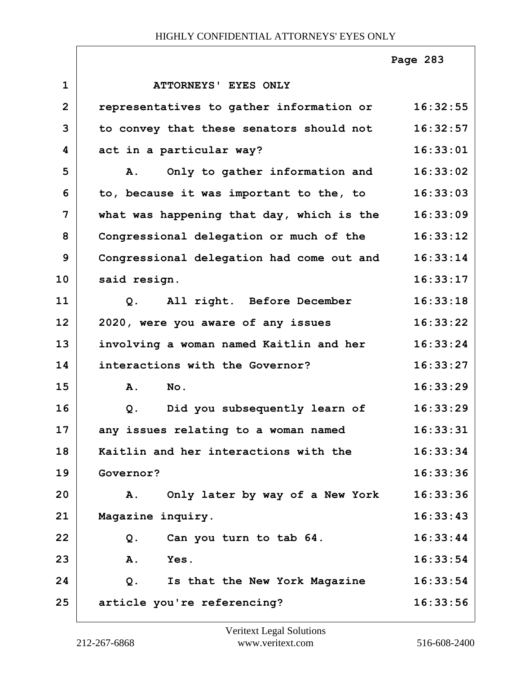|                |                                             | Page 283 |
|----------------|---------------------------------------------|----------|
| $\mathbf{1}$   | <b>ATTORNEYS' EYES ONLY</b>                 |          |
| $\overline{2}$ | representatives to gather information or    | 16:32:55 |
| 3              | to convey that these senators should not    | 16:32:57 |
| 4              | act in a particular way?                    | 16:33:01 |
| 5              | Only to gather information and<br><b>A.</b> | 16:33:02 |
| 6              | to, because it was important to the, to     | 16:33:03 |
| $\overline{7}$ | what was happening that day, which is the   | 16:33:09 |
| 8              | Congressional delegation or much of the     | 16:33:12 |
| 9              | Congressional delegation had come out and   | 16:33:14 |
| 10             | said resign.                                | 16:33:17 |
| 11             | All right. Before December<br>Q.            | 16:33:18 |
| 12             | 2020, were you aware of any issues          | 16:33:22 |
| 13             | involving a woman named Kaitlin and her     | 16:33:24 |
| 14             | interactions with the Governor?             | 16:33:27 |
| 15             | No.<br>A.                                   | 16:33:29 |
| 16             | Did you subsequently learn of<br>$Q$ .      | 16:33:29 |
| 17             | any issues relating to a woman named        | 16:33:31 |
| 18             | Kaitlin and her interactions with the       | 16:33:34 |
| 19             | Governor?                                   | 16:33:36 |
| 20             | Only later by way of a New York<br>Α.       | 16:33:36 |
| 21             | Magazine inquiry.                           | 16:33:43 |
| 22             | Can you turn to tab 64.<br>Q.               | 16:33:44 |
| 23             | Α.<br>Yes.                                  | 16:33:54 |
| 24             | Q.<br>Is that the New York Magazine         | 16:33:54 |
| 25             | article you're referencing?                 | 16:33:56 |

Г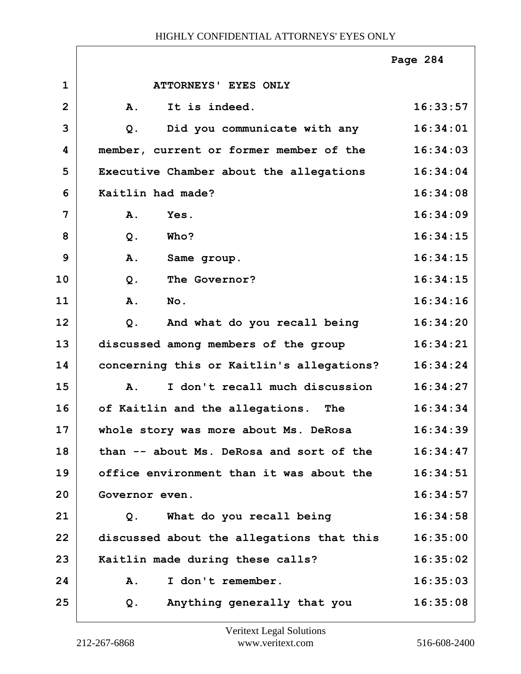|                |                                             | Page 284 |
|----------------|---------------------------------------------|----------|
| $\mathbf{1}$   | ATTORNEYS' EYES ONLY                        |          |
| $\overline{2}$ | It is indeed.<br>A.                         | 16:33:57 |
| 3              | Did you communicate with any<br>$Q$ .       | 16:34:01 |
| 4              | member, current or former member of the     | 16:34:03 |
| 5              | Executive Chamber about the allegations     | 16:34:04 |
| 6              | Kaitlin had made?                           | 16:34:08 |
| 7              | A.<br>Yes.                                  | 16:34:09 |
| 8              | $Q$ .<br>Who?                               | 16:34:15 |
| 9              | A.<br>Same group.                           | 16:34:15 |
| 10             | $Q$ .<br>The Governor?                      | 16:34:15 |
| 11             | A.<br>No.                                   | 16:34:16 |
| 12             | And what do you recall being<br>$Q$ .       | 16:34:20 |
| 13             | discussed among members of the group        | 16:34:21 |
| 14             | concerning this or Kaitlin's allegations?   | 16:34:24 |
| 15             | I don't recall much discussion<br><b>A.</b> | 16:34:27 |
| 16             | of Kaitlin and the allegations. The         | 16:34:34 |
| 17             | whole story was more about Ms. DeRosa       | 16:34:39 |
| 18             | than -- about Ms. DeRosa and sort of the    | 16:34:47 |
| 19             | office environment than it was about the    | 16:34:51 |
| 20             | Governor even.                              | 16:34:57 |
| 21             | What do you recall being<br>Q.              | 16:34:58 |
| 22             | discussed about the allegations that this   | 16:35:00 |
| 23             | Kaitlin made during these calls?            | 16:35:02 |
| 24             | I don't remember.<br>A.                     | 16:35:03 |
| 25             | Anything generally that you<br>Q.           | 16:35:08 |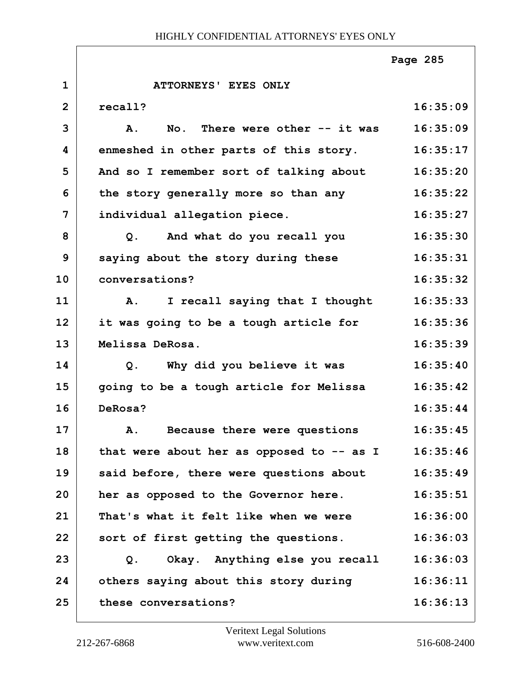**1 ATTORNEYS' EYES ONLY 2 recall? 16:35:09 3 A. No. There were other -- it was 16:35:09 4 enmeshed in other parts of this story. 16:35:17 5 And so I remember sort of talking about 16:35:20 6 the story generally more so than any 16:35:22 7 individual allegation piece. 16:35:27 8 Q. And what do you recall you 16:35:30 9 saying about the story during these 16:35:31 10 conversations? 16:35:32 11 A. I recall saying that I thought 16:35:33 12 it was going to be a tough article for 16:35:36 13 Melissa DeRosa. 16:35:39 14 Q. Why did you believe it was 16:35:40 15 going to be a tough article for Melissa 16:35:42 16 DeRosa? 16:35:44 17 A. Because there were questions 16:35:45** 18 | that were about her as opposed to -- as I 16:35:46 **19 said before, there were questions about 16:35:49 20 her as opposed to the Governor here. 16:35:51 21 That's what it felt like when we were 16:36:00 22 sort of first getting the questions. 16:36:03 23 Q. Okay. Anything else you recall 16:36:03 24 others saying about this story during 16:36:11 25 these conversations? 16:36:13 Page 285**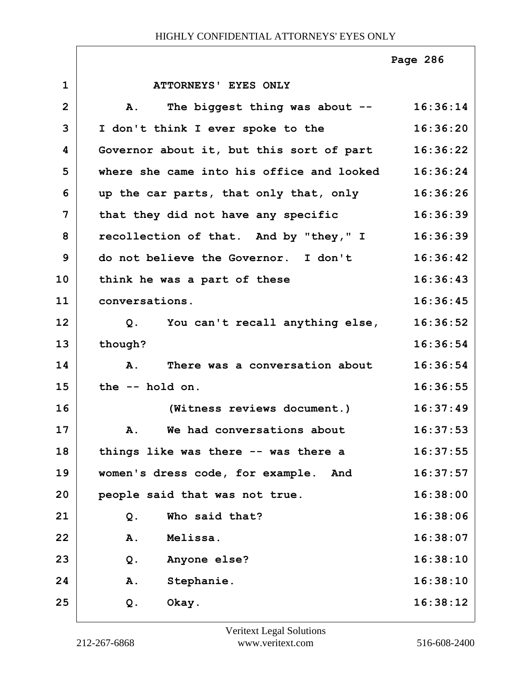**1 ATTORNEYS' EYES ONLY 2 A. The biggest thing was about -- 16:36:14 3 I don't think I ever spoke to the 16:36:20 4 Governor about it, but this sort of part 16:36:22 5 where she came into his office and looked 16:36:24 6 up the car parts, that only that, only 16:36:26 7 that they did not have any specific 16:36:39 8 recollection of that. And by "they," I 16:36:39 9 do not believe the Governor. I don't 16:36:42 10 think he was a part of these 16:36:43 11 conversations. 16:36:45 12 Q. You can't recall anything else, 16:36:52 13 though? 16:36:54 14 A. There was a conversation about 16:36:54 15 the -- hold on. 16:36:55 16 (Witness reviews document.) 16:37:49 17 A. We had conversations about 16:37:53** 18 things like was there -- was there a 16:37:55 **19 women's dress code, for example. And 16:37:57 20 people said that was not true. 16:38:00 21 Q. Who said that? 16:38:06 22 A. Melissa. 16:38:07 23 Q. Anyone else? 16:38:10 24 A. Stephanie. 16:38:10 25 Q. Okay. 16:38:12 Page 286**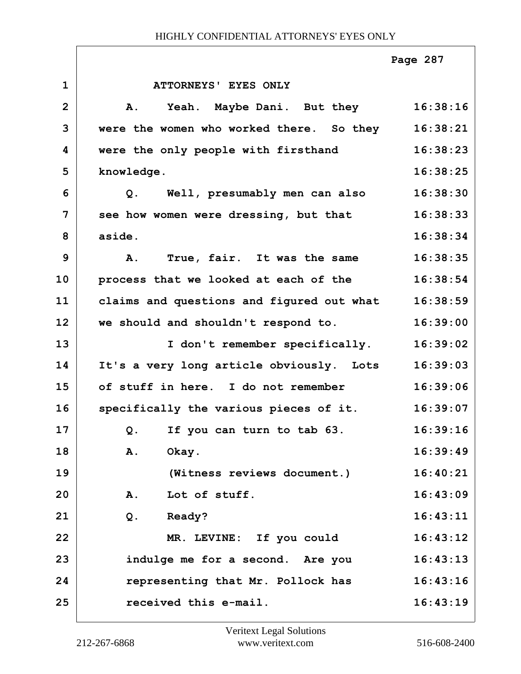|                |                                           | Page 287 |
|----------------|-------------------------------------------|----------|
| $\mathbf{1}$   | ATTORNEYS' EYES ONLY                      |          |
| $\overline{2}$ | Yeah. Maybe Dani. But they<br><b>A.</b>   | 16:38:16 |
| 3              | were the women who worked there. So they  | 16:38:21 |
| 4              | were the only people with firsthand       | 16:38:23 |
| 5              | knowledge.                                | 16:38:25 |
| 6              | Q. Well, presumably men can also          | 16:38:30 |
| $\overline{7}$ | see how women were dressing, but that     | 16:38:33 |
| 8              | aside.                                    | 16:38:34 |
| 9              | True, fair. It was the same<br>Α.         | 16:38:35 |
| 10             | process that we looked at each of the     | 16:38:54 |
| 11             | claims and questions and figured out what | 16:38:59 |
| 12             | we should and shouldn't respond to.       | 16:39:00 |
| 13             | I don't remember specifically.            | 16:39:02 |
| 14             | It's a very long article obviously. Lots  | 16:39:03 |
| 15             | of stuff in here. I do not remember       | 16:39:06 |
| 16             | specifically the various pieces of it.    | 16:39:07 |
| 17             | If you can turn to tab 63.<br>Q.          | 16:39:16 |
| 18             | Α.<br>Okay.                               | 16:39:49 |
| 19             | (Witness reviews document.)               | 16:40:21 |
| 20             | Lot of stuff.<br><b>A.</b>                | 16:43:09 |
| 21             | $Q$ .<br>Ready?                           | 16:43:11 |
| 22             | MR. LEVINE: If you could                  | 16:43:12 |
| 23             | indulge me for a second. Are you          | 16:43:13 |
| 24             | representing that Mr. Pollock has         | 16:43:16 |
| 25             | received this e-mail.                     | 16:43:19 |

 $\Gamma$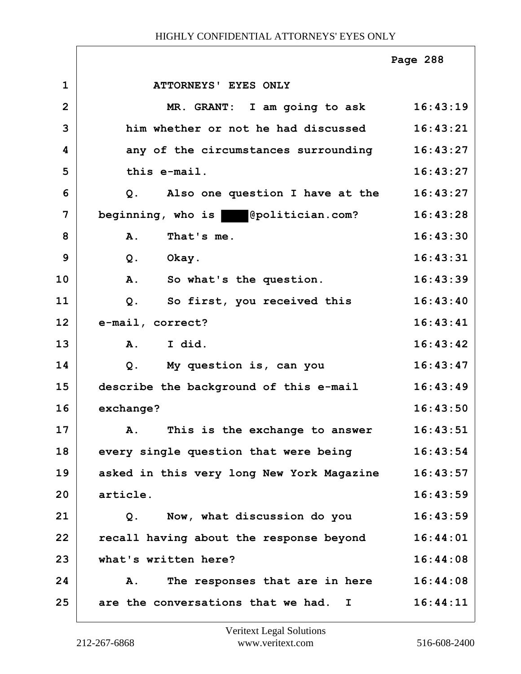|                |                                               | Page 288 |
|----------------|-----------------------------------------------|----------|
| $\mathbf{1}$   | ATTORNEYS' EYES ONLY                          |          |
| $\overline{2}$ | MR. GRANT: I am going to ask 16:43:19         |          |
| 3              | him whether or not he had discussed           | 16:43:21 |
| 4              | any of the circumstances surrounding          | 16:43:27 |
| 5              | this e-mail.                                  | 16:43:27 |
| 6              | Also one question I have at the<br>Q.         | 16:43:27 |
| 7              | beginning, who is epolitician.com?            | 16:43:28 |
| 8              | That's me.<br>A.                              | 16:43:30 |
| 9              | Okay.<br>Q.                                   | 16:43:31 |
| 10             | A. So what's the question.                    | 16:43:39 |
| 11             | So first, you received this<br>$Q$ .          | 16:43:40 |
| 12             | e-mail, correct?                              | 16:43:41 |
| 13             | I did.<br>$\mathbf{A}$ .                      | 16:43:42 |
| 14             | My question is, can you<br>$Q$ .              | 16:43:47 |
| 15             | describe the background of this e-mail        | 16:43:49 |
| 16             | exchange?                                     | 16:43:50 |
| 17             | This is the exchange to answer<br>${\bf A}$ . | 16:43:51 |
| 18             | every single question that were being         | 16:43:54 |
| 19             | asked in this very long New York Magazine     | 16:43:57 |
| 20             | article.                                      | 16:43:59 |
| 21             | Now, what discussion do you<br>$Q$ .          | 16:43:59 |
| 22             | recall having about the response beyond       | 16:44:01 |
| 23             | what's written here?                          | 16:44:08 |
| 24             | The responses that are in here<br>Α.          | 16:44:08 |
| 25             | are the conversations that we had. I          | 16:44:11 |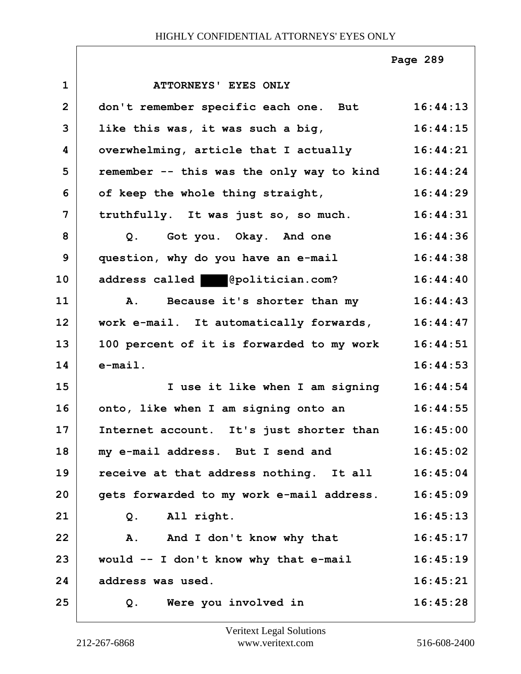|                |                                           | Page 289 |
|----------------|-------------------------------------------|----------|
| $\mathbf{1}$   | ATTORNEYS' EYES ONLY                      |          |
| $\overline{2}$ | don't remember specific each one. But     | 16:44:13 |
| 3              | like this was, it was such a big,         | 16:44:15 |
| 4              | overwhelming, article that I actually     | 16:44:21 |
| 5              | remember -- this was the only way to kind | 16:44:24 |
| 6              | of keep the whole thing straight,         | 16:44:29 |
| $\overline{7}$ | truthfully. It was just so, so much.      | 16:44:31 |
| 8              | Q. Got you. Okay. And one                 | 16:44:36 |
| 9              | question, why do you have an e-mail       | 16:44:38 |
| 10             | address called @politician.com?           | 16:44:40 |
| 11             | Because it's shorter than my<br><b>A.</b> | 16:44:43 |
| 12             | work e-mail. It automatically forwards,   | 16:44:47 |
| 13             | 100 percent of it is forwarded to my work | 16:44:51 |
| 14             | $e$ -mail.                                | 16:44:53 |
| 15             | I use it like when I am signing           | 16:44:54 |
| 16             | onto, like when I am signing onto an      | 16:44:55 |
| 17             | Internet account. It's just shorter than  | 16:45:00 |
| 18             | my e-mail address. But I send and         | 16:45:02 |
| 19             | receive at that address nothing. It all   | 16:45:04 |
| 20             | gets forwarded to my work e-mail address. | 16:45:09 |
| 21             | All right.<br>Q.                          | 16:45:13 |
| 22             | A. And I don't know why that              | 16:45:17 |
| 23             | would -- I don't know why that e-mail     | 16:45:19 |
| 24             | address was used.                         | 16:45:21 |
| 25             | Were you involved in<br>Q.                | 16:45:28 |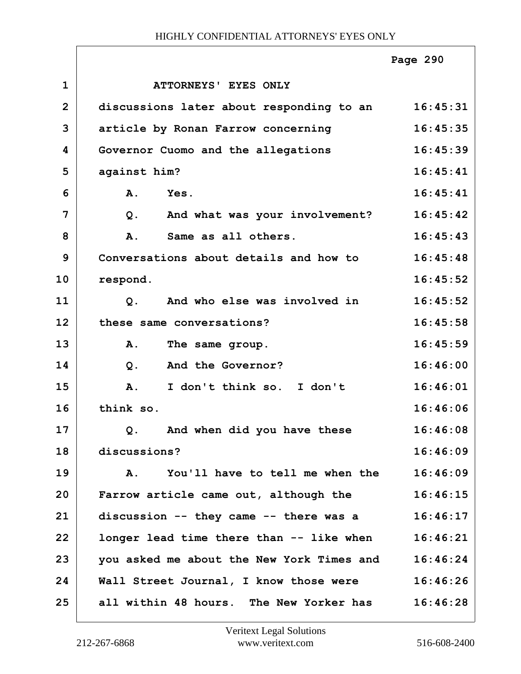|                |                                           | Page 290 |
|----------------|-------------------------------------------|----------|
| $\mathbf 1$    | ATTORNEYS' EYES ONLY                      |          |
| $\overline{2}$ | discussions later about responding to an  | 16:45:31 |
| 3              | article by Ronan Farrow concerning        | 16:45:35 |
| 4              | Governor Cuomo and the allegations        | 16:45:39 |
| 5              | against him?                              | 16:45:41 |
| 6              | <b>A.</b><br>Yes.                         | 16:45:41 |
| 7              | And what was your involvement?<br>$Q$ .   | 16:45:42 |
| 8              | Same as all others.<br>A.                 | 16:45:43 |
| 9              | Conversations about details and how to    | 16:45:48 |
| 10             | respond.                                  | 16:45:52 |
| 11             | And who else was involved in<br>$Q$ .     | 16:45:52 |
| 12             | these same conversations?                 | 16:45:58 |
| 13             | Α.<br>The same group.                     | 16:45:59 |
| 14             | And the Governor?<br>$Q$ .                | 16:46:00 |
| 15             | A.<br>I don't think so. I don't           | 16:46:01 |
| 16             | think so.                                 | 16:46:06 |
| 17             | And when did you have these<br>$Q$ .      | 16:46:08 |
| 18             | discussions?                              | 16:46:09 |
| 19             | You'll have to tell me when the<br>A.     | 16:46:09 |
| 20             | Farrow article came out, although the     | 16:46:15 |
| 21             | discussion -- they came -- there was a    | 16:46:17 |
| 22             | longer lead time there than -- like when  | 16:46:21 |
| 23             | you asked me about the New York Times and | 16:46:24 |
| 24             | Wall Street Journal, I know those were    | 16:46:26 |
| 25             | all within 48 hours. The New Yorker has   | 16:46:28 |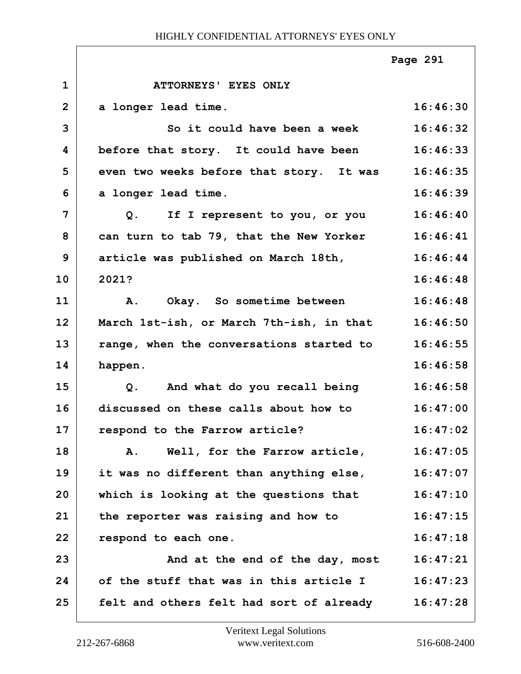|                |                                          | Page 291 |
|----------------|------------------------------------------|----------|
| $\mathbf{1}$   | ATTORNEYS' EYES ONLY                     |          |
| $\overline{2}$ | a longer lead time.                      | 16:46:30 |
| 3              | So it could have been a week             | 16:46:32 |
| 4              | before that story. It could have been    | 16:46:33 |
| 5              | even two weeks before that story. It was | 16:46:35 |
| 6              | a longer lead time.                      | 16:46:39 |
| $\overline{7}$ | Q. If I represent to you, or you         | 16:46:40 |
| 8              | can turn to tab 79, that the New Yorker  | 16:46:41 |
| 9              | article was published on March 18th,     | 16:46:44 |
| 10             | 2021?                                    | 16:46:48 |
| 11             | A. Okay. So sometime between             | 16:46:48 |
| 12             | March 1st-ish, or March 7th-ish, in that | 16:46:50 |
| 13             | range, when the conversations started to | 16:46:55 |
| 14             | happen.                                  | 16:46:58 |
| 15             | Q. And what do you recall being          | 16:46:58 |
| 16             | discussed on these calls about how to    | 16:47:00 |
| 17             | respond to the Farrow article?           | 16:47:02 |
| 18             | Well, for the Farrow article,<br>Α.      | 16:47:05 |
| 19             | it was no different than anything else,  | 16:47:07 |
| 20             | which is looking at the questions that   | 16:47:10 |
| 21             | the reporter was raising and how to      | 16:47:15 |
| 22             | respond to each one.                     | 16:47:18 |
| 23             | And at the end of the day, most          | 16:47:21 |
| 24             | of the stuff that was in this article I  | 16:47:23 |
| 25             | felt and others felt had sort of already | 16:47:28 |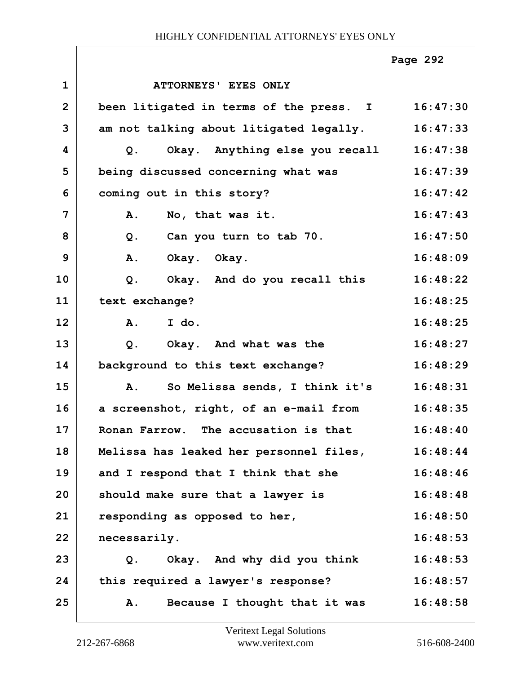|                |                                         | Page 292 |
|----------------|-----------------------------------------|----------|
| $\mathbf{1}$   | ATTORNEYS' EYES ONLY                    |          |
| $\overline{2}$ | been litigated in terms of the press. I | 16:47:30 |
| 3              | am not talking about litigated legally. | 16:47:33 |
| 4              | Okay. Anything else you recall<br>$Q$ . | 16:47:38 |
| 5              | being discussed concerning what was     | 16:47:39 |
| 6              | coming out in this story?               | 16:47:42 |
| 7              | A.<br>No, that was it.                  | 16:47:43 |
| 8              | Can you turn to tab 70.<br>$Q$ .        | 16:47:50 |
| 9              | A.<br>Okay. Okay.                       | 16:48:09 |
| 10             | Okay. And do you recall this<br>$Q$ .   | 16:48:22 |
| 11             | text exchange?                          | 16:48:25 |
| 12             | I do.<br>A.                             | 16:48:25 |
| 13             | Okay. And what was the<br>$Q$ .         | 16:48:27 |
| 14             | background to this text exchange?       | 16:48:29 |
| 15             | So Melissa sends, I think it's<br>A.    | 16:48:31 |
| 16             | a screenshot, right, of an e-mail from  | 16:48:35 |
| 17             | Ronan Farrow. The accusation is that    | 16:48:40 |
| 18             | Melissa has leaked her personnel files, | 16:48:44 |
| 19             | and I respond that I think that she     | 16:48:46 |
| 20             | should make sure that a lawyer is       | 16:48:48 |
| 21             | responding as opposed to her,           | 16:48:50 |
| 22             | necessarily.                            | 16:48:53 |
| 23             | Okay. And why did you think<br>Q.       | 16:48:53 |
| 24             | this required a lawyer's response?      | 16:48:57 |
| 25             | Because I thought that it was<br>Α.     | 16:48:58 |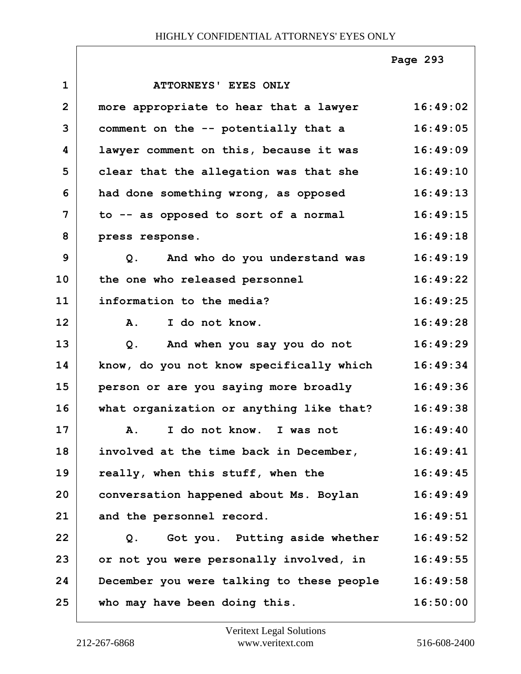|                |                                               | Page 293 |
|----------------|-----------------------------------------------|----------|
| $\mathbf{1}$   | ATTORNEYS' EYES ONLY                          |          |
| $\overline{2}$ | more appropriate to hear that a lawyer        | 16:49:02 |
| 3              | comment on the -- potentially that a          | 16:49:05 |
| 4              | lawyer comment on this, because it was        | 16:49:09 |
| 5              | clear that the allegation was that she        | 16:49:10 |
| 6              | had done something wrong, as opposed          | 16:49:13 |
| 7              | to -- as opposed to sort of a normal          | 16:49:15 |
| 8              | press response.                               | 16:49:18 |
| 9              | Q. And who do you understand was              | 16:49:19 |
| 10             | the one who released personnel                | 16:49:22 |
| 11             | information to the media?                     | 16:49:25 |
| 12             | I do not know.<br><b>A.</b>                   | 16:49:28 |
| 13             | And when you say you do not<br>Q <sub>1</sub> | 16:49:29 |
| 14             | know, do you not know specifically which      | 16:49:34 |
| 15             | person or are you saying more broadly         | 16:49:36 |
| 16             | what organization or anything like that?      | 16:49:38 |
| 17             | I do not know. I was not<br><b>A.</b>         | 16:49:40 |
| 18             | involved at the time back in December,        | 16:49:41 |
| 19             | really, when this stuff, when the             | 16:49:45 |
| 20             | conversation happened about Ms. Boylan        | 16:49:49 |
| 21             | and the personnel record.                     | 16:49:51 |
| 22             | Got you. Putting aside whether<br>Q.          | 16:49:52 |
| 23             | or not you were personally involved, in       | 16:49:55 |
| 24             | December you were talking to these people     | 16:49:58 |
| 25             | who may have been doing this.                 | 16:50:00 |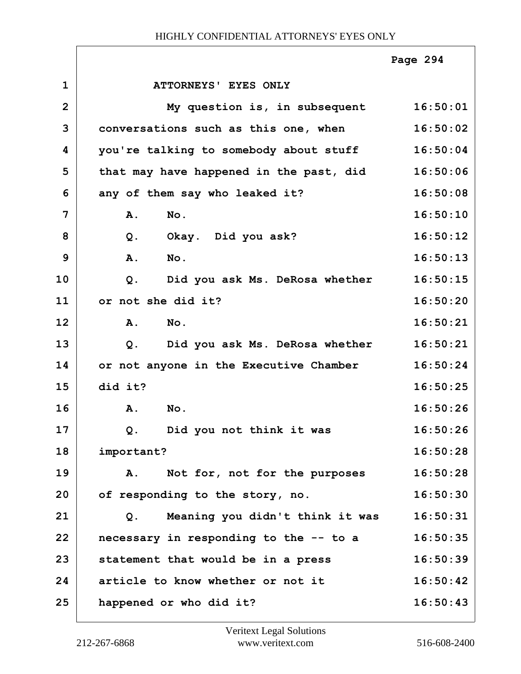|                |                                         | Page 294 |
|----------------|-----------------------------------------|----------|
| $\mathbf{1}$   | ATTORNEYS' EYES ONLY                    |          |
| $\overline{2}$ | My question is, in subsequent           | 16:50:01 |
| 3              | conversations such as this one, when    | 16:50:02 |
| 4              | you're talking to somebody about stuff  | 16:50:04 |
| 5              | that may have happened in the past, did | 16:50:06 |
| 6              | any of them say who leaked it?          | 16:50:08 |
| 7              | No.<br>A.                               | 16:50:10 |
| 8              | Okay. Did you ask?<br>$Q$ .             | 16:50:12 |
| 9              | A.<br>No.                               | 16:50:13 |
| 10             | Did you ask Ms. DeRosa whether<br>$Q$ . | 16:50:15 |
| 11             | or not she did it?                      | 16:50:20 |
| 12             | $N$ o.<br>A.                            | 16:50:21 |
| 13             | Did you ask Ms. DeRosa whether<br>Q.    | 16:50:21 |
| 14             | or not anyone in the Executive Chamber  | 16:50:24 |
| 15             | did it?                                 | 16:50:25 |
| 16             | A.<br>No.                               | 16:50:26 |
| 17             | Q. Did you not think it was             | 16:50:26 |
| 18             | important?                              | 16:50:28 |
| 19             | Not for, not for the purposes<br>Α.     | 16:50:28 |
| 20             | of responding to the story, no.         | 16:50:30 |
| 21             | Meaning you didn't think it was<br>Q.   | 16:50:31 |
| 22             | necessary in responding to the -- to a  | 16:50:35 |
| 23             | statement that would be in a press      | 16:50:39 |
| 24             | article to know whether or not it       | 16:50:42 |
| 25             | happened or who did it?                 | 16:50:43 |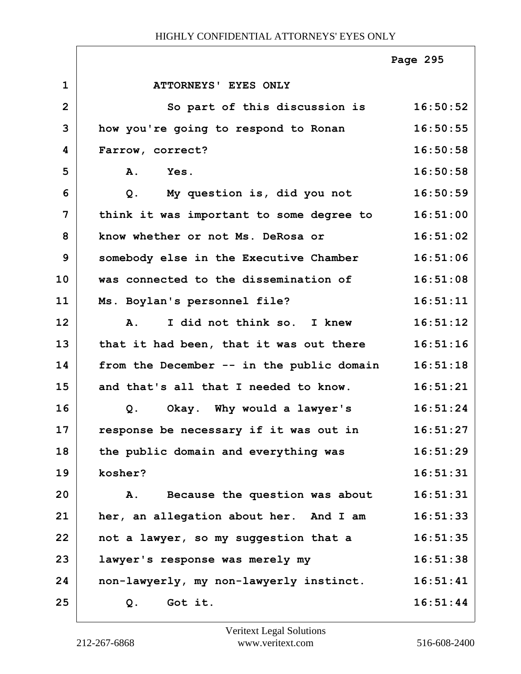|                |                                           | Page 295 |
|----------------|-------------------------------------------|----------|
| $\mathbf{1}$   | ATTORNEYS' EYES ONLY                      |          |
| $\overline{2}$ | So part of this discussion is             | 16:50:52 |
| 3              | how you're going to respond to Ronan      | 16:50:55 |
| 4              | Farrow, correct?                          | 16:50:58 |
| 5              | Yes.<br>Α.                                | 16:50:58 |
| 6              | My question is, did you not<br>$Q$ .      | 16:50:59 |
| $\overline{7}$ | think it was important to some degree to  | 16:51:00 |
| 8              | know whether or not Ms. DeRosa or         | 16:51:02 |
| $\mathbf{9}$   | somebody else in the Executive Chamber    | 16:51:06 |
| 10             | was connected to the dissemination of     | 16:51:08 |
| 11             | Ms. Boylan's personnel file?              | 16:51:11 |
| 12             | I did not think so. I knew<br><b>A.</b>   | 16:51:12 |
| 13             | that it had been, that it was out there   | 16:51:16 |
| 14             | from the December -- in the public domain | 16:51:18 |
| 15             | and that's all that I needed to know.     | 16:51:21 |
| 16             | Okay. Why would a lawyer's<br>Q.          | 16:51:24 |
| 17             | response be necessary if it was out in    | 16:51:27 |
| 18             | the public domain and everything was      | 16:51:29 |
| 19             | kosher?                                   | 16:51:31 |
| 20             | Because the question was about<br>Α.      | 16:51:31 |
| 21             | her, an allegation about her. And I am    | 16:51:33 |
| 22             | not a lawyer, so my suggestion that a     | 16:51:35 |
| 23             | lawyer's response was merely my           | 16:51:38 |
| 24             | non-lawyerly, my non-lawyerly instinct.   | 16:51:41 |
| 25             | Got it.<br>Q.                             | 16:51:44 |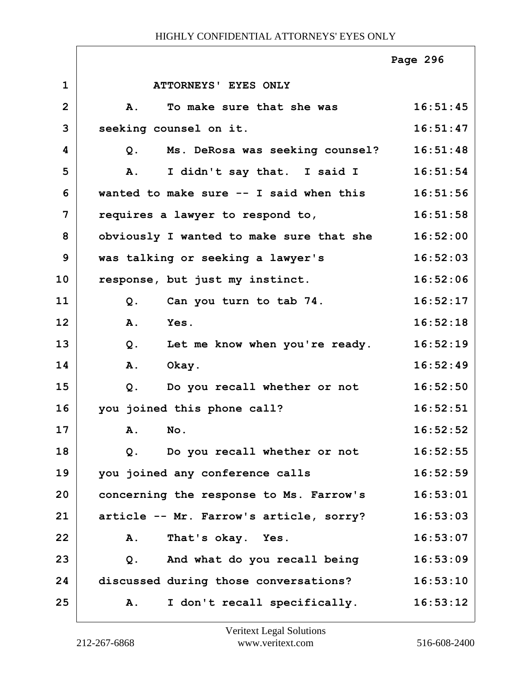|                |                                                   | Page 296 |
|----------------|---------------------------------------------------|----------|
| $\mathbf{1}$   | ATTORNEYS' EYES ONLY                              |          |
| $\overline{2}$ | To make sure that she was<br><b>A.</b>            | 16:51:45 |
| 3              | seeking counsel on it.                            | 16:51:47 |
| 4              | Ms. DeRosa was seeking counsel?<br>Q <sub>z</sub> | 16:51:48 |
| 5              | I didn't say that. I said I<br>A.                 | 16:51:54 |
| 6              | wanted to make sure -- I said when this           | 16:51:56 |
| 7              | requires a lawyer to respond to,                  | 16:51:58 |
| 8              | obviously I wanted to make sure that she          | 16:52:00 |
| 9              | was talking or seeking a lawyer's                 | 16:52:03 |
| 10             | response, but just my instinct.                   | 16:52:06 |
| 11             | Can you turn to tab 74.<br>Q.                     | 16:52:17 |
| 12             | A.<br>Yes.                                        | 16:52:18 |
| 13             | $Q$ .<br>Let me know when you're ready.           | 16:52:19 |
| 14             | <b>A.</b><br>Okay.                                | 16:52:49 |
| 15             | Do you recall whether or not<br>Q.                | 16:52:50 |
| 16             | you joined this phone call?                       | 16:52:51 |
| 17             | A. No.                                            | 16:52:52 |
| 18             | Do you recall whether or not<br>$Q$ .             | 16:52:55 |
| 19             | you joined any conference calls                   | 16:52:59 |
| 20             | concerning the response to Ms. Farrow's           | 16:53:01 |
| 21             | article -- Mr. Farrow's article, sorry?           | 16:53:03 |
| 22             | That's okay. Yes.<br>Α.                           | 16:53:07 |
| 23             | And what do you recall being<br>Q <sub>1</sub>    | 16:53:09 |
| 24             | discussed during those conversations?             | 16:53:10 |
| 25             | I don't recall specifically.<br>Α.                | 16:53:12 |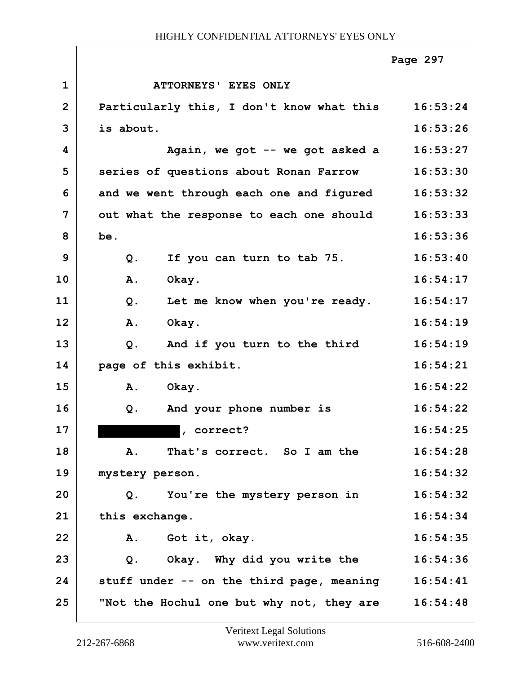|                |                                           | Page 297 |
|----------------|-------------------------------------------|----------|
| $\mathbf 1$    | <b>ATTORNEYS' EYES ONLY</b>               |          |
| $\overline{2}$ | Particularly this, I don't know what this | 16:53:24 |
| 3              | is about.                                 | 16:53:26 |
| 4              | Again, we got -- we got asked a           | 16:53:27 |
| 5              | series of questions about Ronan Farrow    | 16:53:30 |
| 6              | and we went through each one and figured  | 16:53:32 |
| 7              | out what the response to each one should  | 16:53:33 |
| 8              | be.                                       | 16:53:36 |
| 9              | If you can turn to tab 75.<br>$Q$ .       | 16:53:40 |
| 10             | Okay.<br><b>A.</b>                        | 16:54:17 |
| 11             | $Q$ .<br>Let me know when you're ready.   | 16:54:17 |
| 12             | Okay.<br><b>A.</b>                        | 16:54:19 |
| 13             | And if you turn to the third<br>$Q$ .     | 16:54:19 |
| 14             | page of this exhibit.                     | 16:54:21 |
| 15             | Okay.<br>Α.                               | 16:54:22 |
| 16             | And your phone number is<br>Q.            | 16:54:22 |
| 17             | , correct?                                | 16:54:25 |
| 18             | That's correct. So I am the<br>Α.         | 16:54:28 |
| 19             | mystery person.                           | 16:54:32 |
| 20             | You're the mystery person in<br>Q.        | 16:54:32 |
| 21             | this exchange.                            | 16:54:34 |
| 22             | Got it, okay.<br>A.                       | 16:54:35 |
| 23             | Okay. Why did you write the<br>Q.         | 16:54:36 |
| 24             | stuff under -- on the third page, meaning | 16:54:41 |
| 25             | "Not the Hochul one but why not, they are | 16:54:48 |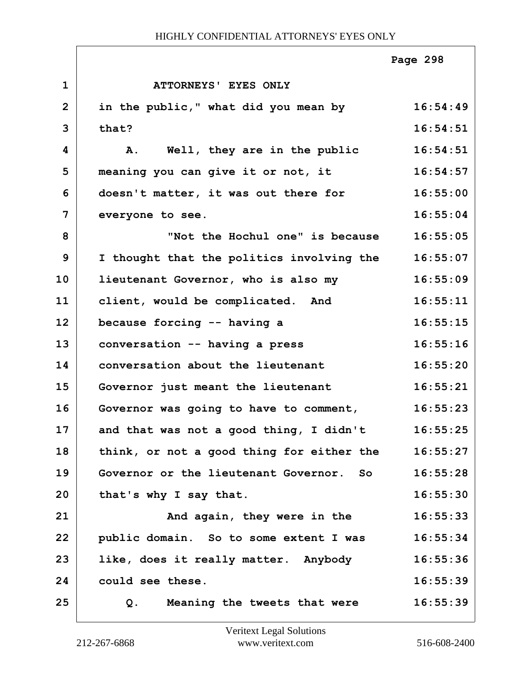|                |                                           | Page 298 |
|----------------|-------------------------------------------|----------|
| $\mathbf 1$    | ATTORNEYS' EYES ONLY                      |          |
| $\overline{2}$ | in the public," what did you mean by      | 16:54:49 |
| 3              | that?                                     | 16:54:51 |
| 4              | Well, they are in the public<br>Α.        | 16:54:51 |
| 5              | meaning you can give it or not, it        | 16:54:57 |
| 6              | doesn't matter, it was out there for      | 16:55:00 |
| 7              | everyone to see.                          | 16:55:04 |
| 8              | "Not the Hochul one" is because           | 16:55:05 |
| 9              | I thought that the politics involving the | 16:55:07 |
| 10             | lieutenant Governor, who is also my       | 16:55:09 |
| 11             | client, would be complicated. And         | 16:55:11 |
| 12             | because forcing -- having a               | 16:55:15 |
| 13             | conversation -- having a press            | 16:55:16 |
| 14             | conversation about the lieutenant         | 16:55:20 |
| 15             | Governor just meant the lieutenant        | 16:55:21 |
| 16             | Governor was going to have to comment,    | 16:55:23 |
| 17             | and that was not a good thing, I didn't   | 16:55:25 |
| 18             | think, or not a good thing for either the | 16:55:27 |
| 19             | Governor or the lieutenant Governor. So   | 16:55:28 |
| 20             | that's why I say that.                    | 16:55:30 |
| 21             | And again, they were in the               | 16:55:33 |
| 22             | public domain. So to some extent I was    | 16:55:34 |
| 23             | like, does it really matter. Anybody      | 16:55:36 |
| 24             | could see these.                          | 16:55:39 |
| 25             | Meaning the tweets that were<br>Q.        | 16:55:39 |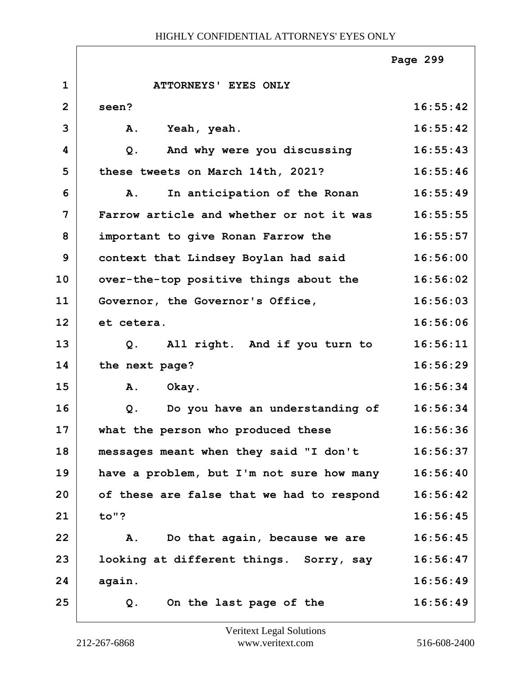|                |                                           | Page 299 |
|----------------|-------------------------------------------|----------|
| $\mathbf{1}$   | ATTORNEYS' EYES ONLY                      |          |
| $\overline{2}$ | seen?                                     | 16:55:42 |
| 3              | A.<br>Yeah, yeah.                         | 16:55:42 |
| 4              | And why were you discussing<br>$Q$ .      | 16:55:43 |
| 5              | these tweets on March 14th, 2021?         | 16:55:46 |
| 6              | In anticipation of the Ronan<br>Α.        | 16:55:49 |
| $\overline{7}$ | Farrow article and whether or not it was  | 16:55:55 |
| 8              | important to give Ronan Farrow the        | 16:55:57 |
| 9              | context that Lindsey Boylan had said      | 16:56:00 |
| 10             | over-the-top positive things about the    | 16:56:02 |
| 11             | Governor, the Governor's Office,          | 16:56:03 |
| 12             | et cetera.                                | 16:56:06 |
| 13             | All right. And if you turn to<br>$Q$ .    | 16:56:11 |
| 14             | the next page?                            | 16:56:29 |
| 15             | Α.<br>Okay.                               | 16:56:34 |
| 16             | Do you have an understanding of<br>$Q$ .  | 16:56:34 |
| 17             | what the person who produced these        | 16:56:36 |
| 18             | messages meant when they said "I don't    | 16:56:37 |
| 19             | have a problem, but I'm not sure how many | 16:56:40 |
| 20             | of these are false that we had to respond | 16:56:42 |
| 21             | to"?                                      | 16:56:45 |
| 22             | Do that again, because we are<br>Α.       | 16:56:45 |
| 23             | looking at different things. Sorry, say   | 16:56:47 |
| 24             | again.                                    | 16:56:49 |
| 25             | On the last page of the<br>Q.             | 16:56:49 |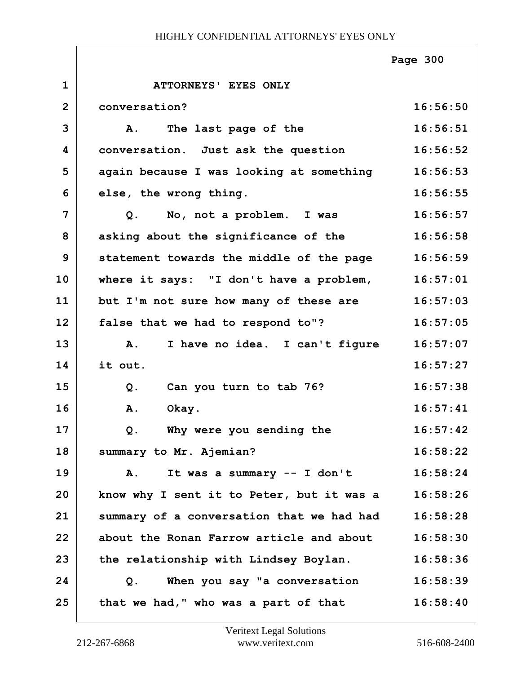|                |                                             | Page 300 |
|----------------|---------------------------------------------|----------|
| $\mathbf{1}$   | ATTORNEYS' EYES ONLY                        |          |
| $\overline{2}$ | conversation?                               | 16:56:50 |
| 3              | The last page of the<br>Α.                  | 16:56:51 |
| 4              | conversation. Just ask the question         | 16:56:52 |
| 5              | again because I was looking at something    | 16:56:53 |
| 6              | else, the wrong thing.                      | 16:56:55 |
| $\overline{7}$ | No, not a problem. I was<br>Q.              | 16:56:57 |
| 8              | asking about the significance of the        | 16:56:58 |
| 9              | statement towards the middle of the page    | 16:56:59 |
| 10             | where it says: "I don't have a problem,     | 16:57:01 |
| 11             | but I'm not sure how many of these are      | 16:57:03 |
| 12             | false that we had to respond to"?           | 16:57:05 |
| 13             | I have no idea. I can't figure<br><b>A.</b> | 16:57:07 |
| 14             | it out.                                     | 16:57:27 |
| 15             | Can you turn to tab 76?<br>$Q$ .            | 16:57:38 |
| 16             | Okay.<br>A.                                 | 16:57:41 |
| 17             | Why were you sending the<br>Q.              | 16:57:42 |
| 18             | summary to Mr. Ajemian?                     | 16:58:22 |
| 19             | It was a summary -- I don't<br>Α.           | 16:58:24 |
| 20             | know why I sent it to Peter, but it was a   | 16:58:26 |
| 21             | summary of a conversation that we had had   | 16:58:28 |
| 22             | about the Ronan Farrow article and about    | 16:58:30 |
| 23             | the relationship with Lindsey Boylan.       | 16:58:36 |
| 24             | When you say "a conversation<br>Q.          | 16:58:39 |
| 25             | that we had," who was a part of that        | 16:58:40 |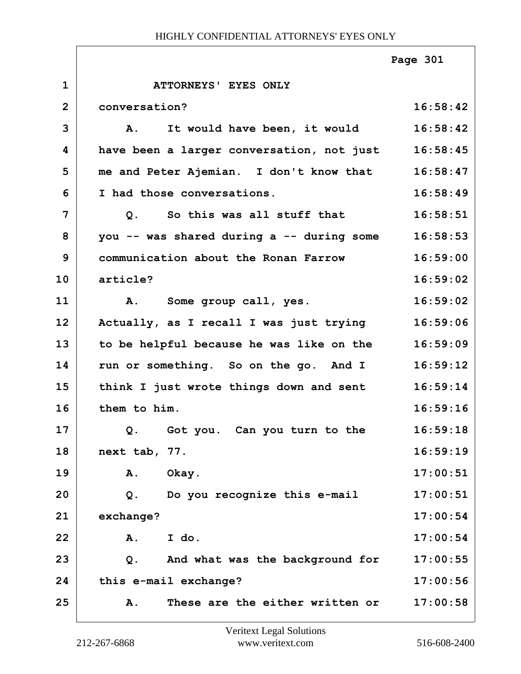|                |                                                    | Page 301 |
|----------------|----------------------------------------------------|----------|
| $\mathbf{1}$   | ATTORNEYS' EYES ONLY                               |          |
| $\overline{2}$ | conversation?                                      | 16:58:42 |
| 3              | A. It would have been, it would                    | 16:58:42 |
| 4              | have been a larger conversation, not just 16:58:45 |          |
| 5              | me and Peter Ajemian. I don't know that 16:58:47   |          |
| 6              | I had those conversations.                         | 16:58:49 |
| 7              | Q. So this was all stuff that                      | 16:58:51 |
| 8              | you -- was shared during a -- during some          | 16:58:53 |
| 9              | communication about the Ronan Farrow               | 16:59:00 |
| 10             | article?                                           | 16:59:02 |
| 11             | A. Some group call, yes.                           | 16:59:02 |
| 12             | Actually, as I recall I was just trying            | 16:59:06 |
| 13             | to be helpful because he was like on the           | 16:59:09 |
| 14             | run or something. So on the go. And I              | 16:59:12 |
| 15             | think I just wrote things down and sent 16:59:14   |          |
| 16             | them to him.                                       | 16:59:16 |
| 17             | Q.<br>Got you. Can you turn to the                 | 16:59:18 |
| 18             | next tab, 77.                                      | 16:59:19 |
| 19             | Okay.<br>Α.                                        | 17:00:51 |
| 20             | Do you recognize this e-mail<br>Q.                 | 17:00:51 |
| 21             | exchange?                                          | 17:00:54 |
| 22             | I do.<br>A.                                        | 17:00:54 |
| 23             | And what was the background for<br>$Q$ .           | 17:00:55 |
| 24             | this e-mail exchange?                              | 17:00:56 |
| 25             | These are the either written or<br>Α.              | 17:00:58 |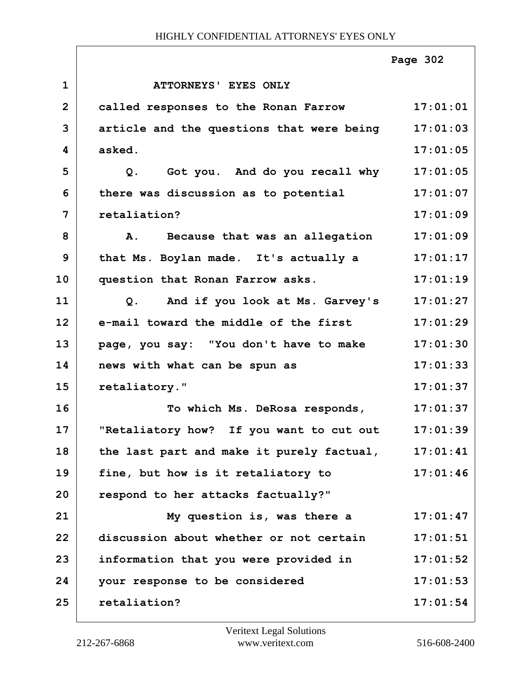|                |                                                   | Page 302 |
|----------------|---------------------------------------------------|----------|
| $\mathbf{1}$   | ATTORNEYS' EYES ONLY                              |          |
| $\overline{2}$ | called responses to the Ronan Farrow              | 17:01:01 |
| 3              | article and the questions that were being         | 17:01:03 |
| 4              | asked.                                            | 17:01:05 |
| 5              | Got you. And do you recall why<br>$Q$ .           | 17:01:05 |
| 6              | there was discussion as to potential              | 17:01:07 |
| 7              | retaliation?                                      | 17:01:09 |
| 8              | A. Because that was an allegation                 | 17:01:09 |
| 9              | that Ms. Boylan made. It's actually a             | 17:01:17 |
| 10             | question that Ronan Farrow asks.                  | 17:01:19 |
| 11             | And if you look at Ms. Garvey's<br>Q <sub>1</sub> | 17:01:27 |
| 12             | e-mail toward the middle of the first             | 17:01:29 |
| 13             | page, you say: "You don't have to make            | 17:01:30 |
| 14             | news with what can be spun as                     | 17:01:33 |
| 15             | retaliatory."                                     | 17:01:37 |
| 16             | To which Ms. DeRosa responds,                     | 17:01:37 |
| 17             | "Retaliatory how? If you want to cut out 17:01:39 |          |
| 18             | the last part and make it purely factual,         | 17:01:41 |
| 19             | fine, but how is it retaliatory to                | 17:01:46 |
| 20             | respond to her attacks factually?"                |          |
| 21             | My question is, was there a                       | 17:01:47 |
| 22             | discussion about whether or not certain           | 17:01:51 |
| 23             | information that you were provided in             | 17:01:52 |
| 24             | your response to be considered                    | 17:01:53 |
| 25             | retaliation?                                      | 17:01:54 |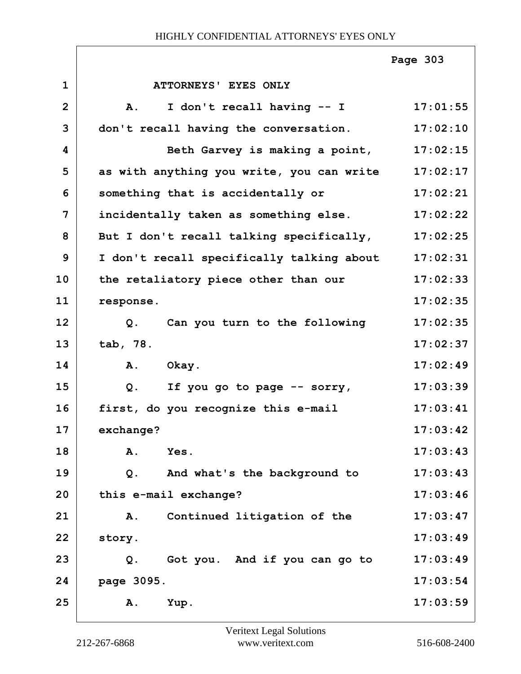|                |                                                 | Page 303 |
|----------------|-------------------------------------------------|----------|
| $\mathbf{1}$   | ATTORNEYS' EYES ONLY                            |          |
| $\overline{2}$ | I don't recall having -- I<br>A.                | 17:01:55 |
| 3              | don't recall having the conversation.           | 17:02:10 |
| 4              | Beth Garvey is making a point,                  | 17:02:15 |
| 5              | as with anything you write, you can write       | 17:02:17 |
| 6              | something that is accidentally or               | 17:02:21 |
| 7              | incidentally taken as something else.           | 17:02:22 |
| 8              | But I don't recall talking specifically,        | 17:02:25 |
| 9              | I don't recall specifically talking about       | 17:02:31 |
| 10             | the retaliatory piece other than our            | 17:02:33 |
| 11             | response.                                       | 17:02:35 |
| 12             | Can you turn to the following<br>Q <sub>1</sub> | 17:02:35 |
| 13             | tab, 78.                                        | 17:02:37 |
| 14             | A.<br>Okay.                                     | 17:02:49 |
| 15             | Q.<br>If you go to page -- sorry,               | 17:03:39 |
| 16             | first, do you recognize this e-mail             | 17:03:41 |
| 17             | exchange?                                       | 17:03:42 |
| 18             | A.<br>Yes.                                      | 17:03:43 |
| 19             | And what's the background to<br>Q.              | 17:03:43 |
| 20             | this e-mail exchange?                           | 17:03:46 |
| 21             | Continued litigation of the<br>Α.               | 17:03:47 |
| 22             | story.                                          | 17:03:49 |
| 23             | Got you. And if you can go to<br>$Q$ .          | 17:03:49 |
| 24             | page 3095.                                      | 17:03:54 |
| 25             | Yup.<br>Α.                                      | 17:03:59 |

ı

ī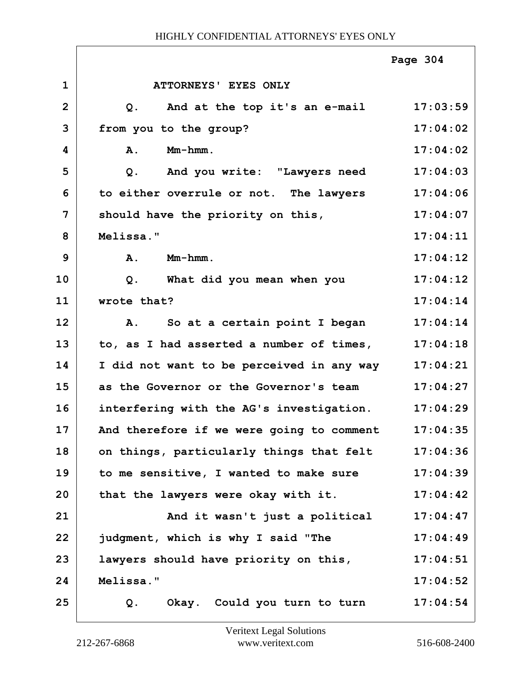|                |                                           | Page 304 |
|----------------|-------------------------------------------|----------|
| $\mathbf{1}$   | ATTORNEYS' EYES ONLY                      |          |
| $\overline{2}$ | And at the top it's an e-mail<br>Q.       | 17:03:59 |
| 3              | from you to the group?                    | 17:04:02 |
| 4              | Mm-hmm.<br>Α.                             | 17:04:02 |
| 5              | And you write: "Lawyers need<br>Q.        | 17:04:03 |
| 6              | to either overrule or not. The lawyers    | 17:04:06 |
| 7              | should have the priority on this,         | 17:04:07 |
| 8              | Melissa."                                 | 17:04:11 |
| 9              | $Mm-hmm$ .<br>A.                          | 17:04:12 |
| 10             | What did you mean when you<br>$Q$ .       | 17:04:12 |
| 11             | wrote that?                               | 17:04:14 |
| 12             | So at a certain point I began<br>Α.       | 17:04:14 |
| 13             | to, as I had asserted a number of times,  | 17:04:18 |
| 14             | I did not want to be perceived in any way | 17:04:21 |
| 15             | as the Governor or the Governor's team    | 17:04:27 |
| 16             | interfering with the AG's investigation.  | 17:04:29 |
| 17             | And therefore if we were going to comment | 17:04:35 |
| 18             | on things, particularly things that felt  | 17:04:36 |
| 19             | to me sensitive, I wanted to make sure    | 17:04:39 |
| 20             | that the lawyers were okay with it.       | 17:04:42 |
| 21             | And it wasn't just a political            | 17:04:47 |
| 22             | judgment, which is why I said "The        | 17:04:49 |
| 23             | lawyers should have priority on this,     | 17:04:51 |
| 24             | Melissa."                                 | 17:04:52 |
| 25             | Okay. Could you turn to turn<br>Q.        | 17:04:54 |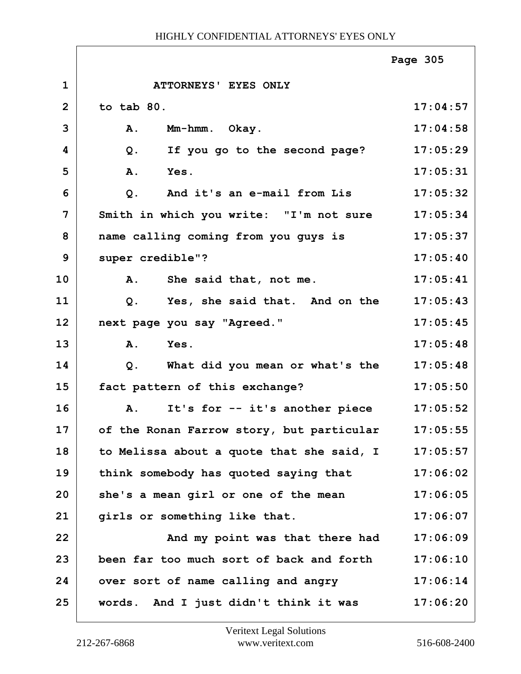|                |                                           | Page 305 |
|----------------|-------------------------------------------|----------|
| $\mathbf 1$    | ATTORNEYS' EYES ONLY                      |          |
| $\overline{2}$ | to tab 80.                                | 17:04:57 |
| 3              | Mm-hmm. Okay.<br>A.                       | 17:04:58 |
| 4              | Q.<br>If you go to the second page?       | 17:05:29 |
| 5              | Yes.<br>A.                                | 17:05:31 |
| 6              | $Q$ .<br>And it's an e-mail from Lis      | 17:05:32 |
| $\overline{7}$ | Smith in which you write: "I'm not sure   | 17:05:34 |
| 8              | name calling coming from you guys is      | 17:05:37 |
| 9              | super credible"?                          | 17:05:40 |
| 10             | She said that, not me.<br>Α.              | 17:05:41 |
| 11             | Yes, she said that. And on the<br>Q.      | 17:05:43 |
| 12             | next page you say "Agreed."               | 17:05:45 |
| 13             | A.<br>Yes.                                | 17:05:48 |
| 14             | What did you mean or what's the<br>Q.     | 17:05:48 |
| 15             | fact pattern of this exchange?            | 17:05:50 |
| 16             | It's for -- it's another piece<br>A.      | 17:05:52 |
| 17             | of the Ronan Farrow story, but particular | 17:05:55 |
| 18             | to Melissa about a quote that she said, I | 17:05:57 |
| 19             | think somebody has quoted saying that     | 17:06:02 |
| 20             | she's a mean girl or one of the mean      | 17:06:05 |
| 21             | girls or something like that.             | 17:06:07 |
| 22             | And my point was that there had           | 17:06:09 |
| 23             | been far too much sort of back and forth  | 17:06:10 |
| 24             | over sort of name calling and angry       | 17:06:14 |
| 25             | words. And I just didn't think it was     | 17:06:20 |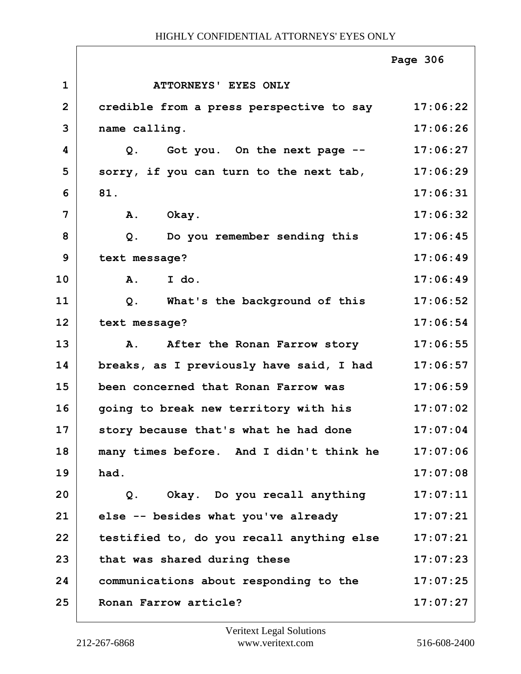|              |                                           | Page 306 |
|--------------|-------------------------------------------|----------|
| $\mathbf{1}$ | ATTORNEYS' EYES ONLY                      |          |
| $\mathbf{2}$ | credible from a press perspective to say  | 17:06:22 |
| 3            | name calling.                             | 17:06:26 |
| 4            | Got you. On the next page --<br>Q.        | 17:06:27 |
| 5            | sorry, if you can turn to the next tab,   | 17:06:29 |
| 6            | 81.                                       | 17:06:31 |
| 7            | Okay.<br>Α.                               | 17:06:32 |
| 8            | Do you remember sending this<br>Q.        | 17:06:45 |
| 9            | text message?                             | 17:06:49 |
| 10           | A. I do.                                  | 17:06:49 |
| 11           | What's the background of this<br>Q.       | 17:06:52 |
| 12           | text message?                             | 17:06:54 |
| 13           | After the Ronan Farrow story<br><b>A.</b> | 17:06:55 |
| 14           | breaks, as I previously have said, I had  | 17:06:57 |
| 15           | been concerned that Ronan Farrow was      | 17:06:59 |
| 16           | going to break new territory with his     | 17:07:02 |
| 17           | story because that's what he had done     | 17:07:04 |
| 18           | many times before. And I didn't think he  | 17:07:06 |
| 19           | had.                                      | 17:07:08 |
| 20           | Okay. Do you recall anything<br>$Q$ .     | 17:07:11 |
| 21           | else -- besides what you've already       | 17:07:21 |
| 22           | testified to, do you recall anything else | 17:07:21 |
| 23           | that was shared during these              | 17:07:23 |
| 24           | communications about responding to the    | 17:07:25 |
| 25           | Ronan Farrow article?                     | 17:07:27 |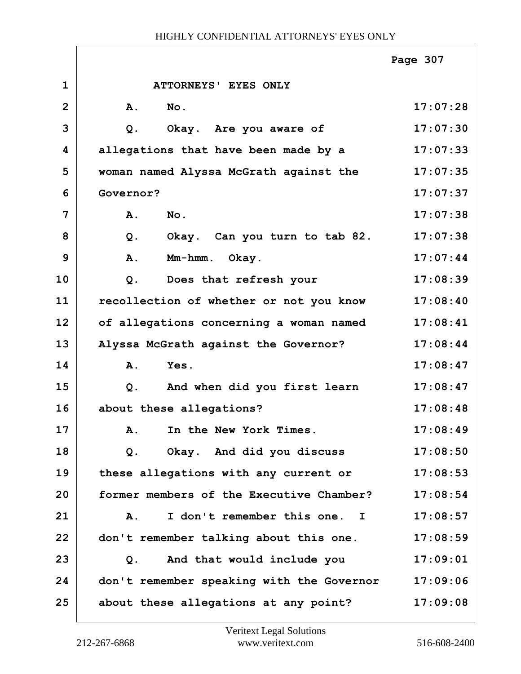|                |                                           | Page 307 |
|----------------|-------------------------------------------|----------|
| $\mathbf{1}$   | ATTORNEYS' EYES ONLY                      |          |
| $\overline{2}$ | No.<br>A.                                 | 17:07:28 |
| 3              | $Q$ .<br>Okay. Are you aware of           | 17:07:30 |
| 4              | allegations that have been made by a      | 17:07:33 |
| 5              | woman named Alyssa McGrath against the    | 17:07:35 |
| 6              | Governor?                                 | 17:07:37 |
| 7              | A.<br>No.                                 | 17:07:38 |
| 8              | Okay. Can you turn to tab 82.<br>$Q$ .    | 17:07:38 |
| 9              | A.<br>Mm-hmm. Okay.                       | 17:07:44 |
| 10             | Does that refresh your<br>$Q$ .           | 17:08:39 |
| 11             | recollection of whether or not you know   | 17:08:40 |
| 12             | of allegations concerning a woman named   | 17:08:41 |
| 13             | Alyssa McGrath against the Governor?      | 17:08:44 |
| 14             | A.<br>Yes.                                | 17:08:47 |
| 15             | And when did you first learn<br>$Q$ .     | 17:08:47 |
| 16             | about these allegations?                  | 17:08:48 |
| 17             | In the New York Times.<br><b>A.</b>       | 17:08:49 |
| 18             | Okay. And did you discuss<br>Q.           | 17:08:50 |
| 19             | these allegations with any current or     | 17:08:53 |
| 20             | former members of the Executive Chamber?  | 17:08:54 |
| 21             | I don't remember this one. I<br>A.        | 17:08:57 |
| 22             | don't remember talking about this one.    | 17:08:59 |
| 23             | And that would include you<br>Q.          | 17:09:01 |
| 24             | don't remember speaking with the Governor | 17:09:06 |
| 25             | about these allegations at any point?     | 17:09:08 |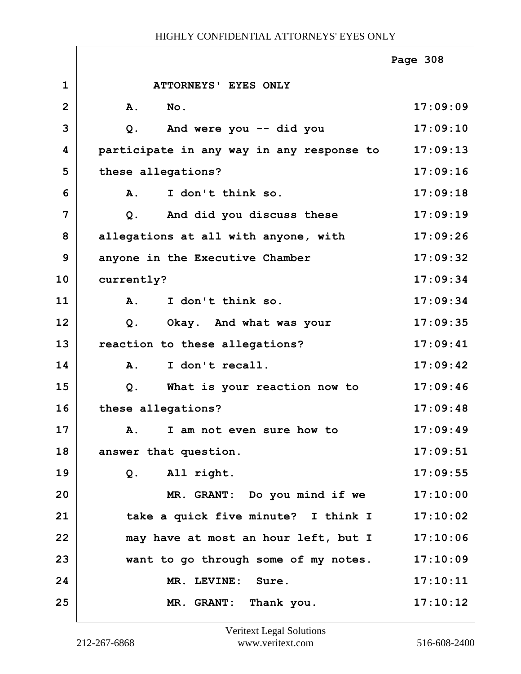|                |                                           | Page 308 |
|----------------|-------------------------------------------|----------|
| $\mathbf{1}$   | ATTORNEYS' EYES ONLY                      |          |
| $\overline{2}$ | No.<br>A.                                 | 17:09:09 |
| 3              | And were you -- did you<br>Q.             | 17:09:10 |
| 4              | participate in any way in any response to | 17:09:13 |
| 5              | these allegations?                        | 17:09:16 |
| 6              | I don't think so.<br>Α.                   | 17:09:18 |
| 7              | And did you discuss these<br>Q.           | 17:09:19 |
| 8              | allegations at all with anyone, with      | 17:09:26 |
| $\mathbf{9}$   | anyone in the Executive Chamber           | 17:09:32 |
| 10             | currently?                                | 17:09:34 |
| 11             | I don't think so.<br>Α.                   | 17:09:34 |
| 12             | Okay. And what was your<br>$Q$ .          | 17:09:35 |
| 13             | reaction to these allegations?            | 17:09:41 |
| 14             | I don't recall.<br>A.                     | 17:09:42 |
| 15             | What is your reaction now to<br>Q.        | 17:09:46 |
| 16             | these allegations?                        | 17:09:48 |
| 17             | A. I am not even sure how to              | 17:09:49 |
| 18             | answer that question.                     | 17:09:51 |
| 19             | All right.<br>$Q$ .                       | 17:09:55 |
| 20             | MR. GRANT: Do you mind if we              | 17:10:00 |
| 21             | take a quick five minute? I think I       | 17:10:02 |
| 22             | may have at most an hour left, but I      | 17:10:06 |
| 23             | want to go through some of my notes.      | 17:10:09 |
| 24             | MR. LEVINE: Sure.                         | 17:10:11 |
| 25             | MR. GRANT: Thank you.                     | 17:10:12 |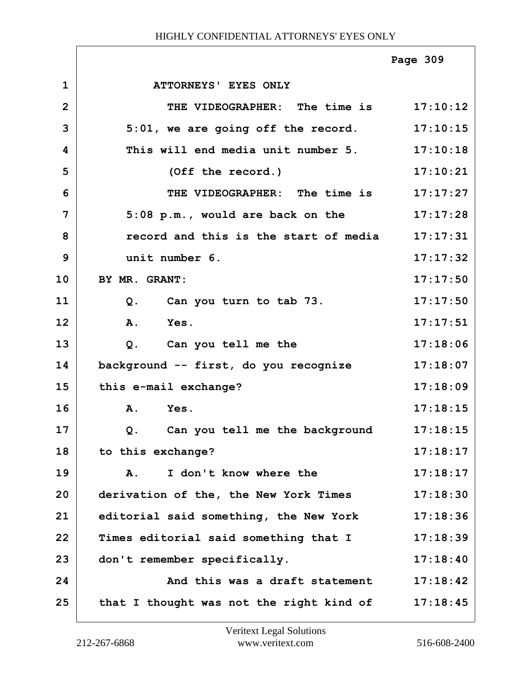|                |                                                  | Page 309 |
|----------------|--------------------------------------------------|----------|
| $\mathbf 1$    | ATTORNEYS' EYES ONLY                             |          |
| $\overline{2}$ | THE VIDEOGRAPHER: The time is 17:10:12           |          |
| 3              | $5:01$ , we are going off the record. $17:10:15$ |          |
| 4              | This will end media unit number 5. 17:10:18      |          |
| 5              | (Off the record.)                                | 17:10:21 |
| 6              | THE VIDEOGRAPHER: The time is 17:17:27           |          |
| 7              | 5:08 p.m., would are back on the 17:17:28        |          |
| 8              | record and this is the start of media 17:17:31   |          |
| 9              | unit number 6.                                   | 17:17:32 |
| 10             | BY MR. GRANT:                                    | 17:17:50 |
| 11             | Q. Can you turn to tab 73.                       | 17:17:50 |
| 12             | A. Yes.                                          | 17:17:51 |
| 13             | Q. Can you tell me the                           | 17:18:06 |
| 14             | background -- first, do you recognize            | 17:18:07 |
| 15             | this e-mail exchange?                            | 17:18:09 |
| 16             | A. Yes.                                          | 17:18:15 |
| 17             | Q. Can you tell me the background                | 17:18:15 |
| 18             | to this exchange?                                | 17:18:17 |
| 19             | I don't know where the<br>A.                     | 17:18:17 |
| 20             | derivation of the, the New York Times            | 17:18:30 |
| 21             | editorial said something, the New York           | 17:18:36 |
| 22             | Times editorial said something that I            | 17:18:39 |
| 23             | don't remember specifically.                     | 17:18:40 |
| 24             | And this was a draft statement                   | 17:18:42 |
| 25             | that I thought was not the right kind of         | 17:18:45 |

ı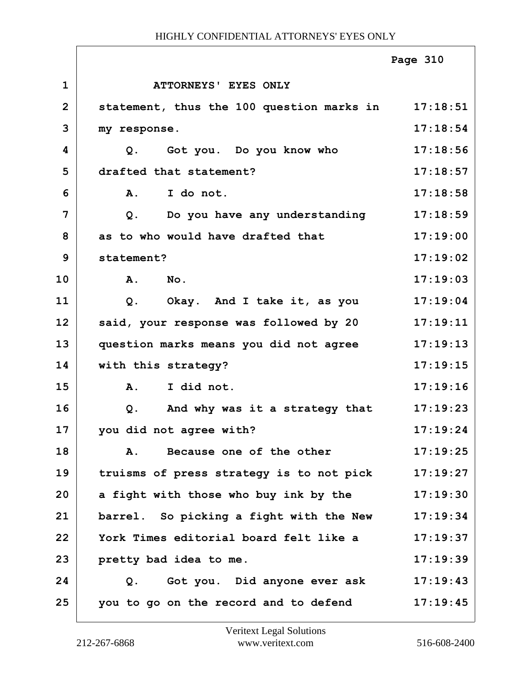|                |                                                    | Page 310 |
|----------------|----------------------------------------------------|----------|
| $\mathbf{1}$   | <b>ATTORNEYS' EYES ONLY</b>                        |          |
| $\overline{2}$ | statement, thus the 100 question marks in 17:18:51 |          |
| 3              | my response.                                       | 17:18:54 |
| 4              | Got you. Do you know who<br>Q.                     | 17:18:56 |
| 5              | drafted that statement?                            | 17:18:57 |
| 6              | I do not.<br><b>A.</b>                             | 17:18:58 |
| 7              | Do you have any understanding<br>$Q$ .             | 17:18:59 |
| 8              | as to who would have drafted that                  | 17:19:00 |
| 9              | statement?                                         | 17:19:02 |
| 10             | A.<br>$N$ o.                                       | 17:19:03 |
| 11             | Okay. And I take it, as you<br>Q.                  | 17:19:04 |
| 12             | said, your response was followed by 20             | 17:19:11 |
| 13             | question marks means you did not agree             | 17:19:13 |
| 14             | with this strategy?                                | 17:19:15 |
| 15             | I did not.<br>A.                                   | 17:19:16 |
| 16             | And why was it a strategy that<br>$Q$ .            | 17:19:23 |
| 17             | you did not agree with?                            | 17:19:24 |
| 18             | Because one of the other<br>Α.                     | 17:19:25 |
| 19             | truisms of press strategy is to not pick           | 17:19:27 |
| 20             | a fight with those who buy ink by the              | 17:19:30 |
| 21             | barrel. So picking a fight with the New            | 17:19:34 |
| 22             | York Times editorial board felt like a             | 17:19:37 |
| 23             | pretty bad idea to me.                             | 17:19:39 |
| 24             | Got you. Did anyone ever ask<br>Q.                 | 17:19:43 |
| 25             | you to go on the record and to defend              | 17:19:45 |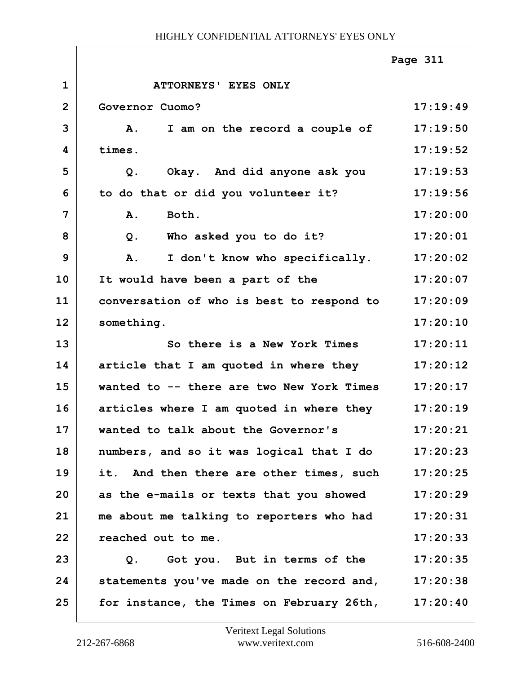|                |                                                    | Page 311 |
|----------------|----------------------------------------------------|----------|
| $\mathbf 1$    | ATTORNEYS' EYES ONLY                               |          |
| $\overline{2}$ | Governor Cuomo?                                    | 17:19:49 |
| 3              | I am on the record a couple of<br><b>A.</b>        | 17:19:50 |
| 4              | times.                                             | 17:19:52 |
| 5              | Okay. And did anyone ask you<br>Q.                 | 17:19:53 |
| 6              | to do that or did you volunteer it?                | 17:19:56 |
| 7              | Both.<br>A.                                        | 17:20:00 |
| 8              | Who asked you to do it?<br>$Q$ .                   | 17:20:01 |
| 9              | I don't know who specifically.<br>A.               | 17:20:02 |
| 10             | It would have been a part of the                   | 17:20:07 |
| 11             | conversation of who is best to respond to          | 17:20:09 |
| 12             | something.                                         | 17:20:10 |
| 13             | So there is a New York Times                       | 17:20:11 |
| 14             | article that I am quoted in where they             | 17:20:12 |
| 15             | wanted to -- there are two New York Times          | 17:20:17 |
| 16             | articles where I am quoted in where they           | 17:20:19 |
| 17             | wanted to talk about the Governor's                | 17:20:21 |
| 18             | numbers, and so it was logical that I do           | 17:20:23 |
| 19             | it. And then there are other times, such           | 17:20:25 |
| 20             | as the e-mails or texts that you showed            | 17:20:29 |
| 21             | me about me talking to reporters who had           | 17:20:31 |
| 22             | reached out to me.                                 | 17:20:33 |
| 23             | Got you. But in terms of the<br>Q.                 | 17:20:35 |
| 24             | statements you've made on the record and, 17:20:38 |          |
| 25             | for instance, the Times on February 26th,          | 17:20:40 |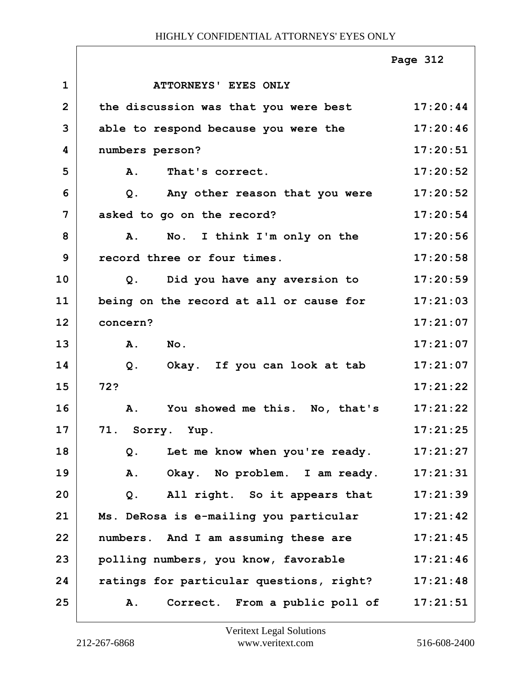|                |                                          | Page 312 |
|----------------|------------------------------------------|----------|
| $\mathbf 1$    | <b>ATTORNEYS' EYES ONLY</b>              |          |
| $\mathbf{2}$   | the discussion was that you were best    | 17:20:44 |
| 3              | able to respond because you were the     | 17:20:46 |
| 4              | numbers person?                          | 17:20:51 |
| 5              | That's correct.<br><b>A.</b>             | 17:20:52 |
| 6              | Any other reason that you were<br>$Q$ .  | 17:20:52 |
| $\overline{7}$ | asked to go on the record?               | 17:20:54 |
| 8              | No. I think I'm only on the<br>Α.        | 17:20:56 |
| 9              | record three or four times.              | 17:20:58 |
| 10             | Did you have any aversion to<br>Q.       | 17:20:59 |
| 11             | being on the record at all or cause for  | 17:21:03 |
| 12             | concern?                                 | 17:21:07 |
| 13             | A.<br>No.                                | 17:21:07 |
| 14             | Okay. If you can look at tab<br>$Q$ .    | 17:21:07 |
| 15             | 72?                                      | 17:21:22 |
| 16             | You showed me this. No, that's<br>A.     | 17:21:22 |
| 17             | 71. Sorry. Yup.                          | 17:21:25 |
| 18             | Let me know when you're ready.<br>Q.     | 17:21:27 |
| 19             | Okay. No problem. I am ready.<br>Α.      | 17:21:31 |
| 20             | All right. So it appears that<br>Q.      | 17:21:39 |
| 21             | Ms. DeRosa is e-mailing you particular   | 17:21:42 |
| 22             | numbers. And I am assuming these are     | 17:21:45 |
| 23             | polling numbers, you know, favorable     | 17:21:46 |
| 24             | ratings for particular questions, right? | 17:21:48 |
| 25             | Correct. From a public poll of<br>Α.     | 17:21:51 |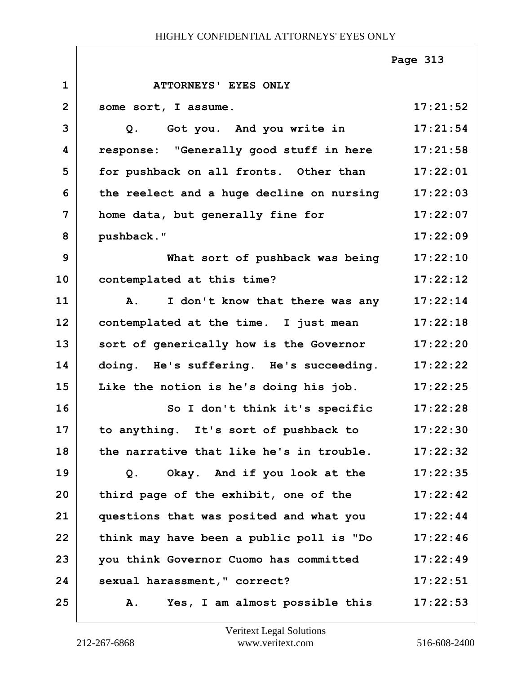|                |                                                  | Page 313 |
|----------------|--------------------------------------------------|----------|
| $\mathbf{1}$   | ATTORNEYS' EYES ONLY                             |          |
| $\overline{2}$ | some sort, I assume.                             | 17:21:52 |
| 3              | Q. Got you. And you write in                     | 17:21:54 |
| 4              | response: "Generally good stuff in here 17:21:58 |          |
| 5              | for pushback on all fronts. Other than           | 17:22:01 |
| 6              | the reelect and a huge decline on nursing        | 17:22:03 |
| 7              | home data, but generally fine for                | 17:22:07 |
| 8              | pushback."                                       | 17:22:09 |
| 9              | What sort of pushback was being                  | 17:22:10 |
| 10             | contemplated at this time?                       | 17:22:12 |
| 11             | I don't know that there was any<br><b>A.</b>     | 17:22:14 |
| 12             | contemplated at the time. I just mean            | 17:22:18 |
| 13             | sort of generically how is the Governor          | 17:22:20 |
| 14             | doing. He's suffering. He's succeeding.          | 17:22:22 |
| 15             | Like the notion is he's doing his job.           | 17:22:25 |
| 16             | So I don't think it's specific                   | 17:22:28 |
| 17             | to anything. It's sort of pushback to            | 17:22:30 |
| 18             | the narrative that like he's in trouble.         | 17:22:32 |
| 19             | Okay. And if you look at the<br>Q.               | 17:22:35 |
| 20             | third page of the exhibit, one of the            | 17:22:42 |
| 21             | questions that was posited and what you          | 17:22:44 |
| 22             | think may have been a public poll is "Do         | 17:22:46 |
| 23             | you think Governor Cuomo has committed           | 17:22:49 |
| 24             | sexual harassment," correct?                     | 17:22:51 |
| 25             | Yes, I am almost possible this<br>Α.             | 17:22:53 |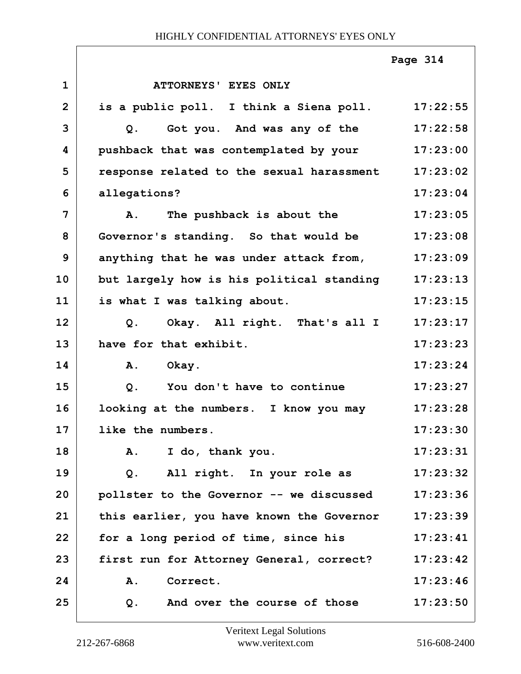|                |                                                  | Page 314 |
|----------------|--------------------------------------------------|----------|
| $\mathbf{1}$   | ATTORNEYS' EYES ONLY                             |          |
| $\overline{2}$ | is a public poll. I think a Siena poll. 17:22:55 |          |
| 3              | Got you. And was any of the 17:22:58<br>Q.       |          |
| 4              | pushback that was contemplated by your 17:23:00  |          |
| 5              | response related to the sexual harassment        | 17:23:02 |
| 6              | allegations?                                     | 17:23:04 |
| 7              | The pushback is about the<br><b>A.</b>           | 17:23:05 |
| 8              | Governor's standing. So that would be            | 17:23:08 |
| 9              | anything that he was under attack from,          | 17:23:09 |
| 10             | but largely how is his political standing        | 17:23:13 |
| 11             | is what I was talking about.                     | 17:23:15 |
| 12             | Okay. All right. That's all I<br>Q <sub>1</sub>  | 17:23:17 |
| 13             | have for that exhibit.                           | 17:23:23 |
| 14             | A. Okay.                                         | 17:23:24 |
| 15             | $Q$ .<br>You don't have to continue              | 17:23:27 |
| 16             | looking at the numbers. I know you may           | 17:23:28 |
| 17             | like the numbers.                                | 17:23:30 |
| 18             | A. I do, thank you.                              | 17:23:31 |
| 19             | Q. All right. In your role as                    | 17:23:32 |
| 20             | pollster to the Governor -- we discussed         | 17:23:36 |
| 21             | this earlier, you have known the Governor        | 17:23:39 |
| 22             | for a long period of time, since his             | 17:23:41 |
| 23             | first run for Attorney General, correct?         | 17:23:42 |
| 24             | <b>A.</b><br>Correct.                            | 17:23:46 |
| 25             | And over the course of those<br>Q.               | 17:23:50 |

٦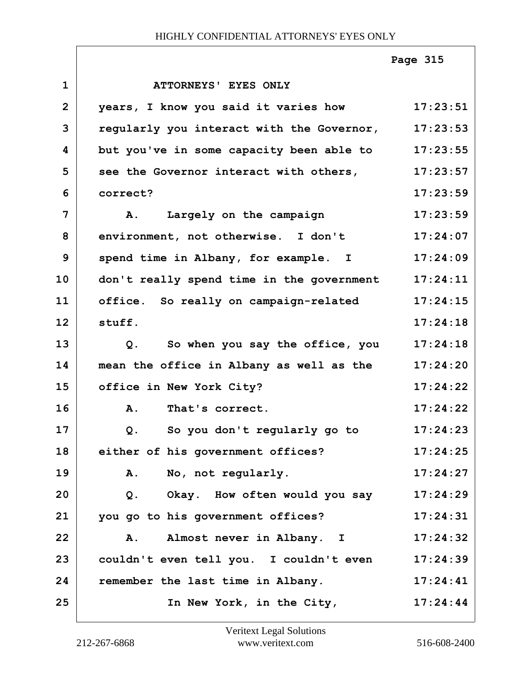|              |                                                   | Page 315 |
|--------------|---------------------------------------------------|----------|
| $\mathbf{1}$ | ATTORNEYS' EYES ONLY                              |          |
| $\mathbf{2}$ | years, I know you said it varies how              | 17:23:51 |
| 3            | regularly you interact with the Governor,         | 17:23:53 |
| 4            | but you've in some capacity been able to 17:23:55 |          |
| 5            | see the Governor interact with others,            | 17:23:57 |
| 6            | correct?                                          | 17:23:59 |
| 7            | A. Largely on the campaign                        | 17:23:59 |
| 8            | environment, not otherwise. I don't               | 17:24:07 |
| 9            | spend time in Albany, for example. I              | 17:24:09 |
| 10           | don't really spend time in the government         | 17:24:11 |
| 11           | office. So really on campaign-related             | 17:24:15 |
| 12           | stuff.                                            | 17:24:18 |
| 13           | So when you say the office, you<br>Q.             | 17:24:18 |
| 14           | mean the office in Albany as well as the          | 17:24:20 |
| 15           | office in New York City?                          | 17:24:22 |
| 16           | A.<br>That's correct.                             | 17:24:22 |
| 17           | So you don't regularly go to<br>Q.                | 17:24:23 |
| 18           | either of his government offices?                 | 17:24:25 |
| 19           | A. No, not regularly.                             | 17:24:27 |
| 20           | Okay. How often would you say<br>$Q$ .            | 17:24:29 |
| 21           | you go to his government offices?                 | 17:24:31 |
| 22           | A. Almost never in Albany. I                      | 17:24:32 |
| 23           | couldn't even tell you. I couldn't even           | 17:24:39 |
| 24           | remember the last time in Albany.                 | 17:24:41 |
| 25           | In New York, in the City,                         | 17:24:44 |

Г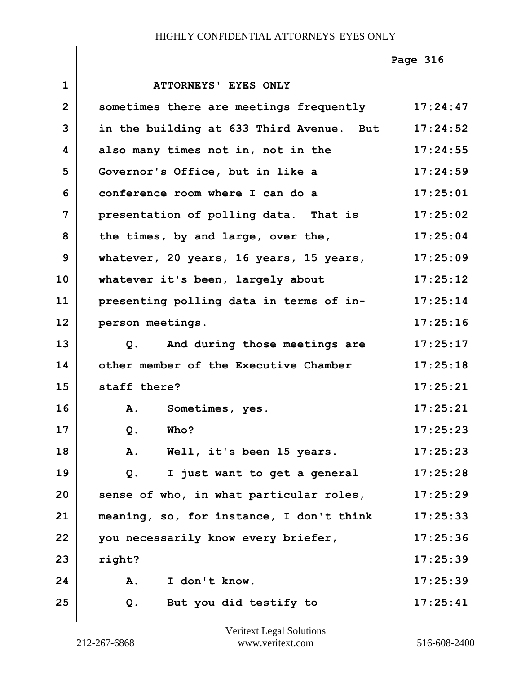# **1 ATTORNEYS' EYES ONLY 2 sometimes there are meetings frequently 17:24:47 3 in the building at 633 Third Avenue. But 17:24:52 4 also many times not in, not in the 17:24:55 5 Governor's Office, but in like a 17:24:59 6 conference room where I can do a 17:25:01 7 presentation of polling data. That is 17:25:02 8 the times, by and large, over the, 17:25:04 9 whatever, 20 years, 16 years, 15 years, 17:25:09** 10 | whatever it's been, largely about 17:25:12 **11 presenting polling data in terms of in- 17:25:14 12 person meetings. 17:25:16 13 Q. And during those meetings are 17:25:17 14 other member of the Executive Chamber 17:25:18 15 staff there? 17:25:21 16 A. Sometimes, yes. 17:25:21 17 Q. Who? 17:25:23 18 A. Well, it's been 15 years. 17:25:23 19 Q. I just want to get a general 17:25:28 20 sense of who, in what particular roles, 17:25:29 21 meaning, so, for instance, I don't think 17:25:33 22 you necessarily know every briefer, 17:25:36 23 right? 17:25:39 24 A. I don't know. 17:25:39 25 Q. But you did testify to 17:25:41 Page 316**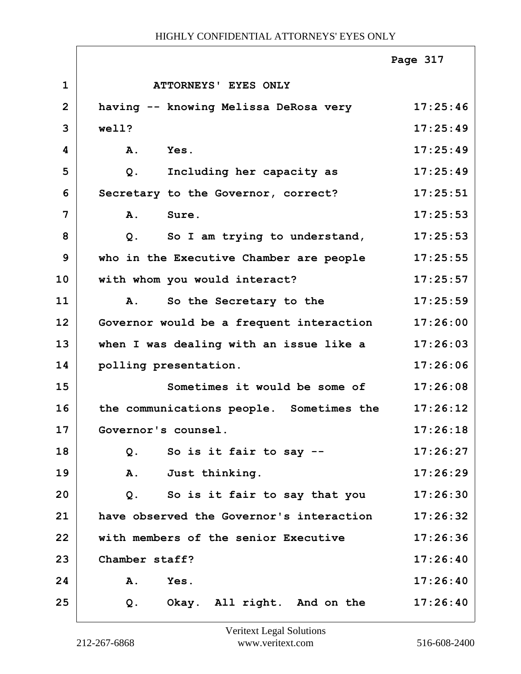|                |                                          | Page 317 |
|----------------|------------------------------------------|----------|
| $\mathbf{1}$   | ATTORNEYS' EYES ONLY                     |          |
| $\overline{2}$ | having -- knowing Melissa DeRosa very    | 17:25:46 |
| 3              | well?                                    | 17:25:49 |
| 4              | Yes.<br><b>A.</b>                        | 17:25:49 |
| 5              | Including her capacity as<br>$Q$ .       | 17:25:49 |
| 6              | Secretary to the Governor, correct?      | 17:25:51 |
| 7              | A.<br>Sure.                              | 17:25:53 |
| 8              | So I am trying to understand,<br>$Q$ .   | 17:25:53 |
| 9              | who in the Executive Chamber are people  | 17:25:55 |
| 10             | with whom you would interact?            | 17:25:57 |
| 11             | A.<br>So the Secretary to the            | 17:25:59 |
| 12             | Governor would be a frequent interaction | 17:26:00 |
| 13             | when I was dealing with an issue like a  | 17:26:03 |
| 14             | polling presentation.                    | 17:26:06 |
| 15             | Sometimes it would be some of            | 17:26:08 |
| 16             | the communications people. Sometimes the | 17:26:12 |
| 17             | Governor's counsel.                      | 17:26:18 |
| 18             | So is it fair to say --<br>$Q$ .         | 17:26:27 |
| 19             | Just thinking.<br>Α.                     | 17:26:29 |
| 20             | Q.<br>So is it fair to say that you      | 17:26:30 |
| 21             | have observed the Governor's interaction | 17:26:32 |
| 22             | with members of the senior Executive     | 17:26:36 |
| 23             | Chamber staff?                           | 17:26:40 |
| 24             | A.<br>Yes.                               | 17:26:40 |
| 25             | Okay. All right. And on the<br>$Q$ .     | 17:26:40 |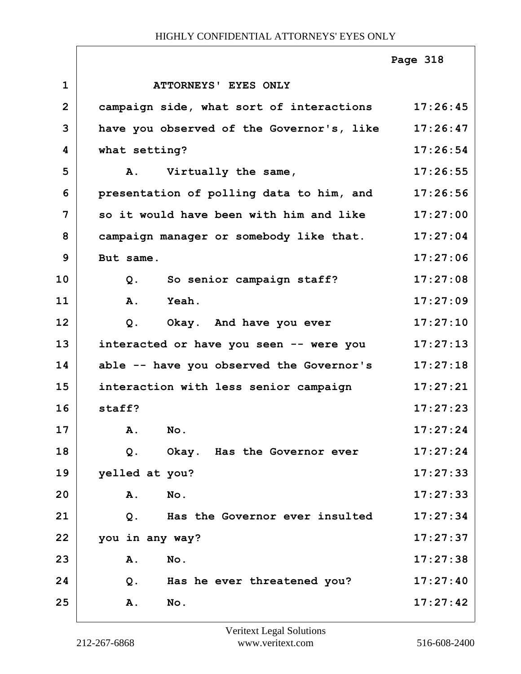|                |                                                   | Page 318 |
|----------------|---------------------------------------------------|----------|
| $\mathbf 1$    | ATTORNEYS' EYES ONLY                              |          |
| $\overline{2}$ | campaign side, what sort of interactions 17:26:45 |          |
| 3              | have you observed of the Governor's, like         | 17:26:47 |
| 4              | what setting?                                     | 17:26:54 |
| 5              | A. Virtually the same,                            | 17:26:55 |
| 6              | presentation of polling data to him, and          | 17:26:56 |
| 7              | so it would have been with him and like           | 17:27:00 |
| 8              | campaign manager or somebody like that.           | 17:27:04 |
| 9              | But same.                                         | 17:27:06 |
| 10             | So senior campaign staff?<br>$Q$ .                | 17:27:08 |
| 11             | Yeah.<br>A.                                       | 17:27:09 |
| 12             | Okay. And have you ever<br>$Q$ .                  | 17:27:10 |
| 13             | interacted or have you seen -- were you           | 17:27:13 |
| 14             | able -- have you observed the Governor's          | 17:27:18 |
| 15             | interaction with less senior campaign             | 17:27:21 |
| 16             | staff?                                            | 17:27:23 |
| 17             | No.<br>Α.                                         | 17:27:24 |
| 18             | Okay. Has the Governor ever<br>Q.                 | 17:27:24 |
| 19             | yelled at you?                                    | 17:27:33 |
| 20             | No.<br>Α.                                         | 17:27:33 |
| 21             | Has the Governor ever insulted<br>Q.              | 17:27:34 |
| 22             | you in any way?                                   | 17:27:37 |
| 23             | No.<br>Α.                                         | 17:27:38 |
| 24             | Q.<br>Has he ever threatened you?                 | 17:27:40 |
| 25             | <b>A.</b><br>No.                                  | 17:27:42 |

٦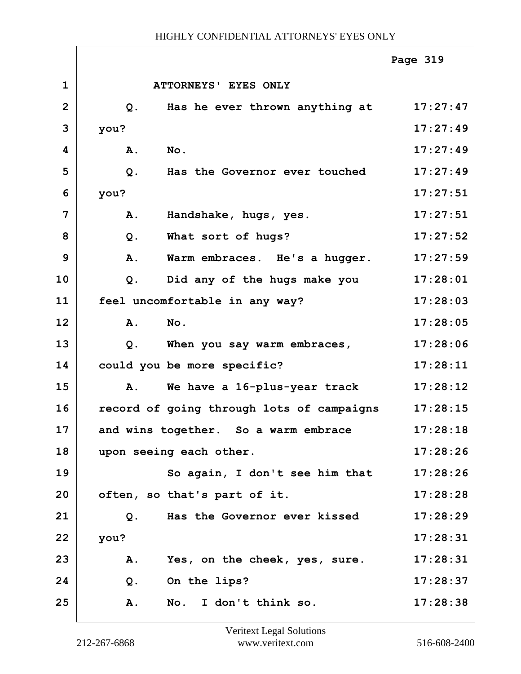|                |           |                                           | Page 319 |
|----------------|-----------|-------------------------------------------|----------|
| $\mathbf{1}$   |           | ATTORNEYS' EYES ONLY                      |          |
| $\overline{2}$ | Q.        | Has he ever thrown anything at            | 17:27:47 |
| 3              | you?      |                                           | 17:27:49 |
| 4              | A.        | No.                                       | 17:27:49 |
| 5              | $Q$ .     | Has the Governor ever touched             | 17:27:49 |
| 6              | you?      |                                           | 17:27:51 |
| 7              | A.        | Handshake, hugs, yes.                     | 17:27:51 |
| 8              | $Q$ .     | What sort of hugs?                        | 17:27:52 |
| 9              | A.        | Warm embraces. He's a hugger.             | 17:27:59 |
| 10             | $Q$ .     | Did any of the hugs make you              | 17:28:01 |
| 11             |           | feel uncomfortable in any way?            | 17:28:03 |
| 12             | A.        | No.                                       | 17:28:05 |
| 13             | $Q$ .     | When you say warm embraces,               | 17:28:06 |
| 14             |           | could you be more specific?               | 17:28:11 |
| 15             | Α.        | We have a 16-plus-year track              | 17:28:12 |
| 16             |           | record of going through lots of campaigns | 17:28:15 |
| 17             |           | and wins together. So a warm embrace      | 17:28:18 |
| 18             |           | upon seeing each other.                   | 17:28:26 |
| 19             |           | So again, I don't see him that            | 17:28:26 |
| 20             |           | often, so that's part of it.              | 17:28:28 |
| 21             | Q.        | Has the Governor ever kissed              | 17:28:29 |
| 22             | you?      |                                           | 17:28:31 |
| 23             | Α.        | Yes, on the cheek, yes, sure.             | 17:28:31 |
| 24             | $Q$ .     | On the lips?                              | 17:28:37 |
| 25             | <b>A.</b> | No. I don't think so.                     | 17:28:38 |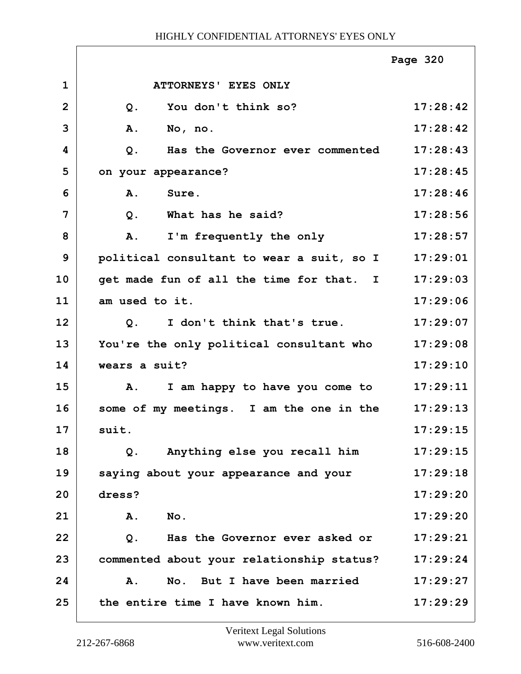|                |                                              | Page 320 |
|----------------|----------------------------------------------|----------|
| $\mathbf 1$    | ATTORNEYS' EYES ONLY                         |          |
| $\overline{2}$ | You don't think so?<br>$Q$ .                 | 17:28:42 |
| 3              | A.<br>No, no.                                | 17:28:42 |
| 4              | Has the Governor ever commented<br>Q.        | 17:28:43 |
| 5              | on your appearance?                          | 17:28:45 |
| 6              | A.<br>Sure.                                  | 17:28:46 |
| 7              | What has he said?<br>$Q$ .                   | 17:28:56 |
| 8              | I'm frequently the only<br>A.                | 17:28:57 |
| 9              | political consultant to wear a suit, so I    | 17:29:01 |
| 10             | get made fun of all the time for that. I     | 17:29:03 |
| 11             | am used to it.                               | 17:29:06 |
| 12             | I don't think that's true.<br>Q <sub>1</sub> | 17:29:07 |
| 13             | You're the only political consultant who     | 17:29:08 |
| 14             | wears a suit?                                | 17:29:10 |
| 15             | I am happy to have you come to<br>Α.         | 17:29:11 |
| 16             | some of my meetings. I am the one in the     | 17:29:13 |
| 17             | suit.                                        | 17:29:15 |
| 18             | Anything else you recall him<br>$Q$ .        | 17:29:15 |
| 19             | saying about your appearance and your        | 17:29:18 |
| 20             | dress?                                       | 17:29:20 |
| 21             | <b>A.</b><br>No.                             | 17:29:20 |
| 22             | Has the Governor ever asked or<br>$Q$ .      | 17:29:21 |
| 23             | commented about your relationship status?    | 17:29:24 |
| 24             | No. But I have been married<br><b>A.</b>     | 17:29:27 |
| 25             | the entire time I have known him.            | 17:29:29 |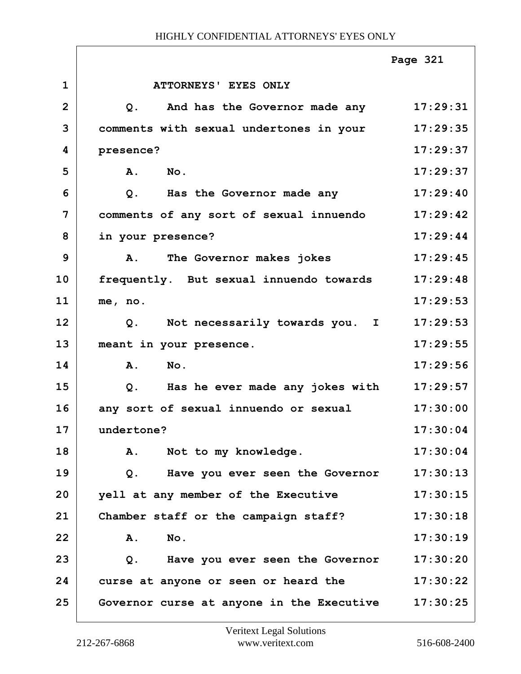|              |                                                          | Page 321 |
|--------------|----------------------------------------------------------|----------|
| $\mathbf{1}$ | ATTORNEYS' EYES ONLY                                     |          |
| $\mathbf{2}$ | And has the Governor made any 17:29:31<br>Q <sub>1</sub> |          |
| 3            | comments with sexual undertones in your                  | 17:29:35 |
| 4            | presence?                                                | 17:29:37 |
| 5            | A. No.                                                   | 17:29:37 |
| 6            | $Q$ .<br>Has the Governor made any                       | 17:29:40 |
| 7            | comments of any sort of sexual innuendo                  | 17:29:42 |
| 8            | in your presence?                                        | 17:29:44 |
| 9            | A. The Governor makes jokes                              | 17:29:45 |
| 10           | frequently. But sexual innuendo towards                  | 17:29:48 |
| 11           | me, no.                                                  | 17:29:53 |
| 12           | Q. Not necessarily towards you. I                        | 17:29:53 |
| 13           | meant in your presence.                                  | 17:29:55 |
| 14           | A. No.                                                   | 17:29:56 |
| 15           | Has he ever made any jokes with<br>Q.                    | 17:29:57 |
| 16           | any sort of sexual innuendo or sexual                    | 17:30:00 |
| 17           | undertone?                                               | 17:30:04 |
| 18           | Not to my knowledge.<br>A.                               | 17:30:04 |
| 19           | Have you ever seen the Governor<br>Q.                    | 17:30:13 |
| 20           | yell at any member of the Executive                      | 17:30:15 |
| 21           | Chamber staff or the campaign staff?                     | 17:30:18 |
| 22           | No.<br>A.                                                | 17:30:19 |
| 23           | Have you ever seen the Governor<br>Q.                    | 17:30:20 |
| 24           | curse at anyone or seen or heard the                     | 17:30:22 |
| 25           | Governor curse at anyone in the Executive                | 17:30:25 |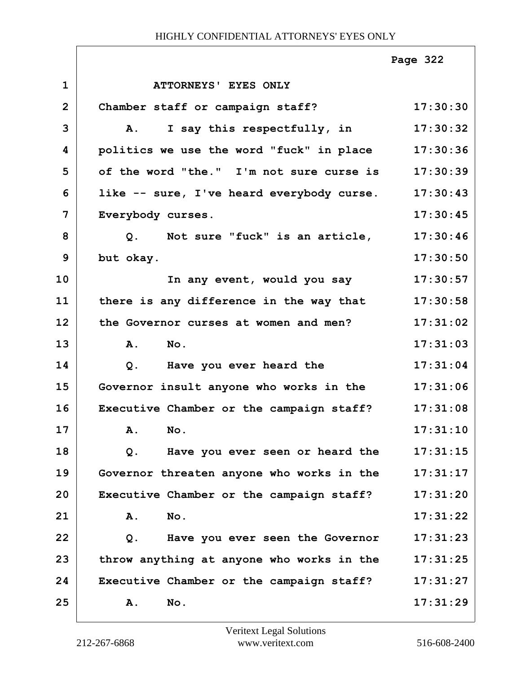|                |                                                    | Page 322 |
|----------------|----------------------------------------------------|----------|
| $\mathbf{1}$   | ATTORNEYS' EYES ONLY                               |          |
| $\overline{2}$ | Chamber staff or campaign staff?                   | 17:30:30 |
| 3              | I say this respectfully, in<br>$\mathbf{A}$ .      | 17:30:32 |
| 4              | politics we use the word "fuck" in place           | 17:30:36 |
| 5              | of the word "the." I'm not sure curse is           | 17:30:39 |
| 6              | like -- sure, I've heard everybody curse. 17:30:43 |          |
| 7              | Everybody curses.                                  | 17:30:45 |
| 8              | Q. Not sure "fuck" is an article,                  | 17:30:46 |
| 9              | but okay.                                          | 17:30:50 |
| 10             | In any event, would you say                        | 17:30:57 |
| 11             | there is any difference in the way that            | 17:30:58 |
| 12             | the Governor curses at women and men?              | 17:31:02 |
| 13             | A.<br>No.                                          | 17:31:03 |
| 14             | Have you ever heard the<br>Q.                      | 17:31:04 |
| 15             | Governor insult anyone who works in the            | 17:31:06 |
| 16             | Executive Chamber or the campaign staff?           | 17:31:08 |
| 17             | A. No.                                             | 17:31:10 |
| 18             | Have you ever seen or heard the<br>$Q$ .           | 17:31:15 |
| 19             | Governor threaten anyone who works in the          | 17:31:17 |
| 20             | Executive Chamber or the campaign staff?           | 17:31:20 |
| 21             | A.<br>No.                                          | 17:31:22 |
| 22             | Have you ever seen the Governor<br>Q.              | 17:31:23 |
| 23             | throw anything at anyone who works in the          | 17:31:25 |
| 24             | Executive Chamber or the campaign staff?           | 17:31:27 |
| 25             | Α.<br>No.                                          | 17:31:29 |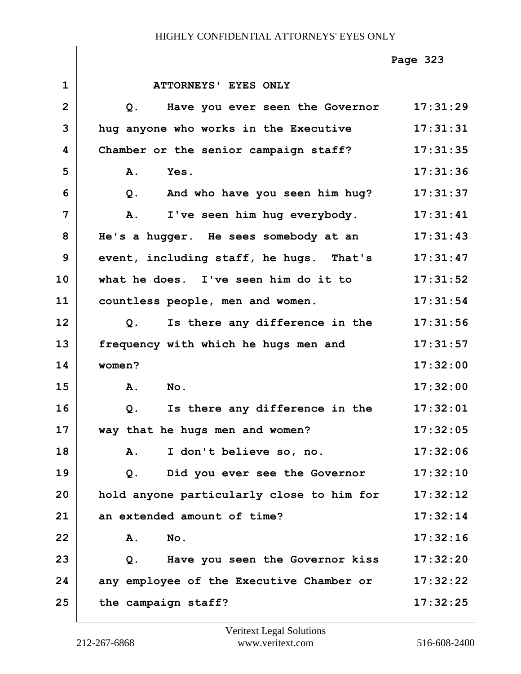|                |                                           | Page 323 |
|----------------|-------------------------------------------|----------|
| $\mathbf 1$    | ATTORNEYS' EYES ONLY                      |          |
| $\overline{2}$ | Have you ever seen the Governor<br>Q.     | 17:31:29 |
| 3              | hug anyone who works in the Executive     | 17:31:31 |
| 4              | Chamber or the senior campaign staff?     | 17:31:35 |
| 5              | A.<br>Yes.                                | 17:31:36 |
| 6              | And who have you seen him hug?<br>Q.      | 17:31:37 |
| 7              | I've seen him hug everybody.<br>Α.        | 17:31:41 |
| 8              | He's a hugger. He sees somebody at an     | 17:31:43 |
| 9              | event, including staff, he hugs. That's   | 17:31:47 |
| 10             | what he does. I've seen him do it to      | 17:31:52 |
| 11             | countless people, men and women.          | 17:31:54 |
| 12             | Is there any difference in the<br>Q.      | 17:31:56 |
| 13             | frequency with which he hugs men and      | 17:31:57 |
| 14             | women?                                    | 17:32:00 |
| 15             | A.<br>No.                                 | 17:32:00 |
| 16             | Is there any difference in the<br>Q.      | 17:32:01 |
| 17             | way that he hugs men and women?           | 17:32:05 |
| 18             | A. I don't believe so, no.                | 17:32:06 |
| 19             | Did you ever see the Governor<br>Q.       | 17:32:10 |
| 20             | hold anyone particularly close to him for | 17:32:12 |
| 21             | an extended amount of time?               | 17:32:14 |
| 22             | No.<br>Α.                                 | 17:32:16 |
| 23             | Have you seen the Governor kiss<br>Q.     | 17:32:20 |
| 24             | any employee of the Executive Chamber or  | 17:32:22 |
| 25             | the campaign staff?                       | 17:32:25 |

٦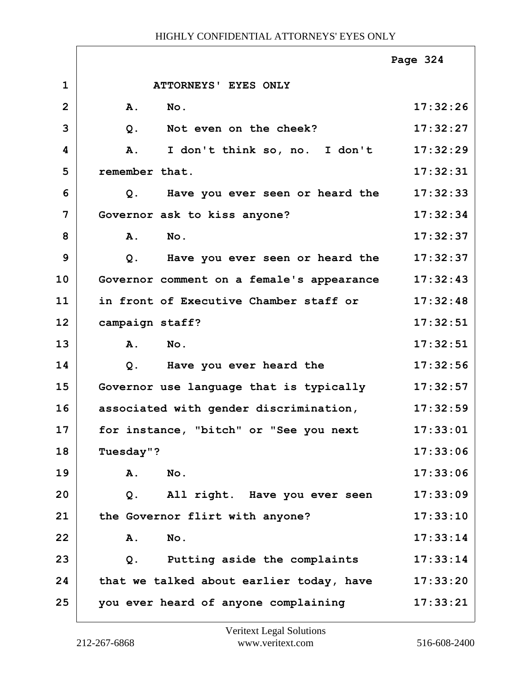|                |                                           | Page 324 |
|----------------|-------------------------------------------|----------|
| $\mathbf{1}$   | ATTORNEYS' EYES ONLY                      |          |
| $\overline{2}$ | $N$ o.<br><b>A.</b>                       | 17:32:26 |
| 3              | $Q$ .<br>Not even on the cheek?           | 17:32:27 |
| 4              | I don't think so, no. I don't<br>A.       | 17:32:29 |
| 5              | remember that.                            | 17:32:31 |
| 6              | Have you ever seen or heard the<br>Q.     | 17:32:33 |
| $\overline{7}$ | Governor ask to kiss anyone?              | 17:32:34 |
| 8              | A.<br>No.                                 | 17:32:37 |
| 9              | Have you ever seen or heard the<br>$Q$ .  | 17:32:37 |
| 10             | Governor comment on a female's appearance | 17:32:43 |
| 11             | in front of Executive Chamber staff or    | 17:32:48 |
| 12             | campaign staff?                           | 17:32:51 |
| 13             | A.<br>$N$ o.                              | 17:32:51 |
| 14             | Have you ever heard the<br>$Q$ .          | 17:32:56 |
| 15             | Governor use language that is typically   | 17:32:57 |
| 16             | associated with gender discrimination,    | 17:32:59 |
| 17             | for instance, "bitch" or "See you next    | 17:33:01 |
| 18             | Tuesday"?                                 | 17:33:06 |
| 19             | No.<br>A.                                 | 17:33:06 |
| 20             | All right. Have you ever seen<br>Q.       | 17:33:09 |
| 21             | the Governor flirt with anyone?           | 17:33:10 |
| 22             | No.<br><b>A.</b>                          | 17:33:14 |
| 23             | Putting aside the complaints<br>$Q$ .     | 17:33:14 |
| 24             | that we talked about earlier today, have  | 17:33:20 |
| 25             | you ever heard of anyone complaining      | 17:33:21 |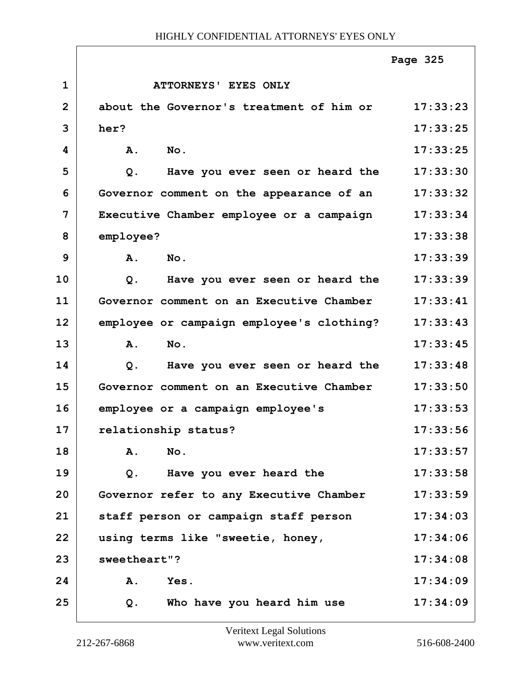|                |                                           | Page 325 |
|----------------|-------------------------------------------|----------|
| $\mathbf{1}$   | ATTORNEYS' EYES ONLY                      |          |
| $\overline{2}$ | about the Governor's treatment of him or  | 17:33:23 |
| 3              | her?                                      | 17:33:25 |
| 4              | No.<br><b>A.</b>                          | 17:33:25 |
| 5              | Have you ever seen or heard the<br>$Q$ .  | 17:33:30 |
| 6              | Governor comment on the appearance of an  | 17:33:32 |
| 7              | Executive Chamber employee or a campaign  | 17:33:34 |
| 8              | employee?                                 | 17:33:38 |
| 9              | No.<br>Α.                                 | 17:33:39 |
| 10             | Have you ever seen or heard the<br>Q.     | 17:33:39 |
| 11             | Governor comment on an Executive Chamber  | 17:33:41 |
| 12             | employee or campaign employee's clothing? | 17:33:43 |
| 13             | No.<br>Α.                                 | 17:33:45 |
| 14             | Have you ever seen or heard the<br>$Q$ .  | 17:33:48 |
| 15             | Governor comment on an Executive Chamber  | 17:33:50 |
| 16             | employee or a campaign employee's         | 17:33:53 |
| 17             | relationship status?                      | 17:33:56 |
| 18             | A.<br>No.                                 | 17:33:57 |
| 19             | Have you ever heard the<br>Q.             | 17:33:58 |
| 20             | Governor refer to any Executive Chamber   | 17:33:59 |
| 21             | staff person or campaign staff person     | 17:34:03 |
| 22             | using terms like "sweetie, honey,         | 17:34:06 |
| 23             | sweetheart"?                              | 17:34:08 |
| 24             | Yes.<br><b>A.</b>                         | 17:34:09 |
| 25             | Who have you heard him use<br>Q.          | 17:34:09 |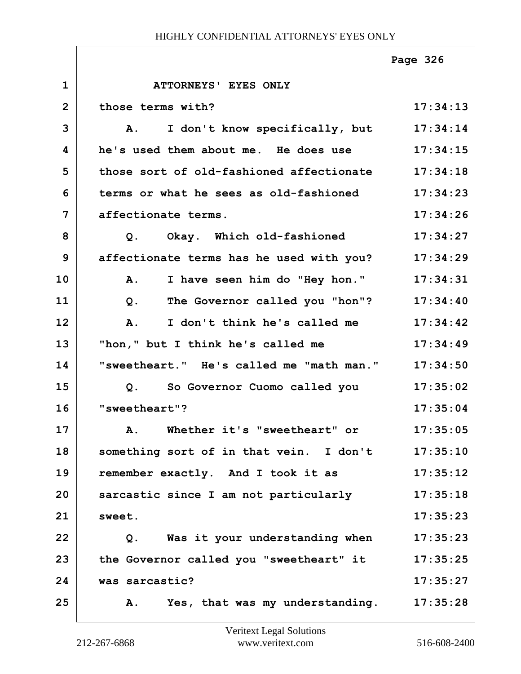## HIGHLY CONFIDENTIAL ATTORNEYS' EYES ONLY

|                |                                               | Page 326 |
|----------------|-----------------------------------------------|----------|
| $\mathbf 1$    | ATTORNEYS' EYES ONLY                          |          |
| $\overline{2}$ | those terms with?                             | 17:34:13 |
| 3              | I don't know specifically, but<br>${\bf A}$ . | 17:34:14 |
| 4              | he's used them about me. He does use          | 17:34:15 |
| 5              | those sort of old-fashioned affectionate      | 17:34:18 |
| 6              | terms or what he sees as old-fashioned        | 17:34:23 |
| $\overline{7}$ | affectionate terms.                           | 17:34:26 |
| 8              | Okay. Which old-fashioned<br>Q.               | 17:34:27 |
| 9              | affectionate terms has he used with you?      | 17:34:29 |
| 10             | I have seen him do "Hey hon."<br>Α.           | 17:34:31 |
| 11             | The Governor called you "hon"?<br>Q.          | 17:34:40 |
| 12             | I don't think he's called me<br>A.            | 17:34:42 |
| 13             | "hon," but I think he's called me             | 17:34:49 |
| 14             | "sweetheart." He's called me "math man."      | 17:34:50 |
| 15             | So Governor Cuomo called you<br>Q.            | 17:35:02 |
| 16             | "sweetheart"?                                 | 17:35:04 |
| 17             | A. Whether it's "sweetheart" or               | 17:35:05 |
| 18             | something sort of in that vein. I don't       | 17:35:10 |
| 19             | remember exactly. And I took it as            | 17:35:12 |
| 20             | sarcastic since I am not particularly         | 17:35:18 |
| 21             | sweet.                                        | 17:35:23 |
| 22             | Was it your understanding when<br>Q.          | 17:35:23 |
| 23             | the Governor called you "sweetheart" it       | 17:35:25 |
| 24             | was sarcastic?                                | 17:35:27 |
| 25             | Yes, that was my understanding.<br>Α.         | 17:35:28 |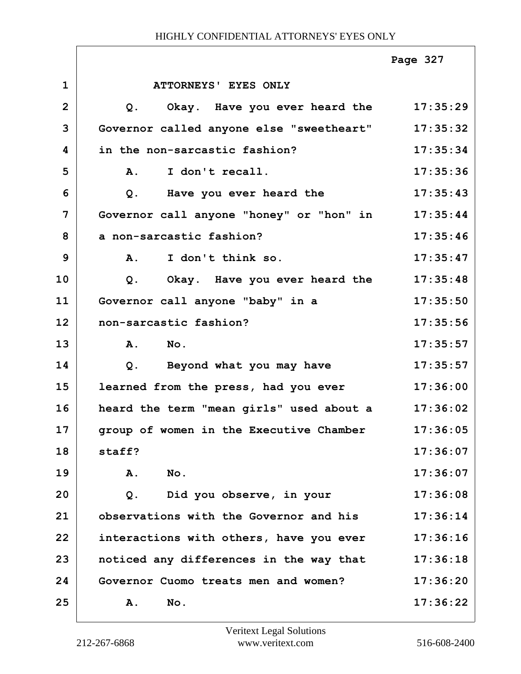|                |                                              | Page 327 |
|----------------|----------------------------------------------|----------|
| $\mathbf{1}$   | ATTORNEYS' EYES ONLY                         |          |
| $\overline{2}$ | Okay. Have you ever heard the 17:35:29<br>Q. |          |
| 3              | Governor called anyone else "sweetheart"     | 17:35:32 |
| 4              | in the non-sarcastic fashion?                | 17:35:34 |
| 5              | I don't recall.<br>$\mathbf{A}$ .            | 17:35:36 |
| 6              | Have you ever heard the<br>Q.                | 17:35:43 |
| 7              | Governor call anyone "honey" or "hon" in     | 17:35:44 |
| 8              | a non-sarcastic fashion?                     | 17:35:46 |
| 9              | A. I don't think so.                         | 17:35:47 |
| 10             | Okay. Have you ever heard the<br>Q.          | 17:35:48 |
| 11             | Governor call anyone "baby" in a             | 17:35:50 |
| 12             | non-sarcastic fashion?                       | 17:35:56 |
| 13             | A. No.                                       | 17:35:57 |
| 14             | Beyond what you may have<br>Q.               | 17:35:57 |
| 15             | learned from the press, had you ever         | 17:36:00 |
| 16             | heard the term "mean girls" used about a     | 17:36:02 |
| 17             | group of women in the Executive Chamber      | 17:36:05 |
| 18             | staff?                                       | 17:36:07 |
| 19             | Α.<br>No.                                    | 17:36:07 |
| 20             | Did you observe, in your<br>$Q$ .            | 17:36:08 |
| 21             | observations with the Governor and his       | 17:36:14 |
| 22             | interactions with others, have you ever      | 17:36:16 |
| 23             | noticed any differences in the way that      | 17:36:18 |
| 24             | Governor Cuomo treats men and women?         | 17:36:20 |
| 25             | Α.<br>No.                                    | 17:36:22 |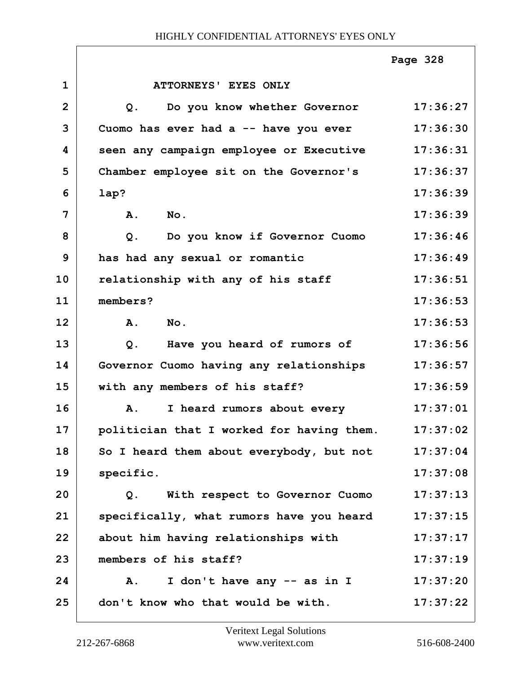|                |                                           | Page 328 |
|----------------|-------------------------------------------|----------|
| $\mathbf{1}$   | ATTORNEYS' EYES ONLY                      |          |
| $\overline{2}$ | Do you know whether Governor<br>Q.        | 17:36:27 |
| 3              | Cuomo has ever had a -- have you ever     | 17:36:30 |
| 4              | seen any campaign employee or Executive   | 17:36:31 |
| 5              | Chamber employee sit on the Governor's    | 17:36:37 |
| 6              | lap?                                      | 17:36:39 |
| 7              | A.<br>$N$ o.                              | 17:36:39 |
| 8              | $Q$ .<br>Do you know if Governor Cuomo    | 17:36:46 |
| 9              | has had any sexual or romantic            | 17:36:49 |
| 10             | relationship with any of his staff        | 17:36:51 |
| 11             | members?                                  | 17:36:53 |
| 12             | A.<br>$N$ o.                              | 17:36:53 |
| 13             | Have you heard of rumors of<br>Q.         | 17:36:56 |
| 14             | Governor Cuomo having any relationships   | 17:36:57 |
| 15             | with any members of his staff?            | 17:36:59 |
| 16             | I heard rumors about every<br>A.          | 17:37:01 |
| 17             | politician that I worked for having them. | 17:37:02 |
| 18             | So I heard them about everybody, but not  | 17:37:04 |
| 19             | specific.                                 | 17:37:08 |
| 20             | With respect to Governor Cuomo<br>Q.      | 17:37:13 |
| 21             | specifically, what rumors have you heard  | 17:37:15 |
| 22             | about him having relationships with       | 17:37:17 |
| 23             | members of his staff?                     | 17:37:19 |
| 24             | I don't have any -- as in I<br>Α.         | 17:37:20 |
| 25             | don't know who that would be with.        | 17:37:22 |

ı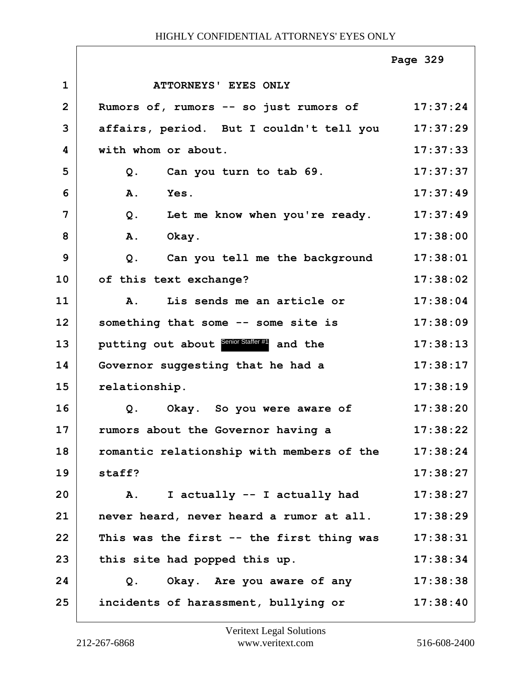|                |                                            | Page 329 |
|----------------|--------------------------------------------|----------|
| $\mathbf{1}$   | ATTORNEYS' EYES ONLY                       |          |
| $\overline{2}$ | Rumors of, rumors -- so just rumors of     | 17:37:24 |
| 3              | affairs, period. But I couldn't tell you   | 17:37:29 |
| 4              | with whom or about.                        | 17:37:33 |
| 5              | Can you turn to tab 69.<br>$Q$ .           | 17:37:37 |
| 6              | A.<br>Yes.                                 | 17:37:49 |
| 7              | Let me know when you're ready.<br>Q.       | 17:37:49 |
| 8              | Α.<br>Okay.                                | 17:38:00 |
| 9              | Can you tell me the background<br>$Q$ .    | 17:38:01 |
| 10             | of this text exchange?                     | 17:38:02 |
| 11             | Lis sends me an article or<br><b>A.</b>    | 17:38:04 |
| 12             | something that some -- some site is        | 17:38:09 |
| 13             | putting out about Senior Staffer#1 and the | 17:38:13 |
| 14             | Governor suggesting that he had a          | 17:38:17 |
| 15             | relationship.                              | 17:38:19 |
| 16             | Q. Okay. So you were aware of              | 17:38:20 |
| 17             | rumors about the Governor having a         | 17:38:22 |
| 18             | romantic relationship with members of the  | 17:38:24 |
| 19             | staff?                                     | 17:38:27 |
| 20             | I actually -- I actually had<br>Α.         | 17:38:27 |
| 21             | never heard, never heard a rumor at all.   | 17:38:29 |
| 22             | This was the first -- the first thing was  | 17:38:31 |
| 23             | this site had popped this up.              | 17:38:34 |
| 24             | Okay. Are you aware of any<br>Q.           | 17:38:38 |
| 25             | incidents of harassment, bullying or       | 17:38:40 |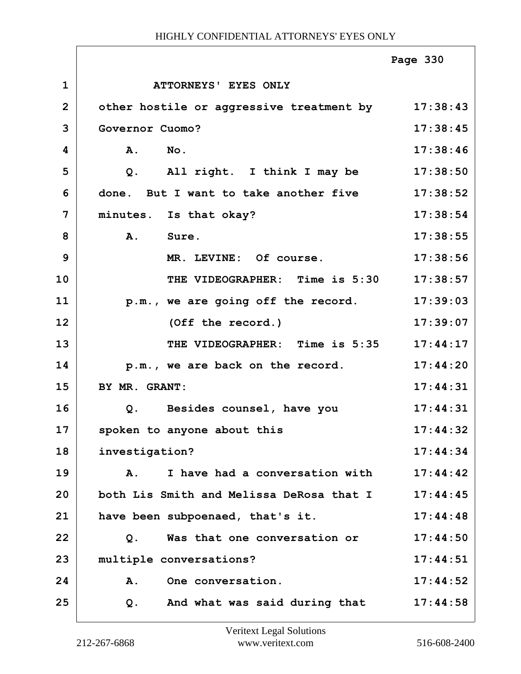|                |                                                   | Page 330 |
|----------------|---------------------------------------------------|----------|
| $\mathbf{1}$   | ATTORNEYS' EYES ONLY                              |          |
| $\overline{2}$ | other hostile or aggressive treatment by 17:38:43 |          |
| 3              | Governor Cuomo?                                   | 17:38:45 |
| 4              | $N_{\text{O}}$ .<br>A.                            | 17:38:46 |
| 5              | All right. I think I may be<br>Q.                 | 17:38:50 |
| 6              | done. But I want to take another five             | 17:38:52 |
| $\overline{7}$ | minutes. Is that okay?                            | 17:38:54 |
| 8              | A.<br>Sure.                                       | 17:38:55 |
| 9              | MR. LEVINE: Of course.                            | 17:38:56 |
| 10             | THE VIDEOGRAPHER: Time is 5:30                    | 17:38:57 |
| 11             | p.m., we are going off the record.                | 17:39:03 |
| 12             | (Off the record.)                                 | 17:39:07 |
| 13             | THE VIDEOGRAPHER: Time is 5:35                    | 17:44:17 |
| 14             | p.m., we are back on the record.                  | 17:44:20 |
| 15             | BY MR. GRANT:                                     | 17:44:31 |
| 16             | Besides counsel, have you<br>Q.                   | 17:44:31 |
| 17             | spoken to anyone about this                       | 17:44:32 |
| 18             | investigation?                                    | 17:44:34 |
| 19             | I have had a conversation with<br>Α.              | 17:44:42 |
| 20             | both Lis Smith and Melissa DeRosa that I          | 17:44:45 |
| 21             | have been subpoenaed, that's it.                  | 17:44:48 |
| 22             | Was that one conversation or<br>Q.                | 17:44:50 |
| 23             | multiple conversations?                           | 17:44:51 |
| 24             | One conversation.<br>Α.                           | 17:44:52 |
| 25             | And what was said during that<br>Q.               | 17:44:58 |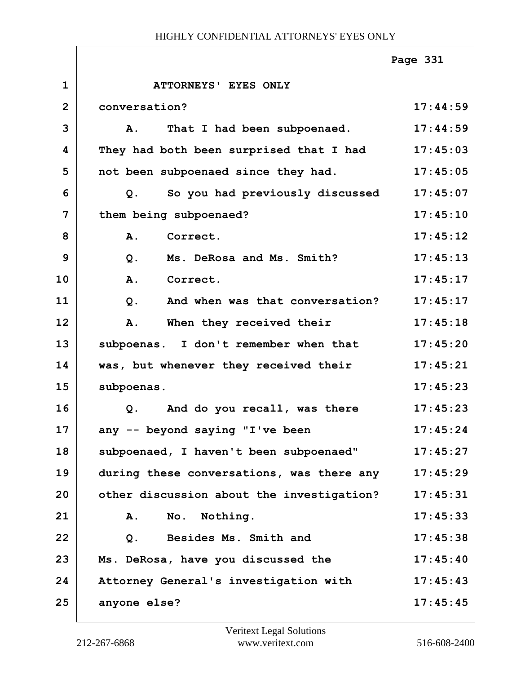## HIGHLY CONFIDENTIAL ATTORNEYS' EYES ONLY

|                |                                           | Page 331 |
|----------------|-------------------------------------------|----------|
| $\mathbf{1}$   | ATTORNEYS' EYES ONLY                      |          |
| $\overline{2}$ | conversation?                             | 17:44:59 |
| 3              | That I had been subpoenaed.<br><b>A</b> . | 17:44:59 |
| 4              | They had both been surprised that I had   | 17:45:03 |
| 5              | not been subpoenaed since they had.       | 17:45:05 |
| 6              | So you had previously discussed<br>$Q$ .  | 17:45:07 |
| 7              | them being subpoenaed?                    | 17:45:10 |
| 8              | A.<br>Correct.                            | 17:45:12 |
| 9              | Ms. DeRosa and Ms. Smith?<br>$Q$ .        | 17:45:13 |
| 10             | A.<br>Correct.                            | 17:45:17 |
| 11             | And when was that conversation?<br>$Q$ .  | 17:45:17 |
| 12             | When they received their<br>A.            | 17:45:18 |
| 13             | subpoenas. I don't remember when that     | 17:45:20 |
| 14             | was, but whenever they received their     | 17:45:21 |
| 15             | subpoenas.                                | 17:45:23 |
| 16             | And do you recall, was there<br>$Q$ .     | 17:45:23 |
| 17             | any -- beyond saying "I've been           | 17:45:24 |
| 18             | subpoenaed, I haven't been subpoenaed"    | 17:45:27 |
| 19             | during these conversations, was there any | 17:45:29 |
| 20             | other discussion about the investigation? | 17:45:31 |
| 21             | Nothing.<br>Α.<br>No.                     | 17:45:33 |
| 22             | Besides Ms. Smith and<br>$Q$ .            | 17:45:38 |
| 23             | Ms. DeRosa, have you discussed the        | 17:45:40 |
| 24             | Attorney General's investigation with     | 17:45:43 |
| 25             | anyone else?                              | 17:45:45 |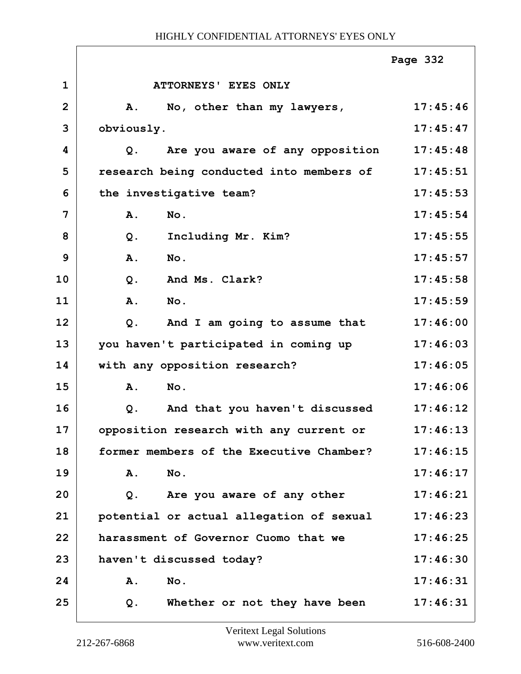## HIGHLY CONFIDENTIAL ATTORNEYS' EYES ONLY

|                |                                          | Page 332 |
|----------------|------------------------------------------|----------|
| $\mathbf{1}$   | ATTORNEYS' EYES ONLY                     |          |
| $\overline{2}$ | No, other than my lawyers,<br>A.         | 17:45:46 |
| 3              | obviously.                               | 17:45:47 |
| 4              | Are you aware of any opposition<br>Q.    | 17:45:48 |
| 5              | research being conducted into members of | 17:45:51 |
| 6              | the investigative team?                  | 17:45:53 |
| 7              | A.<br>No.                                | 17:45:54 |
| 8              | Including Mr. Kim?<br>$Q$ .              | 17:45:55 |
| 9              | A.<br>No.                                | 17:45:57 |
| 10             | And Ms. Clark?<br>$Q$ .                  | 17:45:58 |
| 11             | No.<br>A.                                | 17:45:59 |
| 12             | And I am going to assume that<br>Q.      | 17:46:00 |
| 13             | you haven't participated in coming up    | 17:46:03 |
| 14             | with any opposition research?            | 17:46:05 |
| 15             | A.<br>No.                                | 17:46:06 |
| 16             | And that you haven't discussed<br>Q.     | 17:46:12 |
| 17             | opposition research with any current or  | 17:46:13 |
| 18             | former members of the Executive Chamber? | 17:46:15 |
| 19             | No.<br>Α.                                | 17:46:17 |
| 20             | Are you aware of any other<br>Q.         | 17:46:21 |
| 21             | potential or actual allegation of sexual | 17:46:23 |
| 22             | harassment of Governor Cuomo that we     | 17:46:25 |
| 23             | haven't discussed today?                 | 17:46:30 |
| 24             | A.<br>No.                                | 17:46:31 |
| 25             | Whether or not they have been<br>Q.      | 17:46:31 |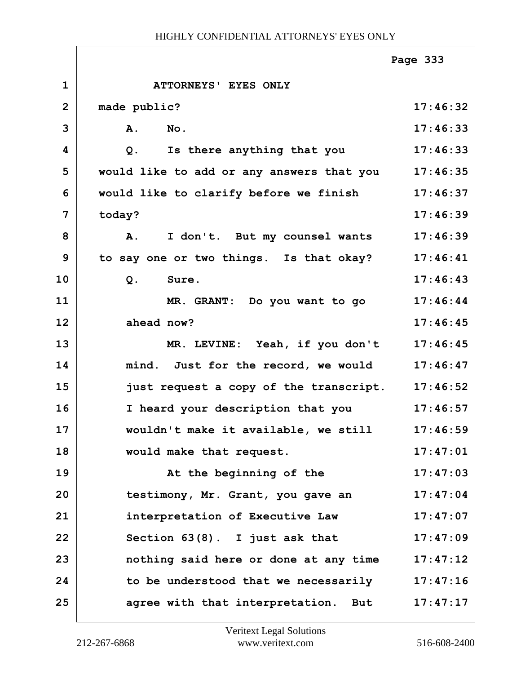|                |                                           | Page 333 |
|----------------|-------------------------------------------|----------|
| $\mathbf{1}$   | ATTORNEYS' EYES ONLY                      |          |
| $\overline{2}$ | made public?                              | 17:46:32 |
| 3              | A.<br>No.                                 | 17:46:33 |
| 4              | Is there anything that you<br>$Q$ .       | 17:46:33 |
| 5              | would like to add or any answers that you | 17:46:35 |
| 6              | would like to clarify before we finish    | 17:46:37 |
| 7              | today?                                    | 17:46:39 |
| 8              | I don't. But my counsel wants<br>A.       | 17:46:39 |
| 9              | to say one or two things. Is that okay?   | 17:46:41 |
| 10             | $Q$ .<br>Sure.                            | 17:46:43 |
| 11             | MR. GRANT: Do you want to go              | 17:46:44 |
| 12             | ahead now?                                | 17:46:45 |
| 13             | MR. LEVINE: Yeah, if you don't            | 17:46:45 |
| 14             | mind. Just for the record, we would       | 17:46:47 |
| 15             | just request a copy of the transcript.    | 17:46:52 |
| 16             | I heard your description that you         | 17:46:57 |
| 17             | wouldn't make it available, we still      | 17:46:59 |
| 18             | would make that request.                  | 17:47:01 |
| 19             | At the beginning of the                   | 17:47:03 |
| 20             | testimony, Mr. Grant, you gave an         | 17:47:04 |
| 21             | interpretation of Executive Law           | 17:47:07 |
| 22             | Section $63(8)$ . I just ask that         | 17:47:09 |
| 23             | nothing said here or done at any time     | 17:47:12 |
| 24             | to be understood that we necessarily      | 17:47:16 |
| 25             | agree with that interpretation. But       | 17:47:17 |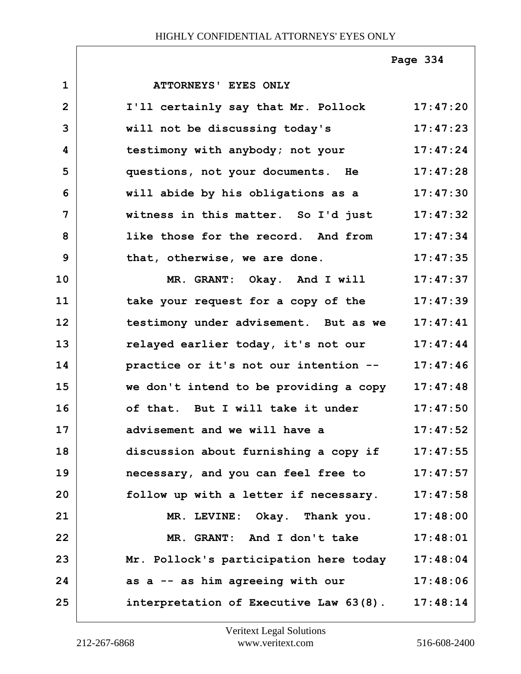**1 ATTORNEYS' EYES ONLY 2 I'll certainly say that Mr. Pollock 17:47:20 3 will not be discussing today's 17:47:23 4 testimony with anybody; not your 17:47:24 5 questions, not your documents. He 17:47:28 6 will abide by his obligations as a 17:47:30 7 witness in this matter. So I'd just 17:47:32 8 like those for the record. And from 17:47:34 9 that, otherwise, we are done. 17:47:35 10 MR. GRANT: Okay. And I will 17:47:37 11 take your request for a copy of the 17:47:39 12 testimony under advisement. But as we 17:47:41 13 relayed earlier today, it's not our 17:47:44 14 practice or it's not our intention -- 17:47:46 15 we don't intend to be providing a copy 17:47:48 16 of that. But I will take it under 17:47:50 17 advisement and we will have a 17:47:52 18 discussion about furnishing a copy if 17:47:55 19 necessary, and you can feel free to 17:47:57 20 follow up with a letter if necessary. 17:47:58 21 MR. LEVINE: Okay. Thank you. 17:48:00 22 MR. GRANT: And I don't take 17:48:01 23 Mr. Pollock's participation here today 17:48:04 24 as a -- as him agreeing with our 17:48:06 25 interpretation of Executive Law 63(8). 17:48:14 Page 334**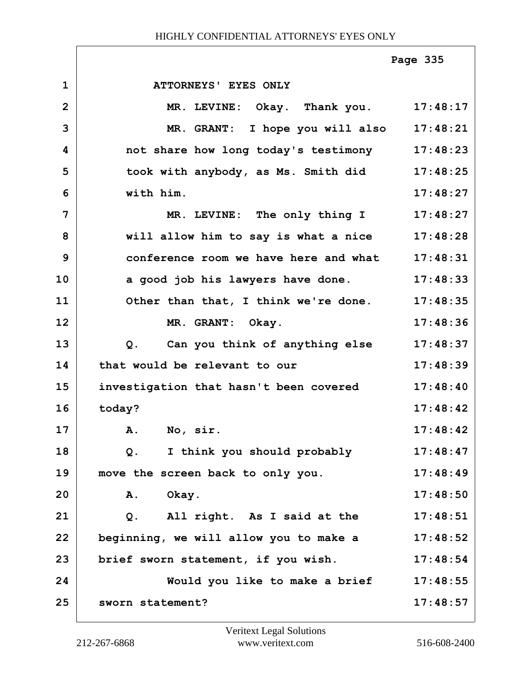|                |                                                  | Page 335 |
|----------------|--------------------------------------------------|----------|
| $\mathbf{1}$   | <b>ATTORNEYS' EYES ONLY</b>                      |          |
| $\overline{2}$ | MR. LEVINE: Okay. Thank you. 17:48:17            |          |
| 3              | MR. GRANT: I hope you will also 17:48:21         |          |
| 4              | not share how long today's testimony 17:48:23    |          |
| 5              | took with anybody, as Ms. Smith did 17:48:25     |          |
| 6              | with him.                                        | 17:48:27 |
| 7              | MR. LEVINE: The only thing I 17:48:27            |          |
| 8              | will allow him to say is what a nice 17:48:28    |          |
| 9              | conference room we have here and what            | 17:48:31 |
| 10             | a good job his lawyers have done.                | 17:48:33 |
| 11             | Other than that, I think we're done. 17:48:35    |          |
| 12             | MR. GRANT:<br>Okay.                              | 17:48:36 |
| 13             | Can you think of anything else 17:48:37<br>$Q$ . |          |
| 14             | that would be relevant to our                    | 17:48:39 |
| 15             | investigation that hasn't been covered           | 17:48:40 |
| 16             | today?                                           | 17:48:42 |
| 17             | <b>A.</b><br>No, sir.                            | 17:48:42 |
| 18             | I think you should probably<br>Q <sub>1</sub>    | 17:48:47 |
| 19             | move the screen back to only you.                | 17:48:49 |
| 20             | Okay.<br>Α.                                      | 17:48:50 |
| 21             | All right. As I said at the<br>$Q$ .             | 17:48:51 |
| 22             | beginning, we will allow you to make a           | 17:48:52 |
| 23             | brief sworn statement, if you wish.              | 17:48:54 |
| 24             | Would you like to make a brief                   | 17:48:55 |
| 25             | sworn statement?                                 | 17:48:57 |

Г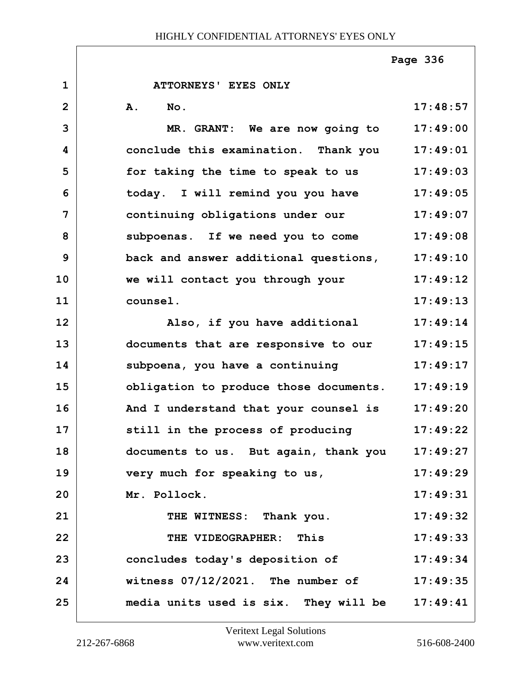**1 ATTORNEYS' EYES ONLY 2 A. No. 17:48:57 3 MR. GRANT: We are now going to 17:49:00 4 conclude this examination. Thank you 17:49:01 5 for taking the time to speak to us 17:49:03 6 today. I will remind you you have 17:49:05 7 continuing obligations under our 17:49:07 8 subpoenas. If we need you to come 17:49:08 9 back and answer additional questions, 17:49:10 10 we will contact you through your 17:49:12 11 counsel. 17:49:13 12 Also, if you have additional 17:49:14 13 documents that are responsive to our 17:49:15** 14 Subpoena, you have a continuing 17:49:17 **15 obligation to produce those documents. 17:49:19 16 And I understand that your counsel is 17:49:20 17 still in the process of producing 17:49:22 18 documents to us. But again, thank you 17:49:27 19 very much for speaking to us, 17:49:29 20 Mr. Pollock. 17:49:31 21 THE WITNESS: Thank you. 17:49:32 22 THE VIDEOGRAPHER: This 17:49:33 23 concludes today's deposition of 17:49:34 24 witness 07/12/2021. The number of 17:49:35 25 media units used is six. They will be 17:49:41 Page 336**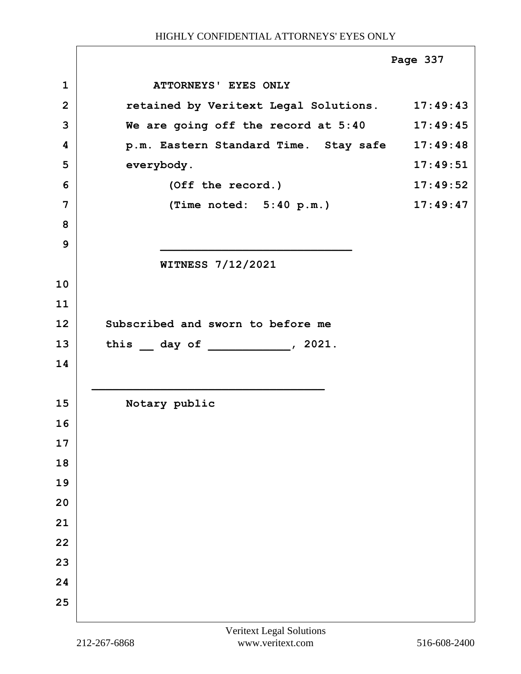|                |                                                | Page 337 |
|----------------|------------------------------------------------|----------|
| $\mathbf{1}$   | ATTORNEYS' EYES ONLY                           |          |
| $\overline{2}$ | retained by Veritext Legal Solutions. 17:49:43 |          |
| 3              | We are going off the record at 5:40 17:49:45   |          |
| 4              | p.m. Eastern Standard Time. Stay safe 17:49:48 |          |
| 5              | everybody.                                     | 17:49:51 |
| 6              | (Off the record.)                              | 17:49:52 |
| 7              | (Time noted: $5:40 p.m.$ )                     | 17:49:47 |
| 8              |                                                |          |
| 9              |                                                |          |
|                | <b>WITNESS 7/12/2021</b>                       |          |
| 10             |                                                |          |
| 11             |                                                |          |
| 12             | Subscribed and sworn to before me              |          |
| 13             | this day of , 2021.                            |          |
| 14             |                                                |          |
|                |                                                |          |
| 15             | Notary public                                  |          |
| 16             |                                                |          |
| 17             |                                                |          |
| 18             |                                                |          |
| 19             |                                                |          |
| 20             |                                                |          |
| 21             |                                                |          |
| 22             |                                                |          |
| 23             |                                                |          |
| 24             |                                                |          |
| 25             |                                                |          |
|                |                                                |          |